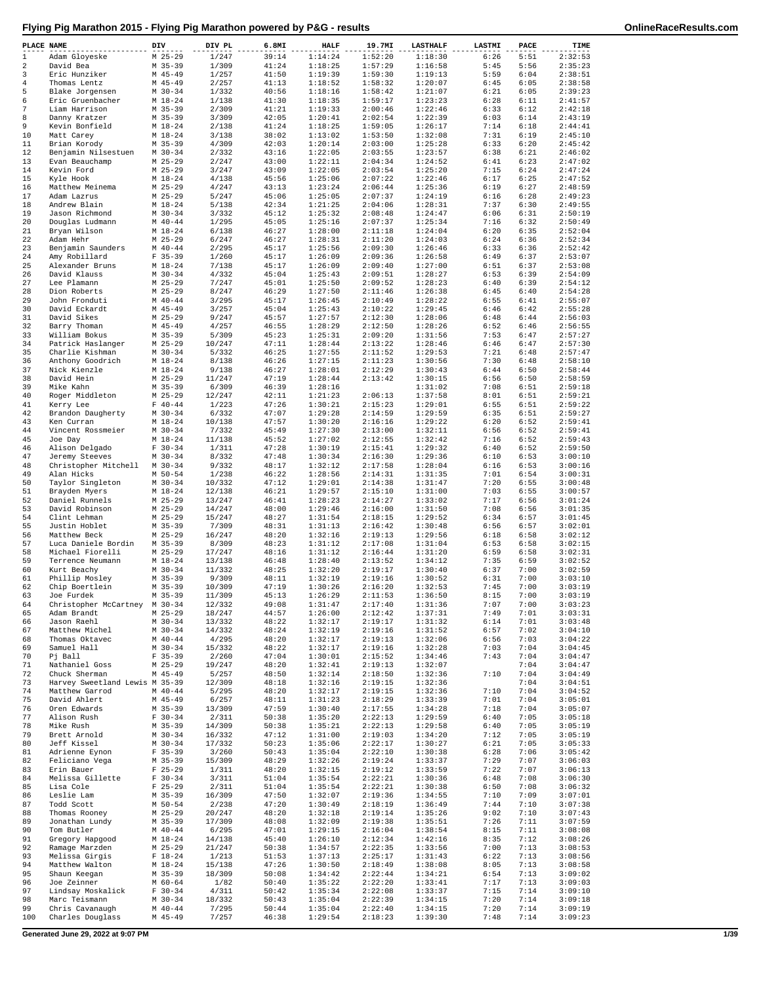| PLACE NAME |                                                 | DIV                    | DIV PL           | 6.8MI          | HALF               | 19.7MI             | <b>LASTHALF</b>    | LASTMI       | PACE         | TIME               |
|------------|-------------------------------------------------|------------------------|------------------|----------------|--------------------|--------------------|--------------------|--------------|--------------|--------------------|
| 1          | Adam Gloyeske                                   | $M$ 25-29              | 1/247            | 39:14          | 1:14:24            | 1:52:20            | 1:18:30            | 6:26         | 5:51         | 2:32:53            |
| 2<br>3     | David Bea<br>Eric Hunziker                      | M 35-39<br>$M$ 45-49   | 1/309            | 41:24<br>41:50 | 1:18:25<br>1:19:39 | 1:57:29<br>1:59:30 | 1:16:58<br>1:19:13 | 5:45<br>5:59 | 5:56<br>6:04 | 2:35:23<br>2:38:51 |
| 4          | Thomas Lentz                                    | $M$ 45-49              | 1/257<br>2/257   | 41:13          | 1:18:52            | 1:58:32            | 1:20:07            | 6:45         | 6:05         | 2:38:58            |
| 5          | Blake Jorgensen                                 | $M$ 30-34              | 1/332            | 40:56          | 1:18:16            | 1:58:42            | 1:21:07            | 6:21         | 6:05         | 2:39:23            |
| 6          | Eric Gruenbacher                                | $M_18-24$              | 1/138            | 41:30          | 1:18:35            | 1:59:17            | 1:23:23            | 6:28         | 6:11         | 2:41:57            |
| 7          | Liam Harrison                                   | $M$ 35-39              | 2/309            | 41:21          | 1:19:33            | 2:00:46            | 1:22:46            | 6:33         | 6:12         | 2:42:18            |
| 8          | Danny Kratzer                                   | $M$ 35-39              | 3/309            | 42:05          | 1:20:41<br>1:18:25 | 2:02:54            | 1:22:39<br>1:26:17 | 6:03         | 6:14         | 2:43:19            |
| 9<br>10    | Kevin Bonfield<br>Matt Carey                    | $M_18-24$<br>$M_18-24$ | 2/138<br>3/138   | 41:24<br>38:02 | 1:13:02            | 1:59:05<br>1:53:50 | 1:32:08            | 7:14<br>7:31 | 6:18<br>6:19 | 2:44:41<br>2:45:10 |
| 11         | Brian Korody                                    | $M$ 35-39              | 4/309            | 42:03          | 1:20:14            | 2:03:00            | 1:25:28            | 6:33         | 6:20         | 2:45:42            |
| 12         | Benjamin Nilsestuen                             | $M$ 30-34              | 2/332            | 43:16          | 1:22:05            | 2:03:55            | 1:23:57            | 6:38         | 6:21         | 2:46:02            |
| 13         | Evan Beauchamp                                  | $M$ 25-29              | 2/247            | 43:00          | 1:22:11            | 2:04:34            | 1:24:52            | 6:41         | 6:23         | 2:47:02            |
| 14         | Kevin Ford                                      | $M$ 25-29              | 3/247            | 43:09          | 1:22:05            | 2:03:54            | 1:25:20            | 7:15         | 6:24         | 2:47:24            |
| 15<br>16   | Kyle Hook                                       | $M_18-24$<br>$M$ 25-29 | 4/138            | 45:56<br>43:13 | 1:25:06<br>1:23:24 | 2:07:22<br>2:06:44 | 1:22:46<br>1:25:36 | 6:17<br>6:19 | 6:25<br>6:27 | 2:47:52<br>2:48:59 |
| 17         | Matthew Meinema<br>Adam Lazrus                  | $M$ 25-29              | 4/247<br>5/247   | 45:06          | 1:25:05            | 2:07:37            | 1:24:19            | 6:16         | 6:28         | 2:49:23            |
| 18         | Andrew Blain                                    | $M$ 18-24              | 5/138            | 42:34          | 1:21:25            | 2:04:06            | 1:28:31            | 7:37         | 6:30         | 2:49:55            |
| 19         | Jason Richmond                                  | $M$ 30-34              | 3/332            | 45:12          | 1:25:32            | 2:08:48            | 1:24:47            | 6:06         | 6:31         | 2:50:19            |
| 20         | Douglas Ludmann                                 | $M$ 40-44              | 1/295            | 45:05          | 1:25:16            | 2:07:37            | 1:25:34            | 7:16         | 6:32         | 2:50:49            |
| 21         | Bryan Wilson                                    | $M_18-24$              | 6/138            | 46:27          | 1:28:00            | 2:11:18            | 1:24:04            | 6:20         | 6:35         | 2:52:04            |
| 22<br>23   | Adam Hehr                                       | $M$ 25-29<br>$M$ 40-44 | 6/247            | 46:27<br>45:17 | 1:28:31<br>1:25:56 | 2:11:20<br>2:09:30 | 1:24:03<br>1:26:46 | 6:24<br>6:33 | 6:36         | 2:52:34<br>2:52:42 |
| 24         | Benjamin Saunders<br>Amy Robillard              | $F$ 35-39              | 2/295<br>1/260   | 45:17          | 1:26:09            | 2:09:36            | 1:26:58            | 6:49         | 6:36<br>6:37 | 2:53:07            |
| 25         | Alexander Bruns                                 | $M_18-24$              | 7/138            | 45:17          | 1:26:09            | 2:09:40            | 1:27:00            | 6:51         | 6:37         | 2:53:08            |
| 26         | David Klauss                                    | $M$ 30-34              | 4/332            | 45:04          | 1:25:43            | 2:09:51            | 1:28:27            | 6:53         | 6:39         | 2:54:09            |
| 27         | Lee Plamann                                     | $M$ 25-29              | 7/247            | 45:01          | 1:25:50            | 2:09:52            | 1:28:23            | 6:40         | 6:39         | 2:54:12            |
| 28         | Dion Roberts                                    | $M$ 25-29              | 8/247            | 46:29          | 1:27:50            | 2:11:46            | 1:26:38            | 6:45         | 6:40         | 2:54:28            |
| 29         | John Fronduti                                   | $M$ 40-44<br>$M$ 45-49 | 3/295            | 45:17          | 1:26:45            | 2:10:49            | 1:28:22            | 6:55         | 6:41         | 2:55:07<br>2:55:28 |
| 30<br>31   | David Eckardt<br>David Sikes                    | $M$ 25-29              | 3/257<br>9/247   | 45:04<br>45:57 | 1:25:43<br>1:27:57 | 2:10:22<br>2:12:30 | 1:29:45<br>1:28:06 | 6:46<br>6:48 | 6:42<br>6:44 | 2:56:03            |
| 32         | Barry Thoman                                    | $M$ 45-49              | 4/257            | 46:55          | 1:28:29            | 2:12:50            | 1:28:26            | 6:52         | 6:46         | 2:56:55            |
| 33         | William Bokus                                   | $M$ 35-39              | 5/309            | 45:23          | 1:25:31            | 2:09:20            | 1:31:56            | 7:53         | 6:47         | 2:57:27            |
| 34         | Patrick Haslanger                               | $M$ 25-29              | 10/247           | 47:11          | 1:28:44            | 2:13:22            | 1:28:46            | 6:46         | 6:47         | 2:57:30            |
| 35         | Charlie Kishman                                 | $M$ 30-34              | 5/332            | 46:25          | 1:27:55            | 2:11:52            | 1:29:53            | 7:21         | 6:48         | 2:57:47            |
| 36         | Anthony Goodrich                                | $M$ 18-24              | 8/138            | 46:26          | 1:27:15            | 2:11:23            | 1:30:56            | 7:30         | 6:48         | 2:58:10            |
| 37<br>38   | Nick Kienzle<br>David Hein                      | $M_18-24$<br>$M$ 25-29 | 9/138            | 46:27<br>47:19 | 1:28:01<br>1:28:44 | 2:12:29<br>2:13:42 | 1:30:43<br>1:30:15 | 6:44<br>6:56 | 6:50         | 2:58:44<br>2:58:59 |
| 39         | Mike Kahn                                       | $M$ 35-39              | 11/247<br>6/309  | 46:39          | 1:28:16            |                    | 1:31:02            | 7:08         | 6:50<br>6:51 | 2:59:18            |
| 40         | Roger Middleton                                 | $M$ 25-29              | 12/247           | 42:11          | 1:21:23            | 2:06:13            | 1:37:58            | 8:01         | 6:51         | 2:59:21            |
| 41         | Kerry Lee                                       | $F 40 - 44$            | 1/223            | 47:26          | 1:30:21            | 2:15:23            | 1:29:01            | 6:55         | 6:51         | 2:59:22            |
| 42         | Brandon Daugherty                               | $M$ 30-34              | 6/332            | 47:07          | 1:29:28            | 2:14:59            | 1:29:59            | 6:35         | 6:51         | 2:59:27            |
| 43         | Ken Curran                                      | $M$ 18-24              | 10/138           | 47:57          | 1:30:20            | 2:16:16            | 1:29:22            | 6:20         | 6:52         | 2:59:41            |
| 44<br>45   | Vincent Rossmeier<br>Joe Day                    | $M$ 30-34<br>$M_18-24$ | 7/332<br>11/138  | 45:49<br>45:52 | 1:27:30<br>1:27:02 | 2:13:00<br>2:12:55 | 1:32:11<br>1:32:42 | 6:56<br>7:16 | 6:52<br>6:52 | 2:59:41<br>2:59:43 |
| 46         | Alison Delgado                                  | $F 30-34$              | 1/311            | 47:28          | 1:30:19            | 2:15:41            | 1:29:32            | 6:40         | 6:52         | 2:59:50            |
| 47         | Jeremy Steeves                                  | $M$ 30-34              | 8/332            | 47:48          | 1:30:34            | 2:16:30            | 1:29:36            | 6:10         | 6:53         | 3:00:10            |
| 48         | Christopher Mitchell                            | $M$ 30-34              | 9/332            | 48:17          | 1:32:12            | 2:17:58            | 1:28:04            | 6:16         | 6:53         | 3:00:16            |
| 49         | Alan Hicks                                      | $M$ 50-54              | 1/238            | 46:22          | 1:28:56            | 2:14:31            | 1:31:35            | 7:01         | 6:54         | 3:00:31            |
| 50         | Taylor Singleton                                | $M$ 30-34              | 10/332           | 47:12          | 1:29:01            | 2:14:38            | 1:31:47            | 7:20         | 6:55         | 3:00:48            |
| 51<br>52   | Brayden Myers<br>Daniel Runnels                 | $M_18-24$<br>$M$ 25-29 | 12/138<br>13/247 | 46:21<br>46:41 | 1:29:57<br>1:28:23 | 2:15:10<br>2:14:27 | 1:31:00<br>1:33:02 | 7:03<br>7:17 | 6:55<br>6:56 | 3:00:57<br>3:01:24 |
| 53         | David Robinson                                  | $M$ 25-29              | 14/247           | 48:00          | 1:29:46            | 2:16:00            | 1:31:50            | 7:08         | 6:56         | 3:01:35            |
| 54         | Clint Lehman                                    | $M$ 25-29              | 15/247           | 48:27          | 1:31:54            | 2:18:15            | 1:29:52            | 6:34         | 6:57         | 3:01:45            |
| 55         | Justin Hoblet                                   | $M$ 35-39              | 7/309            | 48:31          | 1:31:13            | 2:16:42            | 1:30:48            | 6:56         | 6:57         | 3:02:01            |
| 56         | Matthew Beck                                    | $M$ 25-29              | 16/247           | 48:20          | 1:32:16            | 2:19:13            | 1:29:56            | 6:18         | 6:58         | 3:02:12            |
| 57         | Luca Daniele Bordin                             | M 35-39                | 8/309            | 48:23          | 1:31:12            | 2:17:08            | 1:31:04            | 6:53         | 6:58         | 3:02:15            |
| 58<br>59   | Michael Fiorelli<br>Terrence Neumann            | $M$ 25-29<br>$M_18-24$ | 17/247<br>13/138 | 48:16<br>46:48 | 1:31:12<br>1:28:40 | 2:16:44<br>2:13:52 | 1:31:20<br>1:34:12 | 6:59<br>7:35 | 6:58<br>6:59 | 3:02:31<br>3:02:52 |
| 60         | Kurt Beachy                                     | $M$ 30-34              | 11/332           | 48:25          | 1:32:20            | 2:19:17            | 1:30:40            | 6:37         | 7:00         | 3:02:59            |
| 61         | Phillip Mosley                                  | M 35-39                | 9/309            | 48:11          | 1:32:19            | 2:19:16            | 1:30:52            | 6:31         | 7:00         | 3:03:10            |
| 62         | Chip Boertlein                                  | $M$ 35-39              | 10/309           | 47:19          | 1:30:26            | 2:16:20            | 1:32:53            | 7:45         | 7:00         | 3:03:19            |
| 63         | Joe Furdek                                      | M 35-39                | 11/309           | 45:13          | 1:26:29            | 2:11:53            | 1:36:50            | 8:15         | 7:00         | 3:03:19            |
| 64         | Christopher McCartney M 30-34                   |                        | 12/332           | 49:08          | 1:31:47            | 2:17:40            | 1:31:36            | 7:07         | 7:00         | 3:03:23            |
| 65<br>66   | Adam Brandt<br>Jason Raehl                      | $M$ 25-29<br>$M$ 30-34 | 18/247<br>13/332 | 44:57<br>48:22 | 1:26:00<br>1:32:17 | 2:12:42<br>2:19:17 | 1:37:31<br>1:31:32 | 7:49<br>6:14 | 7:01<br>7:01 | 3:03:31<br>3:03:48 |
| 67         | Matthew Michel                                  | $M$ 30-34              | 14/332           | 48:24          | 1:32:19            | 2:19:16            | 1:31:52            | 6:57         | 7:02         | 3:04:10            |
| 68         | Thomas Oktavec                                  | $M$ 40-44              | 4/295            | 48:20          | 1:32:17            | 2:19:13            | 1:32:06            | 6:56         | 7:03         | 3:04:22            |
| 69         | Samuel Hall                                     | $M$ 30-34              | 15/332           | 48:22          | 1:32:17            | 2:19:16            | 1:32:28            | 7:03         | 7:04         | 3:04:45            |
| 70         | Pj Ball                                         | $F$ 35-39              | 2/260            | 47:04          | 1:30:01            | 2:15:52            | 1:34:46            | 7:43         | 7:04         | 3:04:47            |
| 71         | Nathaniel Goss                                  | $M$ 25-29              | 19/247           | 48:20          | 1:32:41            | 2:19:13            | 1:32:07            |              | 7:04         | 3:04:47            |
| 72<br>73   | Chuck Sherman<br>Harvey Sweetland Lewis M 35-39 | $M$ 45-49              | 5/257<br>12/309  | 48:50<br>48:18 | 1:32:14<br>1:32:16 | 2:18:50<br>2:19:15 | 1:32:36<br>1:32:36 | 7:10         | 7:04<br>7:04 | 3:04:49<br>3:04:51 |
| 74         | Matthew Garrod                                  | $M$ 40-44              | 5/295            | 48:20          | 1:32:17            | 2:19:15            | 1:32:36            | 7:10         | 7:04         | 3:04:52            |
| 75         | David Ahlert                                    | $M$ 45-49              | 6/257            | 48:11          | 1:31:23            | 2:18:29            | 1:33:39            | 7:01         | 7:04         | 3:05:01            |
| 76         | Oren Edwards                                    | $M$ 35-39              | 13/309           | 47:59          | 1:30:40            | 2:17:55            | 1:34:28            | 7:18         | 7:04         | 3:05:07            |
| 77         | Alison Rush                                     | $F 30-34$              | 2/311            | 50:38          | 1:35:20            | 2:22:13            | 1:29:59            | 6:40         | 7:05         | 3:05:18            |
| 78<br>79   | Mike Rush<br>Brett Arnold                       | $M$ 35-39<br>$M$ 30-34 | 14/309<br>16/332 | 50:38<br>47:12 | 1:35:21<br>1:31:00 | 2:22:13<br>2:19:03 | 1:29:58<br>1:34:20 | 6:40<br>7:12 | 7:05<br>7:05 | 3:05:19<br>3:05:19 |
| 80         | Jeff Kissel                                     | $M$ 30-34              | 17/332           | 50:23          | 1:35:06            | 2:22:17            | 1:30:27            | 6:21         | 7:05         | 3:05:33            |
| 81         | Adrienne Eynon                                  | $F$ 35-39              | 3/260            | 50:43          | 1:35:04            | 2:22:10            | 1:30:38            | 6:28         | 7:06         | 3:05:42            |
| 82         | Feliciano Vega                                  | $M$ 35-39              | 15/309           | 48:29          | 1:32:26            | 2:19:24            | 1:33:37            | 7:29         | 7:07         | 3:06:03            |
| 83         | Erin Bauer                                      | $F$ 25-29              | 1/311            | 48:20          | 1:32:15            | 2:19:12            | 1:33:59            | 7:22         | 7:07         | 3:06:13            |
| 84         | Melissa Gillette                                | $F 30-34$              | 3/311            | 51:04          | 1:35:54            | 2:22:21            | 1:30:36            | 6:48         | 7:08         | 3:06:30            |
| 85<br>86   | Lisa Cole<br>Leslie Lam                         | $F$ 25-29<br>$M$ 35-39 | 2/311<br>16/309  | 51:04<br>47:50 | 1:35:54<br>1:32:07 | 2:22:21<br>2:19:36 | 1:30:38<br>1:34:55 | 6:50<br>7:10 | 7:08<br>7:09 | 3:06:32<br>3:07:01 |
| 87         | Todd Scott                                      | $M$ 50-54              | 2/238            | 47:20          | 1:30:49            | 2:18:19            | 1:36:49            | 7:44         | 7:10         | 3:07:38            |
| 88         | Thomas Rooney                                   | $M$ 25-29              | 20/247           | 48:20          | 1:32:18            | 2:19:14            | 1:35:26            | 9:02         | 7:10         | 3:07:43            |
| 89         | Jonathan Lundy                                  | $M$ 35-39              | 17/309           | 48:08          | 1:32:09            | 2:19:38            | 1:35:51            | 7:26         | 7:11         | 3:07:59            |
| 90         | Tom Butler                                      | $M$ 40-44              | 6/295            | 47:01          | 1:29:15            | 2:16:04            | 1:38:54            | 8:15         | 7:11         | 3:08:08            |
| 91         | Gregory Hapgood                                 | $M_18-24$              | 14/138           | 45:40          | 1:26:10            | 2:12:34            | 1:42:16            | 8:35         | 7:12         | 3:08:26            |
| 92<br>93   | Ramage Marzden<br>Melissa Girgis                | $M$ 25-29<br>$F 18-24$ | 21/247<br>1/213  | 50:38<br>51:53 | 1:34:57<br>1:37:13 | 2:22:35<br>2:25:17 | 1:33:56<br>1:31:43 | 7:00<br>6:22 | 7:13<br>7:13 | 3:08:53<br>3:08:56 |
| 94         | Matthew Walton                                  | $M_18-24$              | 15/138           | 47:26          | 1:30:50            | 2:18:49            | 1:38:08            | 8:05         | 7:13         | 3:08:58            |
| 95         | Shaun Keegan                                    | $M$ 35-39              | 18/309           | 50:08          | 1:34:42            | 2:22:44            | 1:34:21            | 6:54         | 7:13         | 3:09:02            |
| 96         | Joe Zeinner                                     | $M$ 60-64              | 1/82             | 50:40          | 1:35:22            | 2:22:20            | 1:33:41            | 7:17         | 7:13         | 3:09:03            |
| 97         | Lindsay Moskalick                               | $F 30-34$              | 4/311            | 50:42          | 1:35:34            | 2:22:08            | 1:33:37            | 7:15         | 7:14         | 3:09:10            |
| 98         | Marc Teismann                                   | $M$ 30-34              | 18/332           | 50:43          | 1:35:04            | 2:22:39            | 1:34:15            | 7:20         | 7:14         | 3:09:18            |
| 99<br>100  | Chris Cavanaugh<br>Charles Douglass             | $M$ 40-44<br>$M$ 45-49 | 7/295<br>7/257   | 50:44<br>46:38 | 1:35:04<br>1:29:54 | 2:22:40<br>2:18:23 | 1:34:15<br>1:39:30 | 7:20<br>7:48 | 7:14<br>7:14 | 3:09:19<br>3:09:23 |
|            |                                                 |                        |                  |                |                    |                    |                    |              |              |                    |

**Generated June 29, 2022 at 9:07 PM 1/39**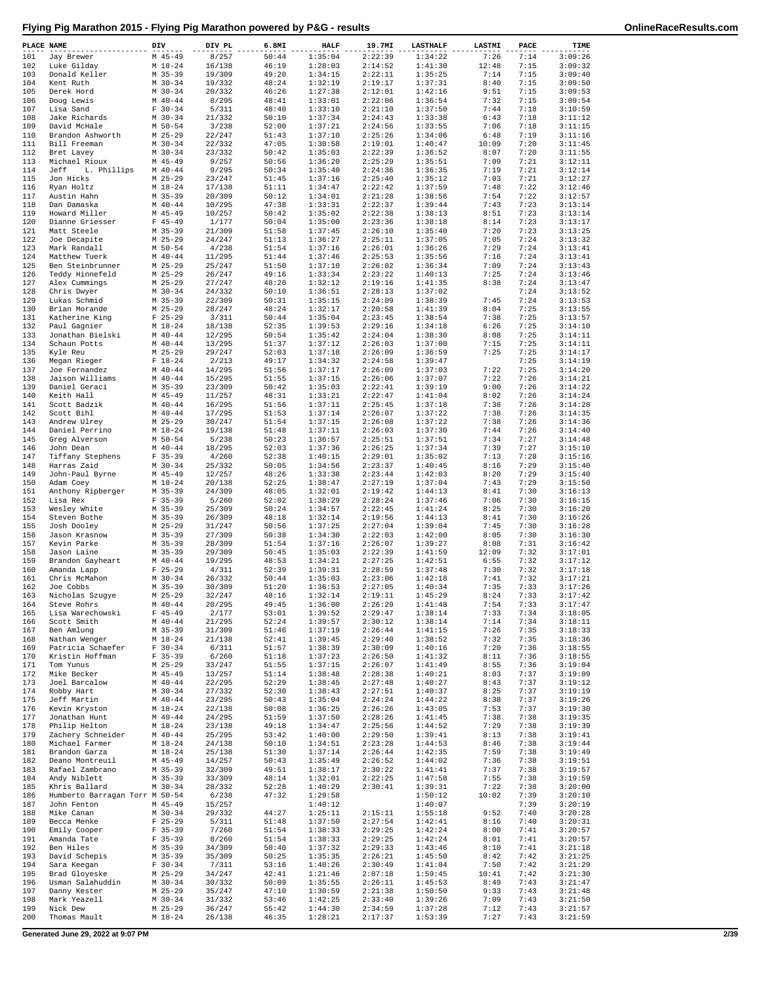| PLACE NAME |                                 | DIV                    | DIV PL           | 6.8MI          | <b>HALF</b>        | 19.7MI             | <b>LASTHALF</b>    | LASTMI        | PACE         | TIME               |
|------------|---------------------------------|------------------------|------------------|----------------|--------------------|--------------------|--------------------|---------------|--------------|--------------------|
| 101        | Jay Brewer                      | $M$ 45-49              | 8/257            | 50:44          | 1:35:04            | 2:22:39            | 1:34:22            | 7:26          | 7:14         | 3:09:26            |
| 102        | Luke Gilday                     | $M_18-24$              | 16/138           | 46:19          | 1:28:03            | 2:14:52            | 1:41:30            | 12:48         | 7:15         | 3:09:32            |
| 103        | Donald Keller                   | $M$ 35-39              | 19/309           | 49:20          | 1:34:15            | 2:22:11            | 1:35:25            | 7:14          | 7:15         | 3:09:40            |
| 104        | Kent Ruth                       | $M$ 30-34              | 19/332           | 48:24          | 1:32:19            | 2:19:17            | 1:37:31            | 8:40          | 7:15         | 3:09:50            |
| 105<br>106 | Derek Hord                      | $M$ 30-34              | 20/332           | 46:26          | 1:27:38<br>1:33:01 | 2:12:01            | 1:42:16<br>1:36:54 | 9:51          | 7:15<br>7:15 | 3:09:53<br>3:09:54 |
| 107        | Doug Lewis<br>Lisa Sand         | $M$ 40-44<br>$F 30-34$ | 8/295<br>5/311   | 48:41<br>48:40 | 1:33:10            | 2:22:06<br>2:21:10 | 1:37:50            | 7:32<br>7:44  | 7:18         | 3:10:59            |
| 108        | Jake Richards                   | $M$ 30-34              | 21/332           | 50:10          | 1:37:34            | 2:24:43            | 1:33:38            | 6:43          | 7:18         | 3:11:12            |
| 109        | David McHale                    | M 50-54                | 3/238            | 52:00          | 1:37:21            | 2:24:56            | 1:33:55            | 7:06          | 7:18         | 3:11:15            |
| 110        | Brandon Ashworth                | $M$ 25-29              | 22/247           | 51:43          | 1:37:10            | 2:25:26            | 1:34:06            | 6:48          | 7:19         | 3:11:16            |
| 111        | Bill Freeman                    | $M$ 30-34              | 22/332           | 47:05          | 1:30:58            | 2:19:01            | 1:40:47            | 10:09         | 7:20         | 3:11:45            |
| 112        | Bret Lavey                      | $M$ 30-34              | 23/332           | 50:42          | 1:35:03            | 2:22:39            | 1:36:52            | 8:07          | 7:20         | 3:11:55            |
| 113        | Michael Rioux                   | $M$ 45-49              | 9/257            | 50:56          | 1:36:20            | 2:25:29            | 1:35:51            | 7:09          | 7:21         | 3:12:11            |
| 114        | Jeff<br>L. Phillips             | $M$ 40-44              | 9/295            | 50:34          | 1:35:40            | 2:24:36            | 1:36:35            | 7:19          | 7:21         | 3:12:14            |
| 115        | Jon Hicks                       | $M$ 25-29              | 23/247           | 51:45          | 1:37:16            | 2:25:40            | 1:35:12            | 7:03          | 7:21         | 3:12:27            |
| 116<br>117 | Ryan Holtz                      | $M$ 18-24<br>M 35-39   | 17/138<br>20/309 | 51:11<br>50:12 | 1:34:47<br>1:34:01 | 2:22:42<br>2:21:28 | 1:37:59<br>1:38:56 | 7:48<br>7:54  | 7:22<br>7:22 | 3:12:46<br>3:12:57 |
| 118        | Austin Hahn<br>Dan Damaska      | $M$ 40-44              | 10/295           | 47:38          | 1:33:31            | 2:22:37            | 1:39:44            | 7:43          | 7:23         | 3:13:14            |
| 119        | Howard Miller                   | $M$ 45-49              | 10/257           | 50:42          | 1:35:02            | 2:22:38            | 1:38:13            | 8:51          | 7:23         | 3:13:14            |
| 120        | Dianne Griesser                 | $F$ 45-49              | 1/177            | 50:04          | 1:35:00            | 2:23:36            | 1:38:18            | 8:14          | 7:23         | 3:13:17            |
| 121        | Matt Steele                     | $M$ 35-39              | 21/309           | 51:58          | 1:37:45            | 2:26:10            | 1:35:40            | 7:20          | 7:23         | 3:13:25            |
| 122        | Joe Decapite                    | $M$ 25-29              | 24/247           | 51:13          | 1:36:27            | 2:25:11            | 1:37:05            | 7:05          | 7:24         | 3:13:32            |
| 123        | Mark Randall                    | M 50-54                | 4/238            | 51:54          | 1:37:16            | 2:26:01            | 1:36:26            | 7:29          | 7:24         | 3:13:41            |
| 124        | Matthew Tuerk                   | $M$ 40-44              | 11/295           | 51:44          | 1:37:46            | 2:25:53            | 1:35:56            | 7:16          | 7:24         | 3:13:41            |
| 125        | Ben Steinbrunner                | $M$ 25-29              | 25/247           | 51:50          | 1:37:10            | 2:26:02            | 1:36:34            | 7:09          | 7:24         | 3:13:43            |
| 126        | Teddy Hinnefeld                 | $M$ 25-29              | 26/247           | 49:16          | 1:33:34            | 2:23:22            | 1:40:13            | 7:25          | 7:24         | 3:13:46            |
| 127        | Alex Cummings                   | $M$ 25-29              | 27/247           | 48:20          | 1:32:12            | 2:19:16<br>2:28:13 | 1:41:35<br>1:37:02 | 8:38          | 7:24         | 3:13:47            |
| 128<br>129 | Chris Dwyer<br>Lukas Schmid     | $M$ 30-34<br>$M$ 35-39 | 24/332<br>22/309 | 50:10<br>50:31 | 1:36:51<br>1:35:15 | 2:24:09            | 1:38:39            | 7:45          | 7:24<br>7:24 | 3:13:52<br>3:13:53 |
| 130        | Brian Morande                   | $M$ 25-29              | 28/247           | 48:24          | 1:32:17            | 2:20:58            | 1:41:39            | 8:04          | 7:25         | 3:13:55            |
| 131        | Katherine King                  | $F$ 25-29              | 3/311            | 50:44          | 1:35:04            | 2:23:45            | 1:38:54            | 7:38          | 7:25         | 3:13:57            |
| 132        | Paul Gagnier                    | $M_18-24$              | 18/138           | 52:35          | 1:39:53            | 2:29:16            | 1:34:18            | 6:26          | 7:25         | 3:14:10            |
| 133        | Jonathan Bielski                | $M$ 40-44              | 12/295           | 50:54          | 1:35:42            | 2:24:04            | 1:38:30            | 8:08          | 7:25         | 3:14:11            |
| 134        | Schaun Potts                    | $M$ 40-44              | 13/295           | 51:37          | 1:37:12            | 2:26:03            | 1:37:00            | 7:15          | 7:25         | 3:14:11            |
| 135        | Kyle Reu                        | $M$ 25-29              | 29/247           | 52:03          | 1:37:18            | 2:26:09            | 1:36:59            | 7:25          | 7:25         | 3:14:17            |
| 136        | Megan Rieger                    | $F 18-24$              | 2/213            | 49:17          | 1:34:32            | 2:24:58            | 1:39:47            |               | 7:25         | 3:14:19            |
| 137        | Joe Fernandez                   | $M$ 40-44              | 14/295           | 51:56          | 1:37:17            | 2:26:09            | 1:37:03            | 7:22          | 7:25         | 3:14:20            |
| 138        | Jaison Williams                 | $M$ 40-44              | 15/295           | 51:55          | 1:37:15            | 2:26:06            | 1:37:07            | 7:22          | 7:26         | 3:14:21            |
| 139        | Daniel Geraci                   | M 35-39                | 23/309           | 50:42          | 1:35:03            | 2:22:41            | 1:39:19            | 9:00          | 7:26         | 3:14:22            |
| 140        | Keith Hall                      | $M$ 45-49              | 11/257           | 48:31          | 1:33:21            | 2:22:47            | 1:41:04            | 8:02          | 7:26         | 3:14:24            |
| 141        | Scott Badzik                    | $M$ 40-44              | 16/295           | 51:56          | 1:37:11            | 2:25:45            | 1:37:18            | 7:38          | 7:26         | 3:14:28            |
| 142        | Scott Bihl                      | $M$ 40-44              | 17/295           | 51:53          | 1:37:14            | 2:26:07            | 1:37:22            | 7:38          | 7:26         | 3:14:35            |
| 143        | Andrew Ulrey                    | $M$ 25-29              | 30/247           | 51:54          | 1:37:15<br>1:37:11 | 2:26:08<br>2:26:03 | 1:37:22            | 7:38<br>7:44  | 7:26<br>7:26 | 3:14:36<br>3:14:40 |
| 144<br>145 | Daniel Perrino<br>Greg Alverson | $M_18-24$<br>$M$ 50-54 | 19/138<br>5/238  | 51:48<br>50:23 | 1:36:57            | 2:25:51            | 1:37:30<br>1:37:51 | 7:34          | 7:27         | 3:14:48            |
| 146        | John Dean                       | $M$ 40-44              | 18/295           | 52:03          | 1:37:36            | 2:26:25            | 1:37:34            | 7:39          | 7:27         | 3:15:10            |
| 147        | Tiffany Stephens                | $F$ 35-39              | 4/260            | 52:38          | 1:40:15            | 2:29:01            | 1:35:02            | 7:13          | 7:28         | 3:15:16            |
| 148        | Harras Zaid                     | $M$ 30-34              | 25/332           | 50:05          | 1:34:56            | 2:23:37            | 1:40:45            | 8:16          | 7:29         | 3:15:40            |
| 149        | John-Paul Byrne                 | $M$ 45-49              | 12/257           | 48:26          | 1:33:38            | 2:23:44            | 1:42:03            | 8:20          | 7:29         | 3:15:40            |
| 150        | Adam Coey                       | $M_18-24$              | 20/138           | 52:25          | 1:38:47            | 2:27:19            | 1:37:04            | 7:43          | 7:29         | 3:15:50            |
| 151        | Anthony Ripberger               | $M$ 35-39              | 24/309           | 48:05          | 1:32:01            | 2:19:42            | 1:44:13            | 8:41          | 7:30         | 3:16:13            |
| 152        | Lisa Rex                        | $F$ 35-39              | 5/260            | 52:02          | 1:38:29            | 2:28:24            | 1:37:46            | 7:06          | 7:30         | 3:16:15            |
| 153        | Wesley White                    | $M$ 35-39              | 25/309           | 50:24          | 1:34:57            | 2:22:45            | 1:41:24            | 8:25          | 7:30         | 3:16:20            |
| 154        | Steven Bothe                    | $M$ 35-39              | 26/309           | 48:18          | 1:32:14            | 2:19:56            | 1:44:13            | 8:41          | 7:30         | 3:16:26            |
| 155        | Josh Dooley                     | $M$ 25-29              | 31/247           | 50:56          | 1:37:25            | 2:27:04            | 1:39:04            | 7:45          | 7:30         | 3:16:28            |
| 156        | Jason Krasnow                   | $M$ 35-39              | 27/309           | 50:38          | 1:34:30            | 2:22:03            | 1:42:00            | 8:05          | 7:30         | 3:16:30            |
| 157<br>158 | Kevin Parke<br>Jason Laine      | $M$ 35-39<br>$M$ 35-39 | 28/309           | 51:54          | 1:37:16<br>1:35:03 | 2:26:07<br>2:22:39 | 1:39:27<br>1:41:59 | 8:08<br>12:09 | 7:31<br>7:32 | 3:16:42<br>3:17:01 |
| 159        | Brandon Gayheart                | $M$ 40-44              | 29/309<br>19/295 | 50:45<br>48:53 | 1:34:21            | 2:27:25            | 1:42:51            | 6:55          | 7:32         | 3:17:12            |
| 160        | Amanda Lapp                     | $F$ 25-29              | 4/311            | 52:39          | 1:39:31            | 2:28:59            | 1:37:48            | 7:30          | 7:32         | 3:17:18            |
| 161        | Chris McMahon                   | $M$ 30-34              | 26/332           | 50:44          | 1:35:03            | 2:23:06            | 1:42:18            | 7:41          | 7:32         | 3:17:21            |
| 162        | Joe Cobbs                       | $M$ 35-39              | 30/309           | 51:20          | 1:36:53            | 2:27:05            | 1:40:34            | 7:35          | 7:33         | 3:17:26            |
| 163        | Nicholas Szugye                 | $M$ 25-29              | 32/247           | 48:16          | 1:32:14            | 2:19:11            | 1:45:29            | 8:24          | 7:33         | 3:17:42            |
| 164        | Steve Rohrs                     | $M$ 40-44              | 20/295           | 49:45          | 1:36:00            | 2:26:29            | 1:41:48            | 7:54          | 7:33         | 3:17:47            |
| 165        | Lisa Warechowski                | $F 45 - 49$            | 2/177            | 53:01          | 1:39:52            | 2:29:47            | 1:38:14            | 7:33          | 7:34         | 3:18:05            |
| 166        | Scott Smith                     | $M$ 40-44              | 21/295           | 52:24          | 1:39:57            | 2:30:12            | 1:38:14            | 7:14          | 7:34         | 3:18:11            |
| 167        | Ben Amlung                      | $M$ 35-39              | 31/309           | 51:46          | 1:37:19            | 2:26:44            | 1:41:15            | 7:26          | 7:35         | 3:18:33            |
| 168        | Nathan Wenger                   | $M_1 18 - 24$          | 21/138           | 52:41          | 1:39:45            | 2:29:40            | 1:38:52            | 7:32          | 7:35         | 3:18:36            |
| 169        | Patricia Schaefer               | $F 30-34$              | 6/311            | 51:57          | 1:38:39            | 2:30:09<br>2:26:50 | 1:40:16            | 7:20          | 7:36         | 3:18:55            |
| 170<br>171 | Kristin Hoffman<br>Tom Yunus    | $F$ 35-39<br>$M$ 25-29 | 6/260<br>33/247  | 51:18<br>51:55 | 1:37:23<br>1:37:15 | 2:26:07            | 1:41:32<br>1:41:49 | 8:11<br>8:55  | 7:36<br>7:36 | 3:18:55<br>3:19:04 |
| 172        | Mike Becker                     | $M$ 45-49              | 13/257           | 51:14          | 1:38:48            | 2:28:38            | 1:40:21            | 8:03          | 7:37         | 3:19:09            |
| 173        | Joel Barcalow                   | $M$ 40-44              | 22/295           | 52:29          | 1:38:45            | 2:27:48            | 1:40:27            | 8:43          | 7:37         | 3:19:12            |
| 174        | Robby Hart                      | $M$ 30-34              | 27/332           | 52:30          | 1:38:43            | 2:27:51            | 1:40:37            | 8:25          | 7:37         | 3:19:19            |
| 175        | Jeff Martin                     | $M$ 40-44              | 23/295           | 50:43          | 1:35:04            | 2:24:24            | 1:44:22            | 8:38          | 7:37         | 3:19:26            |
| 176        | Kevin Kryston                   | $M_1 18 - 24$          | 22/138           | 50:08          | 1:36:25            | 2:26:26            | 1:43:05            | 7:53          | 7:37         | 3:19:30            |
| 177        | Jonathan Hunt                   | $M$ 40-44              | 24/295           | 51:59          | 1:37:50            | 2:28:26            | 1:41:45            | 7:38          | 7:38         | 3:19:35            |
| 178        | Philip Helton                   | $M_18-24$              | 23/138           | 49:18          | 1:34:47            | 2:25:56            | 1:44:52            | 7:29          | 7:38         | 3:19:39            |
| 179        | Zachery Schneider               | $M$ 40-44              | 25/295           | 53:42          | 1:40:00            | 2:29:50            | 1:39:41            | 8:13          | 7:38         | 3:19:41            |
| 180        | Michael Farmer                  | $M_1 18 - 24$          | 24/138           | 50:10          | 1:34:51            | 2:23:28            | 1:44:53            | 8:46          | 7:38         | 3:19:44            |
| 181        | Brandon Garza                   | $M_1 18 - 24$          | 25/138           | 51:30          | 1:37:14            | 2:26:44            | 1:42:35            | 7:59          | 7:38         | 3:19:49            |
| 182        | Deano Montreuil                 | $M$ 45-49              | 14/257           | 50:43          | 1:35:49            | 2:26:52            | 1:44:02            | 7:36          | 7:38         | 3:19:51            |
| 183<br>184 | Rafael Zambrano<br>Andy Niblett | $M$ 35-39<br>$M$ 35-39 | 32/309<br>33/309 | 49:51<br>48:14 | 1:38:17<br>1:32:01 | 2:30:22<br>2:22:25 | 1:41:41<br>1:47:58 | 7:37<br>7:55  | 7:38<br>7:38 | 3:19:57<br>3:19:59 |
| 185        | Khris Ballard                   | $M$ 30-34              | 28/332           | 52:28          | 1:40:29            | 2:30:41            | 1:39:31            | 7:22          | 7:38         | 3:20:00            |
| 186        | Humberto Barragan Torr M 50-54  |                        | 6/238            | 47:32          | 1:29:58            |                    | 1:50:12            | 10:02         | 7:39         | 3:20:10            |
| 187        | John Fenton                     | $M$ 45-49              | 15/257           |                | 1:40:12            |                    | 1:40:07            |               | 7:39         | 3:20:19            |
| 188        | Mike Canan                      | $M$ 30-34              | 29/332           | 44:27          | 1:25:11            | 2:15:11            | 1:55:18            | 9:52          | 7:40         | 3:20:28            |
| 189        | Becca Menke                     | $F$ 25-29              | 5/311            | 51:48          | 1:37:50            | 2:27:54            | 1:42:41            | 8:16          | 7:40         | 3:20:31            |
| 190        | Emily Cooper                    | $F$ 35-39              | 7/260            | 51:54          | 1:38:33            | 2:29:25            | 1:42:24            | 8:00          | 7:41         | 3:20:57            |
| 191        | Amanda Tate                     | $F$ 35-39              | 8/260            | 51:54          | 1:38:33            | 2:29:25            | 1:42:24            | 8:01          | 7:41         | 3:20:57            |
| 192        | Ben Hiles                       | M 35-39                | 34/309           | 50:40          | 1:37:32            | 2:29:33            | 1:43:46            | 8:10          | 7:41         | 3:21:18            |
| 193        | David Schepis                   | $M$ 35-39              | 35/309           | 50:25          | 1:35:35            | 2:26:21            | 1:45:50            | 8:42          | 7:42         | 3:21:25            |
| 194        | Sara Keegan                     | $F 30-34$              | 7/311            | 53:16          | 1:40:26            | 2:30:49            | 1:41:04            | 7:50          | 7:42         | 3:21:29            |
| 195        | Brad Gloyeske                   | $M$ 25-29              | 34/247           | 42:41          | 1:21:46            | 2:07:18            | 1:59:45            | 10:41         | 7:42         | 3:21:30            |
| 196        | Usman Salahuddin                | $M$ 30-34              | 30/332           | 50:09          | 1:35:55            | 2:26:11            | 1:45:53            | 8:49          | 7:43         | 3:21:47            |
| 197        | Danny Kester                    | $M$ 25-29              | 35/247           | 47:10          | 1:30:59            | 2:21:38            | 1:50:50            | 9:33          | 7:43         | 3:21:48            |
| 198<br>199 | Mark Yeazell<br>Nick Dew        | $M$ 30-34<br>$M$ 25-29 | 31/332<br>36/247 | 53:46<br>55:42 | 1:42:25<br>1:44:30 | 2:33:40<br>2:34:59 | 1:39:26<br>1:37:28 | 7:09<br>7:12  | 7:43<br>7:43 | 3:21:50<br>3:21:57 |
| 200        | Thomas Mault                    | $M_18-24$              | 26/138           | 46:35          | 1:28:21            | 2:17:37            | 1:53:39            | 7:27          | 7:43         | 3:21:59            |
|            |                                 |                        |                  |                |                    |                    |                    |               |              |                    |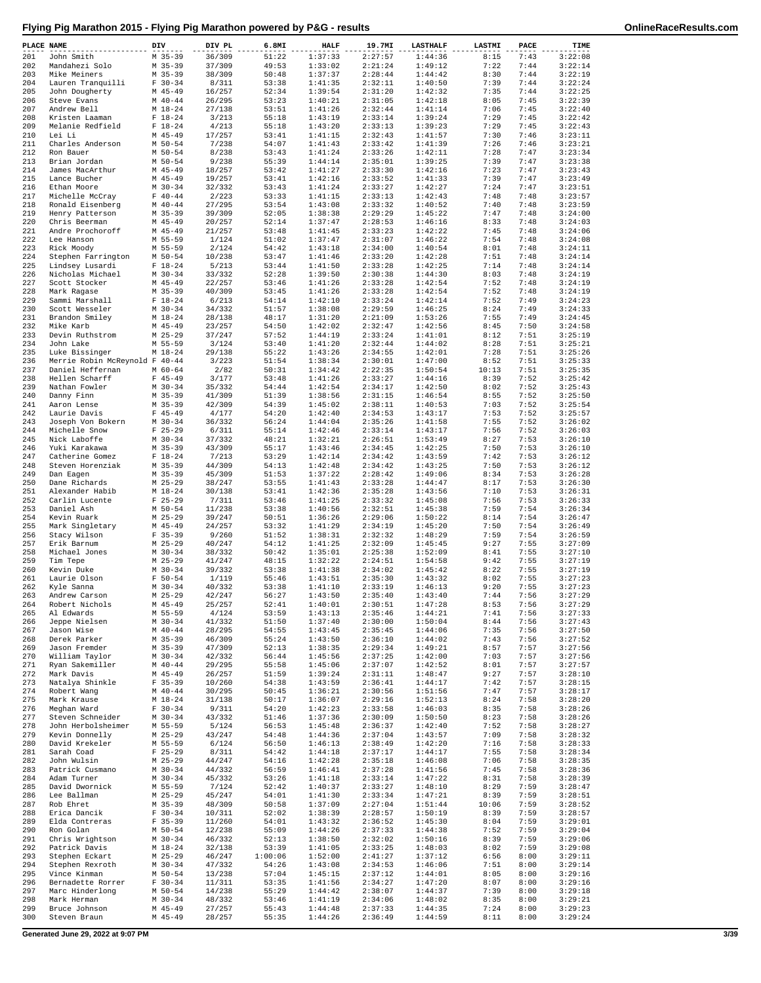| PLACE NAME |                                       | DIV                      | DIV PL           | 6.8MI          | <b>HALF</b>        | 19.7MI             | <b>LASTHALF</b>    | LASTMI        | <b>PACE</b>  | TIME               |
|------------|---------------------------------------|--------------------------|------------------|----------------|--------------------|--------------------|--------------------|---------------|--------------|--------------------|
| 201<br>202 | John Smith<br>Mandahezi Solo          | $M$ 35-39<br>$M$ 35-39   | 36/309<br>37/309 | 51:22<br>49:53 | 1:37:33<br>1:33:02 | 2:27:57<br>2:21:24 | 1:44:36<br>1:49:12 | 8:15<br>7:22  | 7:43<br>7:44 | 3:22:08<br>3:22:14 |
| 203        | Mike Meiners                          | $M$ 35-39                | 38/309           | 50:48          | 1:37:37            | 2:28:44            | 1:44:42            | 8:30          | 7:44         | 3:22:19            |
| 204        | Lauren Tranquilli                     | $F 30-34$                | 8/311            | 53:38          | 1:41:35            | 2:32:11            | 1:40:50            | 7:39          | 7:44         | 3:22:24            |
| 205        | John Dougherty                        | $M$ 45-49                | 16/257           | 52:34          | 1:39:54            | 2:31:20            | 1:42:32            | 7:35          | 7:44         | 3:22:25            |
| 206<br>207 | Steve Evans<br>Andrew Bell            | $M$ 40-44<br>$M$ 18-24   | 26/295<br>27/138 | 53:23<br>53:51 | 1:40:21<br>1:41:26 | 2:31:05<br>2:32:44 | 1:42:18<br>1:41:14 | 8:05<br>7:06  | 7:45<br>7:45 | 3:22:39<br>3:22:40 |
| 208        | Kristen Laaman                        | $F 18-24$                | 3/213            | 55:18          | 1:43:19            | 2:33:14            | 1:39:24            | 7:29          | 7:45         | 3:22:42            |
| 209        | Melanie Redfield                      | $F 18 - 24$              | 4/213            | 55:18          | 1:43:20            | 2:33:13            | 1:39:23            | 7:29          | 7:45         | 3:22:43            |
| 210<br>211 | Lei Li<br>Charles Anderson            | $M$ 45-49<br>$M$ 50-54   | 17/257<br>7/238  | 53:41<br>54:07 | 1:41:15<br>1:41:43 | 2:32:43<br>2:33:42 | 1:41:57<br>1:41:39 | 7:30<br>7:26  | 7:46<br>7:46 | 3:23:11<br>3:23:21 |
| 212        | Ron Bauer                             | $M$ 50-54                | 8/238            | 53:43          | 1:41:24            | 2:33:26            | 1:42:11            | 7:28          | 7:47         | 3:23:34            |
| 213        | Brian Jordan                          | $M$ 50-54                | 9/238            | 55:39          | 1:44:14            | 2:35:01            | 1:39:25            | 7:39          | 7:47         | 3:23:38            |
| 214        | James MacArthur                       | $M$ 45-49                | 18/257           | 53:42          | 1:41:27            | 2:33:30            | 1:42:16            | 7:23          | 7:47         | 3:23:43            |
| 215<br>216 | Lance Bucher<br>Ethan Moore           | $M$ 45-49<br>$M$ 30-34   | 19/257<br>32/332 | 53:41<br>53:43 | 1:42:16<br>1:41:24 | 2:33:52<br>2:33:27 | 1:41:33<br>1:42:27 | 7:39<br>7:24  | 7:47<br>7:47 | 3:23:49<br>3:23:51 |
| 217        | Michelle McCray                       | $F 40 - 44$              | 2/223            | 53:33          | 1:41:15            | 2:33:13            | 1:42:43            | 7:48          | 7:48         | 3:23:57            |
| 218        | Ronald Eisenberg                      | $M$ 40-44                | 27/295           | 53:54          | 1:43:08            | 2:33:32            | 1:40:52            | 7:40          | 7:48         | 3:23:59            |
| 219        | Henry Patterson                       | $M$ 35-39                | 39/309           | 52:05          | 1:38:38            | 2:29:29            | 1:45:22            | 7:47          | 7:48         | 3:24:00            |
| 220<br>221 | Chris Beerman<br>Andre Prochoroff     | $M$ 45-49<br>$M$ 45-49   | 20/257<br>21/257 | 52:14<br>53:48 | 1:37:47<br>1:41:45 | 2:28:53<br>2:33:23 | 1:46:16<br>1:42:22 | 8:33<br>7:45  | 7:48<br>7:48 | 3:24:03<br>3:24:06 |
| 222        | Lee Hanson                            | M 55-59                  | 1/124            | 51:02          | 1:37:47            | 2:31:07            | 1:46:22            | 7:54          | 7:48         | 3:24:08            |
| 223        | Rick Moody                            | M 55-59                  | 2/124            | 54:42          | 1:43:18            | 2:34:00            | 1:40:54            | 8:01          | 7:48         | 3:24:11            |
| 224<br>225 | Stephen Farrington<br>Lindsey Lusardi | M 50-54<br>$F 18-24$     | 10/238<br>5/213  | 53:47<br>53:44 | 1:41:46<br>1:41:50 | 2:33:20<br>2:33:28 | 1:42:28<br>1:42:25 | 7:51<br>7:14  | 7:48<br>7:48 | 3:24:14<br>3:24:14 |
| 226        | Nicholas Michael                      | $M$ 30-34                | 33/332           | 52:28          | 1:39:50            | 2:30:38            | 1:44:30            | 8:03          | 7:48         | 3:24:19            |
| 227        | Scott Stocker                         | $M$ 45-49                | 22/257           | 53:46          | 1:41:26            | 2:33:28            | 1:42:54            | 7:52          | 7:48         | 3:24:19            |
| 228        | Mark Ragase                           | $M$ 35-39                | 40/309           | 53:45          | 1:41:26            | 2:33:28            | 1:42:54            | 7:52          | 7:48         | 3:24:19            |
| 229<br>230 | Sammi Marshall<br>Scott Wesseler      | $F 18-24$<br>$M$ 30-34   | 6/213<br>34/332  | 54:14<br>51:57 | 1:42:10<br>1:38:08 | 2:33:24<br>2:29:59 | 1:42:14<br>1:46:25 | 7:52<br>8:24  | 7:49<br>7:49 | 3:24:23<br>3:24:33 |
| 231        | Brandon Smiley                        | $M_18-24$                | 28/138           | 48:17          | 1:31:20            | 2:21:09            | 1:53:26            | 7:55          | 7:49         | 3:24:45            |
| 232        | Mike Karb                             | $M$ 45-49                | 23/257           | 54:50          | 1:42:02            | 2:32:47            | 1:42:56            | 8:45          | 7:50         | 3:24:58            |
| 233        | Devin Ruthstrom                       | $M$ 25-29                | 37/247           | 57:52          | 1:44:19            | 2:33:24            | 1:41:01            | 8:12          | 7:51         | 3:25:19            |
| 234<br>235 | John Lake<br>Luke Bissinger           | M 55-59<br>$M_18-24$     | 3/124<br>29/138  | 53:40<br>55:22 | 1:41:20<br>1:43:26 | 2:32:44<br>2:34:55 | 1:44:02<br>1:42:01 | 8:28<br>7:28  | 7:51<br>7:51 | 3:25:21<br>3:25:26 |
| 236        | Merrie Robin McReynold F 40-44        |                          | 3/223            | 51:54          | 1:38:34            | 2:30:01            | 1:47:00            | 8:52          | 7:51         | 3:25:33            |
| 237        | Daniel Heffernan                      | $M$ 60-64                | 2/82             | 50:31          | 1:34:42            | 2:22:35            | 1:50:54            | 10:13         | 7:51         | 3:25:35            |
| 238        | Hellen Scharff                        | $F$ 45-49                | 3/177            | 53:48          | 1:41:26            | 2:33:27            | 1:44:16            | 8:39          | 7:52         | 3:25:42            |
| 239<br>240 | Nathan Fowler<br>Danny Finn           | $M$ 30-34<br>$M$ 35-39   | 35/332<br>41/309 | 54:44<br>51:39 | 1:42:54<br>1:38:56 | 2:34:17<br>2:31:15 | 1:42:50<br>1:46:54 | 8:02<br>8:55  | 7:52<br>7:52 | 3:25:43<br>3:25:50 |
| 241        | Aaron Lense                           | $M$ 35-39                | 42/309           | 54:39          | 1:45:02            | 2:38:11            | 1:40:53            | 7:03          | 7:52         | 3:25:54            |
| 242        | Laurie Davis                          | $F$ 45-49                | 4/177            | 54:20          | 1:42:40            | 2:34:53            | 1:43:17            | 7:53          | 7:52         | 3:25:57            |
| 243        | Joseph Von Bokern                     | $M$ 30-34                | 36/332           | 56:24          | 1:44:04            | 2:35:26            | 1:41:58            | 7:55          | 7:52         | 3:26:02            |
| 244<br>245 | Michelle Snow<br>Nick Laboffe         | $F$ 25-29<br>$M$ 30-34   | 6/311<br>37/332  | 55:14<br>48:21 | 1:42:46<br>1:32:21 | 2:33:14<br>2:26:51 | 1:43:17<br>1:53:49 | 7:56<br>8:27  | 7:52<br>7:53 | 3:26:03<br>3:26:10 |
| 246        | Yuki Karakawa                         | $M$ 35-39                | 43/309           | 55:17          | 1:43:46            | 2:34:45            | 1:42:25            | 7:50          | 7:53         | 3:26:10            |
| 247        | Catherine Gomez                       | $F 18-24$                | 7/213            | 53:29          | 1:42:14            | 2:34:42            | 1:43:59            | 7:42          | 7:53         | 3:26:12            |
| 248        | Steven Horenziak                      | $M$ 35-39                | 44/309           | 54:13          | 1:42:48            | 2:34:42            | 1:43:25            | 7:50          | 7:53         | 3:26:12            |
| 249<br>250 | Dan Eagen<br>Dane Richards            | $M$ 35-39<br>$M$ 25-29   | 45/309<br>38/247 | 51:53<br>53:55 | 1:37:22<br>1:41:43 | 2:28:42<br>2:33:28 | 1:49:06<br>1:44:47 | 8:34<br>8:17  | 7:53<br>7:53 | 3:26:28<br>3:26:30 |
| 251        | Alexander Habib                       | $M_18-24$                | 30/138           | 53:41          | 1:42:36            | 2:35:28            | 1:43:56            | 7:10          | 7:53         | 3:26:31            |
| 252        | Carlin Lucente                        | $F$ 25-29                | 7/311            | 53:46          | 1:41:25            | 2:33:32            | 1:45:08            | 7:56          | 7:53         | 3:26:33            |
| 253<br>254 | Daniel Ash<br>Kevin Ruark             | $M$ 50-54<br>$M$ 25-29   | 11/238<br>39/247 | 53:38<br>50:51 | 1:40:56<br>1:36:26 | 2:32:51<br>2:29:06 | 1:45:38<br>1:50:22 | 7:59<br>8:14  | 7:54<br>7:54 | 3:26:34<br>3:26:47 |
| 255        | Mark Singletary                       | $M$ 45-49                | 24/257           | 53:32          | 1:41:29            | 2:34:19            | 1:45:20            | 7:50          | 7:54         | 3:26:49            |
| 256        | Stacy Wilson                          | $F$ 35-39                | 9/260            | 51:52          | 1:38:31            | 2:32:32            | 1:48:29            | 7:59          | 7:54         | 3:26:59            |
| 257        | Erik Barnum                           | $M$ 25-29                | 40/247           | 54:12          | 1:41:25            | 2:32:09            | 1:45:45            | 9:27          | 7:55         | 3:27:09            |
| 258<br>259 | Michael Jones<br>Tim Tepe             | $M$ 30-34<br>$M$ 25-29   | 38/332<br>41/247 | 50:42<br>48:15 | 1:35:01<br>1:32:22 | 2:25:38<br>2:24:51 | 1:52:09<br>1:54:58 | 8:41<br>9:42  | 7:55<br>7:55 | 3:27:10<br>3:27:19 |
| 260        | Kevin Duke                            | $M$ 30-34                | 39/332           | 53:38          | 1:41:38            | 2:34:02            | 1:45:42            | 8:22          | 7:55         | 3:27:19            |
| 261        | Laurie Olson                          | $F 50 - 54$              | 1/119            | 55:46          | 1:43:51            | 2:35:30            | 1:43:32            | 8:02          | 7:55         | 3:27:23            |
| 262<br>263 | Kyle Sanna                            | $M$ 30-34                | 40/332<br>42/247 | 53:38<br>56:27 | 1:41:10<br>1:43:50 | 2:33:19<br>2:35:40 | 1:46:13<br>1:43:40 | 9:20<br>7:44  | 7:55<br>7:56 | 3:27:23<br>3:27:29 |
| 264        | Andrew Carson<br>Robert Nichols       | M 25-29<br>$M$ 45-49     | 25/257           | 52:41          | 1:40:01            | 2:30:51            | 1:47:28            | 8:53          | 7:56         | 3:27:29            |
| 265        | Al Edwards                            | M 55-59                  | 4/124            | 53:59          | 1:43:13            | 2:35:46            | 1:44:21            | 7:41          | 7:56         | 3:27:33            |
| 266        | Jeppe Nielsen                         | $M$ 30-34                | 41/332           | 51:50          | 1:37:40            | 2:30:00            | 1:50:04            | 8:44          | 7:56         | 3:27:43            |
| 267<br>268 | Jason Wise<br>Derek Parker            | $M$ 40-44<br>$M$ 35-39   | 28/295<br>46/309 | 54:55<br>55:24 | 1:43:45<br>1:43:50 | 2:35:45<br>2:36:10 | 1:44:06<br>1:44:02 | 7:35<br>7:43  | 7:56<br>7:56 | 3:27:50<br>3:27:52 |
| 269        | Jason Fremder                         | $M$ 35-39                | 47/309           | 52:13          | 1:38:35            | 2:29:34            | 1:49:21            | 8:57          | 7:57         | 3:27:56            |
| 270        | William Taylor                        | $M$ 30-34                | 42/332           | 56:44          | 1:45:56            | 2:37:25            | 1:42:00            | 7:03          | 7:57         | 3:27:56            |
| 271        | Ryan Sakemiller                       | $M$ 40-44                | 29/295           | 55:58          | 1:45:06            | 2:37:07            | 1:42:52            | 8:01          | 7:57         | 3:27:57            |
| 272<br>273 | Mark Davis<br>Natalya Shinkle         | $M$ 45-49<br>$F 35 - 39$ | 26/257<br>10/260 | 51:59<br>54:38 | 1:39:24<br>1:43:59 | 2:31:11<br>2:36:41 | 1:48:47<br>1:44:17 | 9:27<br>7:42  | 7:57<br>7:57 | 3:28:10<br>3:28:15 |
| 274        | Robert Wang                           | $M$ 40-44                | 30/295           | 50:45          | 1:36:21            | 2:30:56            | 1:51:56            | 7:47          | 7:57         | 3:28:17            |
| 275        | Mark Krause                           | $M_18-24$                | 31/138           | 50:17          | 1:36:07            | 2:29:16            | 1:52:13            | 8:24          | 7:58         | 3:28:20            |
| 276        | Meghan Ward<br>Steven Schneider       | $F 30-34$                | 9/311            | 54:20          | 1:42:23            | 2:33:58            | 1:46:03<br>1:50:50 | 8:35          | 7:58         | 3:28:26            |
| 277<br>278 | John Herbolsheimer                    | $M$ 30-34<br>M 55-59     | 43/332<br>5/124  | 51:46<br>56:53 | 1:37:36<br>1:45:48 | 2:30:09<br>2:36:37 | 1:42:40            | 8:23<br>7:52  | 7:58<br>7:58 | 3:28:26<br>3:28:27 |
| 279        | Kevin Donnelly                        | $M$ 25-29                | 43/247           | 54:48          | 1:44:36            | 2:37:04            | 1:43:57            | 7:09          | 7:58         | 3:28:32            |
| 280        | David Krekeler                        | M 55-59                  | 6/124            | 56:50          | 1:46:13            | 2:38:49            | 1:42:20            | 7:16          | 7:58         | 3:28:33            |
| 281        | Sarah Coad                            | $F$ 25-29                | 8/311            | 54:42          | 1:44:18            | 2:37:17            | 1:44:17            | 7:55          | 7:58         | 3:28:34            |
| 282<br>283 | John Wulsin<br>Patrick Cusmano        | $M$ 25-29<br>$M$ 30-34   | 44/247<br>44/332 | 54:16<br>56:59 | 1:42:28<br>1:46:41 | 2:35:18<br>2:37:28 | 1:46:08<br>1:41:56 | 7:06<br>7:45  | 7:58<br>7:58 | 3:28:35<br>3:28:36 |
| 284        | Adam Turner                           | $M$ 30-34                | 45/332           | 53:26          | 1:41:18            | 2:33:14            | 1:47:22            | 8:31          | 7:58         | 3:28:39            |
| 285        | David Dwornick                        | M 55-59                  | 7/124            | 52:42          | 1:40:37            | 2:33:27            | 1:48:10            | 8:29          | 7:59         | 3:28:47            |
| 286<br>287 | Lee Ballman<br>Rob Ehret              | $M$ 25-29<br>$M$ 35-39   | 45/247<br>48/309 | 54:01<br>50:58 | 1:41:30<br>1:37:09 | 2:33:34<br>2:27:04 | 1:47:21<br>1:51:44 | 8:39<br>10:06 | 7:59<br>7:59 | 3:28:51<br>3:28:52 |
| 288        | Erica Dancik                          | $F 30-34$                | 10/311           | 52:02          | 1:38:39            | 2:28:57            | 1:50:19            | 8:39          | 7:59         | 3:28:57            |
| 289        | Elda Contreras                        | $F 35 - 39$              | 11/260           | 54:01          | 1:43:32            | 2:36:52            | 1:45:30            | 8:04          | 7:59         | 3:29:01            |
| 290        | Ron Golan                             | M 50-54                  | 12/238           | 55:09          | 1:44:26            | 2:37:33            | 1:44:38            | 7:52          | 7:59         | 3:29:04            |
| 291<br>292 | Chris Wrightson<br>Patrick Davis      | $M$ 30-34<br>$M_18-24$   | 46/332<br>32/138 | 52:13<br>53:39 | 1:38:50<br>1:41:05 | 2:32:02<br>2:33:25 | 1:50:16<br>1:48:03 | 8:39<br>8:02  | 7:59<br>7:59 | 3:29:06<br>3:29:08 |
| 293        | Stephen Eckart                        | $M$ 25-29                | 46/247           | 1:00:06        | 1:52:00            | 2:41:27            | 1:37:12            | 6:56          | 8:00         | 3:29:11            |
| 294        | Stephen Rexroth                       | $M$ 30-34                | 47/332           | 54:26          | 1:43:08            | 2:34:53            | 1:46:06            | 7:51          | 8:00         | 3:29:14            |
| 295<br>296 | Vince Kinman<br>Bernadette Rorrer     | $M$ 50-54<br>$F 30-34$   | 13/238           | 57:04<br>53:35 | 1:45:15            | 2:37:12<br>2:34:27 | 1:44:01<br>1:47:20 | 8:05<br>8:07  | 8:00<br>8:00 | 3:29:16<br>3:29:16 |
| 297        | Marc Hinderlong                       | M 50-54                  | 11/311<br>14/238 | 55:29          | 1:41:56<br>1:44:42 | 2:38:07            | 1:44:37            | 7:39          | 8:00         | 3:29:18            |
| 298        | Mark Herman                           | $M$ 30-34                | 48/332           | 53:46          | 1:41:19            | 2:34:06            | 1:48:02            | 8:35          | 8:00         | 3:29:21            |
| 299        | Bruce Johnson                         | $M$ 45-49                | 27/257           | 55:43          | 1:44:48            | 2:37:33            | 1:44:35            | 7:24          | 8:00         | 3:29:23            |
| 300        | Steven Braun                          | M 45-49                  | 28/257           | 55:35          | 1:44:26            | 2:36:49            | 1:44:59            | 8:11          | 8:00         | 3:29:24            |

**Generated June 29, 2022 at 9:07 PM 3/39**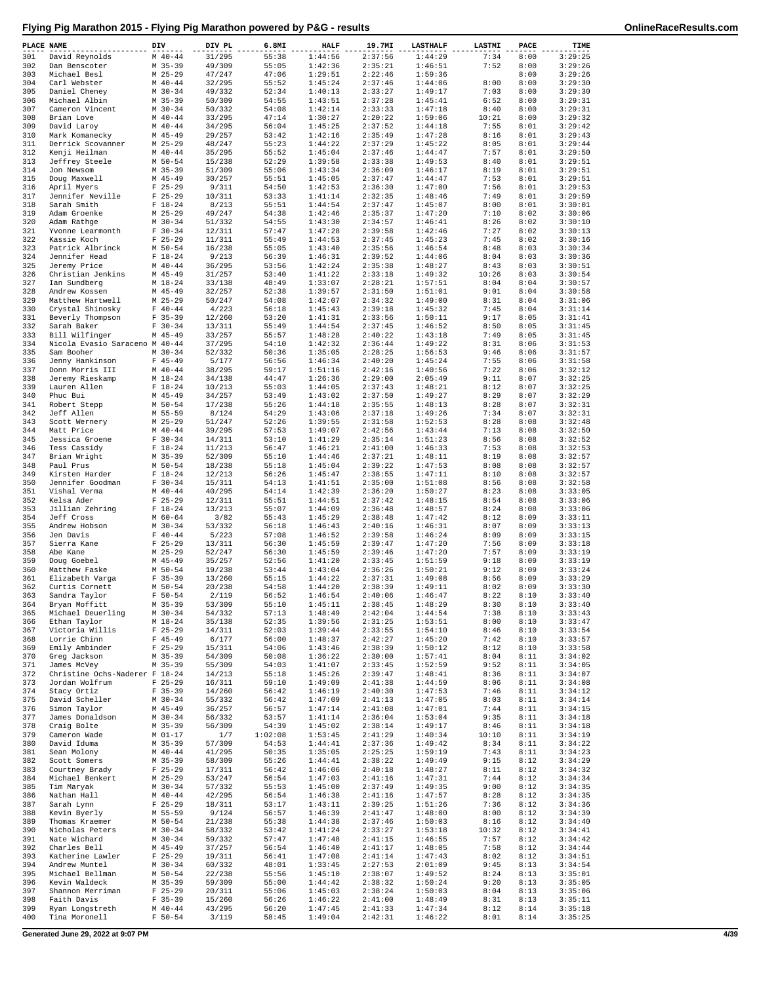| PLACE NAME |                                                  | DIV                      | DIV PL           | 6.8MI          | <b>HALF</b>        | 19.7MI             | <b>LASTHALF</b>    | LASTMI        | PACE         | TIME               |
|------------|--------------------------------------------------|--------------------------|------------------|----------------|--------------------|--------------------|--------------------|---------------|--------------|--------------------|
| 301        | David Reynolds                                   | $M$ 40-44                | 31/295           | 55:38          | 1:44:56            | 2:37:56            | 1:44:29            | 7:34          | 8:00         | 3:29:25            |
| 302<br>303 | Dan Benscoter<br>Michael Besl                    | $M$ 35-39<br>$M$ 25-29   | 49/309<br>47/247 | 55:05<br>47:06 | 1:42:36<br>1:29:51 | 2:35:21<br>2:22:46 | 1:46:51<br>1:59:36 | 7:52          | 8:00<br>8:00 | 3:29:26<br>3:29:26 |
| 304        | Carl Webster                                     | $M$ 40-44                | 32/295           | 55:52          | 1:45:24            | 2:37:46            | 1:44:06            | 8:00          | 8:00         | 3:29:30            |
| 305        | Daniel Cheney                                    | $M$ 30-34                | 49/332           | 52:34          | 1:40:13            | 2:33:27            | 1:49:17            | 7:03          | 8:00         | 3:29:30            |
| 306<br>307 | Michael Albin<br>Cameron Vincent                 | M 35-39<br>$M$ 30-34     | 50/309<br>50/332 | 54:55<br>54:08 | 1:43:51<br>1:42:14 | 2:37:28<br>2:33:33 | 1:45:41<br>1:47:18 | 6:52<br>8:40  | 8:00<br>8:00 | 3:29:31<br>3:29:31 |
| 308        | Brian Love                                       | $M$ 40-44                | 33/295           | 47:14          | 1:30:27            | 2:20:22            | 1:59:06            | 10:21         | 8:00         | 3:29:32            |
| 309        | David Laroy                                      | $M$ 40-44                | 34/295           | 56:04          | 1:45:25            | 2:37:52            | 1:44:18            | 7:55          | 8:01         | 3:29:42            |
| 310        | Mark Komanecky                                   | $M$ 45-49                | 29/257           | 53:42          | 1:42:16            | 2:35:49            | 1:47:28            | 8:16          | 8:01         | 3:29:43            |
| 311<br>312 | Derrick Scovanner<br>Kenji Heilman               | $M$ 25-29<br>$M$ 40-44   | 48/247<br>35/295 | 55:23<br>55:52 | 1:44:22<br>1:45:04 | 2:37:29<br>2:37:46 | 1:45:22<br>1:44:47 | 8:05<br>7:57  | 8:01<br>8:01 | 3:29:44<br>3:29:50 |
| 313        | Jeffrey Steele                                   | M 50-54                  | 15/238           | 52:29          | 1:39:58            | 2:33:38            | 1:49:53            | 8:40          | 8:01         | 3:29:51            |
| 314        | Jon Newsom                                       | M 35-39                  | 51/309           | 55:06          | 1:43:34            | 2:36:09            | 1:46:17            | 8:19          | 8:01         | 3:29:51            |
| 315<br>316 | Doug Maxwell<br>April Myers                      | $M$ 45-49                | 30/257           | 55:51          | 1:45:05            | 2:37:47            | 1:44:47<br>1:47:00 | 7:53<br>7:56  | 8:01<br>8:01 | 3:29:51<br>3:29:53 |
| 317        | Jennifer Neville                                 | $F$ 25-29<br>$F$ 25-29   | 9/311<br>10/311  | 54:50<br>53:33 | 1:42:53<br>1:41:14 | 2:36:30<br>2:32:35 | 1:48:46            | 7:49          | 8:01         | 3:29:59            |
| 318        | Sarah Smith                                      | $F 18-24$                | 8/213            | 55:51          | 1:44:54            | 2:37:47            | 1:45:07            | 8:00          | 8:01         | 3:30:01            |
| 319        | Adam Groenke                                     | $M$ 25-29                | 49/247           | 54:38          | 1:42:46            | 2:35:37            | 1:47:20            | 7:10          | 8:02         | 3:30:06            |
| 320<br>321 | Adam Rathge<br>Yvonne Learmonth                  | $M$ 30-34<br>$F 30-34$   | 51/332<br>12/311 | 54:55<br>57:47 | 1:43:30<br>1:47:28 | 2:34:57<br>2:39:58 | 1:46:41<br>1:42:46 | 8:26<br>7:27  | 8:02<br>8:02 | 3:30:10<br>3:30:13 |
| 322        | Kassie Koch                                      | $F$ 25-29                | 11/311           | 55:49          | 1:44:53            | 2:37:45            | 1:45:23            | 7:45          | 8:02         | 3:30:16            |
| 323        | Patrick Albrinck                                 | M 50-54                  | 16/238           | 55:05          | 1:43:40            | 2:35:56            | 1:46:54            | 8:48          | 8:03         | 3:30:34            |
| 324        | Jennifer Head                                    | $F 18-24$                | 9/213            | 56:39          | 1:46:31            | 2:39:52            | 1:44:06            | 8:04          | 8:03         | 3:30:36            |
| 325<br>326 | Jeremy Price<br>Christian Jenkins                | $M$ 40-44<br>$M$ 45-49   | 36/295<br>31/257 | 53:56<br>53:40 | 1:42:24<br>1:41:22 | 2:35:38<br>2:33:18 | 1:48:27<br>1:49:32 | 8:43<br>10:26 | 8:03<br>8:03 | 3:30:51<br>3:30:54 |
| 327        | Ian Sundberg                                     | $M_1 18 - 24$            | 33/138           | 48:49          | 1:33:07            | 2:28:21            | 1:57:51            | 8:04          | 8:04         | 3:30:57            |
| 328        | Andrew Kossen                                    | $M$ 45-49                | 32/257           | 52:38          | 1:39:57            | 2:31:50            | 1:51:01            | 9:01          | 8:04         | 3:30:58            |
| 329        | Matthew Hartwell                                 | $M$ 25-29                | 50/247           | 54:08          | 1:42:07            | 2:34:32            | 1:49:00            | 8:31          | 8:04         | 3:31:06            |
| 330<br>331 | Crystal Shinosky<br>Beverly Thompson             | $F 40 - 44$<br>$F$ 35-39 | 4/223<br>12/260  | 56:18<br>53:20 | 1:45:43<br>1:41:31 | 2:39:18<br>2:33:56 | 1:45:32<br>1:50:11 | 7:45<br>9:17  | 8:04<br>8:05 | 3:31:14<br>3:31:41 |
| 332        | Sarah Baker                                      | $F 30 - 34$              | 13/311           | 55:49          | 1:44:54            | 2:37:45            | 1:46:52            | 8:50          | 8:05         | 3:31:45            |
| 333        | Bill Wilfinger                                   | $M$ 45-49                | 33/257           | 55:57          | 1:48:28            | 2:40:22            | 1:43:18            | 7:49          | 8:05         | 3:31:45            |
| 334        | Nicola Evasio Saraceno M 40-44                   |                          | 37/295           | 54:10<br>50:36 | 1:42:32            | 2:36:44            | 1:49:22            | 8:31          | 8:06         | 3:31:53            |
| 335<br>336 | Sam Booher<br>Jenny Hankinson                    | $M$ 30-34<br>$F$ 45-49   | 52/332<br>5/177  | 56:56          | 1:35:05<br>1:46:34 | 2:28:25<br>2:40:20 | 1:56:53<br>1:45:24 | 9:46<br>7:55  | 8:06<br>8:06 | 3:31:57<br>3:31:58 |
| 337        | Donn Morris III                                  | $M$ 40-44                | 38/295           | 59:17          | 1:51:16            | 2:42:16            | 1:40:56            | 7:22          | 8:06         | 3:32:12            |
| 338        | Jeremy Rieskamp                                  | $M_18-24$                | 34/138           | 44:47          | 1:26:36            | 2:29:00            | 2:05:49            | 9:11          | 8:07         | 3:32:25            |
| 339        | Lauren Allen                                     | $F 18-24$                | 10/213           | 55:03          | 1:44:05            | 2:37:43            | 1:48:21            | 8:12          | 8:07         | 3:32:25            |
| 340<br>341 | Phuc Bui<br>Robert Stepp                         | $M$ 45-49<br>M 50-54     | 34/257<br>17/238 | 53:49<br>55:26 | 1:43:02<br>1:44:18 | 2:37:50<br>2:35:55 | 1:49:27<br>1:48:13 | 8:29<br>8:28  | 8:07<br>8:07 | 3:32:29<br>3:32:31 |
| 342        | Jeff Allen                                       | M 55-59                  | 8/124            | 54:29          | 1:43:06            | 2:37:18            | 1:49:26            | 7:34          | 8:07         | 3:32:31            |
| 343        | Scott Wernery                                    | $M$ 25-29                | 51/247           | 52:26          | 1:39:55            | 2:31:58            | 1:52:53            | 8:28          | 8:08         | 3:32:48            |
| 344<br>345 | Matt Price<br>Jessica Groene                     | $M$ 40-44<br>$F 30-34$   | 39/295<br>14/311 | 57:53<br>53:10 | 1:49:07<br>1:41:29 | 2:42:56<br>2:35:14 | 1:43:44<br>1:51:23 | 7:13<br>8:56  | 8:08<br>8:08 | 3:32:50<br>3:32:52 |
| 346        | Tess Cassidy                                     | $F 18-24$                | 11/213           | 56:47          | 1:46:21            | 2:41:00            | 1:46:33            | 7:53          | 8:08         | 3:32:53            |
| 347        | Brian Wright                                     | M 35-39                  | 52/309           | 55:10          | 1:44:46            | 2:37:21            | 1:48:11            | 8:19          | 8:08         | 3:32:57            |
| 348        | Paul Prus                                        | M 50-54                  | 18/238           | 55:18          | 1:45:04            | 2:39:22            | 1:47:53            | 8:08          | 8:08         | 3:32:57            |
| 349<br>350 | Kirsten Harder<br>Jennifer Goodman               | $F 18-24$<br>$F 30-34$   | 12/213<br>15/311 | 56:26<br>54:13 | 1:45:47<br>1:41:51 | 2:38:55<br>2:35:00 | 1:47:11<br>1:51:08 | 8:10<br>8:56  | 8:08<br>8:08 | 3:32:57<br>3:32:58 |
| 351        | Vishal Verma                                     | $M$ 40-44                | 40/295           | 54:14          | 1:42:39            | 2:36:20            | 1:50:27            | 8:23          | 8:08         | 3:33:05            |
| 352        | Kelsa Ader                                       | $F$ 25-29                | 12/311           | 55:51          | 1:44:51            | 2:37:42            | 1:48:15            | 8:54          | 8:08         | 3:33:06            |
| 353        | Jillian Zehring                                  | $F 18-24$                | 13/213           | 55:07          | 1:44:09            | 2:36:48            | 1:48:57            | 8:24          | 8:08         | 3:33:06            |
| 354<br>355 | Jeff Cross<br>Andrew Hobson                      | $M$ 60-64<br>$M$ 30-34   | 3/82<br>53/332   | 55:43<br>56:18 | 1:45:29<br>1:46:43 | 2:38:48<br>2:40:16 | 1:47:42<br>1:46:31 | 8:12<br>8:07  | 8:09<br>8:09 | 3:33:11<br>3:33:13 |
| 356        | Jen Davis                                        | $F 40 - 44$              | 5/223            | 57:08          | 1:46:52            | 2:39:58            | 1:46:24            | 8:09          | 8:09         | 3:33:15            |
| 357        | Sierra Kane                                      | $F$ 25-29                | 13/311           | 56:30          | 1:45:59            | 2:39:47            | 1:47:20            | 7:56          | 8:09         | 3:33:18            |
| 358        | Abe Kane                                         | $M$ 25-29                | 52/247           | 56:30          | 1:45:59            | 2:39:46            | 1:47:20            | 7:57          | 8:09         | 3:33:19            |
| 359<br>360 | Doug Goebel<br>Matthew Faske                     | M 45-49<br>$M$ 50-54     | 35/257<br>19/238 | 52:56<br>53:44 | 1:41:20<br>1:43:04 | 2:33:45<br>2:36:26 | 1:51:59<br>1:50:21 | 9:18<br>9:12  | 8:09<br>8:09 | 3:33:19<br>3:33:24 |
| 361        | Elizabeth Varga                                  | $F$ 35-39                | 13/260           | 55:15          | 1:44:22            | 2:37:31            | 1:49:08            | 8:56          | 8:09         | 3:33:29            |
| 362        | Curtis Cornett                                   | $M$ 50-54                | 20/238           | 54:58          | 1:44:20            | 2:38:39            | 1:49:11            | 8:02          | 8:09         | 3:33:30            |
| 363<br>364 | Sandra Taylor<br>Bryan Moffitt                   | $F 50 - 54$<br>M 35-39   | 2/119<br>53/309  | 56:52<br>55:10 | 1:46:54<br>1:45:11 | 2:40:06<br>2:38:45 | 1:46:47<br>1:48:29 | 8:22<br>8:30  | 8:10<br>8:10 | 3:33:40<br>3:33:40 |
| 365        | Michael Deuerling                                | $M$ 30-34                | 54/332           | 57:13          | 1:48:49            | 2:42:04            | 1:44:54            | 7:38          | 8:10         | 3:33:43            |
| 366        | Ethan Taylor                                     | $M_18-24$                | 35/138           | 52:35          | 1:39:56            | 2:31:25            | 1:53:51            | 8:00          | 8:10         | 3:33:47            |
| 367        | Victoria Willis                                  | $F$ 25-29                | 14/311           | 52:03          | 1:39:44            | 2:33:55            | 1:54:10            | 8:46          | 8:10         | 3:33:54            |
| 368<br>369 | Lorrie Chinn<br>Emily Ambinder                   | $F$ 45-49<br>$F$ 25-29   | 6/177<br>15/311  | 56:00<br>54:06 | 1:48:37<br>1:43:46 | 2:42:27<br>2:38:39 | 1:45:20<br>1:50:12 | 7:42<br>8:12  | 8:10<br>8:10 | 3:33:57<br>3:33:58 |
| 370        | Greg Jackson                                     | $M$ 35-39                | 54/309           | 50:08          | 1:36:22            | 2:30:00            | 1:57:41            | 8:04          | 8:11         | 3:34:02            |
| 371        | James McVey                                      | $M$ 35-39                | 55/309           | 54:03          | 1:41:07            | 2:33:45            | 1:52:59            | 9:52          | 8:11         | 3:34:05            |
| 372<br>373 | Christine Ochs-Naderer F 18-24<br>Jordan Wolfrum | $F$ 25-29                | 14/213<br>16/311 | 55:18<br>59:10 | 1:45:26<br>1:49:09 | 2:39:47<br>2:41:38 | 1:48:41<br>1:44:59 | 8:36<br>8:06  | 8:11<br>8:11 | 3:34:07<br>3:34:08 |
| 374        | Stacy Ortiz                                      | $F 35 - 39$              | 14/260           | 56:42          | 1:46:19            | 2:40:30            | 1:47:53            | 7:46          | 8:11         | 3:34:12            |
| 375        | David Scheller                                   | $M$ 30-34                | 55/332           | 56:42          | 1:47:09            | 2:41:13            | 1:47:05            | 8:03          | 8:11         | 3:34:14            |
| 376        | Simon Taylor                                     | $M$ 45-49                | 36/257           | 56:57          | 1:47:14            | 2:41:08            | 1:47:01            | 7:44          | 8:11         | 3:34:15            |
| 377<br>378 | James Donaldson<br>Craig Bolte                   | $M$ 30-34<br>$M$ 35-39   | 56/332           | 53:57<br>54:39 | 1:41:14<br>1:45:02 | 2:36:04<br>2:38:14 | 1:53:04<br>1:49:17 | 9:35<br>8:46  | 8:11<br>8:11 | 3:34:18<br>3:34:18 |
| 379        | Cameron Wade                                     | $M$ 01-17                | 56/309<br>1/7    | 1:02:08        | 1:53:45            | 2:41:29            | 1:40:34            | 10:10         | 8:11         | 3:34:19            |
| 380        | David Iduma                                      | $M$ 35-39                | 57/309           | 54:53          | 1:44:41            | 2:37:36            | 1:49:42            | 8:34          | 8:11         | 3:34:22            |
| 381        | Sean Molony                                      | $M$ 40-44                | 41/295           | 50:35          | 1:35:05            | 2:25:25            | 1:59:19            | 7:43          | 8:11         | 3:34:23            |
| 382<br>383 | Scott Somers<br>Courtney Brady                   | $M$ 35-39<br>$F$ 25-29   | 58/309<br>17/311 | 55:26<br>56:42 | 1:44:41<br>1:46:06 | 2:38:22<br>2:40:18 | 1:49:49<br>1:48:27 | 9:15<br>8:11  | 8:12<br>8:12 | 3:34:29<br>3:34:32 |
| 384        | Michael Benkert                                  | $M$ 25-29                | 53/247           | 56:54          | 1:47:03            | 2:41:16            | 1:47:31            | 7:44          | 8:12         | 3:34:34            |
| 385        | Tim Maryak                                       | $M$ 30-34                | 57/332           | 55:53          | 1:45:00            | 2:37:49            | 1:49:35            | 9:00          | 8:12         | 3:34:35            |
| 386        | Nathan Hall                                      | $M$ 40-44                | 42/295           | 56:54          | 1:46:38            | 2:41:16            | 1:47:57            | 8:28          | 8:12         | 3:34:35            |
| 387<br>388 | Sarah Lynn<br>Kevin Byerly                       | $F$ 25-29<br>M 55-59     | 18/311<br>9/124  | 53:17<br>56:57 | 1:43:11<br>1:46:39 | 2:39:25<br>2:41:47 | 1:51:26<br>1:48:00 | 7:36<br>8:00  | 8:12<br>8:12 | 3:34:36<br>3:34:39 |
| 389        | Thomas Kraemer                                   | $M$ 50-54                | 21/238           | 55:38          | 1:44:38            | 2:37:46            | 1:50:03            | 8:16          | 8:12         | 3:34:40            |
| 390        | Nicholas Peters                                  | $M$ 30-34                | 58/332           | 53:42          | 1:41:24            | 2:33:27            | 1:53:18            | 10:32         | 8:12         | 3:34:41            |
| 391        | Nate Wichard                                     | $M$ 30-34                | 59/332           | 57:47          | 1:47:48            | 2:41:15            | 1:46:55            | 7:57          | 8:12         | 3:34:42<br>3:34:44 |
| 392<br>393 | Charles Bell<br>Katherine Lawler                 | $M$ 45-49<br>$F$ 25-29   | 37/257<br>19/311 | 56:54<br>56:41 | 1:46:40<br>1:47:08 | 2:41:17<br>2:41:14 | 1:48:05<br>1:47:43 | 7:58<br>8:02  | 8:12<br>8:12 | 3:34:51            |
| 394        | Andrew Muntel                                    | $M$ 30-34                | 60/332           | 48:01          | 1:33:45            | 2:27:53            | 2:01:09            | 9:45          | 8:13         | 3:34:54            |
| 395        | Michael Bellman                                  | $M$ 50-54                | 22/238           | 55:56          | 1:45:10            | 2:38:07            | 1:49:52            | 8:24          | 8:13         | 3:35:01            |
| 396<br>397 | Kevin Waldeck<br>Shannon Merriman                | $M$ 35-39<br>$F$ 25-29   | 59/309           | 55:00<br>55:06 | 1:44:42            | 2:38:32<br>2:38:24 | 1:50:24            | 9:20<br>8:04  | 8:13<br>8:13 | 3:35:05<br>3:35:06 |
| 398        | Faith Davis                                      | $F 35 - 39$              | 20/311<br>15/260 | 56:26          | 1:45:03<br>1:46:22 | 2:41:00            | 1:50:03<br>1:48:49 | 8:31          | 8:13         | 3:35:11            |
| 399        | Ryan Longstreth                                  | $M$ 40-44                | 43/295           | 56:20          | 1:47:45            | 2:41:33            | 1:47:34            | 8:12          | 8:14         | 3:35:18            |
| 400        | Tina Moronell                                    | $F 50 - 54$              | 3/119            | 58:45          | 1:49:04            | 2:42:31            | 1:46:22            | 8:01          | 8:14         | 3:35:25            |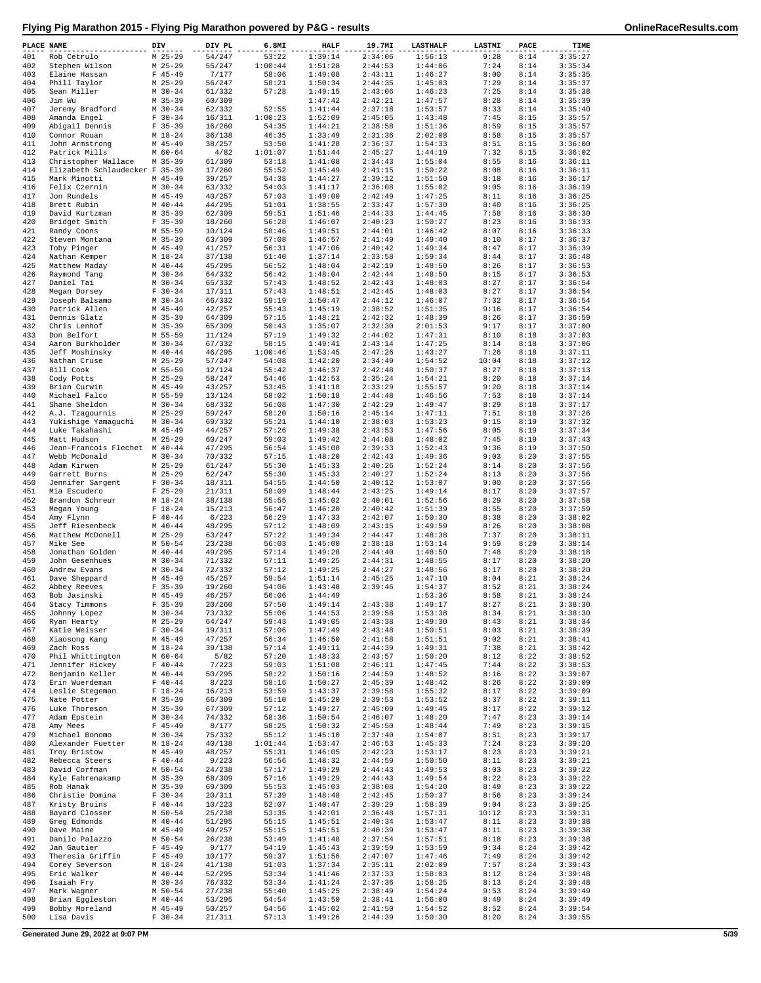| PLACE NAME |                                       | DIV                      | DIV PL           | 6.8MI          | <b>HALF</b>        | 19.7MI             | <b>LASTHALF</b>    | LASTMI        | PACE         | TIME               |
|------------|---------------------------------------|--------------------------|------------------|----------------|--------------------|--------------------|--------------------|---------------|--------------|--------------------|
| 401        | Rob Cetrulo                           | $M$ 25-29                | 54/247           | 53:22          | 1:39:14            | 2:34:06            | 1:56:13            | 9:28          | 8:14         | 3:35:27            |
| 402        | Stephen Wilson                        | $M$ 25-29                | 55/247           | 1:00:44        | 1:51:28            | 2:44:53            | 1:44:06            | 7:24          | 8:14         | 3:35:34            |
| 403<br>404 | Elaine Hassan<br>Phill Taylor         | $F$ 45-49<br>$M$ 25-29   | 7/177<br>56/247  | 58:06<br>58:21 | 1:49:08<br>1:50:34 | 2:43:11<br>2:44:35 | 1:46:27<br>1:45:03 | 8:00<br>7:29  | 8:14<br>8:14 | 3:35:35<br>3:35:37 |
| 405        | Sean Miller                           | $M$ 30-34                | 61/332           | 57:28          | 1:49:15            | 2:43:06            | 1:46:23            | 7:25          | 8:14         | 3:35:38            |
| 406        | Jim Wu                                | $M$ 35-39                | 60/309           |                | 1:47:42            | 2:42:21            | 1:47:57            | 8:28          | 8:14         | 3:35:39            |
| 407        | Jeremy Bradford                       | $M$ 30-34                | 62/332           | 52:55          | 1:41:44            | 2:37:18            | 1:53:57            | 8:33          | 8:14         | 3:35:40            |
| 408        | Amanda Engel                          | $F 30-34$                | 16/311           | 1:00:23        | 1:52:09            | 2:45:05            | 1:43:48            | 7:45          | 8:15         | 3:35:57            |
| 409<br>410 | Abigail Dennis<br>Connor Rouan        | $F$ 35-39<br>$M_18-24$   | 16/260<br>36/138 | 54:35<br>46:35 | 1:44:21<br>1:33:49 | 2:38:58<br>2:31:36 | 1:51:36<br>2:02:08 | 8:59<br>8:58  | 8:15<br>8:15 | 3:35:57<br>3:35:57 |
| 411        | John Armstrong                        | $M$ 45-49                | 38/257           | 53:50          | 1:41:28            | 2:36:37            | 1:54:33            | 8:51          | 8:15         | 3:36:00            |
| 412        | Patrick Mills                         | $M$ 60-64                | 4/82             | 1:01:07        | 1:51:44            | 2:45:27            | 1:44:19            | 7:32          | 8:15         | 3:36:02            |
| 413        | Christopher Wallace                   | $M$ 35-39                | 61/309           | 53:18          | 1:41:08            | 2:34:43            | 1:55:04            | 8:55          | 8:16         | 3:36:11            |
| 414        | Elizabeth Schlaudecker F 35-39        |                          | 17/260           | 55:52          | 1:45:49            | 2:41:15            | 1:50:22            | 8:08          | 8:16         | 3:36:11            |
| 415<br>416 | Mark Minotti<br>Felix Czernin         | $M$ 45-49                | 39/257           | 54:38          | 1:44:27            | 2:39:12            | 1:51:50            | 8:18          | 8:16         | 3:36:17<br>3:36:19 |
| 417        | Jon Rundels                           | $M$ 30-34<br>$M$ 45-49   | 63/332<br>40/257 | 54:03<br>57:03 | 1:41:17<br>1:49:00 | 2:36:08<br>2:42:49 | 1:55:02<br>1:47:25 | 9:05<br>8:11  | 8:16<br>8:16 | 3:36:25            |
| 418        | Brett Rubin                           | $M$ 40-44                | 44/295           | 51:01          | 1:38:55            | 2:33:47            | 1:57:30            | 8:40          | 8:16         | 3:36:25            |
| 419        | David Kurtzman                        | $M$ 35-39                | 62/309           | 59:51          | 1:51:46            | 2:44:33            | 1:44:45            | 7:58          | 8:16         | 3:36:30            |
| 420        | Bridget Smith                         | $F$ 35-39                | 18/260           | 56:28          | 1:46:07            | 2:40:23            | 1:50:27            | 8:23          | 8:16         | 3:36:33            |
| 421        | Randy Coons                           | M 55-59                  | 10/124           | 58:46          | 1:49:51            | 2:44:01            | 1:46:42            | 8:07          | 8:16         | 3:36:33            |
| 422<br>423 | Steven Montana<br>Toby Pinger         | $M$ 35-39<br>$M$ 45-49   | 63/309<br>41/257 | 57:08<br>56:31 | 1:46:57<br>1:47:06 | 2:41:49<br>2:40:42 | 1:49:40<br>1:49:34 | 8:10<br>8:47  | 8:17<br>8:17 | 3:36:37<br>3:36:39 |
| 424        | Nathan Kemper                         | $M_18-24$                | 37/138           | 51:40          | 1:37:14            | 2:33:58            | 1:59:34            | 8:44          | 8:17         | 3:36:48            |
| 425        | Matthew Maday                         | $M$ 40-44                | 45/295           | 56:52          | 1:48:04            | 2:42:19            | 1:48:50            | 8:26          | 8:17         | 3:36:53            |
| 426        | Raymond Tang                          | $M$ 30-34                | 64/332           | 56:42          | 1:48:04            | 2:42:44            | 1:48:50            | 8:15          | 8:17         | 3:36:53            |
| 427        | Daniel Tai                            | $M$ 30-34                | 65/332           | 57:43          | 1:48:52            | 2:42:43            | 1:48:03            | 8:27          | 8:17         | 3:36:54            |
| 428        | Megan Dorsey                          | $F 30-34$                | 17/311           | 57:43          | 1:48:51            | 2:42:45<br>2:44:12 | 1:48:03            | 8:27          | 8:17         | 3:36:54<br>3:36:54 |
| 429<br>430 | Joseph Balsamo<br>Patrick Allen       | $M$ 30-34<br>$M$ 45-49   | 66/332<br>42/257 | 59:19<br>55:43 | 1:50:47<br>1:45:19 | 2:38:52            | 1:46:07<br>1:51:35 | 7:32<br>9:16  | 8:17<br>8:17 | 3:36:54            |
| 431        | Dennis Glatz                          | $M$ 35-39                | 64/309           | 57:15          | 1:48:21            | 2:42:32            | 1:48:39            | 8:26          | 8:17         | 3:36:59            |
| 432        | Chris Lenhof                          | $M$ 35-39                | 65/309           | 50:43          | 1:35:07            | 2:32:30            | 2:01:53            | 9:17          | 8:17         | 3:37:00            |
| 433        | Don Belfort                           | M 55-59                  | 11/124           | 57:19          | 1:49:32            | 2:44:02            | 1:47:31            | 8:10          | 8:18         | 3:37:03            |
| 434        | Aaron Burkholder                      | $M$ 30-34                | 67/332           | 58:15          | 1:49:41            | 2:43:14            | 1:47:25            | 8:14          | 8:18         | 3:37:06            |
| 435        | Jeff Moshinsky                        | $M$ 40-44                | 46/295           | 1:00:46        | 1:53:45            | 2:47:26            | 1:43:27            | 7:26          | 8:18         | 3:37:11            |
| 436<br>437 | Nathan Cruse<br>Bill Cook             | $M$ 25-29<br>M 55-59     | 57/247<br>12/124 | 54:08<br>55:42 | 1:42:20<br>1:46:37 | 2:34:49<br>2:42:48 | 1:54:52<br>1:50:37 | 10:04<br>8:27 | 8:18<br>8:18 | 3:37:12<br>3:37:13 |
| 438        | Cody Potts                            | $M$ 25-29                | 58/247           | 54:46          | 1:42:53            | 2:35:24            | 1:54:21            | 8:20          | 8:18         | 3:37:14            |
| 439        | Brian Curwin                          | $M$ 45-49                | 43/257           | 53:45          | 1:41:18            | 2:33:29            | 1:55:57            | 9:20          | 8:18         | 3:37:14            |
| 440        | Michael Falco                         | M 55-59                  | 13/124           | 58:02          | 1:50:18            | 2:44:48            | 1:46:56            | 7:53          | 8:18         | 3:37:14            |
| 441        | Shane Sheldon                         | $M$ 30-34                | 68/332           | 56:08          | 1:47:30            | 2:42:29            | 1:49:47            | 8:29          | 8:18         | 3:37:17            |
| 442        | A.J. Tzagournis                       | $M$ 25-29                | 59/247           | 58:20          | 1:50:16            | 2:45:14            | 1:47:11            | 7:51          | 8:18         | 3:37:26            |
| 443<br>444 | Yukishige Yamaguchi<br>Luke Takahashi | $M$ 30-34<br>$M$ 45-49   | 69/332<br>44/257 | 55:21<br>57:26 | 1:44:10<br>1:49:38 | 2:38:03<br>2:43:53 | 1:53:23<br>1:47:56 | 9:15<br>8:05  | 8:19<br>8:19 | 3:37:32<br>3:37:34 |
| 445        | Matt Hudson                           | $M$ 25-29                | 60/247           | 59:03          | 1:49:42            | 2:44:08            | 1:48:02            | 7:45          | 8:19         | 3:37:43            |
| 446        | Jean-Francois Flechet M 40-44         |                          | 47/295           | 56:54          | 1:45:08            | 2:39:33            | 1:52:43            | 9:36          | 8:19         | 3:37:50            |
| 447        | Webb McDonald                         | $M$ 30-34                | 70/332           | 57:15          | 1:48:20            | 2:42:43            | 1:49:36            | 9:03          | 8:20         | 3:37:55            |
| 448        | Adam Kirwen                           | $M$ 25-29                | 61/247           | 55:30          | 1:45:33            | 2:40:26            | 1:52:24            | 8:14          | 8:20         | 3:37:56            |
| 449        | Garrett Burns                         | $M$ 25-29<br>$F 30 - 34$ | 62/247           | 55:30          | 1:45:33            | 2:40:27            | 1:52:24            | 8:13          | 8:20         | 3:37:56            |
| 450<br>451 | Jennifer Sargent<br>Mia Escudero      | $F$ 25-29                | 18/311<br>21/311 | 54:55<br>58:09 | 1:44:50<br>1:48:44 | 2:40:12<br>2:43:25 | 1:53:07<br>1:49:14 | 9:00<br>8:17  | 8:20<br>8:20 | 3:37:56<br>3:37:57 |
| 452        | Brandon Schreur                       | $M_18-24$                | 38/138           | 55:55          | 1:45:02            | 2:40:01            | 1:52:56            | 8:29          | 8:20         | 3:37:58            |
| 453        | Megan Young                           | $F 18 - 24$              | 15/213           | 56:47          | 1:46:20            | 2:40:42            | 1:51:39            | 8:55          | 8:20         | 3:37:59            |
| 454        | Amy Flynn                             | $F 40 - 44$              | 6/223            | 56:29          | 1:47:33            | 2:42:07            | 1:50:30            | 8:38          | 8:20         | 3:38:02            |
| 455        | Jeff Riesenbeck                       | $M$ 40-44                | 48/295           | 57:12          | 1:48:09            | 2:43:15            | 1:49:59            | 8:26          | 8:20         | 3:38:08            |
| 456<br>457 | Matthew McDonell<br>Mike See          | $M$ 25-29<br>M 50-54     | 63/247<br>23/238 | 57:22<br>56:03 | 1:49:34<br>1:45:00 | 2:44:47<br>2:38:18 | 1:48:38<br>1:53:14 | 7:37<br>9:59  | 8:20<br>8:20 | 3:38:11<br>3:38:14 |
| 458        | Jonathan Golden                       | $M$ 40-44                | 49/295           | 57:14          | 1:49:28            | 2:44:40            | 1:48:50            | 7:48          | 8:20         | 3:38:18            |
| 459        | John Gesenhues                        | $M$ 30-34                | 71/332           | 57:11          | 1:49:25            | 2:44:31            | 1:48:55            | 8:17          | 8:20         | 3:38:20            |
| 460        | Andrew Evans                          | $M$ 30-34                | 72/332           | 57:12          | 1:49:25            | 2:44:27            | 1:48:56            | 8:17          | 8:20         | 3:38:20            |
| 461        | Dave Sheppard                         | $M$ 45-49                | 45/257           | 59:54          | 1:51:14            | 2:45:25            | 1:47:10            | 8:04          | 8:21         | 3:38:24            |
| 462<br>463 | Abbey Reeves<br>Bob Jasinski          | $F$ 35-39<br>M 45-49     | 19/260<br>46/257 | 54:06<br>56:06 | 1:43:48<br>1:44:49 | 2:39:46            | 1:54:37<br>1:53:36 | 8:52<br>8:58  | 8:21<br>8:21 | 3:38:24<br>3:38:24 |
| 464        | Stacy Timmons                         | $F$ 35-39                | 20/260           | 57:50          | 1:49:14            | 2:43:38            | 1:49:17            | 8:27          | 8:21         | 3:38:30            |
| 465        | Johnny Lopez                          | $M$ 30-34                | 73/332           | 55:06          | 1:44:53            | 2:39:58            | 1:53:38            | 8:34          | 8:21         | 3:38:30            |
| 466        | Ryan Hearty                           | $M$ 25-29                | 64/247           | 59:43          | 1:49:05            | 2:43:38            | 1:49:30            | 8:43          | 8:21         | 3:38:34            |
| 467        | Katie Weisser                         | $F 30-34$                | 19/311           | 57:06          | 1:47:49            | 2:43:48            | 1:50:51            | 8:03          | 8:21         | 3:38:39            |
| 468        | Xiaosong Kang                         | $M$ 45-49                | 47/257           | 56:34          | 1:46:50<br>1:49:11 | 2:41:58<br>2:44:39 | 1:51:51<br>1:49:31 | 9:02          | 8:21         | 3:38:41<br>3:38:42 |
| 469<br>470 | Zach Ross<br>Phil Whittington         | $M_18-24$<br>$M$ 60-64   | 39/138<br>5/82   | 57:14<br>57:20 | 1:48:33            | 2:43:57            | 1:50:20            | 7:38<br>8:12  | 8:21<br>8:22 | 3:38:52            |
| 471        | Jennifer Hickey                       | $F 40 - 44$              | 7/223            | 59:03          | 1:51:08            | 2:46:11            | 1:47:45            | 7:44          | 8:22         | 3:38:53            |
| 472        | Benjamin Keller                       | $M$ 40-44                | 50/295           | 58:22          | 1:50:16            | 2:44:59            | 1:48:52            | 8:16          | 8:22         | 3:39:07            |
| 473        | Erin Wuerdeman                        | $F 40 - 44$              | 8/223            | 58:16          | 1:50:27            | 2:45:39            | 1:48:42            | 8:26          | 8:22         | 3:39:09            |
| 474        | Leslie Stegeman                       | $F 18 - 24$              | 16/213           | 53:59          | 1:43:37            | 2:39:58            | 1:55:32            | 8:17          | 8:22         | 3:39:09            |
| 475<br>476 | Nate Potter<br>Luke Thoreson          | M 35-39<br>$M$ 35-39     | 66/309<br>67/309 | 55:10<br>57:12 | 1:45:20<br>1:49:27 | 2:39:53<br>2:45:09 | 1:53:52<br>1:49:45 | 8:37<br>8:17  | 8:22<br>8:22 | 3:39:11<br>3:39:12 |
| 477        | Adam Epstein                          | $M$ 30-34                | 74/332           | 58:36          | 1:50:54            | 2:46:07            | 1:48:20            | 7:47          | 8:23         | 3:39:14            |
| 478        | Amy Mees                              | $F$ 45-49                | 8/177            | 58:25          | 1:50:32            | 2:45:50            | 1:48:44            | 7:49          | 8:23         | 3:39:15            |
| 479        | Michael Bonomo                        | $M$ 30-34                | 75/332           | 55:12          | 1:45:10            | 2:37:40            | 1:54:07            | 8:51          | 8:23         | 3:39:17            |
| 480        | Alexander Fuetter                     | $M_18-24$                | 40/138           | 1:01:44        | 1:53:47            | 2:46:53            | 1:45:33            | 7:24          | 8:23         | 3:39:20            |
| 481        | Troy Bristow                          | $M$ 45-49                | 48/257           | 55:31          | 1:46:05            | 2:42:23            | 1:53:17            | 8:23          | 8:23         | 3:39:21            |
| 482<br>483 | Rebecca Steers<br>David Corfman       | $F 40 - 44$<br>$M$ 50-54 | 9/223<br>24/238  | 56:56<br>57:17 | 1:48:32<br>1:49:29 | 2:44:59<br>2:44:43 | 1:50:50<br>1:49:53 | 8:11<br>8:03  | 8:23<br>8:23 | 3:39:21<br>3:39:22 |
| 484        | Kyle Fahrenakamp                      | $M$ 35-39                | 68/309           | 57:16          | 1:49:29            | 2:44:43            | 1:49:54            | 8:22          | 8:23         | 3:39:22            |
| 485        | Rob Hanak                             | $M$ 35-39                | 69/309           | 55:53          | 1:45:03            | 2:38:08            | 1:54:20            | 8:49          | 8:23         | 3:39:22            |
| 486        | Christie Domina                       | $F 30 - 34$              | 20/311           | 57:39          | 1:48:48            | 2:42:45            | 1:50:37            | 8:56          | 8:23         | 3:39:24            |
| 487        | Kristy Bruins                         | $F 40 - 44$              | 10/223           | 52:07          | 1:40:47            | 2:39:29            | 1:58:39            | 9:04          | 8:23         | 3:39:25            |
| 488<br>489 | Bayard Closser<br>Greg Edmonds        | $M$ 50-54<br>$M$ 40-44   | 25/238<br>51/295 | 53:35<br>55:15 | 1:42:01<br>1:45:51 | 2:36:48<br>2:40:34 | 1:57:31<br>1:53:47 | 10:12<br>8:11 | 8:23<br>8:23 | 3:39:31<br>3:39:38 |
| 490        | Dave Maine                            | $M$ 45-49                | 49/257           | 55:15          | 1:45:51            | 2:40:39            | 1:53:47            | 8:11          | 8:23         | 3:39:38            |
| 491        | Danilo Palazzo                        | $M$ 50-54                | 26/238           | 53:49          | 1:41:48            | 2:37:54            | 1:57:51            | 8:18          | 8:23         | 3:39:38            |
| 492        | Jan Gautier                           | $F$ 45-49                | 9/177            | 54:19          | 1:45:43            | 2:39:59            | 1:53:59            | 9:34          | 8:24         | 3:39:42            |
| 493        | Theresia Griffin                      | $F$ 45-49                | 10/177           | 59:37          | 1:51:56            | 2:47:07            | 1:47:46            | 7:49          | 8:24         | 3:39:42            |
| 494<br>495 | Corey Severson<br>Eric Walker         | $M_18-24$<br>$M$ 40-44   | 41/138<br>52/295 | 51:03<br>53:34 | 1:37:34<br>1:41:46 | 2:35:11<br>2:37:33 | 2:02:09<br>1:58:03 | 7:57<br>8:12  | 8:24<br>8:24 | 3:39:43<br>3:39:48 |
| 496        | Isaiah Fry                            | $M$ 30-34                | 76/332           | 53:34          | 1:41:24            | 2:37:36            | 1:58:25            | 8:13          | 8:24         | 3:39:48            |
| 497        | Mark Wagner                           | $M$ 50-54                | 27/238           | 55:40          | 1:45:25            | 2:38:49            | 1:54:24            | 9:53          | 8:24         | 3:39:49            |
| 498        | Brian Eggleston                       | $M$ 40-44                | 53/295           | 54:54          | 1:43:50            | 2:38:41            | 1:56:00            | 8:49          | 8:24         | 3:39:49            |
| 499        | Bobby Moreland                        | M 45-49                  | 50/257           | 54:56          | 1:45:02            | 2:41:50            | 1:54:52            | 8:52          | 8:24         | 3:39:54            |
| 500        | Lisa Davis                            | $F 30-34$                | 21/311           | 57:13          | 1:49:26            | 2:44:39            | 1:50:30            | 8:20          | 8:24         | 3:39:55            |

**Generated June 29, 2022 at 9:07 PM 5/39**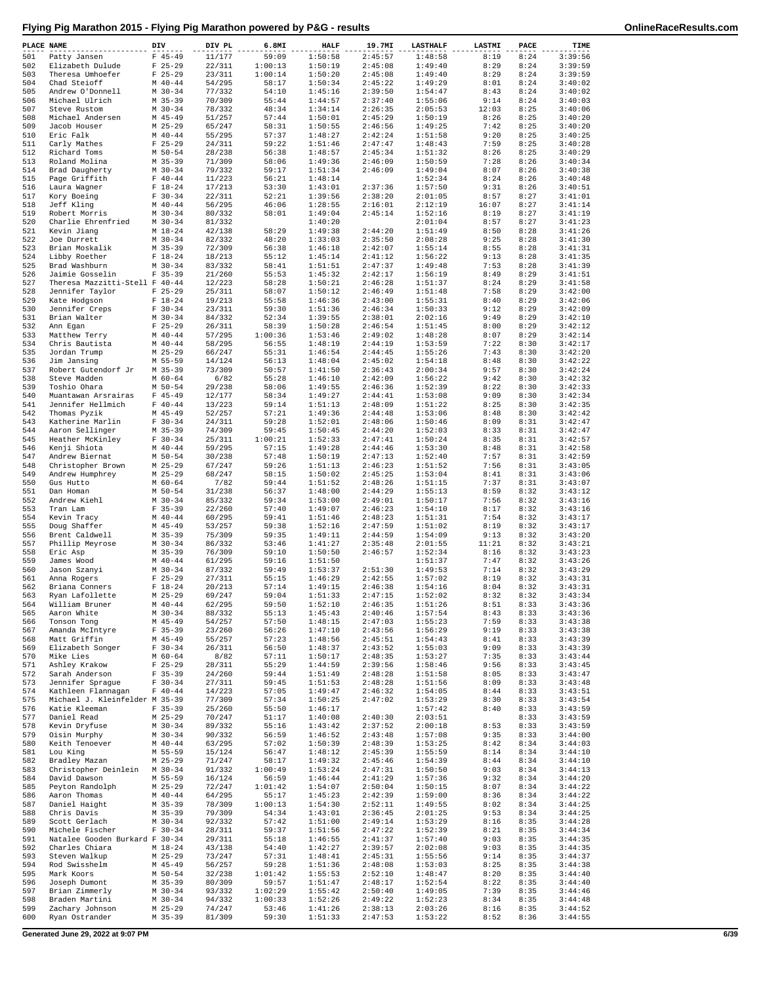| PLACE NAME |                                                      | DIV                      | DIV PL           | 6.8MI            | <b>HALF</b>        | 19.7MI             | <b>LASTHALF</b>    | LASTMI        | PACE         | TIME               |
|------------|------------------------------------------------------|--------------------------|------------------|------------------|--------------------|--------------------|--------------------|---------------|--------------|--------------------|
| 501        | Patty Jansen                                         | $F$ 45-49                | 11/177           | 59:09            | 1:50:58            | 2:45:57            | 1:48:58            | 8:19          | 8:24         | 3:39:56            |
| 502        | Elizabeth Dulude                                     | $F$ 25-29                | 22/311           | 1:00:13          | 1:50:19            | 2:45:08            | 1:49:40            | 8:29          | 8:24         | 3:39:59            |
| 503        | Theresa Umhoefer                                     | $F$ 25-29                | 23/311           | 1:00:14          | 1:50:20            | 2:45:08            | 1:49:40            | 8:29          | 8:24         | 3:39:59            |
| 504        | Chad Steioff                                         | $M$ 40-44                | 54/295           | 58:17            | 1:50:34            | 2:45:22            | 1:49:29            | 8:01          | 8:24         | 3:40:02            |
| 505<br>506 | Andrew O'Donnell                                     | $M$ 30-34<br>M 35-39     | 77/332           | 54:10<br>55:44   | 1:45:16<br>1:44:57 | 2:39:50<br>2:37:40 | 1:54:47<br>1:55:06 | 8:43<br>9:14  | 8:24<br>8:24 | 3:40:02<br>3:40:03 |
| 507        | Michael Ulrich<br>Steve Rustom                       | $M$ 30-34                | 70/309<br>78/332 | 48:34            | 1:34:14            | 2:26:35            | 2:05:53            | 12:03         | 8:25         | 3:40:06            |
| 508        | Michael Andersen                                     | $M$ 45-49                | 51/257           | 57:44            | 1:50:01            | 2:45:29            | 1:50:19            | 8:26          | 8:25         | 3:40:20            |
| 509        | Jacob Houser                                         | $M$ 25-29                | 65/247           | 58:31            | 1:50:55            | 2:46:56            | 1:49:25            | 7:42          | 8:25         | 3:40:20            |
| 510        | Eric Falk                                            | $M$ 40-44                | 55/295           | 57:37            | 1:48:27            | 2:42:24            | 1:51:58            | 9:20          | 8:25         | 3:40:25            |
| 511        | Carly Mathes                                         | $F$ 25-29                | 24/311           | 59:22            | 1:51:46            | 2:47:47            | 1:48:43            | 7:59          | 8:25         | 3:40:28            |
| 512        | Richard Toms                                         | $M$ 50-54                | 28/238           | 56:38            | 1:48:57            | 2:45:34            | 1:51:32            | 8:26          | 8:25         | 3:40:29            |
| 513        | Roland Molina                                        | $M$ 35-39                | 71/309           | 58:06            | 1:49:36            | 2:46:09            | 1:50:59            | 7:28          | 8:26         | 3:40:34            |
| 514        | Brad Daugherty                                       | $M$ 30-34                | 79/332           | 59:17            | 1:51:34            | 2:46:09            | 1:49:04            | 8:07          | 8:26         | 3:40:38            |
| 515        | Page Griffith                                        | $F 40 - 44$              | 11/223           | 56:21            | 1:48:14            |                    | 1:52:34            | 8:24          | 8:26         | 3:40:48            |
| 516        | Laura Wagner                                         | $F 18-24$                | 17/213<br>22/311 | 53:30            | 1:43:01<br>1:39:56 | 2:37:36<br>2:38:20 | 1:57:50            | 9:31          | 8:26<br>8:27 | 3:40:51<br>3:41:01 |
| 517<br>518 | Kory Boeing<br>Jeff Kling                            | $F 30-34$<br>$M$ 40-44   | 56/295           | 52:21<br>46:06   | 1:28:55            | 2:16:01            | 2:01:05<br>2:12:19 | 8:57<br>16:07 | 8:27         | 3:41:14            |
| 519        | Robert Morris                                        | $M$ 30-34                | 80/332           | 58:01            | 1:49:04            | 2:45:14            | 1:52:16            | 8:19          | 8:27         | 3:41:19            |
| 520        | Charlie Ehrenfried                                   | $M$ 30-34                | 81/332           |                  | 1:40:20            |                    | 2:01:04            | 8:57          | 8:27         | 3:41:23            |
| 521        | Kevin Jiang                                          | $M_18-24$                | 42/138           | 58:29            | 1:49:38            | 2:44:20            | 1:51:49            | 8:50          | 8:28         | 3:41:26            |
| 522        | Joe Durrett                                          | $M$ 30-34                | 82/332           | 48:20            | 1:33:03            | 2:35:50            | 2:08:28            | 9:25          | 8:28         | 3:41:30            |
| 523        | Brian Moskalik                                       | $M$ 35-39                | 72/309           | 56:38            | 1:46:18            | 2:42:07            | 1:55:14            | 8:55          | 8:28         | 3:41:31            |
| 524        | Libby Roether                                        | $F 18-24$                | 18/213           | 55:12            | 1:45:14            | 2:41:12            | 1:56:22            | 9:13          | 8:28         | 3:41:35            |
| 525        | Brad Washburn                                        | $M$ 30-34                | 83/332           | 58:41            | 1:51:51            | 2:47:37            | 1:49:48            | 7:53          | 8:28         | 3:41:39            |
| 526        | Jaimie Gosselin                                      | $F$ 35-39                | 21/260           | 55:53            | 1:45:32            | 2:42:17            | 1:56:19            | 8:49          | 8:29         | 3:41:51            |
| 527        | Theresa Mazzitti-Stell F 40-44                       | $F$ 25-29                | 12/223           | 58:28            | 1:50:21            | 2:46:28            | 1:51:37            | 8:24          | 8:29         | 3:41:58            |
| 528<br>529 | Jennifer Taylor<br>Kate Hodgson                      | $F 18-24$                | 25/311<br>19/213 | 58:07<br>55:58   | 1:50:12<br>1:46:36 | 2:46:49<br>2:43:00 | 1:51:48<br>1:55:31 | 7:58<br>8:40  | 8:29<br>8:29 | 3:42:00<br>3:42:06 |
| 530        | Jennifer Creps                                       | $F 30-34$                | 23/311           | 59:30            | 1:51:36            | 2:46:34            | 1:50:33            | 9:12          | 8:29         | 3:42:09            |
| 531        | Brian Walter                                         | $M$ 30-34                | 84/332           | 52:34            | 1:39:55            | 2:38:01            | 2:02:16            | 9:49          | 8:29         | 3:42:10            |
| 532        | Ann Egan                                             | $F$ 25-29                | 26/311           | 58:39            | 1:50:28            | 2:46:54            | 1:51:45            | 8:00          | 8:29         | 3:42:12            |
| 533        | Matthew Terry                                        | $M$ 40-44                | 57/295           | 1:00:36          | 1:53:46            | 2:49:02            | 1:48:28            | 8:07          | 8:29         | 3:42:14            |
| 534        | Chris Bautista                                       | $M$ 40-44                | 58/295           | 56:55            | 1:48:19            | 2:44:19            | 1:53:59            | 7:22          | 8:30         | 3:42:17            |
| 535        | Jordan Trump                                         | $M$ 25-29                | 66/247           | 55:31            | 1:46:54            | 2:44:45            | 1:55:26            | 7:43          | 8:30         | 3:42:20            |
| 536        | Jim Jansing                                          | M 55-59                  | 14/124           | 56:13            | 1:48:04            | 2:45:02            | 1:54:18            | 8:48          | 8:30         | 3:42:22            |
| 537        | Robert Gutendorf Jr                                  | $M$ 35-39                | 73/309           | 50:57            | 1:41:50            | 2:36:43            | 2:00:34            | 9:57          | 8:30         | 3:42:24            |
| 538        | Steve Madden                                         | M 60-64                  | 6/82             | 55:28            | 1:46:10            | 2:42:09            | 1:56:22            | 9:42          | 8:30         | 3:42:32            |
| 539        | Toshio Ohara                                         | M 50-54                  | 29/238<br>12/177 | 58:06            | 1:49:55<br>1:49:27 | 2:46:36            | 1:52:39            | 8:22          | 8:30         | 3:42:33            |
| 540<br>541 | Muantawan Arsrairas<br>Jennifer Hellmich             | $F$ 45-49<br>$F 40 - 44$ | 13/223           | 58:34<br>59:14   | 1:51:13            | 2:44:41<br>2:48:09 | 1:53:08<br>1:51:22 | 9:09<br>8:25  | 8:30<br>8:30 | 3:42:34<br>3:42:35 |
| 542        | Thomas Pyzik                                         | $M$ 45-49                | 52/257           | 57:21            | 1:49:36            | 2:44:48            | 1:53:06            | 8:48          | 8:30         | 3:42:42            |
| 543        | Katherine Marlin                                     | $F 30-34$                | 24/311           | 59:28            | 1:52:01            | 2:48:06            | 1:50:46            | 8:09          | 8:31         | 3:42:47            |
| 544        | Aaron Sellinger                                      | $M$ 35-39                | 74/309           | 59:45            | 1:50:45            | 2:44:20            | 1:52:03            | 8:33          | 8:31         | 3:42:47            |
| 545        | Heather McKinley                                     | $F 30-34$                | 25/311           | 1:00:21          | 1:52:33            | 2:47:41            | 1:50:24            | 8:35          | 8:31         | 3:42:57            |
| 546        | Kenji Shiota                                         | $M$ 40-44                | 59/295           | 57:15            | 1:49:28            | 2:44:46            | 1:53:30            | 8:48          | 8:31         | 3:42:58            |
| 547        | Andrew Biernat                                       | M 50-54                  | 30/238           | 57:48            | 1:50:19            | 2:47:13            | 1:52:40            | 7:57          | 8:31         | 3:42:59            |
| 548        | Christopher Brown                                    | $M$ 25-29                | 67/247           | 59:26            | 1:51:13            | 2:46:23            | 1:51:52            | 7:56          | 8:31         | 3:43:05            |
| 549        | Andrew Humphrey                                      | $M$ 25-29                | 68/247           | 58:15            | 1:50:02            | 2:45:25            | 1:53:04            | 8:41          | 8:31         | 3:43:06            |
| 550        | Gus Hutto                                            | $M$ 60-64                | 7/82             | 59:44            | 1:51:52            | 2:48:26            | 1:51:15            | 7:37          | 8:31         | 3:43:07            |
| 551<br>552 | Dan Homan<br>Andrew Kiehl                            | M 50-54<br>$M$ 30-34     | 31/238<br>85/332 | 56:37<br>59:34   | 1:48:00<br>1:53:00 | 2:44:29<br>2:49:01 | 1:55:13<br>1:50:17 | 8:59<br>7:56  | 8:32<br>8:32 | 3:43:12<br>3:43:16 |
| 553        | Tran Lam                                             | $F$ 35-39                | 22/260           | 57:40            | 1:49:07            | 2:46:23            | 1:54:10            | 8:17          | 8:32         | 3:43:16            |
| 554        | Kevin Tracy                                          | $M$ 40-44                | 60/295           | 59:41            | 1:51:46            | 2:48:23            | 1:51:31            | 7:54          | 8:32         | 3:43:17            |
| 555        | Doug Shaffer                                         | $M$ 45-49                | 53/257           | 59:38            | 1:52:16            | 2:47:59            | 1:51:02            | 8:19          | 8:32         | 3:43:17            |
| 556        | Brent Caldwell                                       | $M$ 35-39                | 75/309           | 59:35            | 1:49:11            | 2:44:59            | 1:54:09            | 9:13          | 8:32         | 3:43:20            |
| 557        | Phillip Meyrose                                      | $M$ 30-34                | 86/332           | 53:46            | 1:41:27            | 2:35:48            | 2:01:55            | 11:21         | 8:32         | 3:43:21            |
| 558        | Eric Asp                                             | $M$ 35-39                | 76/309           | 59:10            | 1:50:50            | 2:46:57            | 1:52:34            | 8:16          | 8:32         | 3:43:23            |
| 559        | James Wood                                           | $M$ 40-44                | 61/295           | 59:16            | 1:51:50            |                    | 1:51:37            | 7:47          | 8:32         | 3:43:26            |
| 560        | Jason Szanyi                                         | $M$ 30-34                | 87/332           | 59:49            | 1:53:37            | 2:51:30            | 1:49:53            | 7:14          | 8:32         | 3:43:29            |
| 561        | Anna Rogers                                          | $F$ 25-29                | 27/311           | 55:15            | 1:46:29            | 2:42:55            | 1:57:02            | 8:19          | 8:32         | 3:43:31            |
| 562<br>563 | Briana Conners                                       | $F 18-24$<br>$M$ 25-29   | 20/213<br>69/247 | 57:14<br>59:04   | 1:49:15<br>1:51:33 | 2:46:38<br>2:47:15 | 1:54:16<br>1:52:02 | 8:04<br>8:32  | 8:32<br>8:32 | 3:43:31<br>3:43:34 |
| 564        | Ryan Lafollette<br>William Bruner                    | $M$ 40-44                | 62/295           | 59:50            | 1:52:10            | 2:46:35            | 1:51:26            | 8:51          | 8:33         | 3:43:36            |
| 565        | Aaron White                                          | $M$ 30-34                | 88/332           | 55:13            | 1:45:43            | 2:40:46            | 1:57:54            | 8:43          | 8:33         | 3:43:36            |
| 566        | Tonson Tong                                          | $M$ 45-49                | 54/257           | 57:50            | 1:48:15            | 2:47:03            | 1:55:23            | 7:59          | 8:33         | 3:43:38            |
| 567        | Amanda McIntyre                                      | $F 35-39$                | 23/260           | 56:26            | 1:47:10            | 2:43:56            | 1:56:29            | 9:19          | 8:33         | 3:43:38            |
| 568        | Matt Griffin                                         | $M$ 45-49                | 55/257           | 57:23            | 1:48:56            | 2:45:51            | 1:54:43            | 8:41          | 8:33         | 3:43:39            |
| 569        | Elizabeth Songer                                     | $F 30-34$                | 26/311           | 56:50            | 1:48:37            | 2:43:52            | 1:55:03            | 9:09          | 8:33         | 3:43:39            |
| 570        | Mike Lies                                            | $M 60 - 64$              | 8/82             | 57:11            | 1:50:17            | 2:48:35            | 1:53:27            | 7:35          | 8:33         | 3:43:44            |
| 571        | Ashley Krakow                                        | $F$ 25-29                | 28/311           | 55:29            | 1:44:59            | 2:39:56            | 1:58:46            | 9:56          | 8:33         | 3:43:45            |
| 572        | Sarah Anderson                                       | F<br>$35 - 39$           | 24/260           | 59:44            | 1:51:49            | 2:48:28            | 1:51:58            | 8:05          | 8:33         | 3:43:47            |
| 573        | Jennifer Sprague                                     | $F 30-34$                | 27/311           | 59:45            | 1:51:53            | 2:48:28            | 1:51:56            | 8:09          | 8:33         | 3:43:48            |
| 574<br>575 | Kathleen Flannagan<br>Michael J. Kleinfelder M 35-39 | $F 40 - 44$              | 14/223<br>77/309 | 57:05<br>57:34   | 1:49:47<br>1:50:25 | 2:46:32<br>2:47:02 | 1:54:05<br>1:53:29 | 8:44<br>8:30  | 8:33<br>8:33 | 3:43:51<br>3:43:54 |
| 576        | Katie Kleeman                                        | $F 35-39$                | 25/260           | 55:50            | 1:46:17            |                    | 1:57:42            | 8:40          | 8:33         | 3:43:59            |
| 577        | Daniel Read                                          | $M$ 25-29                | 70/247           | 51:17            | 1:40:08            | 2:40:30            | 2:03:51            |               | 8:33         | 3:43:59            |
| 578        | Kevin Dryfuse                                        | $M$ 30-34                | 89/332           | 55:16            | 1:43:42            | 2:37:52            | 2:00:18            | 8:53          | 8:33         | 3:43:59            |
| 579        | Oisin Murphy                                         | $M$ 30-34                | 90/332           | 56:59            | 1:46:52            | 2:43:48            | 1:57:08            | 9:35          | 8:33         | 3:44:00            |
| 580        | Keith Tenoever                                       | $M$ 40-44                | 63/295           | 57:02            | 1:50:39            | 2:48:39            | 1:53:25            | 8:42          | 8:34         | 3:44:03            |
| 581        | Lou King                                             | M 55-59                  | 15/124           | 56:47            | 1:48:12            | 2:45:39            | 1:55:59            | 8:14          | 8:34         | 3:44:10            |
| 582        | Bradley Mazan                                        | $M$ 25-29                | 71/247           | 58:17            | 1:49:32            | 2:45:46            | 1:54:39            | 8:44          | 8:34         | 3:44:10            |
| 583        | Christopher Deinlein                                 | $M$ 30-34                | 91/332           | 1:00:49          | 1:53:24            | 2:47:31            | 1:50:50            | 9:03          | 8:34         | 3:44:13            |
| 584        | David Dawson                                         | M 55-59                  | 16/124           | 56:59            | 1:46:44            | 2:41:29            | 1:57:36            | 9:32          | 8:34         | 3:44:20            |
| 585<br>586 | Peyton Randolph<br>Aaron Thomas                      | M 25-29<br>$M$ 40-44     | 72/247<br>64/295 | 1:01:42<br>55:17 | 1:54:07<br>1:45:23 | 2:50:04<br>2:42:39 | 1:50:15<br>1:59:00 | 8:07<br>8:36  | 8:34<br>8:34 | 3:44:22<br>3:44:22 |
| 587        | Daniel Haight                                        | M 35-39                  | 78/309           | 1:00:13          | 1:54:30            | 2:52:11            | 1:49:55            | 8:02          | 8:34         | 3:44:25            |
| 588        | Chris Davis                                          | M 35-39                  | 79/309           | 54:34            | 1:43:01            | 2:36:45            | 2:01:25            | 9:53          | 8:34         | 3:44:25            |
| 589        | Scott Gerlach                                        | $M$ 30-34                | 92/332           | 57:42            | 1:51:00            | 2:49:14            | 1:53:29            | 8:16          | 8:35         | 3:44:28            |
| 590        | Michele Fischer                                      | $F 30-34$                | 28/311           | 59:37            | 1:51:56            | 2:47:22            | 1:52:39            | 8:21          | 8:35         | 3:44:34            |
| 591        | Natalee Gooden Burkard F 30-34                       |                          | 29/311           | 55:18            | 1:46:55            | 2:41:37            | 1:57:40            | 9:03          | 8:35         | 3:44:35            |
| 592        | Charles Chiara                                       | $M_18-24$                | 43/138           | 54:40            | 1:42:27            | 2:39:57            | 2:02:08            | 9:03          | 8:35         | 3:44:35            |
| 593        | Steven Walkup                                        | $M$ 25-29                | 73/247           | 57:31            | 1:48:41            | 2:45:31            | 1:55:56            | 9:14          | 8:35         | 3:44:37            |
| 594        | Rod Swisshelm                                        | $M$ 45-49                | 56/257           | 59:28            | 1:51:36            | 2:48:08            | 1:53:03            | 8:25          | 8:35         | 3:44:38            |
| 595<br>596 | Mark Koors<br>Joseph Dumont                          | $M$ 50-54<br>$M$ 35-39   | 32/238           | 1:01:42<br>59:57 | 1:55:53<br>1:51:47 | 2:52:10<br>2:48:17 | 1:48:47<br>1:52:54 | 8:20<br>8:22  | 8:35<br>8:35 | 3:44:40<br>3:44:40 |
| 597        | Brian Zimmerly                                       | $M$ 30-34                | 80/309<br>93/332 | 1:02:29          | 1:55:42            | 2:50:40            | 1:49:05            | 7:39          | 8:35         | 3:44:46            |
| 598        | Braden Martini                                       | $M$ 30-34                | 94/332           | 1:00:33          | 1:52:26            | 2:49:22            | 1:52:23            | 8:34          | 8:35         | 3:44:48            |
| 599        | Zachary Johnson                                      | $M$ 25-29                | 74/247           | 53:46            | 1:41:26            | 2:38:13            | 2:03:26            | 8:16          | 8:35         | 3:44:52            |
| 600        | Ryan Ostrander                                       | M 35-39                  | 81/309           | 59:30            | 1:51:33            | 2:47:53            | 1:53:22            | 8:52          | 8:36         | 3:44:55            |
|            |                                                      |                          |                  |                  |                    |                    |                    |               |              |                    |

**Generated June 29, 2022 at 9:07 PM 6/39**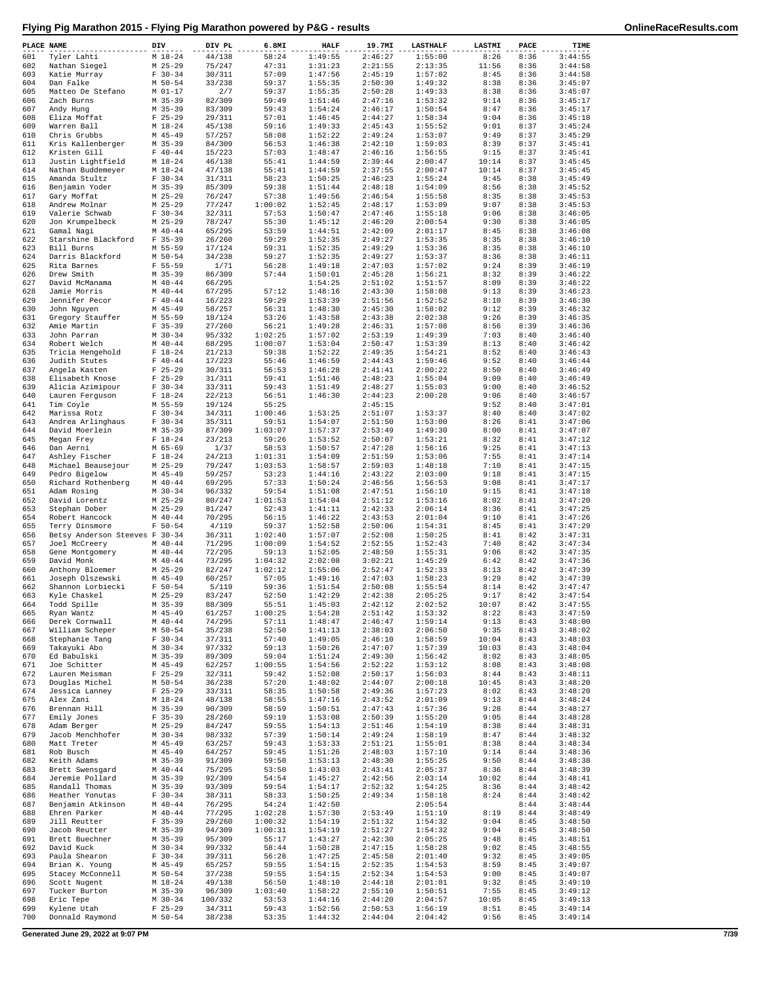| PLACE NAME |                                                 | DIV                      | DIV PL           | 6.8MI              | <b>HALF</b>        | 19.7MI             | <b>LASTHALF</b>    | LASTMI        | PACE         | TIME               |
|------------|-------------------------------------------------|--------------------------|------------------|--------------------|--------------------|--------------------|--------------------|---------------|--------------|--------------------|
| 601        | Tyler Lahti                                     | $M_18-24$                | 44/138           | 58:24              | 1:49:55            | 2:46:27            | 1:55:00            | 8:26          | 8:36         | 3:44:55            |
| 602<br>603 | Nathan Siegel<br>Katie Murray                   | $M$ 25-29<br>$F 30-34$   | 75/247<br>30/311 | 47:31<br>57:09     | 1:31:23<br>1:47:56 | 2:21:55<br>2:45:19 | 2:13:35<br>1:57:02 | 11:56<br>8:45 | 8:36<br>8:36 | 3:44:58<br>3:44:58 |
| 604        | Dan Falke                                       | $M$ 50-54                | 33/238           | 59:37              | 1:55:35            | 2:50:30            | 1:49:32            | 8:38          | 8:36         | 3:45:07            |
| 605        | Matteo De Stefano                               | $M$ 01-17                | 2/7              | 59:37              | 1:55:35            | 2:50:28            | 1:49:33            | 8:38          | 8:36         | 3:45:07            |
| 606<br>607 | Zach Burns<br>Andy Hung                         | M 35-39<br>M 35-39       | 82/309<br>83/309 | 59:49<br>59:43     | 1:51:46<br>1:54:24 | 2:47:16<br>2:46:17 | 1:53:32<br>1:50:54 | 9:14<br>8:47  | 8:36<br>8:36 | 3:45:17<br>3:45:17 |
| 608        | Eliza Moffat                                    | $F$ 25-29                | 29/311           | 57:01              | 1:46:45            | 2:44:27            | 1:58:34            | 9:04          | 8:36         | 3:45:18            |
| 609        | Warren Ball                                     | $M$ 18-24                | 45/138           | 59:16              | 1:49:33            | 2:45:43            | 1:55:52            | 9:01          | 8:37         | 3:45:24            |
| 610        | Chris Grubbs                                    | $M$ 45-49                | 57/257           | 58:08              | 1:52:22            | 2:49:24            | 1:53:07            | 9:49          | 8:37         | 3:45:29            |
| 611<br>612 | Kris Kallenberger<br>Kristen Gill               | $M$ 35-39<br>$F 40 - 44$ | 84/309<br>15/223 | 56:53<br>57:03     | 1:46:38<br>1:48:47 | 2:42:10<br>2:46:16 | 1:59:03<br>1:56:55 | 8:39<br>9:15  | 8:37<br>8:37 | 3:45:41<br>3:45:41 |
| 613        | Justin Lightfield                               | $M_18-24$                | 46/138           | 55:41              | 1:44:59            | 2:39:44            | 2:00:47            | 10:14         | 8:37         | 3:45:45            |
| 614        | Nathan Buddemeyer                               | $M_18-24$                | 47/138           | 55:41              | 1:44:59            | 2:37:55            | 2:00:47            | 10:14         | 8:37         | 3:45:45            |
| 615        | Amanda Stultz<br>Benjamin Yoder                 | $F 30-34$<br>$M$ 35-39   | 31/311           | 58:23<br>59:38     | 1:50:25<br>1:51:44 | 2:46:23<br>2:48:18 | 1:55:24<br>1:54:09 | 9:45<br>8:56  | 8:38<br>8:38 | 3:45:49<br>3:45:52 |
| 616<br>617 | Gary Moffat                                     | $M$ 25-29                | 85/309<br>76/247 | 57:38              | 1:49:56            | 2:46:54            | 1:55:58            | 8:35          | 8:38         | 3:45:53            |
| 618        | Andrew Molnar                                   | $M$ 25-29                | 77/247           | 1:00:02            | 1:52:45            | 2:48:17            | 1:53:09            | 9:07          | 8:38         | 3:45:53            |
| 619        | Valerie Schwab                                  | $F 30-34$                | 32/311           | 57:53              | 1:50:47            | 2:47:46            | 1:55:18            | 9:06          | 8:38         | 3:46:05            |
| 620<br>621 | Jon Krumpelbeck<br>Gamal Nagi                   | $M$ 25-29<br>$M$ 40-44   | 78/247<br>65/295 | 55:30<br>53:59     | 1:45:12<br>1:44:51 | 2:46:20<br>2:42:09 | 2:00:54<br>2:01:17 | 9:30<br>8:45  | 8:38<br>8:38 | 3:46:05<br>3:46:08 |
| 622        | Starshine Blackford                             | $F$ 35-39                | 26/260           | 59:29              | 1:52:35            | 2:49:27            | 1:53:35            | 8:35          | 8:38         | 3:46:10            |
| 623        | Bill Burns                                      | M 55-59                  | 17/124           | 59:31              | 1:52:35            | 2:49:29            | 1:53:36            | 8:35          | 8:38         | 3:46:10            |
| 624<br>625 | Darris Blackford<br>Rita Barnes                 | $M$ 50-54<br>$F 55 - 59$ | 34/238<br>1/71   | 59:27<br>56:28     | 1:52:35<br>1:49:18 | 2:49:27<br>2:47:03 | 1:53:37<br>1:57:02 | 8:36<br>9:24  | 8:38<br>8:39 | 3:46:11<br>3:46:19 |
| 626        | Drew Smith                                      | $M$ 35-39                | 86/309           | 57:44              | 1:50:01            | 2:45:28            | 1:56:21            | 8:32          | 8:39         | 3:46:22            |
| 627        | David McManama                                  | $M$ 40-44                | 66/295           |                    | 1:54:25            | 2:51:02            | 1:51:57            | 8:09          | 8:39         | 3:46:22            |
| 628        | Jamie Morris                                    | $M$ 40-44                | 67/295           | 57:12              | 1:48:16            | 2:43:30            | 1:58:08            | 9:13          | 8:39         | 3:46:23<br>3:46:30 |
| 629<br>630 | Jennifer Pecor<br>John Nquyen                   | $F 40 - 44$<br>$M$ 45-49 | 16/223<br>58/257 | 59:29<br>56:31     | 1:53:39<br>1:48:30 | 2:51:56<br>2:45:30 | 1:52:52<br>1:58:02 | 8:10<br>9:12  | 8:39<br>8:39 | 3:46:32            |
| 631        | Gregory Stauffer                                | M 55-59                  | 18/124           | 53:26              | 1:43:58            | 2:43:38            | 2:02:38            | 9:26          | 8:39         | 3:46:35            |
| 632        | Amie Martin                                     | $F$ 35-39                | 27/260           | 56:21              | 1:49:28            | 2:46:31            | 1:57:08            | 8:56          | 8:39         | 3:46:36            |
| 633<br>634 | John Parran<br>Robert Welch                     | $M$ 30-34<br>$M$ 40-44   | 95/332<br>68/295 | 1:02:25<br>1:00:07 | 1:57:02<br>1:53:04 | 2:53:19<br>2:50:47 | 1:49:39<br>1:53:39 | 7:03<br>8:13  | 8:40<br>8:40 | 3:46:40<br>3:46:42 |
| 635        | Tricia Hengehold                                | $F 18-24$                | 21/213           | 59:38              | 1:52:22            | 2:49:35            | 1:54:21            | 8:52          | 8:40         | 3:46:43            |
| 636        | Judith Stutes                                   | $F 40 - 44$              | 17/223           | 55:46              | 1:46:59            | 2:44:43            | 1:59:46            | 9:52          | 8:40         | 3:46:44            |
| 637        | Angela Kasten                                   | $F$ 25-29                | 30/311           | 56:53              | 1:46:28            | 2:41:41            | 2:00:22            | 8:50          | 8:40         | 3:46:49            |
| 638<br>639 | Elisabeth Knose<br>Alicia Azimipour             | $F$ 25-29<br>$F 30-34$   | 31/311<br>33/311 | 59:41<br>59:43     | 1:51:46<br>1:51:49 | 2:48:23<br>2:48:27 | 1:55:04<br>1:55:03 | 9:09<br>9:00  | 8:40<br>8:40 | 3:46:49<br>3:46:52 |
| 640        | Lauren Ferguson                                 | $F 18-24$                | 22/213           | 56:51              | 1:46:30            | 2:44:23            | 2:00:28            | 9:06          | 8:40         | 3:46:57            |
| 641        | Tim Coyle                                       | M 55-59                  | 19/124           | 55:25              |                    | 2:45:15            |                    | 9:52          | 8:40         | 3:47:01            |
| 642<br>643 | Marissa Rotz<br>Andrea Arlinghaus               | $F 30-34$<br>$F 30-34$   | 34/311<br>35/311 | 1:00:46<br>59:51   | 1:53:25<br>1:54:07 | 2:51:07<br>2:51:50 | 1:53:37<br>1:53:00 | 8:40<br>8:26  | 8:40<br>8:41 | 3:47:02<br>3:47:06 |
| 644        | David Moerlein                                  | $M$ 35-39                | 87/309           | 1:03:07            | 1:57:37            | 2:53:49            | 1:49:30            | 8:00          | 8:41         | 3:47:07            |
| 645        | Megan Frey                                      | $F 18-24$                | 23/213           | 59:26              | 1:53:52            | 2:50:07            | 1:53:21            | 8:32          | 8:41         | 3:47:12            |
| 646        | Dan Aerni                                       | M 65-69                  | 1/37             | 58:53              | 1:50:57            | 2:47:28            | 1:56:16            | 9:25          | 8:41         | 3:47:13            |
| 647<br>648 | Ashley Fischer<br>Michael Beausejour            | $F 18-24$<br>$M$ 25-29   | 24/213<br>79/247 | 1:01:31<br>1:03:53 | 1:54:09<br>1:58:57 | 2:51:59<br>2:59:03 | 1:53:06<br>1:48:18 | 7:55<br>7:10  | 8:41<br>8:41 | 3:47:14<br>3:47:15 |
| 649        | Pedro Bigelow                                   | $M$ 45-49                | 59/257           | 53:23              | 1:44:16            | 2:43:22            | 2:03:00            | 9:18          | 8:41         | 3:47:15            |
| 650        | Richard Rothenberg                              | $M$ 40-44                | 69/295           | 57:33              | 1:50:24            | 2:46:56            | 1:56:53            | 9:08          | 8:41         | 3:47:17            |
| 651<br>652 | Adam Rosing<br>David Lorentz                    | $M$ 30-34<br>$M$ 25-29   | 96/332<br>80/247 | 59:54<br>1:01:53   | 1:51:08<br>1:54:04 | 2:47:51<br>2:51:12 | 1:56:10<br>1:53:16 | 9:15<br>8:02  | 8:41<br>8:41 | 3:47:18<br>3:47:20 |
| 653        | Stephan Dober                                   | $M$ 25-29                | 81/247           | 52:43              | 1:41:11            | 2:42:33            | 2:06:14            | 8:36          | 8:41         | 3:47:25            |
| 654        | Robert Hancock                                  | $M$ 40-44                | 70/295           | 56:15              | 1:46:22            | 2:43:53            | 2:01:04            | 9:10          | 8:41         | 3:47:26            |
| 655        | Terry Dinsmore                                  | $F 50 - 54$              | 4/119            | 59:37              | 1:52:58            | 2:50:06            | 1:54:31            | 8:45          | 8:41         | 3:47:29            |
| 656<br>657 | Betsy Anderson Steeves F 30-34<br>Joel McCreery | $M$ 40-44                | 36/311<br>71/295 | 1:02:40<br>1:00:09 | 1:57:07<br>1:54:52 | 2:52:08<br>2:52:55 | 1:50:25<br>1:52:43 | 8:41<br>7:40  | 8:42<br>8:42 | 3:47:31<br>3:47:34 |
| 658        | Gene Montgomery                                 | $M$ 40-44                | 72/295           | 59:13              | 1:52:05            | 2:48:50            | 1:55:31            | 9:06          | 8:42         | 3:47:35            |
| 659        | David Monk                                      | $M$ 40-44                | 73/295           | 1:04:32            | 2:02:08            | 3:02:21            | 1:45:29            | 6:42          | 8:42         | 3:47:36            |
| 660<br>661 | Anthony Bloemer<br>Joseph Olszewski             | $M$ 25-29<br>$M$ 45-49   | 82/247<br>60/257 | 1:02:12<br>57:05   | 1:55:06<br>1:49:16 | 2:52:47<br>2:47:03 | 1:52:33<br>1:58:23 | 8:13<br>9:29  | 8:42<br>8:42 | 3:47:39<br>3:47:39 |
| 662        | Shannon Lorbiecki                               | $F 50 - 54$              | 5/119            | 59:36              | 1:51:54            | 2:50:08            | 1:55:54            | 8:14          | 8:42         | 3:47:47            |
| 663        | Kyle Chaskel                                    | M 25-29                  | 83/247           | 52:50              | 1:42:29            | 2:42:38            | 2:05:25            | 9:17          | 8:42         | 3:47:54            |
| 664        | Todd Spille                                     | $M$ 35-39                | 88/309           | 55:51              | 1:45:03            | 2:42:12<br>2:51:42 | 2:02:52            | 10:07         | 8:42         | 3:47:55            |
| 665<br>666 | Ryan Wantz<br>Derek Cornwall                    | $M$ 45-49<br>$M$ 40-44   | 61/257<br>74/295 | 1:00:25<br>57:11   | 1:54:28<br>1:48:47 | 2:46:47            | 1:53:32<br>1:59:14 | 8:22<br>9:13  | 8:43<br>8:43 | 3:47:59<br>3:48:00 |
| 667        | William Scheper                                 | M 50-54                  | 35/238           | 52:50              | 1:41:13            | 2:38:03            | 2:06:50            | 9:35          | 8:43         | 3:48:02            |
| 668        | Stephanie Tang                                  | $F 30-34$                | 37/311           | 57:40              | 1:49:05            | 2:46:10            | 1:58:59            | 10:04         | 8:43         | 3:48:03            |
| 669<br>670 | Takayuki Abo<br>Ed Babulski                     | $M$ 30-34<br>$M$ 35-39   | 97/332<br>89/309 | 59:13<br>59:04     | 1:50:26<br>1:51:24 | 2:47:07<br>2:49:30 | 1:57:39<br>1:56:42 | 10:03<br>8:02 | 8:43<br>8:43 | 3:48:04<br>3:48:05 |
| 671        | Joe Schitter                                    | $M$ 45-49                | 62/257           | 1:00:55            | 1:54:56            | 2:52:22            | 1:53:12            | 8:08          | 8:43         | 3:48:08            |
| 672        | Lauren Meisman                                  | $F$ 25-29                | 32/311           | 59:42              | 1:52:08            | 2:50:17            | 1:56:03            | 8:44          | 8:43         | 3:48:11            |
| 673<br>674 | Douglas Michel<br>Jessica Lanney                | $M$ 50-54<br>$F$ 25-29   | 36/238<br>33/311 | 57:20<br>58:35     | 1:48:02<br>1:50:58 | 2:44:07<br>2:49:36 | 2:00:18<br>1:57:23 | 10:45<br>8:02 | 8:43<br>8:43 | 3:48:20<br>3:48:20 |
| 675        | Alex Zani                                       | $M_18-24$                | 48/138           | 58:55              | 1:47:16            | 2:43:52            | 2:01:09            | 9:13          | 8:44         | 3:48:24            |
| 676        | Brennan Hill                                    | $M$ 35-39                | 90/309           | 58:59              | 1:50:51            | 2:47:43            | 1:57:36            | 9:28          | 8:44         | 3:48:27            |
| 677        | Emily Jones                                     | $F$ 35-39                | 28/260           | 59:19              | 1:53:08            | 2:50:39            | 1:55:20            | 9:05          | 8:44         | 3:48:28            |
| 678<br>679 | Adam Berger<br>Jacob Menchhofer                 | $M$ 25-29<br>$M$ 30-34   | 84/247<br>98/332 | 59:55<br>57:39     | 1:54:13<br>1:50:14 | 2:51:46<br>2:49:24 | 1:54:19<br>1:58:19 | 8:38<br>8:47  | 8:44<br>8:44 | 3:48:31<br>3:48:32 |
| 680        | Matt Treter                                     | $M$ 45-49                | 63/257           | 59:43              | 1:53:33            | 2:51:21            | 1:55:01            | 8:38          | 8:44         | 3:48:34            |
| 681        | Rob Busch                                       | $M$ 45-49                | 64/257           | 59:45              | 1:51:26            | 2:48:03            | 1:57:10            | 9:14          | 8:44         | 3:48:36            |
| 682        | Keith Adams                                     | $M$ 35-39                | 91/309           | 59:50              | 1:53:13            | 2:48:30            | 1:55:25            | 9:50          | 8:44         | 3:48:38            |
| 683<br>684 | Brett Swensgard<br>Jeremie Pollard              | $M$ 40-44<br>$M$ 35-39   | 75/295<br>92/309 | 53:50<br>54:54     | 1:43:03<br>1:45:27 | 2:43:41<br>2:42:56 | 2:05:37<br>2:03:14 | 8:36<br>10:02 | 8:44<br>8:44 | 3:48:39<br>3:48:41 |
| 685        | Randall Thomas                                  | $M$ 35-39                | 93/309           | 59:54              | 1:54:17            | 2:52:32            | 1:54:25            | 8:36          | 8:44         | 3:48:42            |
| 686        | Heather Yonutas                                 | $F 30-34$                | 38/311           | 58:33              | 1:50:25            | 2:49:34            | 1:58:18            | 8:24          | 8:44         | 3:48:42            |
| 687<br>688 | Benjamin Atkinson<br>Ehren Parker               | $M$ 40-44<br>$M$ 40-44   | 76/295<br>77/295 | 54:24<br>1:02:28   | 1:42:50<br>1:57:30 | 2:53:49            | 2:05:54<br>1:51:19 | 8:19          | 8:44<br>8:44 | 3:48:44<br>3:48:49 |
| 689        | Jill Reutter                                    | $F 35 - 39$              | 29/260           | 1:00:32            | 1:54:19            | 2:51:32            | 1:54:32            | 9:04          | 8:45         | 3:48:50            |
| 690        | Jacob Reutter                                   | $M$ 35-39                | 94/309           | 1:00:31            | 1:54:19            | 2:51:27            | 1:54:32            | 9:04          | 8:45         | 3:48:50            |
| 691<br>692 | Brett Buechner                                  | $M$ 35-39<br>$M$ 30-34   | 95/309           | 55:17<br>58:44     | 1:43:27<br>1:50:28 | 2:42:30<br>2:47:15 | 2:05:25<br>1:58:28 | 9:48<br>9:02  | 8:45<br>8:45 | 3:48:51<br>3:48:55 |
| 693        | David Kuck<br>Paula Shearon                     | $F 30-34$                | 99/332<br>39/311 | 56:28              | 1:47:25            | 2:45:58            | 2:01:40            | 9:32          | 8:45         | 3:49:05            |
| 694        | Brian K. Young                                  | $M$ 45-49                | 65/257           | 59:55              | 1:54:15            | 2:52:35            | 1:54:53            | 8:59          | 8:45         | 3:49:07            |
| 695        | Stacey McConnell                                | M 50-54                  | 37/238           | 59:55              | 1:54:15            | 2:52:34            | 1:54:53            | 9:00          | 8:45         | 3:49:07            |
| 696<br>697 | Scott Nugent<br>Tucker Burton                   | $M_18-24$<br>$M$ 35-39   | 49/138<br>96/309 | 56:50<br>1:03:40   | 1:48:10<br>1:58:22 | 2:44:18<br>2:55:10 | 2:01:01<br>1:50:51 | 9:32<br>7:55  | 8:45<br>8:45 | 3:49:10<br>3:49:12 |
| 698        | Eric Tepe                                       | $M$ 30-34                | 100/332          | 53:53              | 1:44:16            | 2:44:20            | 2:04:57            | 10:05         | 8:45         | 3:49:13            |
| 699        | Kylene Utah                                     | $F$ 25-29                | 34/311           | 59:43              | 1:52:56            | 2:50:53            | 1:56:19            | 8:51          | 8:45         | 3:49:14            |
| 700        | Donnald Raymond                                 | $M$ 50-54                | 38/238           | 53:35              | 1:44:32            | 2:44:04            | 2:04:42            | 9:56          | 8:45         | 3:49:14            |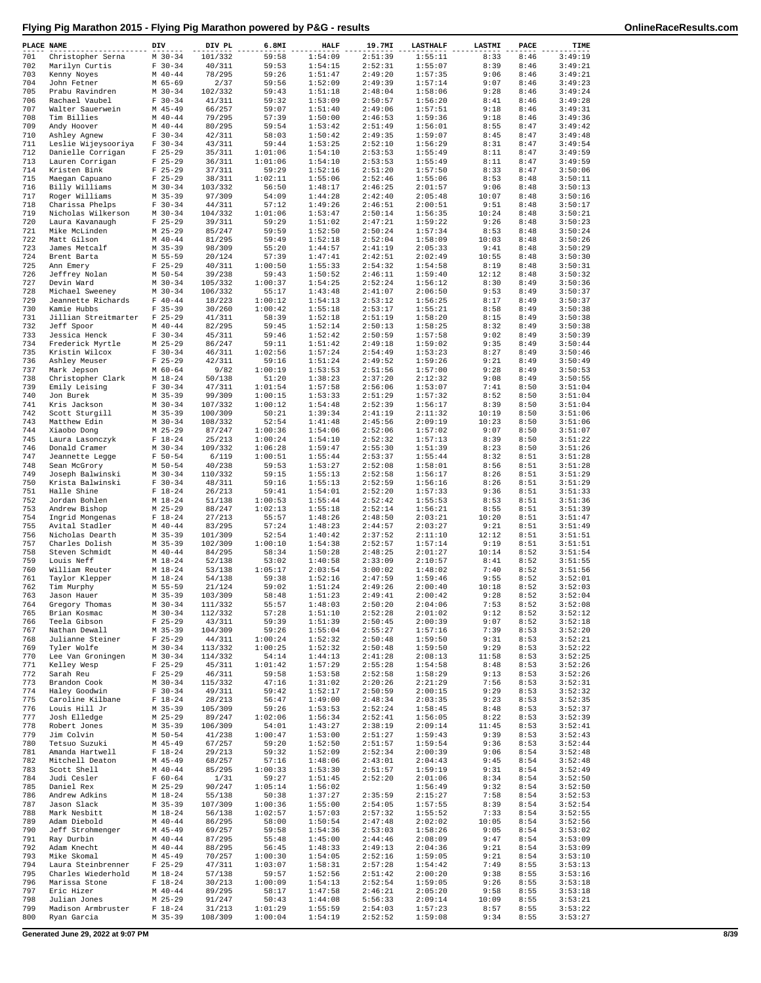| PLACE NAME |                                          | DIV                      | DIV PL             | 6.8MI              | <b>HALF</b>        | 19.7MI             | <b>LASTHALF</b>    | LASTMI        | PACE         | TIME               |
|------------|------------------------------------------|--------------------------|--------------------|--------------------|--------------------|--------------------|--------------------|---------------|--------------|--------------------|
| 701        | Christopher Serna                        | $M$ 30-34                | 101/332            | 59:58              | 1:54:09            | 2:51:39            | 1:55:11            | 8:33          | 8:46         | 3:49:19            |
| 702        | Marilyn Curtis                           | $F 30-34$                | 40/311             | 59:53              | 1:54:15            | 2:52:31            | 1:55:07            | 8:39          | 8:46         | 3:49:21            |
| 703        | Kenny Noyes                              | $M$ 40-44                | 78/295             | 59:26              | 1:51:47            | 2:49:20            | 1:57:35            | 9:06          | 8:46         | 3:49:21            |
| 704<br>705 | John Fetner<br>Prabu Ravindren           | M 65-69<br>$M$ 30-34     | 2/37<br>102/332    | 59:56<br>59:43     | 1:52:09<br>1:51:18 | 2:49:39<br>2:48:04 | 1:57:14<br>1:58:06 | 9:07<br>9:28  | 8:46<br>8:46 | 3:49:23<br>3:49:24 |
| 706        | Rachael Vaubel                           | $F 30-34$                | 41/311             | 59:32              | 1:53:09            | 2:50:57            | 1:56:20            | 8:41          | 8:46         | 3:49:28            |
| 707        | Walter Sauerwein                         | $M$ 45-49                | 66/257             | 59:07              | 1:51:40            | 2:49:06            | 1:57:51            | 9:18          | 8:46         | 3:49:31            |
| 708        | Tim Billies                              | $M$ 40-44                | 79/295             | 57:39              | 1:50:00            | 2:46:53            | 1:59:36            | 9:18          | 8:46         | 3:49:36            |
| 709        | Andy Hoover                              | $M$ 40-44                | 80/295             | 59:54              | 1:53:42            | 2:51:49            | 1:56:01            | 8:55          | 8:47         | 3:49:42            |
| 710<br>711 | Ashley Agnew                             | $F 30-34$<br>$F 30-34$   | 42/311<br>43/311   | 58:03<br>59:44     | 1:50:42<br>1:53:25 | 2:49:35<br>2:52:10 | 1:59:07<br>1:56:29 | 8:45<br>8:31  | 8:47<br>8:47 | 3:49:48<br>3:49:54 |
| 712        | Leslie Wijeysooriya<br>Danielle Corrigan | $F$ 25-29                | 35/311             | 1:01:06            | 1:54:10            | 2:53:53            | 1:55:49            | 8:11          | 8:47         | 3:49:59            |
| 713        | Lauren Corrigan                          | $F$ 25-29                | 36/311             | 1:01:06            | 1:54:10            | 2:53:53            | 1:55:49            | 8:11          | 8:47         | 3:49:59            |
| 714        | Kristen Bink                             | $F$ 25-29                | 37/311             | 59:29              | 1:52:16            | 2:51:20            | 1:57:50            | 8:33          | 8:47         | 3:50:06            |
| 715        | Maegan Capuano                           | $F$ 25-29                | 38/311             | 1:02:11            | 1:55:06            | 2:52:46            | 1:55:06            | 8:53          | 8:48         | 3:50:11            |
| 716        | Billy Williams                           | $M$ 30-34                | 103/332            | 56:50              | 1:48:17            | 2:46:25            | 2:01:57            | 9:06          | 8:48         | 3:50:13            |
| 717<br>718 | Roger Williams<br>Charissa Phelps        | $M$ 35-39<br>$F 30-34$   | 97/309<br>44/311   | 54:09<br>57:12     | 1:44:28<br>1:49:26 | 2:42:40<br>2:46:51 | 2:05:48<br>2:00:51 | 10:07<br>9:51 | 8:48<br>8:48 | 3:50:16<br>3:50:17 |
| 719        | Nicholas Wilkerson                       | $M$ 30-34                | 104/332            | 1:01:06            | 1:53:47            | 2:50:14            | 1:56:35            | 10:24         | 8:48         | 3:50:21            |
| 720        | Laura Kavanaugh                          | $F$ 25-29                | 39/311             | 59:29              | 1:51:02            | 2:47:21            | 1:59:22            | 9:26          | 8:48         | 3:50:23            |
| 721        | Mike McLinden                            | $M$ 25-29                | 85/247             | 59:59              | 1:52:50            | 2:50:24            | 1:57:34            | 8:53          | 8:48         | 3:50:24            |
| 722        | Matt Gilson                              | $M$ 40-44                | 81/295             | 59:49              | 1:52:18            | 2:52:04            | 1:58:09            | 10:03         | 8:48         | 3:50:26            |
| 723<br>724 | James Metcalf<br>Brent Barta             | $M$ 35-39<br>M 55-59     | 98/309<br>20/124   | 55:20<br>57:39     | 1:44:57<br>1:47:41 | 2:41:19<br>2:42:51 | 2:05:33<br>2:02:49 | 9:41<br>10:55 | 8:48<br>8:48 | 3:50:29<br>3:50:30 |
| 725        | Ann Emery                                | $F$ 25-29                | 40/311             | 1:00:50            | 1:55:33            | 2:54:32            | 1:54:58            | 8:19          | 8:48         | 3:50:31            |
| 726        | Jeffrey Nolan                            | $M$ 50-54                | 39/238             | 59:43              | 1:50:52            | 2:46:11            | 1:59:40            | 12:12         | 8:48         | 3:50:32            |
| 727        | Devin Ward                               | $M$ 30-34                | 105/332            | 1:00:37            | 1:54:25            | 2:52:24            | 1:56:12            | 8:30          | 8:49         | 3:50:36            |
| 728        | Michael Sweeney                          | $M$ 30-34                | 106/332            | 55:17              | 1:43:48            | 2:41:07            | 2:06:50            | 9:53          | 8:49         | 3:50:37            |
| 729<br>730 | Jeannette Richards<br>Kamie Hubbs        | $F 40 - 44$<br>$F$ 35-39 | 18/223<br>30/260   | 1:00:12<br>1:00:42 | 1:54:13<br>1:55:18 | 2:53:12<br>2:53:17 | 1:56:25<br>1:55:21 | 8:17<br>8:58  | 8:49<br>8:49 | 3:50:37<br>3:50:38 |
| 731        | Jillian Streitmarter                     | $F$ 25-29                | 41/311             | 58:39              | 1:52:18            | 2:51:19            | 1:58:20            | 8:15          | 8:49         | 3:50:38            |
| 732        | Jeff Spoor                               | $M$ 40-44                | 82/295             | 59:45              | 1:52:14            | 2:50:13            | 1:58:25            | 8:32          | 8:49         | 3:50:38            |
| 733        | Jessica Henck                            | $F 30-34$                | 45/311             | 59:46              | 1:52:42            | 2:50:59            | 1:57:58            | 9:02          | 8:49         | 3:50:39            |
| 734        | Frederick Myrtle                         | $M$ 25-29                | 86/247             | 59:11              | 1:51:42            | 2:49:18            | 1:59:02            | 9:35          | 8:49         | 3:50:44            |
| 735<br>736 | Kristin Wilcox<br>Ashley Meuser          | $F 30-34$<br>$F$ 25-29   | 46/311             | 1:02:56<br>59:16   | 1:57:24<br>1:51:24 | 2:54:49<br>2:49:52 | 1:53:23            | 8:27          | 8:49         | 3:50:46<br>3:50:49 |
| 737        | Mark Jepson                              | $M$ 60-64                | 42/311<br>9/82     | 1:00:19            | 1:53:53            | 2:51:56            | 1:59:26<br>1:57:00 | 9:21<br>9:28  | 8:49<br>8:49 | 3:50:53            |
| 738        | Christopher Clark                        | $M_18-24$                | 50/138             | 51:20              | 1:38:23            | 2:37:20            | 2:12:32            | 9:08          | 8:49         | 3:50:55            |
| 739        | Emily Leising                            | $F 30-34$                | 47/311             | 1:01:54            | 1:57:58            | 2:56:06            | 1:53:07            | 7:41          | 8:50         | 3:51:04            |
| 740        | Jon Burek                                | $M$ 35-39                | 99/309             | 1:00:15            | 1:53:33            | 2:51:29            | 1:57:32            | 8:52          | 8:50         | 3:51:04            |
| 741<br>742 | Kris Jackson                             | $M$ 30-34<br>$M$ 35-39   | 107/332            | 1:00:12<br>50:21   | 1:54:48<br>1:39:34 | 2:52:39<br>2:41:19 | 1:56:17<br>2:11:32 | 8:39<br>10:19 | 8:50         | 3:51:04<br>3:51:06 |
| 743        | Scott Sturgill<br>Matthew Edin           | $M$ 30-34                | 100/309<br>108/332 | 52:54              | 1:41:48            | 2:45:56            | 2:09:19            | 10:23         | 8:50<br>8:50 | 3:51:06            |
| 744        | Xiaobo Donq                              | $M$ 25-29                | 87/247             | 1:00:36            | 1:54:06            | 2:52:06            | 1:57:02            | 9:07          | 8:50         | 3:51:07            |
| 745        | Laura Lasonczyk                          | $F 18-24$                | 25/213             | 1:00:24            | 1:54:10            | 2:52:32            | 1:57:13            | 8:39          | 8:50         | 3:51:22            |
| 746        | Donald Cramer                            | $M$ 30-34                | 109/332            | 1:06:28            | 1:59:47            | 2:55:30            | 1:51:39            | 8:23          | 8:50         | 3:51:26            |
| 747        | Jeannette Legge                          | $F 50 - 54$              | 6/119              | 1:00:51            | 1:55:44            | 2:53:37            | 1:55:44            | 8:32          | 8:51         | 3:51:28            |
| 748<br>749 | Sean McGrory<br>Joseph Balwinski         | $M$ 50-54<br>$M$ 30-34   | 40/238<br>110/332  | 59:53<br>59:15     | 1:53:27<br>1:55:13 | 2:52:08<br>2:52:58 | 1:58:01<br>1:56:17 | 8:56<br>8:26  | 8:51<br>8:51 | 3:51:28<br>3:51:29 |
| 750        | Krista Balwinski                         | $F 30-34$                | 48/311             | 59:16              | 1:55:13            | 2:52:59            | 1:56:16            | 8:26          | 8:51         | 3:51:29            |
| 751        | Halle Shine                              | $F 18-24$                | 26/213             | 59:41              | 1:54:01            | 2:52:20            | 1:57:33            | 9:36          | 8:51         | 3:51:33            |
| 752        | Jordan Bohlen                            | $M_18-24$                | 51/138             | 1:00:53            | 1:55:44            | 2:52:42            | 1:55:53            | 8:53          | 8:51         | 3:51:36            |
| 753        | Andrew Bishop                            | $M$ 25-29                | 88/247             | 1:02:13            | 1:55:18            | 2:52:14            | 1:56:21            | 8:55          | 8:51         | 3:51:39            |
| 754<br>755 | Ingrid Mongenas<br>Avital Stadler        | $F 18-24$<br>$M$ 40-44   | 27/213<br>83/295   | 55:57<br>57:24     | 1:48:26<br>1:48:23 | 2:48:50<br>2:44:57 | 2:03:21<br>2:03:27 | 10:20<br>9:21 | 8:51<br>8:51 | 3:51:47<br>3:51:49 |
| 756        | Nicholas Dearth                          | $M$ 35-39                | 101/309            | 52:54              | 1:40:42            | 2:37:52            | 2:11:10            | 12:12         | 8:51         | 3:51:51            |
| 757        | Charles Dolish                           | $M$ 35-39                | 102/309            | 1:00:10            | 1:54:38            | 2:52:57            | 1:57:14            | 9:19          | 8:51         | 3:51:51            |
| 758        | Steven Schmidt                           | $M$ 40-44                | 84/295             | 58:34              | 1:50:28            | 2:48:25            | 2:01:27            | 10:14         | 8:52         | 3:51:54            |
| 759        | Louis Neff                               | $M_18-24$                | 52/138             | 53:02              | 1:40:58            | 2:33:09            | 2:10:57            | 8:41          | 8:52         | 3:51:55            |
| 760<br>761 | William Reuter<br>Taylor Klepper         | $M_18-24$<br>$M_18-24$   | 53/138<br>54/138   | 1:05:17<br>59:38   | 2:03:54<br>1:52:16 | 3:00:02<br>2:47:59 | 1:48:02<br>1:59:46 | 7:40<br>9:55  | 8:52<br>8:52 | 3:51:56<br>3:52:01 |
| 762        | Tim Murphy                               | M 55-59                  | 21/124             | 59:02              | 1:51:24            | 2:49:26            | 2:00:40            | 10:18         | 8:52         | 3:52:03            |
| 763        | Jason Hauer                              | $M$ 35-39                | 103/309            | 58:48              | 1:51:23            | 2:49:41            | 2:00:42            | 9:28          | 8:52         | 3:52:04            |
| 764        | Gregory Thomas                           | $M$ 30-34                | 111/332            | 55:57              | 1:48:03            | 2:50:20            | 2:04:06            | 7:53          | 8:52         | 3:52:08            |
| 765        | Brian Kosmac                             | $M$ 30-34                | 112/332            | 57:28              | 1:51:10            | 2:52:28            | 2:01:02            | 9:12          | 8:52         | 3:52:12            |
| 766<br>767 | Teela Gibson<br>Nathan Dewall            | $F$ 25-29<br>$M$ 35-39   | 43/311<br>104/309  | 59:39<br>59:26     | 1:51:39<br>1:55:04 | 2:50:45<br>2:55:27 | 2:00:39<br>1:57:16 | 9:07<br>7:39  | 8:52<br>8:53 | 3:52:18<br>3:52:20 |
| 768        | Julianne Steiner                         | $F$ 25-29                | 44/311             | 1:00:24            | 1:52:32            | 2:50:48            | 1:59:50            | 9:31          | 8:53         | 3:52:21            |
| 769        | Tyler Wolfe                              | $M$ 30-34                | 113/332            | 1:00:25            | 1:52:32            | 2:50:48            | 1:59:50            | 9:29          | 8:53         | 3:52:22            |
| 770        | Lee Van Groningen                        | $M$ 30-34                | 114/332            | 54:14              | 1:44:13            | 2:41:28            | 2:08:13            | 11:58         | 8:53         | 3:52:25            |
| 771        | Kellev Wesp                              | $F$ 25-29                | 45/311             | 1:01:42            | 1:57:29            | 2:55:28            | 1:54:58            | 8:48          | 8:53         | 3:52:26            |
| 772<br>773 | Sarah Reu<br>Brandon Cook                | $F$ 25-29<br>$M$ 30-34   | 46/311<br>115/332  | 59:58<br>47:16     | 1:53:58<br>1:31:02 | 2:52:58<br>2:20:26 | 1:58:29<br>2:21:29 | 9:13<br>7:56  | 8:53<br>8:53 | 3:52:26<br>3:52:31 |
| 774        | Haley Goodwin                            | $F 30-34$                | 49/311             | 59:42              | 1:52:17            | 2:50:59            | 2:00:15            | 9:29          | 8:53         | 3:52:32            |
| 775        | Caroline Kilbane                         | $F 18-24$                | 28/213             | 56:47              | 1:49:00            | 2:48:34            | 2:03:35            | 9:23          | 8:53         | 3:52:35            |
| 776        | Louis Hill Jr                            | $M$ 35-39                | 105/309            | 59:26              | 1:53:53            | 2:52:24            | 1:58:45            | 8:48          | 8:53         | 3:52:37            |
| 777        | Josh Elledge                             | $M$ 25-29                | 89/247             | 1:02:06            | 1:56:34            | 2:52:41            | 1:56:05            | 8:22          | 8:53         | 3:52:39            |
| 778<br>779 | Robert Jones<br>Jim Colvin               | M 35-39                  | 106/309            | 54:01              | 1:43:27            | 2:38:19            | 2:09:14            | 11:45<br>9:39 | 8:53         | 3:52:41<br>3:52:43 |
| 780        | Tetsuo Suzuki                            | M 50-54<br>$M$ 45-49     | 41/238<br>67/257   | 1:00:47<br>59:20   | 1:53:00<br>1:52:50 | 2:51:27<br>2:51:57 | 1:59:43<br>1:59:54 | 9:36          | 8:53<br>8:53 | 3:52:44            |
| 781        | Amanda Hartwell                          | $F 18-24$                | 29/213             | 59:32              | 1:52:09            | 2:52:34            | 2:00:39            | 9:06          | 8:54         | 3:52:48            |
| 782        | Mitchell Deaton                          | $M$ 45-49                | 68/257             | 57:16              | 1:48:06            | 2:43:01            | 2:04:43            | 9:45          | 8:54         | 3:52:48            |
| 783        | Scott Shell                              | $M$ 40-44                | 85/295             | 1:00:33            | 1:53:30            | 2:51:57            | 1:59:19            | 9:31          | 8:54         | 3:52:49            |
| 784<br>785 | Judi Cesler<br>Daniel Rex                | $F 60 - 64$<br>$M$ 25-29 | 1/31<br>90/247     | 59:27<br>1:05:14   | 1:51:45            | 2:52:20            | 2:01:06<br>1:56:49 | 8:34<br>9:32  | 8:54<br>8:54 | 3:52:50<br>3:52:50 |
| 786        | Andrew Adkins                            | $M_18-24$                | 55/138             | 50:38              | 1:56:02<br>1:37:27 | 2:35:59            | 2:15:27            | 7:58          | 8:54         | 3:52:53            |
| 787        | Jason Slack                              | $M$ 35-39                | 107/309            | 1:00:36            | 1:55:00            | 2:54:05            | 1:57:55            | 8:39          | 8:54         | 3:52:54            |
| 788        | Mark Nesbitt                             | $M_18-24$                | 56/138             | 1:02:57            | 1:57:03            | 2:57:32            | 1:55:52            | 7:33          | 8:54         | 3:52:55            |
| 789        | Adam Diebold                             | $M$ 40-44                | 86/295             | 58:00              | 1:50:54            | 2:47:48            | 2:02:02            | 10:05         | 8:54         | 3:52:56            |
| 790<br>791 | Jeff Strohmenger<br>Ray Durbin           | $M$ 45-49<br>$M$ 40-44   | 69/257             | 59:58<br>55:48     | 1:54:36            | 2:53:03<br>2:44:46 | 1:58:26<br>2:08:09 | 9:05<br>9:47  | 8:54<br>8:54 | 3:53:02<br>3:53:09 |
| 792        | Adam Knecht                              | $M$ 40-44                | 87/295<br>88/295   | 56:45              | 1:45:00<br>1:48:33 | 2:49:13            | 2:04:36            | 9:21          | 8:54         | 3:53:09            |
| 793        | Mike Skomal                              | $M$ 45-49                | 70/257             | 1:00:30            | 1:54:05            | 2:52:16            | 1:59:05            | 9:21          | 8:54         | 3:53:10            |
| 794        | Laura Steinbrenner                       | $F$ 25-29                | 47/311             | 1:03:07            | 1:58:31            | 2:57:28            | 1:54:42            | 7:49          | 8:55         | 3:53:13            |
| 795        | Charles Wiederhold                       | $M_18-24$                | 57/138             | 59:57              | 1:52:56            | 2:51:42            | 2:00:20            | 9:38          | 8:55         | 3:53:16            |
| 796<br>797 | Marissa Stone                            | $F 18-24$                | 30/213             | 1:00:09            | 1:54:13<br>1:47:58 | 2:52:54            | 1:59:05            | 9:26          | 8:55         | 3:53:18            |
| 798        | Eric Hizer<br>Julian Jones               | $M$ 40-44<br>$M$ 25-29   | 89/295<br>91/247   | 58:17<br>50:43     | 1:44:08            | 2:46:21<br>5:56:33 | 2:05:20<br>2:09:14 | 9:58<br>10:09 | 8:55<br>8:55 | 3:53:18<br>3:53:21 |
| 799        | Madison Armbruster                       | $F 18-24$                | 31/213             | 1:01:29            | 1:55:59            | 2:54:03            | 1:57:23            | 8:57          | 8:55         | 3:53:22            |
| 800        | Ryan Garcia                              | M 35-39                  | 108/309            | 1:00:04            | 1:54:19            | 2:52:52            | 1:59:08            | 9:34          | 8:55         | 3:53:27            |

**Generated June 29, 2022 at 9:07 PM 8/39**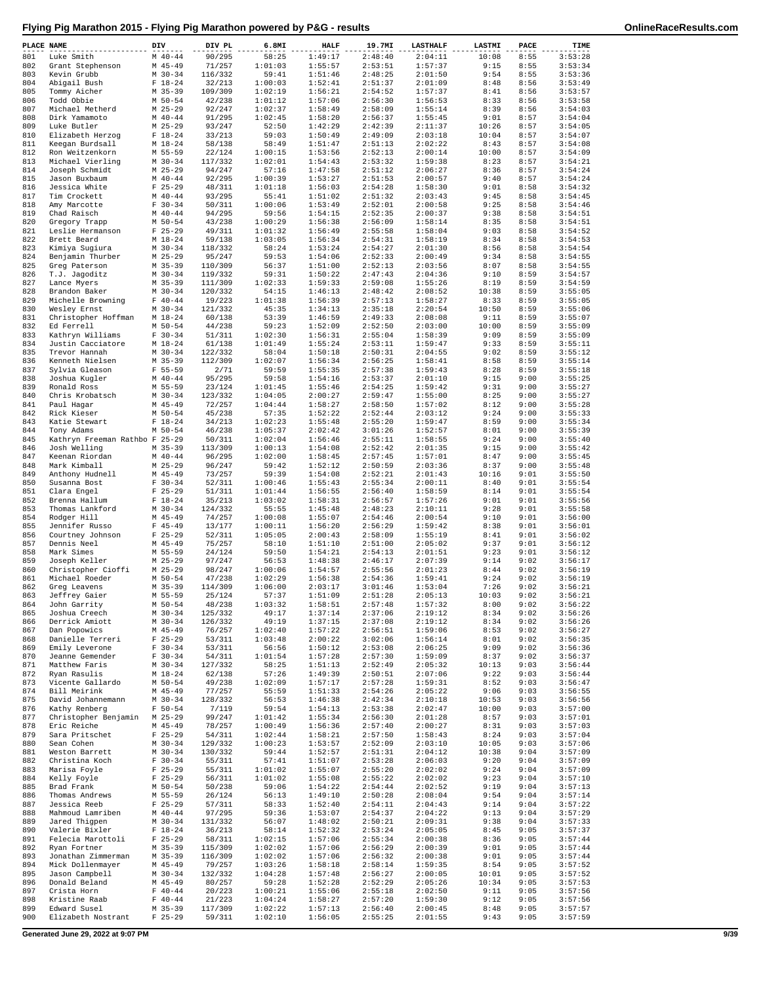| PLACE NAME |                                       | DIV |                          | DIV PL             | 6.8MI              | HALF               | 19.7MI             | <b>LASTHALF</b>    | <b>LASTMI</b>  | PACE         | TIME               |
|------------|---------------------------------------|-----|--------------------------|--------------------|--------------------|--------------------|--------------------|--------------------|----------------|--------------|--------------------|
| 801        | Luke Smith                            |     | $M$ 40-44                | 90/295             | 58:25              | 1:49:17            | 2:48:40            | 2:04:11            | 10:08          | 8:55         | 3:53:28            |
| 802<br>803 | Grant Stephenson<br>Kevin Grubb       |     | $M$ 45-49<br>$M$ 30-34   | 71/257<br>116/332  | 1:01:03<br>59:41   | 1:55:57<br>1:51:46 | 2:53:51<br>2:48:25 | 1:57:37<br>2:01:50 | 9:15<br>9:54   | 8:55<br>8:55 | 3:53:34<br>3:53:36 |
| 804        | Abigail Bush                          |     | $F 18-24$                | 32/213             | 1:00:03            | 1:52:41            | 2:51:37            | 2:01:09            | 8:48           | 8:56         | 3:53:49            |
| 805        | Tommy Aicher                          |     | $M$ 35-39                | 109/309            | 1:02:19            | 1:56:21            | 2:54:52            | 1:57:37            | 8:41           | 8:56         | 3:53:57            |
| 806<br>807 | Todd Obbie<br>Michael Metherd         |     | M 50-54<br>$M$ 25-29     | 42/238<br>92/247   | 1:01:12<br>1:02:37 | 1:57:06<br>1:58:49 | 2:56:30<br>2:58:09 | 1:56:53<br>1:55:14 | 8:33<br>8:39   | 8:56<br>8:56 | 3:53:58<br>3:54:03 |
| 808        | Dirk Yamamoto                         |     | $M$ 40-44                | 91/295             | 1:02:45            | 1:58:20            | 2:56:37            | 1:55:45            | 9:01           | 8:57         | 3:54:04            |
| 809        | Luke Butler                           |     | $M$ 25-29                | 93/247             | 52:50              | 1:42:29            | 2:42:39            | 2:11:37            | 10:26          | 8:57         | 3:54:05            |
| 810        | Elizabeth Herzog                      |     | $F 18-24$                | 33/213             | 59:03              | 1:50:49            | 2:49:09            | 2:03:18            | 10:04          | 8:57         | 3:54:07            |
| 811<br>812 | Keegan Burdsall<br>Ron Weitzenkorn    |     | $M_18-24$<br>M 55-59     | 58/138<br>22/124   | 58:49<br>1:00:15   | 1:51:47<br>1:53:56 | 2:51:13<br>2:52:13 | 2:02:22<br>2:00:14 | 8:43<br>10:00  | 8:57<br>8:57 | 3:54:08<br>3:54:09 |
| 813        | Michael Vierling                      |     | $M$ 30-34                | 117/332            | 1:02:01            | 1:54:43            | 2:53:32            | 1:59:38            | 8:23           | 8:57         | 3:54:21            |
| 814        | Joseph Schmidt                        |     | $M$ 25-29                | 94/247             | 57:16              | 1:47:58            | 2:51:12            | 2:06:27            | 8:36           | 8:57         | 3:54:24            |
| 815<br>816 | Jason Buxbaum                         |     | $M$ 40-44<br>$F$ 25-29   | 92/295             | 1:00:39<br>1:01:18 | 1:53:27<br>1:56:03 | 2:51:53<br>2:54:28 | 2:00:57<br>1:58:30 | 9:40<br>9:01   | 8:57<br>8:58 | 3:54:24<br>3:54:32 |
| 817        | Jessica White<br>Tim Crockett         |     | $M$ 40-44                | 48/311<br>93/295   | 55:41              | 1:51:02            | 2:51:32            | 2:03:43            | 9:45           | 8:58         | 3:54:45            |
| 818        | Amy Marcotte                          |     | $F 30-34$                | 50/311             | 1:00:06            | 1:53:49            | 2:52:01            | 2:00:58            | 9:25           | 8:58         | 3:54:46            |
| 819        | Chad Raisch                           |     | $M$ 40-44                | 94/295             | 59:56              | 1:54:15            | 2:52:35            | 2:00:37            | 9:38           | 8:58         | 3:54:51            |
| 820<br>821 | Gregory Trapp<br>Leslie Hermanson     |     | M 50-54<br>$F$ 25-29     | 43/238<br>49/311   | 1:00:29<br>1:01:32 | 1:56:38<br>1:56:49 | 2:56:09<br>2:55:58 | 1:58:14<br>1:58:04 | 8:35<br>9:03   | 8:58<br>8:58 | 3:54:51<br>3:54:52 |
| 822        | Brett Beard                           |     | $M_18-24$                | 59/138             | 1:03:05            | 1:56:34            | 2:54:31            | 1:58:19            | 8:34           | 8:58         | 3:54:53            |
| 823        | Kimiya Sugiura                        |     | $M$ 30-34                | 118/332            | 58:24              | 1:53:24            | 2:54:27            | 2:01:30            | 8:56           | 8:58         | 3:54:54            |
| 824        | Benjamin Thurber                      |     | $M$ 25-29                | 95/247             | 59:53              | 1:54:06            | 2:52:33            | 2:00:49            | 9:34           | 8:58         | 3:54:55            |
| 825<br>826 | Greg Paterson                         |     | M 35-39<br>$M$ 30-34     | 110/309            | 56:37<br>59:31     | 1:51:00<br>1:50:22 | 2:52:13<br>2:47:43 | 2:03:56<br>2:04:36 | 8:07<br>9:10   | 8:58<br>8:59 | 3:54:55<br>3:54:57 |
| 827        | T.J. Jagoditz<br>Lance Myers          |     | $M$ 35-39                | 119/332<br>111/309 | 1:02:33            | 1:59:33            | 2:59:08            | 1:55:26            | 8:19           | 8:59         | 3:54:59            |
| 828        | Brandon Baker                         |     | $M$ 30-34                | 120/332            | 54:15              | 1:46:13            | 2:48:42            | 2:08:52            | 10:38          | 8:59         | 3:55:05            |
| 829        | Michelle Browning                     |     | $F 40 - 44$              | 19/223             | 1:01:38            | 1:56:39            | 2:57:13            | 1:58:27            | 8:33           | 8:59         | 3:55:05            |
| 830        | Wesley Ernst                          |     | $M$ 30-34<br>$M$ 18-24   | 121/332            | 45:35<br>53:39     | 1:34:13<br>1:46:59 | 2:35:18            | 2:20:54            | 10:50<br>9:11  | 8:59         | 3:55:06            |
| 831<br>832 | Christopher Hoffman<br>Ed Ferrell     |     | $M$ 50-54                | 60/138<br>44/238   | 59:23              | 1:52:09            | 2:49:33<br>2:52:50 | 2:08:08<br>2:03:00 | 10:00          | 8:59<br>8:59 | 3:55:07<br>3:55:09 |
| 833        | Kathryn Williams                      |     | $F 30-34$                | 51/311             | 1:02:30            | 1:56:31            | 2:55:04            | 1:58:39            | 9:09           | 8:59         | 3:55:09            |
| 834        | Justin Cacciatore                     |     | $M_18-24$                | 61/138             | 1:01:49            | 1:55:24            | 2:53:11            | 1:59:47            | 9:33           | 8:59         | 3:55:11            |
| 835        | Trevor Hannah                         |     | $M$ 30-34                | 122/332            | 58:04              | 1:50:18            | 2:50:31            | 2:04:55            | 9:02           | 8:59         | 3:55:12            |
| 836<br>837 | Kenneth Nielsen<br>Sylvia Gleason     |     | $M$ 35-39<br>$F 55 - 59$ | 112/309<br>2/71    | 1:02:07<br>59:59   | 1:56:34<br>1:55:35 | 2:56:25<br>2:57:38 | 1:58:41<br>1:59:43 | 8:58<br>8:28   | 8:59<br>8:59 | 3:55:14<br>3:55:18 |
| 838        | Joshua Kugler                         |     | $M$ 40-44                | 95/295             | 59:58              | 1:54:16            | 2:53:37            | 2:01:10            | 9:15           | 9:00         | 3:55:25            |
| 839        | Ronald Ross                           |     | M 55-59                  | 23/124             | 1:01:45            | 1:55:46            | 2:54:25            | 1:59:42            | 9:31           | 9:00         | 3:55:27            |
| 840        | Chris Krobatsch                       |     | $M$ 30-34                | 123/332            | 1:04:05            | 2:00:27            | 2:59:47            | 1:55:00            | 8:25           | 9:00         | 3:55:27            |
| 841<br>842 | Paul Hagar<br>Rick Kieser             |     | $M$ 45-49<br>M 50-54     | 72/257<br>45/238   | 1:04:44<br>57:35   | 1:58:27<br>1:52:22 | 2:58:50<br>2:52:44 | 1:57:02<br>2:03:12 | 8:12<br>9:24   | 9:00<br>9:00 | 3:55:28<br>3:55:33 |
| 843        | Katie Stewart                         |     | $F 18-24$                | 34/213             | 1:02:23            | 1:55:48            | 2:55:20            | 1:59:47            | 8:59           | 9:00         | 3:55:34            |
| 844        | Tony Adams                            |     | $M$ 50-54                | 46/238             | 1:05:37            | 2:02:42            | 3:01:26            | 1:52:57            | 8:01           | 9:00         | 3:55:39            |
| 845        | Kathryn Freeman Rathbo F 25-29        |     |                          | 50/311             | 1:02:04            | 1:56:46            | 2:55:11            | 1:58:55            | 9:24           | 9:00         | 3:55:40            |
| 846<br>847 | Josh Welling<br>Keenan Riordan        |     | $M$ 35-39<br>$M$ 40-44   | 113/309<br>96/295  | 1:00:13<br>1:02:00 | 1:54:08<br>1:58:45 | 2:52:42<br>2:57:45 | 2:01:35<br>1:57:01 | 9:15<br>8:47   | 9:00<br>9:00 | 3:55:42<br>3:55:45 |
| 848        | Mark Kimball                          |     | $M$ 25-29                | 96/247             | 59:42              | 1:52:12            | 2:50:59            | 2:03:36            | 8:37           | 9:00         | 3:55:48            |
| 849        | Anthony Hudnell                       |     | $M$ 45-49                | 73/257             | 59:39              | 1:54:08            | 2:52:21            | 2:01:43            | 10:16          | 9:01         | 3:55:50            |
| 850        | Susanna Bost                          |     | $F 30-34$                | 52/311             | 1:00:46            | 1:55:43            | 2:55:34            | 2:00:11            | 8:40           | 9:01         | 3:55:54            |
| 851<br>852 | Clara Engel<br>Brenna Hallum          |     | $F$ 25-29<br>$F 18-24$   | 51/311<br>35/213   | 1:01:44<br>1:03:02 | 1:56:55<br>1:58:31 | 2:56:40<br>2:56:57 | 1:58:59<br>1:57:26 | 8:14<br>9:01   | 9:01<br>9:01 | 3:55:54<br>3:55:56 |
| 853        | Thomas Lankford                       |     | $M$ 30-34                | 124/332            | 55:55              | 1:45:48            | 2:48:23            | 2:10:11            | 9:28           | 9:01         | 3:55:58            |
| 854        | Rodger Hill                           |     | $M$ 45-49                | 74/257             | 1:00:08            | 1:55:07            | 2:54:46            | 2:00:54            | 9:10           | 9:01         | 3:56:00            |
| 855        | Jennifer Russo                        |     | $F$ 45-49                | 13/177             | 1:00:11            | 1:56:20            | 2:56:29            | 1:59:42            | 8:38           | 9:01         | 3:56:01            |
| 856<br>857 | Courtney Johnson<br>Dennis Neel       |     | $F$ 25-29<br>$M$ 45-49   | 52/311<br>75/257   | 1:05:05<br>58:10   | 2:00:43<br>1:51:10 | 2:58:09<br>2:51:00 | 1:55:19<br>2:05:02 | 8:41<br>9:37   | 9:01<br>9:01 | 3:56:02<br>3:56:12 |
| 858        | Mark Simes                            |     | M 55-59                  | 24/124             | 59:50              | 1:54:21            | 2:54:13            | 2:01:51            | 9:23           | 9:01         | 3:56:12            |
| 859        | Joseph Keller                         |     | $M$ 25-29                | 97/247             | 56:53              | 1:48:38            | 2:46:17            | 2:07:39            | 9:14           | 9:02         | 3:56:17            |
| 860        | Christopher Cioffi                    |     | $M$ 25-29                | 98/247             | 1:00:06            | 1:54:57            | 2:55:56            | 2:01:23            | 8:44           | 9:02         | 3:56:19            |
| 861<br>862 | Michael Roeder<br>Greg Leavens        |     | $M$ 50-54<br>$M$ 35-39   | 47/238<br>114/309  | 1:02:29<br>1:06:00 | 1:56:38<br>2:03:17 | 2:54:36<br>3:01:46 | 1:59:41<br>1:53:04 | 9:24<br>7:26   | 9:02<br>9:02 | 3:56:19<br>3:56:21 |
| 863        | Jeffrey Gaier                         |     | M 55-59                  | 25/124             | 57:37              | 1:51:09            | 2:51:28            | 2:05:13            | 10:03          | 9:02         | 3:56:21            |
| 864        | John Garrity                          |     | $M$ 50-54                | 48/238             | 1:03:32            | 1:58:51            | 2:57:48            | 1:57:32            | 8:00           | 9:02         | 3:56:22            |
| 865        | Joshua Creech                         |     | $M$ 30-34                | 125/332            | 49:17              | 1:37:14            | 2:37:06            | 2:19:12            | 8:34           | 9:02         | 3:56:26            |
| 866<br>867 | Derrick Amiott<br>Dan Popowics        |     | $M$ 30-34<br>$M$ 45-49   | 126/332<br>76/257  | 49:19<br>1:02:40   | 1:37:15<br>1:57:22 | 2:37:08<br>2:56:51 | 2:19:12<br>1:59:06 | 8:34<br>8:53   | 9:02<br>9:02 | 3:56:26<br>3:56:27 |
| 868        | Danielle Terreri                      |     | $F$ 25-29                | 53/311             | 1:03:48            | 2:00:22            | 3:02:06            | 1:56:14            | 8:01           | 9:02         | 3:56:35            |
| 869        | Emily Leverone                        |     | $F 30-34$                | 53/311             | 56:56              | 1:50:12            | 2:53:08            | 2:06:25            | 9:09           | 9:02         | 3:56:36            |
| 870        | Jeanne Gemender                       |     | $F 30-34$                | 54/311             | 1:01:54            | 1:57:28            | 2:57:30            | 1:59:09            | 8:37           | 9:02         | 3:56:37            |
| 871<br>872 | Matthew Faris<br>Ryan Rasulis         |     | $M$ 30-34<br>$M_18-24$   | 127/332<br>62/138  | 58:25<br>57:26     | 1:51:13<br>1:49:39 | 2:52:49<br>2:50:51 | 2:05:32<br>2:07:06 | 10:13<br>9:22  | 9:03<br>9:03 | 3:56:44<br>3:56:44 |
| 873        | Vicente Gallardo                      |     | $M$ 50-54                | 49/238             | 1:02:09            | 1:57:17            | 2:57:28            | 1:59:31            | 8:52           | 9:03         | 3:56:47            |
| 874        | Bill Meirink                          |     | $M$ 45-49                | 77/257             | 55:59              | 1:51:33            | 2:54:26            | 2:05:22            | 9:06           | 9:03         | 3:56:55            |
| 875<br>876 | David Johannemann                     |     | $M$ 30-34                | 128/332            | 56:53              | 1:46:38            | 2:42:34<br>2:53:38 | 2:10:18            | 10:53<br>10:00 | 9:03<br>9:03 | 3:56:56            |
| 877        | Kathy Renberg<br>Christopher Benjamin |     | $F 50 - 54$<br>$M$ 25-29 | 7/119<br>99/247    | 59:54<br>1:01:42   | 1:54:13<br>1:55:34 | 2:56:30            | 2:02:47<br>2:01:28 | 8:57           | 9:03         | 3:57:00<br>3:57:01 |
| 878        | Eric Reiche                           |     | $M$ 45-49                | 78/257             | 1:00:49            | 1:56:36            | 2:57:40            | 2:00:27            | 8:31           | 9:03         | 3:57:03            |
| 879        | Sara Pritschet                        |     | $F$ 25-29                | 54/311             | 1:02:44            | 1:58:21            | 2:57:50            | 1:58:43            | 8:24           | 9:03         | 3:57:04            |
| 880        | Sean Cohen                            |     | $M$ 30-34                | 129/332            | 1:00:23            | 1:53:57            | 2:52:09            | 2:03:10            | 10:05          | 9:03         | 3:57:06            |
| 881<br>882 | Weston Barrett<br>Christina Koch      |     | $M$ 30-34<br>$F 30-34$   | 130/332<br>55/311  | 59:44<br>57:41     | 1:52:57<br>1:51:07 | 2:51:31<br>2:53:28 | 2:04:12<br>2:06:03 | 10:38<br>9:20  | 9:04<br>9:04 | 3:57:09<br>3:57:09 |
| 883        | Marisa Foyle                          |     | $F$ 25-29                | 55/311             | 1:01:02            | 1:55:07            | 2:55:20            | 2:02:02            | 9:24           | 9:04         | 3:57:09            |
| 884        | Kelly Foyle                           |     | $F$ 25-29                | 56/311             | 1:01:02            | 1:55:08            | 2:55:22            | 2:02:02            | 9:23           | 9:04         | 3:57:10            |
| 885        | Brad Frank                            |     | $M$ 50-54                | 50/238             | 59:06              | 1:54:22            | 2:54:44            | 2:02:52            | 9:19           | 9:04         | 3:57:13            |
| 886<br>887 | Thomas Andrews<br>Jessica Reeb        |     | M 55-59<br>$F$ 25-29     | 26/124<br>57/311   | 56:13<br>58:33     | 1:49:10<br>1:52:40 | 2:50:28<br>2:54:11 | 2:08:04<br>2:04:43 | 9:54<br>9:14   | 9:04<br>9:04 | 3:57:14<br>3:57:22 |
| 888        | Mahmoud Lamriben                      |     | $M$ 40-44                | 97/295             | 59:36              | 1:53:07            | 2:54:37            | 2:04:22            | 9:13           | 9:04         | 3:57:29            |
| 889        | Jared Thigpen                         |     | $M$ 30-34                | 131/332            | 56:07              | 1:48:02            | 2:50:21            | 2:09:31            | 9:38           | 9:04         | 3:57:33            |
| 890        | Valerie Bixler                        |     | $F 18-24$                | 36/213             | 58:14              | 1:52:32            | 2:53:24            | 2:05:05            | 8:45           | 9:05         | 3:57:37            |
| 891<br>892 | Felecia Marottoli<br>Ryan Fortner     |     | $F$ 25-29<br>M 35-39     | 58/311<br>115/309  | 1:02:15<br>1:02:02 | 1:57:06<br>1:57:06 | 2:55:34<br>2:56:29 | 2:00:38<br>2:00:39 | 8:36<br>9:01   | 9:05<br>9:05 | 3:57:44<br>3:57:44 |
| 893        | Jonathan Zimmerman                    |     | $M$ 35-39                | 116/309            | 1:02:02            | 1:57:06            | 2:56:32            | 2:00:38            | 9:01           | 9:05         | 3:57:44            |
| 894        | Mick Dollenmayer                      |     | $M$ 45-49                | 79/257             | 1:03:26            | 1:58:18            | 2:58:14            | 1:59:35            | 8:54           | 9:05         | 3:57:52            |
| 895        | Jason Campbell                        |     | $M$ 30-34                | 132/332            | 1:04:28            | 1:57:48            | 2:56:27            | 2:00:05            | 10:01          | 9:05         | 3:57:52            |
| 896<br>897 | Donald Beland<br>Crista Horn          |     | $M$ 45-49<br>$F 40 - 44$ | 80/257<br>20/223   | 59:28<br>1:00:21   | 1:52:28<br>1:55:06 | 2:52:29<br>2:55:18 | 2:05:26<br>2:02:50 | 10:34<br>9:11  | 9:05<br>9:05 | 3:57:53<br>3:57:56 |
| 898        | Kristine Raab                         |     | $F 40 - 44$              | 21/223             | 1:04:24            | 1:58:27            | 2:57:20            | 1:59:30            | 9:12           | 9:05         | 3:57:56            |
| 899        | Edward Susel                          |     | M 35-39                  | 117/309            | 1:02:22            | 1:57:13            | 2:56:40            | 2:00:45            | 8:48           | 9:05         | 3:57:57            |
| 900        | Elizabeth Nostrant                    |     | $F$ 25-29                | 59/311             | 1:02:10            | 1:56:05            | 2:55:25            | 2:01:55            | 9:43           | 9:05         | 3:57:59            |

**Generated June 29, 2022 at 9:07 PM 9/39**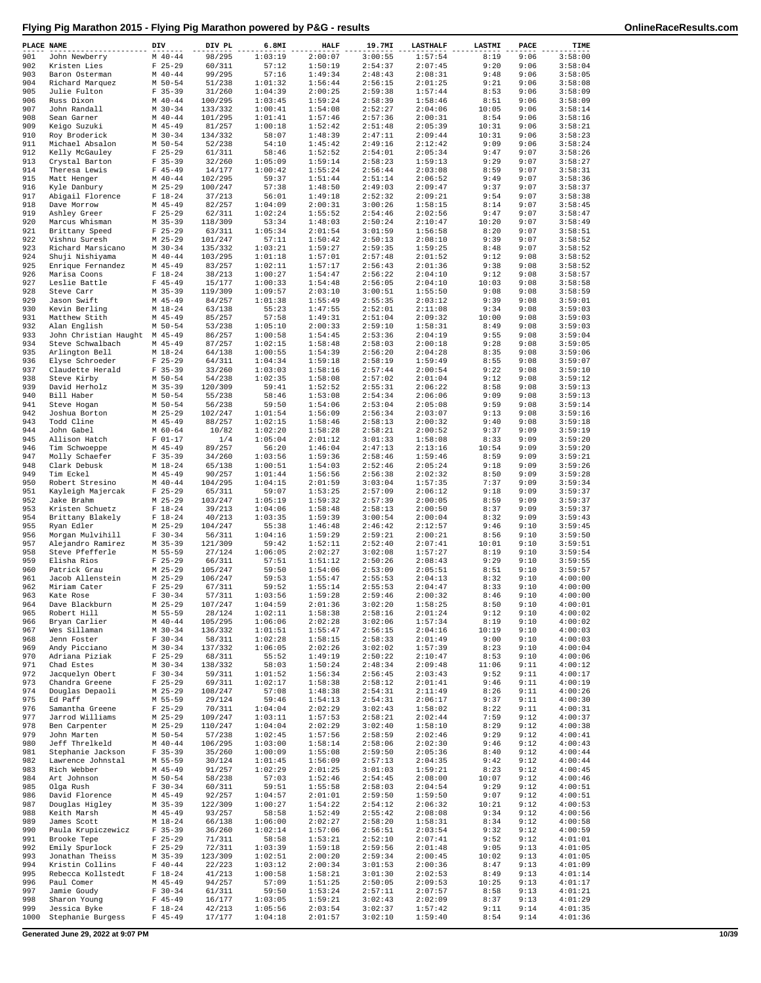| PLACE NAME  |                                       | DIV                      | DIV PL             | 6.8MI              | <b>HALF</b>        | 19.7MI             | <b>LASTHALF</b>    | LASTMI        | PACE         | TIME               |
|-------------|---------------------------------------|--------------------------|--------------------|--------------------|--------------------|--------------------|--------------------|---------------|--------------|--------------------|
| 901         | John Newberry                         | $M$ 40-44                | 98/295             | 1:03:19            | 2:00:07            | 3:00:55            | 1:57:54            | 8:19          | 9:06         | 3:58:00            |
| 902<br>903  | Kristen Lies<br>Baron Osterman        | $F$ 25-29<br>$M$ 40-44   | 60/311<br>99/295   | 57:12<br>57:16     | 1:50:19<br>1:49:34 | 2:54:37<br>2:48:43 | 2:07:45<br>2:08:31 | 9:20<br>9:48  | 9:06<br>9:06 | 3:58:04<br>3:58:05 |
| 904         | Richard Marquez                       | $M$ 50-54                | 51/238             | 1:01:32            | 1:56:44            | 2:56:15            | 2:01:25            | 9:21          | 9:06         | 3:58:08            |
| 905         | Julie Fulton                          | $F$ 35-39                | 31/260             | 1:04:39            | 2:00:25            | 2:59:38            | 1:57:44            | 8:53          | 9:06         | 3:58:09            |
| 906         | Russ Dixon                            | $M$ 40-44                | 100/295            | 1:03:45            | 1:59:24            | 2:58:39<br>2:52:27 | 1:58:46            | 8:51          | 9:06         | 3:58:09<br>3:58:14 |
| 907<br>908  | John Randall<br>Sean Garner           | $M$ 30-34<br>$M$ 40-44   | 133/332<br>101/295 | 1:00:41<br>1:01:41 | 1:54:08<br>1:57:46 | 2:57:36            | 2:04:06<br>2:00:31 | 10:05<br>8:54 | 9:06<br>9:06 | 3:58:16            |
| 909         | Keigo Suzuki                          | $M$ 45-49                | 81/257             | 1:00:18            | 1:52:42            | 2:51:48            | 2:05:39            | 10:31         | 9:06         | 3:58:21            |
| 910         | Roy Broderick                         | $M$ 30-34                | 134/332            | 58:07              | 1:48:39            | 2:47:11            | 2:09:44            | 10:31         | 9:06         | 3:58:23            |
| 911<br>912  | Michael Absalon                       | $M$ 50-54                | 52/238             | 54:10              | 1:45:42            | 2:49:16            | 2:12:42            | 9:09<br>9:47  | 9:06         | 3:58:24            |
| 913         | Kelly McGauley<br>Crystal Barton      | $F$ 25-29<br>$F$ 35-39   | 61/311<br>32/260   | 58:46<br>1:05:09   | 1:52:52<br>1:59:14 | 2:54:01<br>2:58:23 | 2:05:34<br>1:59:13 | 9:29          | 9:07<br>9:07 | 3:58:26<br>3:58:27 |
| 914         | Theresa Lewis                         | $F$ 45-49                | 14/177             | 1:00:42            | 1:55:24            | 2:56:44            | 2:03:08            | 8:59          | 9:07         | 3:58:31            |
| 915         | Matt Henger                           | $M$ 40-44                | 102/295            | 59:37              | 1:51:44            | 2:51:14            | 2:06:52            | 9:49          | 9:07         | 3:58:36            |
| 916         | Kyle Danbury                          | $M$ 25-29                | 100/247            | 57:38              | 1:48:50            | 2:49:03            | 2:09:47            | 9:37          | 9:07         | 3:58:37            |
| 917<br>918  | Abigail Florence<br>Dave Morrow       | $F 18 - 24$<br>$M$ 45-49 | 37/213<br>82/257   | 56:01<br>1:04:09   | 1:49:18<br>2:00:31 | 2:52:32<br>3:00:26 | 2:09:21<br>1:58:15 | 9:54<br>8:14  | 9:07<br>9:07 | 3:58:38<br>3:58:45 |
| 919         | Ashley Greer                          | $F$ 25-29                | 62/311             | 1:02:24            | 1:55:52            | 2:54:46            | 2:02:56            | 9:47          | 9:07         | 3:58:47            |
| 920         | Marcus Whisman                        | $M$ 35-39                | 118/309            | 53:34              | 1:48:03            | 2:50:24            | 2:10:47            | 10:20         | 9:07         | 3:58:49            |
| 921<br>922  | Brittany Speed                        | $F$ 25-29                | 63/311             | 1:05:34            | 2:01:54            | 3:01:59            | 1:56:58            | 8:20<br>9:39  | 9:07         | 3:58:51            |
| 923         | Vishnu Suresh<br>Richard Marsicano    | $M$ 25-29<br>$M$ 30-34   | 101/247<br>135/332 | 57:11<br>1:03:21   | 1:50:42<br>1:59:27 | 2:50:13<br>2:59:35 | 2:08:10<br>1:59:25 | 8:48          | 9:07<br>9:07 | 3:58:52<br>3:58:52 |
| 924         | Shuji Nishiyama                       | $M$ 40-44                | 103/295            | 1:01:18            | 1:57:01            | 2:57:48            | 2:01:52            | 9:12          | 9:08         | 3:58:52            |
| 925         | Enrique Fernandez                     | $M$ 45-49                | 83/257             | 1:02:11            | 1:57:17            | 2:56:43            | 2:01:36            | 9:38          | 9:08         | 3:58:52            |
| 926<br>927  | Marisa Coons<br>Leslie Battle         | $F 18-24$<br>$F$ 45-49   | 38/213<br>15/177   | 1:00:27<br>1:00:33 | 1:54:47<br>1:54:48 | 2:56:22<br>2:56:05 | 2:04:10<br>2:04:10 | 9:12<br>10:03 | 9:08<br>9:08 | 3:58:57<br>3:58:58 |
| 928         | Steve Carr                            | $M$ 35-39                | 119/309            | 1:09:57            | 2:03:10            | 3:00:51            | 1:55:50            | 9:08          | 9:08         | 3:58:59            |
| 929         | Jason Swift                           | $M$ 45-49                | 84/257             | 1:01:38            | 1:55:49            | 2:55:35            | 2:03:12            | 9:39          | 9:08         | 3:59:01            |
| 930         | Kevin Berling                         | $M$ 18-24                | 63/138             | 55:23              | 1:47:55            | 2:52:01            | 2:11:08            | 9:34          | 9:08         | 3:59:03            |
| 931<br>932  | Matthew Stith<br>Alan English         | $M$ 45-49<br>$M$ 50-54   | 85/257<br>53/238   | 57:58<br>1:05:10   | 1:49:31<br>2:00:33 | 2:51:04<br>2:59:10 | 2:09:32<br>1:58:31 | 10:00<br>8:49 | 9:08<br>9:08 | 3:59:03<br>3:59:03 |
| 933         | John Christian Haught M 45-49         |                          | 86/257             | 1:00:58            | 1:54:45            | 2:53:36            | 2:04:19            | 9:55          | 9:08         | 3:59:04            |
| 934         | Steve Schwalbach                      | $M$ 45-49                | 87/257             | 1:02:15            | 1:58:48            | 2:58:03            | 2:00:18            | 9:28          | 9:08         | 3:59:05            |
| 935         | Arlington Bell                        | $M_18-24$                | 64/138             | 1:00:55            | 1:54:39            | 2:56:20            | 2:04:28            | 8:35          | 9:08         | 3:59:06            |
| 936<br>937  | Elyse Schroeder                       | $F$ 25-29<br>$F$ 35-39   | 64/311             | 1:04:34<br>1:03:03 | 1:59:18            | 2:58:19<br>2:57:44 | 1:59:49            | 8:55<br>9:22  | 9:08<br>9:08 | 3:59:07<br>3:59:10 |
| 938         | Claudette Herald<br>Steve Kirby       | $M$ 50-54                | 33/260<br>54/238   | 1:02:35            | 1:58:16<br>1:58:08 | 2:57:02            | 2:00:54<br>2:01:04 | 9:12          | 9:08         | 3:59:12            |
| 939         | David Herholz                         | $M$ 35-39                | 120/309            | 59:41              | 1:52:52            | 2:55:31            | 2:06:22            | 8:58          | 9:08         | 3:59:13            |
| 940         | Bill Haber                            | $M$ 50-54                | 55/238             | 58:46              | 1:53:08            | 2:54:34            | 2:06:06            | 9:09          | 9:08         | 3:59:13            |
| 941<br>942  | Steve Hogan                           | $M$ 50-54                | 56/238             | 59:50              | 1:54:06            | 2:53:04            | 2:05:08<br>2:03:07 | 9:59          | 9:08<br>9:08 | 3:59:14            |
| 943         | Joshua Borton<br>Todd Cline           | $M$ 25-29<br>$M$ 45-49   | 102/247<br>88/257  | 1:01:54<br>1:02:15 | 1:56:09<br>1:58:46 | 2:56:34<br>2:58:13 | 2:00:32            | 9:13<br>9:40  | 9:08         | 3:59:16<br>3:59:18 |
| 944         | John Gabel                            | $M$ 60-64                | 10/82              | 1:02:20            | 1:58:28            | 2:58:21            | 2:00:52            | 9:37          | 9:09         | 3:59:19            |
| 945         | Allison Hatch                         | $F 01-17$                | 1/4                | 1:05:04            | 2:01:12            | 3:01:33            | 1:58:08            | 8:33          | 9:09         | 3:59:20            |
| 946         | Tim Schwoeppe                         | $M$ 45-49                | 89/257             | 56:20              | 1:46:04            | 2:47:13            | 2:13:16            | 10:54         | 9:09         | 3:59:20            |
| 947<br>948  | Molly Schaefer<br>Clark Debusk        | $F$ 35-39<br>$M_18-24$   | 34/260<br>65/138   | 1:03:56<br>1:00:51 | 1:59:36<br>1:54:03 | 2:58:46<br>2:52:46 | 1:59:46<br>2:05:24 | 8:59<br>9:18  | 9:09<br>9:09 | 3:59:21<br>3:59:26 |
| 949         | Tim Eckel                             | $M$ 45-49                | 90/257             | 1:01:44            | 1:56:56            | 2:56:38            | 2:02:32            | 8:50          | 9:09         | 3:59:28            |
| 950         | Robert Stresino                       | $M$ 40-44                | 104/295            | 1:04:15            | 2:01:59            | 3:03:04            | 1:57:35            | 7:37          | 9:09         | 3:59:34            |
| 951<br>952  | Kayleigh Majercak<br>Jake Brahm       | $F$ 25-29<br>$M$ 25-29   | 65/311             | 59:07<br>1:05:19   | 1:53:25<br>1:59:32 | 2:57:09<br>2:57:39 | 2:06:12<br>2:00:05 | 9:18<br>8:59  | 9:09<br>9:09 | 3:59:37<br>3:59:37 |
| 953         | Kristen Schuetz                       | $F 18-24$                | 103/247<br>39/213  | 1:04:06            | 1:58:48            | 2:58:13            | 2:00:50            | 8:37          | 9:09         | 3:59:37            |
| 954         | Brittany Blakely                      | $F 18-24$                | 40/213             | 1:03:35            | 1:59:39            | 3:00:54            | 2:00:04            | 8:32          | 9:09         | 3:59:43            |
| 955         | Ryan Edler                            | $M$ 25-29                | 104/247            | 55:38              | 1:46:48            | 2:46:42            | 2:12:57            | 9:46          | 9:10         | 3:59:45            |
| 956<br>957  | Morgan Mulvihill<br>Alejandro Ramirez | $F 30-34$<br>$M$ 35-39   | 56/311<br>121/309  | 1:04:16<br>59:42   | 1:59:29<br>1:52:11 | 2:59:21<br>2:52:40 | 2:00:21<br>2:07:41 | 8:56<br>10:01 | 9:10<br>9:10 | 3:59:50<br>3:59:51 |
| 958         | Steve Pfefferle                       | M 55-59                  | 27/124             | 1:06:05            | 2:02:27            | 3:02:08            | 1:57:27            | 8:19          | 9:10         | 3:59:54            |
| 959         | Elisha Rios                           | $F$ 25-29                | 66/311             | 57:51              | 1:51:12            | 2:50:26            | 2:08:43            | 9:29          | 9:10         | 3:59:55            |
| 960         | Patrick Grau                          | $M$ 25-29                | 105/247            | 59:50              | 1:54:06            | 2:53:09            | 2:05:51            | 8:51          | 9:10         | 3:59:57            |
| 961<br>962  | Jacob Allenstein<br>Miriam Cater      | $M$ 25-29<br>$F$ 25-29   | 106/247<br>67/311  | 59:53<br>59:52     | 1:55:47<br>1:55:14 | 2:55:53<br>2:55:53 | 2:04:13<br>2:04:47 | 8:32<br>8:33  | 9:10<br>9:10 | 4:00:00<br>4:00:00 |
| 963         | Kate Rose                             | $F 30-34$                | 57/311             | 1:03:56            | 1:59:28            | 2:59:46            | 2:00:32            | 8:46          | 9:10         | 4:00:00            |
| 964         | Dave Blackburn                        | $M$ 25-29                | 107/247            | 1:04:59            | 2:01:36            | 3:02:20            | 1:58:25            | 8:50          | 9:10         | 4:00:01            |
| 965         | Robert Hill                           | M 55-59                  | 28/124             | 1:02:11            | 1:58:38            | 2:58:16            | 2:01:24            | 9:12          | 9:10         | 4:00:02            |
| 966<br>967  | Bryan Carlier<br>Wes Sillaman         | $M$ 40-44<br>$M$ 30-34   | 105/295<br>136/332 | 1:06:06<br>1:01:51 | 2:02:28<br>1:55:47 | 3:02:06<br>2:56:15 | 1:57:34<br>2:04:16 | 8:19<br>10:19 | 9:10<br>9:10 | 4:00:02<br>4:00:03 |
| 968         | Jenn Foster                           | $F 30-34$                | 58/311             | 1:02:28            | 1:58:15            | 2:58:33            | 2:01:49            | 9:00          | 9:10         | 4:00:03            |
| 969         | Andy Picciano                         | $M$ 30-34                | 137/332            | 1:06:05            | 2:02:26            | 3:02:02            | 1:57:39            | 8:23          | 9:10         | 4:00:04            |
| 970<br>971  | Adriana Piziak<br>Chad Estes          | $F$ 25-29<br>$M$ 30-34   | 68/311<br>138/332  | 55:52<br>58:03     | 1:49:19<br>1:50:24 | 2:50:22<br>2:48:34 | 2:10:47<br>2:09:48 | 8:53<br>11:06 | 9:10<br>9:11 | 4:00:06<br>4:00:12 |
| 972         | Jacquelyn Obert                       | $F 30-34$                | 59/311             | 1:01:52            | 1:56:34            | 2:56:45            | 2:03:43            | 9:52          | 9:11         | 4:00:17            |
| 973         | Chandra Greene                        | $F$ 25-29                | 69/311             | 1:02:17            | 1:58:38            | 2:58:12            | 2:01:41            | 9:46          | 9:11         | 4:00:19            |
| 974         | Douglas Depaoli                       | $M$ 25-29                | 108/247            | 57:08              | 1:48:38            | 2:54:31            | 2:11:49            | 8:26          | 9:11         | 4:00:26            |
| 975<br>976  | Ed Paff<br>Samantha Greene            | M 55-59<br>$F$ 25-29     | 29/124<br>70/311   | 59:46<br>1:04:04   | 1:54:13<br>2:02:29 | 2:54:31<br>3:02:43 | 2:06:17<br>1:58:02 | 9:37<br>8:22  | 9:11<br>9:11 | 4:00:30<br>4:00:31 |
| 977         | Jarrod Williams                       | $M$ 25-29                | 109/247            | 1:03:11            | 1:57:53            | 2:58:21            | 2:02:44            | 7:59          | 9:12         | 4:00:37            |
| 978         | Ben Carpenter                         | $M$ 25-29                | 110/247            | 1:04:04            | 2:02:29            | 3:02:40            | 1:58:10            | 8:29          | 9:12         | 4:00:38            |
| 979         | John Marten                           | M 50-54                  | 57/238             | 1:02:45            | 1:57:56            | 2:58:59            | 2:02:46            | 9:29          | 9:12         | 4:00:41            |
| 980<br>981  | Jeff Threlkeld<br>Stephanie Jackson   | $M$ 40-44<br>$F$ 35-39   | 106/295<br>35/260  | 1:03:00<br>1:00:09 | 1:58:14<br>1:55:08 | 2:58:06<br>2:59:50 | 2:02:30<br>2:05:36 | 9:46<br>8:40  | 9:12<br>9:12 | 4:00:43<br>4:00:44 |
| 982         | Lawrence Johnstal                     | M 55-59                  | 30/124             | 1:01:45            | 1:56:09            | 2:57:13            | 2:04:35            | 9:42          | 9:12         | 4:00:44            |
| 983         | Rich Webber                           | $M$ 45-49                | 91/257             | 1:02:29            | 2:01:25            | 3:01:03            | 1:59:21            | 8:23          | 9:12         | 4:00:45            |
| 984         | Art Johnson                           | M 50-54                  | 58/238             | 57:03              | 1:52:46            | 2:54:45            | 2:08:00            | 10:07         | 9:12         | 4:00:46            |
| 985<br>986  | Olga Rush<br>David Florence           | $F 30-34$<br>$M$ 45-49   | 60/311<br>92/257   | 59:51<br>1:04:57   | 1:55:58<br>2:01:01 | 2:58:03<br>2:59:50 | 2:04:54<br>1:59:50 | 9:29<br>9:07  | 9:12<br>9:12 | 4:00:51<br>4:00:51 |
| 987         | Douglas Higley                        | M 35-39                  | 122/309            | 1:00:27            | 1:54:22            | 2:54:12            | 2:06:32            | 10:21         | 9:12         | 4:00:53            |
| 988         | Keith Marsh                           | M 45-49                  | 93/257             | 58:58              | 1:52:49            | 2:55:42            | 2:08:08            | 9:34          | 9:12         | 4:00:56            |
| 989         | James Scott                           | $M$ 18-24                | 66/138             | 1:06:00            | 2:02:27            | 2:58:20            | 1:58:31            | 8:34          | 9:12         | 4:00:58            |
| 990<br>991  | Paula Krupiczewicz<br>Brooke Tepe     | $F$ 35-39<br>$F$ 25-29   | 36/260<br>71/311   | 1:02:14<br>58:58   | 1:57:06<br>1:53:21 | 2:56:51<br>2:52:10 | 2:03:54<br>2:07:41 | 9:32<br>9:52  | 9:12<br>9:12 | 4:00:59<br>4:01:01 |
| 992         | Emily Spurlock                        | $F$ 25-29                | 72/311             | 1:03:39            | 1:59:18            | 2:59:56            | 2:01:48            | 9:05          | 9:13         | 4:01:05            |
| 993         | Jonathan Theiss                       | M 35-39                  | 123/309            | 1:02:51            | 2:00:20            | 2:59:34            | 2:00:45            | 10:02         | 9:13         | 4:01:05            |
| 994         | Kristin Collins                       | $F 40 - 44$              | 22/223             | 1:03:12            | 2:00:34            | 3:01:53            | 2:00:36            | 8:47          | 9:13         | 4:01:09            |
| 995<br>996  | Rebecca Kollstedt<br>Paul Comer       | $F 18 - 24$<br>$M$ 45-49 | 41/213<br>94/257   | 1:00:58<br>57:09   | 1:58:21<br>1:51:25 | 3:01:30<br>2:50:05 | 2:02:53<br>2:09:53 | 8:49<br>10:25 | 9:13<br>9:13 | 4:01:14<br>4:01:17 |
| 997         | Jamie Goudy                           | $F 30-34$                | 61/311             | 59:50              | 1:53:24            | 2:57:11            | 2:07:57            | 8:58          | 9:13         | 4:01:21            |
| 998         | Sharon Young                          | F<br>$45 - 49$           | 16/177             | 1:03:05            | 1:59:21            | 3:02:43            | 2:02:09            | 8:37          | 9:13         | 4:01:29            |
| 999<br>1000 | Jessica Byke                          | $F 18-24$                | 42/213             | 1:05:56            | 2:03:54            | 3:02:37            | 1:57:42            | 9:11          | 9:14<br>9:14 | 4:01:35<br>4:01:36 |
|             | Stephanie Burgess                     | $F$ 45-49                | 17/177             | 1:04:18            | 2:01:57            | 3:02:10            | 1:59:40            | 8:54          |              |                    |

**Generated June 29, 2022 at 9:07 PM 10/39**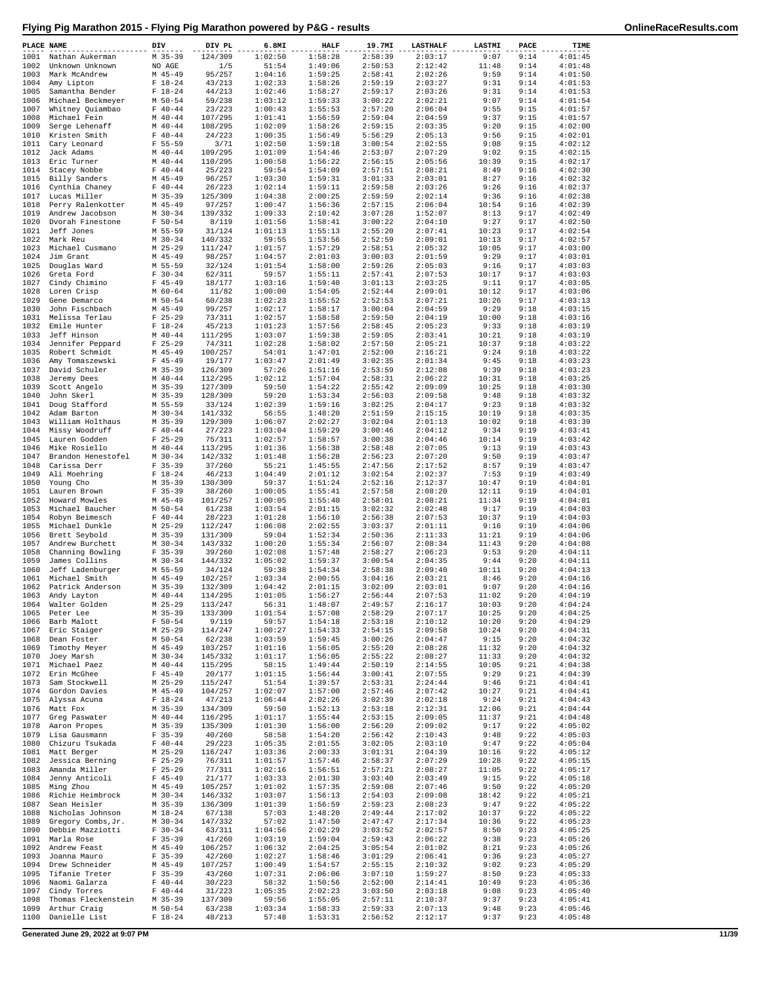| PLACE NAME   |                                        | DIV                      | DIV PL             | 6.8MI              | <b>HALF</b>        | 19.7MI             | <b>LASTHALF</b>    | LASTMI         | PACE         | TIME               |
|--------------|----------------------------------------|--------------------------|--------------------|--------------------|--------------------|--------------------|--------------------|----------------|--------------|--------------------|
| 1001         | Nathan Aukerman                        | $M$ 35-39                | 124/309            | 1:02:50            | 1:58:28            | 2:58:39            | 2:03:17            | 9:07           | 9:14         | 4:01:45            |
| 1002         | Unknown Unknown                        | NO AGE                   | 1/5                | 51:54              | 1:49:06            | 2:50:53            | 2:12:42            | 11:48          | 9:14         | 4:01:48            |
| 1003         | Mark McAndrew                          | $M$ 45-49                | 95/257             | 1:04:16            | 1:59:25            | 2:58:41            | 2:02:26            | 9:59           | 9:14         | 4:01:50            |
| 1004         | Amy Lipton                             | $F 18-24$                | 43/213             | 1:02:33            | 1:58:26            | 2:59:19            | 2:03:27            | 9:31           | 9:14         | 4:01:53            |
| 1005<br>1006 | Samantha Bender<br>Michael Beckmeyer   | $F 18-24$<br>$M$ 50-54   | 44/213<br>59/238   | 1:02:46<br>1:03:12 | 1:58:27<br>1:59:33 | 2:59:17<br>3:00:22 | 2:03:26<br>2:02:21 | 9:31<br>9:07   | 9:14<br>9:14 | 4:01:53<br>4:01:54 |
| 1007         | Whitney Quiambao                       | $F 40 - 44$              | 23/223             | 1:00:43            | 1:55:53            | 2:57:20            | 2:06:04            | 9:55           | 9:15         | 4:01:57            |
| 1008         | Michael Fein                           | $M$ 40-44                | 107/295            | 1:01:41            | 1:56:59            | 2:59:04            | 2:04:59            | 9:37           | 9:15         | 4:01:57            |
| 1009         | Serge Lehenaff                         | $M$ 40-44                | 108/295            | 1:02:09            | 1:58:26            | 2:59:15            | 2:03:35            | 9:20           | 9:15         | 4:02:00            |
| 1010         | Kristen Smith                          | $F 40 - 44$              | 24/223             | 1:00:35            | 1:56:49            | 5:56:29            | 2:05:13            | 9:56           | 9:15         | 4:02:01            |
| 1011         | Cary Leonard                           | $F 55 - 59$              | 3/71               | 1:02:50            | 1:59:18            | 3:00:54            | 2:02:55            | 9:08           | 9:15         | 4:02:12            |
| 1012         | Jack Adams                             | $M$ 40-44                | 109/295            | 1:01:09            | 1:54:46            | 2:53:07            | 2:07:29            | 9:02           | 9:15         | 4:02:15            |
| 1013<br>1014 | Eric Turner<br>Stacey Nobbe            | $M$ 40-44<br>$F 40 - 44$ | 110/295<br>25/223  | 1:00:58<br>59:54   | 1:56:22<br>1:54:09 | 2:56:15<br>2:57:51 | 2:05:56<br>2:08:21 | 10:39<br>8:49  | 9:15<br>9:16 | 4:02:17<br>4:02:30 |
| 1015         | Billy Sanders                          | $M$ 45-49                | 96/257             | 1:03:30            | 1:59:31            | 3:01:33            | 2:03:01            | 8:27           | 9:16         | 4:02:32            |
| 1016         | Cynthia Chaney                         | $F 40 - 44$              | 26/223             | 1:02:14            | 1:59:11            | 2:59:58            | 2:03:26            | 9:26           | 9:16         | 4:02:37            |
| 1017         | Lucas Miller                           | $M$ 35-39                | 125/309            | 1:04:38            | 2:00:25            | 2:59:59            | 2:02:14            | 9:36           | 9:16         | 4:02:38            |
| 1018         | Perry Ralenkotter                      | $M$ 45-49                | 97/257             | 1:00:47            | 1:56:36            | 2:57:15            | 2:06:04            | 10:54          | 9:16         | 4:02:39            |
| 1019         | Andrew Jacobson                        | $M$ 30-34                | 139/332            | 1:09:33            | 2:10:42            | 3:07:28            | 1:52:07            | 8:13           | 9:17         | 4:02:49            |
| 1020         | Dvorah Finestone                       | $F 50 - 54$              | 8/119              | 1:01:56            | 1:58:41            | 3:00:22            | 2:04:10            | 9:27           | 9:17         | 4:02:50            |
| 1021         | Jeff Jones                             | M 55-59                  | 31/124             | 1:01:13            | 1:55:13            | 2:55:20            | 2:07:41            | 10:23          | 9:17         | 4:02:54            |
| 1022<br>1023 | Mark Reu<br>Michael Cusmano            | $M$ 30-34<br>$M$ 25-29   | 140/332<br>111/247 | 59:55<br>1:01:57   | 1:53:56<br>1:57:29 | 2:52:59<br>2:58:51 | 2:09:01<br>2:05:32 | 10:13<br>10:05 | 9:17<br>9:17 | 4:02:57<br>4:03:00 |
| 1024         | Jim Grant                              | $M$ 45-49                | 98/257             | 1:04:57            | 2:01:03            | 3:00:03            | 2:01:59            | 9:29           | 9:17         | 4:03:01            |
| 1025         | Douglas Ward                           | M 55-59                  | 32/124             | 1:01:54            | 1:58:00            | 2:59:26            | 2:05:03            | 9:16           | 9:17         | 4:03:03            |
| 1026         | Greta Ford                             | $F 30-34$                | 62/311             | 59:57              | 1:55:11            | 2:57:41            | 2:07:53            | 10:17          | 9:17         | 4:03:03            |
| 1027         | Cindy Chimino                          | $F$ 45-49                | 18/177             | 1:03:16            | 1:59:40            | 3:01:13            | 2:03:25            | 9:11           | 9:17         | 4:03:05            |
| 1028         | Loren Crisp                            | M 60-64                  | 11/82              | 1:00:00            | 1:54:05            | 2:52:44            | 2:09:01            | 10:12          | 9:17         | 4:03:06            |
| 1029         | Gene Demarco                           | $M$ 50-54                | 60/238             | 1:02:23            | 1:55:52            | 2:52:53            | 2:07:21            | 10:26          | 9:17         | 4:03:13            |
| 1030         | John Fischbach<br>Melissa Terlau       | $M$ 45-49                | 99/257<br>73/311   | 1:02:17            | 1:58:17            | 3:00:04            | 2:04:59            | 9:29<br>10:00  | 9:18         | 4:03:15            |
| 1031<br>1032 | Emile Hunter                           | $F$ 25-29<br>$F 18-24$   | 45/213             | 1:02:57<br>1:01:23 | 1:58:58<br>1:57:56 | 2:59:50<br>2:58:45 | 2:04:19<br>2:05:23 | 9:33           | 9:18<br>9:18 | 4:03:16<br>4:03:19 |
| 1033         | Jeff Hinson                            | $M$ 40-44                | 111/295            | 1:03:07            | 1:59:38            | 2:59:05            | 2:03:41            | 10:21          | 9:18         | 4:03:19            |
| 1034         | Jennifer Peppard                       | $F$ 25-29                | 74/311             | 1:02:28            | 1:58:02            | 2:57:50            | 2:05:21            | 10:37          | 9:18         | 4:03:22            |
| 1035         | Robert Schmidt                         | $M$ 45-49                | 100/257            | 54:01              | 1:47:01            | 2:52:00            | 2:16:21            | 9:24           | 9:18         | 4:03:22            |
| 1036         | Amy Tomaszewski                        | $F$ 45-49                | 19/177             | 1:03:47            | 2:01:49            | 3:02:35            | 2:01:34            | 9:45           | 9:18         | 4:03:23            |
| 1037         | David Schuler                          | $M$ 35-39                | 126/309            | 57:26              | 1:51:16            | 2:53:59            | 2:12:08            | 9:39           | 9:18         | 4:03:23            |
| 1038         | Jeremy Dees                            | $M$ 40-44                | 112/295            | 1:02:12            | 1:57:04            | 2:58:31            | 2:06:22            | 10:31          | 9:18         | 4:03:25            |
| 1039         | Scott Angelo                           | $M$ 35-39                | 127/309            | 59:50              | 1:54:22            | 2:55:42            | 2:09:09            | 10:25          | 9:18         | 4:03:30            |
| 1040         | John Skerl                             | $M$ 35-39                | 128/309            | 59:20              | 1:53:34            | 2:56:03            | 2:09:58            | 9:48           | 9:18         | 4:03:32            |
| 1041<br>1042 | Doug Stafford<br>Adam Barton           | M 55-59<br>$M$ 30-34     | 33/124<br>141/332  | 1:02:39<br>56:55   | 1:59:16<br>1:48:20 | 3:02:25<br>2:51:59 | 2:04:17<br>2:15:15 | 9:23<br>10:19  | 9:18<br>9:18 | 4:03:32<br>4:03:35 |
| 1043         | William Holthaus                       | $M$ 35-39                | 129/309            | 1:06:07            | 2:02:27            | 3:02:04            | 2:01:13            | 10:02          | 9:18         | 4:03:39            |
| 1044         | Missy Woodruff                         | $F 40 - 44$              | 27/223             | 1:03:04            | 1:59:29            | 3:00:46            | 2:04:12            | 9:34           | 9:19         | 4:03:41            |
| 1045         | Lauren Godden                          | $F$ 25-29                | 75/311             | 1:02:57            | 1:58:57            | 3:00:38            | 2:04:46            | 10:14          | 9:19         | 4:03:42            |
| 1046         | Mike Rosiello                          | $M$ 40-44                | 113/295            | 1:01:36            | 1:56:38            | 2:58:48            | 2:07:05            | 9:13           | 9:19         | 4:03:43            |
| 1047         | Brandon Henestofel                     | $M$ 30-34                | 142/332            | 1:01:48            | 1:56:28            | 2:56:23            | 2:07:20            | 9:50           | 9:19         | 4:03:47            |
| 1048         | Carissa Derr                           | $F$ 35-39                | 37/260             | 55:21              | 1:45:55            | 2:47:56            | 2:17:52            | 8:57           | 9:19         | 4:03:47            |
| 1049<br>1050 | Ali Moehring<br>Young Cho              | $F 18-24$<br>$M$ 35-39   | 46/213<br>130/309  | 1:04:49<br>59:37   | 2:01:12<br>1:51:24 | 3:02:54<br>2:52:16 | 2:02:37<br>2:12:37 | 7:53<br>10:47  | 9:19<br>9:19 | 4:03:49<br>4:04:01 |
| 1051         | Lauren Brown                           | $F$ 35-39                | 38/260             | 1:00:05            | 1:55:41            | 2:57:58            | 2:08:20            | 12:11          | 9:19         | 4:04:01            |
| 1052         | Howard Mowles                          | $M$ 45-49                | 101/257            | 1:00:05            | 1:55:40            | 2:58:01            | 2:08:21            | 11:34          | 9:19         | 4:04:01            |
| 1053         | Michael Baucher                        | $M$ 50-54                | 61/238             | 1:03:54            | 2:01:15            | 3:02:32            | 2:02:48            | 9:17           | 9:19         | 4:04:03            |
| 1054         | Robyn Beimesch                         | $F 40 - 44$              | 28/223             | 1:01:28            | 1:56:10            | 2:56:38            | 2:07:53            | 10:37          | 9:19         | 4:04:03            |
| 1055         | Michael Dunkle                         | $M$ 25-29                | 112/247            | 1:06:08            | 2:02:55            | 3:03:37            | 2:01:11            | 9:16           | 9:19         | 4:04:06            |
| 1056         | Brett Seybold                          | $M$ 35-39                | 131/309            | 59:04              | 1:52:34            | 2:50:36            | 2:11:33            | 11:21          | 9:19         | 4:04:06            |
| 1057<br>1058 | Andrew Burchett                        | $M$ 30-34<br>$F$ 35-39   | 143/332<br>39/260  | 1:00:20<br>1:02:08 | 1:55:34<br>1:57:48 | 2:56:07<br>2:58:27 | 2:08:34<br>2:06:23 | 11:43<br>9:53  | 9:20<br>9:20 | 4:04:08<br>4:04:11 |
| 1059         | Channing Bowling<br>James Collins      | $M$ 30-34                | 144/332            | 1:05:02            | 1:59:37            | 3:00:54            | 2:04:35            | 9:44           | 9:20         | 4:04:11            |
| 1060         | Jeff Ladenburger                       | M 55-59                  | 34/124             | 59:38              | 1:54:34            | 2:58:38            | 2:09:40            | 10:11          | 9:20         | 4:04:13            |
| 1061         | Michael Smith                          | $M$ 45-49                | 102/257            | 1:03:34            | 2:00:55            | 3:04:16            | 2:03:21            | 8:46           | 9:20         | 4:04:16            |
| 1062         | Patrick Anderson                       | $M$ 35-39                | 132/309            | 1:04:42            | 2:01:15            | 3:02:09            | 2:03:01            | 9:07           | 9:20         | 4:04:16            |
|              | 1063 Andy Layton                       | $M$ 40-44                | 114/295            | 1:01:05            | 1:56:27            | 2:56:44            | 2:07:53            | 11:02          | 9:20         | 4:04:19            |
| 1064         | Walter Golden                          | $M$ 25-29                | 113/247            | 56:31              | 1:48:07            | 2:49:57            | 2:16:17            | 10:03          | 9:20         | 4:04:24            |
| 1065<br>1066 | Peter Lee<br>Barb Malott               | $M$ 35-39<br>$F 50 - 54$ | 133/309<br>9/119   | 1:01:54<br>59:57   | 1:57:08<br>1:54:18 | 2:58:29<br>2:53:18 | 2:07:17<br>2:10:12 | 10:25<br>10:20 | 9:20<br>9:20 | 4:04:25<br>4:04:29 |
| 1067         | Eric Staiger                           | $M$ 25-29                | 114/247            | 1:00:27            | 1:54:33            | 2:54:15            | 2:09:58            | 10:24          | 9:20         | 4:04:31            |
| 1068         | Dean Foster                            | $M$ 50-54                | 62/238             | 1:03:59            | 1:59:45            | 3:00:26            | 2:04:47            | 9:15           | 9:20         | 4:04:32            |
| 1069         | Timothy Meyer                          | $M$ 45-49                | 103/257            | 1:01:16            | 1:56:05            | 2:55:20            | 2:08:28            | 11:32          | 9:20         | 4:04:32            |
| 1070         | Joey Marsh                             | $M$ 30-34                | 145/332            | 1:01:17            | 1:56:05            | 2:55:22            | 2:08:27            | 11:33          | 9:20         | 4:04:32            |
| 1071         | Michael Paez                           | $M$ 40-44                | 115/295            | 58:15              | 1:49:44            | 2:50:19            | 2:14:55            | 10:05          | 9:21         | 4:04:38            |
| 1072         | Erin McGhee                            | $F$ 45-49                | 20/177             | 1:01:15            | 1:56:44            | 3:00:41            | 2:07:55            | 9:29           | 9:21         | 4:04:39            |
| 1073<br>1074 | Sam Stockwell<br>Gordon Davies         | $M$ 25-29<br>$M$ 45-49   | 115/247<br>104/257 | 51:54<br>1:02:07   | 1:39:57<br>1:57:00 | 2:53:31<br>2:57:46 | 2:24:44<br>2:07:42 | 9:46<br>10:27  | 9:21<br>9:21 | 4:04:41<br>4:04:41 |
| 1075         | Alyssa Acuna                           | $F 18-24$                | 47/213             | 1:06:44            | 2:02:26            | 3:02:39            | 2:02:18            | 9:24           | 9:21         | 4:04:43            |
| 1076         | Matt Fox                               | M 35-39                  | 134/309            | 59:50              | 1:52:13            | 2:53:18            | 2:12:31            | 12:06          | 9:21         | 4:04:44            |
| 1077         | Greg Paswater                          | $M$ 40-44                | 116/295            | 1:01:17            | 1:55:44            | 2:53:15            | 2:09:05            | 11:37          | 9:21         | 4:04:48            |
| 1078         | Aaron Propes                           | $M$ 35-39                | 135/309            | 1:01:30            | 1:56:00            | 2:56:20            | 2:09:02            | 9:17           | 9:22         | 4:05:02            |
| 1079         | Lisa Gausmann                          | $F$ 35-39                | 40/260             | 58:58              | 1:54:20            | 2:56:42            | 2:10:43            | 9:48           | 9:22         | 4:05:03            |
| 1080         | Chizuru Tsukada                        | $F 40 - 44$              | 29/223             | 1:05:35            | 2:01:55            | 3:02:05            | 2:03:10            | 9:47           | 9:22         | 4:05:04            |
| 1081<br>1082 | Matt Berger                            | $M$ 25-29                | 116/247            | 1:03:36            | 2:00:33            | 3:01:31            | 2:04:39            | 10:16          | 9:22<br>9:22 | 4:05:12<br>4:05:15 |
| 1083         | Jessica Berning<br>Amanda Miller       | $F$ 25-29<br>$F$ 25-29   | 76/311<br>77/311   | 1:01:57<br>1:02:16 | 1:57:46<br>1:56:51 | 2:58:37<br>2:57:21 | 2:07:29<br>2:08:27 | 10:28<br>11:05 | 9:22         | 4:05:17            |
| 1084         | Jenny Anticoli                         | $F$ 45-49                | 21/177             | 1:03:33            | 2:01:30            | 3:03:40            | 2:03:49            | 9:15           | 9:22         | 4:05:18            |
| 1085         | Ming Zhou                              | $M$ 45-49                | 105/257            | 1:01:02            | 1:57:35            | 2:59:08            | 2:07:46            | 9:50           | 9:22         | 4:05:20            |
| 1086         | Richie Heimbrock                       | $M$ 30-34                | 146/332            | 1:03:07            | 1:56:13            | 2:54:03            | 2:09:08            | 18:42          | 9:22         | 4:05:21            |
| 1087         | Sean Heisler                           | $M$ 35-39                | 136/309            | 1:01:39            | 1:56:59            | 2:59:23            | 2:08:23            | 9:47           | 9:22         | 4:05:22            |
| 1088         | Nicholas Johnson                       | M 18-24                  | 67/138             | 57:03              | 1:48:20            | 2:49:44            | 2:17:02            | 10:37          | 9:22         | 4:05:22            |
| 1089<br>1090 | Gregory Combs, Jr.<br>Debbie Mazziotti | $M$ 30-34<br>$F 30-34$   | 147/332            | 57:02<br>1:04:56   | 1:47:50<br>2:02:29 | 2:47:47<br>3:03:52 | 2:17:34<br>2:02:57 | 10:36<br>8:50  | 9:22<br>9:23 | 4:05:23<br>4:05:25 |
| 1091         | Marla Rose                             | $F$ 35-39                | 63/311<br>41/260   | 1:03:19            | 1:59:04            | 2:59:43            | 2:06:22            | 9:38           | 9:23         | 4:05:26            |
| 1092         | Andrew Feast                           | $M$ 45-49                | 106/257            | 1:06:32            | 2:04:25            | 3:05:54            | 2:01:02            | 8:21           | 9:23         | 4:05:26            |
| 1093         | Joanna Mauro                           | $F$ 35-39                | 42/260             | 1:02:27            | 1:58:46            | 3:01:29            | 2:06:41            | 9:36           | 9:23         | 4:05:27            |
| 1094         | Drew Schneider                         | $M$ 45-49                | 107/257            | 1:00:49            | 1:54:57            | 2:55:15            | 2:10:32            | 9:02           | 9:23         | 4:05:29            |
| 1095         | Tifanie Treter                         | $F$ 35-39                | 43/260             | 1:07:31            | 2:06:06            | 3:07:10            | 1:59:27            | 8:50           | 9:23         | 4:05:33            |
| 1096         | Naomi Galarza                          | $F 40 - 44$              | 30/223             | 58:32              | 1:50:56            | 2:52:00            | 2:14:41            | 10:49          | 9:23         | 4:05:36            |
| 1097         | Cindy Torres                           | $F 40 - 44$              | 31/223             | 1:05:35            | 2:02:23            | 3:03:50            | 2:03:18            | 9:08           | 9:23         | 4:05:40<br>4:05:41 |
| 1098<br>1099 | Thomas Fleckenstein<br>Arthur Craig    | $M$ 35-39<br>$M$ 50-54   | 137/309<br>63/238  | 59:56<br>1:03:34   | 1:55:05<br>1:58:33 | 2:57:11<br>2:59:33 | 2:10:37<br>2:07:13 | 9:37<br>9:48   | 9:23<br>9:23 | 4:05:46            |
| 1100         | Danielle List                          | $F 18-24$                | 48/213             | 57:48              | 1:53:31            | 2:56:52            | 2:12:17            | 9:37           | 9:23         | 4:05:48            |
|              |                                        |                          |                    |                    |                    |                    |                    |                |              |                    |

**Generated June 29, 2022 at 9:07 PM 11/39**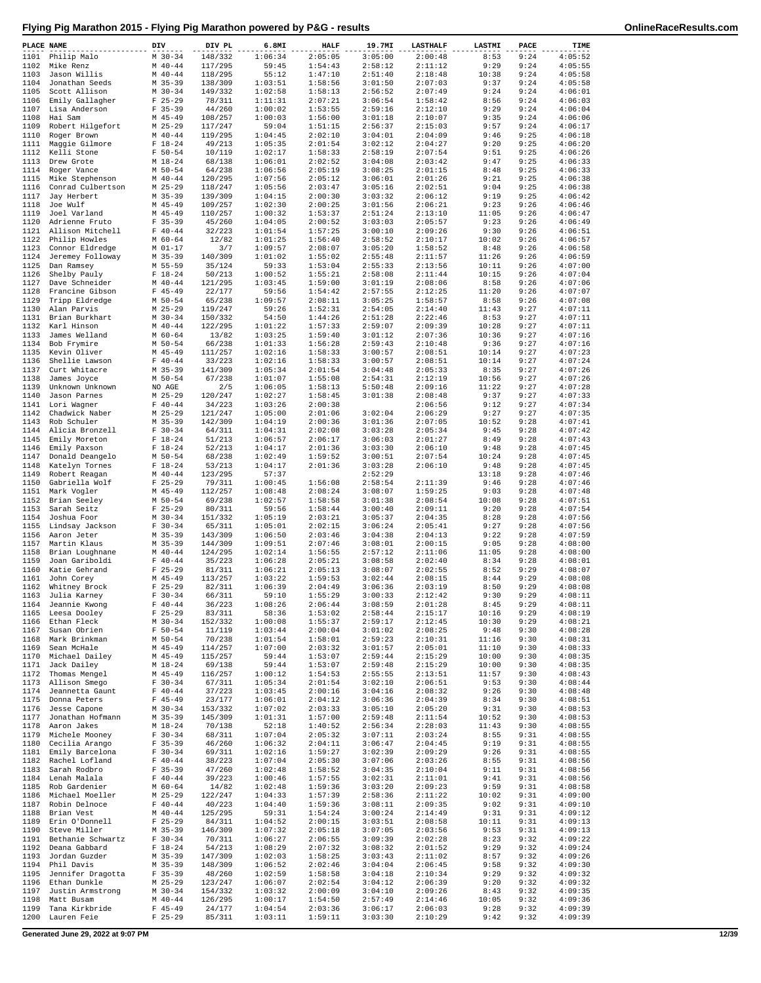|  | Flying Pig Marathon 2015 - Flying Pig Marathon powered by P&G - results |  |  |  |  |  |
|--|-------------------------------------------------------------------------|--|--|--|--|--|
|  |                                                                         |  |  |  |  |  |

| PLACE NAME   |                                     | DIV                      | DIV PL             | 6.8MI              | <b>HALF</b>        | 19.7MI             | <b>LASTHALF</b>    | LASTMI         | PACE         | TIME               |
|--------------|-------------------------------------|--------------------------|--------------------|--------------------|--------------------|--------------------|--------------------|----------------|--------------|--------------------|
| 1101         | Philip Malo                         | $M$ 30-34                | 148/332            | 1:06:34            | 2:05:05            | 3:05:00            | 2:00:48            | 8:53           | 9:24         | 4:05:52            |
| 1102         | Mike Renz                           | $M$ 40-44                | 117/295            | 59:45              | 1:54:43            | 2:58:12            | 2:11:12            | 9:29           | 9:24         | 4:05:55            |
| 1103         | Jason Willis                        | $M$ 40-44                | 118/295            | 55:12              | 1:47:10            | 2:51:40            | 2:18:48            | 10:38          | 9:24         | 4:05:58            |
| 1104         | Jonathan Seeds                      | $M$ 35-39                | 138/309            | 1:03:51            | 1:58:56            | 3:01:50            | 2:07:03            | 9:37           | 9:24         | 4:05:58            |
| 1105<br>1106 | Scott Allison<br>Emily Gallagher    | $M$ 30-34<br>$F$ 25-29   | 149/332<br>78/311  | 1:02:58<br>1:11:31 | 1:58:13<br>2:07:21 | 2:56:52<br>3:06:54 | 2:07:49<br>1:58:42 | 9:24<br>8:56   | 9:24<br>9:24 | 4:06:01<br>4:06:03 |
| 1107         | Lisa Anderson                       | $F$ 35-39                | 44/260             | 1:00:02            | 1:53:55            | 2:59:16            | 2:12:10            | 9:29           | 9:24         | 4:06:04            |
| 1108         | Hai Sam                             | $M$ 45-49                | 108/257            | 1:00:03            | 1:56:00            | 3:01:18            | 2:10:07            | 9:35           | 9:24         | 4:06:06            |
| 1109         | Robert Hilgefort                    | $M$ 25-29                | 117/247            | 59:04              | 1:51:15            | 2:56:37            | 2:15:03            | 9:57           | 9:24         | 4:06:17            |
| 1110         | Roger Brown                         | $M$ 40-44                | 119/295            | 1:04:45            | 2:02:10            | 3:04:01            | 2:04:09            | 9:46           | 9:25         | 4:06:18            |
| 1111         | Maggie Gilmore                      | $F 18-24$                | 49/213             | 1:05:35            | 2:01:54            | 3:02:12            | 2:04:27            | 9:20           | 9:25         | 4:06:20            |
| 1112         | Kelli Stone                         | $F 50 - 54$              | 10/119             | 1:02:17            | 1:58:33            | 2:58:19            | 2:07:54            | 9:51           | 9:25         | 4:06:26            |
| 1113         | Drew Grote                          | $M_18-24$                | 68/138             | 1:06:01            | 2:02:52            | 3:04:08            | 2:03:42            | 9:47           | 9:25         | 4:06:33            |
| 1114<br>1115 | Roger Vance<br>Mike Stephenson      | $M$ 50-54<br>$M$ 40-44   | 64/238<br>120/295  | 1:06:56<br>1:07:56 | 2:05:19<br>2:05:12 | 3:08:25<br>3:06:01 | 2:01:15<br>2:01:26 | 8:48<br>9:21   | 9:25<br>9:25 | 4:06:33<br>4:06:38 |
| 1116         | Conrad Culbertson                   | $M$ 25-29                | 118/247            | 1:05:56            | 2:03:47            | 3:05:16            | 2:02:51            | 9:04           | 9:25         | 4:06:38            |
| 1117         | Jay Herbert                         | M 35-39                  | 139/309            | 1:04:15            | 2:00:30            | 3:03:32            | 2:06:12            | 9:19           | 9:25         | 4:06:42            |
| 1118         | Joe Wulf                            | $M$ 45-49                | 109/257            | 1:02:30            | 2:00:25            | 3:01:56            | 2:06:21            | 9:23           | 9:26         | 4:06:46            |
| 1119         | Joel Varland                        | $M$ 45-49                | 110/257            | 1:00:32            | 1:53:37            | 2:51:24            | 2:13:10            | 11:05          | 9:26         | 4:06:47            |
| 1120         | Adrienne Fruto                      | $F$ 35-39                | 45/260             | 1:04:05            | 2:00:52            | 3:03:03            | 2:05:57            | 9:23           | 9:26         | 4:06:49            |
| 1121         | Allison Mitchell                    | $F 40 - 44$              | 32/223             | 1:01:54            | 1:57:25            | 3:00:10            | 2:09:26            | 9:30           | 9:26         | 4:06:51            |
| 1122         | Philip Howles                       | $M$ 60-64                | 12/82              | 1:01:25            | 1:56:40            | 2:58:52            | 2:10:17            | 10:02          | 9:26         | 4:06:57            |
| 1123<br>1124 | Connor Eldredge<br>Jeremey Followay | $M$ 01-17<br>M 35-39     | 3/7<br>140/309     | 1:09:57<br>1:01:02 | 2:08:07<br>1:55:02 | 3:05:20<br>2:55:48 | 1:58:52<br>2:11:57 | 8:48<br>11:26  | 9:26<br>9:26 | 4:06:58<br>4:06:59 |
| 1125         | Dan Ramsey                          | M 55-59                  | 35/124             | 59:33              | 1:53:04            | 2:55:33            | 2:13:56            | 10:11          | 9:26         | 4:07:00            |
| 1126         | Shelby Pauly                        | $F 18-24$                | 50/213             | 1:00:52            | 1:55:21            | 2:58:08            | 2:11:44            | 10:15          | 9:26         | 4:07:04            |
| 1127         | Dave Schneider                      | $M$ 40-44                | 121/295            | 1:03:45            | 1:59:00            | 3:01:19            | 2:08:06            | 8:58           | 9:26         | 4:07:06            |
| 1128         | Francine Gibson                     | $F$ 45-49                | 22/177             | 59:56              | 1:54:42            | 2:57:55            | 2:12:25            | 11:20          | 9:26         | 4:07:07            |
| 1129         | Tripp Eldredge                      | $M$ 50-54                | 65/238             | 1:09:57            | 2:08:11            | 3:05:25            | 1:58:57            | 8:58           | 9:26         | 4:07:08            |
| 1130         | Alan Parvis                         | $M$ 25-29                | 119/247            | 59:26              | 1:52:31            | 2:54:05            | 2:14:40            | 11:43          | 9:27         | 4:07:11            |
| 1131         | Brian Burkhart                      | $M$ 30-34                | 150/332            | 54:50              | 1:44:26            | 2:51:28            | 2:22:46            | 8:53           | 9:27         | 4:07:11            |
| 1132<br>1133 | Karl Hinson<br>James Welland        | $M$ 40-44<br>M 60-64     | 122/295<br>13/82   | 1:01:22<br>1:03:25 | 1:57:33<br>1:59:40 | 2:59:07<br>3:01:12 | 2:09:39<br>2:07:36 | 10:28<br>10:36 | 9:27<br>9:27 | 4:07:11<br>4:07:16 |
| 1134         | Bob Frymire                         | M 50-54                  | 66/238             | 1:01:33            | 1:56:28            | 2:59:43            | 2:10:48            | 9:36           | 9:27         | 4:07:16            |
| 1135         | Kevin Oliver                        | $M$ 45-49                | 111/257            | 1:02:16            | 1:58:33            | 3:00:57            | 2:08:51            | 10:14          | 9:27         | 4:07:23            |
| 1136         | Shellie Lawson                      | $F 40 - 44$              | 33/223             | 1:02:16            | 1:58:33            | 3:00:57            | 2:08:51            | 10:14          | 9:27         | 4:07:24            |
| 1137         | Curt Whitacre                       | $M$ 35-39                | 141/309            | 1:05:34            | 2:01:54            | 3:04:48            | 2:05:33            | 8:35           | 9:27         | 4:07:26            |
| 1138         | James Joyce                         | $M$ 50-54                | 67/238             | 1:01:07            | 1:55:08            | 2:54:31            | 2:12:19            | 10:56          | 9:27         | 4:07:26            |
| 1139         | Unknown Unknown                     | NO AGE                   | 2/5                | 1:06:05            | 1:58:13            | 5:50:48            | 2:09:16            | 11:22          | 9:27         | 4:07:28            |
| 1140         | Jason Parnes                        | $M$ 25-29                | 120/247            | 1:02:27            | 1:58:45            | 3:01:38            | 2:08:48            | 9:37           | 9:27         | 4:07:33            |
| 1141         | Lori Wagner                         | $F 40 - 44$              | 34/223             | 1:03:26            | 2:00:38            |                    | 2:06:56            | 9:12           | 9:27         | 4:07:34            |
| 1142         | Chadwick Naber                      | $M$ 25-29                | 121/247            | 1:05:00            | 2:01:06            | 3:02:04            | 2:06:29            | 9:27           | 9:27         | 4:07:35            |
| 1143<br>1144 | Rob Schuler<br>Alicia Bronzell      | $M$ 35-39<br>$F 30-34$   | 142/309<br>64/311  | 1:04:19<br>1:04:31 | 2:00:36<br>2:02:08 | 3:01:36<br>3:03:28 | 2:07:05<br>2:05:34 | 10:52<br>9:45  | 9:28<br>9:28 | 4:07:41<br>4:07:42 |
| 1145         | Emily Moreton                       | $F 18-24$                | 51/213             | 1:06:57            | 2:06:17            | 3:06:03            | 2:01:27            | 8:49           | 9:28         | 4:07:43            |
| 1146         | Emily Paxson                        | $F 18-24$                | 52/213             | 1:04:17            | 2:01:36            | 3:03:30            | 2:06:10            | 9:48           | 9:28         | 4:07:45            |
| 1147         | Donald Deangelo                     | $M$ 50-54                | 68/238             | 1:02:49            | 1:59:52            | 3:00:51            | 2:07:54            | 10:24          | 9:28         | 4:07:45            |
| 1148         | Katelyn Tornes                      | $F 18-24$                | 53/213             | 1:04:17            | 2:01:36            | 3:03:28            | 2:06:10            | 9:48           | 9:28         | 4:07:45            |
| 1149         | Robert Reagan                       | $M$ 40-44                | 123/295            | 57:37              |                    | 2:52:29            |                    | 13:18          | 9:28         | 4:07:46            |
| 1150         | Gabriella Wolf                      | $F$ 25-29                | 79/311             | 1:00:45            | 1:56:08            | 2:58:54            | 2:11:39            | 9:46           | 9:28         | 4:07:46            |
| 1151         | Mark Vogler                         | M 45-49                  | 112/257            | 1:08:48            | 2:08:24            | 3:08:07            | 1:59:25            | 9:03           | 9:28         | 4:07:48            |
| 1152<br>1153 | Brian Seeley<br>Sarah Seitz         | $M$ 50-54<br>$F$ 25-29   | 69/238<br>80/311   | 1:02:57<br>59:56   | 1:58:58<br>1:58:44 | 3:01:38<br>3:00:40 | 2:08:54<br>2:09:11 | 10:08<br>9:20  | 9:28<br>9:28 | 4:07:51<br>4:07:54 |
| 1154         | Joshua Foor                         | $M$ 30-34                | 151/332            | 1:05:19            | 2:03:21            | 3:05:37            | 2:04:35            | 8:28           | 9:28         | 4:07:56            |
| 1155         | Lindsay Jackson                     | $F 30-34$                | 65/311             | 1:05:01            | 2:02:15            | 3:06:24            | 2:05:41            | 9:27           | 9:28         | 4:07:56            |
| 1156         | Aaron Jeter                         | $M$ 35-39                | 143/309            | 1:06:50            | 2:03:46            | 3:04:38            | 2:04:13            | 9:22           | 9:28         | 4:07:59            |
| 1157         | Martin Klaus                        | $M$ 35-39                | 144/309            | 1:09:51            | 2:07:46            | 3:08:01            | 2:00:15            | 9:05           | 9:28         | 4:08:00            |
| 1158         | Brian Loughnane                     | $M$ 40-44                | 124/295            | 1:02:14            | 1:56:55            | 2:57:12            | 2:11:06            | 11:05          | 9:28         | 4:08:00            |
| 1159         | Joan Gariboldi                      | $F 40 - 44$              | 35/223             | 1:06:28            | 2:05:21            | 3:08:58            | 2:02:40            | 8:34           | 9:28         | 4:08:01            |
| 1160         | Katie Gehrand                       | $F$ 25-29                | 81/311             | 1:06:21            | 2:05:13            | 3:08:07            | 2:02:55            | 8:52           | 9:29         | 4:08:07            |
| 1161<br>1162 | John Corey<br>Whitney Brock         | $M$ 45-49<br>$F$ 25-29   | 113/257<br>82/311  | 1:03:22<br>1:06:39 | 1:59:53<br>2:04:49 | 3:02:44<br>3:06:36 | 2:08:15<br>2:03:19 | 8:44<br>8:50   | 9:29<br>9:29 | 4:08:08<br>4:08:08 |
|              | 1163 Julia Karney                   | $F 30-34$                | 66/311             | 59:10              | 1:55:29            | 3:00:33            | 2:12:42            | 9:30           | 9:29         | 4:08:11            |
| 1164         | Jeannie Kwong                       | $F 40 - 44$              | 36/223             | 1:08:26            | 2:06:44            | 3:08:59            | 2:01:28            | 8:45           | 9:29         | 4:08:11            |
| 1165         | Leesa Dooley                        | $F$ 25-29                | 83/311             | 58:36              | 1:53:02            | 2:58:44            | 2:15:17            | 10:16          | 9:29         | 4:08:19            |
| 1166         | Ethan Fleck                         | $M$ 30-34                | 152/332            | 1:00:08            | 1:55:37            | 2:59:17            | 2:12:45            | 10:30          | 9:29         | 4:08:21            |
| 1167         | Susan Obrien                        | $F 50-54$                | 11/119             | 1:03:44            | 2:00:04            | 3:01:02            | 2:08:25            | 9:48           | 9:30         | 4:08:28            |
| 1168         | Mark Brinkman                       | M 50-54                  | 70/238             | 1:01:54            | 1:58:01            | 2:59:23            | 2:10:31            | 11:16          | 9:30         | 4:08:31            |
| 1169         | Sean McHale<br>Michael Dailey       | $M$ 45-49                | 114/257            | 1:07:00            | 2:03:32            | 3:01:57            | 2:05:01            | 11:10<br>10:00 | 9:30         | 4:08:33<br>4:08:35 |
| 1170<br>1171 | Jack Dailey                         | $M$ 45-49<br>$M_18-24$   | 115/257<br>69/138  | 59:44<br>59:44     | 1:53:07<br>1:53:07 | 2:59:44<br>2:59:48 | 2:15:29<br>2:15:29 | 10:00          | 9:30<br>9:30 | 4:08:35            |
| 1172         | Thomas Mengel                       | $M$ 45-49                | 116/257            | 1:00:12            | 1:54:53            | 2:55:55            | 2:13:51            | 11:57          | 9:30         | 4:08:43            |
| 1173         | Allison Smego                       | $F 30-34$                | 67/311             | 1:05:34            | 2:01:54            | 3:02:10            | 2:06:51            | 9:53           | 9:30         | 4:08:44            |
| 1174         | Jeannetta Gaunt                     | $F 40 - 44$              | 37/223             | 1:03:45            | 2:00:16            | 3:04:16            | 2:08:32            | 9:26           | 9:30         | 4:08:48            |
| 1175         | Donna Peters                        | $F$ 45-49                | 23/177             | 1:06:01            | 2:04:12            | 3:06:36            | 2:04:39            | 8:34           | 9:30         | 4:08:51            |
| 1176         | Jesse Capone                        | $M$ 30-34                | 153/332            | 1:07:02            | 2:03:33            | 3:05:10            | 2:05:20            | 9:31           | 9:30         | 4:08:53            |
| 1177         | Jonathan Hofmann                    | $M$ 35-39<br>$M_18-24$   | 145/309            | 1:01:31            | 1:57:00            | 2:59:48            | 2:11:54            | 10:52          | 9:30         | 4:08:53            |
| 1178<br>1179 | Aaron Jakes<br>Michele Mooney       | $F 30-34$                | 70/138<br>68/311   | 52:18<br>1:07:04   | 1:40:52<br>2:05:32 | 2:56:34<br>3:07:11 | 2:28:03<br>2:03:24 | 11:43<br>8:55  | 9:30<br>9:31 | 4:08:55<br>4:08:55 |
| 1180         | Cecilia Arango                      | $F$ 35-39                | 46/260             | 1:06:32            | 2:04:11            | 3:06:47            | 2:04:45            | 9:19           | 9:31         | 4:08:55            |
| 1181         | Emily Barcelona                     | $F 30-34$                | 69/311             | 1:02:16            | 1:59:27            | 3:02:39            | 2:09:29            | 9:26           | 9:31         | 4:08:55            |
| 1182         | Rachel Lofland                      | $F 40 - 44$              | 38/223             | 1:07:04            | 2:05:30            | 3:07:06            | 2:03:26            | 8:55           | 9:31         | 4:08:56            |
| 1183         | Sarah Rodbro                        | $F$ 35-39                | 47/260             | 1:02:48            | 1:58:52            | 3:04:35            | 2:10:04            | 9:11           | 9:31         | 4:08:56            |
| 1184         | Lenah Malala                        | $F 40 - 44$              | 39/223             | 1:00:46            | 1:57:55            | 3:02:31            | 2:11:01            | 9:41           | 9:31         | 4:08:56            |
| 1185         | Rob Gardenier                       | $M$ 60-64                | 14/82              | 1:02:48            | 1:59:36            | 3:03:20            | 2:09:23            | 9:59           | 9:31         | 4:08:58            |
| 1186         | Michael Moeller                     | $M$ 25-29                | 122/247            | 1:04:33            | 1:57:39            | 2:58:36            | 2:11:22            | 10:02          | 9:31         | 4:09:00            |
| 1187<br>1188 | Robin Delnoce<br>Brian Vest         | $F 40 - 44$<br>$M$ 40-44 | 40/223<br>125/295  | 1:04:40<br>59:31   | 1:59:36<br>1:54:24 | 3:08:11<br>3:00:24 | 2:09:35<br>2:14:49 | 9:02<br>9:31   | 9:31<br>9:31 | 4:09:10<br>4:09:12 |
| 1189         | Erin O'Donnell                      | $F$ 25-29                | 84/311             | 1:04:52            | 2:00:15            | 3:03:51            | 2:08:58            | 10:11          | 9:31         | 4:09:13            |
| 1190         | Steve Miller                        | $M$ 35-39                | 146/309            | 1:07:32            | 2:05:18            | 3:07:05            | 2:03:56            | 9:53           | 9:31         | 4:09:13            |
| 1191         | Bethanie Schwartz                   | $F 30-34$                | 70/311             | 1:06:27            | 2:06:55            | 3:09:39            | 2:02:28            | 8:23           | 9:32         | 4:09:22            |
| 1192         | Deana Gabbard                       | $F 18-24$                | 54/213             | 1:08:29            | 2:07:32            | 3:08:32            | 2:01:52            | 9:29           | 9:32         | 4:09:24            |
| 1193         | Jordan Guzder                       | $M$ 35-39                | 147/309            | 1:02:03            | 1:58:25            | 3:03:43            | 2:11:02            | 8:57           | 9:32         | 4:09:26            |
| 1194         | Phil Davis                          | $M$ 35-39                | 148/309            | 1:06:52            | 2:02:46            | 3:04:04            | 2:06:45            | 9:58           | 9:32         | 4:09:30            |
| 1195         | Jennifer Dragotta                   | $F$ 35-39                | 48/260             | 1:02:59            | 1:58:58            | 3:04:18            | 2:10:34            | 9:29           | 9:32         | 4:09:32            |
| 1196<br>1197 | Ethan Dunkle<br>Justin Armstrong    | $M$ 25-29<br>$M$ 30-34   | 123/247<br>154/332 | 1:06:07<br>1:03:32 | 2:02:54<br>2:00:09 | 3:04:12<br>3:04:10 | 2:06:39<br>2:09:26 | 9:20<br>8:43   | 9:32<br>9:32 | 4:09:32<br>4:09:35 |
| 1198         | Matt Busam                          | $M$ 40-44                | 126/295            | 1:00:17            | 1:54:50            | 2:57:49            | 2:14:46            | 10:05          | 9:32         | 4:09:36            |
| 1199         | Tana Kirkbride                      | $F$ 45-49                | 24/177             | 1:04:54            | 2:03:36            | 3:06:17            | 2:06:03            | 9:28           | 9:32         | 4:09:39            |
| 1200         | Lauren Feie                         | $F$ 25-29                | 85/311             | 1:03:11            | 1:59:11            | 3:03:30            | 2:10:29            | 9:42           | 9:32         | 4:09:39            |

**Generated June 29, 2022 at 9:07 PM 12/39**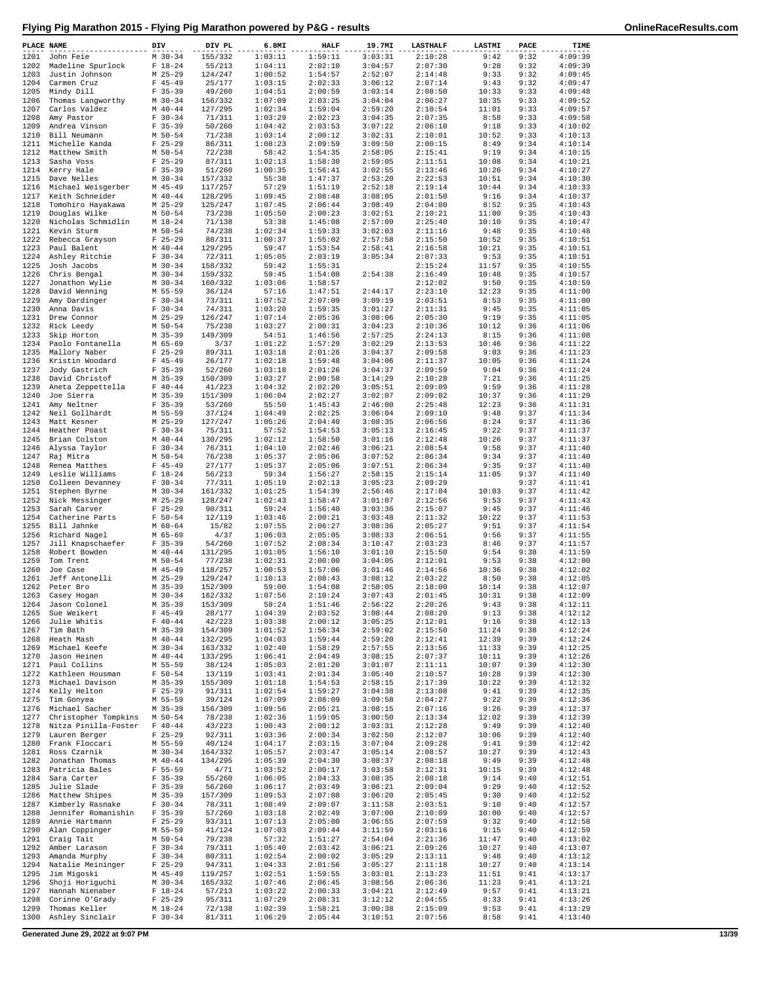|  |  | Flying Pig Marathon 2015 - Flying Pig Marathon powered by P&G - results |  |  |
|--|--|-------------------------------------------------------------------------|--|--|
|  |  |                                                                         |  |  |

| PLACE NAME   |                                     | DIV                        | DIV PL             | 6.8MI              | <b>HALF</b>        | 19.7MI             | <b>LASTHALF</b>    | LASTMI         | PACE         | TIME               |
|--------------|-------------------------------------|----------------------------|--------------------|--------------------|--------------------|--------------------|--------------------|----------------|--------------|--------------------|
| 1201         | John Feie                           | $M$ 30-34                  | 155/332            | 1:03:11            | 1:59:11            | 3:03:31            | 2:10:28            | 9:42           | 9:32         | 4:09:39            |
| 1202<br>1203 | Madeline Spurlock<br>Justin Johnson | $F 18 - 24$<br>$M$ 25-29   | 55/213<br>124/247  | 1:04:11<br>1:00:52 | 2:02:10<br>1:54:57 | 3:04:57<br>2:52:07 | 2:07:30<br>2:14:48 | 9:28<br>9:33   | 9:32<br>9:32 | 4:09:39<br>4:09:45 |
| 1204         | Carmen Cruz                         | $F$ 45-49                  | 25/177             | 1:03:15            | 2:02:33            | 3:06:12            | 2:07:14            | 9:43           | 9:32         | 4:09:47            |
| 1205         | Mindy Dill                          | $F$ 35-39                  | 49/260             | 1:04:51            | 2:00:59            | 3:03:14            | 2:08:50            | 10:33          | 9:33         | 4:09:48            |
| 1206         | Thomas Langworthy                   | $M$ 30-34                  | 156/332            | 1:07:09            | 2:03:25            | 3:04:04            | 2:06:27            | 10:35          | 9:33         | 4:09:52            |
| 1207         | Carlos Valdez                       | $M$ 40-44<br>$F 30-34$     | 127/295<br>71/311  | 1:02:34<br>1:03:29 | 1:59:04<br>2:02:23 | 2:59:20<br>3:04:35 | 2:10:54<br>2:07:35 | 11:01          | 9:33         | 4:09:57<br>4:09:58 |
| 1208<br>1209 | Amy Pastor<br>Andrea Vinson         | $F$ 35-39                  | 50/260             | 1:04:42            | 2:03:53            | 3:07:22            | 2:06:10            | 8:58<br>9:18   | 9:33<br>9:33 | 4:10:02            |
| 1210         | Bill Neumann                        | $M$ 50-54                  | 71/238             | 1:03:14            | 2:00:12            | 3:02:31            | 2:10:01            | 10:52          | 9:33         | 4:10:13            |
| 1211         | Michelle Kanda                      | $F$ 25-29                  | 86/311             | 1:08:23            | 2:09:59            | 3:09:50            | 2:00:15            | 8:49           | 9:34         | 4:10:14            |
| 1212         | Matthew Smith                       | $M$ 50-54                  | 72/238             | 58:42              | 1:54:35            | 2:58:05            | 2:15:41            | 9:19           | 9:34         | 4:10:15            |
| 1213<br>1214 | Sasha Voss                          | $F$ 25-29<br>$F$ 35-39     | 87/311<br>51/260   | 1:02:13<br>1:00:35 | 1:58:30<br>1:56:41 | 2:59:05<br>3:02:55 | 2:11:51<br>2:13:46 | 10:08<br>10:26 | 9:34<br>9:34 | 4:10:21<br>4:10:27 |
| 1215         | Kerry Hale<br>Dave Nelles           | $M$ 30-34                  | 157/332            | 55:38              | 1:47:37            | 2:53:20            | 2:22:53            | 10:51          | 9:34         | 4:10:30            |
| 1216         | Michael Weisgerber                  | $M$ 45-49                  | 117/257            | 57:29              | 1:51:19            | 2:52:18            | 2:19:14            | 10:44          | 9:34         | 4:10:33            |
| 1217         | Keith Schneider                     | $M$ 40-44                  | 128/295            | 1:09:45            | 2:08:48            | 3:08:05            | 2:01:50            | 9:16           | 9:34         | 4:10:37            |
| 1218         | Tomohiro Hayakawa                   | $M$ 25-29                  | 125/247            | 1:07:45            | 2:06:44            | 3:08:49            | 2:04:00            | 8:52           | 9:35         | 4:10:43            |
| 1219<br>1220 | Douglas Wilke<br>Nicholas Schmidlin | $M$ 50-54<br>$M_1 18 - 24$ | 73/238<br>71/138   | 1:05:50<br>53:38   | 2:00:23<br>1:45:08 | 3:02:51<br>2:57:09 | 2:10:21<br>2:25:40 | 11:00<br>10:10 | 9:35<br>9:35 | 4:10:43<br>4:10:47 |
| 1221         | Kevin Sturm                         | $M$ 50-54                  | 74/238             | 1:02:34            | 1:59:33            | 3:02:03            | 2:11:16            | 9:48           | 9:35         | 4:10:48            |
| 1222         | Rebecca Grayson                     | $F$ 25-29                  | 88/311             | 1:00:37            | 1:55:02            | 2:57:58            | 2:15:50            | 10:52          | 9:35         | 4:10:51            |
| 1223         | Paul Balent                         | $M$ 40-44                  | 129/295            | 59:47              | 1:53:54            | 2:58:41            | 2:16:58            | 10:21          | 9:35         | 4:10:51            |
| 1224         | Ashley Ritchie                      | $F 30-34$                  | 72/311             | 1:05:05            | 2:03:19            | 3:05:34            | 2:07:33            | 9:53           | 9:35         | 4:10:51            |
| 1225<br>1226 | Josh Jacobs<br>Chris Bengal         | $M$ 30-34<br>$M$ 30-34     | 158/332<br>159/332 | 59:42<br>59:45     | 1:55:31<br>1:54:08 | 2:54:38            | 2:15:24<br>2:16:49 | 11:57<br>10:48 | 9:35<br>9:35 | 4:10:55<br>4:10:57 |
| 1227         | Jonathon Wylie                      | $M$ 30-34                  | 160/332            | 1:03:06            | 1:58:57            |                    | 2:12:02            | 9:50           | 9:35         | 4:10:59            |
| 1228         | David Wenning                       | M 55-59                    | 36/124             | 57:16              | 1:47:51            | 2:44:17            | 2:23:10            | 12:23          | 9:35         | 4:11:00            |
| 1229         | Amy Dardinger                       | $F 30-34$                  | 73/311             | 1:07:52            | 2:07:09            | 3:09:19            | 2:03:51            | 8:53           | 9:35         | 4:11:00            |
| 1230         | Anna Davis                          | $F 30-34$                  | 74/311             | 1:03:20            | 1:59:35            | 3:01:27<br>3:08:06 | 2:11:31            | 9:45           | 9:35         | 4:11:05            |
| 1231<br>1232 | Drew Connor<br>Rick Leedy           | $M$ 25-29<br>$M$ 50-54     | 126/247<br>75/238  | 1:07:14<br>1:03:27 | 2:05:36<br>2:00:31 | 3:04:23            | 2:05:30<br>2:10:36 | 9:19<br>10:12  | 9:35<br>9:36 | 4:11:05<br>4:11:06 |
| 1233         | Skip Horton                         | $M$ 35-39                  | 149/309            | 54:51              | 1:46:56            | 2:57:25            | 2:24:13            | 8:15           | 9:36         | 4:11:08            |
| 1234         | Paolo Fontanella                    | M 65-69                    | 3/37               | 1:01:22            | 1:57:29            | 3:02:29            | 2:13:53            | 10:46          | 9:36         | 4:11:22            |
| 1235         | Mallory Naber                       | $F$ 25-29                  | 89/311             | 1:03:18            | 2:01:26            | 3:04:37            | 2:09:58            | 9:03           | 9:36         | 4:11:23            |
| 1236         | Kristin Woodard                     | $F$ 45-49                  | 26/177             | 1:02:18            | 1:59:48            | 3:04:06            | 2:11:37            | 10:05          | 9:36         | 4:11:24            |
| 1237<br>1238 | Jody Gastrich<br>David Christof     | $F$ 35-39<br>$M$ 35-39     | 52/260<br>150/309  | 1:03:18<br>1:03:27 | 2:01:26<br>2:00:58 | 3:04:37<br>3:14:29 | 2:09:59<br>2:10:28 | 9:04<br>7:21   | 9:36<br>9:36 | 4:11:24<br>4:11:25 |
| 1239         | Aneta Zeppettella                   | $F 40 - 44$                | 41/223             | 1:04:32            | 2:02:20            | 3:05:51            | 2:09:09            | 9:59           | 9:36         | 4:11:28            |
| 1240         | Joe Sierra                          | $M$ 35-39                  | 151/309            | 1:06:04            | 2:02:27            | 3:02:07            | 2:09:02            | 10:37          | 9:36         | 4:11:29            |
| 1241         | Amy Neltner                         | $F$ 35-39                  | 53/260             | 55:50              | 1:45:43            | 2:46:00            | 2:25:48            | 12:23          | 9:36         | 4:11:31            |
| 1242         | Neil Gollhardt                      | M 55-59                    | 37/124             | 1:04:49<br>1:05:26 | 2:02:25            | 3:06:04            | 2:09:10            | 9:48<br>8:24   | 9:37         | 4:11:34            |
| 1243<br>1244 | Matt Kesner<br>Heather Poast        | $M$ 25-29<br>$F 30-34$     | 127/247<br>75/311  | 57:52              | 2:04:40<br>1:54:53 | 3:08:35<br>3:05:13 | 2:06:56<br>2:16:45 | 9:22           | 9:37<br>9:37 | 4:11:36<br>4:11:37 |
| 1245         | Brian Colston                       | $M$ 40-44                  | 130/295            | 1:02:12            | 1:58:50            | 3:01:16            | 2:12:48            | 10:26          | 9:37         | 4:11:37            |
| 1246         | Alyssa Taylor                       | $F 30-34$                  | 76/311             | 1:04:10            | 2:02:46            | 3:06:21            | 2:08:54            | 9:58           | 9:37         | 4:11:40            |
| 1247         | Raj Mitra                           | M 50-54                    | 76/238             | 1:05:37            | 2:05:06            | 3:07:52            | 2:06:34            | 9:34           | 9:37         | 4:11:40            |
| 1248         | Renea Matthes                       | $F$ 45-49                  | 27/177             | 1:05:37            | 2:05:06            | 3:07:51            | 2:06:34            | 9:35           | 9:37         | 4:11:40            |
| 1249<br>1250 | Leslie Williams<br>Colleen Devanney | $F 18-24$<br>$F 30-34$     | 56/213<br>77/311   | 59:34<br>1:05:19   | 1:56:27<br>2:02:13 | 2:58:15<br>3:05:23 | 2:15:14<br>2:09:29 | 11:05          | 9:37<br>9:37 | 4:11:40<br>4:11:41 |
| 1251         | Stephen Byrne                       | $M$ 30-34                  | 161/332            | 1:01:25            | 1:54:39            | 2:56:46            | 2:17:04            | 10:03          | 9:37         | 4:11:42            |
| 1252         | Nick Messinger                      | $M$ 25-29                  | 128/247            | 1:02:43            | 1:58:47            | 3:01:07            | 2:12:56            | 9:53           | 9:37         | 4:11:43            |
| 1253         | Sarah Carver                        | $F$ 25-29                  | 90/311             | 59:24              | 1:56:40            | 3:03:36            | 2:15:07            | 9:45           | 9:37         | 4:11:46            |
| 1254<br>1255 | Catherine Parts<br>Bill Jahnke      | $F 50 - 54$<br>$M$ 60-64   | 12/119<br>15/82    | 1:03:46<br>1:07:55 | 2:00:21<br>2:06:27 | 3:03:48<br>3:08:36 | 2:11:32<br>2:05:27 | 10:22<br>9:51  | 9:37<br>9:37 | 4:11:53<br>4:11:54 |
| 1256         | Richard Nagel                       | $M$ 65-69                  | 4/37               | 1:06:03            | 2:05:05            | 3:08:33            | 2:06:51            | 9:56           | 9:37         | 4:11:55            |
| 1257         | Jill Knapschaefer                   | $F$ 35-39                  | 54/260             | 1:07:52            | 2:08:34            | 3:10:47            | 2:03:23            | 8:46           | 9:37         | 4:11:57            |
| 1258         | Robert Bowden                       | $M$ 40-44                  | 131/295            | 1:01:05            | 1:56:10            | 3:01:10            | 2:15:50            | 9:54           | 9:38         | 4:11:59            |
| 1259         | Tom Trent                           | M 50-54                    | 77/238             | 1:02:31            | 2:00:00            | 3:04:05            | 2:12:01            | 9:53           | 9:38         | 4:12:00            |
| 1260         | Joe Case                            | $M$ 45-49<br>$M$ 25-29     | 118/257            | 1:00:53            | 1:57:06<br>2:08:43 | 3:01:46            | 2:14:56            | 10:36          | 9:38         | 4:12:02            |
| 1261<br>1262 | Jeff Antonelli<br>Peter Bro         | $M$ 35-39                  | 129/247<br>152/309 | 1:10:13<br>59:00   | 1:54:08            | 3:08:12<br>2:58:05 | 2:03:22<br>2:18:00 | 8:50<br>10:14  | 9:38<br>9:38 | 4:12:05<br>4:12:07 |
| 1263         | Casey Hogan                         | $M$ 30-34                  | 162/332            | 1:07:56            | 2:10:24            | 3:07:43            | 2:01:45            | 10:31          | 9:38         | 4:12:09            |
| 1264         | Jason Colonel                       | $M$ 35-39                  | 153/309            | 59:24              | 1:51:46            | 2:56:22            | 2:20:26            | 9:43           | 9:38         | 4:12:11            |
| 1265         | Sue Weikert                         | $F 45 - 49$                | 28/177             | 1:04:39            | 2:03:52            | 3:08:44            | 2:08:20            | 9:13           | 9:38         | 4:12:12            |
| 1266         | Julie Whitis                        | $F 40 - 44$<br>$M$ 35-39   | 42/223             | 1:03:38            | 2:00:12<br>1:56:34 | 3:05:25<br>2:59:02 | 2:12:01            | 9:16           | 9:38<br>9:38 | 4:12:13<br>4:12:24 |
| 1267<br>1268 | Tim Bath<br>Heath Mash              | $M$ 40-44                  | 154/309<br>132/295 | 1:01:52<br>1:04:03 | 1:59:44            | 2:59:20            | 2:15:50<br>2:12:41 | 11:24<br>12:39 | 9:39         | 4:12:24            |
| 1269         | Michael Keefe                       | $M$ 30-34                  | 163/332            | 1:02:40            | 1:58:29            | 2:57:55            | 2:13:56            | 11:33          | 9:39         | 4:12:25            |
| 1270         | Jason Heinen                        | $M$ 40-44                  | 133/295            | 1:06:41            | 2:04:49            | 3:08:15            | 2:07:37            | 10:11          | 9:39         | 4:12:26            |
| 1271         | Paul Collins                        | M 55-59                    | 38/124             | 1:05:03            | 2:01:20            | 3:01:07            | 2:11:11            | 10:07          | 9:39         | 4:12:30            |
| 1272<br>1273 | Kathleen Housman<br>Michael Davison | $F 50 - 54$<br>$M$ 35-39   | 13/119<br>155/309  | 1:03:41<br>1:01:18 | 2:01:34<br>1:54:53 | 3:05:40<br>2:58:15 | 2:10:57<br>2:17:39 | 10:28<br>10:22 | 9:39<br>9:39 | 4:12:30<br>4:12:32 |
| 1274         | Kelly Helton                        | $F$ 25-29                  | 91/311             | 1:02:54            | 1:59:27            | 3:04:38            | 2:13:08            | 9:41           | 9:39         | 4:12:35            |
| 1275         | Tim Gonyea                          | M 55-59                    | 39/124             | 1:07:09            | 2:08:09            | 3:09:58            | 2:04:27            | 9:22           | 9:39         | 4:12:36            |
| 1276         | Michael Sacher                      | $M$ 35-39                  | 156/309            | 1:09:56            | 2:05:21            | 3:08:15            | 2:07:16            | 9:26           | 9:39         | 4:12:37            |
| 1277         | Christopher Tompkins                | M 50-54                    | 78/238             | 1:02:36            | 1:59:05            | 3:00:50            | 2:13:34            | 12:02          | 9:39         | 4:12:39            |
| 1278         | Nitza Pinilla-Foster                | $F 40 - 44$                | 43/223             | 1:00:43            | 2:00:12            | 3:03:31            | 2:12:28            | 9:49           | 9:39         | 4:12:40            |
| 1279<br>1280 | Lauren Berger<br>Frank Floccari     | $F$ 25-29<br>M 55-59       | 92/311<br>40/124   | 1:03:36<br>1:04:17 | 2:00:34<br>2:03:15 | 3:02:50<br>3:07:04 | 2:12:07<br>2:09:28 | 10:06<br>9:41  | 9:39<br>9:39 | 4:12:40<br>4:12:42 |
| 1281         | Ross Czarnik                        | $M$ 30-34                  | 164/332            | 1:05:57            | 2:03:47            | 3:05:14            | 2:08:57            | 10:27          | 9:39         | 4:12:43            |
| 1282         | Jonathan Thomas                     | $M$ 40-44                  | 134/295            | 1:05:39            | 2:04:30            | 3:08:37            | 2:08:18            | 9:49           | 9:39         | 4:12:48            |
| 1283         | Patricia Bales                      | $F 55 - 59$                | 4/71               | 1:03:52            | 2:00:17            | 3:03:58            | 2:12:31            | 10:15          | 9:39         | 4:12:48            |
| 1284         | Sara Carter                         | $F$ 35-39                  | 55/260             | 1:06:05            | 2:04:33            | 3:08:35            | 2:08:18            | 9:14           | 9:40         | 4:12:51            |
| 1285<br>1286 | Julie Slade<br>Matthew Shipes       | $F$ 35-39<br>$M$ 35-39     | 56/260<br>157/309  | 1:06:17<br>1:09:53 | 2:03:49<br>2:07:08 | 3:06:21<br>3:06:20 | 2:09:04<br>2:05:45 | 9:29<br>9:30   | 9:40<br>9:40 | 4:12:52<br>4:12:52 |
| 1287         | Kimberly Rasnake                    | $F 30-34$                  | 78/311             | 1:08:49            | 2:09:07            | 3:11:58            | 2:03:51            | 9:10           | 9:40         | 4:12:57            |
| 1288         | Jennifer Romanishin                 | $F$ 35-39                  | 57/260             | 1:03:18            | 2:02:49            | 3:07:00            | 2:10:09            | 10:00          | 9:40         | 4:12:57            |
| 1289         | Annie Hartmann                      | $F$ 25-29                  | 93/311             | 1:07:13            | 2:05:00            | 3:06:55            | 2:07:59            | 9:32           | 9:40         | 4:12:58            |
| 1290         | Alan Coppinger                      | M 55-59                    | 41/124             | 1:07:03            | 2:09:44            | 3:11:59            | 2:03:16            | 9:15           | 9:40         | 4:12:59            |
| 1291<br>1292 | Craig Tait<br>Amber Larason         | M 50-54<br>$F 30-34$       | 79/238<br>79/311   | 57:32<br>1:05:40   | 1:51:27<br>2:03:42 | 2:54:04<br>3:06:21 | 2:21:36<br>2:09:26 | 11:47<br>10:27 | 9:40<br>9:40 | 4:13:02<br>4:13:07 |
| 1293         | Amanda Murphy                       | $F 30-34$                  | 80/311             | 1:02:54            | 2:00:02            | 3:05:29            | 2:13:11            | 9:48           | 9:40         | 4:13:12            |
| 1294         | Natalie Meininger                   | $F$ 25-29                  | 94/311             | 1:04:33            | 2:01:56            | 3:05:27            | 2:11:18            | 10:27          | 9:40         | 4:13:14            |
| 1295         | Jim Migoski                         | $M$ 45-49                  | 119/257            | 1:02:51            | 1:59:55            | 3:03:01            | 2:13:23            | 11:51          | 9:41         | 4:13:17            |
| 1296         | Shoji Horiguchi                     | $M$ 30-34                  | 165/332            | 1:07:46            | 2:06:45            | 3:08:56            | 2:06:36            | 11:23          | 9:41         | 4:13:21            |
| 1297<br>1298 | Hannah Nienaber<br>Corinne O'Grady  | $F 18-24$<br>$F$ 25-29     | 57/213<br>95/311   | 1:03:22<br>1:07:29 | 2:00:33<br>2:08:31 | 3:04:21<br>3:12:12 | 2:12:49<br>2:04:55 | 9:57<br>8:33   | 9:41<br>9:41 | 4:13:21<br>4:13:26 |
| 1299         | Thomas Keller                       | $M_18-24$                  | 72/138             | 1:02:39            | 1:58:21            | 3:00:38            | 2:15:09            | 9:53           | 9:41         | 4:13:29            |
| 1300         | Ashley Sinclair                     | $F 30-34$                  | 81/311             | 1:06:29            | 2:05:44            | 3:10:51            | 2:07:56            | 8:58           | 9:41         | 4:13:40            |

**Generated June 29, 2022 at 9:07 PM 13/39**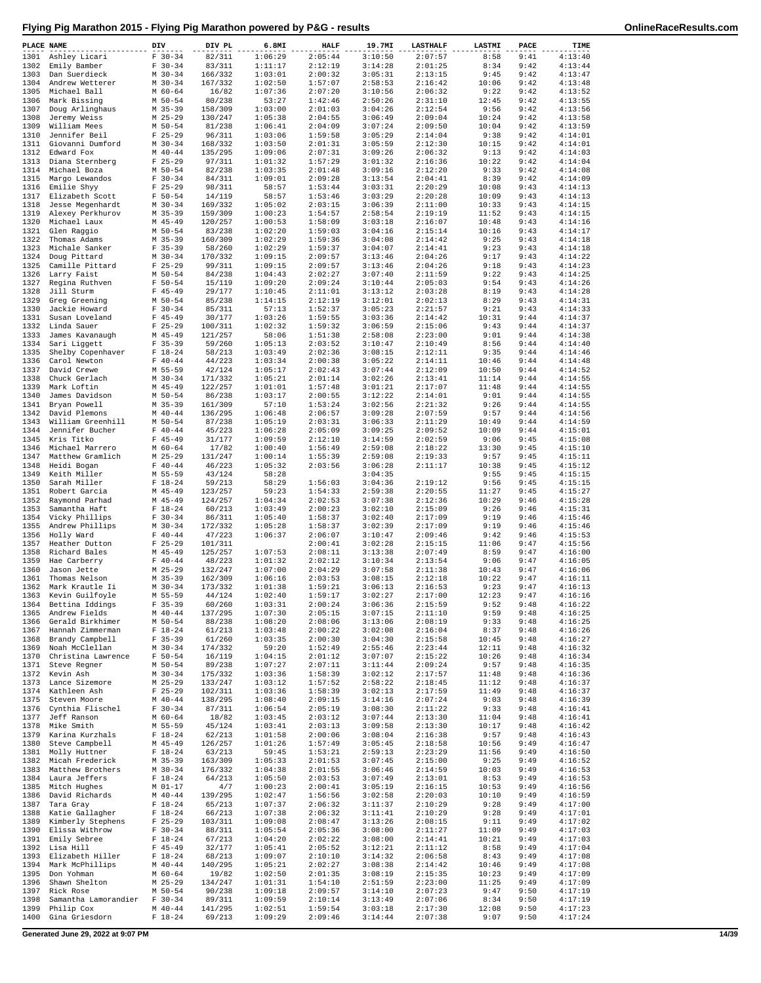|  | Flying Pig Marathon 2015 - Flying Pig Marathon powered by P&G - results |  |
|--|-------------------------------------------------------------------------|--|
|  |                                                                         |  |

| PLACE NAME   |                                         | DIV                      | DIV PL             | 6.8MI              | <b>HALF</b>        | 19.7MI             | <b>LASTHALF</b>    | LASTMI         | PACE         | TIME               |
|--------------|-----------------------------------------|--------------------------|--------------------|--------------------|--------------------|--------------------|--------------------|----------------|--------------|--------------------|
| 1301         | Ashley Licari                           | $F 30-34$                | 82/311             | 1:06:29            | 2:05:44            | 3:10:50            | 2:07:57            | 8:58           | 9:41         | 4:13:40            |
| 1302         | Emily Bamber                            | $F 30-34$                | 83/311             | 1:11:17            | 2:12:19            | 3:14:28            | 2:01:25            | 8:34           | 9:42         | 4:13:44            |
| 1303         | Dan Suerdieck                           | $M$ 30-34                | 166/332            | 1:03:01            | 2:00:32            | 3:05:31            | 2:13:15            | 9:45           | 9:42         | 4:13:47            |
| 1304<br>1305 | Andrew Wetterer<br>Michael Ball         | $M$ 30-34<br>$M$ 60-64   | 167/332<br>16/82   | 1:02:50<br>1:07:36 | 1:57:07<br>2:07:20 | 2:58:53<br>3:10:56 | 2:16:42<br>2:06:32 | 10:06<br>9:22  | 9:42<br>9:42 | 4:13:48<br>4:13:52 |
| 1306         | Mark Bissing                            | $M$ 50-54                | 80/238             | 53:27              | 1:42:46            | 2:50:26            | 2:31:10            | 12:45          | 9:42         | 4:13:55            |
| 1307         | Doug Arlinghaus                         | $M$ 35-39                | 158/309            | 1:03:00            | 2:01:03            | 3:04:26            | 2:12:54            | 9:56           | 9:42         | 4:13:56            |
| 1308         | Jeremy Weiss                            | $M$ 25-29                | 130/247            | 1:05:38            | 2:04:55            | 3:06:49            | 2:09:04            | 10:24          | 9:42         | 4:13:58            |
| 1309         | William Mees                            | $M$ 50-54                | 81/238             | 1:06:41            | 2:04:09            | 3:07:24            | 2:09:50            | 10:04          | 9:42         | 4:13:59            |
| 1310         | Jennifer Beil                           | $F$ 25-29                | 96/311             | 1:03:06            | 1:59:58            | 3:05:29            | 2:14:04            | 9:38           | 9:42         | 4:14:01            |
| 1311<br>1312 | Giovanni Dumford<br>Edward Fox          | $M$ 30-34<br>$M$ 40-44   | 168/332<br>135/295 | 1:03:50<br>1:09:06 | 2:01:31<br>2:07:31 | 3:05:59<br>3:09:26 | 2:12:30<br>2:06:32 | 10:15<br>9:13  | 9:42<br>9:42 | 4:14:01<br>4:14:03 |
| 1313         | Diana Sternberg                         | $F$ 25-29                | 97/311             | 1:01:32            | 1:57:29            | 3:01:32            | 2:16:36            | 10:22          | 9:42         | 4:14:04            |
| 1314         | Michael Boza                            | $M$ 50-54                | 82/238             | 1:03:35            | 2:01:48            | 3:09:16            | 2:12:20            | 9:33           | 9:42         | 4:14:08            |
| 1315         | Margo Lewandos                          | $F 30 - 34$              | 84/311             | 1:09:01            | 2:09:28            | 3:13:54            | 2:04:41            | 8:39           | 9:42         | 4:14:09            |
| 1316         | Emilie Shyy                             | $F$ 25-29                | 98/311             | 58:57              | 1:53:44            | 3:03:31            | 2:20:29            | 10:08          | 9:43         | 4:14:13            |
| 1317<br>1318 | Elizabeth Scott                         | $F 50 - 54$<br>$M$ 30-34 | 14/119             | 58:57<br>1:05:02   | 1:53:46<br>2:03:15 | 3:03:29<br>3:06:39 | 2:20:28<br>2:11:00 | 10:09          | 9:43<br>9:43 | 4:14:13<br>4:14:15 |
| 1319         | Jesse Megenhardt<br>Alexey Perkhurov    | $M$ 35-39                | 169/332<br>159/309 | 1:00:23            | 1:54:57            | 2:58:54            | 2:19:19            | 10:33<br>11:52 | 9:43         | 4:14:15            |
| 1320         | Michael Laux                            | $M$ 45-49                | 120/257            | 1:00:53            | 1:58:09            | 3:03:18            | 2:16:07            | 10:48          | 9:43         | 4:14:16            |
| 1321         | Glen Raggio                             | M 50-54                  | 83/238             | 1:02:20            | 1:59:03            | 3:04:16            | 2:15:14            | 10:16          | 9:43         | 4:14:17            |
| 1322         | Thomas Adams                            | $M$ 35-39                | 160/309            | 1:02:29            | 1:59:36            | 3:04:08            | 2:14:42            | 9:25           | 9:43         | 4:14:18            |
| 1323         | Michale Sanker                          | $F$ 35-39                | 58/260             | 1:02:29            | 1:59:37            | 3:04:07            | 2:14:41            | 9:23           | 9:43         | 4:14:18            |
| 1324<br>1325 | Doug Pittard<br>Camille Pittard         | $M$ 30-34<br>$F$ 25-29   | 170/332<br>99/311  | 1:09:15<br>1:09:15 | 2:09:57<br>2:09:57 | 3:13:46<br>3:13:46 | 2:04:26<br>2:04:26 | 9:17<br>9:18   | 9:43<br>9:43 | 4:14:22<br>4:14:23 |
| 1326         | Larry Faist                             | $M$ 50-54                | 84/238             | 1:04:43            | 2:02:27            | 3:07:40            | 2:11:59            | 9:22           | 9:43         | 4:14:25            |
| 1327         | Regina Ruthven                          | $F 50 - 54$              | 15/119             | 1:09:20            | 2:09:24            | 3:10:44            | 2:05:03            | 9:54           | 9:43         | 4:14:26            |
| 1328         | Jill Sturm                              | $F$ 45-49                | 29/177             | 1:10:45            | 2:11:01            | 3:13:12            | 2:03:28            | 8:19           | 9:43         | 4:14:28            |
| 1329         | Greg Greening                           | $M$ 50-54                | 85/238             | 1:14:15            | 2:12:19<br>1:52:37 | 3:12:01            | 2:02:13<br>2:21:57 | 8:29           | 9:43         | 4:14:31            |
| 1330<br>1331 | Jackie Howard<br>Susan Loveland         | $F 30-34$<br>$F$ 45-49   | 85/311<br>30/177   | 57:13<br>1:03:26   | 1:59:55            | 3:05:23<br>3:03:36 | 2:14:42            | 9:21<br>10:31  | 9:43<br>9:44 | 4:14:33<br>4:14:37 |
| 1332         | Linda Sauer                             | $F$ 25-29                | 100/311            | 1:02:32            | 1:59:32            | 3:06:59            | 2:15:06            | 9:43           | 9:44         | 4:14:37            |
| 1333         | James Kavanaugh                         | $M$ 45-49                | 121/257            | 58:06              | 1:51:38            | 2:58:08            | 2:23:00            | 9:01           | 9:44         | 4:14:38            |
| 1334         | Sari Liggett                            | $F$ 35-39                | 59/260             | 1:05:13            | 2:03:52            | 3:10:47            | 2:10:49            | 8:56           | 9:44         | 4:14:40            |
| 1335         | Shelby Copenhaver                       | $F 18-24$                | 58/213             | 1:03:49            | 2:02:36            | 3:08:15            | 2:12:11            | 9:35           | 9:44         | 4:14:46            |
| 1336         | Carol Newton                            | $F 40 - 44$              | 44/223             | 1:03:34            | 2:00:38            | 3:05:22<br>3:07:44 | 2:14:11            | 10:46          | 9:44         | 4:14:48            |
| 1337<br>1338 | David Crewe<br>Chuck Gerlach            | M 55-59<br>$M$ 30-34     | 42/124<br>171/332  | 1:05:17<br>1:05:21 | 2:02:43<br>2:01:14 | 3:02:26            | 2:12:09<br>2:13:41 | 10:50<br>11:14 | 9:44<br>9:44 | 4:14:52<br>4:14:55 |
| 1339         | Mark Loftin                             | $M$ 45-49                | 122/257            | 1:01:01            | 1:57:48            | 3:01:21            | 2:17:07            | 11:48          | 9:44         | 4:14:55            |
| 1340         | James Davidson                          | M 50-54                  | 86/238             | 1:03:17            | 2:00:55            | 3:12:22            | 2:14:01            | 9:01           | 9:44         | 4:14:55            |
| 1341         | Bryan Powell                            | $M$ 35-39                | 161/309            | 57:10              | 1:53:24            | 3:02:56            | 2:21:32            | 9:26           | 9:44         | 4:14:55            |
| 1342         | David Plemons                           | $M$ 40-44                | 136/295            | 1:06:48            | 2:06:57            | 3:09:28            | 2:07:59            | 9:57           | 9:44         | 4:14:56            |
| 1343<br>1344 | William Greenhill<br>Jennifer Bucher    | M 50-54<br>$F 40 - 44$   | 87/238<br>45/223   | 1:05:19<br>1:06:28 | 2:03:31<br>2:05:09 | 3:06:33<br>3:09:25 | 2:11:29<br>2:09:52 | 10:49<br>10:09 | 9:44<br>9:44 | 4:14:59<br>4:15:01 |
| 1345         | Kris Titko                              | $F$ 45-49                | 31/177             | 1:09:59            | 2:12:10            | 3:14:59            | 2:02:59            | 9:06           | 9:45         | 4:15:08            |
| 1346         | Michael Marrero                         | $M$ 60-64                | 17/82              | 1:00:40            | 1:56:49            | 2:59:08            | 2:18:22            | 13:30          | 9:45         | 4:15:10            |
| 1347         | Matthew Gramlich                        | $M$ 25-29                | 131/247            | 1:00:14            | 1:55:39            | 2:59:08            | 2:19:33            | 9:57           | 9:45         | 4:15:11            |
| 1348         | Heidi Bogan                             | $F 40 - 44$              | 46/223             | 1:05:32            | 2:03:56            | 3:06:28            | 2:11:17            | 10:38          | 9:45         | 4:15:12            |
| 1349         | Keith Miller                            | M 55-59                  | 43/124             | 58:28              |                    | 3:04:35            |                    | 9:55           | 9:45         | 4:15:15            |
| 1350<br>1351 | Sarah Miller<br>Robert Garcia           | $F 18-24$<br>$M$ 45-49   | 59/213<br>123/257  | 58:29<br>59:23     | 1:56:03<br>1:54:33 | 3:04:36<br>2:59:38 | 2:19:12<br>2:20:55 | 9:56<br>11:27  | 9:45<br>9:45 | 4:15:15<br>4:15:27 |
| 1352         | Raymond Parhad                          | $M$ 45-49                | 124/257            | 1:04:34            | 2:02:53            | 3:07:38            | 2:12:36            | 10:29          | 9:46         | 4:15:28            |
| 1353         | Samantha Haft                           | $F 18-24$                | 60/213             | 1:03:49            | 2:00:23            | 3:02:10            | 2:15:09            | 9:26           | 9:46         | 4:15:31            |
| 1354         | Vicky Phillips                          | $F 30-34$                | 86/311             | 1:05:40            | 1:58:37            | 3:02:40            | 2:17:09            | 9:19           | 9:46         | 4:15:46            |
| 1355         | Andrew Phillips                         | $M$ 30-34                | 172/332            | 1:05:28            | 1:58:37            | 3:02:39            | 2:17:09            | 9:19           | 9:46         | 4:15:46            |
| 1356<br>1357 | Holly Ward<br>Heather Dutton            | $F 40 - 44$<br>$F$ 25-29 | 47/223<br>101/311  | 1:06:37            | 2:06:07<br>2:00:41 | 3:10:47<br>3:02:28 | 2:09:46<br>2:15:15 | 9:42<br>11:06  | 9:46<br>9:47 | 4:15:53<br>4:15:56 |
| 1358         | Richard Bales                           | $M$ 45-49                | 125/257            | 1:07:53            | 2:08:11            | 3:13:38            | 2:07:49            | 8:59           | 9:47         | 4:16:00            |
| 1359         | Hae Carberry                            | $F 40 - 44$              | 48/223             | 1:01:32            | 2:02:12            | 3:10:34            | 2:13:54            | 9:06           | 9:47         | 4:16:05            |
| 1360         | Jason Jette                             | $M$ 25-29                | 132/247            | 1:07:00            | 2:04:29            | 3:07:58            | 2:11:38            | 10:43          | 9:47         | 4:16:06            |
| 1361         | Thomas Nelson                           | $M$ 35-39                | 162/309            | 1:06:16            | 2:03:53            | 3:08:15            | 2:12:18            | 10:22          | 9:47         | 4:16:11            |
| 1362         | Mark Krautle Ii<br>1363 Kevin Guilfoyle | $M$ 30-34<br>M 55-59     | 173/332<br>44/124  | 1:01:38<br>1:02:40 | 1:59:21<br>1:59:17 | 3:06:13<br>3:02:27 | 2:16:53<br>2:17:00 | 9:23<br>12:23  | 9:47<br>9:47 | 4:16:13<br>4:16:16 |
|              | 1364 Bettina Iddings                    | $F$ 35-39                | 60/260             | 1:03:31            | 2:00:24            | 3:06:36            | 2:15:59            | 9:52           | 9:48         | 4:16:22            |
| 1365         | Andrew Fields                           | $M$ 40-44                | 137/295            | 1:07:30            | 2:05:15            | 3:07:15            | 2:11:10            | 9:59           | 9:48         | 4:16:25            |
| 1366         | Gerald Birkhimer                        | $M 50 - 54$              | 88/238             | 1:08:20            | 2:08:06            | 3:13:06            | 2:08:19            | 9:33           | 9:48         | 4:16:25            |
| 1367         | Hannah Zimmerman                        | $F 18 - 24$              | 61/213             | 1:03:48            | 2:00:22            | 3:02:08            | 2:16:04            | 8:37           | 9:48         | 4:16:26            |
| 1368<br>1369 | Brandy Campbell<br>Noah McClellan       | $F$ 35-39<br>$M$ 30-34   | 61/260<br>174/332  | 1:03:35<br>59:20   | 2:00:30<br>1:52:49 | 3:04:30<br>2:55:46 | 2:15:58<br>2:23:44 | 10:45<br>12:11 | 9:48<br>9:48 | 4:16:27<br>4:16:32 |
| 1370         | Christina Lawrence                      | $F 50 - 54$              | 16/119             | 1:04:15            | 2:01:12            | 3:07:07            | 2:15:22            | 10:26          | 9:48         | 4:16:34            |
| 1371         | Steve Regner                            | $M$ 50-54                | 89/238             | 1:07:27            | 2:07:11            | 3:11:44            | 2:09:24            | 9:57           | 9:48         | 4:16:35            |
| 1372         | Kevin Ash                               | $M$ 30-34                | 175/332            | 1:03:36            | 1:58:39            | 3:02:12            | 2:17:57            | 11:48          | 9:48         | 4:16:36            |
| 1373         | Lance Sizemore                          | $M$ 25-29                | 133/247            | 1:03:12            | 1:57:52            | 2:58:22            | 2:18:45            | 11:12          | 9:48         | 4:16:37            |
| 1374<br>1375 | Kathleen Ash<br>Steven Moore            | $F$ 25-29<br>$M$ 40-44   | 102/311            | 1:03:36            | 1:58:39<br>2:09:15 | 3:02:13<br>3:14:16 | 2:17:59<br>2:07:24 | 11:49<br>9:03  | 9:48<br>9:48 | 4:16:37<br>4:16:39 |
| 1376         | Cynthia Flischel                        | $F 30-34$                | 138/295<br>87/311  | 1:08:40<br>1:06:54 | 2:05:19            | 3:08:30            | 2:11:22            | 9:33           | 9:48         | 4:16:41            |
| 1377         | Jeff Ranson                             | $M$ 60-64                | 18/82              | 1:03:45            | 2:03:12            | 3:07:44            | 2:13:30            | 11:04          | 9:48         | 4:16:41            |
| 1378         | Mike Smith                              | M 55-59                  | 45/124             | 1:03:41            | 2:03:13            | 3:09:58            | 2:13:30            | 10:17          | 9:48         | 4:16:42            |
| 1379         | Karina Kurzhals                         | $F 18-24$                | 62/213             | 1:01:58            | 2:00:06            | 3:08:04            | 2:16:38            | 9:57           | 9:48         | 4:16:43            |
| 1380         | Steve Campbell                          | $M$ 45-49                | 126/257            | 1:01:26            | 1:57:49            | 3:05:45            | 2:18:58            | 10:56          | 9:49         | 4:16:47            |
| 1381<br>1382 | Molly Huttner<br>Micah Frederick        | $F 18-24$<br>$M$ 35-39   | 63/213<br>163/309  | 59:45<br>1:05:33   | 1:53:21<br>2:01:53 | 2:59:13<br>3:07:45 | 2:23:29<br>2:15:00 | 11:56<br>9:25  | 9:49<br>9:49 | 4:16:50<br>4:16:52 |
| 1383         | Matthew Brothers                        | $M$ 30-34                | 176/332            | 1:04:38            | 2:01:55            | 3:06:46            | 2:14:59            | 10:03          | 9:49         | 4:16:53            |
| 1384         | Laura Jeffers                           | $F 18-24$                | 64/213             | 1:05:50            | 2:03:53            | 3:07:49            | 2:13:01            | 8:53           | 9:49         | 4:16:53            |
| 1385         | Mitch Hughes                            | $M$ 01-17                | 4/7                | 1:00:23            | 2:00:41            | 3:05:19            | 2:16:15            | 10:53          | 9:49         | 4:16:56            |
| 1386         | David Richards                          | $M$ 40-44                | 139/295            | 1:02:47            | 1:56:56            | 3:02:58            | 2:20:03            | 10:10          | 9:49         | 4:16:59            |
| 1387<br>1388 | Tara Gray<br>Katie Gallagher            | $F 18-24$<br>$F 18-24$   | 65/213<br>66/213   | 1:07:37<br>1:07:38 | 2:06:32<br>2:06:32 | 3:11:37<br>3:11:41 | 2:10:29<br>2:10:29 | 9:28<br>9:28   | 9:49<br>9:49 | 4:17:00<br>4:17:01 |
| 1389         | Kimberly Stephens                       | $F$ 25-29                | 103/311            | 1:09:08            | 2:08:47            | 3:13:26            | 2:08:15            | 9:11           | 9:49         | 4:17:02            |
| 1390         | Elissa Withrow                          | $F 30-34$                | 88/311             | 1:05:54            | 2:05:36            | 3:08:00            | 2:11:27            | 11:09          | 9:49         | 4:17:03            |
| 1391         | Emily Sebree                            | $F 18-24$                | 67/213             | 1:04:20            | 2:02:22            | 3:08:00            | 2:14:41            | 10:21          | 9:49         | 4:17:03            |
| 1392         | Lisa Hill                               | $F$ 45-49                | 32/177             | 1:05:41            | 2:05:52            | 3:12:21            | 2:11:12            | 8:58           | 9:49         | 4:17:04            |
| 1393<br>1394 | Elizabeth Hiller<br>Mark McPhillips     | $F 18-24$<br>$M$ 40-44   | 68/213<br>140/295  | 1:09:07<br>1:05:21 | 2:10:10<br>2:02:27 | 3:14:32<br>3:08:38 | 2:06:58<br>2:14:42 | 8:43<br>10:46  | 9:49<br>9:49 | 4:17:08<br>4:17:08 |
| 1395         | Don Yohman                              | $M$ 60-64                | 19/82              | 1:02:50            | 2:01:35            | 3:08:19            | 2:15:35            | 10:23          | 9:49         | 4:17:09            |
| 1396         | Shawn Shelton                           | $M$ 25-29                | 134/247            | 1:01:31            | 1:54:10            | 2:51:59            | 2:23:00            | 11:25          | 9:49         | 4:17:09            |
| 1397         | Rick Rose                               | M 50-54                  | 90/238             | 1:09:18            | 2:09:57            | 3:14:10            | 2:07:23            | 9:47           | 9:50         | 4:17:19            |
| 1398         | Samantha Lamorandier                    | $F 30 - 34$              | 89/311             | 1:09:59            | 2:10:14            | 3:13:49            | 2:07:06            | 8:34           | 9:50         | 4:17:19            |
| 1399<br>1400 | Philip Cox<br>Gina Griesdorn            | $M$ 40-44<br>$F 18-24$   | 141/295<br>69/213  | 1:02:51<br>1:09:29 | 1:59:54<br>2:09:46 | 3:03:18<br>3:14:44 | 2:17:30<br>2:07:38 | 12:08<br>9:07  | 9:50<br>9:50 | 4:17:23<br>4:17:24 |
|              |                                         |                          |                    |                    |                    |                    |                    |                |              |                    |

**Generated June 29, 2022 at 9:07 PM 14/39**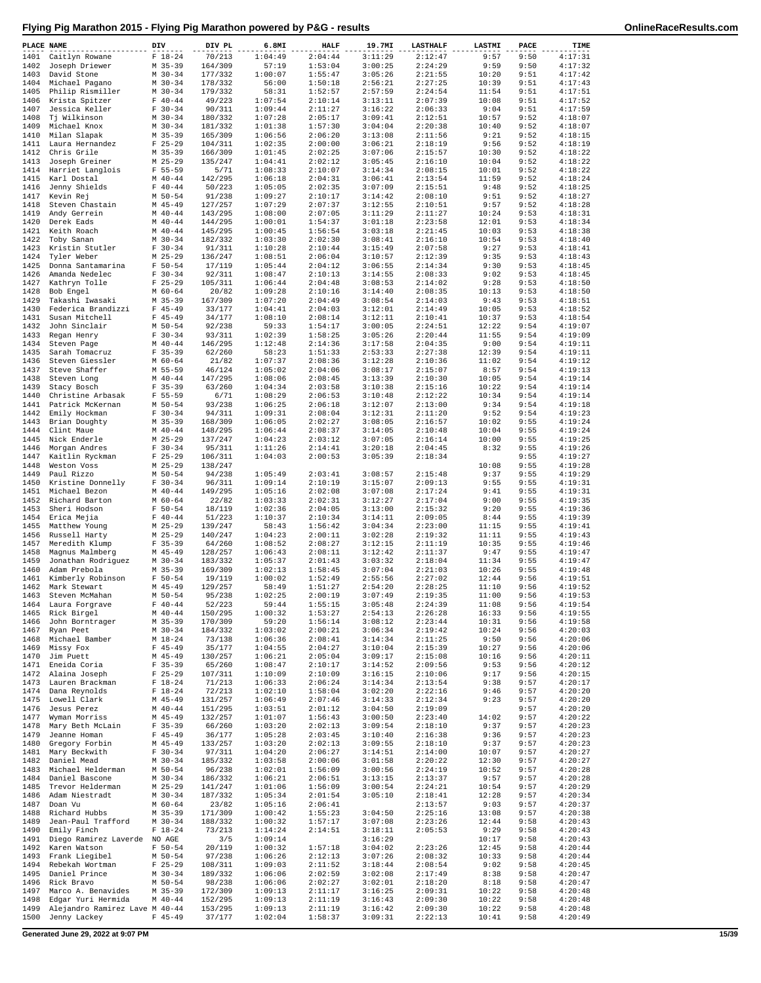| PLACE NAME   |                                                | DIV |                          | DIV PL             | 6.8MI              | <b>HALF</b>        | 19.7MI             | <b>LASTHALF</b>    | LASTMI         | PACE         | TIME               |
|--------------|------------------------------------------------|-----|--------------------------|--------------------|--------------------|--------------------|--------------------|--------------------|----------------|--------------|--------------------|
| 1401         | Caitlyn Rowane                                 |     | $F 18-24$                | 70/213             | 1:04:49            | 2:04:44            | 3:11:29            | 2:12:47            | 9:57           | 9:50         | 4:17:31            |
| 1402         | Joseph Driewer                                 |     | $M$ 35-39                | 164/309            | 57:19              | 1:53:04<br>1:55:47 | 3:00:25            | 2:24:29<br>2:21:55 | 9:59           | 9:50         | 4:17:32<br>4:17:42 |
| 1403<br>1404 | David Stone<br>Michael Pagano                  |     | $M$ 30-34<br>$M$ 30-34   | 177/332<br>178/332 | 1:00:07<br>56:00   | 1:50:18            | 3:05:26<br>2:56:21 | 2:27:25            | 10:20<br>10:39 | 9:51<br>9:51 | 4:17:43            |
| 1405         | Philip Rismiller                               |     | $M$ 30-34                | 179/332            | 58:31              | 1:52:57            | 2:57:59            | 2:24:54            | 11:54          | 9:51         | 4:17:51            |
| 1406         | Krista Spitzer                                 |     | $F 40 - 44$              | 49/223             | 1:07:54            | 2:10:14            | 3:13:11            | 2:07:39            | 10:08          | 9:51         | 4:17:52            |
| 1407         | Jessica Keller                                 |     | $F 30-34$                | 90/311             | 1:09:44            | 2:11:27            | 3:16:22            | 2:06:33            | 9:04           | 9:51         | 4:17:59            |
| 1408<br>1409 | Tj Wilkinson<br>Michael Knox                   |     | $M$ 30-34<br>$M$ 30-34   | 180/332<br>181/332 | 1:07:28<br>1:01:38 | 2:05:17<br>1:57:30 | 3:09:41<br>3:04:04 | 2:12:51<br>2:20:38 | 10:57<br>10:40 | 9:52<br>9:52 | 4:18:07<br>4:18:07 |
| 1410         | Milan Slapak                                   |     | $M$ 35-39                | 165/309            | 1:06:56            | 2:06:20            | 3:13:08            | 2:11:56            | 9:21           | 9:52         | 4:18:15            |
| 1411         | Laura Hernandez                                |     | $F$ 25-29                | 104/311            | 1:02:35            | 2:00:00            | 3:06:21            | 2:18:19            | 9:56           | 9:52         | 4:18:19            |
| 1412         | Chris Grile                                    |     | M 35-39                  | 166/309            | 1:01:45            | 2:02:25            | 3:07:06            | 2:15:57            | 10:30          | 9:52         | 4:18:22            |
| 1413<br>1414 | Joseph Greiner<br>Harriet Langlois             |     | $M$ 25-29<br>$F 55 - 59$ | 135/247<br>5/71    | 1:04:41<br>1:08:33 | 2:02:12<br>2:10:07 | 3:05:45<br>3:14:34 | 2:16:10<br>2:08:15 | 10:04<br>10:01 | 9:52<br>9:52 | 4:18:22<br>4:18:22 |
| 1415         | Karl Dostal                                    |     | $M$ 40-44                | 142/295            | 1:06:18            | 2:04:31            | 3:06:41            | 2:13:54            | 11:59          | 9:52         | 4:18:24            |
| 1416         | Jenny Shields                                  |     | $F 40 - 44$              | 50/223             | 1:05:05            | 2:02:35            | 3:07:09            | 2:15:51            | 9:48           | 9:52         | 4:18:25            |
| 1417         | Kevin Rej                                      |     | $M$ 50-54                | 91/238             | 1:09:27            | 2:10:17            | 3:14:42            | 2:08:10            | 9:51           | 9:52         | 4:18:27            |
| 1418<br>1419 | Steven Chastain<br>Andy Gerrein                |     | $M$ 45-49<br>$M$ 40-44   | 127/257<br>143/295 | 1:07:29<br>1:08:00 | 2:07:37<br>2:07:05 | 3:12:55<br>3:11:29 | 2:10:51<br>2:11:27 | 9:57<br>10:24  | 9:52<br>9:53 | 4:18:28<br>4:18:31 |
| 1420         | Derek Eads                                     |     | $M$ 40-44                | 144/295            | 1:00:01            | 1:54:37            | 3:01:18            | 2:23:58            | 12:01          | 9:53         | 4:18:34            |
| 1421         | Keith Roach                                    |     | $M$ 40-44                | 145/295            | 1:00:45            | 1:56:54            | 3:03:18            | 2:21:45            | 10:03          | 9:53         | 4:18:38            |
| 1422         | Toby Sanan                                     |     | $M$ 30-34                | 182/332            | 1:03:30            | 2:02:30            | 3:08:41            | 2:16:10            | 10:54          | 9:53         | 4:18:40            |
| 1423<br>1424 | Kristin Stutler<br>Tyler Weber                 |     | $F 30-34$<br>$M$ 25-29   | 91/311<br>136/247  | 1:10:28<br>1:08:51 | 2:10:44<br>2:06:04 | 3:15:49<br>3:10:57 | 2:07:58<br>2:12:39 | 9:27<br>9:35   | 9:53<br>9:53 | 4:18:41<br>4:18:43 |
| 1425         | Donna Santamarina                              |     | $F 50 - 54$              | 17/119             | 1:05:44            | 2:04:12            | 3:06:55            | 2:14:34            | 9:30           | 9:53         | 4:18:45            |
| 1426         | Amanda Nedelec                                 |     | $F 30-34$                | 92/311             | 1:08:47            | 2:10:13            | 3:14:55            | 2:08:33            | 9:02           | 9:53         | 4:18:45            |
| 1427         | Kathryn Tolle                                  |     | $F$ 25-29                | 105/311            | 1:06:44            | 2:04:48            | 3:08:53            | 2:14:02            | 9:28           | 9:53         | 4:18:50            |
| 1428<br>1429 | Bob Engel<br>Takashi Iwasaki                   |     | $M$ 60-64<br>$M$ 35-39   | 20/82<br>167/309   | 1:09:28<br>1:07:20 | 2:10:16<br>2:04:49 | 3:14:40<br>3:08:54 | 2:08:35<br>2:14:03 | 10:13<br>9:43  | 9:53<br>9:53 | 4:18:50<br>4:18:51 |
| 1430         | Federica Brandizzi                             |     | $F$ 45-49                | 33/177             | 1:04:41            | 2:04:03            | 3:12:01            | 2:14:49            | 10:05          | 9:53         | 4:18:52            |
| 1431         | Susan Mitchell                                 |     | $F$ 45-49                | 34/177             | 1:08:10            | 2:08:14            | 3:12:11            | 2:10:41            | 10:37          | 9:53         | 4:18:54            |
| 1432         | John Sinclair                                  |     | $M$ 50-54                | 92/238             | 59:33              | 1:54:17            | 3:00:05            | 2:24:51            | 12:22          | 9:54         | 4:19:07            |
| 1433<br>1434 | Regan Henry                                    |     | $F 30-34$<br>$M$ 40-44   | 93/311<br>146/295  | 1:02:39<br>1:12:48 | 1:58:25<br>2:14:36 | 3:05:26<br>3:17:58 | 2:20:44<br>2:04:35 | 11:55<br>9:00  | 9:54<br>9:54 | 4:19:09<br>4:19:11 |
| 1435         | Steven Page<br>Sarah Tomacruz                  |     | $F$ 35-39                | 62/260             | 58:23              | 1:51:33            | 2:53:33            | 2:27:38            | 12:39          | 9:54         | 4:19:11            |
| 1436         | Steven Giessler                                |     | $M$ 60-64                | 21/82              | 1:07:37            | 2:08:36            | 3:12:28            | 2:10:36            | 11:02          | 9:54         | 4:19:12            |
| 1437         | Steve Shaffer                                  |     | M 55-59                  | 46/124             | 1:05:02            | 2:04:06            | 3:08:17            | 2:15:07            | 8:57           | 9:54         | 4:19:13            |
| 1438<br>1439 | Steven Long<br>Stacy Bosch                     |     | $M$ 40-44<br>$F$ 35-39   | 147/295<br>63/260  | 1:08:06<br>1:04:34 | 2:08:45<br>2:03:58 | 3:13:39<br>3:10:38 | 2:10:30<br>2:15:16 | 10:05<br>10:22 | 9:54<br>9:54 | 4:19:14<br>4:19:14 |
| 1440         | Christine Arbasak                              |     | $F 55 - 59$              | 6/71               | 1:08:29            | 2:06:53            | 3:10:48            | 2:12:22            | 10:34          | 9:54         | 4:19:14            |
| 1441         | Patrick McKernan                               |     | $M$ 50-54                | 93/238             | 1:06:25            | 2:06:18            | 3:12:07            | 2:13:00            | 9:34           | 9:54         | 4:19:18            |
| 1442         | Emily Hockman                                  |     | $F 30-34$                | 94/311             | 1:09:31            | 2:08:04            | 3:12:31            | 2:11:20            | 9:52           | 9:54         | 4:19:23            |
| 1443         | Brian Doughty                                  |     | M 35-39                  | 168/309            | 1:06:05<br>1:06:44 | 2:02:27            | 3:08:05            | 2:16:57            | 10:02          | 9:55<br>9:55 | 4:19:24<br>4:19:24 |
| 1444<br>1445 | Clint Maue<br>Nick Enderle                     |     | $M$ 40-44<br>$M$ 25-29   | 148/295<br>137/247 | 1:04:23            | 2:08:37<br>2:03:12 | 3:14:05<br>3:07:05 | 2:10:48<br>2:16:14 | 10:04<br>10:00 | 9:55         | 4:19:25            |
| 1446         | Morgan Andres                                  |     | $F 30-34$                | 95/311             | 1:11:26            | 2:14:41            | 3:20:18            | 2:04:45            | 8:32           | 9:55         | 4:19:26            |
| 1447         | Kaitlin Ryckman                                |     | $F$ 25-29                | 106/311            | 1:04:03            | 2:00:53            | 3:05:39            | 2:18:34            |                | 9:55         | 4:19:27            |
| 1448         | Weston Voss                                    |     | $M$ 25-29                | 138/247            |                    |                    |                    |                    | 10:08          | 9:55         | 4:19:28            |
| 1449<br>1450 | Paul Rizzo<br>Kristine Donnelly                |     | $M$ 50-54<br>$F 30-34$   | 94/238<br>96/311   | 1:05:49<br>1:09:14 | 2:03:41<br>2:10:19 | 3:08:57<br>3:15:07 | 2:15:48<br>2:09:13 | 9:37<br>9:55   | 9:55<br>9:55 | 4:19:29<br>4:19:31 |
| 1451         | Michael Bezon                                  |     | $M$ 40-44                | 149/295            | 1:05:16            | 2:02:08            | 3:07:08            | 2:17:24            | 9:41           | 9:55         | 4:19:31            |
| 1452         | Richard Barton                                 |     | M 60-64                  | 22/82              | 1:03:33            | 2:02:31            | 3:12:27            | 2:17:04            | 9:00           | 9:55         | 4:19:35            |
| 1453         | Sheri Hodson                                   |     | $F 50 - 54$              | 18/119             | 1:02:36            | 2:04:05            | 3:13:00            | 2:15:32            | 9:20           | 9:55         | 4:19:36            |
| 1454<br>1455 | Erica Mejia<br>Matthew Young                   |     | $F 40 - 44$<br>$M$ 25-29 | 51/223<br>139/247  | 1:10:37<br>58:43   | 2:10:34<br>1:56:42 | 3:14:11<br>3:04:34 | 2:09:05<br>2:23:00 | 8:44<br>11:15  | 9:55<br>9:55 | 4:19:39<br>4:19:41 |
| 1456         | Russell Harty                                  |     | $M$ 25-29                | 140/247            | 1:04:23            | 2:00:11            | 3:02:28            | 2:19:32            | 11:11          | 9:55         | 4:19:43            |
| 1457         | Meredith Klump                                 |     | $F$ 35-39                | 64/260             | 1:08:52            | 2:08:27            | 3:12:15            | 2:11:19            | 10:35          | 9:55         | 4:19:46            |
| 1458         | Magnus Malmberg                                |     | $M$ 45-49                | 128/257            | 1:06:43            | 2:08:11            | 3:12:42            | 2:11:37            | 9:47           | 9:55         | 4:19:47            |
| 1459<br>1460 | Jonathan Rodriguez<br>Adam Prebola             |     | $M$ 30-34<br>$M$ 35-39   | 183/332<br>169/309 | 1:05:37<br>1:02:13 | 2:01:43<br>1:58:45 | 3:03:32<br>3:07:04 | 2:18:04<br>2:21:03 | 11:34<br>10:26 | 9:55<br>9:55 | 4:19:47<br>4:19:48 |
| 1461         | Kimberly Robinson                              |     | $F 50 - 54$              | 19/119             | 1:00:02            | 1:52:49            | 2:55:56            | 2:27:02            | 12:44          | 9:56         | 4:19:51            |
|              | 1462 Mark Stewart                              |     | $M$ 45-49                | 129/257            | 58:49              | 1:51:27            | 2:54:20            | 2:28:25            | 11:10          | 9:56         | 4:19:52            |
|              | 1463 Steven McMahan                            |     | M 50-54                  | 95/238             | 1:02:25            | 2:00:19            | 3:07:49            | 2:19:35            | 11:00          | 9:56         | 4:19:53            |
|              | 1464 Laura Forgrave<br>1465 Rick Birgel        |     | $F 40 - 44$<br>$M$ 40-44 | 52/223<br>150/295  | 59:44<br>1:00:32   | 1:55:15<br>1:53:27 | 3:05:48<br>2:54:13 | 2:24:39<br>2:26:28 | 11:08<br>16:33 | 9:56<br>9:56 | 4:19:54<br>4:19:55 |
| 1466         | John Borntrager                                |     | M 35-39                  | 170/309            | 59:20              | 1:56:14            | 3:08:12            | 2:23:44            | 10:31          | 9:56         | 4:19:58            |
| 1467         | Ryan Peet                                      |     | $M$ 30-34                | 184/332            | 1:03:02            | 2:00:21            | 3:06:34            | 2:19:42            | 10:24          | 9:56         | 4:20:03            |
| 1468         | Michael Bamber                                 |     | $M_18-24$                | 73/138             | 1:06:36            | 2:08:41            | 3:14:34            | 2:11:25            | 9:50           | 9:56         | 4:20:06            |
| 1469<br>1470 | Missy Fox<br>Jim Puett                         |     | $F$ 45-49<br>$M$ 45-49   | 35/177<br>130/257  | 1:04:55<br>1:06:21 | 2:04:27<br>2:05:04 | 3:10:04<br>3:09:17 | 2:15:39<br>2:15:08 | 10:27<br>10:16 | 9:56<br>9:56 | 4:20:06<br>4:20:11 |
| 1471         | Eneida Coria                                   |     | $F$ 35-39                | 65/260             | 1:08:47            | 2:10:17            | 3:14:52            | 2:09:56            | 9:53           | 9:56         | 4:20:12            |
| 1472         | Alaina Joseph                                  |     | $F$ 25-29                | 107/311            | 1:10:09            | 2:10:09            | 3:16:15            | 2:10:06            | 9:17           | 9:56         | 4:20:15            |
| 1473         | Lauren Brackman                                |     | $F 18-24$                | 71/213             | 1:06:33            | 2:06:24            | 3:14:34            | 2:13:54            | 9:38           | 9:57         | 4:20:17            |
| 1474<br>1475 | Dana Reynolds<br>Lowell Clark                  |     | $F 18-24$<br>M 45-49     | 72/213<br>131/257  | 1:02:10<br>1:06:49 | 1:58:04<br>2:07:46 | 3:02:20<br>3:14:33 | 2:22:16<br>2:12:34 | 9:46<br>9:23   | 9:57<br>9:57 | 4:20:20<br>4:20:20 |
| 1476         | Jesus Perez                                    |     | $M$ 40-44                | 151/295            | 1:03:51            | 2:01:12            | 3:04:50            | 2:19:09            |                | 9:57         | 4:20:20            |
| 1477         | Wyman Morriss                                  |     | $M$ 45-49                | 132/257            | 1:01:07            | 1:56:43            | 3:00:50            | 2:23:40            | 14:02          | 9:57         | 4:20:22            |
| 1478         | Mary Beth McLain                               |     | $F$ 35-39                | 66/260             | 1:03:20            | 2:02:13            | 3:09:54            | 2:18:10            | 9:37           | 9:57         | 4:20:23            |
| 1479<br>1480 | Jeanne Homan<br>Gregory Forbin                 |     | $F$ 45-49<br>M 45-49     | 36/177<br>133/257  | 1:05:28<br>1:03:20 | 2:03:45<br>2:02:13 | 3:10:40<br>3:09:55 | 2:16:38<br>2:18:10 | 9:36<br>9:37   | 9:57<br>9:57 | 4:20:23<br>4:20:23 |
| 1481         | Mary Beckwith                                  |     | $F 30-34$                | 97/311             | 1:04:20            | 2:06:27            | 3:14:51            | 2:14:00            | 10:07          | 9:57         | 4:20:27            |
| 1482         | Daniel Mead                                    |     | $M$ 30-34                | 185/332            | 1:03:58            | 2:00:06            | 3:01:58            | 2:20:22            | 12:30          | 9:57         | 4:20:27            |
| 1483         | Michael Helderman                              |     | $M$ 50-54                | 96/238             | 1:02:01            | 1:56:09            | 3:00:56            | 2:24:19            | 10:52          | 9:57         | 4:20:28            |
| 1484<br>1485 | Daniel Bascone<br>Trevor Helderman             |     | $M$ 30-34<br>$M$ 25-29   | 186/332<br>141/247 | 1:06:21<br>1:01:06 | 2:06:51<br>1:56:09 | 3:13:15<br>3:00:54 | 2:13:37<br>2:24:21 | 9:57<br>10:54  | 9:57<br>9:57 | 4:20:28<br>4:20:29 |
| 1486         | Adam Niestradt                                 |     | $M$ 30-34                | 187/332            | 1:05:34            | 2:01:54            | 3:05:10            | 2:18:41            | 12:28          | 9:57         | 4:20:34            |
| 1487         | Doan Vu                                        |     | $M$ 60-64                | 23/82              | 1:05:16            | 2:06:41            |                    | 2:13:57            | 9:03           | 9:57         | 4:20:37            |
| 1488         | Richard Hubbs                                  |     | $M$ 35-39                | 171/309            | 1:00:42            | 1:55:23            | 3:04:50            | 2:25:16            | 13:08          | 9:57         | 4:20:38            |
| 1489<br>1490 | Jean-Paul Trafford<br>Emily Finch              |     | $M$ 30-34<br>$F 18-24$   | 188/332<br>73/213  | 1:00:32<br>1:14:24 | 1:57:17<br>2:14:51 | 3:07:08<br>3:18:11 | 2:23:26<br>2:05:53 | 12:44<br>9:29  | 9:58<br>9:58 | 4:20:43<br>4:20:43 |
| 1491         | Diego Ramirez Laverde NO AGE                   |     |                          | 3/5                | 1:09:14            |                    | 3:16:29            |                    | 10:17          | 9:58         | 4:20:43            |
| 1492         | Karen Watson                                   |     | $F 50 - 54$              | 20/119             | 1:00:32            | 1:57:18            | 3:04:02            | 2:23:26            | 12:45          | 9:58         | 4:20:44            |
| 1493         | Frank Liegibel                                 |     | M 50-54                  | 97/238             | 1:06:26            | 2:12:13            | 3:07:26            | 2:08:32            | 10:33          | 9:58         | 4:20:44            |
| 1494<br>1495 | Rebekah Wortman<br>Daniel Prince               |     | $F$ 25-29<br>$M$ 30-34   | 108/311<br>189/332 | 1:09:03<br>1:06:06 | 2:11:52<br>2:02:59 | 3:18:44<br>3:02:08 | 2:08:54<br>2:17:49 | 9:02<br>8:38   | 9:58<br>9:58 | 4:20:45<br>4:20:47 |
| 1496         | Rick Bravo                                     |     | M 50-54                  | 98/238             | 1:06:06            | 2:02:27            | 3:02:01            | 2:18:20            | 8:18           | 9:58         | 4:20:47            |
| 1497         | Marco A. Benavides                             |     | $M$ 35-39                | 172/309            | 1:09:13            | 2:11:17            | 3:16:25            | 2:09:31            | 10:22          | 9:58         | 4:20:48            |
| 1498         | Edgar Yuri Hermida                             |     | $M$ 40-44                | 152/295            | 1:09:13            | 2:11:19            | 3:16:43            | 2:09:30            | 10:22          | 9:58         | 4:20:48            |
| 1499<br>1500 | Alejandro Ramirez Lave M 40-44<br>Jenny Lackey |     | $F$ 45-49                | 153/295<br>37/177  | 1:09:13<br>1:02:04 | 2:11:19<br>1:58:37 | 3:16:42<br>3:09:31 | 2:09:30<br>2:22:13 | 10:22<br>10:41 | 9:58<br>9:58 | 4:20:48<br>4:20:49 |
|              |                                                |     |                          |                    |                    |                    |                    |                    |                |              |                    |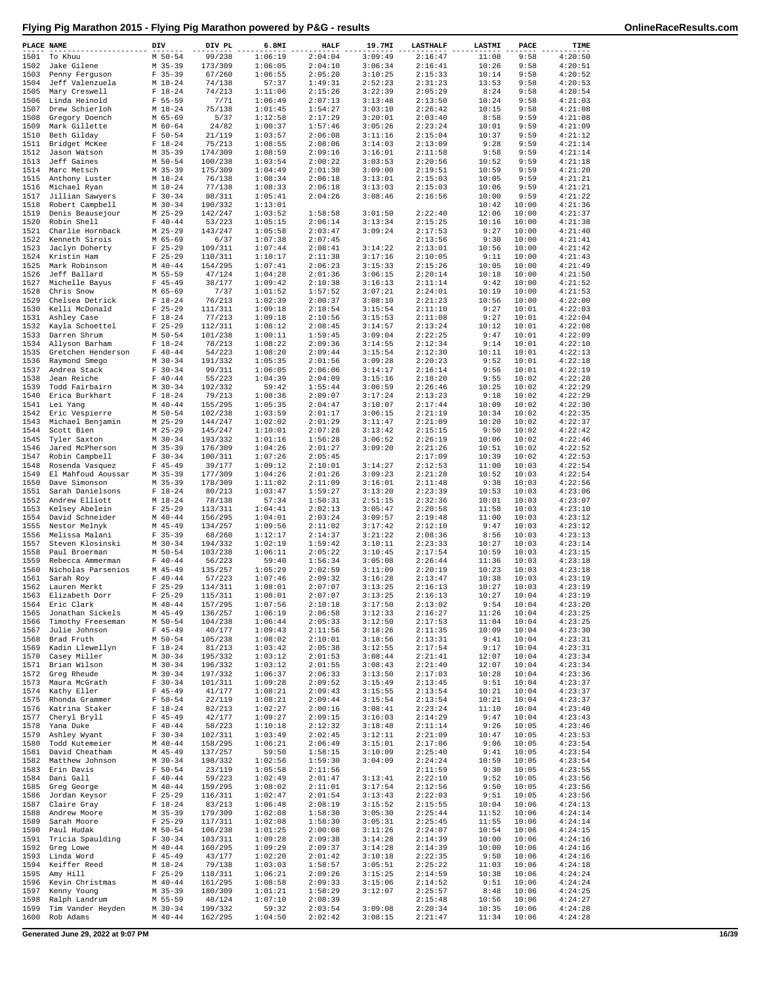| PLACE NAME   |                                                                              | DIV                      | DIV PL             | 6.8MI              | <b>HALF</b>        | 19.7MI             | <b>LASTHALF</b>    | LASTMI        | PACE           | TIME               |
|--------------|------------------------------------------------------------------------------|--------------------------|--------------------|--------------------|--------------------|--------------------|--------------------|---------------|----------------|--------------------|
| 1501         | To Khuu                                                                      | M 50-54                  | 99/238             | 1:06:19            | 2:04:04            | 3:09:49            | 2:16:47            | 11:08         | 9:58           | 4:20:50            |
| 1502         | Jake Gilene                                                                  | $M$ 35-39                | 173/309            | 1:06:05            | 2:04:10            | 3:06:34            | 2:16:41            | 10:26         | 9:58           | 4:20:51            |
| 1503         | Penny Ferguson                                                               | $F$ 35-39                | 67/260             | 1:06:55            | 2:05:20            | 3:10:25            | 2:15:33            | 10:14         | 9:58           | 4:20:52            |
| 1504         | Jeff Valenzuela                                                              | $M_18-24$                | 74/138             | 57:37              | 1:49:31            | 2:52:23            | 2:31:23            | 13:53         | 9:58           | 4:20:53            |
| 1505         | Mary Creswell                                                                | $F 18 - 24$              | 74/213             | 1:11:06            | 2:15:26            | 3:22:39            | 2:05:29            | 8:24          | 9:58           | 4:20:54            |
| 1506         | Linda Heinold                                                                | $F 55 - 59$              | 7/71               | 1:06:49            | 2:07:13            | 3:13:48            | 2:13:50            | 10:24         | 9:58           | 4:21:03            |
| 1507         | Drew Schierloh                                                               | $M_18-24$                | 75/138<br>5/37     | 1:01:45            | 1:54:27<br>2:17:29 | 3:03:10<br>3:20:01 | 2:26:42            | 10:15         | 9:58<br>9:59   | 4:21:08<br>4:21:08 |
| 1508<br>1509 | Gregory Doench<br>Mark Gillette                                              | M 65-69<br>$M$ 60-64     | 24/82              | 1:12:58<br>1:00:37 | 1:57:46            | 3:05:26            | 2:03:40<br>2:23:24 | 8:58<br>10:01 | 9:59           | 4:21:09            |
| 1510         | Beth Gilday                                                                  | $F 50 - 54$              | 21/119             | 1:03:57            | 2:06:08            | 3:11:16            | 2:15:04            | 10:37         | 9:59           | 4:21:12            |
| 1511         | Bridget McKee                                                                | $F 18-24$                | 75/213             | 1:08:55            | 2:08:06            | 3:14:03            | 2:13:09            | 9:28          | 9:59           | 4:21:14            |
| 1512         | Jason Watson                                                                 | $M$ 35-39                | 174/309            | 1:08:59            | 2:09:16            | 3:16:01            | 2:11:58            | 9:58          | 9:59           | 4:21:14            |
| 1513         | Jeff Gaines                                                                  | $M$ 50-54                | 100/238            | 1:03:54            | 2:00:22            | 3:03:53            | 2:20:56            | 10:52         | 9:59           | 4:21:18            |
| 1514         | Marc Metsch                                                                  | $M$ 35-39                | 175/309            | 1:04:49            | 2:01:30            | 3:09:00            | 2:19:51            | 10:59         | 9:59           | 4:21:20            |
| 1515         | Anthony Luster                                                               | $M_18-24$                | 76/138             | 1:08:34            | 2:06:18            | 3:13:01            | 2:15:03            | 10:05         | 9:59           | 4:21:21            |
| 1516         | Michael Ryan                                                                 | $M_18-24$                | 77/138             | 1:08:33            | 2:06:18            | 3:13:03            | 2:15:03            | 10:06         | 9:59           | 4:21:21            |
| 1517         | Jillian Sawyers                                                              | $F 30 - 34$              | 98/311             | 1:05:41            | 2:04:26            | 3:08:46            | 2:16:56            | 10:00         | 9:59           | 4:21:22            |
| 1518         | Robert Campbell                                                              | $M$ 30-34                | 190/332            | 1:13:01            |                    |                    |                    | 10:42         | 10:00          | 4:21:36            |
| 1519         | Denis Beausejour                                                             | $M$ 25-29                | 142/247            | 1:03:52            | 1:58:58            | 3:01:50            | 2:22:40            | 12:06         | 10:00          | 4:21:37            |
| 1520         | Robin Shell                                                                  | $F 40 - 44$              | 53/223             | 1:05:15            | 2:06:14            | 3:13:34            | 2:15:25            | 10:16         | 10:00          | 4:21:38            |
| 1521         | Charlie Hornback                                                             | $M$ 25-29                | 143/247            | 1:05:58            | 2:03:47            | 3:09:24            | 2:17:53            | 9:27          | 10:00          | 4:21:40            |
| 1522<br>1523 | Kenneth Sirois<br>Jaclyn Doherty                                             | M 65-69<br>$F$ 25-29     | 6/37<br>109/311    | 1:07:38<br>1:07:44 | 2:07:45<br>2:08:41 | 3:14:22            | 2:13:56<br>2:13:01 | 9:30<br>10:56 | 10:00<br>10:00 | 4:21:41<br>4:21:42 |
| 1524         | Kristin Ham                                                                  | $F$ 25-29                | 110/311            | 1:10:17            | 2:11:38            | 3:17:16            | 2:10:05            | 9:11          | 10:00          | 4:21:43            |
| 1525         | Mark Robinson                                                                | $M$ 40-44                | 154/295            | 1:07:41            | 2:06:23            | 3:15:33            | 2:15:26            | 10:05         | 10:00          | 4:21:49            |
| 1526         | Jeff Ballard                                                                 | M 55-59                  | 47/124             | 1:04:28            | 2:01:36            | 3:06:15            | 2:20:14            | 10:18         | 10:00          | 4:21:50            |
| 1527         | Michelle Bayus                                                               | $F$ 45-49                | 38/177             | 1:09:42            | 2:10:38            | 3:16:13            | 2:11:14            | 9:42          | 10:00          | 4:21:52            |
| 1528         | Chris Snow                                                                   | M 65-69                  | 7/37               | 1:01:52            | 1:57:52            | 3:07:21            | 2:24:01            | 10:19         | 10:00          | 4:21:53            |
| 1529         | Chelsea Detrick                                                              | $F 18-24$                | 76/213             | 1:02:39            | 2:00:37            | 3:08:10            | 2:21:23            | 10:56         | 10:00          | 4:22:00            |
| 1530         | Kelli McDonald                                                               | $F$ 25-29                | 111/311            | 1:09:18            | 2:10:54            | 3:15:54            | 2:11:10            | 9:27          | 10:01          | 4:22:03            |
| 1531         | Ashley Case                                                                  | $F 18-24$                | 77/213             | 1:09:18            | 2:10:56            | 3:15:53            | 2:11:08            | 9:27          | 10:01          | 4:22:04            |
| 1532         | Kayla Schoettel                                                              | $F$ 25-29                | 112/311            | 1:08:12            | 2:08:45            | 3:14:57            | 2:13:24            | 10:12         | 10:01          | 4:22:08            |
| 1533         | Darren Shrum                                                                 | M 50-54                  | 101/238            | 1:00:11            | 1:59:45            | 3:09:04            | 2:22:25            | 9:47          | 10:01          | 4:22:09            |
| 1534         | Allyson Barham                                                               | $F 18-24$                | 78/213             | 1:08:22            | 2:09:36            | 3:14:55            | 2:12:34            | 9:14          | 10:01          | 4:22:10            |
| 1535         | Gretchen Henderson                                                           | $F 40 - 44$              | 54/223             | 1:08:20            | 2:09:44            | 3:15:54            | 2:12:30            | 10:11         | 10:01          | 4:22:13            |
| 1536         | Raymond Smego                                                                | $M$ 30-34                | 191/332            | 1:05:35            | 2:01:56            | 3:09:28            | 2:20:23            | 9:52          | 10:01          | 4:22:18            |
| 1537         | Andrea Stack                                                                 | $F 30-34$                | 99/311             | 1:06:05            | 2:06:06            | 3:14:17            | 2:16:14            | 9:56          | 10:01          | 4:22:19            |
| 1538<br>1539 | Jean Reiche<br>Todd Fairbairn                                                | $F 40 - 44$<br>$M$ 30-34 | 55/223             | 1:04:39<br>59:42   | 2:04:09<br>1:55:44 | 3:15:16<br>3:06:59 | 2:18:20<br>2:26:46 | 9:55<br>10:25 | 10:02<br>10:02 | 4:22:28<br>4:22:29 |
| 1540         | Erica Burkhart                                                               | $F 18-24$                | 192/332<br>79/213  | 1:08:36            | 2:09:07            | 3:17:24            | 2:13:23            | 9:18          | 10:02          | 4:22:29            |
| 1541         | Lei Yang                                                                     | $M$ 40-44                | 155/295            | 1:05:35            | 2:04:47            | 3:10:07            | 2:17:44            | 10:09         | 10:02          | 4:22:30            |
| 1542         | Eric Vespierre                                                               | M 50-54                  | 102/238            | 1:03:59            | 2:01:17            | 3:06:15            | 2:21:19            | 10:34         | 10:02          | 4:22:35            |
| 1543         | Michael Benjamin                                                             | $M$ 25-29                | 144/247            | 1:02:02            | 2:01:29            | 3:11:47            | 2:21:09            | 10:20         | 10:02          | 4:22:37            |
| 1544         | Scott Bien                                                                   | $M$ 25-29                | 145/247            | 1:10:01            | 2:07:28            | 3:13:42            | 2:15:15            | 9:50          | 10:02          | 4:22:42            |
| 1545         | Tyler Saxton                                                                 | $M$ 30-34                | 193/332            | 1:01:16            | 1:56:28            | 3:06:52            | 2:26:19            | 10:06         | 10:02          | 4:22:46            |
| 1546         | Jared McPherson                                                              | $M$ 35-39                | 176/309            | 1:04:26            | 2:01:27            | 3:09:20            | 2:21:26            | 10:51         | 10:02          | 4:22:52            |
| 1547         | Robin Campbell                                                               | $F 30 - 34$              | 100/311            | 1:07:26            | 2:05:45            |                    | 2:17:09            | 10:39         | 10:02          | 4:22:53            |
| 1548         | Rosenda Vasquez                                                              | $F$ 45-49                | 39/177             | 1:09:12            | 2:10:01            | 3:14:27            | 2:12:53            | 11:00         | 10:03          | 4:22:54            |
| 1549         | El Mahfoud Aoussar                                                           | $M$ 35-39                | 177/309            | 1:04:26            | 2:01:26            | 3:09:23            | 2:21:28            | 10:52         | 10:03          | 4:22:54            |
| 1550         | Dave Simonson                                                                | $M$ 35-39                | 178/309            | 1:11:02            | 2:11:09            | 3:16:01            | 2:11:48            | 9:38          | 10:03          | 4:22:56            |
| 1551         | Sarah Danielsons                                                             | $F 18-24$                | 80/213             | 1:03:47            | 1:59:27            | 3:13:20            | 2:23:39            | 10:53         | 10:03          | 4:23:06            |
| 1552         | Andrew Elliott                                                               | $M_18-24$                | 78/138             | 57:34              | 1:50:31            | 2:51:15            | 2:32:36            | 10:01         | 10:03          | 4:23:07            |
| 1553         | Kelsey Abelein                                                               | $F$ 25-29                | 113/311            | 1:04:41            | 2:02:13            | 3:05:47            | 2:20:58            | 11:58         | 10:03          | 4:23:10            |
| 1554<br>1555 | David Schneider                                                              | $M$ 40-44<br>$M$ 45-49   | 156/295            | 1:04:01<br>1:09:56 | 2:03:24<br>2:11:02 | 3:09:57<br>3:17:42 | 2:19:48<br>2:12:10 | 11:00<br>9:47 | 10:03<br>10:03 | 4:23:12<br>4:23:12 |
| 1556         | Nestor Melnyk<br>Melissa Malani                                              | $F$ 35-39                | 134/257<br>68/260  | 1:12:17            | 2:14:37            | 3:21:22            | 2:08:36            | 8:56          | 10:03          | 4:23:13            |
| 1557         | Steven Klosinski                                                             | $M$ 30-34                | 194/332            | 1:02:19            | 1:59:42            | 3:10:11            | 2:23:33            | 10:27         | 10:03          | 4:23:14            |
| 1558         | Paul Broerman                                                                | $M$ 50-54                | 103/238            | 1:06:11            | 2:05:22            | 3:10:45            | 2:17:54            | 10:59         | 10:03          | 4:23:15            |
| 1559         | Rebecca Ammerman                                                             | $F 40 - 44$              | 56/223             | 59:40              | 1:56:34            | 3:05:08            | 2:26:44            | 11:36         | 10:03          | 4:23:18            |
| 1560         | Nicholas Parsenios                                                           | $M$ 45-49                | 135/257            | 1:05:29            | 2:02:59            | 3:11:09            | 2:20:19            | 10:23         | 10:03          | 4:23:18            |
| 1561         | Sarah Roy                                                                    | $F 40 - 44$              | 57/223             | 1:07:46            | 2:09:32            | 3:16:28            | 2:13:47            | 10:38         | 10:03          | 4:23:19            |
| 1562         | Lauren Merkt                                                                 | $F$ 25-29                | 114/311            | 1:08:01            | 2:07:07            | 3:13:25            | 2:16:13            | 10:27         | 10:03          | 4:23:19            |
|              | 1563 Elizabeth Dorr                                                          | $F$ 25-29                | 115/311            | 1:08:01            | 2:07:07            | 3:13:25            | 2:16:13            | 10:27         | 10:04          | 4:23:19            |
|              | 1564 Eric Clark                                                              | $M$ 40-44                | 157/295            | 1:07:56            | 2:10:18            | 3:17:50            | 2:13:02            | 9:54          | 10:04          | 4:23:20            |
| 1565         | Jonathan Sickels 195-49<br>Timothy Freeseman 1950-54<br>Julie Johnson 195-49 |                          | 136/257            | 1:06:19            | 2:06:58            | 3:12:33            | 2:16:27            | 11:26         | 10:04          | 4:23:25            |
| 1566         |                                                                              |                          | 104/238            | 1:06:44            | 2:05:33            | 3:12:50            | 2:17:53            | 11:04         | 10:04          | 4:23:25            |
| 1567         |                                                                              |                          | 40/177<br>105/238  | 1:09:43            | 2:11:56            | 3:18:26            | 2:11:35            | 10:09         | 10:04          | 4:23:30            |
| 1568         | Brad Fruth<br>1569 Kadin Llewellyn                                           | $M$ 50-54<br>$F 18-24$   | 81/213             | 1:08:02<br>1:03:42 | 2:10:01<br>2:05:38 | 3:18:56<br>3:12:55 | 2:13:31<br>2:17:54 | 9:41<br>9:17  | 10:04<br>10:04 | 4:23:31<br>4:23:31 |
|              | 1570 Casey Miller                                                            | $M \ 30-34$              | 195/332            | 1:03:12            | 2:01:53            | 3:08:44            | 2:21:41            | 12:07         | 10:04          | 4:23:34            |
|              | 1571 Brian Wilson                                                            | $M \ 30-34$              | 196/332            | 1:03:12            | 2:01:55            | 3:08:43            | 2:21:40            | 12:07         | 10:04          | 4:23:34            |
| 1572         | Greg Rheude                                                                  | $M \ 30-34$              | 197/332            | 1:06:37            | 2:06:33            | 3:13:50            | 2:17:03            | 10:28         | 10:04          | 4:23:36            |
| 1573         | Maura McGrath                                                                | $F$ 30-34<br>$F$ 45-49   | 101/311            | 1:09:28            | 2:09:52            | 3:15:49            | 2:13:45            | 9:51          | 10:04          | 4:23:37            |
|              | 1574 Kathy Eller                                                             |                          | 41/177             | 1:08:21            | 2:09:43            | 3:15:55            | 2:13:54            | 10:21         | 10:04          | 4:23:37            |
|              | 1575 Rhonda Grammer                                                          | F 50-54                  | 22/119             | 1:08:21            | 2:09:44            | 3:15:54            | 2:13:54            | 10:21         | 10:04          | 4:23:37            |
| 1576         | Katrina Staker                                                               | $F$ 18-24                | 82/213             | 1:02:27            | 2:00:16            | 3:08:41            | 2:23:24            | 11:10         | 10:04          | 4:23:40            |
| 1577         | Cheryl Bryll                                                                 | $F$ 45-49                | 42/177             | 1:09:27            | 2:09:15            | 3:16:03            | 2:14:29            | 9:47          | 10:04          | 4:23:43            |
|              | 1578 Yana Duke                                                               | $F 40-44$                | 58/223             | 1:10:18            | 2:12:32            | 3:18:48            | 2:11:14            | 9:26          | 10:05          | 4:23:46            |
| 1579         | Ashley Wyant                                                                 | F 30-34<br>M 40-44       | 102/311            | 1:03:49            | 2:02:45            | 3:12:11            | 2:21:09            | 10:47         | 10:05          | 4:23:53            |
| 1580         | Todd Kutemeier                                                               | M 45-49                  | 158/295            | 1:06:21            | 2:06:49            | 3:15:01            | 2:17:06            | 9:06          | 10:05          | 4:23:54            |
|              | 1581 David Cheatham                                                          |                          | 137/257            | 59:50              | 1:58:15            | 3:10:09            | 2:25:40            | 9:41          | 10:05          | 4:23:54            |
|              | 1582 Matthew Johnson<br>1583 Erin Davis                                      | $M$ 30-34<br>$F 50-54$   | 198/332<br>23/119  | 1:02:56<br>1:05:58 | 1:59:30<br>2:11:56 | 3:04:09            | 2:24:24<br>2:11:59 | 10:59<br>9:30 | 10:05<br>10:05 | 4:23:54<br>4:23:55 |
|              | 1584 Dani Gall                                                               | $F 40-44$                | 59/223             | 1:02:49            | 2:01:47            | 3:13:41            | 2:22:10            | 9:52          | 10:05          | 4:23:56            |
| 1585         | Greg George                                                                  |                          | 159/295            | 1:08:02            | 2:11:01            | 3:17:54            | 2:12:56            | 9:50          | 10:05          | 4:23:56            |
| 1586         | Jordan Keysor                                                                | M $40-44$<br>F $25-29$   | 116/311            | 1:02:47            | 2:01:54            | 3:13:43            | 2:22:03            | 9:51          | 10:05          | 4:23:56            |
| 1587         | Claire Gray                                                                  | $F$ 18-24                | 83/213             | 1:06:48            | 2:08:19            | 3:15:52            | 2:15:55            | 10:04         | 10:06          | 4:24:13            |
|              | 1588 Andrew Moore                                                            |                          | 179/309            | 1:02:08            | 1:58:30            | 3:05:30            | 2:25:44            | 11:52         | 10:06          | 4:24:14            |
| 1589         | Sarah Moore                                                                  | M 35-39<br>F 25-29       | 117/311            | 1:02:08            | 1:58:30            | 3:05:31            | 2:25:45            | 11:55         | 10:06          | 4:24:14            |
|              | 1590 Paul Hudak M 50-54<br>1591 Tricia Spaulding F 30-34                     |                          | 106/238            | 1:01:25            | 2:00:08            | 3:11:26            | 2:24:07            | 10:54         | 10:06          | 4:24:15            |
|              |                                                                              |                          | 103/311            | 1:09:28            | 2:09:38            | 3:14:28            | 2:14:39            | 10:00         | 10:06          | 4:24:16            |
| 1592         | Greg Lowe                                                                    | M 40-44<br>F 45-49       | 160/295            | 1:09:29            | 2:09:37            | 3:14:28            | 2:14:39            | 10:00         | 10:06          | 4:24:16            |
| 1593         | Linda Word                                                                   |                          | 43/177             | 1:02:20            | 2:01:42            | 3:10:18            | 2:22:35            | 9:50          | 10:06          | 4:24:16            |
|              | 1594 Keiffer Reed                                                            | $M$ 18-24                | 79/138             | 1:03:03            | 1:58:57            | 3:05:51            | 2:25:22            | 11:03         | 10:06          | 4:24:18            |
| 1595<br>1596 | Amy Hill<br>Kevin Christmas                                                  | $F$ 25-29<br>$M$ 40-44   | 118/311<br>161/295 | 1:06:21<br>1:08:58 | 2:09:26<br>2:09:33 | 3:15:25<br>3:15:06 | 2:14:59<br>2:14:52 | 10:38<br>9:51 | 10:06<br>10:06 | 4:24:24<br>4:24:24 |
| 1597         | Kenny Young                                                                  | $M$ 35-39                | 180/309            | 1:01:21            | 1:58:29            | 3:12:07            | 2:25:57            | 8:48          | 10:06          | 4:24:25            |
| 1598         | Ralph Landrum                                                                | $M$ 55-59                | 48/124             | 1:07:10            | 2:08:39            |                    | 2:15:48            | 10:56         | 10:06          | 4:24:27            |
| 1599         | Tim Vander Heyden                                                            | $M \ 30-34$              | 199/332            | 59:32              | 2:03:54            | 3:09:08            | 2:20:34            | 10:35         | 10:06          | 4:24:28            |
|              | 1600 Rob Adams                                                               | $M$ 40-44                | 162/295            | 1:04:50            | 2:02:42            | 3:08:15            | 2:21:47            | 11:34         | 10:06          | 4:24:28            |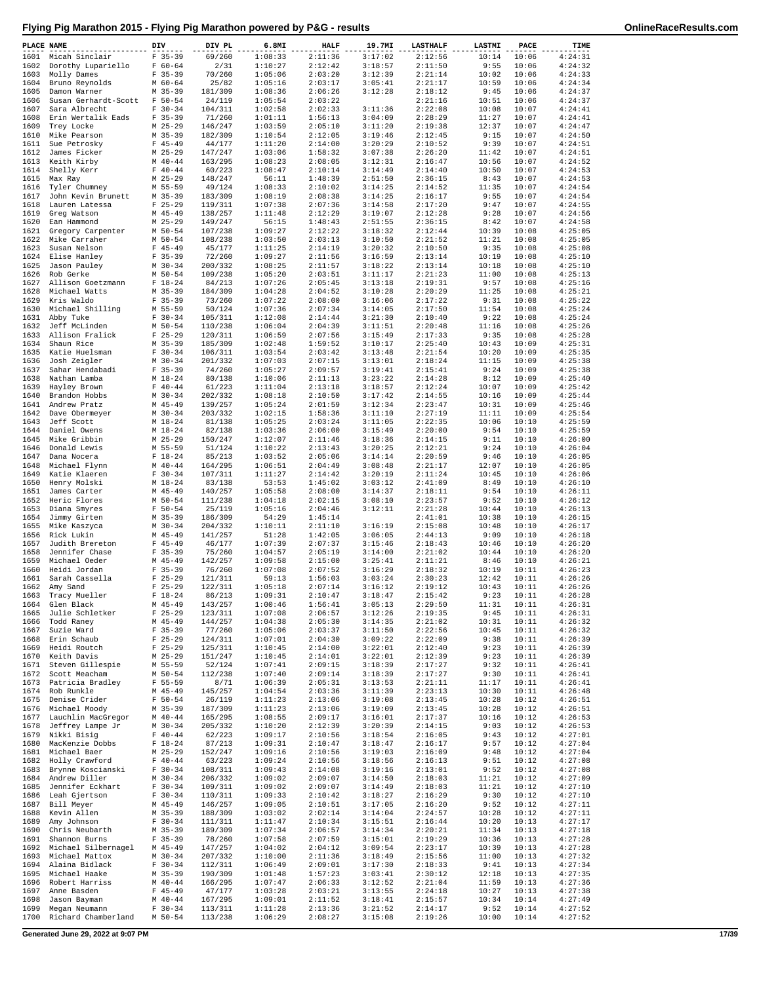| PLACE NAME   |                                     | DIV                      | DIV PL             | 6.8MI              | <b>HALF</b>        | 19.7MI             | <b>LASTHALF</b>    | LASTMI         | PACE                    | TIME               |
|--------------|-------------------------------------|--------------------------|--------------------|--------------------|--------------------|--------------------|--------------------|----------------|-------------------------|--------------------|
| 1601         | Micah Sinclair                      | $F$ 35-39                | 69/260             | 1:08:33            | 2:11:36            | 3:17:02            | 2:12:56            | 10:14          | 10:06                   | 4:24:31            |
| 1602         | Dorothy Lupariello                  | $F 60 - 64$              | 2/31               | 1:10:27            | 2:12:42            | 3:18:57            | 2:11:50            | 9:55           | 10:06                   | 4:24:32            |
| 1603<br>1604 | Molly Dames<br>Bruno Reynolds       | $F$ 35-39<br>M 60-64     | 70/260<br>25/82    | 1:05:06<br>1:05:16 | 2:03:20<br>2:03:17 | 3:12:39<br>3:05:41 | 2:21:14<br>2:21:17 | 10:02<br>10:59 | 10:06<br>10:06          | 4:24:33<br>4:24:34 |
| 1605         | Damon Warner                        | $M$ 35-39                | 181/309            | 1:08:36            | 2:06:26            | 3:12:28            | 2:18:12            | 9:45           | 10:06                   | 4:24:37            |
| 1606         | Susan Gerhardt-Scott                | F 50-54                  | 24/119             | 1:05:54            | 2:03:22            |                    | 2:21:16            | 10:51          | 10:06                   | 4:24:37            |
| 1607         | Sara Albrecht                       | $F 30-34$                | 104/311            | 1:02:58            | 2:02:33            | 3:11:36            | 2:22:08            | 10:08          | 10:07                   | 4:24:41            |
| 1608<br>1609 | Erin Wertalik Eads                  | $F$ 35-39<br>$M$ 25-29   | 71/260             | 1:01:11<br>1:03:59 | 1:56:13<br>2:05:10 | 3:04:09            | 2:28:29<br>2:19:38 | 11:27<br>12:37 | 10:07<br>10:07          | 4:24:41<br>4:24:47 |
| 1610         | Trey Locke<br>Mike Pearson          | M 35-39                  | 146/247<br>182/309 | 1:10:54            | 2:12:05            | 3:11:20<br>3:19:46 | 2:12:45            | 9:15           | 10:07                   | 4:24:50            |
| 1611         | Sue Petrosky                        | $F$ 45-49                | 44/177             | 1:11:20            | 2:14:00            | 3:20:29            | 2:10:52            | 9:39           | 10:07                   | 4:24:51            |
| 1612         | James Ficker                        | $M$ 25-29                | 147/247            | 1:03:06            | 1:58:32            | 3:07:38            | 2:26:20            | 11:42          | 10:07                   | 4:24:51            |
| 1613         | Keith Kirby                         | $M$ 40-44                | 163/295            | 1:08:23            | 2:08:05            | 3:12:31            | 2:16:47            | 10:56          | 10:07                   | 4:24:52            |
| 1614         | Shelly Kerr                         | $F 40 - 44$              | 60/223             | 1:08:47            | 2:10:14            | 3:14:49            | 2:14:40            | 10:50          | 10:07<br>10:07          | 4:24:53            |
| 1615<br>1616 | Max Ray<br>Tyler Chumney            | $M$ 25-29<br>M 55-59     | 148/247<br>49/124  | 56:11<br>1:08:33   | 1:48:39<br>2:10:02 | 2:51:50<br>3:14:25 | 2:36:15<br>2:14:52 | 8:43<br>11:35  | 10:07                   | 4:24:53<br>4:24:54 |
| 1617         | John Kevin Brunett                  | M 35-39                  | 183/309            | 1:08:19            | 2:08:38            | 3:14:25            | 2:16:17            | 9:55           | 10:07                   | 4:24:54            |
| 1618         | Lauren Latessa                      | $F$ 25-29                | 119/311            | 1:07:38            | 2:07:36            | 3:14:58            | 2:17:20            | 9:47           | 10:07                   | 4:24:55            |
| 1619         | Greg Watson                         | $M$ 45-49                | 138/257            | 1:11:48            | 2:12:29            | 3:19:07            | 2:12:28            | 9:28           | 10:07                   | 4:24:56            |
| 1620         | Ean Hammond                         | $M$ 25-29                | 149/247            | 56:15              | 1:48:43            | 2:51:55            | 2:36:15            | 8:42           | 10:07                   | 4:24:58            |
| 1621<br>1622 | Gregory Carpenter<br>Mike Carraher  | M 50-54<br>M 50-54       | 107/238<br>108/238 | 1:09:27<br>1:03:50 | 2:12:22<br>2:03:13 | 3:18:32<br>3:10:50 | 2:12:44<br>2:21:52 | 10:39<br>11:21 | 10:08<br>10:08          | 4:25:05<br>4:25:05 |
| 1623         | Susan Nelson                        | $F$ 45-49                | 45/177             | 1:11:25            | 2:14:19            | 3:20:32            | 2:10:50            | 9:35           | 10:08                   | 4:25:08            |
| 1624         | Elise Hanley                        | $F$ 35-39                | 72/260             | 1:09:27            | 2:11:56            | 3:16:59            | 2:13:14            | 10:19          | 10:08                   | 4:25:10            |
| 1625         | Jason Pauley                        | $M$ 30-34                | 200/332            | 1:08:25            | 2:11:57            | 3:18:22            | 2:13:14            | 10:18          | 10:08                   | 4:25:10            |
| 1626<br>1627 | Rob Gerke                           | M 50-54<br>$F 18-24$     | 109/238            | 1:05:20<br>1:07:26 | 2:03:51<br>2:05:45 | 3:11:17            | 2:21:23            | 11:00<br>9:57  | 10:08<br>10:08          | 4:25:13<br>4:25:16 |
| 1628         | Allison Goetzmann<br>Michael Watts  | $M$ 35-39                | 84/213<br>184/309  | 1:04:28            | 2:04:52            | 3:13:18<br>3:10:28 | 2:19:31<br>2:20:29 | 11:25          | 10:08                   | 4:25:21            |
| 1629         | Kris Waldo                          | $F$ 35-39                | 73/260             | 1:07:22            | 2:08:00            | 3:16:06            | 2:17:22            | 9:31           | 10:08                   | 4:25:22            |
| 1630         | Michael Shilling                    | M 55-59                  | 50/124             | 1:07:36            | 2:07:34            | 3:14:05            | 2:17:50            | 11:54          | 10:08                   | 4:25:24            |
| 1631         | Abby Tuke                           | $F 30 - 34$              | 105/311            | 1:12:08            | 2:14:44            | 3:21:30            | 2:10:40            | 9:22           | 10:08                   | 4:25:24            |
| 1632         | Jeff McLinden                       | M 50-54                  | 110/238            | 1:06:04            | 2:04:39            | 3:11:51            | 2:20:48            | 11:16          | 10:08                   | 4:25:26            |
| 1633<br>1634 | Allison Fralick<br>Shaun Rice       | $F$ 25-29<br>$M$ 35-39   | 120/311<br>185/309 | 1:06:59<br>1:02:48 | 2:07:56<br>1:59:52 | 3:15:49<br>3:10:17 | 2:17:33<br>2:25:40 | 9:35<br>10:43  | 10:08<br>10:09          | 4:25:28<br>4:25:31 |
| 1635         | Katie Huelsman                      | $F 30-34$                | 106/311            | 1:03:54            | 2:03:42            | 3:13:48            | 2:21:54            | 10:20          | 10:09                   | 4:25:35            |
| 1636         | Josh Zeigler                        | $M$ 30-34                | 201/332            | 1:07:03            | 2:07:15            | 3:13:01            | 2:18:24            | 11:15          | 10:09                   | 4:25:38            |
| 1637         | Sahar Hendabadi                     | $F$ 35-39                | 74/260             | 1:05:27            | 2:09:57            | 3:19:41            | 2:15:41            | 9:24           | 10:09                   | 4:25:38            |
| 1638         | Nathan Lamba                        | $M$ 18-24                | 80/138             | 1:10:06            | 2:11:13            | 3:23:22            | 2:14:28            | 8:12           | 10:09                   | 4:25:40            |
| 1639<br>1640 | Hayley Brown<br>Brandon Hobbs       | $F 40 - 44$<br>$M$ 30-34 | 61/223<br>202/332  | 1:11:04<br>1:08:18 | 2:13:18<br>2:10:50 | 3:18:57<br>3:17:42 | 2:12:24<br>2:14:55 | 10:07<br>10:16 | 10:09<br>10:09          | 4:25:42<br>4:25:44 |
| 1641         | Andrew Pratz                        | M 45-49                  | 139/257            | 1:05:24            | 2:01:59            | 3:12:34            | 2:23:47            | 10:31          | 10:09                   | 4:25:46            |
| 1642         | Dave Obermeyer                      | $M$ 30-34                | 203/332            | 1:02:15            | 1:58:36            | 3:11:10            | 2:27:19            | 11:11          | 10:09                   | 4:25:54            |
| 1643         | Jeff Scott                          | $M_18-24$                | 81/138             | 1:05:25            | 2:03:24            | 3:11:05            | 2:22:35            | 10:06          | 10:10                   | 4:25:59            |
| 1644         | Daniel Owens                        | $M_18-24$                | 82/138             | 1:03:36            | 2:06:00            | 3:15:49            | 2:20:00            | 9:54           | 10:10                   | 4:25:59            |
| 1645<br>1646 | Mike Gribbin<br>Donald Lewis        | $M$ 25-29<br>M 55-59     | 150/247<br>51/124  | 1:12:07<br>1:10:22 | 2:11:46<br>2:13:43 | 3:18:36<br>3:20:25 | 2:14:15<br>2:12:21 | 9:11<br>9:24   | 10:10<br>10:10          | 4:26:00<br>4:26:04 |
| 1647         | Dana Nocera                         | $F 18-24$                | 85/213             | 1:03:52            | 2:05:06            | 3:14:14            | 2:20:59            | 9:46           | 10:10                   | 4:26:05            |
| 1648         | Michael Flynn                       | $M$ 40-44                | 164/295            | 1:06:51            | 2:04:49            | 3:08:48            | 2:21:17            | 12:07          | 10:10                   | 4:26:05            |
| 1649         | Katie Klaeren                       | $F 30-34$                | 107/311            | 1:11:27            | 2:14:42            | 3:20:19            | 2:11:24            | 10:45          | 10:10                   | 4:26:06            |
| 1650         | Henry Molski                        | $M_18-24$                | 83/138             | 53:53              | 1:45:02            | 3:03:12            | 2:41:09            | 8:49           | 10:10                   | 4:26:10            |
| 1651<br>1652 | James Carter<br>Heric Flores        | M 45-49<br>M 50-54       | 140/257<br>111/238 | 1:05:58<br>1:04:18 | 2:08:00<br>2:02:15 | 3:14:37<br>3:08:10 | 2:18:11<br>2:23:57 | 9:54<br>9:52   | 10:10<br>10:10          | 4:26:11<br>4:26:12 |
| 1653         | Diana Smyres                        | $F 50 - 54$              | 25/119             | 1:05:16            | 2:04:46            | 3:12:11            | 2:21:28            | 10:44          | 10:10                   | 4:26:13            |
| 1654         | Jimmy Girten                        | $M$ 35-39                | 186/309            | 54:29              | 1:45:14            |                    | 2:41:01            | 10:38          | 10:10                   | 4:26:15            |
| 1655         | Mike Kaszyca                        | $M$ 30-34                | 204/332            | 1:10:11            | 2:11:10            | 3:16:19            | 2:15:08            | 10:48          | 10:10                   | 4:26:17            |
| 1656         | Rick Lukin                          | M 45-49                  | 141/257            | 51:28              | 1:42:05            | 3:06:05            | 2:44:13            | 9:09           | 10:10                   | 4:26:18            |
| 1657<br>1658 | Judith Brereton<br>Jennifer Chase   | $F$ 45-49<br>$F$ 35-39   | 46/177<br>75/260   | 1:07:39<br>1:04:57 | 2:07:37<br>2:05:19 | 3:15:46<br>3:14:00 | 2:18:43<br>2:21:02 | 10:46<br>10:44 | 10:10<br>10:10          | 4:26:20<br>4:26:20 |
| 1659         | Michael Oeder                       | M 45-49                  | 142/257            | 1:09:58            | 2:15:00            | 3:25:41            | 2:11:21            | 8:46           | 10:10                   | 4:26:21            |
| 1660         | Heidi Jordan                        | $F$ 35-39                | 76/260             | 1:07:08            | 2:07:52            | 3:16:29            | 2:18:32            | 10:19          | 10:11                   | 4:26:23            |
| 1661         | Sarah Cassella                      | $F$ 25-29                | 121/311            | 59:13              | 1:56:03            | 3:03:24            | 2:30:23            | 12:42          | 10:11                   | 4:26:26            |
| 1662         | Amy Sand                            | $F$ 25-29                | 122/311            | 1:05:18            | 2:07:14            | 3:16:12            | 2:19:12            | 10:43          | 10:11                   | 4:26:26            |
| 1664         | 1663 Tracy Mueller<br>Glen Black    | F 18-24<br>$M$ 45-49     | 86/213<br>143/257  | 1:09:31<br>1:00:46 | 2:10:47<br>1:56:41 | 3:18:47<br>3:05:13 | 2:15:42<br>2:29:50 | 11:31          | $9:23$ $10:11$<br>10:11 | 4:26:28<br>4:26:31 |
| 1665         | Julie Schletker                     | $F$ 25-29                | 123/311            | 1:07:08            | 2:06:57            | 3:12:26            | 2:19:35            | 9:45           | 10:11                   | 4:26:31            |
| 1666         | Todd Raney                          | $M$ 45-49                | 144/257            | 1:04:38            | 2:05:30            | 3:14:35            | 2:21:02            | 10:31          | 10:11                   | 4:26:32            |
| 1667         | Suzie Ward                          | $F$ 35-39                | 77/260             | 1:05:06            | 2:03:37            | 3:11:50            | 2:22:56            | 10:45          | 10:11                   | 4:26:32            |
| 1668         | Erin Schaub                         | $F$ 25-29                | 124/311            | 1:07:01            | 2:04:30            | 3:09:22            | 2:22:09            | 9:38           | 10:11                   | 4:26:39            |
| 1669<br>1670 | Heidi Routch<br>Keith Davis         | $F$ 25-29<br>$M$ 25-29   | 125/311<br>151/247 | 1:10:45<br>1:10:45 | 2:14:00<br>2:14:01 | 3:22:01<br>3:22:01 | 2:12:40<br>2:12:39 | 9:23<br>9:23   | 10:11<br>10:11          | 4:26:39<br>4:26:39 |
| 1671         | Steven Gillespie                    | M 55-59                  | 52/124             | 1:07:41            | 2:09:15            | 3:18:39            | 2:17:27            | 9:32           | 10:11                   | 4:26:41            |
| 1672         | Scott Meacham                       | M 50-54                  | 112/238            | 1:07:40            | 2:09:14            | 3:18:39            | 2:17:27            | 9:30           | 10:11                   | 4:26:41            |
| 1673         | Patricia Bradley                    | $F 55 - 59$              | 8/71               | 1:06:39            | 2:05:31            | 3:13:53            | 2:21:11            | 11:17          | 10:11                   | 4:26:41            |
| 1674         | Rob Runkle                          | $M$ 45-49                | 145/257            | 1:04:54            | 2:03:36            | 3:11:39            | 2:23:13            | 10:30          | 10:11                   | 4:26:48            |
| 1675         | Denise Crider                       | $F 50 - 54$              | 26/119             | 1:11:23            | 2:13:06            | 3:19:08            | 2:13:45            | 10:28          | 10:12                   | 4:26:51            |
| 1676<br>1677 | Michael Moody<br>Lauchlin MacGregor | $M$ 35-39<br>$M$ 40-44   | 187/309<br>165/295 | 1:11:23<br>1:08:55 | 2:13:06<br>2:09:17 | 3:19:09<br>3:16:01 | 2:13:45<br>2:17:37 | 10:28<br>10:16 | 10:12<br>10:12          | 4:26:51<br>4:26:53 |
| 1678         | Jeffrey Lampe Jr                    | $M$ 30-34                | 205/332            | 1:10:20            | 2:12:39            | 3:20:39            | 2:14:15            | 9:03           | 10:12                   | 4:26:53            |
| 1679         | Nikki Bisig                         | $F 40 - 44$              | 62/223             | 1:09:17            | 2:10:56            | 3:18:54            | 2:16:05            | 9:43           | 10:12                   | 4:27:01            |
| 1680         | MacKenzie Dobbs                     | $F 18-24$                | 87/213             | 1:09:31            | 2:10:47            | 3:18:47            | 2:16:17            | 9:57           | 10:12                   | 4:27:04            |
| 1681         | Michael Baer                        | $M$ 25-29                | 152/247            | 1:09:16            | 2:10:56            | 3:19:03            | 2:16:09            | 9:48           | 10:12                   | 4:27:04            |
| 1682<br>1683 | Holly Crawford<br>Brynne Koscianski | $F 40 - 44$<br>$F 30-34$ | 63/223<br>108/311  | 1:09:24<br>1:09:43 | 2:10:56<br>2:14:08 | 3:18:56<br>3:19:16 | 2:16:13<br>2:13:01 | 9:51<br>9:52   | 10:12<br>10:12          | 4:27:08<br>4:27:08 |
| 1684         | Andrew Diller                       | $M$ 30-34                | 206/332            | 1:09:02            | 2:09:07            | 3:14:50            | 2:18:03            | 11:21          | 10:12                   | 4:27:09            |
| 1685         | Jennifer Eckhart                    | $F 30-34$                | 109/311            | 1:09:02            | 2:09:07            | 3:14:49            | 2:18:03            | 11:21          | 10:12                   | 4:27:10            |
| 1686         | Leah Gjertson                       | $F 30-34$                | 110/311            | 1:09:33            | 2:10:42            | 3:18:27            | 2:16:29            | 9:30           | 10:12                   | 4:27:10            |
| 1687         | Bill Meyer                          | $M$ 45-49                | 146/257            | 1:09:05            | 2:10:51            | 3:17:05            | 2:16:20            | 9:52           | 10:12                   | 4:27:11            |
| 1688<br>1689 | Kevin Allen<br>Amy Johnson          | $M$ 35-39<br>$F 30-34$   | 188/309<br>111/311 | 1:03:02<br>1:11:47 | 2:02:14<br>2:10:34 | 3:14:04<br>3:15:51 | 2:24:57<br>2:16:44 | 10:28<br>10:20 | 10:12<br>10:13          | 4:27:11<br>4:27:17 |
| 1690         | Chris Neubarth                      | $M$ 35-39                | 189/309            | 1:07:34            | 2:06:57            | 3:14:34            | 2:20:21            | 11:34          | 10:13                   | 4:27:18            |
| 1691         | Shannon Burns                       | $F$ 35-39                | 78/260             | 1:07:58            | 2:07:59            | 3:15:01            | 2:19:29            | 10:36          | 10:13                   | 4:27:28            |
| 1692         | Michael Silbernagel                 | $M$ 45-49                | 147/257            | 1:04:02            | 2:04:12            | 3:09:54            | 2:23:17            | 10:39          | 10:13                   | 4:27:28            |
| 1693         | Michael Mattox                      | $M$ 30-34                | 207/332            | 1:10:00            | 2:11:36            | 3:18:49            | 2:15:56            | 11:00          | 10:13                   | 4:27:32            |
| 1694<br>1695 | Alaina Bidlack<br>Michael Haake     | $F 30-34$<br>$M$ 35-39   | 112/311<br>190/309 | 1:06:49<br>1:01:48 | 2:09:01<br>1:57:23 | 3:17:30<br>3:03:41 | 2:18:33<br>2:30:12 | 9:41<br>12:18  | 10:13<br>10:13          | 4:27:34<br>4:27:35 |
| 1696         | Robert Harriss                      | $M$ 40-44                | 166/295            | 1:07:47            | 2:06:33            | 3:12:52            | 2:21:04            | 11:59          | 10:13                   | 4:27:36            |
| 1697         | Anne Basden                         | $F$ 45-49                | 47/177             | 1:03:28            | 2:03:21            | 3:13:55            | 2:24:18            | 10:27          | 10:13                   | 4:27:38            |
| 1698         | Jason Bayman                        | $M$ 40-44                | 167/295            | 1:09:01            | 2:11:52            | 3:18:41            | 2:15:57            | 10:34          | 10:14                   | 4:27:49            |
| 1699         | Megan Neumann                       | $F 30-34$                | 113/311            | 1:11:28            | 2:13:36            | 3:21:52            | 2:14:17            | 9:52           | 10:14                   | 4:27:52            |
| 1700         | Richard Chamberland                 | M 50-54                  | 113/238            | 1:06:29            | 2:08:27            | 3:15:08            | 2:19:26            | 10:00          | 10:14                   | 4:27:52            |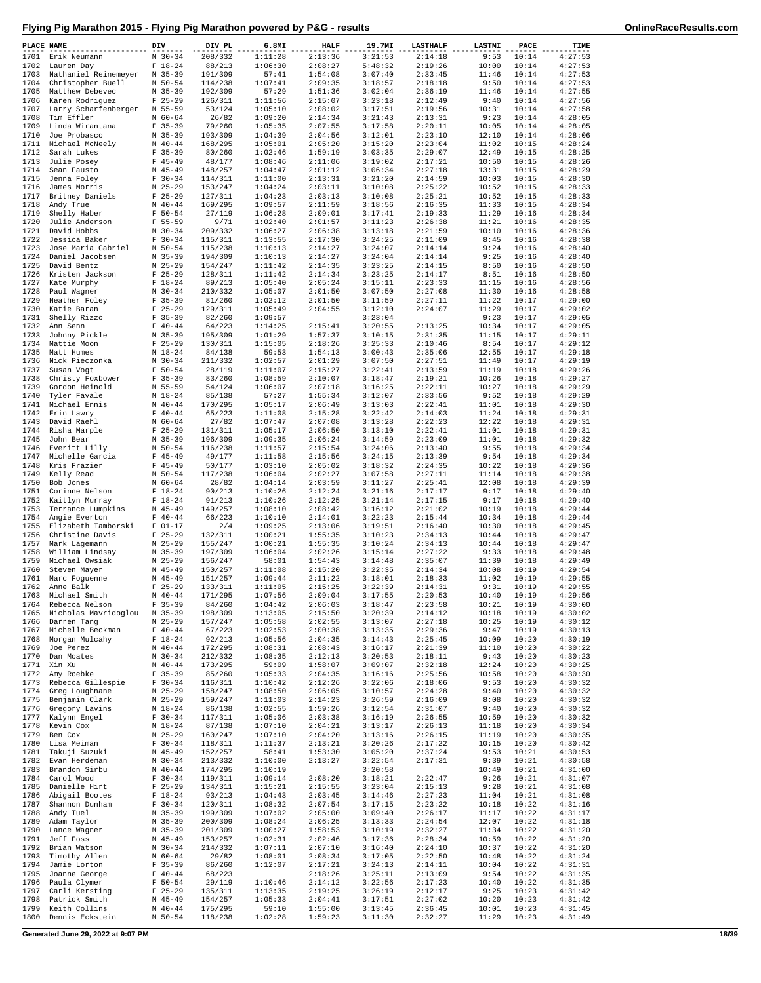| PLACE NAME   |                                             | DIV                      | DIV PL             | 6.8MI              | <b>HALF</b>        | 19.7MI             | <b>LASTHALF</b>    | LASTMI         | PACE           | TIME               |
|--------------|---------------------------------------------|--------------------------|--------------------|--------------------|--------------------|--------------------|--------------------|----------------|----------------|--------------------|
| 1701         | Erik Neumann                                | $M$ 30-34                | 208/332            | 1:11:28            | 2:13:36            | 3:21:53            | 2:14:18            | 9:53           | 10:14          | 4:27:53            |
| 1702<br>1703 | Lauren Day<br>Nathaniel Reinemeyer          | $F 18 - 24$<br>$M$ 35-39 | 88/213<br>191/309  | 1:06:30<br>57:41   | 2:08:27<br>1:54:08 | 5:48:32<br>3:07:40 | 2:19:26<br>2:33:45 | 10:00<br>11:46 | 10:14<br>10:14 | 4:27:53<br>4:27:53 |
| 1704         | Christopher Buell                           | $M$ 50-54                | 114/238            | 1:07:41            | 2:09:35            | 3:18:57            | 2:18:18            | 9:50           | 10:14          | 4:27:53            |
| 1705         | Matthew Debevec                             | $M$ 35-39                | 192/309            | 57:29              | 1:51:36            | 3:02:04            | 2:36:19            | 11:46          | 10:14          | 4:27:55            |
| 1706<br>1707 | Karen Rodriguez<br>Larry Scharfenberger     | $F$ 25-29<br>M 55-59     | 126/311<br>53/124  | 1:11:56<br>1:05:10 | 2:15:07<br>2:08:02 | 3:23:18<br>3:17:51 | 2:12:49<br>2:19:56 | 9:40<br>10:31  | 10:14<br>10:14 | 4:27:56<br>4:27:58 |
| 1708         | Tim Effler                                  | M 60-64                  | 26/82              | 1:09:20            | 2:14:34            | 3:21:43            | 2:13:31            | 9:23           | 10:14          | 4:28:05            |
| 1709         | Linda Wirantana                             | $F$ 35-39                | 79/260             | 1:05:35            | 2:07:55            | 3:17:58            | 2:20:11            | 10:05          | 10:14          | 4:28:05            |
| 1710         | Joe Probasco                                | $M$ 35-39                | 193/309            | 1:04:39            | 2:04:56            | 3:12:01            | 2:23:10            | 12:10          | 10:14          | 4:28:06            |
| 1711<br>1712 | Michael McNeely<br>Sarah Lukes              | $M$ 40-44<br>$F$ 35-39   | 168/295<br>80/260  | 1:05:01<br>1:02:46 | 2:05:20<br>1:59:19 | 3:15:20<br>3:03:35 | 2:23:04<br>2:29:07 | 11:02<br>12:49 | 10:15<br>10:15 | 4:28:24<br>4:28:25 |
| 1713         | Julie Posey                                 | $F$ 45-49                | 48/177             | 1:08:46            | 2:11:06            | 3:19:02            | 2:17:21            | 10:50          | 10:15          | 4:28:26            |
| 1714         | Sean Fausto                                 | $M$ 45-49                | 148/257            | 1:04:47            | 2:01:12            | 3:06:34            | 2:27:18            | 13:31          | 10:15          | 4:28:29            |
| 1715<br>1716 | Jenna Foley                                 | $F 30-34$<br>$M$ 25-29   | 114/311<br>153/247 | 1:11:00<br>1:04:24 | 2:13:31<br>2:03:11 | 3:21:20<br>3:10:08 | 2:14:59<br>2:25:22 | 10:03          | 10:15          | 4:28:30<br>4:28:33 |
| 1717         | James Morris<br>Britney Daniels             | $F$ 25-29                | 127/311            | 1:04:23            | 2:03:13            | 3:10:08            | 2:25:21            | 10:52<br>10:52 | 10:15<br>10:15 | 4:28:33            |
| 1718         | Andy True                                   | $M$ 40-44                | 169/295            | 1:09:57            | 2:11:59            | 3:18:56            | 2:16:35            | 11:33          | 10:15          | 4:28:34            |
| 1719         | Shelly Haber                                | $F 50 - 54$              | 27/119             | 1:06:28            | 2:09:01            | 3:17:41            | 2:19:33            | 11:29          | 10:16          | 4:28:34            |
| 1720<br>1721 | Julie Anderson<br>David Hobbs               | $F 55 - 59$<br>$M$ 30-34 | 9/71<br>209/332    | 1:02:40<br>1:06:27 | 2:01:57<br>2:06:38 | 3:11:23<br>3:13:18 | 2:26:38<br>2:21:59 | 11:21<br>10:10 | 10:16<br>10:16 | 4:28:35<br>4:28:36 |
| 1722         | Jessica Baker                               | $F 30-34$                | 115/311            | 1:13:55            | 2:17:30            | 3:24:25            | 2:11:09            | 8:45           | 10:16          | 4:28:38            |
| 1723         | Jose Maria Gabriel                          | M 50-54                  | 115/238            | 1:10:13            | 2:14:27            | 3:24:07            | 2:14:14            | 9:24           | 10:16          | 4:28:40            |
| 1724         | Daniel Jacobsen                             | $M$ 35-39                | 194/309            | 1:10:13            | 2:14:27            | 3:24:04            | 2:14:14            | 9:25           | 10:16          | 4:28:40            |
| 1725<br>1726 | David Bentz<br>Kristen Jackson              | $M$ 25-29<br>$F$ 25-29   | 154/247<br>128/311 | 1:11:42<br>1:11:42 | 2:14:35<br>2:14:34 | 3:23:25<br>3:23:25 | 2:14:15<br>2:14:17 | 8:50<br>8:51   | 10:16<br>10:16 | 4:28:50<br>4:28:50 |
| 1727         | Kate Murphy                                 | $F 18-24$                | 89/213             | 1:05:40            | 2:05:24            | 3:15:11            | 2:23:33            | 11:15          | 10:16          | 4:28:56            |
| 1728         | Paul Wagner                                 | $M$ 30-34                | 210/332            | 1:05:07            | 2:01:50            | 3:07:50            | 2:27:08            | 11:30          | 10:16          | 4:28:58            |
| 1729         | Heather Foley                               | $F$ 35-39                | 81/260             | 1:02:12            | 2:01:50            | 3:11:59            | 2:27:11            | 11:22          | 10:17          | 4:29:00            |
| 1730<br>1731 | Katie Baran<br>Shelly Rizzo                 | $F$ 25-29<br>$F$ 35-39   | 129/311<br>82/260  | 1:05:49<br>1:09:57 | 2:04:55            | 3:12:10<br>3:23:04 | 2:24:07            | 11:29<br>9:23  | 10:17<br>10:17 | 4:29:02<br>4:29:05 |
| 1732         | Ann Senn                                    | $F 40 - 44$              | 64/223             | 1:14:25            | 2:15:41            | 3:20:55            | 2:13:25            | 10:34          | 10:17          | 4:29:05            |
| 1733         | Johnny Pickle                               | $M$ 35-39                | 195/309            | 1:01:29            | 1:57:37            | 3:10:15            | 2:31:35            | 11:15          | 10:17          | 4:29:11            |
| 1734         | Mattie Moon                                 | $F$ 25-29                | 130/311            | 1:15:05            | 2:18:26            | 3:25:33            | 2:10:46            | 8:54           | 10:17          | 4:29:12            |
| 1735<br>1736 | Matt Humes<br>Nick Pieczonka                | $M$ 18-24<br>$M$ 30-34   | 84/138<br>211/332  | 59:53<br>1:02:57   | 1:54:13<br>2:01:29 | 3:00:43<br>3:07:50 | 2:35:06<br>2:27:51 | 12:55<br>11:49 | 10:17<br>10:17 | 4:29:18<br>4:29:19 |
| 1737         | Susan Vogt                                  | $F 50 - 54$              | 28/119             | 1:11:07            | 2:15:27            | 3:22:41            | 2:13:59            | 11:19          | 10:18          | 4:29:26            |
| 1738         | Christy Foxbower                            | $F$ 35-39                | 83/260             | 1:08:59            | 2:10:07            | 3:18:47            | 2:19:21            | 10:26          | 10:18          | 4:29:27            |
| 1739         | Gordon Heinold                              | M 55-59                  | 54/124             | 1:06:07            | 2:07:18            | 3:16:25            | 2:22:11            | 10:27          | 10:18          | 4:29:29            |
| 1740<br>1741 | Tyler Favale<br>Michael Ennis               | $M_18-24$<br>$M$ 40-44   | 85/138<br>170/295  | 57:27<br>1:05:17   | 1:55:34<br>2:06:49 | 3:12:07<br>3:13:03 | 2:33:56<br>2:22:41 | 9:52<br>11:01  | 10:18<br>10:18 | 4:29:29<br>4:29:30 |
| 1742         | Erin Lawry                                  | $F 40 - 44$              | 65/223             | 1:11:08            | 2:15:28            | 3:22:42            | 2:14:03            | 11:24          | 10:18          | 4:29:31            |
| 1743         | David Raehl                                 | $M$ 60-64                | 27/82              | 1:07:47            | 2:07:08            | 3:13:28            | 2:22:23            | 12:22          | 10:18          | 4:29:31            |
| 1744         | Risha Marple                                | $F$ 25-29                | 131/311            | 1:05:17            | 2:06:50            | 3:13:10            | 2:22:41            | 11:01          | 10:18          | 4:29:31            |
| 1745<br>1746 | John Bear<br>Everitt Lilly                  | $M$ 35-39<br>$M$ 50-54   | 196/309<br>116/238 | 1:09:35<br>1:11:57 | 2:06:24<br>2:15:54 | 3:14:59<br>3:24:06 | 2:23:09<br>2:13:40 | 11:01<br>9:55  | 10:18<br>10:18 | 4:29:32<br>4:29:34 |
| 1747         | Michelle Garcia                             | $F$ 45-49                | 49/177             | 1:11:58            | 2:15:56            | 3:24:15            | 2:13:39            | 9:54           | 10:18          | 4:29:34            |
| 1748         | Kris Frazier                                | $F$ 45-49                | 50/177             | 1:03:10            | 2:05:02            | 3:18:32            | 2:24:35            | 10:22          | 10:18          | 4:29:36            |
| 1749         | Kelly Read                                  | $M$ 50-54                | 117/238            | 1:06:04            | 2:02:27            | 3:07:58            | 2:27:11            | 11:14          | 10:18          | 4:29:38            |
| 1750<br>1751 | Bob Jones<br>Corinne Nelson                 | M 60-64<br>$F 18-24$     | 28/82<br>90/213    | 1:04:14<br>1:10:26 | 2:03:59<br>2:12:24 | 3:11:27<br>3:21:16 | 2:25:41<br>2:17:17 | 12:08<br>9:17  | 10:18<br>10:18 | 4:29:39<br>4:29:40 |
| 1752         | Kaitlyn Murray                              | $F 18-24$                | 91/213             | 1:10:26            | 2:12:25            | 3:21:14            | 2:17:15            | 9:17           | 10:18          | 4:29:40            |
| 1753         | Terrance Lumpkins                           | $M$ 45-49                | 149/257            | 1:08:10            | 2:08:42            | 3:16:12            | 2:21:02            | 10:19          | 10:18          | 4:29:44            |
| 1754         | Angie Everton                               | $F 40 - 44$              | 66/223             | 1:10:10            | 2:14:01            | 3:22:23<br>3:19:51 | 2:15:44            | 10:34          | 10:18          | 4:29:44<br>4:29:45 |
| 1755<br>1756 | Elizabeth Tamborski<br>Christine Davis      | $F 01-17$<br>$F$ 25-29   | 2/4<br>132/311     | 1:09:25<br>1:00:21 | 2:13:06<br>1:55:35 | 3:10:23            | 2:16:40<br>2:34:13 | 10:30<br>10:44 | 10:18<br>10:18 | 4:29:47            |
| 1757         | Mark Lagemann                               | $M$ 25-29                | 155/247            | 1:00:21            | 1:55:35            | 3:10:24            | 2:34:13            | 10:44          | 10:18          | 4:29:47            |
| 1758         | William Lindsay                             | $M$ 35-39                | 197/309            | 1:06:04            | 2:02:26            | 3:15:14            | 2:27:22            | 9:33           | 10:18          | 4:29:48            |
| 1759<br>1760 | Michael Owsiak<br>Steven Mayer              | $M$ 25-29<br>$M$ 45-49   | 156/247<br>150/257 | 58:01<br>1:11:08   | 1:54:43<br>2:15:20 | 3:14:48<br>3:22:35 | 2:35:07<br>2:14:34 | 11:39<br>10:08 | 10:18<br>10:19 | 4:29:49<br>4:29:54 |
| 1761         | Marc Foguenne                               | $M$ 45-49                | 151/257            | 1:09:44            | 2:11:22            | 3:18:01            | 2:18:33            | 11:02          | 10:19          | 4:29:55            |
|              | 1762 Anne Balk                              | $F$ 25-29                | 133/311            | 1:11:05            | 2:15:25            | 3:22:39            | 2:14:31            | 9:31           | 10:19          | 4:29:55            |
|              | 1763 Michael Smith                          | M 40-44                  | 171/295            | 1:07:56            | 2:09:04            | 3:17:55            | 2:20:53            |                | 10:40 10:19    | 4:29:56            |
| 1765         | 1764 Rebecca Nelson<br>Nicholas Mavridoglou | $F$ 35-39<br>M 35-39     | 84/260<br>198/309  | 1:04:42<br>1:13:05 | 2:06:03<br>2:15:50 | 3:18:47<br>3:20:39 | 2:23:58<br>2:14:12 | 10:21<br>10:18 | 10:19<br>10:19 | 4:30:00<br>4:30:02 |
| 1766         | Darren Tang                                 | $M$ 25-29                | 157/247            | 1:05:58            | 2:02:55            | 3:13:07            | 2:27:18            | 10:25          | 10:19          | 4:30:12            |
| 1767         | Michelle Beckman                            | $F 40 - 44$              | 67/223             | 1:02:53            | 2:00:38            | 3:13:35            | 2:29:36            | 9:47           | 10:19          | 4:30:13            |
| 1768         | Morgan Mulcahy                              | $F 18-24$                | 92/213             | 1:05:56            | 2:04:35            | 3:14:43            | 2:25:45            | 10:09          | 10:20          | 4:30:19            |
| 1769<br>1770 | Joe Perez<br>Dan Moates                     | $M$ 40-44<br>$M$ 30-34   | 172/295<br>212/332 | 1:08:31<br>1:08:35 | 2:08:43<br>2:12:13 | 3:16:17<br>3:20:53 | 2:21:39<br>2:18:11 | 11:10<br>9:43  | 10:20<br>10:20 | 4:30:22<br>4:30:23 |
| 1771         | Xin Xu                                      | $M$ 40-44                | 173/295            | 59:09              | 1:58:07            | 3:09:07            | 2:32:18            | 12:24          | 10:20          | 4:30:25            |
| 1772         | Amy Roebke                                  | $F$ 35-39                | 85/260             | 1:05:33            | 2:04:35            | 3:16:16            | 2:25:56            | 10:58          | 10:20          | 4:30:30            |
| 1773<br>1774 | Rebecca Gillespie<br>Greg Loughnane         | $F 30-34$<br>$M$ 25-29   | 116/311            | 1:10:42<br>1:08:50 | 2:12:26<br>2:06:05 | 3:22:06<br>3:10:57 | 2:18:06<br>2:24:28 | 9:53<br>9:40   | 10:20<br>10:20 | 4:30:32<br>4:30:32 |
| 1775         | Benjamin Clark                              | $M$ 25-29                | 158/247<br>159/247 | 1:11:03            | 2:14:23            | 3:26:59            | 2:16:09            | 8:08           | 10:20          | 4:30:32            |
| 1776         | Gregory Lavins                              | $M_1 18 - 24$            | 86/138             | 1:02:55            | 1:59:26            | 3:12:54            | 2:31:07            | 9:40           | 10:20          | 4:30:32            |
| 1777         | Kalynn Engel                                | $F 30-34$                | 117/311            | 1:05:06            | 2:03:38            | 3:16:19            | 2:26:55            | 10:59          | 10:20          | 4:30:32            |
| 1778<br>1779 | Kevin Cox<br>Ben Cox                        | $M_18-24$<br>$M$ 25-29   | 87/138<br>160/247  | 1:07:10<br>1:07:10 | 2:04:21<br>2:04:20 | 3:13:17<br>3:13:16 | 2:26:13<br>2:26:15 | 11:18<br>11:19 | 10:20<br>10:20 | 4:30:34<br>4:30:35 |
| 1780         | Lisa Meiman                                 | $F 30-34$                | 118/311            | 1:11:37            | 2:13:21            | 3:20:26            | 2:17:22            | 10:15          | 10:20          | 4:30:42            |
| 1781         | Takuji Suzuki                               | $M$ 45-49                | 152/257            | 58:41              | 1:53:30            | 3:05:20            | 2:37:24            | 9:53           | 10:21          | 4:30:53            |
| 1782         | Evan Herdeman                               | $M$ 30-34                | 213/332            | 1:10:00            | 2:13:27            | 3:22:54            | 2:17:31            | 9:39           | 10:21          | 4:30:58            |
| 1783<br>1784 | Brandon Sirbu<br>Carol Wood                 | $M$ 40-44<br>$F 30-34$   | 174/295<br>119/311 | 1:10:19<br>1:09:14 | 2:08:20            | 3:20:58<br>3:18:21 | 2:22:47            | 10:49<br>9:26  | 10:21<br>10:21 | 4:31:00<br>4:31:07 |
| 1785         | Danielle Hirt                               | $F$ 25-29                | 134/311            | 1:15:21            | 2:15:55            | 3:23:04            | 2:15:13            | 9:28           | 10:21          | 4:31:08            |
| 1786         | Abigail Bootes                              | $F 18-24$                | 93/213             | 1:04:43            | 2:03:45            | 3:14:46            | 2:27:23            | 11:04          | 10:21          | 4:31:08            |
| 1787         | Shannon Dunham                              | $F 30-34$                | 120/311            | 1:08:32            | 2:07:54            | 3:17:15            | 2:23:22            | 10:18          | 10:22          | 4:31:16            |
| 1788<br>1789 | Andy Tuel<br>Adam Taylor                    | $M$ 35-39<br>$M$ 35-39   | 199/309<br>200/309 | 1:07:02<br>1:08:24 | 2:05:00<br>2:06:25 | 3:09:40<br>3:13:33 | 2:26:17<br>2:24:54 | 11:17<br>12:07 | 10:22<br>10:22 | 4:31:17<br>4:31:18 |
| 1790         | Lance Wagner                                | $M$ 35-39                | 201/309            | 1:00:27            | 1:58:53            | 3:10:19            | 2:32:27            | 11:34          | 10:22          | 4:31:20            |
| 1791         | Jeff Foss                                   | $M$ 45-49                | 153/257            | 1:02:31            | 2:02:46            | 3:17:36            | 2:28:34            | 10:59          | 10:22          | 4:31:20            |
| 1792         | Brian Watson                                | $M$ 30-34                | 214/332            | 1:07:11            | 2:07:10            | 3:16:40            | 2:24:10            | 10:37          | 10:22          | 4:31:20            |
| 1793<br>1794 | Timothy Allen<br>Jamie Lorton               | $M$ 60-64<br>$F$ 35-39   | 29/82<br>86/260    | 1:08:01<br>1:12:07 | 2:08:34<br>2:17:21 | 3:17:05<br>3:24:13 | 2:22:50<br>2:14:11 | 10:48<br>10:04 | 10:22<br>10:22 | 4:31:24<br>4:31:31 |
| 1795         | Joanne George                               | $F 40 - 44$              | 68/223             |                    | 2:18:26            | 3:25:11            | 2:13:09            | 9:54           | 10:22          | 4:31:35            |
| 1796         | Paula Clymer                                | $F 50 - 54$              | 29/119             | 1:10:46            | 2:14:12            | 3:22:56            | 2:17:23            | 10:40          | 10:22          | 4:31:35            |
| 1797         | Carli Kersting                              | $F$ 25-29<br>$M$ 45-49   | 135/311            | 1:13:35            | 2:19:25            | 3:26:19            | 2:12:17            | 9:25           | 10:23          | 4:31:42<br>4:31:42 |
| 1798<br>1799 | Patrick Smith<br>Keith Collins              | $M$ 40-44                | 154/257<br>175/295 | 1:05:33<br>59:10   | 2:04:41<br>1:55:00 | 3:17:51<br>3:13:45 | 2:27:02<br>2:36:45 | 10:20<br>10:01 | 10:23<br>10:23 | 4:31:45            |
| 1800         | Dennis Eckstein                             | M 50-54                  | 118/238            | 1:02:28            | 1:59:23            | 3:11:30            | 2:32:27            | 11:29          | 10:23          | 4:31:49            |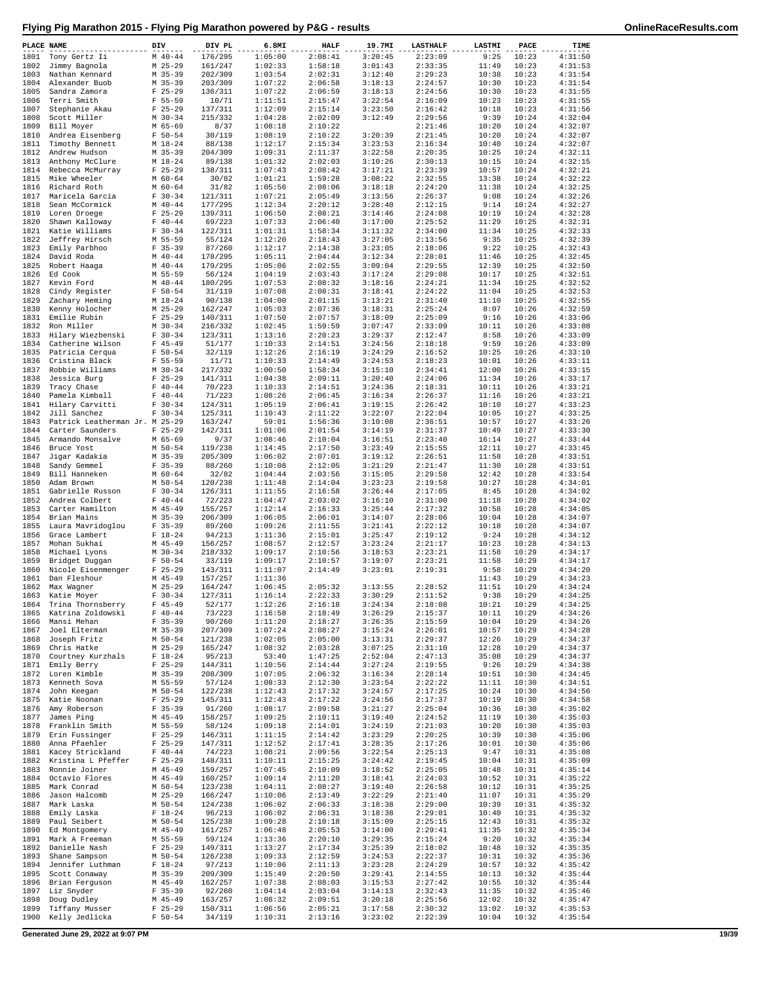| PLACE NAME   |                                                | DIV                        | DIV PL             | 6.8MI              | <b>HALF</b>        | 19.7MI             | <b>LASTHALF</b>    | LASTMI         | PACE           | <b>TIME</b>        |
|--------------|------------------------------------------------|----------------------------|--------------------|--------------------|--------------------|--------------------|--------------------|----------------|----------------|--------------------|
| 1801         | Tony Gertz Ii                                  | $M$ 40-44                  | 176/295            | 1:05:00            | 2:08:41            | 3:20:45            | 2:23:09            | 9:25           | 10:23          | 4:31:50            |
| 1802         | Jimmy Bagnola                                  | $M$ 25-29                  | 161/247            | 1:02:33            | 1:58:18            | 3:01:43            | 2:33:35            | 11:49          | 10:23          | 4:31:53            |
| 1803         | Nathan Kennard                                 | $M$ 35-39                  | 202/309            | 1:03:54<br>1:07:22 | 2:02:31<br>2:06:58 | 3:12:40            | 2:29:23            | 10:38          | 10:23<br>10:23 | 4:31:54            |
| 1804<br>1805 | Alexander Buob<br>Sandra Zamora                | M 35-39<br>$F$ 25-29       | 203/309<br>136/311 | 1:07:22            | 2:06:59            | 3:18:13<br>3:18:13 | 2:24:57<br>2:24:56 | 10:30<br>10:30 | 10:23          | 4:31:54<br>4:31:55 |
| 1806         | Terri Smith                                    | $F 55 - 59$                | 10/71              | 1:11:51            | 2:15:47            | 3:22:54            | 2:16:09            | 10:23          | 10:23          | 4:31:55            |
| 1807         | Stephanie Akau                                 | $F$ 25-29                  | 137/311            | 1:12:09            | 2:15:14            | 3:23:50            | 2:16:42            | 10:18          | 10:23          | 4:31:56            |
| 1808         | Scott Miller                                   | $M$ 30-34                  | 215/332            | 1:04:28            | 2:02:09            | 3:12:49            | 2:29:56            | 9:39           | 10:24          | 4:32:04            |
| 1809         | Bill Moyer                                     | M 65-69                    | 8/37               | 1:08:18            | 2:10:22            |                    | 2:21:46            | 10:20          | 10:24          | 4:32:07            |
| 1810<br>1811 | Andrea Eisenberg<br>Timothy Bennett            | $F 50 - 54$<br>$M_18-24$   | 30/119<br>88/138   | 1:08:19<br>1:12:17 | 2:10:22<br>2:15:34 | 3:20:39<br>3:23:53 | 2:21:45<br>2:16:34 | 10:20<br>10:40 | 10:24<br>10:24 | 4:32:07<br>4:32:07 |
| 1812         | Andrew Hudson                                  | $M$ 35-39                  | 204/309            | 1:09:31            | 2:11:37            | 3:22:58            | 2:20:35            | 10:25          | 10:24          | 4:32:11            |
| 1813         | Anthony McClure                                | $M_18-24$                  | 89/138             | 1:01:32            | 2:02:03            | 3:10:26            | 2:30:13            | 10:15          | 10:24          | 4:32:15            |
| 1814         | Rebecca McMurray                               | $F$ 25-29                  | 138/311            | 1:07:43            | 2:08:42            | 3:17:21            | 2:23:39            | 10:57          | 10:24          | 4:32:21            |
| 1815         | Mike Wheeler                                   | M 60-64                    | 30/82              | 1:01:21            | 1:59:28            | 3:08:22            | 2:32:55            | 13:38          | 10:24          | 4:32:22            |
| 1816         | Richard Roth                                   | M 60-64                    | 31/82              | 1:05:56            | 2:08:06            | 3:18:18            | 2:24:20            | 11:38          | 10:24          | 4:32:25            |
| 1817<br>1818 | Maricela Garcia<br>Sean McCormick              | $F 30-34$<br>$M$ 40-44     | 121/311<br>177/295 | 1:07:21<br>1:12:34 | 2:05:49<br>2:20:12 | 3:13:56<br>3:28:40 | 2:26:37<br>2:12:15 | 9:08<br>9:14   | 10:24<br>10:24 | 4:32:26<br>4:32:27 |
| 1819         | Loren Droege                                   | $F$ 25-29                  | 139/311            | 1:06:50            | 2:08:21            | 3:14:46            | 2:24:08            | 10:19          | 10:24          | 4:32:28            |
| 1820         | Shawn Kalloway                                 | $F 40 - 44$                | 69/223             | 1:07:33            | 2:06:40            | 3:17:00            | 2:25:52            | 11:29          | 10:25          | 4:32:31            |
| 1821         | Katie Williams                                 | $F 30-34$                  | 122/311            | 1:01:31            | 1:58:34            | 3:11:32            | 2:34:00            | 11:34          | 10:25          | 4:32:33            |
| 1822         | Jeffrey Hirsch                                 | M 55-59                    | 55/124             | 1:12:20            | 2:18:43            | 3:27:05            | 2:13:56            | 9:35           | 10:25          | 4:32:39            |
| 1823<br>1824 | Emily Parbhoo<br>David Roda                    | $F$ 35-39<br>$M$ 40-44     | 87/260<br>178/295  | 1:12:17<br>1:05:11 | 2:14:38<br>2:04:44 | 3:23:05<br>3:12:34 | 2:18:06<br>2:28:01 | 9:22<br>11:46  | 10:25<br>10:25 | 4:32:43<br>4:32:45 |
| 1825         | Robert Haaga                                   | $M$ 40-44                  | 179/295            | 1:05:06            | 2:02:55            | 3:09:04            | 2:29:55            | 12:39          | 10:25          | 4:32:50            |
| 1826         | Ed Cook                                        | M 55-59                    | 56/124             | 1:04:19            | 2:03:43            | 3:17:24            | 2:29:08            | 10:17          | 10:25          | 4:32:51            |
| 1827         | Kevin Ford                                     | $M$ 40-44                  | 180/295            | 1:07:53            | 2:08:32            | 3:18:16            | 2:24:21            | 11:34          | 10:25          | 4:32:52            |
| 1828         | Cindy Register                                 | $F 50-54$                  | 31/119             | 1:07:08            | 2:08:31            | 3:18:41            | 2:24:22            | 11:04          | 10:25          | 4:32:53            |
| 1829<br>1830 | Zachary Heming<br>Kenny Holocher               | $M_18-24$<br>$M$ 25-29     | 90/138<br>162/247  | 1:04:00<br>1:05:03 | 2:01:15<br>2:07:36 | 3:13:21<br>3:18:31 | 2:31:40<br>2:25:24 | 11:10<br>8:07  | 10:25<br>10:26 | 4:32:55<br>4:32:59 |
| 1831         | Emilie Rubin                                   | $F$ 25-29                  | 140/311            | 1:07:50            | 2:07:57            | 3:18:09            | 2:25:09            | 9:16           | 10:26          | 4:33:06            |
| 1832         | Ron Miller                                     | $M$ 30-34                  | 216/332            | 1:02:45            | 1:59:59            | 3:07:47            | 2:33:09            | 10:11          | 10:26          | 4:33:08            |
| 1833         | Hilary Wiezbenski                              | $F 30-34$                  | 123/311            | 1:13:16            | 2:20:23            | 3:29:37            | 2:12:47            | 8:58           | 10:26          | 4:33:09            |
| 1834         | Catherine Wilson                               | $F$ 45-49                  | 51/177             | 1:10:33            | 2:14:51            | 3:24:56            | 2:18:18            | 9:59           | 10:26          | 4:33:09            |
| 1835<br>1836 | Patricia Cerqua<br>Cristina Black              | $F 50 - 54$<br>$F 55 - 59$ | 32/119<br>11/71    | 1:12:26<br>1:10:33 | 2:16:19<br>2:14:49 | 3:24:29<br>3:24:53 | 2:16:52<br>2:18:23 | 10:25<br>10:01 | 10:26<br>10:26 | 4:33:10<br>4:33:11 |
| 1837         | Robbie Williams                                | $M$ 30-34                  | 217/332            | 1:00:50            | 1:58:34            | 3:15:10            | 2:34:41            | 12:00          | 10:26          | 4:33:15            |
| 1838         | Jessica Burg                                   | $F$ 25-29                  | 141/311            | 1:04:38            | 2:09:11            | 3:20:40            | 2:24:06            | 11:34          | 10:26          | 4:33:17            |
| 1839         | Tracy Chase                                    | $F 40 - 44$                | 70/223             | 1:10:33            | 2:14:51            | 3:24:36            | 2:18:31            | 10:11          | 10:26          | 4:33:21            |
| 1840         | Pamela Kimball                                 | $F 40 - 44$                | 71/223             | 1:08:26            | 2:06:45            | 3:16:34            | 2:26:37            | 11:16          | 10:26          | 4:33:21            |
| 1841         | Hilary Carvitti                                | $F 30-34$                  | 124/311            | 1:05:19            | 2:06:41            | 3:19:15            | 2:26:42            | 10:10          | 10:27          | 4:33:23            |
| 1842<br>1843 | Jill Sanchez<br>Patrick Leatherman Jr. M 25-29 | $F 30-34$                  | 125/311<br>163/247 | 1:10:43<br>59:01   | 2:11:22<br>1:56:36 | 3:22:07<br>3:10:08 | 2:22:04<br>2:36:51 | 10:05<br>10:57 | 10:27<br>10:27 | 4:33:25<br>4:33:26 |
| 1844         | Carter Saunders                                | $F$ 25-29                  | 142/311            | 1:01:06            | 2:01:54            | 3:14:19            | 2:31:37            | 10:49          | 10:27          | 4:33:30            |
| 1845         | Armando Monsalve                               | M 65-69                    | 9/37               | 1:08:46            | 2:10:04            | 3:16:51            | 2:23:40            | 16:14          | 10:27          | 4:33:44            |
| 1846         | Bruce Yost                                     | M 50-54                    | 119/238            | 1:14:45            | 2:17:50            | 3:23:49            | 2:15:55            | 12:11          | 10:27          | 4:33:45            |
| 1847         | Jigar Kadakia                                  | $M$ 35-39                  | 205/309            | 1:06:02            | 2:07:01            | 3:19:12            | 2:26:51            | 11:58          | 10:28          | 4:33:51            |
| 1848<br>1849 | Sandy Gemmel                                   | $F$ 35-39<br>$M$ 60-64     | 88/260<br>32/82    | 1:10:08<br>1:04:44 | 2:12:05<br>2:03:56 | 3:21:29<br>3:15:05 | 2:21:47<br>2:29:58 | 11:30<br>12:42 | 10:28<br>10:28 | 4:33:51<br>4:33:54 |
| 1850         | Bill Hanneken<br>Adam Brown                    | $M$ 50-54                  | 120/238            | 1:11:48            | 2:14:04            | 3:23:23            | 2:19:58            | 10:27          | 10:28          | 4:34:01            |
| 1851         | Gabrielle Russon                               | $F 30-34$                  | 126/311            | 1:11:55            | 2:16:58            | 3:26:44            | 2:17:05            | 8:45           | 10:28          | 4:34:02            |
| 1852         | Andrea Colbert                                 | $F 40 - 44$                | 72/223             | 1:04:47            | 2:03:02            | 3:16:10            | 2:31:00            | 11:18          | 10:28          | 4:34:02            |
| 1853         | Carter Hamilton                                | M 45-49                    | 155/257            | 1:12:14            | 2:16:33            | 3:25:44            | 2:17:32            | 10:58          | 10:28          | 4:34:05            |
| 1854<br>1855 | Brian Mains                                    | $M$ 35-39<br>$F$ 35-39     | 206/309<br>89/260  | 1:06:05<br>1:09:26 | 2:06:01<br>2:11:55 | 3:14:07<br>3:21:41 | 2:28:06<br>2:22:12 | 10:04<br>10:18 | 10:28<br>10:28 | 4:34:07<br>4:34:07 |
| 1856         | Laura Mavridoglou<br>Grace Lambert             | $F 18-24$                  | 94/213             | 1:11:36            | 2:15:01            | 3:25:47            | 2:19:12            | 9:24           | 10:28          | 4:34:12            |
| 1857         | Mohan Sukhai                                   | M 45-49                    | 156/257            | 1:08:57            | 2:12:57            | 3:23:24            | 2:21:17            | 10:23          | 10:28          | 4:34:13            |
| 1858         | Michael Lyons                                  | M 30-34                    | 218/332            | 1:09:17            | 2:10:56            | 3:18:53            | 2:23:21            | 11:58          | 10:29          | 4:34:17            |
| 1859         | Bridget Duggan                                 | $F 50 - 54$                | 33/119             | 1:09:17            | 2:10:57            | 3:19:07            | 2:23:21            | 11:58          | 10:29          | 4:34:17            |
| 1860<br>1861 | Nicole Eisenmenger<br>Dan Fleshour             | $F$ 25-29<br>M 45-49       | 143/311<br>157/257 | 1:11:07<br>1:11:36 | 2:14:49            | 3:23:01            | 2:19:31            | 9:58<br>11:43  | 10:29<br>10:29 | 4:34:20<br>4:34:23 |
|              | 1862 Max Wagner                                | $M$ 25-29                  | 164/247            | 1:06:45            | 2:05:32            | 3:13:55            | 2:28:52            | 11:51          | 10:29          | 4:34:24            |
|              | 1863 Katie Moyer                               | $F 30-34$                  | 127/311            | 1:16:14            | 2:22:33            | 3:30:29            | 2:11:52            | 9:38           | 10:29          | 4:34:25            |
|              | 1864 Trina Thornsberry                         | $F$ 45-49                  | 52/177             | 1:12:26            | 2:16:18            | 3:24:34            | 2:18:08            | 10:21          | 10:29          | 4:34:25            |
| 1865         | Katrina Zoldowski                              | $F 40 - 44$                | 73/223             | 1:16:58            | 2:18:49            | 3:26:29            | 2:15:37            | 10:11          | 10:29          | 4:34:26            |
| 1866<br>1867 | Mansi Mehan<br>Joel Elterman                   | $F$ 35-39<br>$M$ 35-39     | 90/260<br>207/309  | 1:11:20<br>1:07:24 | 2:18:27<br>2:08:27 | 3:26:35<br>3:15:24 | 2:15:59<br>2:26:01 | 10:04<br>10:57 | 10:29<br>10:29 | 4:34:26<br>4:34:28 |
| 1868         | Joseph Fritz                                   | $M$ 50-54                  | 121/238            | 1:02:05            | 2:05:00            | 3:13:31            | 2:29:37            | 12:26          | 10:29          | 4:34:37            |
| 1869         | Chris Hatke                                    | $M$ 25-29                  | 165/247            | 1:08:32            | 2:03:28            | 3:07:25            | 2:31:10            | 12:28          | 10:29          | 4:34:37            |
| 1870         | Courtney Kurzhals                              | $F 18-24$                  | 95/213             | 53:40              | 1:47:25            | 2:52:04            | 2:47:13            | 35:08          | 10:29          | 4:34:37            |
| 1871         | Emily Berry                                    | $F$ 25-29                  | 144/311            | 1:10:56            | 2:14:44            | 3:27:24            | 2:19:55            | 9:26           | 10:29          | 4:34:38            |
| 1872         | Loren Kimble                                   | $M$ 35-39                  | 208/309            | 1:07:05            | 2:06:32            | 3:16:34            | 2:28:14            | 10:51          | 10:30          | 4:34:45            |
| 1873<br>1874 | Kenneth Sova<br>John Keegan                    | M 55-59<br>$M$ 50-54       | 57/124<br>122/238  | 1:08:33<br>1:12:43 | 2:12:30<br>2:17:32 | 3:23:54<br>3:24:57 | 2:22:22<br>2:17:25 | 11:11<br>10:24 | 10:30<br>10:30 | 4:34:51<br>4:34:56 |
| 1875         | Katie Noonan                                   | $F$ 25-29                  | 145/311            | 1:12:43            | 2:17:22            | 3:24:56            | 2:17:37            | 10:19          | 10:30          | 4:34:58            |
| 1876         | Amy Roberson                                   | $F$ 35-39                  | 91/260             | 1:08:17            | 2:09:58            | 3:21:27            | 2:25:04            | 10:36          | 10:30          | 4:35:02            |
| 1877         | James Ping                                     | $M$ 45-49                  | 158/257            | 1:09:25            | 2:10:11            | 3:19:40            | 2:24:52            | 11:19          | 10:30          | 4:35:03            |
| 1878         | Franklin Smith                                 | M 55-59                    | 58/124             | 1:09:18            | 2:14:01            | 3:24:19            | 2:21:03            | 10:20          | 10:30          | 4:35:03            |
| 1879<br>1880 | Erin Fussinger<br>Anna Pfaehler                | $F$ 25-29<br>$F$ 25-29     | 146/311<br>147/311 | 1:11:15<br>1:12:52 | 2:14:42<br>2:17:41 | 3:23:29<br>3:28:35 | 2:20:25<br>2:17:26 | 10:39<br>10:01 | 10:30<br>10:30 | 4:35:06<br>4:35:06 |
| 1881         | Kacey Strickland                               | $F 40 - 44$                | 74/223             | 1:08:21            | 2:09:56            | 3:22:54            | 2:25:13            | 9:47           | 10:31          | 4:35:08            |
| 1882         | Kristina L Pfeffer                             | $F$ 25-29                  | 148/311            | 1:10:11            | 2:15:25            | 3:24:42            | 2:19:45            | 10:04          | 10:31          | 4:35:09            |
| 1883         | Ronnie Joiner                                  | $M$ 45-49                  | 159/257            | 1:07:45            | 2:10:09            | 3:18:52            | 2:25:05            | 10:48          | 10:31          | 4:35:14            |
| 1884         | Octavio Flores                                 | $M$ 45-49                  | 160/257            | 1:09:14            | 2:11:20            | 3:18:41            | 2:24:03            | 10:52          | 10:31          | 4:35:22            |
| 1885<br>1886 | Mark Conrad<br>Jason Halcomb                   | M 50-54<br>$M$ 25-29       | 123/238<br>166/247 | 1:04:11<br>1:10:06 | 2:08:27<br>2:13:49 | 3:19:40<br>3:22:29 | 2:26:58<br>2:21:40 | 10:12<br>11:07 | 10:31<br>10:31 | 4:35:25<br>4:35:29 |
| 1887         | Mark Laska                                     | M 50-54                    | 124/238            | 1:06:02            | 2:06:33            | 3:18:38            | 2:29:00            | 10:39          | 10:31          | 4:35:32            |
| 1888         | Emily Laska                                    | $F 18-24$                  | 96/213             | 1:06:02            | 2:06:31            | 3:18:38            | 2:29:01            | 10:40          | 10:31          | 4:35:32            |
| 1889         | Paul Seibert                                   | M 50-54                    | 125/238            | 1:09:28            | 2:10:18            | 3:15:09            | 2:25:15            | 12:43          | 10:31          | 4:35:32            |
| 1890         | Ed Montgomery                                  | $M$ 45-49                  | 161/257            | 1:06:48            | 2:05:53            | 3:14:00            | 2:29:41            | 11:35          | 10:32          | 4:35:34            |
| 1891<br>1892 | Mark A Freeman<br>Danielle Nash                | M 55-59<br>$F$ 25-29       | 59/124<br>149/311  | 1:13:36<br>1:13:27 | 2:20:10<br>2:17:34 | 3:29:35<br>3:25:39 | 2:15:24<br>2:18:02 | 9:20<br>10:48  | 10:32<br>10:32 | 4:35:34<br>4:35:35 |
| 1893         | Shane Sampson                                  | M 50-54                    | 126/238            | 1:09:33            | 2:12:59            | 3:24:53            | 2:22:37            | 10:31          | 10:32          | 4:35:36            |
| 1894         | Jennifer Luthman                               | $F 18-24$                  | 97/213             | 1:10:06            | 2:11:13            | 3:23:28            | 2:24:29            | 10:57          | 10:32          | 4:35:42            |
| 1895         | Scott Conaway                                  | $M$ 35-39                  | 209/309            | 1:15:49            | 2:20:50            | 3:29:41            | 2:14:55            | 10:13          | 10:32          | 4:35:44            |
| 1896         | Brian Ferguson                                 | $M$ 45-49                  | 162/257            | 1:07:38            | 2:08:03            | 3:15:53            | 2:27:42            | 10:55          | 10:32          | 4:35:44            |
| 1897<br>1898 | Liz Snyder<br>Doug Dudley                      | $F$ 35-39<br>$M$ 45-49     | 92/260<br>163/257  | 1:04:14<br>1:08:32 | 2:03:04<br>2:09:51 | 3:14:13<br>3:20:18 | 2:32:43<br>2:25:56 | 11:35<br>12:02 | 10:32<br>10:32 | 4:35:46<br>4:35:47 |
| 1899         | Tiffany Musser                                 | $F$ 25-29                  | 150/311            | 1:06:56            | 2:05:21            | 3:17:58            | 2:30:32            | 13:02          | 10:32          | 4:35:53            |
| 1900         | Kelly Jedlicka                                 | $F 50-54$                  | 34/119             | 1:10:31            | 2:13:16            | 3:23:02            | 2:22:39            | 10:04          | 10:32          | 4:35:54            |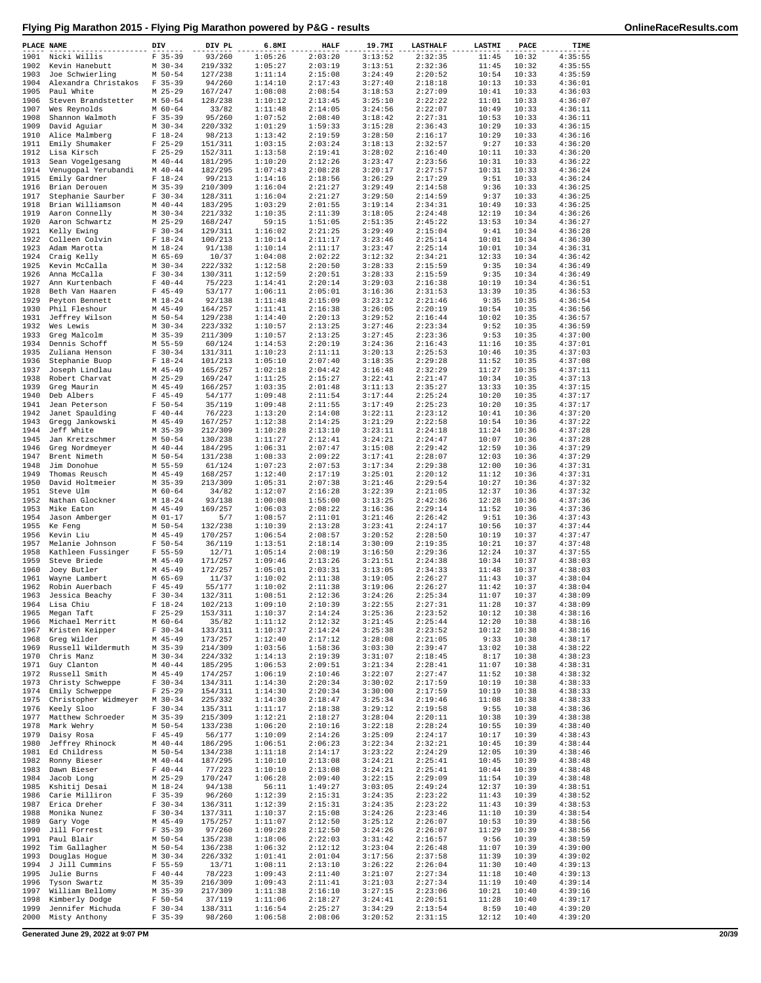|  | Flying Pig Marathon 2015 - Flying Pig Marathon powered by P&G - results |  |  |  |  |  |
|--|-------------------------------------------------------------------------|--|--|--|--|--|
|  |                                                                         |  |  |  |  |  |

| PLACE NAME   |                                       | DIV                        | DIV PL             | 6.8MI              | <b>HALF</b>        | 19.7MI             | <b>LASTHALF</b>    | <b>LASTMI</b>  | PACE           | TIME               |
|--------------|---------------------------------------|----------------------------|--------------------|--------------------|--------------------|--------------------|--------------------|----------------|----------------|--------------------|
| 1901         | Nicki Willis                          | $F$ 35-39                  | 93/260             | 1:05:26            | 2:03:20            | 3:13:52            | 2:32:35            | 11:45          | 10:32          | 4:35:55            |
| 1902<br>1903 | Kevin Hanebutt<br>Joe Schwierling     | $M$ 30-34<br>$M$ 50-54     | 219/332<br>127/238 | 1:05:27<br>1:11:14 | 2:03:19<br>2:15:08 | 3:13:51<br>3:24:49 | 2:32:36<br>2:20:52 | 11:45<br>10:54 | 10:32<br>10:33 | 4:35:55<br>4:35:59 |
| 1904         | Alexandra Christakos                  | $F$ 35-39                  | 94/260             | 1:14:10            | 2:17:43            | 3:27:40            | 2:18:18            | 10:13          | 10:33          | 4:36:01            |
| 1905         | Paul White                            | $M$ 25-29                  | 167/247            | 1:08:08            | 2:08:54            | 3:18:53            | 2:27:09            | 10:41          | 10:33          | 4:36:03            |
| 1906<br>1907 | Steven Brandstetter<br>Wes Reynolds   | $M$ 50-54<br>$M$ 60-64     | 128/238<br>33/82   | 1:10:12<br>1:11:48 | 2:13:45<br>2:14:05 | 3:25:10<br>3:24:56 | 2:22:22<br>2:22:07 | 11:01<br>10:49 | 10:33<br>10:33 | 4:36:07<br>4:36:11 |
| 1908         | Shannon Walmoth                       | $F$ 35-39                  | 95/260             | 1:07:52            | 2:08:40            | 3:18:42            | 2:27:31            | 10:53          | 10:33          | 4:36:11            |
| 1909         | David Aquiar                          | $M$ 30-34                  | 220/332            | 1:01:29            | 1:59:33            | 3:15:28            | 2:36:43            | 10:29          | 10:33          | 4:36:15            |
| 1910         | Alice Malmberg                        | $F 18-24$                  | 98/213             | 1:13:42            | 2:19:59            | 3:28:50            | 2:16:17            | 10:29          | 10:33          | 4:36:16            |
| 1911<br>1912 | Emily Shumaker<br>Lisa Kirsch         | $F$ 25-29<br>$F$ 25-29     | 151/311<br>152/311 | 1:03:15<br>1:13:58 | 2:03:24<br>2:19:41 | 3:18:13<br>3:28:02 | 2:32:57<br>2:16:40 | 9:27<br>10:11  | 10:33<br>10:33 | 4:36:20<br>4:36:20 |
| 1913         | Sean Vogelgesang                      | $M$ 40-44                  | 181/295            | 1:10:20            | 2:12:26            | 3:23:47            | 2:23:56            | 10:31          | 10:33          | 4:36:22            |
| 1914         | Venugopal Yerubandi                   | $M$ 40-44                  | 182/295            | 1:07:43            | 2:08:28            | 3:20:17            | 2:27:57            | 10:31          | 10:33          | 4:36:24            |
| 1915         | Emily Gardner                         | $F 18-24$                  | 99/213             | 1:14:16            | 2:18:56            | 3:26:29            | 2:17:29            | 9:51           | 10:33          | 4:36:24            |
| 1916<br>1917 | Brian Derouen<br>Stephanie Saurber    | $M$ 35-39<br>$F 30-34$     | 210/309<br>128/311 | 1:16:04<br>1:16:04 | 2:21:27<br>2:21:27 | 3:29:49<br>3:29:50 | 2:14:58<br>2:14:59 | 9:36<br>9:37   | 10:33<br>10:33 | 4:36:25<br>4:36:25 |
| 1918         | Brian Williamson                      | $M$ 40-44                  | 183/295            | 1:03:29            | 2:01:55            | 3:19:14            | 2:34:31            | 10:49          | 10:33          | 4:36:25            |
| 1919         | Aaron Connelly                        | $M$ 30-34                  | 221/332            | 1:10:35            | 2:11:39            | 3:18:05            | 2:24:48            | 12:19          | 10:34          | 4:36:26            |
| 1920<br>1921 | Aaron Schwartz<br>Kelly Ewing         | $M$ 25-29<br>$F 30-34$     | 168/247<br>129/311 | 59:15<br>1:16:02   | 1:51:05<br>2:21:25 | 2:51:35<br>3:29:49 | 2:45:22<br>2:15:04 | 13:53<br>9:41  | 10:34<br>10:34 | 4:36:27<br>4:36:28 |
| 1922         | Colleen Colvin                        | $F 18-24$                  | 100/213            | 1:10:14            | 2:11:17            | 3:23:46            | 2:25:14            | 10:01          | 10:34          | 4:36:30            |
| 1923         | Adam Marotta                          | $M_18-24$                  | 91/138             | 1:10:14            | 2:11:17            | 3:23:47            | 2:25:14            | 10:01          | 10:34          | 4:36:31            |
| 1924         | Craig Kelly                           | M 65-69                    | 10/37              | 1:04:08            | 2:02:22            | 3:12:32            | 2:34:21            | 12:33          | 10:34          | 4:36:42            |
| 1925<br>1926 | Kevin McCalla<br>Anna McCalla         | $M$ 30-34<br>$F 30-34$     | 222/332<br>130/311 | 1:12:58<br>1:12:59 | 2:20:50<br>2:20:51 | 3:28:33<br>3:28:33 | 2:15:59<br>2:15:59 | 9:35<br>9:35   | 10:34<br>10:34 | 4:36:49<br>4:36:49 |
| 1927         | Ann Kurtenbach                        | $F 40 - 44$                | 75/223             | 1:14:41            | 2:20:14            | 3:29:03            | 2:16:38            | 10:19          | 10:34          | 4:36:51            |
| 1928         | Beth Van Haaren                       | $F$ 45-49                  | 53/177             | 1:06:11            | 2:05:01            | 3:16:36            | 2:31:53            | 13:39          | 10:35          | 4:36:53            |
| 1929         | Peyton Bennett                        | $M_18-24$                  | 92/138<br>164/257  | 1:11:48<br>1:11:41 | 2:15:09<br>2:16:38 | 3:23:12<br>3:26:05 | 2:21:46<br>2:20:19 | 9:35           | 10:35          | 4:36:54            |
| 1930<br>1931 | Phil Fleshour<br>Jeffrey Wilson       | $M$ 45-49<br>$M$ 50-54     | 129/238            | 1:14:40            | 2:20:13            | 3:29:52            | 2:16:44            | 10:54<br>10:02 | 10:35<br>10:35 | 4:36:56<br>4:36:57 |
| 1932         | Wes Lewis                             | $M$ 30-34                  | 223/332            | 1:10:57            | 2:13:25            | 3:27:46            | 2:23:34            | 9:52           | 10:35          | 4:36:59            |
| 1933         | Greg Malcolm                          | $M$ 35-39                  | 211/309            | 1:10:57            | 2:13:25            | 3:27:45            | 2:23:36            | 9:53           | 10:35          | 4:37:00            |
| 1934<br>1935 | Dennis Schoff<br>Zuliana Henson       | M 55-59<br>$F 30-34$       | 60/124<br>131/311  | 1:14:53<br>1:10:23 | 2:20:19<br>2:11:11 | 3:24:36<br>3:20:13 | 2:16:43<br>2:25:53 | 11:16<br>10:46 | 10:35<br>10:35 | 4:37:01<br>4:37:03 |
| 1936         | Stephanie Buop                        | $F 18-24$                  | 101/213            | 1:05:10            | 2:07:40            | 3:18:35            | 2:29:28            | 11:52          | 10:35          | 4:37:08            |
| 1937         | Joseph Lindlau                        | $M$ 45-49                  | 165/257            | 1:02:18            | 2:04:42            | 3:16:48            | 2:32:29            | 11:27          | 10:35          | 4:37:11            |
| 1938         | Robert Charvat                        | $M$ 25-29                  | 169/247            | 1:11:25            | 2:15:27            | 3:22:41            | 2:21:47            | 10:34          | 10:35          | 4:37:13            |
| 1939<br>1940 | Greg Maurin<br>Deb Albers             | $M$ 45-49<br>$F$ 45-49     | 166/257<br>54/177  | 1:03:35<br>1:09:48 | 2:01:48<br>2:11:54 | 3:11:13<br>3:17:44 | 2:35:27<br>2:25:24 | 13:33<br>10:20 | 10:35<br>10:35 | 4:37:15<br>4:37:17 |
| 1941         | Jean Peterson                         | $F 50 - 54$                | 35/119             | 1:09:48            | 2:11:55            | 3:17:49            | 2:25:23            | 10:20          | 10:35          | 4:37:17            |
| 1942         | Janet Spaulding                       | $F 40 - 44$                | 76/223             | 1:13:20            | 2:14:08            | 3:22:11            | 2:23:12            | 10:41          | 10:36          | 4:37:20            |
| 1943         | Gregg Jankowski                       | $M$ 45-49                  | 167/257            | 1:12:38            | 2:14:25            | 3:21:29            | 2:22:58            | 10:54          | 10:36          | 4:37:22<br>4:37:28 |
| 1944<br>1945 | Jeff White<br>Jan Kretzschmer         | $M$ 35-39<br>$M$ 50-54     | 212/309<br>130/238 | 1:10:28<br>1:11:27 | 2:13:10<br>2:12:41 | 3:23:11<br>3:24:21 | 2:24:18<br>2:24:47 | 11:24<br>10:07 | 10:36<br>10:36 | 4:37:28            |
| 1946         | Greg Nordmeyer                        | $M$ 40-44                  | 184/295            | 1:06:31            | 2:07:47            | 3:15:08            | 2:29:42            | 12:59          | 10:36          | 4:37:29            |
| 1947         | Brent Nimeth                          | $M$ 50-54                  | 131/238            | 1:08:33            | 2:09:22            | 3:17:41            | 2:28:07            | 12:03          | 10:36          | 4:37:29            |
| 1948<br>1949 | Jim Donohue<br>Thomas Reusch          | M 55-59<br>$M$ 45-49       | 61/124<br>168/257  | 1:07:23<br>1:12:40 | 2:07:53<br>2:17:19 | 3:17:34<br>3:25:01 | 2:29:38<br>2:20:12 | 12:00<br>11:12 | 10:36<br>10:36 | 4:37:31<br>4:37:31 |
| 1950         | David Holtmeier                       | $M$ 35-39                  | 213/309            | 1:05:31            | 2:07:38            | 3:21:46            | 2:29:54            | 10:27          | 10:36          | 4:37:32            |
| 1951         | Steve Ulm                             | $M$ 60-64                  | 34/82              | 1:12:07            | 2:16:28            | 3:22:39            | 2:21:05            | 12:37          | 10:36          | 4:37:32            |
| 1952         | Nathan Glockner                       | M 18-24                    | 93/138             | 1:00:08            | 1:55:00            | 3:13:25            | 2:42:36            | 12:28          | 10:36          | 4:37:36            |
| 1953<br>1954 | Mike Eaton<br>Jason Amberger          | $M$ 45-49<br>$M$ 01-17     | 169/257<br>5/7     | 1:06:03<br>1:08:57 | 2:08:22<br>2:11:01 | 3:16:36<br>3:21:46 | 2:29:14<br>2:26:42 | 11:52<br>9:51  | 10:36<br>10:36 | 4:37:36<br>4:37:43 |
| 1955         | Ke Feng                               | $M$ 50-54                  | 132/238            | 1:10:39            | 2:13:28            | 3:23:41            | 2:24:17            | 10:56          | 10:37          | 4:37:44            |
| 1956         | Kevin Liu                             | $M$ 45-49                  | 170/257            | 1:06:54            | 2:08:57            | 3:20:52            | 2:28:50            | 10:19          | 10:37          | 4:37:47            |
| 1957<br>1958 | Melanie Johnson<br>Kathleen Fussinger | $F 50 - 54$<br>$F 55 - 59$ | 36/119<br>12/71    | 1:13:51<br>1:05:14 | 2:18:14<br>2:08:19 | 3:30:09<br>3:16:50 | 2:19:35<br>2:29:36 | 10:21<br>12:24 | 10:37<br>10:37 | 4:37:48<br>4:37:55 |
| 1959         | Steve Briede                          | $M$ 45-49                  | 171/257            | 1:09:46            | 2:13:26            | 3:21:51            | 2:24:38            | 10:34          | 10:37          | 4:38:03            |
| 1960         | Joey Butler                           | $M$ 45-49                  | 172/257            | 1:05:01            | 2:03:31            | 3:13:05            | 2:34:33            | 11:48          | 10:37          | 4:38:03            |
| 1961         | Wayne Lambert                         | M 65-69<br>$F$ 45-49       | 11/37              | 1:10:02<br>1:10:02 | 2:11:38            | 3:19:05            | 2:26:27            | 11:43          | 10:37          | 4:38:04            |
| 1962<br>1963 | Robin Auerbach<br>Jessica Beachy      | $30 - 34$<br>F             | 55/177<br>132/311  | 1:08:51            | 2:11:38<br>2:12:36 | 3:19:06<br>3:24:26 | 2:26:27<br>2:25:34 | 11:42<br>11:07 | 10:37<br>10:37 | 4:38:04<br>4:38:09 |
|              | 1964 Lisa Chiu                        | $F 18-24$                  | 102/213            | 1:09:10            | 2:10:39            | 3:22:55            | 2:27:31            | 11:28          | 10:37          | 4:38:09            |
| 1965         | Megan Taft                            | $F$ 25-29                  | 153/311            | 1:10:37            | 2:14:24            | 3:25:36            | 2:23:52            | 10:12          | 10:38          | 4:38:16            |
| 1966<br>1967 | Michael Merritt<br>Kristen Keipper    | $M$ 60-64<br>$F 30-34$     | 35/82<br>133/311   | 1:11:12<br>1:10:37 | 2:12:32<br>2:14:24 | 3:21:45<br>3:25:38 | 2:25:44<br>2:23:52 | 12:20<br>10:12 | 10:38<br>10:38 | 4:38:16<br>4:38:16 |
| 1968         | Greg Wilder                           | $M$ 45-49                  | 173/257            | 1:12:40            | 2:17:12            | 3:28:08            | 2:21:05            | 9:33           | 10:38          | 4:38:17            |
| 1969         | Russell Wildermuth                    | $M$ 35-39                  | 214/309            | 1:03:56            | 1:58:36            | 3:03:30            | 2:39:47            | 13:02          | 10:38          | 4:38:22            |
| 1970         | Chris Manz<br>Guy Clanton             | $M$ 30-34                  | 224/332            | 1:14:13            | 2:19:39            | 3:31:07<br>3:21:34 | 2:18:45            | 8:17           | 10:38          | 4:38:23<br>4:38:31 |
| 1971<br>1972 | Russell Smith                         | $M$ 40-44<br>$M$ 45-49     | 185/295<br>174/257 | 1:06:53<br>1:06:19 | 2:09:51<br>2:10:46 | 3:22:07            | 2:28:41<br>2:27:47 | 11:07<br>11:52 | 10:38<br>10:38 | 4:38:32            |
| 1973         | Christy Schweppe                      | $F 30-34$                  | 134/311            | 1:14:30            | 2:20:34            | 3:30:02            | 2:17:59            | 10:19          | 10:38          | 4:38:33            |
| 1974         | Emily Schweppe                        | $F$ 25-29                  | 154/311            | 1:14:30            | 2:20:34            | 3:30:00            | 2:17:59            | 10:19          | 10:38          | 4:38:33            |
| 1975<br>1976 | Christopher Widmeyer<br>Keely Sloo    | $M$ 30-34<br>$F 30-34$     | 225/332<br>135/311 | 1:14:30<br>1:11:17 | 2:18:47<br>2:18:38 | 3:25:34<br>3:29:12 | 2:19:46<br>2:19:58 | 11:08<br>9:55  | 10:38<br>10:38 | 4:38:33<br>4:38:36 |
| 1977         | Matthew Schroeder                     | $M$ 35-39                  | 215/309            | 1:12:21            | 2:18:27            | 3:28:04            | 2:20:11            | 10:38          | 10:39          | 4:38:38            |
| 1978         | Mark Wehry                            | M 50-54                    | 133/238            | 1:06:20            | 2:10:16            | 3:22:18            | 2:28:24            | 10:55          | 10:39          | 4:38:40            |
| 1979         | Daisy Rosa                            | $F 45 - 49$                | 56/177             | 1:10:09            | 2:14:26            | 3:25:09            | 2:24:17            | 10:17          | 10:39          | 4:38:43            |
| 1980<br>1981 | Jeffrey Rhinock<br>Ed Childress       | $M$ 40-44<br>$M$ 50-54     | 186/295<br>134/238 | 1:06:51<br>1:11:18 | 2:06:23<br>2:14:17 | 3:22:34<br>3:23:22 | 2:32:21<br>2:24:29 | 10:45<br>12:05 | 10:39<br>10:39 | 4:38:44<br>4:38:46 |
| 1982         | Ronny Bieser                          | $M$ 40-44                  | 187/295            | 1:10:10            | 2:13:08            | 3:24:21            | 2:25:41            | 10:45          | 10:39          | 4:38:48            |
| 1983         | Dawn Bieser                           | $F 40 - 44$                | 77/223             | 1:10:10            | 2:13:08            | 3:24:21            | 2:25:41            | 10:44          | 10:39          | 4:38:48            |
| 1984<br>1985 | Jacob Long<br>Kshitij Desai           | $M$ 25-29<br>$M_18-24$     | 170/247<br>94/138  | 1:06:28<br>56:11   | 2:09:40<br>1:49:27 | 3:22:15<br>3:03:05 | 2:29:09<br>2:49:24 | 11:54<br>12:37 | 10:39<br>10:39 | 4:38:48<br>4:38:51 |
| 1986         | Carie Milliron                        | $F 35 - 39$                | 96/260             | 1:12:39            | 2:15:31            | 3:24:35            | 2:23:22            | 11:43          | 10:39          | 4:38:52            |
| 1987         | Erica Dreher                          | $F 30-34$                  | 136/311            | 1:12:39            | 2:15:31            | 3:24:35            | 2:23:22            | 11:43          | 10:39          | 4:38:53            |
| 1988         | Monika Nunez                          | $F 30-34$                  | 137/311            | 1:10:37            | 2:15:08            | 3:24:26            | 2:23:46            | 11:10          | 10:39          | 4:38:54            |
| 1989<br>1990 | Gary Voge<br>Jill Forrest             | $M$ 45-49<br>$F$ 35-39     | 175/257<br>97/260  | 1:11:07<br>1:09:28 | 2:12:50<br>2:12:50 | 3:25:12<br>3:24:26 | 2:26:07<br>2:26:07 | 10:53<br>11:29 | 10:39<br>10:39 | 4:38:56<br>4:38:56 |
| 1991         | Paul Blair                            | M 50-54                    | 135/238            | 1:18:06            | 2:22:03            | 3:31:42            | 2:16:57            | 9:56           | 10:39          | 4:38:59            |
| 1992         | Tim Gallagher                         | M 50-54                    | 136/238            | 1:06:32            | 2:12:12            | 3:23:04            | 2:26:48            | 11:07          | 10:39          | 4:39:00            |
| 1993<br>1994 | Douglas Hogue<br>J Jill Cummins       | $M$ 30-34<br>$F 55 - 59$   | 226/332<br>13/71   | 1:01:41<br>1:08:11 | 2:01:04<br>2:13:10 | 3:17:56<br>3:26:22 | 2:37:58<br>2:26:04 | 11:39<br>11:30 | 10:39<br>10:40 | 4:39:02<br>4:39:13 |
| 1995         | Julie Burns                           | $F 40 - 44$                | 78/223             | 1:09:43            | 2:11:40            | 3:21:07            | 2:27:34            | 11:18          | 10:40          | 4:39:13            |
| 1996         | Tyson Swartz                          | $M$ 35-39                  | 216/309            | 1:09:43            | 2:11:41            | 3:21:03            | 2:27:34            | 11:19          | 10:40          | 4:39:14            |
| 1997         | William Bellomy                       | $M$ 35-39                  | 217/309            | 1:11:38            | 2:16:10            | 3:27:15            | 2:23:06            | 10:21          | 10:40          | 4:39:16            |
| 1998<br>1999 | Kimberly Dodge<br>Jennifer Michuda    | $F 50 - 54$<br>$F 30-34$   | 37/119<br>138/311  | 1:11:06<br>1:16:54 | 2:18:27<br>2:25:27 | 3:24:41<br>3:34:29 | 2:20:51<br>2:13:54 | 11:28<br>8:59  | 10:40<br>10:40 | 4:39:17<br>4:39:20 |
| 2000         | Misty Anthony                         | $F$ 35-39                  | 98/260             | 1:06:58            | 2:08:06            | 3:20:52            | 2:31:15            | 12:12          | 10:40          | 4:39:20            |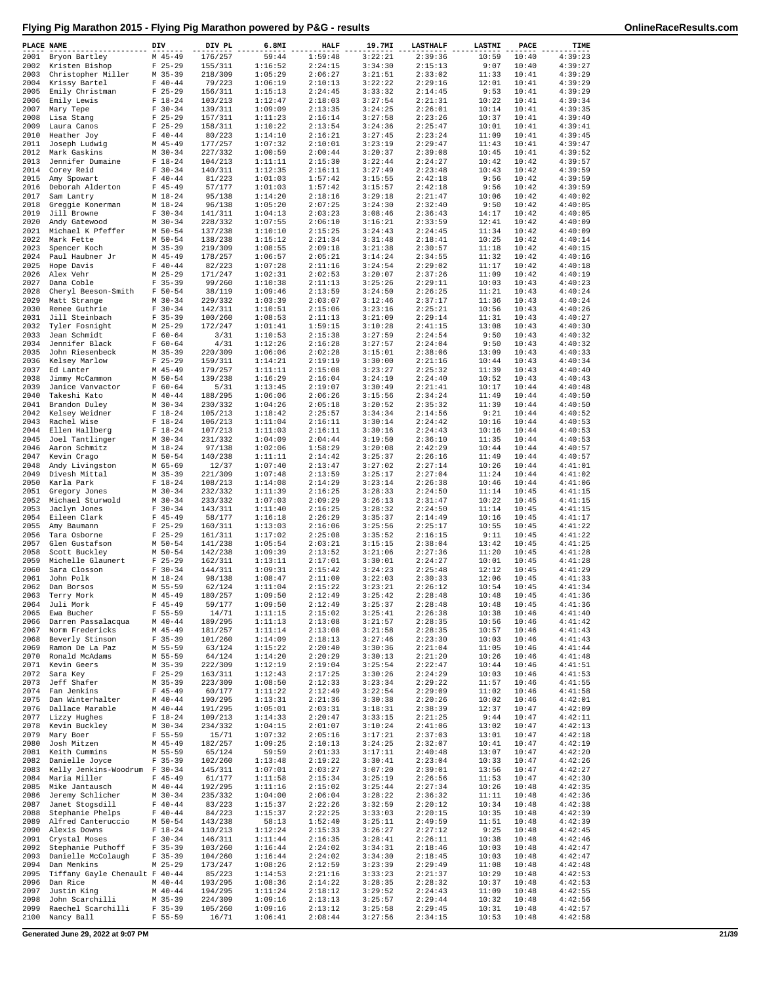| PLACE NAME   |                                         | DIV |                          | DIV PL             | 6.8MI              | <b>HALF</b>        | 19.7MI             | <b>LASTHALF</b>    | LASTMI         | PACE           | TIME               |
|--------------|-----------------------------------------|-----|--------------------------|--------------------|--------------------|--------------------|--------------------|--------------------|----------------|----------------|--------------------|
| 2001         | Bryon Bartley                           |     | M 45-49                  | 176/257            | 59:44              | 1:59:48            | 3:22:21            | 2:39:36            | 10:59          | 10:40          | 4:39:23            |
| 2002         | Kristen Bishop                          |     | $F$ 25-29                | 155/311            | 1:16:52            | 2:24:15            | 3:34:30            | 2:15:13            | 9:07           | 10:40          | 4:39:27            |
| 2003<br>2004 | Christopher Miller<br>Krissy Bartel     |     | $M$ 35-39<br>$F 40 - 44$ | 218/309<br>79/223  | 1:05:29<br>1:06:19 | 2:06:27<br>2:10:13 | 3:21:51<br>3:22:22 | 2:33:02<br>2:29:16 | 11:33<br>12:01 | 10:41<br>10:41 | 4:39:29<br>4:39:29 |
| 2005         | Emily Christman                         |     | $F$ 25-29                | 156/311            | 1:15:13            | 2:24:45            | 3:33:32            | 2:14:45            | 9:53           | 10:41          | 4:39:29            |
| 2006         | Emily Lewis                             |     | $F 18-24$                | 103/213            | 1:12:47            | 2:18:03            | 3:27:54            | 2:21:31            | 10:22          | 10:41          | 4:39:34            |
| 2007         | Mary Tepe                               |     | $F 30-34$                | 139/311            | 1:09:09            | 2:13:35            | 3:24:25            | 2:26:01            | 10:14          | 10:41          | 4:39:35            |
| 2008<br>2009 | Lisa Stang<br>Laura Canos               |     | $F$ 25-29<br>$F$ 25-29   | 157/311<br>158/311 | 1:11:23<br>1:10:22 | 2:16:14<br>2:13:54 | 3:27:58<br>3:24:36 | 2:23:26<br>2:25:47 | 10:37<br>10:01 | 10:41<br>10:41 | 4:39:40<br>4:39:41 |
| 2010         | Heather Joy                             |     | $F 40 - 44$              | 80/223             | 1:14:10            | 2:16:21            | 3:27:45            | 2:23:24            | 11:09          | 10:41          | 4:39:45            |
| 2011         | Joseph Ludwig                           |     | $M$ 45-49                | 177/257            | 1:07:32            | 2:10:01            | 3:23:19            | 2:29:47            | 11:43          | 10:41          | 4:39:47            |
| 2012         | Mark Gaskins                            |     | $M$ 30-34                | 227/332            | 1:00:59            | 2:00:44            | 3:20:37            | 2:39:08            | 10:45          | 10:41          | 4:39:52            |
| 2013         | Jennifer Dumaine                        |     | $F 18-24$                | 104/213            | 1:11:11            | 2:15:30            | 3:22:44            | 2:24:27            | 10:42          | 10:42          | 4:39:57            |
| 2014<br>2015 | Corey Reid<br>Amy Spowart               |     | $F 30-34$<br>$F 40 - 44$ | 140/311<br>81/223  | 1:12:35<br>1:01:03 | 2:16:11<br>1:57:42 | 3:27:49<br>3:15:55 | 2:23:48<br>2:42:18 | 10:43<br>9:56  | 10:42<br>10:42 | 4:39:59<br>4:39:59 |
| 2016         | Deborah Alderton                        |     | $F$ 45-49                | 57/177             | 1:01:03            | 1:57:42            | 3:15:57            | 2:42:18            | 9:56           | 10:42          | 4:39:59            |
| 2017         | Sam Lantry                              |     | $M$ 18-24                | 95/138             | 1:14:20            | 2:18:16            | 3:29:18            | 2:21:47            | 10:06          | 10:42          | 4:40:02            |
| 2018         | Greggie Konerman                        |     | $M_18-24$                | 96/138             | 1:05:20            | 2:07:25            | 3:24:30            | 2:32:40            | 9:50           | 10:42          | 4:40:05            |
| 2019<br>2020 | Jill Browne<br>Andy Gatewood            |     | $F 30-34$<br>$M$ 30-34   | 141/311<br>228/332 | 1:04:13<br>1:07:55 | 2:03:23<br>2:06:10 | 3:08:46<br>3:16:21 | 2:36:43<br>2:33:59 | 14:17<br>12:41 | 10:42<br>10:42 | 4:40:05<br>4:40:09 |
| 2021         | Michael K Pfeffer                       |     | M 50-54                  | 137/238            | 1:10:10            | 2:15:25            | 3:24:43            | 2:24:45            | 11:34          | 10:42          | 4:40:09            |
| 2022         | Mark Fette                              |     | $M$ 50-54                | 138/238            | 1:15:12            | 2:21:34            | 3:31:48            | 2:18:41            | 10:25          | 10:42          | 4:40:14            |
| 2023         | Spencer Koch                            |     | $M$ 35-39                | 219/309            | 1:08:55            | 2:09:18            | 3:21:38            | 2:30:57            | 11:18          | 10:42          | 4:40:15            |
| 2024         | Paul Haubner Jr                         |     | $M$ 45-49                | 178/257            | 1:06:57            | 2:05:21            | 3:14:24            | 2:34:55            | 11:32          | 10:42          | 4:40:16            |
| 2025<br>2026 | Hope Davis<br>Alex Vehr                 |     | $F 40 - 44$<br>$M$ 25-29 | 82/223<br>171/247  | 1:07:28<br>1:02:31 | 2:11:16<br>2:02:53 | 3:24:54<br>3:20:07 | 2:29:02<br>2:37:26 | 11:17<br>11:09 | 10:42<br>10:42 | 4:40:18<br>4:40:19 |
| 2027         | Dana Coble                              |     | $F$ 35-39                | 99/260             | 1:10:38            | 2:11:13            | 3:25:26            | 2:29:11            | 10:03          | 10:43          | 4:40:23            |
| 2028         | Cheryl Beeson-Smith                     |     | $F 50 - 54$              | 38/119             | 1:09:46            | 2:13:59            | 3:24:50            | 2:26:25            | 11:21          | 10:43          | 4:40:24            |
| 2029         | Matt Strange                            |     | $M$ 30-34                | 229/332            | 1:03:39            | 2:03:07            | 3:12:46            | 2:37:17            | 11:36          | 10:43          | 4:40:24            |
| 2030<br>2031 | Renee Guthrie<br>Jill Steinbach         |     | $F 30-34$<br>$F$ 35-39   | 142/311<br>100/260 | 1:10:51<br>1:08:53 | 2:15:06<br>2:11:13 | 3:23:16<br>3:21:09 | 2:25:21<br>2:29:14 | 10:56<br>11:31 | 10:43<br>10:43 | 4:40:26<br>4:40:27 |
| 2032         | Tyler Fosnight                          |     | $M$ 25-29                | 172/247            | 1:01:41            | 1:59:15            | 3:10:28            | 2:41:15            | 13:08          | 10:43          | 4:40:30            |
| 2033         | Jean Schmidt                            |     | $F 60 - 64$              | 3/31               | 1:10:53            | 2:15:38            | 3:27:59            | 2:24:54            | 9:50           | 10:43          | 4:40:32            |
| 2034         | Jennifer Black                          |     | $F 60 - 64$              | 4/31               | 1:12:26            | 2:16:28            | 3:27:57            | 2:24:04            | 9:50           | 10:43          | 4:40:32            |
| 2035         | John Riesenbeck                         |     | $M$ 35-39                | 220/309            | 1:06:06            | 2:02:28            | 3:15:01            | 2:38:06            | 13:09          | 10:43          | 4:40:33            |
| 2036<br>2037 | Kelsey Marlow                           |     | $F$ 25-29<br>$M$ 45-49   | 159/311<br>179/257 | 1:14:21<br>1:11:11 | 2:19:19<br>2:15:08 | 3:30:00<br>3:23:27 | 2:21:16<br>2:25:32 | 10:44<br>11:39 | 10:43<br>10:43 | 4:40:34<br>4:40:40 |
| 2038         | Ed Lanter<br>Jimmy McCammon             |     | $M$ 50-54                | 139/238            | 1:16:29            | 2:16:04            | 3:24:10            | 2:24:40            | 10:52          | 10:43          | 4:40:43            |
| 2039         | Janice Vanvactor                        |     | $F 60 - 64$              | 5/31               | 1:13:45            | 2:19:07            | 3:30:49            | 2:21:41            | 10:17          | 10:44          | 4:40:48            |
| 2040         | Takeshi Kato                            |     | $M$ 40-44                | 188/295            | 1:06:06            | 2:06:26            | 3:15:56            | 2:34:24            | 11:49          | 10:44          | 4:40:50            |
| 2041         | Brandon Duley                           |     | $M$ 30-34                | 230/332            | 1:04:26            | 2:05:18            | 3:20:52            | 2:35:32            | 11:39          | 10:44          | 4:40:50            |
| 2042<br>2043 | Kelsey Weidner<br>Rachel Wise           |     | $F 18-24$<br>$F 18-24$   | 105/213<br>106/213 | 1:18:42<br>1:11:04 | 2:25:57<br>2:16:11 | 3:34:34<br>3:30:14 | 2:14:56<br>2:24:42 | 9:21<br>10:16  | 10:44<br>10:44 | 4:40:52<br>4:40:53 |
| 2044         | Ellen Hallberg                          |     | $F 18-24$                | 107/213            | 1:11:03            | 2:16:11            | 3:30:16            | 2:24:43            | 10:16          | 10:44          | 4:40:53            |
| 2045         | Joel Tantlinger                         |     | $M$ 30-34                | 231/332            | 1:04:09            | 2:04:44            | 3:19:50            | 2:36:10            | 11:35          | 10:44          | 4:40:53            |
| 2046         | Aaron Schmitz                           |     | $M_18-24$                | 97/138             | 1:02:06            | 1:58:29            | 3:20:08            | 2:42:29            | 10:44          | 10:44          | 4:40:57            |
| 2047<br>2048 | Kevin Crago                             |     | $M$ 50-54                | 140/238            | 1:11:11<br>1:07:40 | 2:14:42<br>2:13:47 | 3:25:37<br>3:27:02 | 2:26:16<br>2:27:14 | 11:49          | 10:44<br>10:44 | 4:40:57<br>4:41:01 |
| 2049         | Andy Livingston<br>Divesh Mittal        |     | M 65-69<br>$M$ 35-39     | 12/37<br>221/309   | 1:07:48            | 2:13:59            | 3:25:17            | 2:27:04            | 10:26<br>11:24 | 10:44          | 4:41:02            |
| 2050         | Karla Park                              |     | $F 18-24$                | 108/213            | 1:14:08            | 2:14:29            | 3:23:14            | 2:26:38            | 10:46          | 10:44          | 4:41:06            |
| 2051         | Gregory Jones                           |     | $M$ 30-34                | 232/332            | 1:11:39            | 2:16:25            | 3:28:33            | 2:24:50            | 11:14          | 10:45          | 4:41:15            |
| 2052         | Michael Sturwold                        |     | $M$ 30-34                | 233/332            | 1:07:03            | 2:09:29            | 3:26:13            | 2:31:47            | 10:22          | 10:45          | 4:41:15            |
| 2053<br>2054 | Jaclyn Jones<br>Eileen Clark            |     | $F 30-34$<br>$F$ 45-49   | 143/311<br>58/177  | 1:11:40<br>1:16:18 | 2:16:25<br>2:26:29 | 3:28:32<br>3:35:37 | 2:24:50<br>2:14:49 | 11:14<br>10:16 | 10:45<br>10:45 | 4:41:15<br>4:41:17 |
| 2055         | Amy Baumann                             |     | $F$ 25-29                | 160/311            | 1:13:03            | 2:16:06            | 3:25:56            | 2:25:17            | 10:55          | 10:45          | 4:41:22            |
| 2056         | Tara Osborne                            |     | $F$ 25-29                | 161/311            | 1:17:02            | 2:25:08            | 3:35:52            | 2:16:15            | 9:11           | 10:45          | 4:41:22            |
| 2057         | Glen Gustafson                          |     | M 50-54                  | 141/238            | 1:05:54            | 2:03:21            | 3:15:15            | 2:38:04            | 13:42          | 10:45          | 4:41:25            |
| 2058         | Scott Buckley                           |     | M 50-54<br>$F$ 25-29     | 142/238            | 1:09:39            | 2:13:52            | 3:21:06            | 2:27:36            | 11:20          | 10:45          | 4:41:28            |
| 2059<br>2060 | Michelle Glaunert<br>Sara Closson       |     | $F 30-34$                | 162/311<br>144/311 | 1:13:11<br>1:09:31 | 2:17:01<br>2:15:42 | 3:30:01<br>3:24:23 | 2:24:27<br>2:25:48 | 10:01<br>12:12 | 10:45<br>10:45 | 4:41:28<br>4:41:29 |
| 2061         | John Polk                               |     | $M_18-24$                | 98/138             | 1:08:47            | 2:11:00            | 3:22:03            | 2:30:33            | 12:06          | 10:45          | 4:41:33            |
| 2062         | Dan Borsos                              |     | M 55-59                  | 62/124             | 1:11:04            | 2:15:22            | 3:23:21            | 2:26:12            | 10:54          | 10:45          | 4:41:34            |
|              | 2063 Terry Mork                         |     | M 45-49                  | 180/257            | 1:09:50            | 2:12:49            | 3:25:42            | 2:28:48            | 10:48          | 10:45          | 4:41:36            |
| 2065         | 2064 Juli Mork<br>Ewa Bucher            |     | $F$ 45-49<br>$F 55 - 59$ | 59/177<br>14/71    | 1:09:50<br>1:11:15 | 2:12:49<br>2:15:02 | 3:25:37<br>3:25:41 | 2:28:48<br>2:26:38 | 10:48<br>10:38 | 10:45<br>10:46 | 4:41:36<br>4:41:40 |
| 2066         | Darren Passalacqua                      |     | $M$ 40-44                | 189/295            | 1:11:13            | 2:13:08            | 3:21:57            | 2:28:35            | 10:56          | 10:46          | 4:41:42            |
| 2067         | Norm Fredericks                         |     | $M$ 45-49                | 181/257            | 1:11:14            | 2:13:08            | 3:21:58            | 2:28:35            | 10:57          | 10:46          | 4:41:43            |
| 2068         | Beverly Stinson                         |     | $F$ 35-39                | 101/260            | 1:14:09            | 2:18:13            | 3:27:46            | 2:23:30            | 10:03          | 10:46          | 4:41:43            |
| 2069<br>2070 | Ramon De La Paz<br>Ronald McAdams       |     | M 55-59<br>M 55-59       | 63/124<br>64/124   | 1:15:22<br>1:14:20 | 2:20:40<br>2:20:29 | 3:30:36<br>3:30:13 | 2:21:04<br>2:21:20 | 11:05<br>10:26 | 10:46<br>10:46 | 4:41:44<br>4:41:48 |
| 2071         | Kevin Geers                             |     | $M$ 35-39                | 222/309            | 1:12:19            | 2:19:04            | 3:25:54            | 2:22:47            | 10:44          | 10:46          | 4:41:51            |
| 2072         | Sara Key                                |     | $F$ 25-29                | 163/311            | 1:12:43            | 2:17:25            | 3:30:26            | 2:24:29            | 10:03          | 10:46          | 4:41:53            |
| 2073         | Jeff Shafer                             |     | $M$ 35-39                | 223/309            | 1:08:50            | 2:12:33            | 3:23:34            | 2:29:22            | 11:57          | 10:46          | 4:41:55            |
| 2074         | Fan Jenkins                             |     | $F$ 45-49                | 60/177<br>190/295  | 1:11:22            | 2:12:49<br>2:21:36 | 3:22:54            | 2:29:09<br>2:20:26 | 11:02          | 10:46          | 4:41:58            |
| 2075<br>2076 | Dan Winterhalter<br>Dallace Marable     |     | $M$ 40-44<br>$M$ 40-44   | 191/295            | 1:13:31<br>1:05:01 | 2:03:31            | 3:30:38<br>3:18:31 | 2:38:39            | 10:02<br>12:37 | 10:46<br>10:47 | 4:42:01<br>4:42:09 |
| 2077         | Lizzy Hughes                            |     | $F 18-24$                | 109/213            | 1:14:33            | 2:20:47            | 3:33:15            | 2:21:25            | 9:44           | 10:47          | 4:42:11            |
| 2078         | Kevin Buckley                           |     | $M$ 30-34                | 234/332            | 1:04:15            | 2:01:07            | 3:10:24            | 2:41:06            | 13:02          | 10:47          | 4:42:13            |
| 2079         | Mary Boer                               |     | $F 55 - 59$              | 15/71              | 1:07:32            | 2:05:16            | 3:17:21            | 2:37:03            | 13:01          | 10:47          | 4:42:18            |
| 2080<br>2081 | Josh Mitzen<br>Keith Cummins            |     | $M$ 45-49<br>M 55-59     | 182/257<br>65/124  | 1:09:25<br>59:59   | 2:10:13<br>2:01:33 | 3:24:25<br>3:17:11 | 2:32:07<br>2:40:48 | 10:41<br>13:07 | 10:47<br>10:47 | 4:42:19<br>4:42:20 |
| 2082         | Danielle Joyce                          |     | $F$ 35-39                | 102/260            | 1:13:48            | 2:19:22            | 3:30:41            | 2:23:04            | 10:33          | 10:47          | 4:42:26            |
| 2083         | Kelly Jenkins-Woodrum F 30-34           |     |                          | 145/311            | 1:07:01            | 2:03:27            | 3:07:20            | 2:39:01            | 13:56          | 10:47          | 4:42:27            |
| 2084         | Maria Miller                            |     | $F$ 45-49                | 61/177             | 1:11:58            | 2:15:34            | 3:25:19            | 2:26:56            | 11:53          | 10:47          | 4:42:30            |
| 2085         | Mike Jantausch                          |     | $M$ 40-44                | 192/295            | 1:11:16            | 2:15:02            | 3:25:44            | 2:27:34            | 10:26          | 10:48          | 4:42:35            |
| 2086<br>2087 | Jeremy Schlicher<br>Janet Stogsdill     |     | $M$ 30-34<br>$F 40 - 44$ | 235/332<br>83/223  | 1:04:00<br>1:15:37 | 2:06:04<br>2:22:26 | 3:28:22<br>3:32:59 | 2:36:32<br>2:20:12 | 11:11<br>10:34 | 10:48<br>10:48 | 4:42:36<br>4:42:38 |
| 2088         | Stephanie Phelps                        |     | $F 40 - 44$              | 84/223             | 1:15:37            | 2:22:25            | 3:33:03            | 2:20:15            | 10:35          | 10:48          | 4:42:39            |
| 2089         | Alfred Canteruccio                      |     | $M$ 50-54                | 143/238            | 58:13              | 1:52:40            | 3:25:11            | 2:49:59            | 11:51          | 10:48          | 4:42:39            |
| 2090         | Alexis Downs                            |     | $F 18-24$                | 110/213            | 1:12:24            | 2:15:33            | 3:26:27            | 2:27:12            | 9:25           | 10:48          | 4:42:45            |
| 2091         | Crystal Moses                           |     | $F 30-34$                | 146/311            | 1:11:44            | 2:16:35            | 3:28:41            | 2:26:11            | 10:38          | 10:48          | 4:42:46            |
| 2092<br>2093 | Stephanie Puthoff<br>Danielle McColaugh |     | $F$ 35-39<br>$F$ 35-39   | 103/260<br>104/260 | 1:16:44<br>1:16:44 | 2:24:02<br>2:24:02 | 3:34:31<br>3:34:30 | 2:18:46<br>2:18:45 | 10:03<br>10:03 | 10:48<br>10:48 | 4:42:47<br>4:42:47 |
| 2094         | Dan Menkins                             |     | $M$ 25-29                | 173/247            | 1:08:26            | 2:12:59            | 3:23:39            | 2:29:49            | 11:08          | 10:48          | 4:42:48            |
| 2095         | Tiffany Gayle Chenault F 40-44          |     |                          | 85/223             | 1:14:53            | 2:21:16            | 3:33:23            | 2:21:37            | 10:29          | 10:48          | 4:42:53            |
| 2096         | Dan Rice                                |     | $M$ 40-44                | 193/295            | 1:08:36            | 2:14:22            | 3:28:35            | 2:28:32            | 10:37          | 10:48          | 4:42:53            |
| 2097<br>2098 | Justin King<br>John Scarchilli          |     | $M$ 40-44<br>$M$ 35-39   | 194/295<br>224/309 | 1:11:24<br>1:09:16 | 2:18:12<br>2:13:13 | 3:29:52<br>3:25:57 | 2:24:43<br>2:29:44 | 11:09<br>10:32 | 10:48<br>10:48 | 4:42:55<br>4:42:56 |
| 2099         | Raechel Scarchilli                      |     | $F$ 35-39                | 105/260            | 1:09:16            | 2:13:12            | 3:25:58            | 2:29:45            | 10:31          | 10:48          | 4:42:57            |
| 2100         | Nancy Ball                              |     | $F 55 - 59$              | 16/71              | 1:06:41            | 2:08:44            | 3:27:56            | 2:34:15            | 10:53          | 10:48          | 4:42:58            |

**Generated June 29, 2022 at 9:07 PM 21/39**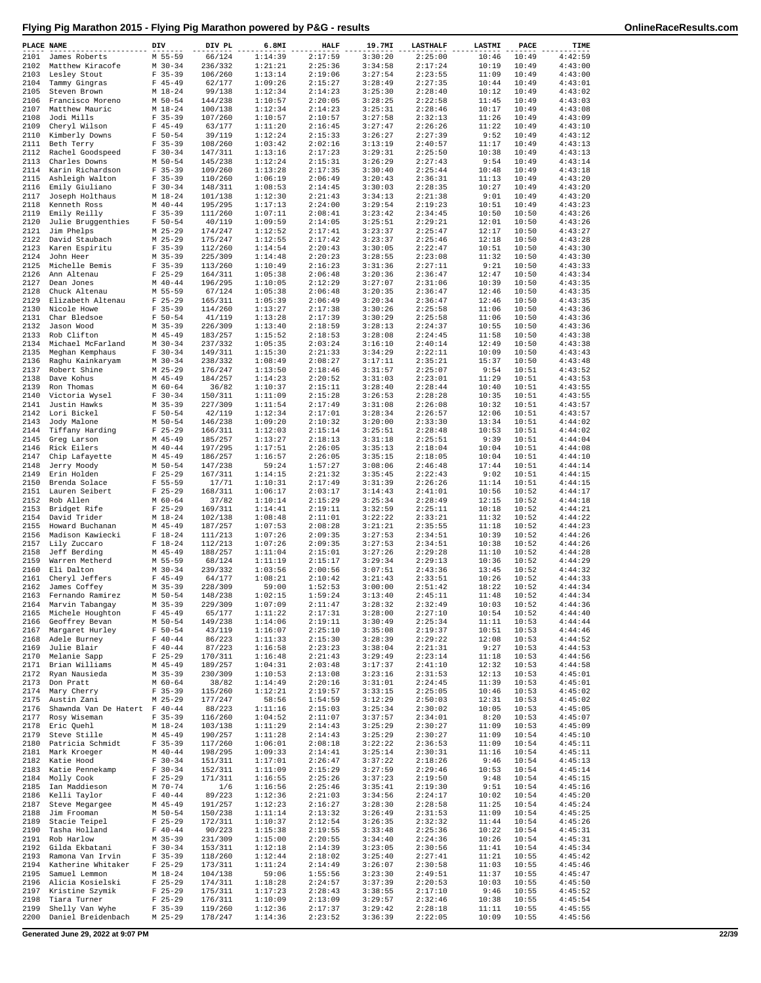|  | Flying Pig Marathon 2015 - Flying Pig Marathon powered by P&G - results |  |
|--|-------------------------------------------------------------------------|--|
|  |                                                                         |  |

| PLACE NAME   |                                    | DIV                      | DIV PL             | 6.8MI              | <b>HALF</b>        | 19.7MI             | <b>LASTHALF</b>    | LASTMI         | PACE           | TIME               |
|--------------|------------------------------------|--------------------------|--------------------|--------------------|--------------------|--------------------|--------------------|----------------|----------------|--------------------|
| 2101         | James Roberts                      | M 55-59                  | 66/124             | 1:14:39            | 2:17:59            | 3:30:20            | 2:25:00            | 10:46          | 10:49          | 4:42:59            |
| 2102         | Matthew Kiracofe                   | $M$ 30-34                | 236/332            | 1:21:21            | 2:25:36            | 3:34:58            | 2:17:24            | 10:19          | 10:49          | 4:43:00            |
| 2103         | Lesley Stout                       | $F$ 35-39                | 106/260            | 1:13:14            | 2:19:06            | 3:27:54            | 2:23:55            | 11:09          | 10:49          | 4:43:00            |
| 2104         | Tammy Gingras                      | $F$ 45-49                | 62/177             | 1:09:26            | 2:15:27            | 3:28:49            | 2:27:35            | 10:44          | 10:49          | 4:43:01            |
| 2105<br>2106 | Steven Brown<br>Francisco Moreno   | $M_18-24$<br>$M$ 50-54   | 99/138<br>144/238  | 1:12:34<br>1:10:57 | 2:14:23<br>2:20:05 | 3:25:30<br>3:28:25 | 2:28:40<br>2:22:58 | 10:12<br>11:45 | 10:49<br>10:49 | 4:43:02<br>4:43:03 |
| 2107         | Matthew Mauric                     | $M_18-24$                | 100/138            | 1:12:34            | 2:14:23            | 3:25:31            | 2:28:46            | 10:17          | 10:49          | 4:43:08            |
| 2108         | Jodi Mills                         | $F$ 35-39                | 107/260            | 1:10:57            | 2:10:57            | 3:27:58            | 2:32:13            | 11:26          | 10:49          | 4:43:09            |
| 2109         | Cheryl Wilson                      | $F$ 45-49                | 63/177             | 1:11:20            | 2:16:45            | 3:27:47            | 2:26:26            | 11:22          | 10:49          | 4:43:10            |
| 2110         | Kimberly Downs                     | $F 50 - 54$              | 39/119             | 1:12:24            | 2:15:33            | 3:26:27            | 2:27:39            | 9:52           | 10:49          | 4:43:12            |
| 2111         | Beth Terry                         | $F$ 35-39                | 108/260            | 1:03:42            | 2:02:16            | 3:13:19            | 2:40:57            | 11:17          | 10:49          | 4:43:13            |
| 2112<br>2113 | Rachel Goodspeed<br>Charles Downs  | $F 30-34$<br>$M$ 50-54   | 147/311<br>145/238 | 1:13:16<br>1:12:24 | 2:17:23<br>2:15:31 | 3:29:31<br>3:26:29 | 2:25:50<br>2:27:43 | 10:38<br>9:54  | 10:49<br>10:49 | 4:43:13<br>4:43:14 |
| 2114         | Karin Richardson                   | $F$ 35-39                | 109/260            | 1:13:28            | 2:17:35            | 3:30:40            | 2:25:44            | 10:48          | 10:49          | 4:43:18            |
| 2115         | Ashleigh Walton                    | $F$ 35-39                | 110/260            | 1:06:19            | 2:06:49            | 3:20:43            | 2:36:31            | 11:13          | 10:49          | 4:43:20            |
| 2116         | Emily Giuliano                     | $F 30-34$                | 148/311            | 1:08:53            | 2:14:45            | 3:30:03            | 2:28:35            | 10:27          | 10:49          | 4:43:20            |
| 2117         | Joseph Holthaus                    | M 18-24                  | 101/138            | 1:12:30            | 2:21:43            | 3:34:13            | 2:21:38            | 9:01           | 10:49          | 4:43:20            |
| 2118         | Kenneth Ross                       | $M$ 40-44                | 195/295            | 1:17:13            | 2:24:00            | 3:29:54            | 2:19:23            | 10:51          | 10:49          | 4:43:23            |
| 2119         | Emily Reilly                       | $F$ 35-39                | 111/260            | 1:07:11            | 2:08:41            | 3:23:42            | 2:34:45            | 10:50          | 10:50          | 4:43:26            |
| 2120<br>2121 | Julie Bruggenthies<br>Jim Phelps   | $F 50 - 54$<br>$M$ 25-29 | 40/119<br>174/247  | 1:09:59<br>1:12:52 | 2:14:05<br>2:17:41 | 3:25:51<br>3:23:37 | 2:29:21<br>2:25:47 | 12:01<br>12:17 | 10:50<br>10:50 | 4:43:26<br>4:43:27 |
| 2122         | David Staubach                     | $M$ 25-29                | 175/247            | 1:12:55            | 2:17:42            | 3:23:37            | 2:25:46            | 12:18          | 10:50          | 4:43:28            |
| 2123         | Karen Espiritu                     | $F$ 35-39                | 112/260            | 1:14:54            | 2:20:43            | 3:30:05            | 2:22:47            | 10:51          | 10:50          | 4:43:30            |
| 2124         | John Heer                          | $M$ 35-39                | 225/309            | 1:14:48            | 2:20:23            | 3:28:55            | 2:23:08            | 11:32          | 10:50          | 4:43:30            |
| 2125         | Michelle Bemis                     | $F$ 35-39                | 113/260            | 1:10:49            | 2:16:23            | 3:31:36            | 2:27:11            | 9:21           | 10:50          | 4:43:33            |
| 2126         | Ann Altenau                        | $F$ 25-29                | 164/311            | 1:05:38            | 2:06:48            | 3:20:36            | 2:36:47            | 12:47          | 10:50          | 4:43:34            |
| 2127         | Dean Jones<br>Chuck Altenau        | $M$ 40-44                | 196/295            | 1:10:05<br>1:05:38 | 2:12:29<br>2:06:48 | 3:27:07            | 2:31:06            | 10:39          | 10:50          | 4:43:35            |
| 2128<br>2129 | Elizabeth Altenau                  | M 55-59<br>$F$ 25-29     | 67/124<br>165/311  | 1:05:39            | 2:06:49            | 3:20:35<br>3:20:34 | 2:36:47<br>2:36:47 | 12:46<br>12:46 | 10:50<br>10:50 | 4:43:35<br>4:43:35 |
| 2130         | Nicole Howe                        | $F$ 35-39                | 114/260            | 1:13:27            | 2:17:38            | 3:30:26            | 2:25:58            | 11:06          | 10:50          | 4:43:36            |
| 2131         | Char Bledsoe                       | $F 50 - 54$              | 41/119             | 1:13:28            | 2:17:39            | 3:30:29            | 2:25:58            | 11:06          | 10:50          | 4:43:36            |
| 2132         | Jason Wood                         | $M$ 35-39                | 226/309            | 1:13:40            | 2:18:59            | 3:28:13            | 2:24:37            | 10:55          | 10:50          | 4:43:36            |
| 2133         | Rob Clifton                        | $M$ 45-49                | 183/257            | 1:15:52            | 2:18:53            | 3:28:08            | 2:24:45            | 11:58          | 10:50          | 4:43:38            |
| 2134         | Michael McFarland                  | $M$ 30-34                | 237/332            | 1:05:35            | 2:03:24            | 3:16:10            | 2:40:14            | 12:49          | 10:50          | 4:43:38            |
| 2135         | Meghan Kemphaus                    | $F 30-34$<br>$M$ 30-34   | 149/311            | 1:15:30            | 2:21:33            | 3:34:29            | 2:22:11            | 10:09          | 10:50          | 4:43:43            |
| 2136<br>2137 | Raghu Kainkaryam<br>Robert Shine   | $M$ 25-29                | 238/332<br>176/247 | 1:08:49<br>1:13:50 | 2:08:27<br>2:18:46 | 3:17:11<br>3:31:57 | 2:35:21<br>2:25:07 | 15:37<br>9:54  | 10:50<br>10:51 | 4:43:48<br>4:43:52 |
| 2138         | Dave Kohus                         | $M$ 45-49                | 184/257            | 1:14:23            | 2:20:52            | 3:31:03            | 2:23:01            | 11:29          | 10:51          | 4:43:53            |
| 2139         | Ron Thomas                         | $M$ 60-64                | 36/82              | 1:10:37            | 2:15:11            | 3:28:40            | 2:28:44            | 10:40          | 10:51          | 4:43:55            |
| 2140         | Victoria Wysel                     | $F 30-34$                | 150/311            | 1:11:09            | 2:15:28            | 3:26:53            | 2:28:28            | 10:35          | 10:51          | 4:43:55            |
| 2141         | Justin Hawks                       | $M$ 35-39                | 227/309            | 1:11:54            | 2:17:49            | 3:31:08            | 2:26:08            | 10:32          | 10:51          | 4:43:57            |
| 2142         | Lori Bickel                        | $F 50 - 54$              | 42/119             | 1:12:34            | 2:17:01            | 3:28:34            | 2:26:57            | 12:06          | 10:51          | 4:43:57            |
| 2143         | Jody Malone                        | $M$ 50-54                | 146/238            | 1:09:20            | 2:10:32            | 3:20:00            | 2:33:30            | 13:34          | 10:51          | 4:44:02            |
| 2144<br>2145 | Tiffany Harding<br>Greg Larson     | $F$ 25-29<br>$M$ 45-49   | 166/311<br>185/257 | 1:12:03<br>1:13:27 | 2:15:14<br>2:18:13 | 3:25:51<br>3:31:18 | 2:28:48<br>2:25:51 | 10:53<br>9:39  | 10:51<br>10:51 | 4:44:02<br>4:44:04 |
| 2146         | Rick Eilers                        | $M$ 40-44                | 197/295            | 1:17:51            | 2:26:05            | 3:35:13            | 2:18:04            | 10:04          | 10:51          | 4:44:08            |
| 2147         | Chip Lafayette                     | $M$ 45-49                | 186/257            | 1:16:57            | 2:26:05            | 3:35:15            | 2:18:05            | 10:04          | 10:51          | 4:44:10            |
| 2148         | Jerry Moody                        | $M$ 50-54                | 147/238            | 59:24              | 1:57:27            | 3:08:06            | 2:46:48            | 17:44          | 10:51          | 4:44:14            |
| 2149         | Erin Holden                        | $F$ 25-29                | 167/311            | 1:14:15            | 2:21:32            | 3:35:45            | 2:22:43            | 9:02           | 10:51          | 4:44:15            |
| 2150         | Brenda Solace                      | $F 55 - 59$              | 17/71              | 1:10:31            | 2:17:49            | 3:31:39            | 2:26:26            | 11:14          | 10:51          | 4:44:15            |
| 2151         | Lauren Seibert<br>2152 Rob Allen   | $F$ 25-29<br>$M$ 60-64   | 168/311<br>37/82   | 1:06:17<br>1:10:14 | 2:03:17<br>2:15:29 | 3:14:43<br>3:25:34 | 2:41:01<br>2:28:49 | 10:56<br>12:15 | 10:52<br>10:52 | 4:44:17<br>4:44:18 |
| 2153         | Bridget Rife                       | $F$ 25-29                | 169/311            | 1:14:41            | 2:19:11            | 3:32:59            | 2:25:11            | 10:18          | 10:52          | 4:44:21            |
| 2154         | David Trider                       | $M_18-24$                | 102/138            | 1:08:48            | 2:11:01            | 3:22:22            | 2:33:21            | 11:32          | 10:52          | 4:44:22            |
| 2155         | Howard Buchanan                    | $M$ 45-49                | 187/257            | 1:07:53            | 2:08:28            | 3:21:21            | 2:35:55            | 11:18          | 10:52          | 4:44:23            |
| 2156         | Madison Kawiecki                   | $F 18 - 24$              | 111/213            | 1:07:26            | 2:09:35            | 3:27:53            | 2:34:51            | 10:39          | 10:52          | 4:44:26            |
| 2157         | Lily Zuccaro                       | $F 18-24$                | 112/213            | 1:07:26            | 2:09:35            | 3:27:53            | 2:34:51            | 10:38          | 10:52          | 4:44:26            |
| 2158         | Jeff Berding                       | $M$ 45-49                | 188/257            | 1:11:04            | 2:15:01            | 3:27:26            | 2:29:28            | 11:10          | 10:52          | 4:44:28            |
| 2159<br>2160 | Warren Metherd<br>Eli Dalton       | M 55-59<br>$M$ 30-34     | 68/124<br>239/332  | 1:11:19<br>1:03:56 | 2:15:17<br>2:00:56 | 3:29:34<br>3:07:51 | 2:29:13<br>2:43:36 | 10:36<br>13:45 | 10:52<br>10:52 | 4:44:29<br>4:44:32 |
| 2161         | Cheryl Jeffers                     | $F$ 45-49                | 64/177             | 1:08:21            | 2:10:42            | 3:21:43            | 2:33:51            | 10:26          | 10:52          | 4:44:33            |
| 2162         | James Coffey                       | $M$ 35-39                | 228/309            | 59:00              | 1:52:53            | 3:00:00            | 2:51:42            | 18:22          | 10:52          | 4:44:34            |
| 2163         | Fernando Ramirez                   | M 50-54                  | 148/238            | 1:02:15            | 1:59:24            | 3:13:40            | 2:45:11            | 11:48          | 10:52          | 4:44:34            |
|              | 2164 Marvin Tabangay               | $M$ 35-39                | 229/309            | 1:07:09            | 2:11:47            | 3:28:32            | 2:32:49            | 10:03          | 10:52          | 4:44:36            |
| 2165<br>2166 | Michele Houghton<br>Geoffrey Bevan | $F$ 45-49                | 65/177             | 1:11:22            | 2:17:31            | 3:28:00<br>3:30:49 | 2:27:10            | 10:54          | 10:52          | 4:44:40            |
| 2167         | Margaret Hurley                    | M 50-54<br>$F 50 - 54$   | 149/238<br>43/119  | 1:14:06<br>1:16:07 | 2:19:11<br>2:25:10 | 3:35:08            | 2:25:34<br>2:19:37 | 11:11<br>10:51 | 10:53<br>10:53 | 4:44:44<br>4:44:46 |
| 2168         | Adele Burney                       | $F 40 - 44$              | 86/223             | 1:11:33            | 2:15:30            | 3:28:39            | 2:29:22            | 12:08          | 10:53          | 4:44:52            |
| 2169         | Julie Blair                        | $F 40 - 44$              | 87/223             | 1:16:58            | 2:23:23            | 3:38:04            | 2:21:31            | 9:27           | 10:53          | 4:44:53            |
| 2170         | Melanie Sapp                       | $F$ 25-29                | 170/311            | 1:16:48            | 2:21:43            | 3:29:49            | 2:23:14            | 11:18          | 10:53          | 4:44:56            |
| 2171         | Brian Williams                     | $M$ 45-49                | 189/257            | 1:04:31            | 2:03:48            | 3:17:37            | 2:41:10            | 12:32          | 10:53          | 4:44:58            |
| 2172<br>2173 | Ryan Nausieda<br>Don Pratt         | $M$ 35-39<br>$M$ 60-64   | 230/309            | 1:10:53<br>1:14:49 | 2:13:08<br>2:20:16 | 3:23:16<br>3:31:01 | 2:31:53<br>2:24:45 | 12:13<br>11:39 | 10:53<br>10:53 | 4:45:01<br>4:45:01 |
| 2174         | Mary Cherry                        | $F$ 35-39                | 38/82<br>115/260   | 1:12:21            | 2:19:57            | 3:33:15            | 2:25:05            | 10:46          | 10:53          | 4:45:02            |
| 2175         | Austin Zani                        | $M$ 25-29                | 177/247            | 58:56              | 1:54:59            | 3:12:29            | 2:50:03            | 12:31          | 10:53          | 4:45:02            |
| 2176         | Shawnda Van De Hatert F 40-44      |                          | 88/223             | 1:11:16            | 2:15:03            | 3:25:34            | 2:30:02            | 10:05          | 10:53          | 4:45:05            |
| 2177         | Rosy Wiseman                       | $F 35 - 39$              | 116/260            | 1:04:52            | 2:11:07            | 3:37:57            | 2:34:01            | 8:20           | 10:53          | 4:45:07            |
| 2178         | Eric Quehl                         | $M_18-24$                | 103/138            | 1:11:29            | 2:14:43            | 3:25:29            | 2:30:27            | 11:09          | 10:53          | 4:45:09            |
| 2179         | Steve Stille                       | $M$ 45-49                | 190/257            | 1:11:28            | 2:14:43            | 3:25:29            | 2:30:27            | 11:09          | 10:54          | 4:45:10            |
| 2180<br>2181 | Patricia Schmidt<br>Mark Kroeger   | $F$ 35-39<br>$M$ 40-44   | 117/260            | 1:06:01<br>1:09:33 | 2:08:18<br>2:14:41 | 3:22:22<br>3:25:14 | 2:36:53<br>2:30:31 | 11:09<br>11:16 | 10:54<br>10:54 | 4:45:11<br>4:45:11 |
| 2182         | Katie Hood                         | $F 30-34$                | 198/295<br>151/311 | 1:17:01            | 2:26:47            | 3:37:22            | 2:18:26            | 9:46           | 10:54          | 4:45:13            |
| 2183         | Katie Pennekamp                    | $F 30-34$                | 152/311            | 1:11:09            | 2:15:29            | 3:27:59            | 2:29:46            | 10:53          | 10:54          | 4:45:14            |
| 2184         | Molly Cook                         | $F$ 25-29                | 171/311            | 1:16:55            | 2:25:26            | 3:37:23            | 2:19:50            | 9:48           | 10:54          | 4:45:15            |
| 2185         | Ian Maddieson                      | M 70-74                  | 1/6                | 1:16:56            | 2:25:46            | 3:35:41            | 2:19:30            | 9:51           | 10:54          | 4:45:16            |
| 2186         | Kelli Taylor                       | $F 40 - 44$              | 89/223             | 1:12:36            | 2:21:03            | 3:34:56            | 2:24:17            | 10:02          | 10:54          | 4:45:20            |
| 2187         | Steve Megargee                     | $M$ 45-49                | 191/257            | 1:12:23            | 2:16:27            | 3:28:30            | 2:28:58            | 11:25          | 10:54          | 4:45:24            |
| 2188<br>2189 | Jim Frooman<br>Stacie Teipel       | M 50-54<br>$F$ 25-29     | 150/238<br>172/311 | 1:11:14<br>1:10:37 | 2:13:32<br>2:12:54 | 3:26:49<br>3:26:35 | 2:31:53<br>2:32:32 | 11:09<br>11:44 | 10:54<br>10:54 | 4:45:25<br>4:45:26 |
| 2190         | Tasha Holland                      | $F 40 - 44$              | 90/223             | 1:15:38            | 2:19:55            | 3:33:48            | 2:25:36            | 10:22          | 10:54          | 4:45:31            |
| 2191         | Rob Harlow                         | $M$ 35-39                | 231/309            | 1:15:00            | 2:20:55            | 3:34:40            | 2:24:36            | 10:26          | 10:54          | 4:45:31            |
| 2192         | Gilda Ekbatani                     | $F 30-34$                | 153/311            | 1:12:18            | 2:14:39            | 3:23:05            | 2:30:56            | 11:41          | 10:54          | 4:45:34            |
| 2193         | Ramona Van Irvin                   | $F 35-39$                | 118/260            | 1:12:44            | 2:18:02            | 3:25:40            | 2:27:41            | 11:21          | 10:55          | 4:45:42            |
| 2194         | Katherine Whitaker                 | $F$ 25-29                | 173/311            | 1:11:24            | 2:14:49            | 3:26:07            | 2:30:58            | 11:03          | 10:55          | 4:45:46            |
| 2195<br>2196 | Samuel Lemmon<br>Alicia Kosielski  | $M_18-24$<br>$F$ 25-29   | 104/138<br>174/311 | 59:06<br>1:18:28   | 1:55:56<br>2:24:57 | 3:23:30<br>3:37:39 | 2:49:51<br>2:20:53 | 11:37<br>10:03 | 10:55<br>10:55 | 4:45:47<br>4:45:50 |
| 2197         | Kristine Szymik                    | $F$ 25-29                | 175/311            | 1:17:23            | 2:28:43            | 3:38:55            | 2:17:10            | 9:46           | 10:55          | 4:45:52            |
| 2198         | Tiara Turner                       | $F$ 25-29                | 176/311            | 1:10:09            | 2:13:09            | 3:29:57            | 2:32:46            | 10:38          | 10:55          | 4:45:54            |
| 2199         | Shelly Van Wyhe                    | $F$ 35-39                | 119/260            | 1:12:36            | 2:17:37            | 3:29:42            | 2:28:18            | 11:11          | 10:55          | 4:45:55            |
| 2200         | Daniel Breidenbach                 | $M$ 25-29                | 178/247            | 1:14:36            | 2:23:52            | 3:36:39            | 2:22:05            | 10:09          | 10:55          | 4:45:56            |

**Generated June 29, 2022 at 9:07 PM 22/39**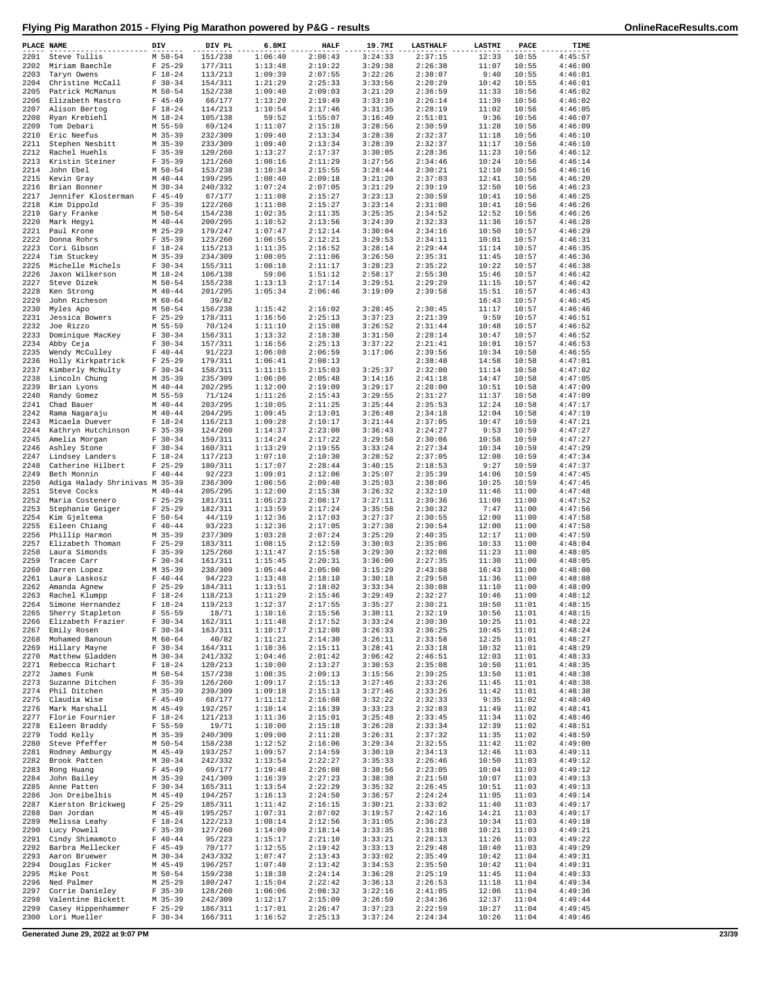| PLACE NAME   |                                               | DIV                    | DIV PL             | 6.8MI              | <b>HALF</b>        | 19.7MI             | <b>LASTHALF</b>    | LASTMI         | PACE           | TIME               |
|--------------|-----------------------------------------------|------------------------|--------------------|--------------------|--------------------|--------------------|--------------------|----------------|----------------|--------------------|
| 2201         | Steve Tullis                                  | $M$ 50-54              | 151/238            | 1:06:40            | 2:08:43            | 3:24:33            | 2:37:15            | 12:33          | 10:55          | 4:45:57            |
| 2202         | Miriam Baechle                                | $F$ 25-29              | 177/311            | 1:13:48            | 2:19:22            | 3:29:38            | 2:26:38            | 11:07          | 10:55          | 4:46:00            |
| 2203<br>2204 | Taryn Owens                                   | $F 18-24$              | 113/213<br>154/311 | 1:09:39<br>1:21:29 | 2:07:55            | 3:22:26            | 2:38:07<br>2:20:29 | 9:40           | 10:55          | 4:46:01<br>4:46:01 |
| 2205         | Christine McCall<br>Patrick McManus           | $F 30-34$<br>M 50-54   | 152/238            | 1:09:40            | 2:25:33<br>2:09:03 | 3:33:56<br>3:21:20 | 2:36:59            | 10:42<br>11:33 | 10:55<br>10:56 | 4:46:02            |
| 2206         | Elizabeth Mastro                              | $F$ 45-49              | 66/177             | 1:13:20            | 2:19:49            | 3:33:10            | 2:26:14            | 11:39          | 10:56          | 4:46:02            |
| 2207         | Alison Bertog                                 | $F 18-24$              | 114/213            | 1:10:54            | 2:17:46            | 3:31:35            | 2:28:19            | 11:02          | 10:56          | 4:46:05            |
| 2208         | Ryan Krebiehl                                 | $M_18-24$              | 105/138            | 59:52              | 1:55:07            | 3:16:40            | 2:51:01            | 9:36           | 10:56          | 4:46:07            |
| 2209         | Tom Debari                                    | M 55-59                | 69/124             | 1:11:07            | 2:15:10            | 3:28:56            | 2:30:59            | 11:28          | 10:56          | 4:46:09            |
| 2210<br>2211 | Eric Neefus<br>Stephen Nesbitt                | $M$ 35-39<br>$M$ 35-39 | 232/309<br>233/309 | 1:09:40<br>1:09:40 | 2:13:34<br>2:13:34 | 3:28:38<br>3:28:39 | 2:32:37<br>2:32:37 | 11:18<br>11:17 | 10:56<br>10:56 | 4:46:10<br>4:46:10 |
| 2212         | Rachel Huehls                                 | $F$ 35-39              | 120/260            | 1:13:27            | 2:17:37            | 3:30:05            | 2:28:36            | 11:23          | 10:56          | 4:46:12            |
| 2213         | Kristin Steiner                               | $F$ 35-39              | 121/260            | 1:08:16            | 2:11:29            | 3:27:56            | 2:34:46            | 10:24          | 10:56          | 4:46:14            |
| 2214         | John Ebel                                     | M 50-54                | 153/238            | 1:10:34            | 2:15:55            | 3:28:44            | 2:30:21            | 12:10          | 10:56          | 4:46:16            |
| 2215         | Kevin Gray                                    | $M$ 40-44              | 199/295            | 1:08:40            | 2:09:18            | 3:21:20            | 2:37:03            | 12:41          | 10:56          | 4:46:20            |
| 2216<br>2217 | Brian Bonner<br>Jennifer Klosterman           | $M$ 30-34<br>$F$ 45-49 | 240/332<br>67/177  | 1:07:24<br>1:11:08 | 2:07:05<br>2:15:27 | 3:21:29<br>3:23:13 | 2:39:19<br>2:30:59 | 12:50<br>10:41 | 10:56<br>10:56 | 4:46:23<br>4:46:25 |
| 2218         | Kim Dippold                                   | $F$ 35-39              | 122/260            | 1:11:08            | 2:15:27            | 3:23:14            | 2:31:00            | 10:41          | 10:56          | 4:46:26            |
| 2219         | Gary Franke                                   | $M$ 50-54              | 154/238            | 1:02:35            | 2:11:35            | 3:25:35            | 2:34:52            | 12:52          | 10:56          | 4:46:26            |
| 2220         | Mark Hegyi                                    | $M$ 40-44              | 200/295            | 1:10:52            | 2:13:56            | 3:24:39            | 2:32:33            | 11:36          | 10:57          | 4:46:28            |
| 2221         | Paul Krone                                    | M 25-29                | 179/247            | 1:07:47            | 2:12:14            | 3:30:04            | 2:34:16            | 10:50          | 10:57          | 4:46:29            |
| 2222         | Donna Rohrs                                   | $F$ 35-39              | 123/260            | 1:06:55            | 2:12:21            | 3:29:53            | 2:34:11            | 10:01          | 10:57          | 4:46:31<br>4:46:35 |
| 2223<br>2224 | Cori Gibson<br>Tim Stuckey                    | $F 18-24$<br>$M$ 35-39 | 115/213<br>234/309 | 1:11:35<br>1:08:05 | 2:16:52<br>2:11:06 | 3:28:14<br>3:26:50 | 2:29:44<br>2:35:31 | 11:14<br>11:45 | 10:57<br>10:57 | 4:46:36            |
| 2225         | Michelle Michels                              | $F 30-34$              | 155/311            | 1:08:18            | 2:11:17            | 3:28:23            | 2:35:22            | 10:22          | 10:57          | 4:46:38            |
| 2226         | Jaxon Wilkerson                               | $M_1 18 - 24$          | 106/138            | 59:06              | 1:51:12            | 2:58:17            | 2:55:30            | 15:46          | 10:57          | 4:46:42            |
| 2227         | Steve Dizek                                   | M 50-54                | 155/238            | 1:13:13            | 2:17:14            | 3:29:51            | 2:29:29            | 11:15          | 10:57          | 4:46:42            |
| 2228         | Ken Strong                                    | $M$ 40-44              | 201/295            | 1:05:34            | 2:06:46            | 3:19:09            | 2:39:58            | 15:51          | 10:57          | 4:46:43            |
| 2229<br>2230 | John Richeson<br>Myles Apo                    | $M$ 60-64<br>M 50-54   | 39/82<br>156/238   | 1:15:42            | 2:16:02            | 3:28:45            | 2:30:45            | 16:43<br>11:17 | 10:57<br>10:57 | 4:46:45<br>4:46:46 |
| 2231         | Jessica Bowers                                | $F$ 25-29              | 178/311            | 1:16:56            | 2:25:13            | 3:37:23            | 2:21:39            | 9:59           | 10:57          | 4:46:51            |
| 2232         | Joe Rizzo                                     | M 55-59                | 70/124             | 1:11:10            | 2:15:08            | 3:26:52            | 2:31:44            | 10:48          | 10:57          | 4:46:52            |
| 2233         | Dominique MacKey                              | $F 30-34$              | 156/311            | 1:13:32            | 2:18:38            | 3:31:50            | 2:28:14            | 10:47          | 10:57          | 4:46:52            |
| 2234         | Abby Ceja                                     | $F 30-34$              | 157/311            | 1:16:56            | 2:25:13            | 3:37:22            | 2:21:41            | 10:01          | 10:57          | 4:46:53            |
| 2235         | Wendy McCulley                                | $F 40 - 44$            | 91/223             | 1:06:08            | 2:06:59            | 3:17:06            | 2:39:56            | 10:34          | 10:58          | 4:46:55            |
| 2236<br>2237 | Holly Kirkpatrick<br>Kimberly McNulty         | $F$ 25-29<br>$F 30-34$ | 179/311<br>158/311 | 1:06:41<br>1:11:15 | 2:08:13<br>2:15:03 | 3:25:37            | 2:38:48<br>2:32:00 | 14:58<br>11:14 | 10:58<br>10:58 | 4:47:01<br>4:47:02 |
| 2238         | Lincoln Chung                                 | $M$ 35-39              | 235/309            | 1:06:06            | 2:05:48            | 3:14:16            | 2:41:18            | 14:47          | 10:58          | 4:47:05            |
| 2239         | Brian Lyons                                   | $M$ 40-44              | 202/295            | 1:12:00            | 2:19:09            | 3:29:17            | 2:28:00            | 10:51          | 10:58          | 4:47:09            |
| 2240         | Randy Gomez                                   | M 55-59                | 71/124             | 1:11:26            | 2:15:43            | 3:29:55            | 2:31:27            | 11:37          | 10:58          | 4:47:09            |
| 2241         | Chad Bauer                                    | $M$ 40-44              | 203/295            | 1:10:05            | 2:11:25            | 3:25:44            | 2:35:53            | 12:24          | 10:58          | 4:47:17            |
| 2242         | Rama Nagaraju                                 | $M$ 40-44              | 204/295            | 1:09:45            | 2:13:01            | 3:26:48            | 2:34:18            | 12:04          | 10:58          | 4:47:19            |
| 2243<br>2244 | Micaela Duever<br>Kathryn Hutchinson          | $F 18-24$<br>$F$ 35-39 | 116/213<br>124/260 | 1:09:28<br>1:14:37 | 2:10:17<br>2:23:00 | 3:21:44<br>3:36:43 | 2:37:05<br>2:24:27 | 10:47<br>9:53  | 10:59<br>10:59 | 4:47:21<br>4:47:27 |
| 2245         | Amelia Morgan                                 | $F 30-34$              | 159/311            | 1:14:24            | 2:17:22            | 3:29:58            | 2:30:06            | 10:58          | 10:59          | 4:47:27            |
| 2246         | Ashley Stone                                  | $F 30-34$              | 160/311            | 1:13:29            | 2:19:55            | 3:33:24            | 2:27:34            | 10:34          | 10:59          | 4:47:29            |
| 2247         | Lindsey Landers                               | $F 18-24$              | 117/213            | 1:07:18            | 2:10:30            | 3:28:52            | 2:37:05            | 12:08          | 10:59          | 4:47:34            |
| 2248         | Catherine Hilbert                             | $F$ 25-29              | 180/311            | 1:17:07            | 2:28:44            | 3:40:15            | 2:18:53            | 9:27           | 10:59          | 4:47:37            |
| 2249         | Beth Monnin                                   | $F 40 - 44$            | 92/223             | 1:09:01            | 2:12:06            | 3:25:07            | 2:35:39            | 14:06          | 10:59          | 4:47:45            |
| 2250<br>2251 | Adiga Halady Shrinivas M 35-39<br>Steve Cocks | $M$ 40-44              | 236/309<br>205/295 | 1:06:56<br>1:12:00 | 2:09:40<br>2:15:38 | 3:25:03<br>3:26:32 | 2:38:06<br>2:32:10 | 10:25<br>11:46 | 10:59<br>11:00 | 4:47:45<br>4:47:48 |
| 2252         | Maria Costenero                               | $F$ 25-29              | 181/311            | 1:05:23            | 2:08:17            | 3:27:11            | 2:39:36            | 11:09          | 11:00          | 4:47:52            |
| 2253         | Stephanie Geiger                              | $F$ 25-29              | 182/311            | 1:13:59            | 2:17:24            | 3:35:58            | 2:30:32            | 7:47           | 11:00          | 4:47:56            |
| 2254         | Kim Gjeltema                                  | $F 50 - 54$            | 44/119             | 1:12:36            | 2:17:03            | 3:27:37            | 2:30:55            | 12:00          | 11:00          | 4:47:58            |
| 2255         | Eileen Chiang                                 | $F 40 - 44$            | 93/223             | 1:12:36            | 2:17:05            | 3:27:38            | 2:30:54            | 12:00          | 11:00          | 4:47:58            |
| 2256<br>2257 | Phillip Harmon<br>Elizabeth Thoman            | $M$ 35-39<br>$F$ 25-29 | 237/309<br>183/311 | 1:03:28<br>1:08:15 | 2:07:24<br>2:12:59 | 3:25:20<br>3:30:03 | 2:40:35<br>2:35:06 | 12:17<br>10:33 | 11:00<br>11:00 | 4:47:59<br>4:48:04 |
| 2258         | Laura Simonds                                 | $F$ 35-39              | 125/260            | 1:11:47            | 2:15:58            | 3:29:30            | 2:32:08            | 11:23          | 11:00          | 4:48:05            |
| 2259         | Tracee Carr                                   | $F 30-34$              | 161/311            | 1:15:45            | 2:20:31            | 3:36:00            | 2:27:35            | 11:30          | 11:00          | 4:48:05            |
| 2260         | Darren Lopez                                  | $M$ 35-39              | 238/309            | 1:05:44            | 2:05:00            | 3:15:29            | 2:43:08            | 16:43          | 11:00          | 4:48:08            |
| 2261         | Laura Laskosz                                 | $F 40 - 44$            | 94/223             | 1:13:48            | 2:18:10            | 3:30:18            | 2:29:58            | 11:36          | 11:00          | 4:48:08            |
| 2262         | Amanda Agnew<br>2263 Rachel Klumpp            | $F$ 25-29<br>$F 18-24$ | 184/311<br>118/213 | 1:13:51<br>1:11:29 | 2:18:02<br>2:15:46 | 3:33:34<br>3:29:49 | 2:30:08<br>2:32:27 | 11:10<br>10:46 | 11:00<br>11:00 | 4:48:09<br>4:48:12 |
| 2264         | Simone Hernandez                              | $F 18-24$              | 119/213            | 1:12:37            | 2:17:55            | 3:35:27            | 2:30:21            | 10:50          | 11:01          | 4:48:15            |
| 2265         | Sherry Stapleton                              | $F 55 - 59$            | 18/71              | 1:10:16            | 2:15:56            | 3:30:11            | 2:32:19            | 10:56          | 11:01          | 4:48:15            |
| 2266         | Elizabeth Frazier                             | $F 30-34$              | 162/311            | 1:11:48            | 2:17:52            | 3:33:24            | 2:30:30            | 10:25          | 11:01          | 4:48:22            |
| 2267         | Emily Rosen                                   | $F 30-34$              | 163/311            | 1:10:17            | 2:12:00            | 3:26:33            | 2:36:25            | 10:45          | 11:01          | 4:48:24            |
| 2268         | Mohamed Banoun                                | $M$ 60-64              | 40/82<br>164/311   | 1:11:21            | 2:14:30            | 3:26:11            | 2:33:58<br>2:33:18 | 12:25          | 11:01          | 4:48:27            |
| 2269<br>2270 | Hillary Mayne<br>Matthew Gladden              | $F 30-34$<br>$M$ 30-34 | 241/332            | 1:10:36<br>1:04:46 | 2:15:11<br>2:01:42 | 3:28:41<br>3:06:42 | 2:46:51            | 10:32<br>12:03 | 11:01<br>11:01 | 4:48:29<br>4:48:33 |
| 2271         | Rebecca Richart                               | $F 18-24$              | 120/213            | 1:10:00            | 2:13:27            | 3:30:53            | 2:35:08            | 10:50          | 11:01          | 4:48:35            |
| 2272         | James Funk                                    | M 50-54                | 157/238            | 1:08:35            | 2:09:13            | 3:15:56            | 2:39:25            | 13:50          | 11:01          | 4:48:38            |
| 2273         | Suzanne Ditchen                               | $F$ 35-39              | 126/260            | 1:09:17            | 2:15:13            | 3:27:46            | 2:33:26            | 11:45          | 11:01          | 4:48:38            |
| 2274         | Phil Ditchen<br>Claudia Wise                  | $M$ 35-39              | 239/309            | 1:09:18            | 2:15:13            | 3:27:46<br>3:32:22 | 2:33:26            | 11:42          | 11:01          | 4:48:38            |
| 2275<br>2276 | Mark Marshall                                 | $F$ 45-49<br>$M$ 45-49 | 68/177<br>192/257  | 1:11:12<br>1:10:14 | 2:16:08<br>2:16:39 | 3:33:23            | 2:32:33<br>2:32:03 | 9:35<br>11:49  | 11:02<br>11:02 | 4:48:40<br>4:48:41 |
| 2277         | Florie Fournier                               | $F 18-24$              | 121/213            | 1:11:36            | 2:15:01            | 3:25:48            | 2:33:45            | 11:34          | 11:02          | 4:48:46            |
| 2278         | Eileen Braddy                                 | $F 55 - 59$            | 19/71              | 1:10:00            | 2:15:18            | 3:26:28            | 2:33:34            | 12:39          | 11:02          | 4:48:51            |
| 2279         | Todd Kelly                                    | $M$ 35-39              | 240/309            | 1:09:00            | 2:11:28            | 3:26:31            | 2:37:32            | 11:35          | 11:02          | 4:48:59            |
| 2280         | Steve Pfeffer                                 | M 50-54                | 158/238            | 1:12:52            | 2:16:06            | 3:29:34            | 2:32:55            | 11:42          | 11:02          | 4:49:00            |
| 2281<br>2282 | Rodney Amburgy<br>Brook Patten                | $M$ 45-49<br>$M$ 30-34 | 193/257<br>242/332 | 1:09:57<br>1:13:54 | 2:14:59<br>2:22:27 | 3:30:10<br>3:35:33 | 2:34:13<br>2:26:46 | 12:46<br>10:50 | 11:03<br>11:03 | 4:49:11<br>4:49:12 |
| 2283         | Rong Huang                                    | $F$ 45-49              | 69/177             | 1:19:48            | 2:26:08            | 3:38:56            | 2:23:05            | 10:04          | 11:03          | 4:49:12            |
| 2284         | John Bailey                                   | $M$ 35-39              | 241/309            | 1:16:39            | 2:27:23            | 3:38:38            | 2:21:50            | 10:07          | 11:03          | 4:49:13            |
| 2285         | Anne Patten                                   | $F 30-34$              | 165/311            | 1:13:54            | 2:22:29            | 3:35:32            | 2:26:45            | 10:51          | 11:03          | 4:49:13            |
| 2286         | Jon Dreibelbis                                | $M$ 45-49              | 194/257            | 1:16:13            | 2:24:50            | 3:36:57            | 2:24:24            | 11:05          | 11:03          | 4:49:14            |
| 2287<br>2288 | Kierston Brickweg<br>Dan Jordan               | $F$ 25-29<br>$M$ 45-49 | 185/311<br>195/257 | 1:11:42<br>1:07:31 | 2:16:15<br>2:07:02 | 3:30:21<br>3:19:57 | 2:33:02<br>2:42:16 | 11:40<br>14:21 | 11:03<br>11:03 | 4:49:17<br>4:49:17 |
| 2289         | Melissa Leahy                                 | $F 18-24$              | 122/213            | 1:08:14            | 2:12:56            | 3:31:05            | 2:36:23            | 10:34          | 11:03          | 4:49:18            |
| 2290         | Lucy Powell                                   | $F$ 35-39              | 127/260            | 1:14:09            | 2:18:14            | 3:33:35            | 2:31:08            | 10:21          | 11:03          | 4:49:21            |
| 2291         | Cindy Shimamoto                               | $F 40 - 44$            | 95/223             | 1:15:17            | 2:21:10            | 3:33:21            | 2:28:13            | 11:26          | 11:03          | 4:49:22            |
| 2292         | Barbra Mellecker                              | $F$ 45-49              | 70/177             | 1:12:55            | 2:19:42            | 3:33:13            | 2:29:48            | 10:40          | 11:03          | 4:49:29            |
| 2293<br>2294 | Aaron Bruewer<br>Douglas Ficker               | $M$ 30-34<br>$M$ 45-49 | 243/332<br>196/257 | 1:07:47<br>1:07:48 | 2:13:43<br>2:13:42 | 3:33:02<br>3:34:53 | 2:35:49<br>2:35:50 | 10:42<br>10:42 | 11:04<br>11:04 | 4:49:31<br>4:49:31 |
| 2295         | Mike Post                                     | M 50-54                | 159/238            | 1:18:38            | 2:24:14            | 3:36:28            | 2:25:19            | 11:45          | 11:04          | 4:49:33            |
| 2296         | Ned Palmer                                    | $M$ 25-29              | 180/247            | 1:15:04            | 2:22:42            | 3:36:13            | 2:26:53            | 11:18          | 11:04          | 4:49:34            |
| 2297         | Corrie Danieley                               | $F$ 35-39              | 128/260            | 1:06:06            | 2:08:32            | 3:22:16            | 2:41:05            | 12:06          | 11:04          | 4:49:36            |
| 2298         | Valentine Bickett                             | $M$ 35-39              | 242/309            | 1:12:17            | 2:15:09            | 3:26:59            | 2:34:36            | 12:37          | 11:04          | 4:49:44            |
| 2299<br>2300 | Casey Hippenhammer<br>Lori Mueller            | $F$ 25-29<br>$F 30-34$ | 186/311<br>166/311 | 1:17:01<br>1:16:52 | 2:26:47<br>2:25:13 | 3:37:23<br>3:37:24 | 2:22:59<br>2:24:34 | 10:27<br>10:26 | 11:04<br>11:04 | 4:49:45<br>4:49:46 |
|              |                                               |                        |                    |                    |                    |                    |                    |                |                |                    |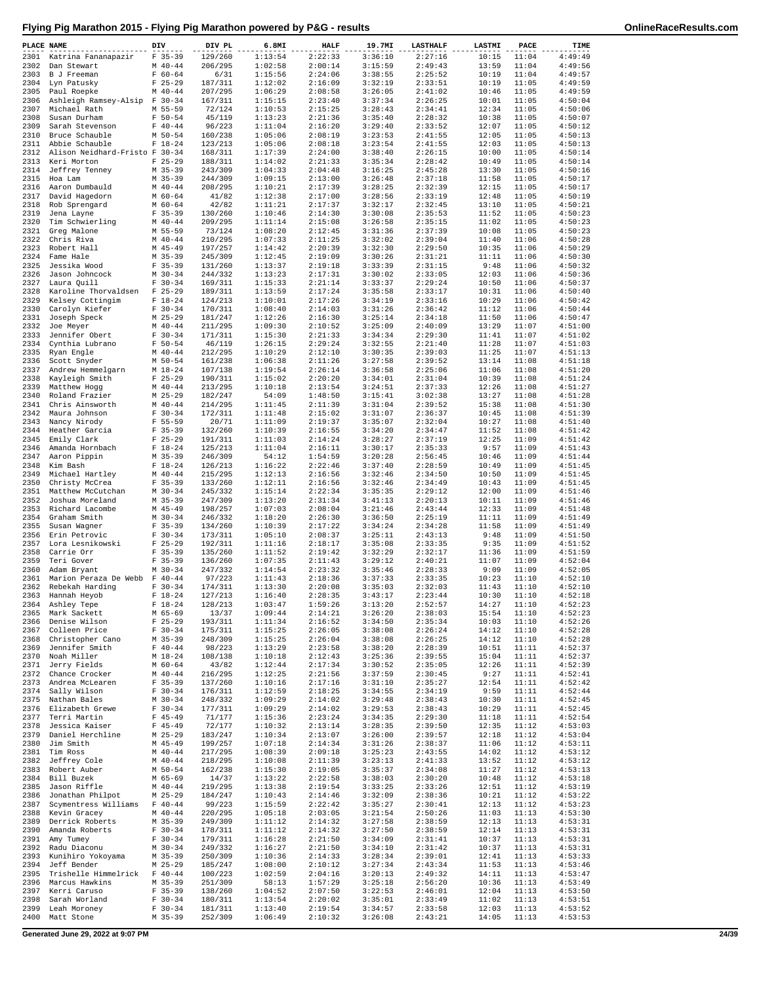| PLACE NAME   |                                              | DIV                        | DIV PL             | 6.8MI              | <b>HALF</b>        | 19.7MI             | <b>LASTHALF</b>    | <b>LASTMI</b>  | PACE           | TIME               |
|--------------|----------------------------------------------|----------------------------|--------------------|--------------------|--------------------|--------------------|--------------------|----------------|----------------|--------------------|
| 2301         | Katrina Fananapazir                          | $F$ 35-39                  | 129/260            | 1:13:54            | 2:22:33            | 3:36:10            | 2:27:16            | 10:15          | 11:04          | 4:49:49            |
| 2302         | Dan Stewart                                  | $M$ 40-44                  | 206/295            | 1:02:58            | 2:00:14            | 3:15:59            | 2:49:43            | 13:59          | 11:04          | 4:49:56            |
| 2303<br>2304 | <b>B</b> J Freeman<br>Lyn Patusky            | $F 60 - 64$<br>$F$ 25-29   | 6/31<br>187/311    | 1:15:56<br>1:12:02 | 2:24:06<br>2:16:09 | 3:38:55<br>3:32:19 | 2:25:52<br>2:33:51 | 10:19<br>10:19 | 11:04<br>11:05 | 4:49:57<br>4:49:59 |
| 2305         | Paul Roepke                                  | $M$ 40-44                  | 207/295            | 1:06:29            | 2:08:58            | 3:26:05            | 2:41:02            | 10:46          | 11:05          | 4:49:59            |
| 2306         | Ashleigh Ramsey-Alsip F 30-34                |                            | 167/311            | 1:15:15            | 2:23:40            | 3:37:34            | 2:26:25            | 10:01          | 11:05          | 4:50:04            |
| 2307         | Michael Rath                                 | M 55-59                    | 72/124             | 1:10:53            | 2:15:25            | 3:28:43            | 2:34:41            | 12:34          | 11:05          | 4:50:06            |
| 2308         | Susan Durham                                 | $F 50 - 54$<br>$F 40 - 44$ | 45/119<br>96/223   | 1:13:23<br>1:11:04 | 2:21:36<br>2:16:20 | 3:35:40            | 2:28:32            | 10:38<br>12:07 | 11:05          | 4:50:07            |
| 2309<br>2310 | Sarah Stevenson<br>Bruce Schauble            | $M$ 50-54                  | 160/238            | 1:05:06            | 2:08:19            | 3:29:40<br>3:23:53 | 2:33:52<br>2:41:55 | 12:05          | 11:05<br>11:05 | 4:50:12<br>4:50:13 |
| 2311         | Abbie Schauble                               | $F 18-24$                  | 123/213            | 1:05:06            | 2:08:18            | 3:23:54            | 2:41:55            | 12:03          | 11:05          | 4:50:13            |
| 2312         | Alison Neidhard-Fristo F 30-34               |                            | 168/311            | 1:17:39            | 2:24:00            | 3:38:40            | 2:26:15            | 10:00          | 11:05          | 4:50:14            |
| 2313         | Keri Morton                                  | $F$ 25-29                  | 188/311            | 1:14:02            | 2:21:33            | 3:35:34            | 2:28:42            | 10:49          | 11:05          | 4:50:14            |
| 2314         | Jeffrey Tenney                               | $M$ 35-39                  | 243/309            | 1:04:33            | 2:04:48            | 3:16:25            | 2:45:28            | 13:30          | 11:05          | 4:50:16            |
| 2315<br>2316 | Hoa Lam<br>Aaron Dumbauld                    | $M$ 35-39<br>$M$ 40-44     | 244/309<br>208/295 | 1:09:15<br>1:10:21 | 2:13:00<br>2:17:39 | 3:26:48<br>3:28:25 | 2:37:18<br>2:32:39 | 11:58<br>12:15 | 11:05<br>11:05 | 4:50:17<br>4:50:17 |
| 2317         | David Hagedorn                               | $M$ 60-64                  | 41/82              | 1:12:38            | 2:17:00            | 3:28:56            | 2:33:19            | 12:48          | 11:05          | 4:50:19            |
| 2318         | Rob Sprengard                                | $M$ 60-64                  | 42/82              | 1:11:21            | 2:17:37            | 3:32:17            | 2:32:45            | 13:10          | 11:05          | 4:50:21            |
| 2319         | Jena Layne                                   | $F$ 35-39                  | 130/260            | 1:10:46            | 2:14:30            | 3:30:08            | 2:35:53            | 11:52          | 11:05          | 4:50:23            |
| 2320         | Tim Schwierling                              | $M$ 40-44                  | 209/295            | 1:11:14            | 2:15:08            | 3:26:58            | 2:35:15            | 11:02          | 11:05          | 4:50:23            |
| 2321<br>2322 | Greg Malone<br>Chris Riva                    | M 55-59<br>$M$ 40-44       | 73/124<br>210/295  | 1:08:20<br>1:07:33 | 2:12:45<br>2:11:25 | 3:31:36<br>3:32:02 | 2:37:39<br>2:39:04 | 10:08<br>11:40 | 11:05<br>11:06 | 4:50:23<br>4:50:28 |
| 2323         | Robert Hall                                  | $M$ 45-49                  | 197/257            | 1:14:42            | 2:20:39            | 3:32:30            | 2:29:50            | 10:35          | 11:06          | 4:50:29            |
| 2324         | Fame Hale                                    | $M$ 35-39                  | 245/309            | 1:12:45            | 2:19:09            | 3:30:26            | 2:31:21            | 11:11          | 11:06          | 4:50:30            |
| 2325         | Jessika Wood                                 | $F$ 35-39                  | 131/260            | 1:13:37            | 2:19:18            | 3:33:39            | 2:31:15            | 9:48           | 11:06          | 4:50:32            |
| 2326         | Jason Johncock                               | $M$ 30-34                  | 244/332            | 1:13:23            | 2:17:31            | 3:30:02            | 2:33:05            | 12:03          | 11:06          | 4:50:36            |
| 2327<br>2328 | Laura Ouill                                  | $F 30-34$<br>$F$ 25-29     | 169/311            | 1:15:33<br>1:13:59 | 2:21:14<br>2:17:24 | 3:33:37<br>3:35:58 | 2:29:24<br>2:33:17 | 10:50<br>10:31 | 11:06          | 4:50:37<br>4:50:40 |
| 2329         | Karoline Thorvaldsen<br>Kelsey Cottingim     | $F 18-24$                  | 189/311<br>124/213 | 1:10:01            | 2:17:26            | 3:34:19            | 2:33:16            | 10:29          | 11:06<br>11:06 | 4:50:42            |
| 2330         | Carolyn Kiefer                               | $F 30-34$                  | 170/311            | 1:08:40            | 2:14:03            | 3:31:26            | 2:36:42            | 11:12          | 11:06          | 4:50:44            |
| 2331         | Joseph Speck                                 | $M$ 25-29                  | 181/247            | 1:12:26            | 2:16:30            | 3:25:14            | 2:34:18            | 11:50          | 11:06          | 4:50:47            |
| 2332         | Joe Meyer                                    | $M$ 40-44                  | 211/295            | 1:09:30            | 2:10:52            | 3:25:09            | 2:40:09            | 13:29          | 11:07          | 4:51:00            |
| 2333         | Jennifer Obert                               | $F 30-34$                  | 171/311            | 1:15:30            | 2:21:33            | 3:34:34            | 2:29:30            | 11:41          | 11:07          | 4:51:02            |
| 2334<br>2335 | Cynthia Lubrano<br>Ryan Engle                | $F 50 - 54$<br>$M$ 40-44   | 46/119<br>212/295  | 1:26:15<br>1:10:29 | 2:29:24<br>2:12:10 | 3:32:55<br>3:30:35 | 2:21:40<br>2:39:03 | 11:28<br>11:25 | 11:07<br>11:07 | 4:51:03<br>4:51:13 |
| 2336         | Scott Snyder                                 | M 50-54                    | 161/238            | 1:06:38            | 2:11:26            | 3:27:58            | 2:39:52            | 13:14          | 11:08          | 4:51:18            |
| 2337         | Andrew Hemmelgarn                            | $M$ 18-24                  | 107/138            | 1:19:54            | 2:26:14            | 3:36:58            | 2:25:06            | 11:06          | 11:08          | 4:51:20            |
| 2338         | Kayleigh Smith                               | $F$ 25-29                  | 190/311            | 1:15:02            | 2:20:20            | 3:34:01            | 2:31:04            | 10:39          | 11:08          | 4:51:24            |
| 2339         | Matthew Hogg                                 | $M$ 40-44                  | 213/295            | 1:10:18            | 2:13:54            | 3:24:51            | 2:37:33            | 12:26          | 11:08          | 4:51:27            |
| 2340         | Roland Frazier                               | $M$ 25-29                  | 182/247            | 54:09              | 1:48:50            | 3:15:41            | 3:02:38            | 13:27          | 11:08          | 4:51:28            |
| 2341<br>2342 | Chris Ainsworth<br>Maura Johnson             | $M$ 40-44<br>$F 30-34$     | 214/295<br>172/311 | 1:11:45<br>1:11:48 | 2:11:39<br>2:15:02 | 3:31:04<br>3:31:07 | 2:39:52<br>2:36:37 | 15:38<br>10:45 | 11:08<br>11:08 | 4:51:30<br>4:51:39 |
| 2343         | Nancy Nirody                                 | $F 55 - 59$                | 20/71              | 1:11:09            | 2:19:37            | 3:35:07            | 2:32:04            | 10:27          | 11:08          | 4:51:40            |
| 2344         | Heather Garcia                               | $F$ 35-39                  | 132/260            | 1:10:39            | 2:16:55            | 3:34:20            | 2:34:47            | 11:52          | 11:08          | 4:51:42            |
| 2345         | Emily Clark                                  | $F$ 25-29                  | 191/311            | 1:11:03            | 2:14:24            | 3:28:27            | 2:37:19            | 12:25          | 11:09          | 4:51:42            |
| 2346         | Amanda Hornbach                              | $F 18-24$                  | 125/213            | 1:11:04            | 2:16:11            | 3:30:17            | 2:35:33            | 9:57           | 11:09          | 4:51:43            |
| 2347<br>2348 | Aaron Pippin                                 | $M$ 35-39<br>$F 18-24$     | 246/309<br>126/213 | 54:12<br>1:16:22   | 1:54:59<br>2:22:46 | 3:20:28<br>3:37:40 | 2:56:45<br>2:28:59 | 10:46<br>10:49 | 11:09<br>11:09 | 4:51:44<br>4:51:45 |
| 2349         | Kim Bash<br>Michael Hartley                  | $M$ 40-44                  | 215/295            | 1:12:13            | 2:16:56            | 3:32:46            | 2:34:50            | 10:50          | 11:09          | 4:51:45            |
| 2350         | Christy McCrea                               | $F$ 35-39                  | 133/260            | 1:12:11            | 2:16:56            | 3:32:46            | 2:34:49            | 10:43          | 11:09          | 4:51:45            |
| 2351         | Matthew McCutchan                            | $M$ 30-34                  | 245/332            | 1:15:14            | 2:22:34            | 3:35:35            | 2:29:12            | 12:00          | 11:09          | 4:51:46            |
| 2352         | Joshua Moreland                              | $M$ 35-39                  | 247/309            | 1:13:20            | 2:31:34            | 3:41:13            | 2:20:13            | 10:11          | 11:09          | 4:51:46            |
| 2353         | Richard Lacombe                              | $M$ 45-49                  | 198/257            | 1:07:03            | 2:08:04            | 3:21:46            | 2:43:44            | 12:33          | 11:09          | 4:51:48            |
| 2354<br>2355 | Graham Smith<br>Susan Wagner                 | $M$ 30-34<br>$F$ 35-39     | 246/332<br>134/260 | 1:18:20<br>1:10:39 | 2:26:30<br>2:17:22 | 3:36:50<br>3:34:24 | 2:25:19<br>2:34:28 | 11:11<br>11:58 | 11:09<br>11:09 | 4:51:49<br>4:51:49 |
| 2356         | Erin Petrovic                                | $F 30 - 34$                | 173/311            | 1:05:10            | 2:08:37            | 3:25:11            | 2:43:13            | 9:48           | 11:09          | 4:51:50            |
| 2357         | Lora Lesnikowski                             | $F$ 25-29                  | 192/311            | 1:11:16            | 2:18:17            | 3:35:08            | 2:33:35            | 9:35           | 11:09          | 4:51:52            |
| 2358         | Carrie Orr                                   | $F$ 35-39                  | 135/260            | 1:11:52            | 2:19:42            | 3:32:29            | 2:32:17            | 11:36          | 11:09          | 4:51:59            |
| 2359         | Teri Gover                                   | $F$ 35-39                  | 136/260<br>247/332 | 1:07:35            | 2:11:43            | 3:29:12            | 2:40:21            | 11:07          | 11:09          | 4:52:04            |
| 2360<br>2361 | Adam Bryant<br>Marion Peraza De Webb F 40-44 | $M$ 30-34                  | 97/223             | 1:14:54<br>1:11:43 | 2:23:32<br>2:18:36 | 3:35:46<br>3:37:33 | 2:28:33<br>2:33:35 | 9:09<br>10:23  | 11:09<br>11:10 | 4:52:05<br>4:52:10 |
|              | 2362 Rebekah Harding                         | $F 30-34$                  | 174/311            | 1:13:30            | 2:20:08            | 3:35:03            | 2:32:03            | 11:43          | 11:10          | 4:52:10            |
|              | 2363 Hannah Heyob                            | $F$ 18-24                  | 127/213            | 1:16:40            | 2:28:35            | 3:43:17            | 2:23:44            | 10:30          | 11:10          | 4:52:18            |
|              | 2364 Ashley Tepe                             | $F 18-24$                  | 128/213            | 1:03:47            | 1:59:26            | 3:13:20            | 2:52:57            | 14:27          | 11:10          | 4:52:23            |
|              | 2365 Mark Sackett                            | M 65-69                    | 13/37              | 1:09:44            | 2:14:21            | 3:26:20            | 2:38:03            | 15:54          | 11:10          | 4:52:23            |
|              | 2366 Denise Wilson<br>2367 Colleen Price     | $F$ 25-29<br>F 30-34       | 193/311<br>175/311 | 1:11:34<br>1:15:25 | 2:16:52<br>2:26:05 | 3:34:50<br>3:38:08 | 2:35:34<br>2:26:24 | 10:03<br>14:12 | 11:10<br>11:10 | 4:52:26<br>4:52:28 |
|              | 2368 Christopher Cano                        | $M$ 35-39                  | 248/309            | 1:15:25            | 2:26:04            | 3:38:08            | 2:26:25            | 14:12          | 11:10          | 4:52:28            |
|              | 2369 Jennifer Smith                          | $F 40-44$                  | 98/223             | 1:13:29            | 2:23:58            | 3:38:20            | 2:28:39            | 10:51          | 11:11          | 4:52:37            |
|              | 2370 Noah Miller                             | $M_18-24$                  | 108/138            | 1:10:18            | 2:12:43            | 3:25:36            | 2:39:55            | 15:04          | 11:11          | 4:52:37            |
| 2371         | Jerry Fields                                 | $M$ 60-64                  | 43/82              | 1:12:44            | 2:17:34            | 3:30:52            | 2:35:05            | 12:26          | 11:11          | 4:52:39            |
| 2372<br>2373 | Chance Crocker<br>Andrea McLearen            | $M$ 40-44<br>$F$ 35-39     | 216/295<br>137/260 | 1:12:25<br>1:10:16 | 2:21:56<br>2:17:16 | 3:37:59<br>3:31:10 | 2:30:45<br>2:35:27 | 9:27<br>12:54  | 11:11<br>11:11 | 4:52:41<br>4:52:42 |
|              | 2374 Sally Wilson                            | F 30-34                    | 176/311            | 1:12:59            | 2:18:25            | 3:34:55            | 2:34:19            | 9:59           | 11:11          | 4:52:44            |
|              | 2375 Nathan Bales                            | M 30-34                    | 248/332            | 1:09:29            | 2:14:02            | 3:29:48            | 2:38:43            | 10:30          | 11:11          | 4:52:45            |
|              | 2376 Elizabeth Grewe                         | $F 30-34$                  | 177/311            | 1:09:29            | 2:14:02            | 3:29:53            | 2:38:43            | 10:29          | 11:11          | 4:52:45            |
| 2377         | Terri Martin                                 | $F$ 45-49                  | 71/177             | 1:15:36            | 2:23:24            | 3:34:35            | 2:29:30            | 11:18          | 11:11          | 4:52:54            |
|              | 2378 Jessica Kaiser<br>2379 Daniel Herchline | $F$ 45-49<br>$M$ 25-29     | 72/177<br>183/247  | 1:10:32<br>1:10:34 | 2:13:14<br>2:13:07 | 3:28:35<br>3:26:00 | 2:39:50<br>2:39:57 | 12:35<br>12:18 | 11:12<br>11:12 | 4:53:03<br>4:53:04 |
|              | 2380 Jim Smith                               | M 45-49                    | 199/257            | 1:07:18            | 2:14:34            | 3:31:26            | 2:38:37            | 11:06          | 11:12          | 4:53:11            |
|              | 2381 Tim Ross                                | $M$ 40-44                  | 217/295            | 1:08:39            | 2:09:18            | 3:25:23            | 2:43:55            | 14:02          | 11:12          | 4:53:12            |
|              | 2382 Jeffrey Cole                            | $M$ 40-44                  | 218/295            | 1:10:08            | 2:11:39            | 3:23:13            | 2:41:33            | 13:52          | 11:12          | 4:53:12            |
|              | 2383 Robert Auber                            | $M$ 50-54                  | 162/238            | 1:15:30            | 2:19:05            | 3:35:37            | 2:34:08            | 11:27          | 11:12          | 4:53:13            |
| 2385         | 2384 Bill Buzek                              | M 65-69<br>$M$ 40-44       | 14/37              | 1:13:22            | 2:22:58            | 3:38:03            | 2:30:20            | 10:48          | 11:12          | 4:53:18<br>4:53:19 |
| 2386         | Jason Riffle<br>Jonathan Philpot             | M 25-29                    | 219/295<br>184/247 | 1:13:38<br>1:10:43 | 2:19:54<br>2:14:46 | 3:33:25<br>3:32:09 | 2:33:26<br>2:38:36 | 12:51<br>10:21 | 11:12<br>11:12 | 4:53:22            |
| 2387         | Scymentress Williams F 40-44                 |                            | 99/223             | 1:15:59            | 2:22:42            | 3:35:27            | 2:30:41            | 12:13          | 11:12          | 4:53:23            |
| 2388         | Kevin Gracey                                 | $M$ 40-44                  | 220/295            | 1:05:18            | 2:03:05            | 3:21:54            | 2:50:26            | 11:03          | 11:13          | 4:53:30            |
| 2389         | Derrick Roberts                              | $M$ 35-39                  | 249/309            | 1:11:12            | 2:14:32            | 3:27:58            | 2:38:59            | 12:13          | 11:13          | 4:53:31            |
| 2390         | Amanda Roberts                               | $F 30-34$                  | 178/311            | 1:11:12            | 2:14:32            | 3:27:50            | 2:38:59            | 12:14          | 11:13          | 4:53:31            |
| 2391         | Amy Tumey<br>2392 Radu Diaconu               | $F 30-34$<br>$M \ 30 - 34$ | 179/311<br>249/332 | 1:16:28<br>1:16:27 | 2:21:50<br>2:21:50 | 3:34:09<br>3:34:10 | 2:31:41<br>2:31:42 | 10:37<br>10:37 | 11:13<br>11:13 | 4:53:31<br>4:53:31 |
| 2393         | Kunihiro Yokoyama                            | M 35-39                    | 250/309            | 1:10:36            | 2:14:33            | 3:28:34            | 2:39:01            | 12:41          | 11:13          | 4:53:33            |
|              | 2394 Jeff Bender                             | $M$ 25-29                  | 185/247            | 1:08:00            | 2:10:12            | 3:27:34            | 2:43:34            | 11:53          | 11:13          | 4:53:46            |
| 2395         | Trishelle Himmelrick F 40-44                 |                            | 100/223            | 1:02:59            | 2:04:16            | 3:20:13            | 2:49:32            | 14:11          | 11:13          | 4:53:47            |
| 2396         | Marcus Hawkins                               | $M$ 35-39                  | 251/309            | 58:13              | 1:57:29            | 3:25:18            | 2:56:20            | 10:36          | 11:13          | 4:53:49            |
| 2397<br>2398 | Kerri Caruso<br>Sarah Worland                | $F$ 35-39<br>$F 30-34$     | 138/260<br>180/311 | 1:04:52<br>1:13:54 | 2:07:50<br>2:20:02 | 3:22:53<br>3:35:01 | 2:46:01<br>2:33:49 | 12:04<br>11:02 | 11:13<br>11:13 | 4:53:50<br>4:53:51 |
| 2399         | Leah Moroney                                 | $F 30-34$                  | 181/311            | 1:13:40            | 2:19:54            | 3:34:57            | 2:33:58            | 12:03          | 11:13          | 4:53:52            |
| 2400         | Matt Stone                                   | $M$ 35-39                  | 252/309            | 1:06:49            | 2:10:32            | 3:26:08            | 2:43:21            | 14:05          | 11:13          | 4:53:53            |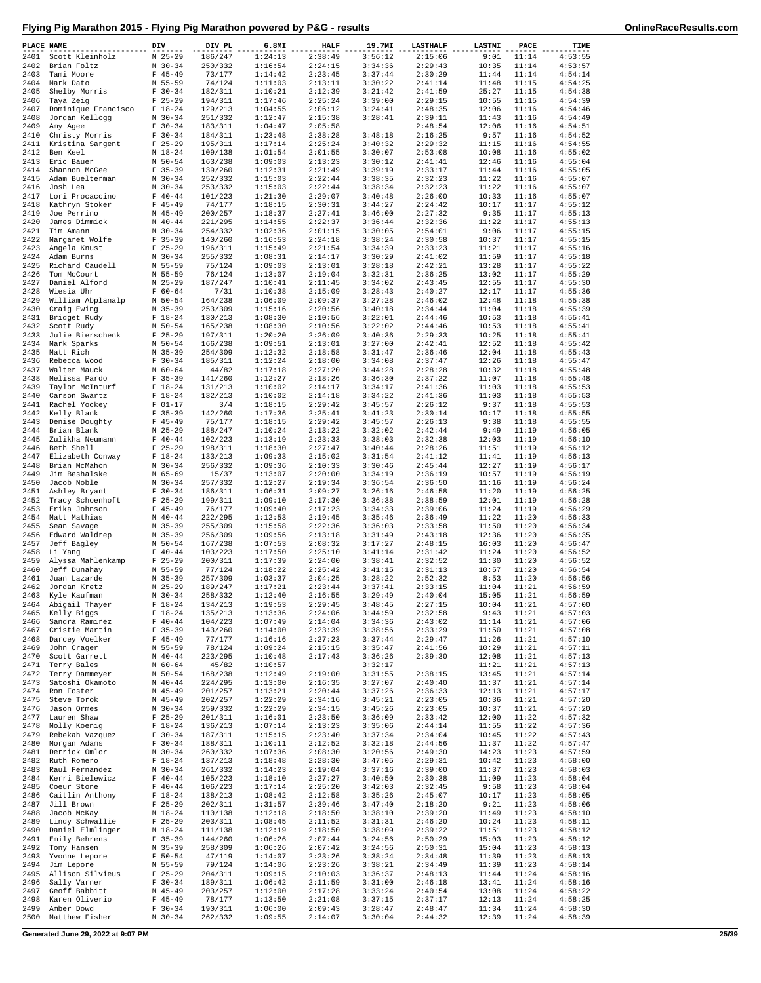| PLACE NAME   |                                   | DIV                      | DIV PL             | 6.8MI              | <b>HALF</b>        | 19.7MI             | <b>LASTHALF</b>    | LASTMI         | PACE           | TIME               |
|--------------|-----------------------------------|--------------------------|--------------------|--------------------|--------------------|--------------------|--------------------|----------------|----------------|--------------------|
| 2401         | Scott Kleinholz                   | $M$ 25-29                | 186/247            | 1:24:13            | 2:38:49            | 3:56:12            | 2:15:06            | 9:01           | 11:14          | 4:53:55            |
| 2402         | Brian Foltz                       | $M$ 30-34                | 250/332            | 1:16:54            | 2:24:15            | 3:34:36            | 2:29:43            | 10:35          | 11:14          | 4:53:57            |
| 2403<br>2404 | Tami Moore<br>Mark Dato           | $F$ 45-49<br>M 55-59     | 73/177<br>74/124   | 1:14:42<br>1:11:03 | 2:23:45<br>2:13:11 | 3:37:44<br>3:30:22 | 2:30:29<br>2:41:14 | 11:44<br>11:48 | 11:14<br>11:15 | 4:54:14<br>4:54:25 |
| 2405         | Shelby Morris                     | $F 30-34$                | 182/311            | 1:10:21            | 2:12:39            | 3:21:42            | 2:41:59            | 25:27          | 11:15          | 4:54:38            |
| 2406         | Taya Zeig                         | $F$ 25-29                | 194/311            | 1:17:46            | 2:25:24            | 3:39:00            | 2:29:15            | 10:55          | 11:15          | 4:54:39            |
| 2407         | Dominique Francisco               | $F$ 18-24                | 129/213            | 1:04:55            | 2:06:12            | 3:24:41            | 2:48:35            | 12:06          | 11:16          | 4:54:46            |
| 2408         | Jordan Kellogg                    | $M$ 30-34                | 251/332            | 1:12:47            | 2:15:38            | 3:28:41            | 2:39:11            | 11:43          | 11:16          | 4:54:49            |
| 2409         | Amy Agee                          | $F 30-34$                | 183/311            | 1:04:47            | 2:05:58            |                    | 2:48:54            | 12:06          | 11:16          | 4:54:51            |
| 2410         | Christy Morris                    | $F 30-34$                | 184/311            | 1:23:48            | 2:38:28            | 3:48:18            | 2:16:25            | 9:57           | 11:16          | 4:54:52            |
| 2411<br>2412 | Kristina Sargent<br>Ben Keel      | $F$ 25-29<br>$M_18-24$   | 195/311<br>109/138 | 1:17:14<br>1:01:54 | 2:25:24<br>2:01:55 | 3:40:32<br>3:30:07 | 2:29:32<br>2:53:08 | 11:15<br>10:08 | 11:16<br>11:16 | 4:54:55<br>4:55:02 |
| 2413         | Eric Bauer                        | M 50-54                  | 163/238            | 1:09:03            | 2:13:23            | 3:30:12            | 2:41:41            | 12:46          | 11:16          | 4:55:04            |
| 2414         | Shannon McGee                     | $F$ 35-39                | 139/260            | 1:12:31            | 2:21:49            | 3:39:19            | 2:33:17            | 11:44          | 11:16          | 4:55:05            |
| 2415         | Adam Buelterman                   | $M$ 30-34                | 252/332            | 1:15:03            | 2:22:44            | 3:38:35            | 2:32:23            | 11:22          | 11:16          | 4:55:07            |
| 2416         | Josh Lea                          | $M$ 30-34                | 253/332            | 1:15:03            | 2:22:44            | 3:38:34            | 2:32:23            | 11:22          | 11:16          | 4:55:07            |
| 2417         | Lori Procaccino                   | $F 40 - 44$              | 101/223            | 1:21:30            | 2:29:07            | 3:40:48            | 2:26:00            | 10:33          | 11:16          | 4:55:07            |
| 2418         | Kathryn Stoker                    | $F$ 45-49                | 74/177             | 1:18:15            | 2:30:31            | 3:44:27            | 2:24:42            | 10:17          | 11:17          | 4:55:12            |
| 2419         | Joe Perrino                       | $M$ 45-49                | 200/257            | 1:18:37            | 2:27:41            | 3:46:00            | 2:27:32            | 9:35           | 11:17          | 4:55:13            |
| 2420<br>2421 | James Dimmick<br>Tim Amann        | $M$ 40-44<br>$M$ 30-34   | 221/295<br>254/332 | 1:14:55<br>1:02:36 | 2:22:37<br>2:01:15 | 3:36:44<br>3:30:05 | 2:32:36<br>2:54:01 | 11:22<br>9:06  | 11:17<br>11:17 | 4:55:13<br>4:55:15 |
| 2422         | Margaret Wolfe                    | $F$ 35-39                | 140/260            | 1:16:53            | 2:24:18            | 3:38:24            | 2:30:58            | 10:37          | 11:17          | 4:55:15            |
| 2423         | Angela Knust                      | $F$ 25-29                | 196/311            | 1:15:49            | 2:21:54            | 3:34:39            | 2:33:23            | 11:21          | 11:17          | 4:55:16            |
| 2424         | Adam Burns                        | $M$ 30-34                | 255/332            | 1:08:31            | 2:14:17            | 3:30:29            | 2:41:02            | 11:59          | 11:17          | 4:55:18            |
| 2425         | Richard Caudell                   | M 55-59                  | 75/124             | 1:09:03            | 2:13:01            | 3:28:18            | 2:42:21            | 13:28          | 11:17          | 4:55:22            |
| 2426         | Tom McCourt                       | M 55-59                  | 76/124             | 1:13:07            | 2:19:04            | 3:32:31            | 2:36:25            | 13:02          | 11:17          | 4:55:29            |
| 2427         | Daniel Alford                     | $M$ 25-29                | 187/247            | 1:10:41<br>1:10:38 | 2:11:45            | 3:34:02            | 2:43:45            | 12:55          | 11:17          | 4:55:30            |
| 2428<br>2429 | Wiesia Uhr<br>William Abplanalp   | $F 60 - 64$<br>M 50-54   | 7/31<br>164/238    | 1:06:09            | 2:15:09<br>2:09:37 | 3:28:43<br>3:27:28 | 2:40:27<br>2:46:02 | 12:17<br>12:48 | 11:17<br>11:18 | 4:55:36<br>4:55:38 |
| 2430         | Craig Ewing                       | $M$ 35-39                | 253/309            | 1:15:16            | 2:20:56            | 3:40:18            | 2:34:44            | 11:04          | 11:18          | 4:55:39            |
| 2431         | Bridget Rudy                      | $F 18-24$                | 130/213            | 1:08:30            | 2:10:56            | 3:22:01            | 2:44:46            | 10:53          | 11:18          | 4:55:41            |
| 2432         | Scott Rudy                        | $M$ 50-54                | 165/238            | 1:08:30            | 2:10:56            | 3:22:02            | 2:44:46            | 10:53          | 11:18          | 4:55:41            |
| 2433         | Julie Bierschenk                  | $F$ 25-29                | 197/311            | 1:20:20            | 2:26:09            | 3:40:36            | 2:29:33            | 10:25          | 11:18          | 4:55:41            |
| 2434         | Mark Sparks                       | M 50-54                  | 166/238            | 1:09:51            | 2:13:01            | 3:27:00            | 2:42:41            | 12:52          | 11:18          | 4:55:42            |
| 2435         | Matt Rich                         | $M$ 35-39                | 254/309            | 1:12:32            | 2:18:58            | 3:31:47            | 2:36:46            | 12:04          | 11:18          | 4:55:43            |
| 2436<br>2437 | Rebecca Wood<br>Walter Mauck      | $F 30-34$<br>$M$ 60-64   | 185/311<br>44/82   | 1:12:24<br>1:17:18 | 2:18:00<br>2:27:20 | 3:34:08<br>3:44:28 | 2:37:47<br>2:28:28 | 12:26<br>10:32 | 11:18<br>11:18 | 4:55:47<br>4:55:48 |
| 2438         | Melissa Pardo                     | $F$ 35-39                | 141/260            | 1:12:27            | 2:18:26            | 3:36:30            | 2:37:22            | 11:07          | 11:18          | 4:55:48            |
| 2439         | Taylor McInturf                   | $F 18-24$                | 131/213            | 1:10:02            | 2:14:17            | 3:34:17            | 2:41:36            | 11:03          | 11:18          | 4:55:53            |
| 2440         | Carson Swartz                     | $F 18-24$                | 132/213            | 1:10:02            | 2:14:18            | 3:34:22            | 2:41:36            | 11:03          | 11:18          | 4:55:53            |
| 2441         | Rachel Yockey                     | $F 01-17$                | 3/4                | 1:18:15            | 2:29:42            | 3:45:57            | 2:26:12            | 9:37           | 11:18          | 4:55:53            |
| 2442         | Kelly Blank                       | $F$ 35-39                | 142/260            | 1:17:36            | 2:25:41            | 3:41:23            | 2:30:14            | 10:17          | 11:18          | 4:55:55            |
| 2443         | Denise Doughty                    | $F$ 45-49                | 75/177             | 1:18:15            | 2:29:42            | 3:45:57            | 2:26:13            | 9:38           | 11:18          | 4:55:55            |
| 2444<br>2445 | Brian Blank<br>Zulikha Neumann    | $M$ 25-29<br>$F 40 - 44$ | 188/247<br>102/223 | 1:10:24<br>1:13:19 | 2:13:22<br>2:23:33 | 3:32:02<br>3:38:03 | 2:42:44<br>2:32:38 | 9:49<br>12:03  | 11:19<br>11:19 | 4:56:05<br>4:56:10 |
| 2446         | Beth Shell                        | $F$ 25-29                | 198/311            | 1:18:30            | 2:27:47            | 3:40:44            | 2:28:26            | 11:51          | 11:19          | 4:56:12            |
| 2447         | Elizabeth Conway                  | $F 18-24$                | 133/213            | 1:09:33            | 2:15:02            | 3:31:54            | 2:41:12            | 11:41          | 11:19          | 4:56:13            |
| 2448         | Brian McMahon                     | $M$ 30-34                | 256/332            | 1:09:36            | 2:10:33            | 3:30:46            | 2:45:44            | 12:27          | 11:19          | 4:56:17            |
| 2449         | Jim Beshalske                     | M 65-69                  | 15/37              | 1:13:07            | 2:20:00            | 3:34:19            | 2:36:19            | 10:57          | 11:19          | 4:56:19            |
| 2450         | Jacob Noble                       | $M$ 30-34                | 257/332            | 1:12:27            | 2:19:34            | 3:36:54            | 2:36:50            | 11:16          | 11:19          | 4:56:24            |
| 2451         | Ashley Bryant                     | $F 30-34$                | 186/311            | 1:06:31            | 2:09:27            | 3:26:16            | 2:46:58            | 11:20          | 11:19          | 4:56:25            |
| 2452<br>2453 | Tracy Schoenhoft<br>Erika Johnson | $F$ 25-29<br>$F$ 45-49   | 199/311<br>76/177  | 1:09:10<br>1:09:40 | 2:17:30<br>2:17:23 | 3:36:38<br>3:34:33 | 2:38:59<br>2:39:06 | 12:01<br>11:24 | 11:19<br>11:19 | 4:56:28<br>4:56:29 |
| 2454         | Matt Mathias                      | $M$ 40-44                | 222/295            | 1:12:53            | 2:19:45            | 3:35:46            | 2:36:49            | 11:22          | 11:20          | 4:56:33            |
| 2455         | Sean Savage                       | $M$ 35-39                | 255/309            | 1:15:58            | 2:22:36            | 3:36:03            | 2:33:58            | 11:50          | 11:20          | 4:56:34            |
| 2456         | Edward Waldrep                    | $M$ 35-39                | 256/309            | 1:09:56            | 2:13:18            | 3:31:49            | 2:43:18            | 12:36          | 11:20          | 4:56:35            |
| 2457         | Jeff Bagley                       | M 50-54                  | 167/238            | 1:07:53            | 2:08:32            | 3:17:27            | 2:48:15            | 16:03          | 11:20          | 4:56:47            |
| 2458         | Li Yang                           | $F 40 - 44$              | 103/223            | 1:17:50            | 2:25:10            | 3:41:14            | 2:31:42            | 11:24          | 11:20          | 4:56:52            |
| 2459         | Alyssa Mahlenkamp                 | $F$ 25-29<br>M 55-59     | 200/311            | 1:17:39            | 2:24:00<br>2:25:42 | 3:38:41            | 2:32:52            | 11:30          | 11:20          | 4:56:52            |
| 2460<br>2461 | Jeff Dunahay<br>Juan Lazarde      | $M$ 35-39                | 77/124<br>257/309  | 1:18:22<br>1:03:37 | 2:04:25            | 3:41:15<br>3:28:22 | 2:31:13<br>2:52:32 | 10:57<br>8:53  | 11:20<br>11:20 | 4:56:54<br>4:56:56 |
| 2462         | Jordan Kretz                      | $M$ 25-29                | 189/247            | 1:17:21            | 2:23:44            | 3:37:41            | 2:33:15            | 11:04          | 11:21          | 4:56:59            |
| 2463         | Kyle Kaufman                      | $M$ 30-34                | 258/332            | 1:12:40            | 2:16:55            | 3:29:49            | 2:40:04            | 15:05          | 11:21          | 4:56:59            |
|              | 2464 Abigail Thayer               | $F 18-24$                | 134/213            | 1:19:53            | 2:29:45            | 3:48:45            | 2:27:15            | 10:04          | 11:21          | 4:57:00            |
|              | 2465 Kelly Biggs                  | $F 18-24$                | 135/213            | 1:13:36            | 2:24:06            | 3:44:59            | 2:32:58            | 9:43           | 11:21          | 4:57:03            |
| 2466         | Sandra Ramirez                    | $F 40 - 44$              | 104/223            | 1:07:49            | 2:14:04            | 3:34:36            | 2:43:02            | 11:14          | 11:21          | 4:57:06            |
| 2467         | Cristie Martin                    | $F$ 35-39                | 143/260            | 1:14:00            | 2:23:39            | 3:38:56<br>3:37:44 | 2:33:29            | 11:50          | 11:21          | 4:57:08            |
| 2468<br>2469 | Darcey Voelker<br>John Crager     | $F$ 45-49<br>M 55-59     | 77/177<br>78/124   | 1:16:16<br>1:09:24 | 2:27:23<br>2:15:15 | 3:35:47            | 2:29:47<br>2:41:56 | 11:26<br>10:29 | 11:21<br>11:21 | 4:57:10<br>4:57:11 |
| 2470         | Scott Garrett                     | $M$ 40-44                | 223/295            | 1:10:48            | 2:17:43            | 3:36:26            | 2:39:30            | 12:08          | 11:21          | 4:57:13            |
| 2471         | Terry Bales                       | $M$ 60-64                | 45/82              | 1:10:57            |                    | 3:32:17            |                    | 11:21          | 11:21          | 4:57:13            |
| 2472         | Terry Dammeyer                    | M 50-54                  | 168/238            | 1:12:49            | 2:19:00            | 3:31:55            | 2:38:15            | 13:45          | 11:21          | 4:57:14            |
| 2473         | Satoshi Okamoto                   | $M$ 40-44                | 224/295            | 1:13:00            | 2:16:35            | 3:27:07            | 2:40:40            | 11:37          | 11:21          | 4:57:14            |
| 2474         | Ron Foster                        | $M$ 45-49                | 201/257            | 1:13:21            | 2:20:44            | 3:37:26            | 2:36:33            | 12:13          | 11:21          | 4:57:17            |
| 2475<br>2476 | Steve Torok<br>Jason Ormes        | $M$ 45-49<br>$M$ 30-34   | 202/257<br>259/332 | 1:22:29<br>1:22:29 | 2:34:16<br>2:34:15 | 3:45:21<br>3:45:26 | 2:23:05<br>2:23:05 | 10:36<br>10:37 | 11:21<br>11:21 | 4:57:20<br>4:57:20 |
| 2477         | Lauren Shaw                       | $F$ 25-29                | 201/311            | 1:16:01            | 2:23:50            | 3:36:09            | 2:33:42            | 12:00          | 11:22          | 4:57:32            |
| 2478         | Molly Koenig                      | $F 18-24$                | 136/213            | 1:07:14            | 2:13:23            | 3:35:06            | 2:44:14            | 11:55          | 11:22          | 4:57:36            |
| 2479         | Rebekah Vazquez                   | $F 30-34$                | 187/311            | 1:15:15            | 2:23:40            | 3:37:34            | 2:34:04            | 10:45          | 11:22          | 4:57:43            |
| 2480         | Morgan Adams                      | $F 30-34$                | 188/311            | 1:10:11            | 2:12:52            | 3:32:18            | 2:44:56            | 11:37          | 11:22          | 4:57:47            |
|              | 2481 Derrick Omlor                | $M$ 30-34                | 260/332            | 1:07:36            | 2:08:30            | 3:20:56            | 2:49:30            | 14:23          | 11:23          | 4:57:59            |
|              | 2482 Ruth Romero                  | $F 18-24$                | 137/213            | 1:18:48            | 2:28:30            | 3:47:05            | 2:29:31            | 10:42          | 11:23          | 4:58:00            |
| 2483<br>2484 | Raul Fernandez                    | $M$ 30-34<br>$F 40 - 44$ | 261/332            | 1:14:23            | 2:19:04<br>2:27:27 | 3:37:16            | 2:39:00            | 11:37<br>11:09 | 11:23<br>11:23 | 4:58:03<br>4:58:04 |
| 2485         | Kerri Bielewicz<br>Coeur Stone    | $F 40 - 44$              | 105/223<br>106/223 | 1:18:10<br>1:17:14 | 2:25:20            | 3:40:50<br>3:42:03 | 2:30:38<br>2:32:45 | 9:58           | 11:23          | 4:58:04            |
| 2486         | Caitlin Anthony                   | $F 18-24$                | 138/213            | 1:08:42            | 2:12:58            | 3:35:26            | 2:45:07            | 10:17          | 11:23          | 4:58:05            |
| 2487         | Jill Brown                        | $F$ 25-29                | 202/311            | 1:31:57            | 2:39:46            | 3:47:40            | 2:18:20            | 9:21           | 11:23          | 4:58:06            |
| 2488         | Jacob McKay                       | $M_18-24$                | 110/138            | 1:12:18            | 2:18:50            | 3:38:10            | 2:39:20            | 11:49          | 11:23          | 4:58:10            |
| 2489         | Lindy Schwallie                   | $F$ 25-29                | 203/311            | 1:08:45            | 2:11:52            | 3:31:31            | 2:46:20            | 10:24          | 11:23          | 4:58:11            |
| 2490         | Daniel Elmlinger                  | $M_18-24$                | 111/138            | 1:12:19            | 2:18:50            | 3:38:09            | 2:39:22            | 11:51          | 11:23          | 4:58:12            |
| 2491         | Emily Behrens                     | $F$ 35-39                | 144/260            | 1:06:26            | 2:07:44            | 3:24:56            | 2:50:29            | 15:03          | 11:23          | 4:58:12            |
| 2492<br>2493 | Tony Hansen<br>Yvonne Lepore      | $M$ 35-39<br>$F 50 - 54$ | 258/309<br>47/119  | 1:06:26<br>1:14:07 | 2:07:42<br>2:23:26 | 3:24:56<br>3:38:24 | 2:50:31<br>2:34:48 | 15:04<br>11:39 | 11:23<br>11:23 | 4:58:13<br>4:58:13 |
| 2494         | Jim Lepore                        | M 55-59                  | 79/124             | 1:14:06            | 2:23:26            | 3:38:21            | 2:34:49            | 11:39          | 11:23          | 4:58:14            |
| 2495         | Allison Silvieus                  | $F$ 25-29                | 204/311            | 1:09:15            | 2:10:03            | 3:36:37            | 2:48:13            | 11:44          | 11:24          | 4:58:16            |
| 2496         | Sally Varner                      | $F 30-34$                | 189/311            | 1:06:42            | 2:11:59            | 3:31:00            | 2:46:18            | 13:41          | 11:24          | 4:58:16            |
| 2497         | Geoff Babbitt                     | $M$ 45-49                | 203/257            | 1:12:00            | 2:17:28            | 3:33:24            | 2:40:54            | 13:08          | 11:24          | 4:58:22            |
| 2498         | Karen Oliverio                    | $F$ 45-49                | 78/177             | 1:13:50            | 2:21:08            | 3:37:15            | 2:37:17            | 12:13          | 11:24          | 4:58:25            |
| 2499         | Amber Dowd<br>2500 Matthew Fisher | $F 30-34$<br>$M$ 30-34   | 190/311<br>262/332 | 1:06:00<br>1:09:55 | 2:09:43<br>2:14:07 | 3:28:47<br>3:30:04 | 2:48:47<br>2:44:32 | 11:34<br>12:39 | 11:24<br>11:24 | 4:58:30<br>4:58:39 |
|              |                                   |                          |                    |                    |                    |                    |                    |                |                |                    |

**Generated June 29, 2022 at 9:07 PM 25/39**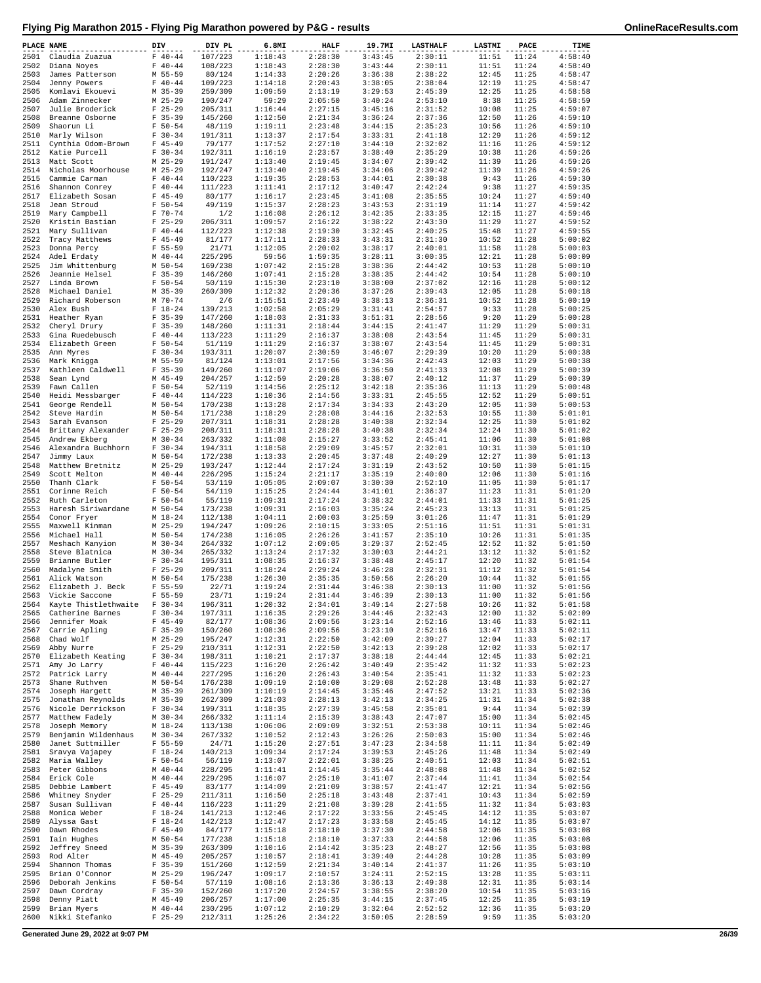| PLACE NAME   |                                      | DIV                        | DIV PL             | 6.8MI              | <b>HALF</b>        | 19.7MI             | <b>LASTHALF</b>    | LASTMI         | PACE           | TIME               |
|--------------|--------------------------------------|----------------------------|--------------------|--------------------|--------------------|--------------------|--------------------|----------------|----------------|--------------------|
| 2501         | Claudia Zuazua                       | $F 40 - 44$                | 107/223            | 1:18:43            | 2:28:30            | 3:43:45            | 2:30:11            | 11:51          | 11:24          | 4:58:40            |
| 2502         | Diana Noyes                          | $F 40 - 44$                | 108/223            | 1:18:43            | 2:28:30            | 3:43:44            | 2:30:11            | 11:51          | 11:24          | 4:58:40            |
| 2503<br>2504 | James Patterson                      | M 55-59<br>$F 40 - 44$     | 80/124<br>109/223  | 1:14:33<br>1:14:18 | 2:20:26<br>2:20:43 | 3:36:38<br>3:38:05 | 2:38:22<br>2:38:04 | 12:45<br>12:19 | 11:25<br>11:25 | 4:58:47<br>4:58:47 |
| 2505         | Jenny Powers<br>Komlavi Ekouevi      | M 35-39                    | 259/309            | 1:09:59            | 2:13:19            | 3:29:53            | 2:45:39            | 12:25          | 11:25          | 4:58:58            |
| 2506         | Adam Zinnecker                       | $M$ 25-29                  | 190/247            | 59:29              | 2:05:50            | 3:40:24            | 2:53:10            | 8:38           | 11:25          | 4:58:59            |
| 2507         | Julie Broderick                      | $F$ 25-29                  | 205/311            | 1:16:44            | 2:27:15            | 3:45:16            | 2:31:52            | 10:08          | 11:25          | 4:59:07            |
| 2508         | Breanne Osborne                      | $F$ 35-39                  | 145/260            | 1:12:50            | 2:21:34            | 3:36:24            | 2:37:36            | 12:50          | 11:26          | 4:59:10            |
| 2509         | Shaorun Li                           | $F 50 - 54$                | 48/119             | 1:19:11            | 2:23:48            | 3:44:15            | 2:35:23            | 10:56          | 11:26          | 4:59:10            |
| 2510<br>2511 | Marly Wilson<br>Cynthia Odom-Brown   | $F 30-34$<br>$F$ 45-49     | 191/311<br>79/177  | 1:13:37<br>1:17:52 | 2:17:54<br>2:27:10 | 3:33:31<br>3:44:10 | 2:41:18<br>2:32:02 | 12:29<br>11:16 | 11:26<br>11:26 | 4:59:12<br>4:59:12 |
| 2512         | Katie Purcell                        | $F 30-34$                  | 192/311            | 1:16:19            | 2:23:57            | 3:38:40            | 2:35:29            | 10:38          | 11:26          | 4:59:26            |
| 2513         | Matt Scott                           | $M$ 25-29                  | 191/247            | 1:13:40            | 2:19:45            | 3:34:07            | 2:39:42            | 11:39          | 11:26          | 4:59:26            |
| 2514         | Nicholas Moorhouse                   | $M$ 25-29                  | 192/247            | 1:13:40            | 2:19:45            | 3:34:06            | 2:39:42            | 11:39          | 11:26          | 4:59:26            |
| 2515         | Cammie Carman                        | $F 40 - 44$                | 110/223            | 1:19:35            | 2:28:53            | 3:44:01            | 2:30:38            | 9:43           | 11:26          | 4:59:30            |
| 2516         | Shannon Conrey                       | $F 40 - 44$                | 111/223            | 1:11:41            | 2:17:12            | 3:40:47            | 2:42:24            | 9:38           | 11:27          | 4:59:35            |
| 2517<br>2518 | Elizabeth Sosan<br>Jean Stroud       | $F$ 45-49<br>$F 50 - 54$   | 80/177<br>49/119   | 1:16:17<br>1:15:37 | 2:23:45<br>2:28:23 | 3:41:08<br>3:43:53 | 2:35:55<br>2:31:19 | 10:24<br>11:14 | 11:27<br>11:27 | 4:59:40<br>4:59:42 |
| 2519         | Mary Campbell                        | $F 70-74$                  | 1/2                | 1:16:08            | 2:26:12            | 3:42:35            | 2:33:35            | 12:15          | 11:27          | 4:59:46            |
| 2520         | Kristin Bastian                      | $F$ 25-29                  | 206/311            | 1:09:57            | 2:16:22            | 3:38:22            | 2:43:30            | 11:29          | 11:27          | 4:59:52            |
| 2521         | Mary Sullivan                        | $F 40 - 44$                | 112/223            | 1:12:38            | 2:19:30            | 3:32:45            | 2:40:25            | 15:48          | 11:27          | 4:59:55            |
| 2522         | Tracy Matthews                       | $F$ 45-49                  | 81/177             | 1:17:11            | 2:28:33            | 3:43:31            | 2:31:30            | 10:52          | 11:28          | 5:00:02            |
| 2523         | Donna Percy                          | $F 55 - 59$                | 21/71              | 1:12:05            | 2:20:02            | 3:38:17            | 2:40:01            | 11:58          | 11:28          | 5:00:03            |
| 2524<br>2525 | Adel Erdaty<br>Jim Whittenburg       | $M$ 40-44<br>M 50-54       | 225/295<br>169/238 | 59:56<br>1:07:42   | 1:59:35<br>2:15:28 | 3:28:11<br>3:38:36 | 3:00:35<br>2:44:42 | 12:21<br>10:53 | 11:28<br>11:28 | 5:00:09<br>5:00:10 |
| 2526         | Jeannie Helsel                       | $F$ 35-39                  | 146/260            | 1:07:41            | 2:15:28            | 3:38:35            | 2:44:42            | 10:54          | 11:28          | 5:00:10            |
| 2527         | Linda Brown                          | $F 50 - 54$                | 50/119             | 1:15:30            | 2:23:10            | 3:38:00            | 2:37:02            | 12:16          | 11:28          | 5:00:12            |
| 2528         | Michael Daniel                       | $M$ 35-39                  | 260/309            | 1:12:32            | 2:20:36            | 3:37:26            | 2:39:43            | 12:05          | 11:28          | 5:00:18            |
| 2529         | Richard Roberson                     | M 70-74                    | 2/6                | 1:15:51            | 2:23:49            | 3:38:13            | 2:36:31            | 10:52          | 11:28          | 5:00:19            |
| 2530         | Alex Bush                            | $F 18-24$                  | 139/213            | 1:02:58<br>1:18:03 | 2:05:29            | 3:31:41            | 2:54:57            | 9:33           | 11:28          | 5:00:25<br>5:00:28 |
| 2531<br>2532 | Heather Ryan<br>Cheryl Drury         | $F$ 35-39<br>$F$ 35-39     | 147/260<br>148/260 | 1:11:31            | 2:31:33<br>2:18:44 | 3:51:31<br>3:44:15 | 2:28:56<br>2:41:47 | 9:20<br>11:29  | 11:29<br>11:29 | 5:00:31            |
| 2533         | Gina Ruedebusch                      | $F 40 - 44$                | 113/223            | 1:11:29            | 2:16:37            | 3:38:08            | 2:43:54            | 11:45          | 11:29          | 5:00:31            |
| 2534         | Elizabeth Green                      | $F 50 - 54$                | 51/119             | 1:11:29            | 2:16:37            | 3:38:07            | 2:43:54            | 11:45          | 11:29          | 5:00:31            |
| 2535         | Ann Myres                            | $F 30-34$                  | 193/311            | 1:20:07            | 2:30:59            | 3:46:07            | 2:29:39            | 10:20          | 11:29          | 5:00:38            |
| 2536         | Mark Knigga                          | M 55-59                    | 81/124             | 1:13:01            | 2:17:56            | 3:34:36            | 2:42:43            | 12:03          | 11:29          | 5:00:38            |
| 2537         | Kathleen Caldwell                    | $F$ 35-39                  | 149/260            | 1:11:07            | 2:19:06            | 3:36:50            | 2:41:33            | 12:08          | 11:29          | 5:00:39            |
| 2538<br>2539 | Sean Lynd                            | $M$ 45-49<br>$F 50 - 54$   | 204/257            | 1:12:59            | 2:20:28<br>2:25:12 | 3:38:07<br>3:42:18 | 2:40:12<br>2:35:36 | 11:37<br>11:13 | 11:29<br>11:29 | 5:00:39<br>5:00:48 |
| 2540         | Fawn Callen<br>Heidi Messbarger      | $F 40 - 44$                | 52/119<br>114/223  | 1:14:56<br>1:10:36 | 2:14:56            | 3:33:31            | 2:45:55            | 12:52          | 11:29          | 5:00:51            |
| 2541         | George Rendell                       | M 50-54                    | 170/238            | 1:13:28            | 2:17:34            | 3:34:33            | 2:43:20            | 12:05          | 11:30          | 5:00:53            |
| 2542         | Steve Hardin                         | M 50-54                    | 171/238            | 1:18:29            | 2:28:08            | 3:44:16            | 2:32:53            | 10:55          | 11:30          | 5:01:01            |
| 2543         | Sarah Evanson                        | $F$ 25-29                  | 207/311            | 1:18:31            | 2:28:28            | 3:40:38            | 2:32:34            | 12:25          | 11:30          | 5:01:02            |
| 2544         | Brittany Alexander                   | $F$ 25-29                  | 208/311            | 1:18:31            | 2:28:28            | 3:40:38            | 2:32:34            | 12:24          | 11:30          | 5:01:02            |
| 2545<br>2546 | Andrew Ekberg                        | $M$ 30-34<br>$F 30-34$     | 263/332            | 1:11:08            | 2:15:27<br>2:29:09 | 3:33:52            | 2:45:41            | 11:06          | 11:30          | 5:01:08<br>5:01:10 |
| 2547         | Alexandra Buchhorn<br>Jimmy Laux     | M 50-54                    | 194/311<br>172/238 | 1:18:58<br>1:13:33 | 2:20:45            | 3:45:57<br>3:37:48 | 2:32:01<br>2:40:29 | 10:31<br>12:27 | 11:30<br>11:30 | 5:01:13            |
| 2548         | Matthew Bretnitz                     | $M$ 25-29                  | 193/247            | 1:12:44            | 2:17:24            | 3:31:19            | 2:43:52            | 10:50          | 11:30          | 5:01:15            |
| 2549         | Scott Melton                         | $M$ 40-44                  | 226/295            | 1:15:24            | 2:21:17            | 3:35:19            | 2:40:00            | 12:06          | 11:30          | 5:01:16            |
| 2550         | Thanh Clark                          | $F 50 - 54$                | 53/119             | 1:05:05            | 2:09:07            | 3:30:30            | 2:52:10            | 11:05          | 11:30          | 5:01:17            |
| 2551         | Corinne Reich                        | $F 50 - 54$                | 54/119             | 1:15:25            | 2:24:44            | 3:41:01            | 2:36:37            | 11:23          | 11:31          | 5:01:20            |
| 2552<br>2553 | Ruth Carleton<br>Haresh Siriwardane  | $F 50 - 54$<br>M 50-54     | 55/119<br>173/238  | 1:09:31<br>1:09:31 | 2:17:24<br>2:16:03 | 3:38:32<br>3:35:24 | 2:44:01<br>2:45:23 | 11:33<br>13:13 | 11:31<br>11:31 | 5:01:25<br>5:01:25 |
| 2554         | Conor Fryer                          | $M_18-24$                  | 112/138            | 1:04:11            | 2:00:03            | 3:25:59            | 3:01:26            | 11:47          | 11:31          | 5:01:29            |
| 2555         | Maxwell Kinman                       | $M$ 25-29                  | 194/247            | 1:09:26            | 2:10:15            | 3:33:05            | 2:51:16            | 11:51          | 11:31          | 5:01:31            |
| 2556         | Michael Hall                         | M 50-54                    | 174/238            | 1:16:05            | 2:26:26            | 3:41:57            | 2:35:10            | 10:26          | 11:31          | 5:01:35            |
| 2557         | Meshach Kanyion                      | $M$ 30-34                  | 264/332            | 1:07:12            | 2:09:05            | 3:29:37            | 2:52:45            | 12:52          | 11:32          | 5:01:50            |
| 2558         | Steve Blatnica                       | $M$ 30-34                  | 265/332            | 1:13:24            | 2:17:32            | 3:30:03            | 2:44:21            | 13:12          | 11:32          | 5:01:52<br>5:01:54 |
| 2559<br>2560 | Brianne Butler<br>Madalyne Smith     | $F 30-34$<br>$F$ 25-29     | 195/311<br>209/311 | 1:08:35<br>1:18:24 | 2:16:37<br>2:29:24 | 3:38:48<br>3:46:28 | 2:45:17<br>2:32:31 | 12:20<br>11:12 | 11:32<br>11:32 | 5:01:54            |
| 2561         | Alick Watson                         | $M$ 50-54                  | 175/238            | 1:26:30            | 2:35:35            | 3:50:56            | 2:26:20            | 10:44          | 11:32          | 5:01:55            |
| 2562         | Elizabeth J. Beck                    | $F 55 - 59$                | 22/71              | 1:19:24            | 2:31:44            | 3:46:38            | 2:30:13            | 11:00          | 11:32          | 5:01:56            |
|              | 2563 Vickie Saccone                  | $F 55 - 59$                | 23/71              | 1:19:24            | 2:31:44            | 3:46:39            | 2:30:13            | 11:00          | 11:32          | 5:01:56            |
| 2564         | Kayte Thistlethwaite                 | $F 30-34$                  | 196/311            | 1:20:32            | 2:34:01            | 3:49:14            | 2:27:58            | 10:26          | 11:32          | 5:01:58            |
| 2565<br>2566 | Catherine Barnes<br>Jennifer Moak    | $F 30 - 34$<br>$F 45 - 49$ | 197/311            | 1:16:35<br>1:08:36 | 2:29:26<br>2:09:56 | 3:44:46<br>3:23:14 | 2:32:43<br>2:52:16 | 12:00<br>13:46 | 11:32<br>11:33 | 5:02:09<br>5:02:11 |
| 2567         | Carrie Apling                        | $F$ 35-39                  | 82/177<br>150/260  | 1:08:36            | 2:09:56            | 3:23:10            | 2:52:16            | 13:47          | 11:33          | 5:02:11            |
| 2568         | Chad Wolf                            | $M$ 25-29                  | 195/247            | 1:12:31            | 2:22:50            | 3:42:09            | 2:39:27            | 12:04          | 11:33          | 5:02:17            |
| 2569         | Abby Nurre                           | $F$ 25-29                  | 210/311            | 1:12:31            | 2:22:50            | 3:42:13            | 2:39:28            | 12:02          | 11:33          | 5:02:17            |
| 2570         | Elizabeth Keating                    | $F 30-34$                  | 198/311            | 1:10:21            | 2:17:37            | 3:38:18            | 2:44:44            | 12:45          | 11:33          | 5:02:21            |
| 2571         | Amy Jo Larry                         | $F 40 - 44$                | 115/223            | 1:16:20            | 2:26:42            | 3:40:49            | 2:35:42            | 11:32          | 11:33          | 5:02:23            |
| 2572<br>2573 | Patrick Larry<br>Shane Ruthven       | $M$ 40-44<br>$M$ 50-54     | 227/295<br>176/238 | 1:16:20<br>1:09:19 | 2:26:43<br>2:10:00 | 3:40:54<br>3:29:08 | 2:35:41<br>2:52:28 | 11:32<br>13:48 | 11:33<br>11:33 | 5:02:23<br>5:02:27 |
| 2574         | Joseph Hargett                       | $M$ 35-39                  | 261/309            | 1:10:19            | 2:14:45            | 3:35:46            | 2:47:52            | 13:21          | 11:33          | 5:02:36            |
| 2575         | Jonathan Reynolds                    | M 35-39                    | 262/309            | 1:21:03            | 2:28:13            | 3:42:13            | 2:34:25            | 11:31          | 11:34          | 5:02:38            |
| 2576         | Nicole Derrickson                    | $F 30-34$                  | 199/311            | 1:18:35            | 2:27:39            | 3:45:58            | 2:35:01            | 9:44           | 11:34          | 5:02:39            |
| 2577         | Matthew Fadely                       | $M$ 30-34                  | 266/332            | 1:11:14            | 2:15:39            | 3:38:43            | 2:47:07            | 15:00          | 11:34          | 5:02:45            |
| 2578<br>2579 | Joseph Memory<br>Benjamin Wildenhaus | $M_18-24$<br>$M$ 30-34     | 113/138<br>267/332 | 1:06:06<br>1:10:52 | 2:09:09<br>2:12:43 | 3:32:51<br>3:26:26 | 2:53:38<br>2:50:03 | 10:11<br>15:00 | 11:34<br>11:34 | 5:02:46<br>5:02:46 |
| 2580         | Janet Suttmiller                     | $F 55 - 59$                | 24/71              | 1:15:20            | 2:27:51            | 3:47:23            | 2:34:58            | 11:11          | 11:34          | 5:02:49            |
| 2581         | Sravya Vajapey                       | $F 18-24$                  | 140/213            | 1:09:34            | 2:17:24            | 3:39:53            | 2:45:26            | 11:48          | 11:34          | 5:02:49            |
| 2582         | Maria Walley                         | $F 50 - 54$                | 56/119             | 1:13:07            | 2:22:01            | 3:38:25            | 2:40:51            | 12:03          | 11:34          | 5:02:51            |
| 2583         | Peter Gibbons                        | $M$ 40-44                  | 228/295            | 1:11:41            | 2:14:45            | 3:35:44            | 2:48:08            | 11:48          | 11:34          | 5:02:52            |
| 2584         | Erick Cole                           | $M$ 40-44                  | 229/295            | 1:16:07            | 2:25:10            | 3:41:07            | 2:37:44            | 11:41          | 11:34          | 5:02:54            |
| 2585<br>2586 | Debbie Lambert<br>Whitney Snyder     | $F$ 45-49<br>$F$ 25-29     | 83/177<br>211/311  | 1:14:09<br>1:16:50 | 2:21:09<br>2:25:18 | 3:38:57<br>3:43:48 | 2:41:47<br>2:37:41 | 12:21<br>10:43 | 11:34<br>11:34 | 5:02:56<br>5:02:59 |
| 2587         | Susan Sullivan                       | $F 40 - 44$                | 116/223            | 1:11:29            | 2:21:08            | 3:39:28            | 2:41:55            | 11:32          | 11:34          | 5:03:03            |
| 2588         | Monica Weber                         | $F 18-24$                  | 141/213            | 1:12:46            | 2:17:22            | 3:33:56            | 2:45:45            | 14:12          | 11:35          | 5:03:07            |
| 2589         | Alyssa Gast                          | $F 18-24$                  | 142/213            | 1:12:47            | 2:17:23            | 3:33:58            | 2:45:45            | 14:12          | 11:35          | 5:03:07            |
| 2590         | Dawn Rhodes                          | $F$ 45-49                  | 84/177             | 1:15:18            | 2:18:10            | 3:37:30            | 2:44:58            | 12:06          | 11:35          | 5:03:08            |
| 2591         | Iain Hughes                          | $M$ 50-54<br>$M$ 35-39     | 177/238            | 1:15:18            | 2:18:10            | 3:37:33            | 2:44:58            | 12:06          | 11:35<br>11:35 | 5:03:08<br>5:03:08 |
| 2592<br>2593 | Jeffrey Sneed<br>Rod Alter           | $M$ 45-49                  | 263/309<br>205/257 | 1:10:16<br>1:10:57 | 2:14:42<br>2:18:41 | 3:35:23<br>3:39:40 | 2:48:27<br>2:44:28 | 12:56<br>10:28 | 11:35          | 5:03:09            |
| 2594         | Shannon Thomas                       | $F 35 - 39$                | 151/260            | 1:12:59            | 2:21:34            | 3:40:14            | 2:41:37            | 11:26          | 11:35          | 5:03:10            |
| 2595         | Brian O'Connor                       | $M$ 25-29                  | 196/247            | 1:09:17            | 2:10:57            | 3:24:11            | 2:52:15            | 13:28          | 11:35          | 5:03:11            |
| 2596         | Deborah Jenkins                      | $F 50 - 54$                | 57/119             | 1:08:16            | 2:13:36            | 3:36:13            | 2:49:38            | 12:31          | 11:35          | 5:03:14            |
| 2597         | Dawn Cordray                         | $F 35-39$                  | 152/260            | 1:17:20            | 2:24:57            | 3:38:55            | 2:38:20            | 10:54          | 11:35          | 5:03:16            |
| 2598<br>2599 | Denny Piatt<br>Brian Myers           | $M$ 45-49<br>$M$ 40-44     | 206/257<br>230/295 | 1:17:00<br>1:07:12 | 2:25:35<br>2:10:29 | 3:44:15<br>3:32:04 | 2:37:45<br>2:52:52 | 12:25<br>12:36 | 11:35<br>11:35 | 5:03:19<br>5:03:20 |
| 2600         | Nikki Stefanko                       | $F$ 25-29                  | 212/311            | 1:25:26            | 2:34:22            | 3:50:05            | 2:28:59            | 9:59           | 11:35          | 5:03:20            |
|              |                                      |                            |                    |                    |                    |                    |                    |                |                |                    |

**Generated June 29, 2022 at 9:07 PM 26/39**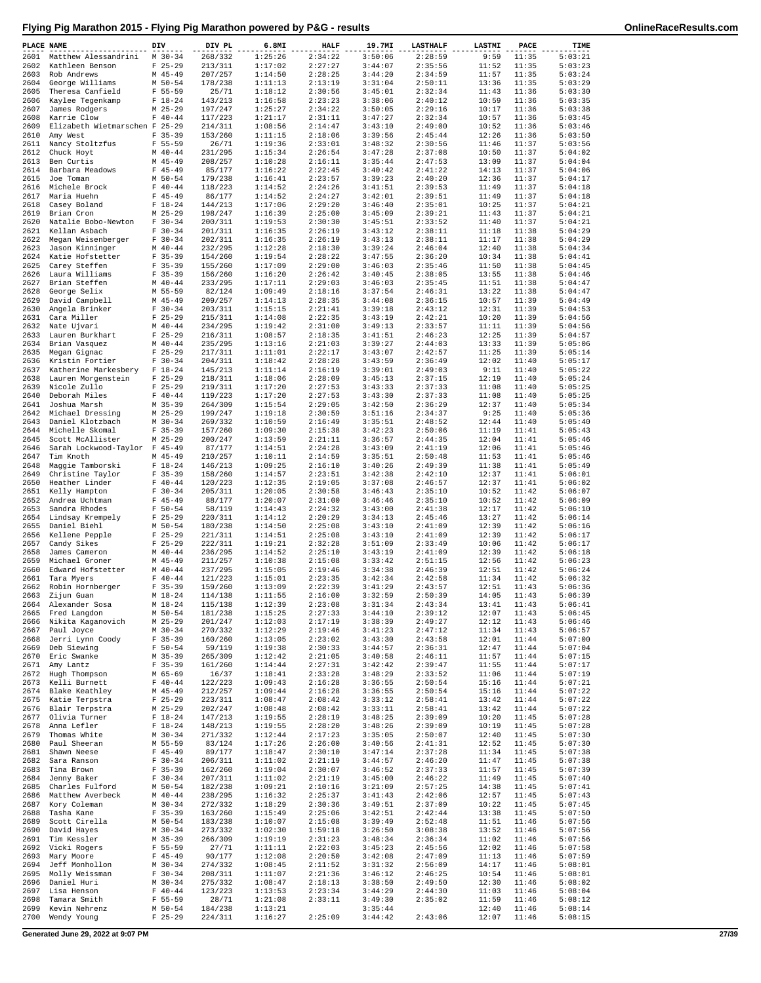| PLACE NAME   |                                      | DIV                      |                          | DIV PL             | 6.8MI              | <b>HALF</b>        | 19.7MI             | <b>LASTHALF</b>    | <b>LASTMI</b>  | PACE            | TIME               |
|--------------|--------------------------------------|--------------------------|--------------------------|--------------------|--------------------|--------------------|--------------------|--------------------|----------------|-----------------|--------------------|
| 2601         | Matthew Alessandrini                 | $M$ 30-34                |                          | 268/332            | 1:25:26            | 2:34:22            | 3:50:06            | 2:28:59            | 9:59           | 11:35           | 5:03:21            |
| 2602         | Kathleen Benson                      | $F$ 25-29                |                          | 213/311            | 1:17:02            | 2:27:27            | 3:44:07            | 2:35:56            | 11:52          | 11:35           | 5:03:23            |
| 2603         | Rob Andrews                          | $M$ 45-49                |                          | 207/257            | 1:14:50            | 2:28:25            | 3:44:20            | 2:34:59            | 11:57          | 11:35           | 5:03:24            |
| 2604         | George Williams                      |                          | M 50-54                  | 178/238            | 1:11:13            | 2:13:19            | 3:31:04            | 2:50:11            | 13:36          | 11:35           | 5:03:29            |
| 2605<br>2606 | Theresa Canfield<br>Kaylee Tegenkamp | $F 55 - 59$<br>$F 18-24$ |                          | 25/71<br>143/213   | 1:18:12<br>1:16:58 | 2:30:56<br>2:23:23 | 3:45:01<br>3:38:06 | 2:32:34<br>2:40:12 | 11:43<br>10:59 | 11:36<br>11:36  | 5:03:30<br>5:03:35 |
| 2607         | James Rodgers                        | $M$ 25-29                |                          | 197/247            | 1:25:27            | 2:34:22            | 3:50:05            | 2:29:16            | 10:17          | 11:36           | 5:03:38            |
| 2608         | Karrie Clow                          |                          | $F 40 - 44$              | 117/223            | 1:21:17            | 2:31:11            | 3:47:27            | 2:32:34            | 10:57          | 11:36           | 5:03:45            |
| 2609         | Elizabeth Wietmarschen F 25-29       |                          |                          | 214/311            | 1:08:56            | 2:14:47            | 3:43:10            | 2:49:00            | 10:52          | 11:36           | 5:03:46            |
| 2610         | Amy West                             |                          | $F$ 35-39                | 153/260            | 1:11:15            | 2:18:06            | 3:39:56            | 2:45:44            | 12:26          | 11:36           | 5:03:50            |
| 2611         | Nancy Stoltzfus                      | $M$ 40-44                | $F 55 - 59$              | 26/71<br>231/295   | 1:19:36<br>1:15:34 | 2:33:01<br>2:26:54 | 3:48:32<br>3:47:28 | 2:30:56<br>2:37:08 | 11:46<br>10:50 | 11:37<br>11:37  | 5:03:56<br>5:04:02 |
| 2612<br>2613 | Chuck Hoyt<br>Ben Curtis             | $M$ 45-49                |                          | 208/257            | 1:10:28            | 2:16:11            | 3:35:44            | 2:47:53            | 13:09          | 11:37           | 5:04:04            |
| 2614         | Barbara Meadows                      | $F$ 45-49                |                          | 85/177             | 1:16:22            | 2:22:45            | 3:40:42            | 2:41:22            | 14:13          | 11:37           | 5:04:06            |
| 2615         | Joe Toman                            | M 50-54                  |                          | 179/238            | 1:16:41            | 2:23:57            | 3:39:23            | 2:40:20            | 12:36          | 11:37           | 5:04:17            |
| 2616         | Michele Brock                        |                          | $F 40-44$                | 118/223            | 1:14:52            | 2:24:26            | 3:41:51            | 2:39:53            | 11:49          | 11:37           | 5:04:18            |
| 2617         | Maria Huehn                          | $F$ 45-49                |                          | 86/177             | 1:14:52            | 2:24:27            | 3:42:01            | 2:39:51            | 11:49          | 11:37           | 5:04:18            |
| 2618<br>2619 | Casey Boland                         |                          | $F 18-24$<br>$M$ 25-29   | 144/213<br>198/247 | 1:17:06<br>1:16:39 | 2:29:20<br>2:25:00 | 3:46:40<br>3:45:09 | 2:35:01<br>2:39:21 | 10:25<br>11:43 | 11:37           | 5:04:21<br>5:04:21 |
| 2620         | Brian Cron<br>Natalie Bobo-Newton    | $F 30-34$                |                          | 200/311            | 1:19:53            | 2:30:30            | 3:45:51            | 2:33:52            | 11:40          | 11:37<br>11:37  | 5:04:21            |
| 2621         | Kellan Asbach                        |                          | $F 30-34$                | 201/311            | 1:16:35            | 2:26:19            | 3:43:12            | 2:38:11            | 11:18          | 11:38           | 5:04:29            |
| 2622         | Megan Weisenberger                   |                          | $F 30-34$                | 202/311            | 1:16:35            | 2:26:19            | 3:43:13            | 2:38:11            | 11:17          | 11:38           | 5:04:29            |
| 2623         | Jason Kinninger                      | $M$ 40-44                |                          | 232/295            | 1:12:28            | 2:18:30            | 3:39:24            | 2:46:04            | 12:40          | 11:38           | 5:04:34            |
| 2624         | Katie Hofstetter                     | $F$ 35-39                |                          | 154/260            | 1:19:54            | 2:28:22            | 3:47:55            | 2:36:20            | 10:34          | 11:38           | 5:04:41            |
| 2625         | Carey Steffen                        | $F$ 35-39<br>$F$ 35-39   |                          | 155/260<br>156/260 | 1:17:09<br>1:16:20 | 2:29:00<br>2:26:42 | 3:46:03<br>3:40:45 | 2:35:46<br>2:38:05 | 11:50          | 11:38<br>11:38  | 5:04:45<br>5:04:46 |
| 2626<br>2627 | Laura Williams<br>Brian Steffen      | $M$ 40-44                |                          | 233/295            | 1:17:11            | 2:29:03            | 3:46:03            | 2:35:45            | 13:55<br>11:51 | 11:38           | 5:04:47            |
| 2628         | George Selix                         |                          | M 55-59                  | 82/124             | 1:09:49            | 2:18:16            | 3:37:54            | 2:46:31            | 13:22          | 11:38           | 5:04:47            |
| 2629         | David Campbell                       | $M$ 45-49                |                          | 209/257            | 1:14:13            | 2:28:35            | 3:44:08            | 2:36:15            | 10:57          | 11:39           | 5:04:49            |
| 2630         | Angela Brinker                       |                          | $F 30-34$                | 203/311            | 1:15:15            | 2:21:41            | 3:39:18            | 2:43:12            | 12:31          | 11:39           | 5:04:53            |
| 2631         | Cara Miller                          | $F$ 25-29                |                          | 215/311            | 1:14:08            | 2:22:35            | 3:43:19            | 2:42:21            | 10:20          | 11:39           | 5:04:56            |
| 2632<br>2633 | Nate Ujvari<br>Lauren Burkhart       | $M$ 40-44<br>$F$ 25-29   |                          | 234/295<br>216/311 | 1:19:42<br>1:08:57 | 2:31:00<br>2:18:35 | 3:49:13<br>3:41:51 | 2:33:57<br>2:46:23 | 11:11<br>12:25 | 11:39<br>11:39  | 5:04:56<br>5:04:57 |
| 2634         | Brian Vasquez                        |                          | $M$ 40-44                | 235/295            | 1:13:16            | 2:21:03            | 3:39:27            | 2:44:03            | 13:33          | 11:39           | 5:05:06            |
| 2635         | Megan Gignac                         | $F$ 25-29                |                          | 217/311            | 1:11:01            | 2:22:17            | 3:43:07            | 2:42:57            | 11:25          | 11:39           | 5:05:14            |
| 2636         | Kristin Fortier                      | $F 30-34$                |                          | 204/311            | 1:18:42            | 2:28:28            | 3:43:59            | 2:36:49            | 12:02          | 11:40           | 5:05:17            |
| 2637         | Katherine Markesbery                 | $F 18-24$                |                          | 145/213            | 1:11:14            | 2:16:19            | 3:39:01            | 2:49:03            | 9:11           | 11:40           | 5:05:22            |
| 2638         | Lauren Morgenstein                   |                          | $F$ 25-29                | 218/311            | 1:18:06            | 2:28:09            | 3:45:13            | 2:37:15            | 12:19          | 11:40           | 5:05:24            |
| 2639         | Nicole Zullo                         |                          | $F$ 25-29                | 219/311            | 1:17:20            | 2:27:53            | 3:43:33            | 2:37:33            | 11:08<br>11:08 | 11:40           | 5:05:25            |
| 2640<br>2641 | Deborah Miles<br>Joshua Marsh        | $M$ 35-39                | $F 40 - 44$              | 119/223<br>264/309 | 1:17:20<br>1:15:54 | 2:27:53<br>2:29:05 | 3:43:30<br>3:42:50 | 2:37:33<br>2:36:29 | 12:37          | 11:40<br>11:40  | 5:05:25<br>5:05:34 |
| 2642         | Michael Dressing                     | $M$ 25-29                |                          | 199/247            | 1:19:18            | 2:30:59            | 3:51:16            | 2:34:37            | 9:25           | 11:40           | 5:05:36            |
| 2643         | Daniel Klotzbach                     |                          | $M$ 30-34                | 269/332            | 1:10:59            | 2:16:49            | 3:35:51            | 2:48:52            | 12:44          | 11:40           | 5:05:40            |
| 2644         | Michelle Skomal                      |                          | $F$ 35-39                | 157/260            | 1:09:30            | 2:15:38            | 3:42:23            | 2:50:06            | 11:19          | 11:41           | 5:05:43            |
| 2645         | Scott McAllister                     |                          | $M$ 25-29                | 200/247            | 1:13:59            | 2:21:11            | 3:36:57            | 2:44:35            | 12:04          | 11:41           | 5:05:46            |
| 2646         | Sarah Lockwood-Taylor F 45-49        |                          |                          | 87/177             | 1:14:51<br>1:10:11 | 2:24:28            | 3:43:09            | 2:41:19            | 12:06          | 11:41           | 5:05:46            |
| 2647<br>2648 | Tim Knoth<br>Maggie Tamborski        | $M$ 45-49                | $F 18-24$                | 210/257<br>146/213 | 1:09:25            | 2:14:59<br>2:16:10 | 3:35:51<br>3:40:26 | 2:50:48<br>2:49:39 | 11:53<br>11:38 | 11:41<br>11:41  | 5:05:46<br>5:05:49 |
| 2649         | Christine Taylor                     |                          | $F$ 35-39                | 158/260            | 1:14:57            | 2:23:51            | 3:42:38            | 2:42:10            | 12:37          | 11:41           | 5:06:01            |
| 2650         | Heather Linder                       |                          | $F 40 - 44$              | 120/223            | 1:12:35            | 2:19:05            | 3:37:08            | 2:46:57            | 12:37          | 11:41           | 5:06:02            |
| 2651         | Kelly Hampton                        | $F 30-34$                |                          | 205/311            | 1:20:05            | 2:30:58            | 3:46:43            | 2:35:10            | 10:52          | 11:42           | 5:06:07            |
| 2652         | Andrea Uchtman                       |                          | $F$ 45-49                | 88/177             | 1:20:07            | 2:31:00            | 3:46:46            | 2:35:10            | 10:52          | 11:42           | 5:06:09            |
| 2653         | Sandra Rhodes                        |                          | $F 50 - 54$              | 58/119             | 1:14:43            | 2:24:32            | 3:43:00            | 2:41:38            | 12:17          | 11:42           | 5:06:10            |
| 2654<br>2655 | Lindsay Krempely<br>Daniel Biehl     | $F$ 25-29                | M 50-54                  | 220/311<br>180/238 | 1:14:12<br>1:14:50 | 2:20:29<br>2:25:08 | 3:34:13<br>3:43:10 | 2:45:46<br>2:41:09 | 13:27<br>12:39 | 11:42<br>11:42  | 5:06:14<br>5:06:16 |
| 2656         | Kellene Pepple                       | $F$ 25-29                |                          | 221/311            | 1:14:51            | 2:25:08            | 3:43:10            | 2:41:09            | 12:39          | 11:42           | 5:06:17            |
| 2657         | Candy Sikes                          | $F$ 25-29                |                          | 222/311            | 1:19:21            | 2:32:28            | 3:51:09            | 2:33:49            | 10:06          | 11:42           | 5:06:17            |
| 2658         | James Cameron                        |                          | $M$ 40-44                | 236/295            | 1:14:52            | 2:25:10            | 3:43:19            | 2:41:09            | 12:39          | 11:42           | 5:06:18            |
| 2659         | Michael Groner                       | $M$ 45-49                |                          | 211/257            | 1:10:38            | 2:15:08            | 3:33:42            | 2:51:15            | 12:56          | 11:42           | 5:06:23            |
| 2660         | Edward Hofstetter                    | $M$ 40-44                |                          | 237/295            | 1:15:05            | 2:19:46            | 3:34:38            | 2:46:39            | 12:51<br>11:34 | 11:42<br>11:42  | 5:06:24            |
| 2661<br>2662 | Tara Myers<br>Robin Hornberger       |                          | $F 40 - 44$<br>$F$ 35-39 | 121/223<br>159/260 | 1:15:01<br>1:13:09 | 2:23:35<br>2:22:39 | 3:42:34<br>3:41:29 | 2:42:58<br>2:43:57 | 12:51          | 11:43           | 5:06:32<br>5:06:36 |
|              | 2663 Zijun Guan                      | $M$ 18-24                |                          | 114/138            | 1:11:55            | 2:16:00            | 3:32:59            | 2:50:39            |                | $14:05$ $11:43$ | 5:06:39            |
|              | 2664 Alexander Sosa                  |                          | $M_18-24$                | 115/138            | 1:12:39            | 2:23:08            | 3:31:34            | 2:43:34            | 13:41          | 11:43           | 5:06:41            |
|              | 2665 Fred Langdon                    | M 50-54                  |                          | 181/238            | 1:15:25            | 2:27:33            | 3:44:10            | 2:39:12            | 12:07          | 11:43           | 5:06:45            |
|              | 2666 Nikita Kaganovich               | M 25-29                  |                          | 201/247            | 1:12:03            | 2:17:19            | 3:38:39            | 2:49:27            | 12:12          | 11:43           | 5:06:46            |
| 2668         | 2667 Paul Joyce<br>Jerri Lynn Coody  | M 30-34<br>$F$ 35-39     |                          | 270/332<br>160/260 | 1:12:29<br>1:13:05 | 2:19:46<br>2:23:02 | 3:41:23<br>3:43:30 | 2:47:12<br>2:43:58 | 11:34<br>12:01 | 11:43<br>11:44  | 5:06:57<br>5:07:00 |
| 2669         | Deb Siewing                          | F 50-54                  |                          | 59/119             | 1:19:38            | 2:30:33            | 3:44:57            | 2:36:31            | 12:47          | 11:44           | 5:07:04            |
|              | 2670 Eric Swanke                     | M 35-39                  |                          | 265/309            | 1:12:42            | 2:21:05            | 3:40:58            | 2:46:11            | 11:57          | 11:44           | 5:07:15            |
| 2671         | Amy Lantz                            | $F$ 35-39                |                          | 161/260            | 1:14:44            | 2:27:31            | 3:42:42            | 2:39:47            | 11:55          | 11:44           | 5:07:17            |
|              | 2672 Hugh Thompson                   | M 65-69                  |                          | 16/37              | 1:18:41            | 2:33:28            | 3:48:29            | 2:33:52            | 11:06          | 11:44           | 5:07:19            |
| 2673         | Kelli Burnett<br>2674 Blake Keathley | $F 40-44$<br>$M$ 45-49   |                          | 122/223<br>212/257 | 1:09:43<br>1:09:44 | 2:16:28<br>2:16:28 | 3:36:55<br>3:36:55 | 2:50:54<br>2:50:54 | 15:16<br>15:16 | 11:44<br>11:44  | 5:07:21<br>5:07:22 |
|              | 2675 Katie Terpstra                  | $F$ 25-29                |                          | 223/311            | 1:08:47            | 2:08:42            | 3:33:12            | 2:58:41            | 13:42          | 11:44           | 5:07:22            |
|              | 2676 Blair Terpstra                  | $M$ 25-29                |                          | 202/247            | 1:08:48            | 2:08:42            | 3:33:11            | 2:58:41            | 13:42          | 11:44           | 5:07:22            |
| 2677         | Olivia Turner                        | $F 18-24$                |                          | 147/213            | 1:19:55            | 2:28:19            | 3:48:25            | 2:39:09            | 10:20          | 11:45           | 5:07:28            |
| 2678         | Anna Lefler                          | $F$ 18-24                |                          | 148/213            | 1:19:55            | 2:28:20            | 3:48:26            | 2:39:09            | 10:19          | 11:45           | 5:07:28            |
| 2679         | Thomas White                         | $M \ 30 - 34$            |                          | 271/332            | 1:12:44            | 2:17:23            | 3:35:05            | 2:50:07            | 12:40          | 11:45           | 5:07:30            |
| 2681         | 2680 Paul Sheeran<br>Shawn Neese     | M 55-59<br>$F$ 45-49     |                          | 83/124             | 1:17:26            | 2:26:00            | 3:40:56            | 2:41:31            | 12:52          | 11:45<br>11:45  | 5:07:30<br>5:07:38 |
|              | 2682 Sara Ranson                     | $F 30-34$                |                          | 89/177<br>206/311  | 1:18:47<br>1:11:02 | 2:30:10<br>2:21:19 | 3:47:14<br>3:44:57 | 2:37:28<br>2:46:20 | 11:34<br>11:47 | 11:45           | 5:07:38            |
|              | 2683 Tina Brown                      | $F$ 35-39                |                          | 162/260            | 1:19:04            | 2:30:07            | 3:46:52            | 2:37:33            | 11:57          | 11:45           | 5:07:39            |
|              | 2684 Jenny Baker                     | $F 30-34$                |                          | 207/311            | 1:11:02            | 2:21:19            | 3:45:00            | 2:46:22            | 11:49          | 11:45           | 5:07:40            |
| 2685         | Charles Fulford                      | $M$ 50-54                |                          | 182/238            | 1:09:21            | 2:10:16            | 3:21:09            | 2:57:25            | 14:38          | 11:45           | 5:07:41            |
| 2686         | Matthew Averbeck                     | $M$ 40-44                |                          | 238/295            | 1:16:32            | 2:25:37            | 3:41:43            | 2:42:06            | 12:57          | 11:45           | 5:07:43            |
| 2687         | Kory Coleman<br>2688 Tasha Kane      | M 30-34<br>$F$ 35-39     |                          | 272/332<br>163/260 | 1:18:29<br>1:15:49 | 2:30:36<br>2:25:06 | 3:49:51<br>3:42:51 | 2:37:09<br>2:42:44 | 10:22<br>13:38 | 11:45<br>11:45  | 5:07:45<br>5:07:50 |
| 2689         | Scott Cirella                        | $M$ 50-54                |                          | 183/238            | 1:10:07            | 2:15:08            | 3:39:49            | 2:52:48            | 11:51          | 11:46           | 5:07:56            |
| 2690         | David Hayes                          | M 30-34                  |                          | 273/332            | 1:02:30            | 1:59:18            | 3:26:50            | 3:08:38            | 13:52          | 11:46           | 5:07:56            |
| 2691         | Tim Kessler                          | $M$ 35-39                |                          | 266/309            | 1:19:19            | 2:31:23            | 3:48:34            | 2:36:34            | 11:02          | 11:46           | 5:07:56            |
|              | 2692 Vicki Rogers                    | $F 55 - 59$              |                          | 27/71              | 1:11:11            | 2:22:03            | 3:45:23            | 2:45:56            | 12:02          | 11:46           | 5:07:58            |
| 2693         | Mary Moore<br>2694 Jeff Monhollon    | $F$ 45-49<br>$M$ 30-34   |                          | 90/177<br>274/332  | 1:12:08<br>1:08:45 | 2:20:50<br>2:11:52 | 3:42:08<br>3:31:32 | 2:47:09<br>2:56:09 | 11:13<br>14:17 | 11:46<br>11:46  | 5:07:59<br>5:08:01 |
| 2695         | Molly Weissman                       | $F 30-34$                |                          | 208/311            | 1:11:07            | 2:21:36            | 3:46:12            | 2:46:25            | 10:54          | 11:46           | 5:08:01            |
| 2696         | Daniel Huri                          | M 30-34                  |                          | 275/332            | 1:08:47            | 2:18:13            | 3:38:50            | 2:49:50            | 12:30          | 11:46           | 5:08:02            |
| 2697         | Lisa Henson                          | $F 40-44$                |                          | 123/223            | 1:13:53            | 2:23:34            | 3:44:29            | 2:44:30            | 11:03          | 11:46           | 5:08:04            |
| 2698         | Tamara Smith                         | F 55-59                  |                          | 28/71              | 1:21:08            | 2:33:11            | 3:49:30            | 2:35:02            | 11:59          | 11:46           | 5:08:12            |
| 2699<br>2700 | Kevin Nehrenz<br>Wendy Young         | M 50-54                  | $F$ 25-29                | 184/238<br>224/311 | 1:13:21<br>1:16:27 | 2:25:09            | 3:35:44<br>3:44:42 | 2:43:06            | 12:40<br>12:07 | 11:46<br>11:46  | 5:08:14<br>5:08:15 |
|              |                                      |                          |                          |                    |                    |                    |                    |                    |                |                 |                    |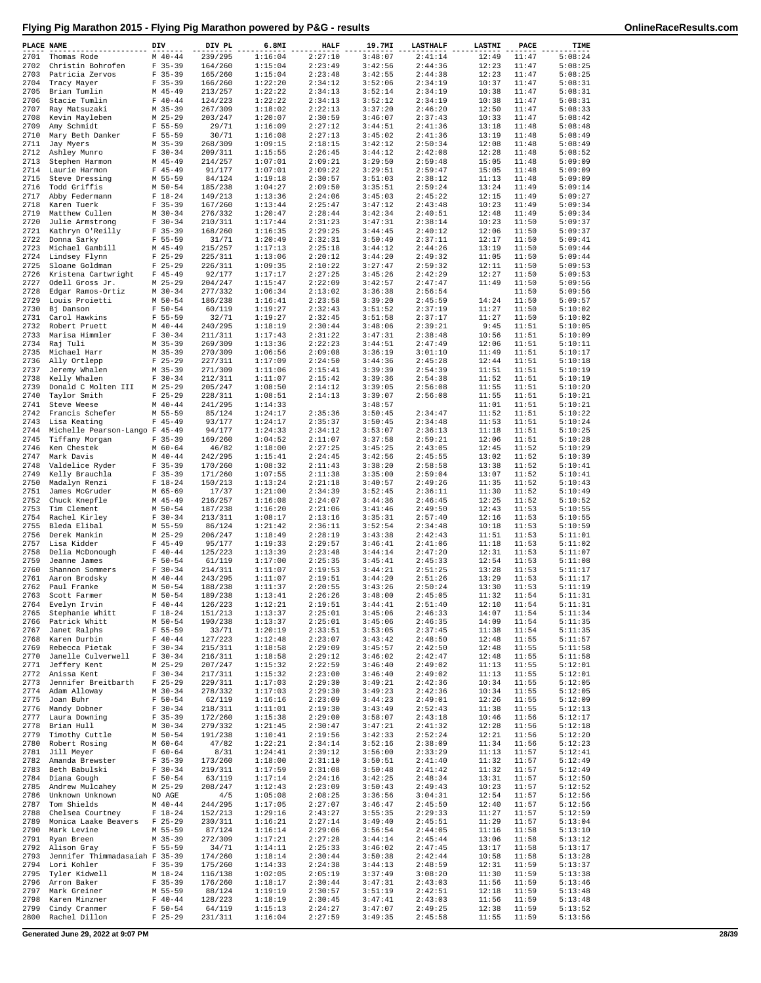| PLACE NAME   |                                          | DIV                        | DIV PL             | 6.8MI              | <b>HALF</b>        | 19.7MI             | <b>LASTHALF</b>    | LASTMI         | PACE                     | TIME               |
|--------------|------------------------------------------|----------------------------|--------------------|--------------------|--------------------|--------------------|--------------------|----------------|--------------------------|--------------------|
| 2701         | Thomas Rode                              | $M$ 40-44                  | 239/295            | 1:16:04            | 2:27:10            | 3:48:07            | 2:41:14            | 12:49          | 11:47                    | 5:08:24            |
| 2702         | Christin Bohrofen                        | $F$ 35-39                  | 164/260            | 1:15:04            | 2:23:49            | 3:42:56            | 2:44:36            | 12:23          | 11:47                    | 5:08:25            |
| 2703<br>2704 | Patricia Zervos<br>Tracy Mayer           | $F$ 35-39<br>$F$ 35-39     | 165/260<br>166/260 | 1:15:04<br>1:22:20 | 2:23:48<br>2:34:12 | 3:42:55<br>3:52:06 | 2:44:38<br>2:34:19 | 12:23<br>10:37 | 11:47<br>11:47           | 5:08:25<br>5:08:31 |
| 2705         | Brian Tumlin                             | M 45-49                    | 213/257            | 1:22:22            | 2:34:13            | 3:52:14            | 2:34:19            | 10:38          | 11:47                    | 5:08:31            |
| 2706         | Stacie Tumlin                            | $F 40 - 44$                | 124/223            | 1:22:22            | 2:34:13            | 3:52:12            | 2:34:19            | 10:38          | 11:47                    | 5:08:31            |
| 2707         | Ray Matsuzaki                            | $M$ 35-39                  | 267/309            | 1:18:02            | 2:22:13            | 3:37:20            | 2:46:20            | 12:50          | 11:47                    | 5:08:33            |
| 2708         | Kevin Mayleben                           | $M$ 25-29                  | 203/247            | 1:20:07            | 2:30:59            | 3:46:07            | 2:37:43            | 10:33          | 11:47                    | 5:08:42            |
| 2709<br>2710 | Amy Schmidt<br>Mary Beth Danker          | $F 55 - 59$<br>$F 55 - 59$ | 29/71<br>30/71     | 1:16:09<br>1:16:08 | 2:27:12<br>2:27:13 | 3:44:51<br>3:45:02 | 2:41:36<br>2:41:36 | 13:18<br>13:19 | 11:48<br>11:48           | 5:08:48<br>5:08:49 |
| 2711         | Jay Myers                                | M 35-39                    | 268/309            | 1:09:15            | 2:18:15            | 3:42:12            | 2:50:34            | 12:08          | 11:48                    | 5:08:49            |
| 2712         | Ashley Munro                             | $F 30-34$                  | 209/311            | 1:15:55            | 2:26:45            | 3:44:12            | 2:42:08            | 12:28          | 11:48                    | 5:08:52            |
| 2713         | Stephen Harmon                           | M 45-49                    | 214/257            | 1:07:01            | 2:09:21            | 3:29:50            | 2:59:48            | 15:05          | 11:48                    | 5:09:09            |
| 2714         | Laurie Harmon                            | $F$ 45-49                  | 91/177             | 1:07:01            | 2:09:22            | 3:29:51            | 2:59:47            | 15:05          | 11:48                    | 5:09:09            |
| 2715<br>2716 | Steve Dressing<br>Todd Griffis           | M 55-59<br>M 50-54         | 84/124<br>185/238  | 1:19:18<br>1:04:27 | 2:30:57<br>2:09:50 | 3:51:03<br>3:35:51 | 2:38:12<br>2:59:24 | 11:13<br>13:24 | 11:48<br>11:49           | 5:09:09<br>5:09:14 |
| 2717         | Abby Federmann                           | $F 18-24$                  | 149/213            | 1:13:36            | 2:24:06            | 3:45:03            | 2:45:22            | 12:15          | 11:49                    | 5:09:27            |
| 2718         | Karen Tuerk                              | $F$ 35-39                  | 167/260            | 1:13:44            | 2:25:47            | 3:47:12            | 2:43:48            | 10:23          | 11:49                    | 5:09:34            |
| 2719         | Matthew Cullen                           | $M$ 30-34                  | 276/332            | 1:20:47            | 2:28:44            | 3:42:34            | 2:40:51            | 12:48          | 11:49                    | 5:09:34            |
| 2720         | Julie Armstrong                          | $F 30-34$                  | 210/311            | 1:17:44            | 2:31:23            | 3:47:31            | 2:38:14            | 10:23          | 11:50                    | 5:09:37            |
| 2721         | Kathryn O'Reilly<br>2722 Donna Sarky     | $F$ 35-39<br>$F 55 - 59$   | 168/260<br>31/71   | 1:16:35<br>1:20:49 | 2:29:25            | 3:44:45            | 2:40:12            | 12:06          | 11:50                    | 5:09:37<br>5:09:41 |
| 2723         | Michael Gambill                          | M 45-49                    | 215/257            | 1:17:13            | 2:32:31<br>2:25:18 | 3:50:49<br>3:44:12 | 2:37:11<br>2:44:26 | 12:17<br>13:19 | 11:50<br>11:50           | 5:09:44            |
| 2724         | Lindsey Flynn                            | $F$ 25-29                  | 225/311            | 1:13:06            | 2:20:12            | 3:44:20            | 2:49:32            | 11:05          | 11:50                    | 5:09:44            |
| 2725         | Sloane Goldman                           | $F$ 25-29                  | 226/311            | 1:09:35            | 2:10:22            | 3:27:47            | 2:59:32            | 12:11          | 11:50                    | 5:09:53            |
| 2726         | Kristena Cartwright                      | $F$ 45-49                  | 92/177             | 1:17:17            | 2:27:25            | 3:45:26            | 2:42:29            | 12:27          | 11:50                    | 5:09:53            |
| 2727         | Odell Gross Jr.                          | $M$ 25-29                  | 204/247            | 1:15:47            | 2:22:09            | 3:42:57            | 2:47:47            | 11:49          | 11:50                    | 5:09:56            |
| 2728<br>2729 | Edgar Ramos-Ortiz<br>Louis Proietti      | $M$ 30-34<br>M 50-54       | 277/332<br>186/238 | 1:06:34<br>1:16:41 | 2:13:02<br>2:23:58 | 3:36:38<br>3:39:20 | 2:56:54<br>2:45:59 | 14:24          | 11:50<br>11:50           | 5:09:56<br>5:09:57 |
| 2730         | Bj Danson                                | $F 50 - 54$                | 60/119             | 1:19:27            | 2:32:43            | 3:51:52            | 2:37:19            | 11:27          | 11:50                    | 5:10:02            |
| 2731         | Carol Hawkins                            | $F 55 - 59$                | 32/71              | 1:19:27            | 2:32:45            | 3:51:58            | 2:37:17            | 11:27          | 11:50                    | 5:10:02            |
| 2732         | Robert Pruett                            | $M$ 40-44                  | 240/295            | 1:18:19            | 2:30:44            | 3:48:06            | 2:39:21            | 9:45           | 11:51                    | 5:10:05            |
| 2733         | Marisa Himmler                           | $F 30-34$                  | 211/311            | 1:17:43            | 2:31:22            | 3:47:31            | 2:38:48            | 10:56          | 11:51                    | 5:10:09            |
| 2734         | Raj Tuli                                 | M 35-39                    | 269/309            | 1:13:36            | 2:22:23            | 3:44:51            | 2:47:49            | 12:06          | 11:51                    | 5:10:11            |
| 2735<br>2736 | Michael Harr<br>Ally Ortlepp             | $M$ 35-39<br>$F$ 25-29     | 270/309<br>227/311 | 1:06:56<br>1:17:09 | 2:09:08<br>2:24:50 | 3:36:19<br>3:44:36 | 3:01:10<br>2:45:28 | 11:49<br>12:44 | 11:51<br>11:51           | 5:10:17<br>5:10:18 |
| 2737         | Jeremy Whalen                            | $M$ 35-39                  | 271/309            | 1:11:06            | 2:15:41            | 3:39:39            | 2:54:39            | 11:51          | 11:51                    | 5:10:19            |
| 2738         | Kelly Whalen                             | $F 30 - 34$                | 212/311            | 1:11:07            | 2:15:42            | 3:39:36            | 2:54:38            | 11:52          | 11:51                    | 5:10:19            |
| 2739         | Donald C Molten III                      | $M$ 25-29                  | 205/247            | 1:08:50            | 2:14:12            | 3:39:05            | 2:56:08            | 11:55          | 11:51                    | 5:10:20            |
| 2740         | Taylor Smith                             | $F$ 25-29                  | 228/311            | 1:08:51            | 2:14:13            | 3:39:07            | 2:56:08            | 11:55          | 11:51                    | 5:10:21            |
| 2741         | Steve Weese                              | $M$ 40-44                  | 241/295            | 1:14:33            |                    | 3:48:57            |                    | 11:01          | 11:51                    | 5:10:21            |
| 2742<br>2743 | Francis Schefer<br>Lisa Keating          | M 55-59<br>$F$ 45-49       | 85/124<br>93/177   | 1:24:17<br>1:24:17 | 2:35:36<br>2:35:37 | 3:50:45<br>3:50:45 | 2:34:47<br>2:34:48 | 11:52<br>11:53 | 11:51<br>11:51           | 5:10:22<br>5:10:24 |
| 2744         | Michelle Pearson-Lango F 45-49           |                            | 94/177             | 1:24:33            | 2:34:12            | 3:53:07            | 2:36:13            | 11:18          | 11:51                    | 5:10:25            |
| 2745         | Tiffany Morgan                           | $F$ 35-39                  | 169/260            | 1:04:52            | 2:11:07            | 3:37:58            | 2:59:21            | 12:06          | 11:51                    | 5:10:28            |
| 2746         | Ken Chestek                              | $M$ 60-64                  | 46/82              | 1:18:00            | 2:27:25            | 3:45:25            | 2:43:05            | 12:45          | 11:52                    | 5:10:29            |
| 2747         | Mark Davis                               | $M$ 40-44                  | 242/295            | 1:15:41            | 2:24:45            | 3:42:56            | 2:45:55            | 13:02          | 11:52                    | 5:10:39            |
| 2748         | Valdelice Ryder                          | $F$ 35-39                  | 170/260            | 1:08:32            | 2:11:43            | 3:38:20            | 2:58:58            | 13:38          | 11:52                    | 5:10:41            |
| 2749<br>2750 | Kelly Brauchla<br>Madalyn Renzi          | $F$ 35-39<br>$F 18-24$     | 171/260<br>150/213 | 1:07:55<br>1:13:24 | 2:11:38<br>2:21:18 | 3:35:00<br>3:40:57 | 2:59:04<br>2:49:26 | 13:07<br>11:35 | 11:52<br>11:52           | 5:10:41<br>5:10:43 |
| 2751         | James McGruder                           | M 65-69                    | 17/37              | 1:21:00            | 2:34:39            | 3:52:45            | 2:36:11            | 11:30          | 11:52                    | 5:10:49            |
| 2752         | Chuck Knepfle                            | $M$ 45-49                  | 216/257            | 1:16:08            | 2:24:07            | 3:44:36            | 2:46:45            | 12:25          | 11:52                    | 5:10:52            |
| 2753         | Tim Clement                              | M 50-54                    | 187/238            | 1:16:20            | 2:21:06            | 3:41:46            | 2:49:50            | 12:43          | 11:53                    | 5:10:55            |
| 2754         | Rachel Kirley                            | $F 30-34$                  | 213/311            | 1:08:17            | 2:13:16            | 3:35:31            | 2:57:40            | 12:16          | 11:53                    | 5:10:55            |
| 2755<br>2756 | Bleda Elibal<br>Derek Mankin             | M 55-59<br>$M$ 25-29       | 86/124<br>206/247  | 1:21:42<br>1:18:49 | 2:36:11<br>2:28:19 | 3:52:54<br>3:43:38 | 2:34:48<br>2:42:43 | 10:18<br>11:51 | 11:53<br>11:53           | 5:10:59<br>5:11:01 |
| 2757         | Lisa Kidder                              | $F$ 45-49                  | 95/177             | 1:19:33            | 2:29:57            | 3:46:41            | 2:41:06            | 11:18          | 11:53                    | 5:11:02            |
| 2758         | Delia McDonough                          | $F 40 - 44$                | 125/223            | 1:13:39            | 2:23:48            | 3:44:14            | 2:47:20            | 12:31          | 11:53                    | 5:11:07            |
| 2759         | Jeanne James                             | $F 50 - 54$                | 61/119             | 1:17:00            | 2:25:35            | 3:45:41            | 2:45:33            | 12:54          | 11:53                    | 5:11:08            |
| 2760         | Shannon Sommers                          | $F 30-34$                  | 214/311            | 1:11:07            | 2:19:53            | 3:44:21            | 2:51:25            | 13:28          | 11:53                    | 5:11:17            |
| 2761         | Aaron Brodsky                            | $M$ 40-44                  | 243/295            | 1:11:07            | 2:19:51            | 3:44:20            | 2:51:26            | 13:29          | 11:53                    | 5:11:17            |
|              | 2762 Paul Franke<br>2763 Scott Farmer    | M 50-54<br>M 50-54         | 188/238<br>189/238 | 1:11:37<br>1:13:41 | 2:20:55<br>2:26:26 | 3:43:26<br>3:48:00 | 2:50:24<br>2:45:05 | 13:30          | 11:53<br>$11:32$ $11:54$ | 5:11:19<br>5:11:31 |
| 2764         | Evelyn Irvin                             | $F 40 - 44$                | 126/223            | 1:12:21            | 2:19:51            | 3:44:41            | 2:51:40            | 12:10          | 11:54                    | 5:11:31            |
| 2765         | Stephanie Whitt                          | $F 18-24$                  | 151/213            | 1:13:37            | 2:25:01            | 3:45:06            | 2:46:33            | 14:07          | 11:54                    | 5:11:34            |
| 2766         | Patrick Whitt                            | M 50-54                    | 190/238            | 1:13:37            | 2:25:01            | 3:45:06            | 2:46:35            | 14:09          | 11:54                    | 5:11:35            |
| 2767         | Janet Ralphs                             | $F 55 - 59$                | 33/71              | 1:20:19            | 2:33:51            | 3:53:05            | 2:37:45            | 11:38          | 11:54                    | 5:11:35            |
| 2768<br>2769 | Karen Durbin<br>Rebecca Pietak           | $F 40 - 44$<br>$F 30-34$   | 127/223<br>215/311 | 1:12:48<br>1:18:58 | 2:23:07<br>2:29:09 | 3:43:42<br>3:45:57 | 2:48:50<br>2:42:50 | 12:48<br>12:48 | 11:55<br>11:55           | 5:11:57<br>5:11:58 |
| 2770         | Janelle Culverwell                       | $F 30-34$                  | 216/311            | 1:18:58            | 2:29:12            | 3:46:02            | 2:42:47            | 12:48          | 11:55                    | 5:11:58            |
| 2771         | Jeffery Kent                             | $M$ 25-29                  | 207/247            | 1:15:32            | 2:22:59            | 3:46:40            | 2:49:02            | 11:13          | 11:55                    | 5:12:01            |
| 2772         | Anissa Kent                              | $F 30-34$                  | 217/311            | 1:15:32            | 2:23:00            | 3:46:40            | 2:49:02            | 11:13          | 11:55                    | 5:12:01            |
| 2773         | Jennifer Breitbarth                      | $F$ 25-29                  | 229/311            | 1:17:03            | 2:29:30            | 3:49:21            | 2:42:36            | 10:34          | 11:55                    | 5:12:05            |
| 2774<br>2775 | Adam Alloway<br>Joan Buhr                | $M$ 30-34<br>$F 50 - 54$   | 278/332<br>62/119  | 1:17:03<br>1:16:16 | 2:29:30<br>2:23:09 | 3:49:23<br>3:44:23 | 2:42:36<br>2:49:01 | 10:34<br>12:26 | 11:55<br>11:55           | 5:12:05<br>5:12:09 |
| 2776         | Mandy Dobner                             | $F 30-34$                  | 218/311            | 1:11:01            | 2:19:30            | 3:43:49            | 2:52:43            | 11:38          | 11:55                    | 5:12:13            |
| 2777         | Laura Downing                            | $F$ 35-39                  | 172/260            | 1:15:38            | 2:29:00            | 3:58:07            | 2:43:18            | 10:46          | 11:56                    | 5:12:17            |
| 2778         | Brian Hull                               | $M$ 30-34                  | 279/332            | 1:21:45            | 2:30:47            | 3:47:21            | 2:41:32            | 12:28          | 11:56                    | 5:12:18            |
| 2779         | Timothy Cuttle                           | $M$ 50-54                  | 191/238            | 1:10:41            | 2:19:56            | 3:42:33            | 2:52:24            | 12:21          | 11:56                    | 5:12:20            |
| 2780         | Robert Rosing                            | $M$ 60-64                  | 47/82              | 1:22:21            | 2:34:14            | 3:52:16            | 2:38:09            | 11:34          | 11:56                    | 5:12:23            |
| 2781<br>2782 | Jill Meyer<br>Amanda Brewster            | $F 60 - 64$<br>$F$ 35-39   | 8/31<br>173/260    | 1:24:41<br>1:18:00 | 2:39:12<br>2:31:10 | 3:56:00<br>3:50:51 | 2:33:29<br>2:41:40 | 11:13<br>11:32 | 11:57<br>11:57           | 5:12:41<br>5:12:49 |
| 2783         | Beth Babulski                            | $F 30-34$                  | 219/311            | 1:17:59            | 2:31:08            | 3:50:48            | 2:41:42            | 11:32          | 11:57                    | 5:12:49            |
| 2784         | Diana Gough                              | $F 50 - 54$                | 63/119             | 1:17:14            | 2:24:16            | 3:42:25            | 2:48:34            | 13:31          | 11:57                    | 5:12:50            |
| 2785         | Andrew Mulcahey                          | $M$ 25-29                  | 208/247            | 1:12:43            | 2:23:09            | 3:50:43            | 2:49:43            | 10:23          | 11:57                    | 5:12:52            |
| 2786         | Unknown Unknown                          | NO AGE                     | 4/5                | 1:05:08            | 2:08:25            | 3:36:56            | 3:04:31            | 12:54          | 11:57                    | 5:12:56            |
| 2787         | Tom Shields                              | $M$ 40-44                  | 244/295            | 1:17:05            | 2:27:07            | 3:46:47            | 2:45:50            | 12:40          | 11:57                    | 5:12:56            |
| 2788<br>2789 | Chelsea Courtney<br>Monica Laake Beavers | $F 18-24$<br>$F$ 25-29     | 152/213<br>230/311 | 1:29:16<br>1:16:21 | 2:43:27<br>2:27:14 | 3:55:35<br>3:49:40 | 2:29:33<br>2:45:51 | 11:27<br>11:29 | 11:57<br>11:57           | 5:12:59<br>5:13:04 |
| 2790         | Mark Levine                              | M 55-59                    | 87/124             | 1:16:14            | 2:29:06            | 3:56:54            | 2:44:05            | 11:16          | 11:58                    | 5:13:10            |
| 2791         | Ryan Breen                               | $M$ 35-39                  | 272/309            | 1:17:21            | 2:27:28            | 3:44:14            | 2:45:44            | 13:06          | 11:58                    | 5:13:12            |
| 2792         | Alison Gray                              | $F 55 - 59$                | 34/71              | 1:14:11            | 2:25:33            | 3:46:02            | 2:47:45            | 13:17          | 11:58                    | 5:13:17            |
| 2793         | Jennifer Thimmadasaiah F 35-39           |                            | 174/260            | 1:18:14            | 2:30:44            | 3:50:38            | 2:42:44            | 10:58          | 11:58                    | 5:13:28            |
| 2794<br>2795 | Lori Kohler<br>Tyler Kidwell             | $F$ 35-39<br>$M_18-24$     | 175/260<br>116/138 | 1:14:33<br>1:02:05 | 2:24:38<br>2:05:19 | 3:44:13<br>3:37:49 | 2:48:59<br>3:08:20 | 12:31<br>11:30 | 11:59<br>11:59           | 5:13:37<br>5:13:38 |
| 2796         | Arron Baker                              | $F$ 35-39                  | 176/260            | 1:18:17            | 2:30:44            | 3:47:31            | 2:43:03            | 11:56          | 11:59                    | 5:13:46            |
| 2797         | Mark Greiner                             | M 55-59                    | 88/124             | 1:19:19            | 2:30:57            | 3:51:19            | 2:42:51            | 12:18          | 11:59                    | 5:13:48            |
| 2798         | Karen Minzner                            | $F 40 - 44$                | 128/223            | 1:18:19            | 2:30:45            | 3:47:41            | 2:43:03            | 11:56          | 11:59                    | 5:13:48            |
| 2799         | Cindy Cranmer                            | $F 50 - 54$                | 64/119             | 1:15:13            | 2:24:27            | 3:47:07            | 2:49:25            | 12:38          | 11:59                    | 5:13:52            |
| 2800         | Rachel Dillon                            | $F$ 25-29                  | 231/311            | 1:16:04            | 2:27:59            | 3:49:35            | 2:45:58            | 11:55          | 11:59                    | 5:13:56            |

**Generated June 29, 2022 at 9:07 PM 28/39**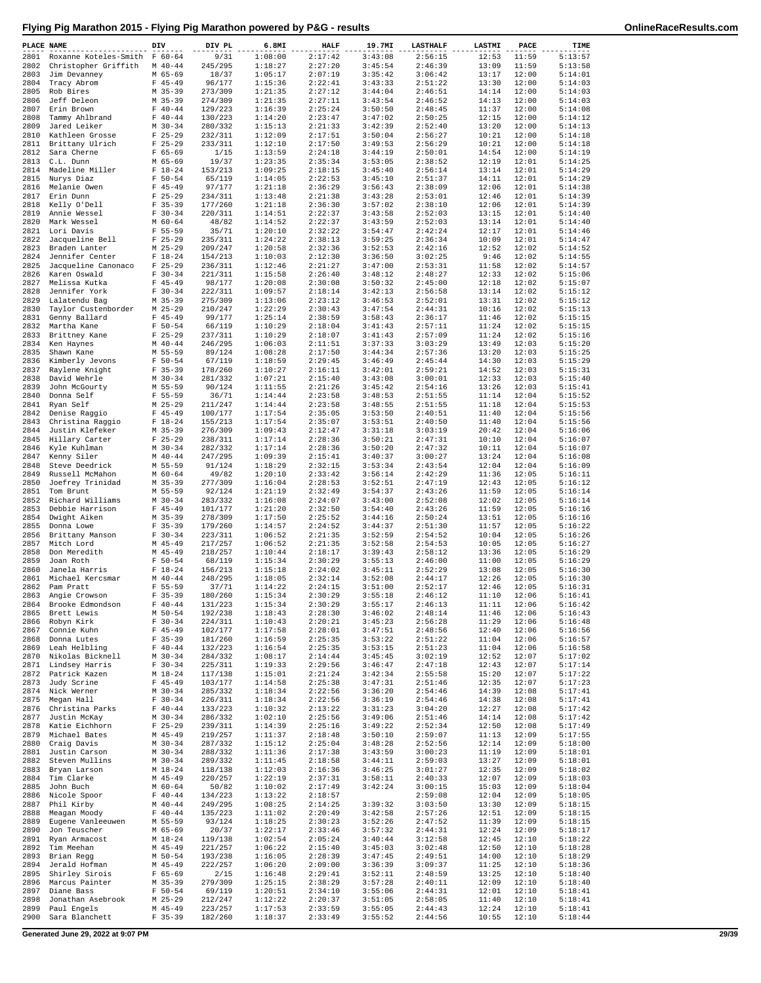|  | Flying Pig Marathon 2015 - Flying Pig Marathon powered by P&G - results |  |
|--|-------------------------------------------------------------------------|--|
|  |                                                                         |  |

| PLACE NAME   |                                      | DIV                      | DIV PL             | 6.8MI              | <b>HALF</b>        | 19.7MI             | <b>LASTHALF</b>    | LASTMI         | PACE           | TIME               |
|--------------|--------------------------------------|--------------------------|--------------------|--------------------|--------------------|--------------------|--------------------|----------------|----------------|--------------------|
| 2801         | Roxanne Koteles-Smith F 60-64        |                          | 9/31               | 1:08:00            | 2:17:42            | 3:43:08            | 2:56:15            | 12:53          | 11:59          | 5:13:57            |
| 2802         | Christopher Griffith M 40-44         |                          | 245/295            | 1:18:27            | 2:27:20            | 3:45:54            | 2:46:39            | 13:09          | 11:59          | 5:13:58            |
| 2803         | Jim Devanney                         | M 65-69                  | 18/37<br>96/177    | 1:05:17            | 2:07:19            | 3:35:42            | 3:06:42            | 13:17          | 12:00          | 5:14:01            |
| 2804<br>2805 | Tracy Abrom<br>Rob Bires             | $F$ 45-49<br>M 35-39     | 273/309            | 1:15:36<br>1:21:35 | 2:22:41<br>2:27:12 | 3:43:33<br>3:44:04 | 2:51:22<br>2:46:51 | 13:30<br>14:14 | 12:00<br>12:00 | 5:14:03<br>5:14:03 |
| 2806         | Jeff Deleon                          | $M$ 35-39                | 274/309            | 1:21:35            | 2:27:11            | 3:43:54            | 2:46:52            | 14:13          | 12:00          | 5:14:03            |
| 2807         | Erin Brown                           | $F 40 - 44$              | 129/223            | 1:16:39            | 2:25:24            | 3:50:50            | 2:48:45            | 11:37          | 12:00          | 5:14:08            |
| 2808         | Tammy Ahlbrand                       | $F 40 - 44$              | 130/223            | 1:14:20            | 2:23:47            | 3:47:02            | 2:50:25            | 12:15          | 12:00          | 5:14:12            |
| 2809<br>2810 | Jared Leiker<br>Kathleen Grosse      | $M$ 30-34<br>$F$ 25-29   | 280/332<br>232/311 | 1:15:13<br>1:12:09 | 2:21:33<br>2:17:51 | 3:42:39<br>3:50:04 | 2:52:40<br>2:56:27 | 13:20<br>10:21 | 12:00<br>12:00 | 5:14:13<br>5:14:18 |
| 2811         | Brittany Ulrich                      | $F$ 25-29                | 233/311            | 1:12:10            | 2:17:50            | 3:49:53            | 2:56:29            | 10:21          | 12:00          | 5:14:18            |
| 2812         | Sara Cherne                          | $F 65 - 69$              | 1/15               | 1:13:59            | 2:24:18            | 3:44:19            | 2:50:01            | 14:54          | 12:00          | 5:14:19            |
| 2813         | C.L. Dunn                            | M 65-69                  | 19/37              | 1:23:35            | 2:35:34            | 3:53:05            | 2:38:52            | 12:19          | 12:01          | 5:14:25            |
| 2814         | Madeline Miller                      | $F 18-24$                | 153/213            | 1:09:25            | 2:18:15            | 3:45:40            | 2:56:14            | 13:14          | 12:01          | 5:14:29            |
| 2815<br>2816 | Nurys Diaz<br>Melanie Owen           | $F 50 - 54$<br>$F$ 45-49 | 65/119<br>97/177   | 1:14:05<br>1:21:18 | 2:22:53<br>2:36:29 | 3:45:10<br>3:56:43 | 2:51:37<br>2:38:09 | 14:11<br>12:06 | 12:01<br>12:01 | 5:14:29<br>5:14:38 |
| 2817         | Erin Dunn                            | $F$ 25-29                | 234/311            | 1:13:48            | 2:21:38            | 3:43:28            | 2:53:01            | 12:46          | 12:01          | 5:14:39            |
| 2818         | Kelly O'Dell                         | $F$ 35-39                | 177/260            | 1:21:18            | 2:36:30            | 3:57:02            | 2:38:10            | 12:06          | 12:01          | 5:14:39            |
| 2819         | Annie Wessel                         | $F 30-34$                | 220/311            | 1:14:51            | 2:22:37            | 3:43:58            | 2:52:03            | 13:15          | 12:01          | 5:14:40            |
| 2820         | Mark Wessel                          | $M$ 60-64                | 48/82              | 1:14:52            | 2:22:37            | 3:43:59            | 2:52:03            | 13:14          | 12:01          | 5:14:40            |
| 2821<br>2822 | Lori Davis                           | $F 55 - 59$<br>$F$ 25-29 | 35/71<br>235/311   | 1:20:10<br>1:24:22 | 2:32:22<br>2:38:13 | 3:54:47<br>3:59:25 | 2:42:24<br>2:36:34 | 12:17<br>10:09 | 12:01<br>12:01 | 5:14:46<br>5:14:47 |
| 2823         | Jacqueline Bell<br>Braden Lanter     | $M$ 25-29                | 209/247            | 1:20:58            | 2:32:36            | 3:52:53            | 2:42:16            | 12:52          | 12:02          | 5:14:52            |
| 2824         | Jennifer Center                      | $F 18-24$                | 154/213            | 1:10:03            | 2:12:30            | 3:36:50            | 3:02:25            | 9:46           | 12:02          | 5:14:55            |
| 2825         | Jacqueline Canonaco                  | $F$ 25-29                | 236/311            | 1:12:46            | 2:21:27            | 3:47:00            | 2:53:31            | 11:58          | 12:02          | 5:14:57            |
| 2826         | Karen Oswald                         | $F 30-34$                | 221/311            | 1:15:58            | 2:26:40            | 3:48:12            | 2:48:27            | 12:33          | 12:02          | 5:15:06            |
| 2827         | Melissa Kutka                        | $F$ 45-49                | 98/177             | 1:20:08            | 2:30:08            | 3:50:32<br>3:42:13 | 2:45:00            | 12:18          | 12:02<br>12:02 | 5:15:07<br>5:15:12 |
| 2828<br>2829 | Jennifer York<br>Lalatendu Bag       | $F 30-34$<br>M 35-39     | 222/311<br>275/309 | 1:09:57<br>1:13:06 | 2:18:14<br>2:23:12 | 3:46:53            | 2:56:58<br>2:52:01 | 13:14<br>13:31 | 12:02          | 5:15:12            |
| 2830         | Taylor Custenborder                  | $M$ 25-29                | 210/247            | 1:22:29            | 2:30:43            | 3:47:54            | 2:44:31            | 10:16          | 12:02          | 5:15:13            |
| 2831         | Genny Ballard                        | $F$ 45-49                | 99/177             | 1:25:14            | 2:38:59            | 3:58:43            | 2:36:17            | 11:46          | 12:02          | 5:15:15            |
| 2832         | Martha Kane                          | $F 50 - 54$              | 66/119             | 1:10:29            | 2:18:04            | 3:41:43            | 2:57:11            | 11:24          | 12:02          | 5:15:15            |
| 2833         | Brittney Kane                        | $F$ 25-29                | 237/311            | 1:10:29            | 2:18:07            | 3:41:43            | 2:57:09            | 11:24          | 12:02          | 5:15:16            |
| 2834<br>2835 | Ken Haynes<br>Shawn Kane             | $M$ 40-44<br>M 55-59     | 246/295<br>89/124  | 1:06:03<br>1:08:28 | 2:11:51<br>2:17:50 | 3:37:33<br>3:44:34 | 3:03:29<br>2:57:36 | 13:49<br>13:20 | 12:03<br>12:03 | 5:15:20<br>5:15:25 |
| 2836         | Kimberly Jevons                      | $F 50 - 54$              | 67/119             | 1:18:59            | 2:29:45            | 3:46:49            | 2:45:44            | 14:30          | 12:03          | 5:15:29            |
| 2837         | Raylene Knight                       | $F$ 35-39                | 178/260            | 1:10:27            | 2:16:11            | 3:42:01            | 2:59:21            | 14:52          | 12:03          | 5:15:31            |
| 2838         | David Wehrle                         | $M$ 30-34                | 281/332            | 1:07:21            | 2:15:40            | 3:43:08            | 3:00:01            | 12:33          | 12:03          | 5:15:40            |
| 2839         | John McGourty                        | M 55-59                  | 90/124             | 1:11:55            | 2:21:26            | 3:45:42            | 2:54:16            | 13:26          | 12:03          | 5:15:41            |
| 2840<br>2841 | Donna Self<br>Ryan Self              | $F 55 - 59$<br>$M$ 25-29 | 36/71<br>211/247   | 1:14:44<br>1:14:44 | 2:23:58<br>2:23:58 | 3:48:53<br>3:48:55 | 2:51:55<br>2:51:55 | 11:14<br>11:18 | 12:04<br>12:04 | 5:15:52<br>5:15:53 |
| 2842         | Denise Raggio                        | $F$ 45-49                | 100/177            | 1:17:54            | 2:35:05            | 3:53:50            | 2:40:51            | 11:40          | 12:04          | 5:15:56            |
| 2843         | Christina Raggio                     | $F 18-24$                | 155/213            | 1:17:54            | 2:35:07            | 3:53:51            | 2:40:50            | 11:40          | 12:04          | 5:15:56            |
| 2844         | Justin Klefeker                      | $M$ 35-39                | 276/309            | 1:09:43            | 2:12:47            | 3:31:18            | 3:03:19            | 20:42          | 12:04          | 5:16:06            |
| 2845         | Hillary Carter                       | $F$ 25-29                | 238/311            | 1:17:14            | 2:28:36            | 3:50:21            | 2:47:31            | 10:10          | 12:04          | 5:16:07            |
| 2846<br>2847 | Kyle Kuhlman<br>Kenny Siler          | $M$ 30-34<br>$M$ 40-44   | 282/332<br>247/295 | 1:17:14<br>1:09:39 | 2:28:36<br>2:15:41 | 3:50:20<br>3:40:37 | 2:47:32<br>3:00:27 | 10:11<br>13:24 | 12:04<br>12:04 | 5:16:07<br>5:16:08 |
| 2848         | Steve Deedrick                       | M 55-59                  | 91/124             | 1:18:29            | 2:32:15            | 3:53:34            | 2:43:54            | 12:04          | 12:04          | 5:16:09            |
| 2849         | Russell McMahon                      | M 60-64                  | 49/82              | 1:20:10            | 2:33:42            | 3:56:14            | 2:42:29            | 11:36          | 12:05          | 5:16:11            |
| 2850         | Joefrey Trinidad                     | M 35-39                  | 277/309            | 1:16:04            | 2:28:53            | 3:52:51            | 2:47:19            | 12:43          | 12:05          | 5:16:12            |
| 2851         | Tom Brunt                            | M 55-59                  | 92/124             | 1:21:19            | 2:32:49            | 3:54:37            | 2:43:26            | 11:59          | 12:05          | 5:16:14            |
| 2852<br>2853 | Richard Williams<br>Debbie Harrison  | $M$ 30-34<br>$F$ 45-49   | 283/332<br>101/177 | 1:16:08<br>1:21:20 | 2:24:07<br>2:32:50 | 3:43:00<br>3:54:40 | 2:52:08<br>2:43:26 | 12:02<br>11:59 | 12:05<br>12:05 | 5:16:14<br>5:16:16 |
| 2854         | Dwight Aiken                         | $M$ 35-39                | 278/309            | 1:17:50            | 2:25:52            | 3:44:16            | 2:50:24            | 13:51          | 12:05          | 5:16:16            |
| 2855         | Donna Lowe                           | $F$ 35-39                | 179/260            | 1:14:57            | 2:24:52            | 3:44:37            | 2:51:30            | 11:57          | 12:05          | 5:16:22            |
| 2856         | Brittany Manson                      | $F 30-34$                | 223/311            | 1:06:52            | 2:21:35            | 3:52:59            | 2:54:52            | 10:04          | 12:05          | 5:16:26            |
| 2857         | Mitch Lord                           | $M$ 45-49                | 217/257            | 1:06:52            | 2:21:35            | 3:52:58            | 2:54:53            | 10:05          | 12:05          | 5:16:27            |
| 2858<br>2859 | Don Meredith<br>Joan Roth            | $M$ 45-49<br>$F 50 - 54$ | 218/257<br>68/119  | 1:10:44<br>1:15:34 | 2:18:17<br>2:30:29 | 3:39:43<br>3:55:13 | 2:58:12<br>2:46:00 | 13:36<br>11:00 | 12:05<br>12:05 | 5:16:29<br>5:16:29 |
| 2860         | Janela Harris                        | $F 18-24$                | 156/213            | 1:15:18            | 2:24:02            | 3:45:11            | 2:52:29            | 13:08          | 12:05          | 5:16:30            |
| 2861         | Michael Kercsmar                     | $M$ 40-44                | 248/295            | 1:18:05            | 2:32:14            | 3:52:08            | 2:44:17            | 12:26          | 12:05          | 5:16:30            |
|              | 2862 Pam Pratt                       | $F 55 - 59$              | 37/71              | 1:14:22            | 2:24:15            | 3:51:00            | 2:52:17            | 12:46          | 12:05          | 5:16:31            |
|              | 2863 Angie Crowson                   | $F$ 35-39                | 180/260            | 1:15:34            | 2:30:29            | 3:55:18            | 2:46:12            | 11:10          | 12:06          | 5:16:41            |
| 2865         | 2864 Brooke Edmondson<br>Brett Lewis | $F 40 - 44$<br>M 50-54   | 131/223<br>192/238 | 1:15:34<br>1:18:43 | 2:30:29<br>2:28:30 | 3:55:17<br>3:46:02 | 2:46:13<br>2:48:14 | 11:11<br>11:46 | 12:06<br>12:06 | 5:16:42<br>5:16:43 |
|              | 2866 Robyn Kirk                      | $F 30-34$                | 224/311            | 1:10:43            | 2:20:21            | 3:45:23            | 2:56:28            | 11:29          | 12:06          | 5:16:48            |
| 2867         | Connie Kuhn                          | $F$ 45-49                | 102/177            | 1:17:58            | 2:28:01            | 3:47:51            | 2:48:56            | 12:40          | 12:06          | 5:16:56            |
| 2868         | Donna Lutes                          | $F$ 35-39                | 181/260            | 1:16:59            | 2:25:35            | 3:53:22            | 2:51:22            | 11:04          | 12:06          | 5:16:57            |
| 2869         | Leah Helbling                        | $F$ 40-44                | 132/223            | 1:16:54            | 2:25:35            | 3:53:15            | 2:51:23            | 11:04          | 12:06          | 5:16:58            |
| 2870<br>2871 | Nikolas Bicknell<br>Lindsey Harris   | $M$ 30-34<br>$F 30-34$   | 284/332<br>225/311 | 1:08:17<br>1:19:33 | 2:14:44<br>2:29:56 | 3:45:45<br>3:46:47 | 3:02:19<br>2:47:18 | 12:52<br>12:43 | 12:07<br>12:07 | 5:17:02<br>5:17:14 |
| 2872         | Patrick Kazen                        | $M_18-24$                | 117/138            | 1:15:01            | 2:21:24            | 3:42:34            | 2:55:58            | 15:20          | 12:07          | 5:17:22            |
| 2873         | Judy Scrine                          | $F$ 45-49                | 103/177            | 1:14:58            | 2:25:38            | 3:47:31            | 2:51:46            | 12:35          | 12:07          | 5:17:23            |
| 2874         | Nick Werner                          | M 30-34                  | 285/332            | 1:18:34            | 2:22:56            | 3:36:20            | 2:54:46            | 14:39          | 12:08          | 5:17:41            |
| 2875         | Megan Hall                           | $F 30-34$                | 226/311            | 1:18:34            | 2:22:56            | 3:36:19            | 2:54:46            | 14:38          | 12:08          | 5:17:41            |
| 2876<br>2877 | Christina Parks<br>Justin McKay      | $F 40-44$<br>M 30-34     | 133/223<br>286/332 | 1:10:32<br>1:02:10 | 2:13:22<br>2:25:56 | 3:31:23<br>3:49:06 | 3:04:20<br>2:51:46 | 12:27<br>14:14 | 12:08<br>12:08 | 5:17:42<br>5:17:42 |
| 2878         | Katie Eichhorn                       | $F$ 25-29                | 239/311            | 1:14:39            | 2:25:16            | 3:49:22            | 2:52:34            | 12:50          | 12:08          | 5:17:49            |
|              | 2879 Michael Bates                   | $M$ 45-49                | 219/257            | 1:11:37            | 2:18:48            | 3:50:10            | 2:59:07            | 11:13          | 12:09          | 5:17:55            |
| 2880         | Craig Davis                          | M 30-34                  | 287/332            | 1:15:12            | 2:25:04            | 3:48:28            | 2:52:56            | 12:14          | 12:09          | 5:18:00            |
| 2881         | Justin Carson                        | $M$ 30-34                | 288/332            | 1:11:36            | 2:17:38            | 3:43:59            | 3:00:23            | 11:19          | 12:09          | 5:18:01            |
| 2882<br>2883 | Steven Mullins<br>Bryan Larson       | $M$ 30-34<br>M 18-24     | 289/332<br>118/138 | 1:11:45<br>1:12:03 | 2:18:58<br>2:16:36 | 3:44:11<br>3:46:25 | 2:59:03<br>3:01:27 | 13:27<br>12:35 | 12:09<br>12:09 | 5:18:01<br>5:18:02 |
| 2884         | Tim Clarke                           | M 45-49                  | 220/257            | 1:22:19            | 2:37:31            | 3:58:11            | 2:40:33            | 12:07          | 12:09          | 5:18:03            |
| 2885         | John Buch                            | M 60-64                  | 50/82              | 1:10:02            | 2:17:49            | 3:42:24            | 3:00:15            | 15:03          | 12:09          | 5:18:04            |
| 2886         | Nicole Spoor                         | $F 40-44$                | 134/223            | 1:13:22            | 2:18:57            |                    | 2:59:08            | 12:04          | 12:09          | 5:18:05            |
| 2887         | Phil Kirby                           | $M$ 40-44                | 249/295            | 1:08:25            | 2:14:25            | 3:39:32            | 3:03:50            | 13:30          | 12:09          | 5:18:15            |
| 2888         | Meagan Moody                         | $F 40-44$                | 135/223            | 1:11:02            | 2:20:49            | 3:42:58            | 2:57:26            | 12:51          | 12:09          | 5:18:15            |
| 2889<br>2890 | Eugene Vanleeuwen<br>Jon Teuscher    | M 55-59<br>M 65-69       | 93/124<br>20/37    | 1:18:25<br>1:22:17 | 2:30:23<br>2:33:46 | 3:52:26<br>3:57:32 | 2:47:52<br>2:44:31 | 11:39<br>12:24 | 12:09<br>12:09 | 5:18:15<br>5:18:17 |
|              | 2891 Ryan Armacost                   | $M_18-24$                | 119/138            | 1:02:54            | 2:05:24            | 3:40:44            | 3:12:58            | 12:45          | 12:10          | 5:18:22            |
| 2892         | Tim Meehan                           | M 45-49                  | 221/257            | 1:06:22            | 2:15:40            | 3:45:03            | 3:02:48            | 12:50          | 12:10          | 5:18:28            |
| 2893         | Brian Regg                           | $M$ 50-54                | 193/238            | 1:16:05            | 2:28:39            | 3:47:45            | 2:49:51            | 14:00          | 12:10          | 5:18:29            |
| 2894<br>2895 | Jerald Hofman<br>Shirley Sirois      | $M$ 45-49<br>$F$ 65-69   | 222/257<br>2/15    | 1:06:20<br>1:16:48 | 2:09:00<br>2:29:41 | 3:36:39<br>3:52:11 | 3:09:37<br>2:48:59 | 11:25<br>13:25 | 12:10<br>12:10 | 5:18:36<br>5:18:40 |
| 2896         | Marcus Painter                       | M 35-39                  | 279/309            | 1:25:15            | 2:38:29            | 3:57:28            | 2:40:11            | 12:09          | 12:10          | 5:18:40            |
| 2897         | Diane Bass                           | $F 50-54$                | 69/119             | 1:20:51            | 2:34:10            | 3:55:06            | 2:44:31            | 12:01          | 12:10          | 5:18:41            |
| 2898         | Jonathan Asebrook                    | $M$ 25-29                | 212/247            | 1:12:22            | 2:20:37            | 3:51:05            | 2:58:05            | 11:40          | 12:10          | 5:18:41            |
| 2899         | Paul Engels                          | $M$ 45-49                | 223/257            | 1:17:53            | 2:33:59            | 3:55:05            | 2:44:43            | 12:24          | 12:10          | 5:18:41            |
| 2900         | Sara Blanchett                       | $F$ 35-39                | 182/260            | 1:18:37            | 2:33:49            | 3:55:52            | 2:44:56            | 10:55          | 12:10          | 5:18:44            |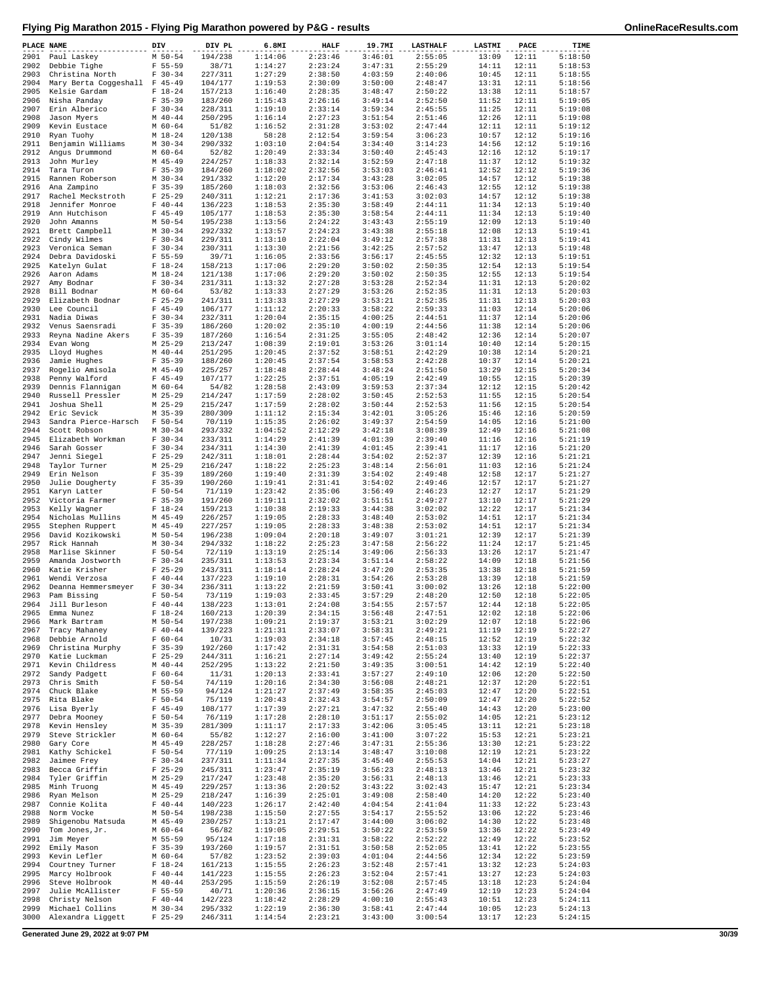| PLACE NAME   |                                      | DIV                        | DIV PL             | 6.8MI              | <b>HALF</b>        | 19.7MI             | <b>LASTHALF</b>    | LASTMI         | PACE           | TIME               |
|--------------|--------------------------------------|----------------------------|--------------------|--------------------|--------------------|--------------------|--------------------|----------------|----------------|--------------------|
| 2901         | Paul Laskey                          | $M 50 - 54$                | 194/238            | 1:14:06            | 2:23:46            | 3:46:01            | 2:55:05            | 13:09          | 12:11          | 5:18:50            |
| 2902         | Debbie Tighe                         | $F 55 - 59$                | 38/71              | 1:14:27            | 2:23:24            | 3:47:31            | 2:55:29            | 14:11          | 12:11          | 5:18:53            |
| 2903         | Christina North                      | $F 30-34$                  | 227/311            | 1:27:29            | 2:38:50            | 4:03:59            | 2:40:06            | 10:45          | 12:11          | 5:18:55            |
| 2904         | Mary Berta Coqqeshall F 45-49        |                            | 104/177            | 1:19:53            | 2:30:09            | 3:50:00            | 2:48:47            | 13:31          | 12:11          | 5:18:56            |
| 2905<br>2906 | Kelsie Gardam<br>Nisha Panday        | $F 18-24$<br>$F$ 35-39     | 157/213<br>183/260 | 1:16:40<br>1:15:43 | 2:28:35<br>2:26:16 | 3:48:47<br>3:49:14 | 2:50:22<br>2:52:50 | 13:38<br>11:52 | 12:11<br>12:11 | 5:18:57<br>5:19:05 |
| 2907         | Erin Alberico                        | $F 30-34$                  | 228/311            | 1:19:10            | 2:33:14            | 3:59:34            | 2:45:55            | 11:25          | 12:11          | 5:19:08            |
| 2908         | Jason Myers                          | $M$ 40-44                  | 250/295            | 1:16:14            | 2:27:23            | 3:51:54            | 2:51:46            | 12:26          | 12:11          | 5:19:08            |
| 2909         | Kevin Eustace                        | M 60-64                    | 51/82              | 1:16:52            | 2:31:28            | 3:53:02            | 2:47:44            | 12:11          | 12:11          | 5:19:12            |
| 2910         | Ryan Tuohy                           | $M_18-24$                  | 120/138            | 58:28              | 2:12:54            | 3:59:54            | 3:06:23            | 10:57          | 12:12          | 5:19:16            |
| 2911         | Benjamin Williams                    | $M$ 30-34                  | 290/332            | 1:03:10            | 2:04:54            | 3:34:40            | 3:14:23            | 14:56          | 12:12          | 5:19:16            |
| 2912         | Angus Drummond                       | $M$ 60-64                  | 52/82              | 1:20:49            | 2:33:34            | 3:50:40            | 2:45:43            | 12:16          | 12:12          | 5:19:17            |
| 2913         | John Murley                          | $M$ 45-49<br>$F$ 35-39     | 224/257            | 1:18:33            | 2:32:14<br>2:32:56 | 3:52:59            | 2:47:18            | 11:37          | 12:12          | 5:19:32            |
| 2914<br>2915 | Tara Turon<br>Rannen Roberson        | $M$ 30-34                  | 184/260<br>291/332 | 1:18:02<br>1:12:20 | 2:17:34            | 3:53:03<br>3:43:28 | 2:46:41<br>3:02:05 | 12:52<br>14:57 | 12:12<br>12:12 | 5:19:36<br>5:19:38 |
| 2916         | Ana Zampino                          | $F$ 35-39                  | 185/260            | 1:18:03            | 2:32:56            | 3:53:06            | 2:46:43            | 12:55          | 12:12          | 5:19:38            |
| 2917         | Rachel Meckstroth                    | $F$ 25-29                  | 240/311            | 1:12:21            | 2:17:36            | 3:41:53            | 3:02:03            | 14:57          | 12:12          | 5:19:38            |
| 2918         | Jennifer Monroe                      | $F 40 - 44$                | 136/223            | 1:18:53            | 2:35:30            | 3:58:49            | 2:44:11            | 11:34          | 12:13          | 5:19:40            |
| 2919         | Ann Hutchison                        | $F$ 45-49                  | 105/177            | 1:18:53            | 2:35:30            | 3:58:54            | 2:44:11            | 11:34          | 12:13          | 5:19:40            |
| 2920         | John Amanns                          | M 50-54                    | 195/238            | 1:13:56            | 2:24:22            | 3:43:43            | 2:55:19            | 12:09          | 12:13          | 5:19:40            |
| 2921<br>2922 | Brett Campbell<br>Cindy Wilmes       | M 30-34<br>$F 30-34$       | 292/332<br>229/311 | 1:13:57<br>1:13:10 | 2:24:23<br>2:22:04 | 3:43:38<br>3:49:12 | 2:55:18<br>2:57:38 | 12:08<br>11:31 | 12:13<br>12:13 | 5:19:41<br>5:19:41 |
| 2923         | Veronica Seman                       | $F 30 - 34$                | 230/311            | 1:13:30            | 2:21:56            | 3:42:25            | 2:57:52            | 13:47          | 12:13          | 5:19:48            |
| 2924         | Debra Davidoski                      | $F 55 - 59$                | 39/71              | 1:16:05            | 2:33:56            | 3:56:17            | 2:45:55            | 12:32          | 12:13          | 5:19:51            |
| 2925         | Katelyn Gulat                        | $F 18-24$                  | 158/213            | 1:17:06            | 2:29:20            | 3:50:02            | 2:50:35            | 12:54          | 12:13          | 5:19:54            |
| 2926         | Aaron Adams                          | $M$ 18-24                  | 121/138            | 1:17:06            | 2:29:20            | 3:50:02            | 2:50:35            | 12:55          | 12:13          | 5:19:54            |
| 2927         | Amy Bodnar                           | $F 30-34$                  | 231/311            | 1:13:32            | 2:27:28            | 3:53:28            | 2:52:34            | 11:31          | 12:13          | 5:20:02            |
| 2928         | Bill Bodnar                          | $M$ 60-64                  | 53/82              | 1:13:33            | 2:27:29            | 3:53:26            | 2:52:35            | 11:31          | 12:13          | 5:20:03            |
| 2929<br>2930 | Elizabeth Bodnar<br>Lee Council      | $F$ 25-29<br>$F$ 45-49     | 241/311<br>106/177 | 1:13:33<br>1:11:12 | 2:27:29<br>2:20:33 | 3:53:21<br>3:58:22 | 2:52:35<br>2:59:33 | 11:31<br>11:03 | 12:13<br>12:14 | 5:20:03<br>5:20:06 |
| 2931         | Nadia Diwas                          | $F 30-34$                  | 232/311            | 1:20:04            | 2:35:15            | 4:00:25            | 2:44:51            | 11:37          | 12:14          | 5:20:06            |
| 2932         | Venus Saensradi                      | $F$ 35-39                  | 186/260            | 1:20:02            | 2:35:10            | 4:00:19            | 2:44:56            | 11:38          | 12:14          | 5:20:06            |
| 2933         | Reyna Nadine Akers                   | $F$ 35-39                  | 187/260            | 1:16:54            | 2:31:25            | 3:55:05            | 2:48:42            | 12:36          | 12:14          | 5:20:07            |
| 2934         | Evan Wong                            | $M$ 25-29                  | 213/247            | 1:08:39            | 2:19:01            | 3:53:26            | 3:01:14            | 10:40          | 12:14          | 5:20:15            |
| 2935         | Lloyd Hughes                         | $M$ 40-44                  | 251/295            | 1:20:45            | 2:37:52            | 3:58:51            | 2:42:29            | 10:38          | 12:14          | 5:20:21            |
| 2936         | Jamie Hughes                         | $F$ 35-39<br>$M$ 45-49     | 188/260            | 1:20:45            | 2:37:54            | 3:58:53            | 2:42:28            | 10:37          | 12:14          | 5:20:21            |
| 2937<br>2938 | Rogelio Amisola<br>Penny Walford     | $F$ 45-49                  | 225/257<br>107/177 | 1:18:48<br>1:22:25 | 2:28:44<br>2:37:51 | 3:48:24<br>4:05:19 | 2:51:50<br>2:42:49 | 13:29<br>10:55 | 12:15<br>12:15 | 5:20:34<br>5:20:39 |
| 2939         | Dennis Flannigan                     | $M$ 60-64                  | 54/82              | 1:28:58            | 2:43:09            | 3:59:53            | 2:37:34            | 12:12          | 12:15          | 5:20:42            |
| 2940         | Russell Pressler                     | $M$ 25-29                  | 214/247            | 1:17:59            | 2:28:02            | 3:50:45            | 2:52:53            | 11:55          | 12:15          | 5:20:54            |
| 2941         | Joshua Shell                         | $M$ 25-29                  | 215/247            | 1:17:59            | 2:28:02            | 3:50:44            | 2:52:53            | 11:56          | 12:15          | 5:20:54            |
| 2942         | Eric Sevick                          | $M$ 35-39                  | 280/309            | 1:11:12            | 2:15:34            | 3:42:01            | 3:05:26            | 15:46          | 12:16          | 5:20:59            |
| 2943         | Sandra Pierce-Harsch                 | $F 50 - 54$                | 70/119             | 1:15:35            | 2:26:02            | 3:49:37            | 2:54:59            | 14:05          | 12:16          | 5:21:00            |
| 2944<br>2945 | Scott Robson                         | $M$ 30-34<br>$F 30-34$     | 293/332            | 1:04:52<br>1:14:29 | 2:12:29<br>2:41:39 | 3:42:18<br>4:01:39 | 3:08:39<br>2:39:40 | 12:49          | 12:16<br>12:16 | 5:21:08<br>5:21:19 |
| 2946         | Elizabeth Workman<br>Sarah Gosser    | $F 30-34$                  | 233/311<br>234/311 | 1:14:30            | 2:41:39            | 4:01:45            | 2:39:41            | 11:16<br>11:17 | 12:16          | 5:21:20            |
| 2947         | Jenni Siegel                         | $F$ 25-29                  | 242/311            | 1:18:01            | 2:28:44            | 3:54:02            | 2:52:37            | 12:39          | 12:16          | 5:21:21            |
| 2948         | Taylor Turner                        | $M$ 25-29                  | 216/247            | 1:18:22            | 2:25:23            | 3:48:14            | 2:56:01            | 11:03          | 12:16          | 5:21:24            |
| 2949         | Erin Nelson                          | $F$ 35-39                  | 189/260            | 1:19:40            | 2:31:39            | 3:54:02            | 2:49:48            | 12:58          | 12:17          | 5:21:27            |
| 2950         | Julie Dougherty                      | $F$ 35-39                  | 190/260            | 1:19:41            | 2:31:41            | 3:54:02            | 2:49:46            | 12:57          | 12:17          | 5:21:27            |
| 2951         | Karyn Latter                         | $F 50 - 54$                | 71/119             | 1:23:42            | 2:35:06            | 3:56:49            | 2:46:23            | 12:27          | 12:17          | 5:21:29            |
| 2952<br>2953 | Victoria Farmer                      | $F$ 35-39<br>$F 18-24$     | 191/260<br>159/213 | 1:19:11<br>1:10:38 | 2:32:02<br>2:19:33 | 3:51:51<br>3:44:38 | 2:49:27<br>3:02:02 | 13:10<br>12:22 | 12:17<br>12:17 | 5:21:29<br>5:21:34 |
| 2954         | Kelly Wagner<br>Nicholas Mullins     | $M$ 45-49                  | 226/257            | 1:19:05            | 2:28:33            | 3:48:40            | 2:53:02            | 14:51          | 12:17          | 5:21:34            |
| 2955         | Stephen Ruppert                      | $M$ 45-49                  | 227/257            | 1:19:05            | 2:28:33            | 3:48:38            | 2:53:02            | 14:51          | 12:17          | 5:21:34            |
| 2956         | David Kozikowski                     | M 50-54                    | 196/238            | 1:09:04            | 2:20:18            | 3:49:07            | 3:01:21            | 12:39          | 12:17          | 5:21:39            |
| 2957         | Rick Hannah                          | M 30-34                    | 294/332            | 1:18:22            | 2:25:23            | 3:47:58            | 2:56:22            | 11:24          | 12:17          | 5:21:45            |
| 2958         | Marlise Skinner                      | $F 50 - 54$                | 72/119             | 1:13:19            | 2:25:14            | 3:49:06            | 2:56:33            | 13:26          | 12:17          | 5:21:47            |
| 2959         | Amanda Jostworth                     | $F 30-34$                  | 235/311            | 1:13:53            | 2:23:34            | 3:51:14            | 2:58:22            | 14:09          | 12:18          | 5:21:56            |
| 2960<br>2961 | Katie Krisher                        | $F$ 25-29<br>$F 40 - 44$   | 243/311            | 1:18:14            | 2:28:24<br>2:28:31 | 3:47:20            | 2:53:35            | 13:38          | 12:18<br>12:18 | 5:21:59            |
| 2962         | Wendi Verzosa<br>Deanna Hemmersmeyer | $F 30-34$                  | 137/223<br>236/311 | 1:19:10<br>1:13:22 | 2:21:59            | 3:54:26<br>3:50:41 | 2:53:28<br>3:00:02 | 13:39<br>13:26 | 12:18          | 5:21:59<br>5:22:00 |
|              | 2963 Pam Bissing                     | $F 50 - 54$                | 73/119             | 1:19:03            | 2:33:45            | 3:57:29            | 2:48:20            | 12:50          | 12:18          | 5:22:05            |
| 2964         | Jill Burleson                        | $F 40 - 44$                | 138/223            | 1:13:01            | 2:24:08            | 3:54:55            | 2:57:57            | 12:44          | 12:18          | 5:22:05            |
| 2965         | Emma Nunez                           | $F 18-24$                  | 160/213            | 1:20:39            | 2:34:15            | 3:56:48            | 2:47:51            | 12:02          | 12:18          | 5:22:06            |
| 2966         | Mark Bartram                         | M 50-54                    | 197/238            | 1:09:21            | 2:19:37            | 3:53:21            | 3:02:29            | 12:07          | 12:18          | 5:22:06            |
| 2967         | Tracy Mahaney                        | $F 40 - 44$                | 139/223            | 1:21:31            | 2:33:07            | 3:58:31            | 2:49:21            | 11:19          | 12:19          | 5:22:27            |
| 2968<br>2969 | Debbie Arnold<br>Christina Murphy    | $F 60 - 64$<br>$F$ 35-39   | 10/31<br>192/260   | 1:19:03<br>1:17:42 | 2:34:18<br>2:31:31 | 3:57:45<br>3:54:58 | 2:48:15<br>2:51:03 | 12:52<br>13:33 | 12:19<br>12:19 | 5:22:32<br>5:22:33 |
| 2970         | Katie Luckman                        | $F$ 25-29                  | 244/311            | 1:16:21            | 2:27:14            | 3:49:42            | 2:55:24            | 13:40          | 12:19          | 5:22:37            |
| 2971         | Kevin Childress                      | $M$ 40-44                  | 252/295            | 1:13:22            | 2:21:50            | 3:49:35            | 3:00:51            | 14:42          | 12:19          | 5:22:40            |
| 2972         | Sandy Padgett                        | $F 60 - 64$                | 11/31              | 1:20:13            | 2:33:41            | 3:57:27            | 2:49:10            | 12:06          | 12:20          | 5:22:50            |
| 2973         | Chris Smith                          | $F 50 - 54$                | 74/119             | 1:20:16            | 2:34:30            | 3:56:08            | 2:48:21            | 12:37          | 12:20          | 5:22:51            |
| 2974         | Chuck Blake                          | M 55-59                    | 94/124             | 1:21:27            | 2:37:49            | 3:58:35            | 2:45:03            | 12:47          | 12:20          | 5:22:51            |
| 2975<br>2976 | Rita Blake<br>Lisa Byerly            | $F 50 - 54$<br>$F$ 45-49   | 75/119<br>108/177  | 1:20:43<br>1:17:39 | 2:32:43<br>2:27:21 | 3:54:57<br>3:47:32 | 2:50:09<br>2:55:40 | 12:47<br>14:43 | 12:20<br>12:20 | 5:22:52<br>5:23:00 |
| 2977         | Debra Mooney                         | $F 50 - 54$                | 76/119             | 1:17:28            | 2:28:10            | 3:51:17            | 2:55:02            | 14:05          | 12:21          | 5:23:12            |
| 2978         | Kevin Hensley                        | $M$ 35-39                  | 281/309            | 1:11:17            | 2:17:33            | 3:42:06            | 3:05:45            | 13:11          | 12:21          | 5:23:18            |
| 2979         | Steve Strickler                      | M 60-64                    | 55/82              | 1:12:27            | 2:16:00            | 3:41:00            | 3:07:22            | 15:53          | 12:21          | 5:23:21            |
| 2980         | Gary Core                            | $M$ 45-49                  | 228/257            | 1:18:28            | 2:27:46            | 3:47:31            | 2:55:36            | 13:30          | 12:21          | 5:23:22            |
| 2981         | Kathy Schickel                       | $F 50 - 54$                | 77/119             | 1:09:25            | 2:13:14            | 3:48:47            | 3:10:08            | 12:19          | 12:21          | 5:23:22            |
| 2982<br>2983 | Jaimee Frey                          | $F 30-34$<br>$F$ 25-29     | 237/311            | 1:11:34            | 2:27:35            | 3:45:40            | 2:55:53            | 14:04          | 12:21          | 5:23:27<br>5:23:32 |
| 2984         | Becca Griffin<br>Tyler Griffin       | $M$ 25-29                  | 245/311<br>217/247 | 1:23:47<br>1:23:48 | 2:35:19<br>2:35:20 | 3:56:23<br>3:56:31 | 2:48:13<br>2:48:13 | 13:46<br>13:46 | 12:21<br>12:21 | 5:23:33            |
| 2985         | Minh Truong                          | $M$ 45-49                  | 229/257            | 1:13:36            | 2:20:52            | 3:43:22            | 3:02:43            | 15:47          | 12:21          | 5:23:34            |
| 2986         | Ryan Melson                          | $M$ 25-29                  | 218/247            | 1:16:39            | 2:25:01            | 3:49:08            | 2:58:40            | 14:20          | 12:22          | 5:23:40            |
| 2987         | Connie Kolita                        | $F 40 - 44$                | 140/223            | 1:26:17            | 2:42:40            | 4:04:54            | 2:41:04            | 11:33          | 12:22          | 5:23:43            |
| 2988         | Norm Vocke                           | M 50-54                    | 198/238            | 1:15:50            | 2:27:55            | 3:54:17            | 2:55:52            | 13:06          | 12:22          | 5:23:46            |
| 2989         | Shigenobu Matsuda                    | $M$ 45-49                  | 230/257            | 1:13:21            | 2:17:47            | 3:44:00            | 3:06:02            | 14:30          | 12:22          | 5:23:48            |
| 2990<br>2991 | Tom Jones, Jr.<br>Jim Meyer          | $M$ 60-64<br>M 55-59       | 56/82<br>95/124    | 1:19:05<br>1:17:18 | 2:29:51<br>2:31:31 | 3:50:22<br>3:58:22 | 2:53:59<br>2:52:22 | 13:36<br>12:49 | 12:22<br>12:22 | 5:23:49<br>5:23:52 |
| 2992         | Emily Mason                          | $F$ 35-39                  | 193/260            | 1:19:57            | 2:31:51            | 3:50:58            | 2:52:05            | 13:41          | 12:22          | 5:23:55            |
| 2993         | Kevin Lefler                         | $M$ 60-64                  | 57/82              | 1:23:52            | 2:39:03            | 4:01:04            | 2:44:56            | 12:34          | 12:22          | 5:23:59            |
| 2994         | Courtney Turner                      | $F 18-24$                  | 161/213            | 1:15:55            | 2:26:23            | 3:52:48            | 2:57:41            | 13:32          | 12:23          | 5:24:03            |
| 2995         | Marcy Holbrook                       | $F 40 - 44$                | 141/223            | 1:15:55            | 2:26:23            | 3:52:04            | 2:57:41            | 13:27          | 12:23          | 5:24:03            |
| 2996         | Steve Holbrook                       | $M$ 40-44                  | 253/295            | 1:15:59            | 2:26:19            | 3:52:08            | 2:57:45            | 13:18          | 12:23          | 5:24:04            |
| 2997<br>2998 | Julie McAllister<br>Christy Nelson   | $F 55 - 59$<br>$F 40 - 44$ | 40/71<br>142/223   | 1:20:36<br>1:18:42 | 2:36:15<br>2:28:29 | 3:56:26<br>4:00:10 | 2:47:49<br>2:55:43 | 12:19<br>10:51 | 12:23<br>12:23 | 5:24:04<br>5:24:11 |
| 2999         | Michael Collins                      | $M$ 30-34                  | 295/332            | 1:22:19            | 2:36:30            | 3:58:41            | 2:47:44            | 10:05          | 12:23          | 5:24:13            |
| 3000         | Alexandra Liggett                    | $F$ 25-29                  | 246/311            | 1:14:54            | 2:23:21            | 3:43:00            | 3:00:54            | 13:17          | 12:23          | 5:24:15            |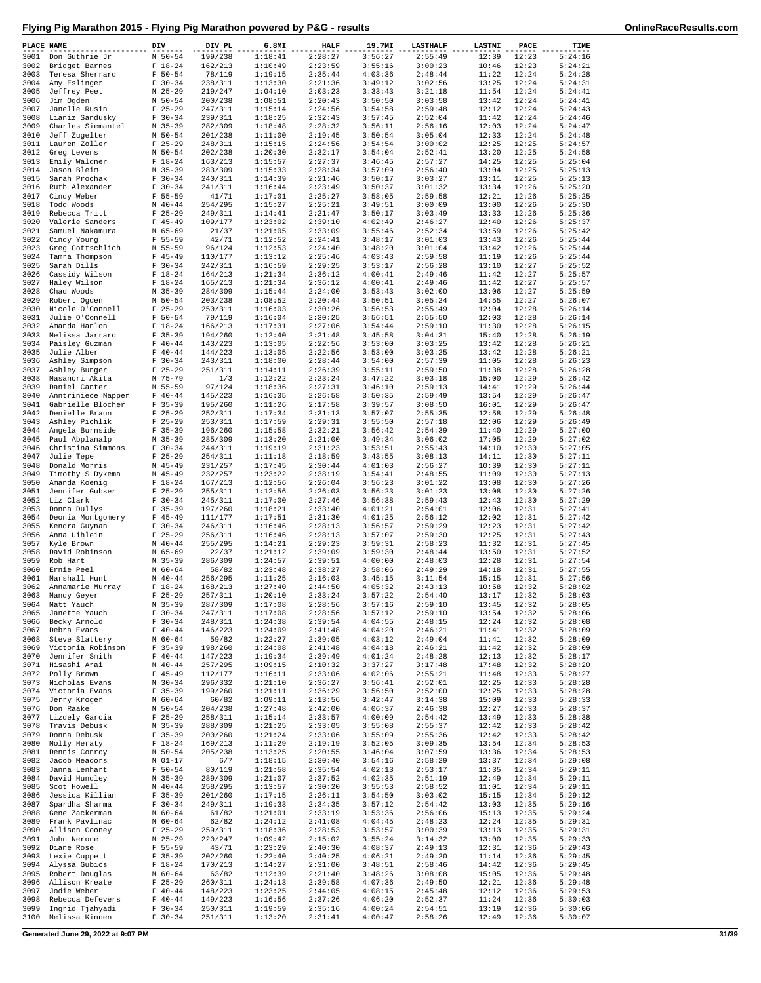| PLACE NAME   |                                  | DIV                         | DIV PL             | 6.8MI              | <b>HALF</b>        | 19.7MI             | <b>LASTHALF</b>    | LASTMI         | PACE           | TIME               |
|--------------|----------------------------------|-----------------------------|--------------------|--------------------|--------------------|--------------------|--------------------|----------------|----------------|--------------------|
| 3001         | Don Guthrie Jr                   | M 50-54                     | 199/238            | 1:18:41            | 2:28:27            | 3:56:27            | 2:55:49            | 12:39          | 12:23          | 5:24:16            |
| 3002         | Bridget Barnes                   | $F 18-24$                   | 162/213            | 1:10:49            | 2:23:59            | 3:55:16            | 3:00:23            | 10:46          | 12:23          | 5:24:21            |
| 3003         | Teresa Sherrard                  | $F 50 - 54$                 | 78/119             | 1:19:15            | 2:35:44            | 4:03:36            | 2:48:44            | 11:22          | 12:24          | 5:24:28            |
| 3004         | Amy Eslinger                     | $F 30-34$                   | 238/311            | 1:13:30            | 2:21:36            | 3:49:12            | 3:02:56            | 13:25          | 12:24          | 5:24:31            |
| 3005<br>3006 | Jeffrey Peet<br>Jim Ogden        | $M$ 25-29<br>M 50-54        | 219/247<br>200/238 | 1:04:10<br>1:08:51 | 2:03:23<br>2:20:43 | 3:33:43<br>3:50:50 | 3:21:18<br>3:03:58 | 11:54<br>13:42 | 12:24<br>12:24 | 5:24:41<br>5:24:41 |
| 3007         | Janelle Rusin                    | $F$ 25-29                   | 247/311            | 1:15:14            | 2:24:56            | 3:54:58            | 2:59:48            | 12:12          | 12:24          | 5:24:43            |
| 3008         | Lianiz Sandusky                  | $F 30-34$                   | 239/311            | 1:18:25            | 2:32:43            | 3:57:45            | 2:52:04            | 11:42          | 12:24          | 5:24:46            |
| 3009         | Charles Siemantel                | $M$ 35-39                   | 282/309            | 1:18:48            | 2:28:32            | 3:56:11            | 2:56:16            | 12:03          | 12:24          | 5:24:47            |
| 3010         | Jeff Zugelter                    | M 50-54                     | 201/238            | 1:11:00            | 2:19:45            | 3:50:54            | 3:05:04            | 12:33          | 12:24          | 5:24:48            |
| 3011         | Lauren Zoller                    | $F$ 25-29                   | 248/311            | 1:15:15            | 2:24:56            | 3:54:54            | 3:00:02            | 12:25          | 12:25          | 5:24:57            |
| 3012         | Greg Levens                      | $M$ 50-54                   | 202/238            | 1:20:30            | 2:32:17            | 3:54:04            | 2:52:41            | 13:20          | 12:25          | 5:24:58            |
| 3013<br>3014 | Emily Waldner<br>Jason Bleim     | $F 18-24$<br>$M$ 35-39      | 163/213<br>283/309 | 1:15:57<br>1:15:33 | 2:27:37<br>2:28:34 | 3:46:45<br>3:57:09 | 2:57:27<br>2:56:40 | 14:25<br>13:04 | 12:25<br>12:25 | 5:25:04<br>5:25:13 |
| 3015         | Sarah Prochak                    | $F 30-34$                   | 240/311            | 1:14:39            | 2:21:46            | 3:50:17            | 3:03:27            | 13:11          | 12:25          | 5:25:13            |
| 3016         | Ruth Alexander                   | $F 30-34$                   | 241/311            | 1:16:44            | 2:23:49            | 3:50:37            | 3:01:32            | 13:34          | 12:26          | 5:25:20            |
| 3017         | Cindy Weber                      | $F 55 - 59$                 | 41/71              | 1:17:01            | 2:25:27            | 3:58:05            | 2:59:58            | 12:21          | 12:26          | 5:25:25            |
| 3018         | Todd Woods                       | $M$ 40-44                   | 254/295            | 1:15:27            | 2:25:21            | 3:49:51            | 3:00:09            | 13:00          | 12:26          | 5:25:30            |
| 3019         | Rebecca Tritt                    | $F$ 25-29                   | 249/311            | 1:14:41            | 2:21:47            | 3:50:17            | 3:03:49            | 13:33          | 12:26          | 5:25:36            |
| 3020         | Valerie Sanders                  | $F$ 45-49                   | 109/177            | 1:23:02            | 2:39:10            | 4:02:49            | 2:46:27            | 12:40          | 12:26          | 5:25:37            |
| 3021<br>3022 | Samuel Nakamura<br>Cindy Young   | M 65-69<br>$F 55 - 59$      | 21/37<br>42/71     | 1:21:05<br>1:12:52 | 2:33:09<br>2:24:41 | 3:55:46<br>3:48:17 | 2:52:34<br>3:01:03 | 13:59<br>13:43 | 12:26<br>12:26 | 5:25:42<br>5:25:44 |
| 3023         | Greg Gottschlich                 | M 55-59                     | 96/124             | 1:12:53            | 2:24:40            | 3:48:20            | 3:01:04            | 13:42          | 12:26          | 5:25:44            |
| 3024         | Tamra Thompson                   | $F$ 45-49                   | 110/177            | 1:13:12            | 2:25:46            | 4:03:43            | 2:59:58            | 11:19          | 12:26          | 5:25:44            |
| 3025         | Sarah Dills                      | $F 30-34$                   | 242/311            | 1:16:59            | 2:29:25            | 3:53:17            | 2:56:28            | 13:10          | 12:27          | 5:25:52            |
| 3026         | Cassidy Wilson                   | $F 18-24$                   | 164/213            | 1:21:34            | 2:36:12            | 4:00:41            | 2:49:46            | 11:42          | 12:27          | 5:25:57            |
| 3027         | Haley Wilson                     | $F 18-24$                   | 165/213            | 1:21:34            | 2:36:12            | 4:00:41            | 2:49:46            | 11:42          | 12:27          | 5:25:57            |
| 3028         | Chad Woods                       | M 35-39                     | 284/309            | 1:15:44            | 2:24:00            | 3:53:43            | 3:02:00            | 13:06          | 12:27          | 5:25:59            |
| 3029<br>3030 | Robert Ogden<br>Nicole O'Connell | $M$ 50-54<br>$F$ 25-29      | 203/238<br>250/311 | 1:08:52<br>1:16:03 | 2:20:44<br>2:30:26 | 3:50:51<br>3:56:53 | 3:05:24<br>2:55:49 | 14:55<br>12:04 | 12:27<br>12:28 | 5:26:07<br>5:26:14 |
| 3031         | Julie O'Connell                  | $F 50 - 54$                 | 79/119             | 1:16:04            | 2:30:25            | 3:56:51            | 2:55:50            | 12:03          | 12:28          | 5:26:14            |
| 3032         | Amanda Hanlon                    | $F 18 - 24$                 | 166/213            | 1:17:31            | 2:27:06            | 3:54:44            | 2:59:10            | 11:30          | 12:28          | 5:26:15            |
| 3033         | Melissa Jarrard                  | $F$ 35-39                   | 194/260            | 1:12:40            | 2:21:48            | 3:45:58            | 3:04:31            | 15:40          | 12:28          | 5:26:19            |
| 3034         | Paisley Guzman                   | $F 40 - 44$                 | 143/223            | 1:13:05            | 2:22:56            | 3:53:00            | 3:03:25            | 13:42          | 12:28          | 5:26:21            |
| 3035         | Julie Alber                      | $F 40 - 44$                 | 144/223            | 1:13:05            | 2:22:56            | 3:53:00            | 3:03:25            | 13:42          | 12:28          | 5:26:21            |
| 3036         | Ashley Simpson                   | $F 30-34$                   | 243/311            | 1:18:00            | 2:28:44            | 3:54:00            | 2:57:39            | 11:05          | 12:28          | 5:26:23            |
| 3037         | Ashley Bunger                    | $F$ 25-29                   | 251/311            | 1:14:11            | 2:26:39            | 3:55:11            | 2:59:50            | 11:38          | 12:28          | 5:26:28            |
| 3038<br>3039 | Masanori Akita<br>Daniel Canter  | M 75-79<br>M 55-59          | 1/3<br>97/124      | 1:12:22<br>1:18:36 | 2:23:24<br>2:27:31 | 3:47:22<br>3:46:10 | 3:03:18<br>2:59:13 | 15:00<br>14:41 | 12:29<br>12:29 | 5:26:42<br>5:26:44 |
| 3040         | Anntriniece Napper               | $F 40 - 44$                 | 145/223            | 1:16:35            | 2:26:58            | 3:50:35            | 2:59:49            | 13:54          | 12:29          | 5:26:47            |
| 3041         | Gabrielle Blocher                | $F$ 35-39                   | 195/260            | 1:11:26            | 2:17:58            | 3:39:57            | 3:08:50            | 16:01          | 12:29          | 5:26:47            |
| 3042         | Denielle Braun                   | $F$ 25-29                   | 252/311            | 1:17:34            | 2:31:13            | 3:57:07            | 2:55:35            | 12:58          | 12:29          | 5:26:48            |
| 3043         | Ashley Pichlik                   | $F$ 25-29                   | 253/311            | 1:17:59            | 2:29:31            | 3:55:50            | 2:57:18            | 12:06          | 12:29          | 5:26:49            |
| 3044         | Angela Burnside                  | $F$ 35-39                   | 196/260            | 1:15:58            | 2:32:21            | 3:56:42            | 2:54:39            | 11:40          | 12:29          | 5:27:00            |
| 3045         | Paul Abplanalp                   | $M$ 35-39                   | 285/309            | 1:13:20            | 2:21:00            | 3:49:34            | 3:06:02            | 17:05          | 12:29          | 5:27:02            |
| 3046         | Christina Simmons                | $F 30-34$                   | 244/311            | 1:19:19            | 2:31:23            | 3:53:51            | 2:55:43            | 14:10          | 12:30          | 5:27:05            |
| 3047<br>3048 | Julie Tepe<br>Donald Morris      | $F$ 25-29<br>$M$ 45-49      | 254/311<br>231/257 | 1:11:18<br>1:17:45 | 2:18:59<br>2:30:44 | 3:43:55<br>4:01:03 | 3:08:13<br>2:56:27 | 14:11<br>10:39 | 12:30<br>12:30 | 5:27:11<br>5:27:11 |
| 3049         | Timothy S Dykema                 | $M$ 45-49                   | 232/257            | 1:23:22            | 2:38:19            | 3:54:41            | 2:48:55            | 11:09          | 12:30          | 5:27:13            |
| 3050         | Amanda Koenig                    | $F 18-24$                   | 167/213            | 1:12:56            | 2:26:04            | 3:56:23            | 3:01:22            | 13:08          | 12:30          | 5:27:26            |
| 3051         | Jennifer Gubser                  | $F$ 25-29                   | 255/311            | 1:12:56            | 2:26:03            | 3:56:23            | 3:01:23            | 13:08          | 12:30          | 5:27:26            |
|              | 3052 Liz Clark                   | $F 30-34$                   | 245/311            | 1:17:00            | 2:27:46            | 3:56:38            | 2:59:43            | 12:43          | 12:30          | 5:27:29            |
| 3053         | Donna Dullys                     | $F$ 35-39                   | 197/260            | 1:18:21            | 2:33:40            | 4:01:21            | 2:54:01            | 12:06          | 12:31          | 5:27:41            |
| 3054         | Deonia Montgomery                | $F$ 45-49<br>$F 30-34$      | 111/177            | 1:17:51            | 2:31:30            | 4:01:25            | 2:56:12            | 12:02          | 12:31          | 5:27:42<br>5:27:42 |
| 3055<br>3056 | Kendra Guynan<br>Anna Uihlein    | $F$ 25-29                   | 246/311<br>256/311 | 1:16:46<br>1:16:46 | 2:28:13<br>2:28:13 | 3:56:57<br>3:57:07 | 2:59:29<br>2:59:30 | 12:23<br>12:25 | 12:31<br>12:31 | 5:27:43            |
| 3057         | Kyle Brown                       | $M$ 40-44                   | 255/295            | 1:14:21            | 2:29:23            | 3:59:31            | 2:58:23            | 11:32          | 12:31          | 5:27:45            |
| 3058         | David Robinson                   | M 65-69                     | 22/37              | 1:21:12            | 2:39:09            | 3:59:30            | 2:48:44            | 13:50          | 12:31          | 5:27:52            |
| 3059         | Rob Hart                         | $M$ 35-39                   | 286/309            | 1:24:57            | 2:39:51            | 4:00:00            | 2:48:03            | 12:28          | 12:31          | 5:27:54            |
| 3060         | Ernie Peel                       | M 60-64                     | 58/82              | 1:23:48            | 2:38:27            | 3:58:06            | 2:49:29            | 14:18          | 12:31          | 5:27:55            |
| 3061         | Marshall Hunt                    | $M$ 40-44                   | 256/295            | 1:11:25            | 2:16:03            | 3:45:15            | 3:11:54            | 15:15          | 12:31          | 5:27:56            |
| 3062         | Annamarie Murray                 | $F 18-24$                   | 168/213            | 1:27:40            | 2:44:50            | 4:05:32            | 2:43:13            | 10:58          | 12:32          | 5:28:02            |
| 3063         | Mandy Geyer<br>3064 Matt Yauch   | $25 - 29$<br>F<br>$M$ 35-39 | 257/311<br>287/309 | 1:20:10<br>1:17:08 | 2:33:24<br>2:28:56 | 3:57:22<br>3:57:16 | 2:54:40<br>2:59:10 | 13:17<br>13:45 | 12:32<br>12:32 | 5:28:03<br>5:28:05 |
| 3065         | Janette Yauch                    | $F 30-34$                   | 247/311            | 1:17:08            | 2:28:56            | 3:57:12            | 2:59:10            | 13:54          | 12:32          | 5:28:06            |
| 3066         | Becky Arnold                     | $F 30-34$                   | 248/311            | 1:24:38            | 2:39:54            | 4:04:55            | 2:48:15            | 12:24          | 12:32          | 5:28:08            |
| 3067         | Debra Evans                      | $F 40 - 44$                 | 146/223            | 1:24:09            | 2:41:48            | 4:04:20            | 2:46:21            | 11:41          | 12:32          | 5:28:09            |
| 3068         | Steve Slattery                   | $M$ 60-64                   | 59/82              | 1:22:27            | 2:39:05            | 4:03:12            | 2:49:04            | 11:41          | 12:32          | 5:28:09            |
| 3069         | Victoria Robinson                | $F$ 35-39                   | 198/260            | 1:24:08            | 2:41:48            | 4:04:18            | 2:46:21            | 11:42          | 12:32          | 5:28:09            |
| 3070<br>3071 | Jennifer Smith<br>Hisashi Arai   | $F 40 - 44$<br>$M$ 40-44    | 147/223            | 1:19:34<br>1:09:15 | 2:39:49<br>2:10:32 | 4:01:24<br>3:37:27 | 2:48:28<br>3:17:48 | 12:13<br>17:48 | 12:32<br>12:32 | 5:28:17<br>5:28:20 |
| 3072         | Polly Brown                      | $F$ 45-49                   | 257/295<br>112/177 | 1:16:11            | 2:33:06            | 4:02:06            | 2:55:21            | 11:48          | 12:33          | 5:28:27            |
| 3073         | Nicholas Evans                   | $M$ 30-34                   | 296/332            | 1:21:10            | 2:36:27            | 3:56:41            | 2:52:01            | 12:25          | 12:33          | 5:28:28            |
| 3074         | Victoria Evans                   | $F$ 35-39                   | 199/260            | 1:21:11            | 2:36:29            | 3:56:50            | 2:52:00            | 12:25          | 12:33          | 5:28:28            |
| 3075         | Jerry Kroger                     | $M$ 60-64                   | 60/82              | 1:09:11            | 2:13:56            | 3:42:47            | 3:14:38            | 15:09          | 12:33          | 5:28:33            |
| 3076         | Don Raake                        | $M$ 50-54                   | 204/238            | 1:27:48            | 2:42:00            | 4:06:37            | 2:46:38            | 12:27          | 12:33          | 5:28:37            |
| 3077         | Lizdely Garcia                   | $F$ 25-29                   | 258/311            | 1:15:14            | 2:33:57            | 4:00:09            | 2:54:42            | 13:49          | 12:33          | 5:28:38            |
| 3078         | Travis Debusk                    | $M$ 35-39                   | 288/309            | 1:21:25            | 2:33:05            | 3:55:08            | 2:55:37            | 12:42          | 12:33          | 5:28:42            |
| 3079<br>3080 | Donna Debusk<br>Molly Heraty     | $F$ 35-39<br>$F 18 - 24$    | 200/260<br>169/213 | 1:21:24<br>1:11:29 | 2:33:06<br>2:19:19 | 3:55:09<br>3:52:05 | 2:55:36<br>3:09:35 | 12:42<br>13:54 | 12:33<br>12:34 | 5:28:42<br>5:28:53 |
| 3081         | Dennis Conroy                    | M 50-54                     | 205/238            | 1:13:25            | 2:20:55            | 3:46:04            | 3:07:59            | 13:36          | 12:34          | 5:28:53            |
| 3082         | Jacob Meadors                    | $M$ 01-17                   | 6/7                | 1:18:15            | 2:30:40            | 3:54:16            | 2:58:29            | 13:37          | 12:34          | 5:29:08            |
| 3083         | Janna Lenhart                    | $F 50 - 54$                 | 80/119             | 1:21:58            | 2:35:54            | 4:02:13            | 2:53:17            | 11:35          | 12:34          | 5:29:11            |
| 3084         | David Hundley                    | $M$ 35-39                   | 289/309            | 1:21:07            | 2:37:52            | 4:02:35            | 2:51:19            | 12:49          | 12:34          | 5:29:11            |
| 3085         | Scot Howell                      | $M$ 40-44                   | 258/295            | 1:13:57            | 2:30:20            | 3:55:53            | 2:58:52            | 11:01          | 12:34          | 5:29:11            |
| 3086         | Jessica Killian                  | $F$ 35-39<br>$F 30-34$      | 201/260            | 1:17:15            | 2:26:11            | 3:54:50            | 3:03:02            | 15:15          | 12:34          | 5:29:12<br>5:29:16 |
| 3087<br>3088 | Spardha Sharma<br>Gene Zackerman | $M$ 60-64                   | 249/311<br>61/82   | 1:19:33<br>1:21:01 | 2:34:35<br>2:33:19 | 3:57:12<br>3:53:36 | 2:54:42<br>2:56:06 | 13:03<br>15:13 | 12:35<br>12:35 | 5:29:24            |
| 3089         | Frank Pavlinac                   | $M$ 60-64                   | 62/82              | 1:24:12            | 2:41:08            | 4:04:45            | 2:48:23            | 12:24          | 12:35          | 5:29:31            |
| 3090         | Allison Cooney                   | $F$ 25-29                   | 259/311            | 1:18:36            | 2:28:53            | 3:53:57            | 3:00:39            | 13:13          | 12:35          | 5:29:31            |
| 3091         | John Nerone                      | $M$ 25-29                   | 220/247            | 1:09:42            | 2:15:02            | 3:55:24            | 3:14:32            | 13:00          | 12:35          | 5:29:33            |
| 3092         | Diane Rose                       | $F 55 - 59$                 | 43/71              | 1:23:29            | 2:40:30            | 4:08:37            | 2:49:13            | 12:31          | 12:36          | 5:29:43            |
| 3093         | Lexie Cuppett                    | $F$ 35-39                   | 202/260            | 1:22:40            | 2:40:25            | 4:06:21            | 2:49:20            | 11:14          | 12:36          | 5:29:45            |
| 3094         | Alyssa Gubics                    | $F 18-24$                   | 170/213            | 1:14:27            | 2:31:00            | 3:48:51            | 2:58:46            | 14:42          | 12:36          | 5:29:45<br>5:29:48 |
| 3095<br>3096 | Robert Douglas<br>Allison Kreate | $M$ 60-64<br>$F$ 25-29      | 63/82<br>260/311   | 1:12:39<br>1:24:13 | 2:21:40<br>2:39:58 | 3:48:26<br>4:07:36 | 3:08:08<br>2:49:50 | 15:05<br>12:21 | 12:36<br>12:36 | 5:29:48            |
| 3097         | Jodie Weber                      | $F 40 - 44$                 | 148/223            | 1:23:25            | 2:44:05            | 4:08:15            | 2:45:48            | 12:12          | 12:36          | 5:29:53            |
| 3098         | Rebecca Defevers                 | $F 40 - 44$                 | 149/223            | 1:16:56            | 2:37:26            | 4:06:20            | 2:52:37            | 11:24          | 12:36          | 5:30:03            |
| 3099         | Ingrid Tjahyadi                  | $F 30-34$                   | 250/311            | 1:19:59            | 2:35:16            | 4:00:24            | 2:54:51            | 13:19          | 12:36          | 5:30:06            |
| 3100         | Melissa Kinnen                   | $F 30-34$                   | 251/311            | 1:13:20            | 2:31:41            | 4:00:47            | 2:58:26            | 12:49          | 12:36          | 5:30:07            |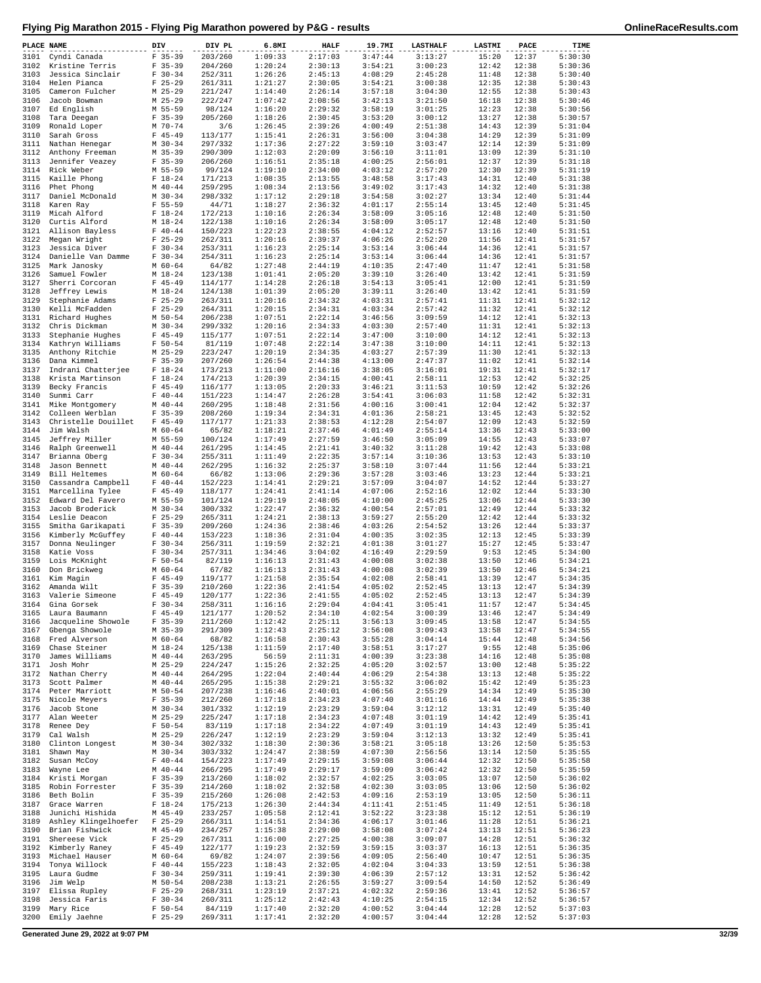| PLACE NAME   |                                        | DIV                      | DIV PL             | 6.8MI              | <b>HALF</b>        | 19.7MI             | <b>LASTHALF</b>    | LASTMI         | PACE           | TIME               |
|--------------|----------------------------------------|--------------------------|--------------------|--------------------|--------------------|--------------------|--------------------|----------------|----------------|--------------------|
| 3101         | Cyndi Canada                           | $F$ 35-39                | 203/260            | 1:09:33            | 2:17:03            | 3:47:44            | 3:13:27            | 15:20          | 12:37          | 5:30:30            |
| 3102         | Kristine Terris                        | $F$ 35-39                | 204/260            | 1:20:24            | 2:30:13            | 3:54:21            | 3:00:23            | 12:42          | 12:38          | 5:30:36            |
| 3103         | Jessica Sinclair                       | $F 30-34$                | 252/311            | 1:26:26            | 2:45:13            | 4:08:29            | 2:45:28            | 11:48          | 12:38          | 5:30:40            |
| 3104         | Helen Pianca                           | $F$ 25-29                | 261/311            | 1:21:27            | 2:30:05            | 3:54:21            | 3:00:38            | 12:35          | 12:38          | 5:30:43            |
| 3105<br>3106 | Cameron Fulcher<br>Jacob Bowman        | $M$ 25-29<br>$M$ 25-29   | 221/247<br>222/247 | 1:14:40<br>1:07:42 | 2:26:14<br>2:08:56 | 3:57:18<br>3:42:13 | 3:04:30<br>3:21:50 | 12:55<br>16:18 | 12:38<br>12:38 | 5:30:43<br>5:30:46 |
| 3107         | Ed English                             | M 55-59                  | 98/124             | 1:16:20            | 2:29:32            | 3:58:19            | 3:01:25            | 12:23          | 12:38          | 5:30:56            |
| 3108         | Tara Deegan                            | $F$ 35-39                | 205/260            | 1:18:26            | 2:30:45            | 3:53:20            | 3:00:12            | 13:27          | 12:38          | 5:30:57            |
| 3109         | Ronald Loper                           | M 70-74                  | 3/6                | 1:26:45            | 2:39:26            | 4:00:49            | 2:51:38            | 14:43          | 12:39          | 5:31:04            |
| 3110         | Sarah Gross                            | $F$ 45-49                | 113/177            | 1:15:41            | 2:26:31            | 3:56:00            | 3:04:38            | 14:29          | 12:39          | 5:31:09            |
| 3111         | Nathan Henegar                         | $M$ 30-34                | 297/332            | 1:17:36            | 2:27:22            | 3:59:10            | 3:03:47            | 12:14          | 12:39          | 5:31:09            |
| 3112         | Anthony Freeman                        | $M$ 35-39                | 290/309            | 1:12:03            | 2:20:09            | 3:56:10            | 3:11:01            | 13:09          | 12:39          | 5:31:10            |
| 3113         | Jennifer Veazey                        | $F$ 35-39                | 206/260            | 1:16:51            | 2:35:18            | 4:00:25<br>4:03:12 | 2:56:01<br>2:57:20 | 12:37<br>12:30 | 12:39          | 5:31:18<br>5:31:19 |
| 3114<br>3115 | Rick Weber<br>Kaille Phong             | M 55-59<br>$F 18-24$     | 99/124<br>171/213  | 1:19:10<br>1:08:35 | 2:34:00<br>2:13:55 | 3:48:58            | 3:17:43            | 14:31          | 12:39<br>12:40 | 5:31:38            |
|              | 3116 Phet Phong                        | $M$ 40-44                | 259/295            | 1:08:34            | 2:13:56            | 3:49:02            | 3:17:43            | 14:32          | 12:40          | 5:31:38            |
| 3117         | Daniel McDonald                        | $M$ 30-34                | 298/332            | 1:17:12            | 2:29:18            | 3:54:58            | 3:02:27            | 13:34          | 12:40          | 5:31:44            |
| 3118         | Karen Ray                              | $F 55 - 59$              | 44/71              | 1:18:27            | 2:36:32            | 4:01:17            | 2:55:14            | 13:45          | 12:40          | 5:31:45            |
| 3119         | Micah Alford                           | $F 18-24$                | 172/213            | 1:10:16            | 2:26:34            | 3:58:09            | 3:05:16            | 12:48          | 12:40          | 5:31:50            |
| 3120         | Curtis Alford                          | $M_18-24$                | 122/138            | 1:10:16            | 2:26:34            | 3:58:09            | 3:05:17            | 12:48          | 12:40          | 5:31:50            |
| 3121         | Allison Bayless                        | $F 40 - 44$              | 150/223            | 1:22:23            | 2:38:55            | 4:04:12            | 2:52:57            | 13:16          | 12:40          | 5:31:51            |
| 3123         | 3122 Megan Wright<br>Jessica Diver     | $F$ 25-29<br>$F 30-34$   | 262/311<br>253/311 | 1:20:16<br>1:16:23 | 2:39:37<br>2:25:14 | 4:06:26<br>3:53:14 | 2:52:20<br>3:06:44 | 11:56<br>14:36 | 12:41<br>12:41 | 5:31:57<br>5:31:57 |
| 3124         | Danielle Van Damme                     | $F 30-34$                | 254/311            | 1:16:23            | 2:25:14            | 3:53:14            | 3:06:44            | 14:36          | 12:41          | 5:31:57            |
| 3125         | Mark Janosky                           | $M$ 60-64                | 64/82              | 1:27:48            | 2:44:19            | 4:10:35            | 2:47:40            | 11:47          | 12:41          | 5:31:58            |
| 3126         | Samuel Fowler                          | $M_18-24$                | 123/138            | 1:01:41            | 2:05:20            | 3:39:10            | 3:26:40            | 13:42          | 12:41          | 5:31:59            |
| 3127         | Sherri Corcoran                        | $F$ 45-49                | 114/177            | 1:14:28            | 2:26:18            | 3:54:13            | 3:05:41            | 12:00          | 12:41          | 5:31:59            |
| 3128         | Jeffrey Lewis                          | $M_18-24$                | 124/138            | 1:01:39            | 2:05:20            | 3:39:11            | 3:26:40            | 13:42          | 12:41          | 5:31:59            |
| 3129         | Stephanie Adams                        | $F$ 25-29                | 263/311            | 1:20:16            | 2:34:32            | 4:03:31            | 2:57:41            | 11:31          | 12:41          | 5:32:12            |
| 3130         | Kelli McFadden                         | $F$ 25-29                | 264/311            | 1:20:15            | 2:34:31            | 4:03:34            | 2:57:42            | 11:32<br>14:12 | 12:41          | 5:32:12            |
| 3131<br>3132 | Richard Hughes<br>Chris Dickman        | M 50-54<br>$M$ 30-34     | 206/238<br>299/332 | 1:07:51<br>1:20:16 | 2:22:14<br>2:34:33 | 3:46:56<br>4:03:30 | 3:09:59<br>2:57:40 | 11:31          | 12:41<br>12:41 | 5:32:13<br>5:32:13 |
| 3133         | Stephanie Hughes                       | $F$ 45-49                | 115/177            | 1:07:51            | 2:22:14            | 3:47:00            | 3:10:00            | 14:12          | 12:41          | 5:32:13            |
| 3134         | Kathryn Williams                       | $F 50 - 54$              | 81/119             | 1:07:48            | 2:22:14            | 3:47:38            | 3:10:00            | 14:11          | 12:41          | 5:32:13            |
| 3135         | Anthony Ritchie                        | $M$ 25-29                | 223/247            | 1:20:19            | 2:34:35            | 4:03:27            | 2:57:39            | 11:30          | 12:41          | 5:32:13            |
| 3136         | Dana Kimmel                            | $F$ 35-39                | 207/260            | 1:26:54            | 2:44:38            | 4:13:00            | 2:47:37            | 11:02          | 12:41          | 5:32:14            |
| 3137         | Indrani Chatterjee                     | $F 18-24$                | 173/213            | 1:11:00            | 2:16:16            | 3:38:05            | 3:16:01            | 19:31          | 12:41          | 5:32:17            |
| 3138         | Krista Martinson                       | $F 18-24$                | 174/213            | 1:20:39            | 2:34:15            | 4:00:41            | 2:58:11            | 12:53          | 12:42          | 5:32:25            |
| 3139         | Becky Francis                          | $F$ 45-49                | 116/177            | 1:13:05            | 2:20:33            | 3:46:21            | 3:11:53            | 10:59          | 12:42          | 5:32:26            |
| 3140         | Sunmi Carr                             | $F 40 - 44$              | 151/223            | 1:14:47            | 2:26:28            | 3:54:41            | 3:06:03            | 11:58          | 12:42          | 5:32:31            |
| 3141<br>3142 | Mike Montgomery<br>Colleen Werblan     | $M$ 40-44<br>$F$ 35-39   | 260/295<br>208/260 | 1:18:48<br>1:19:34 | 2:31:56<br>2:34:31 | 4:00:16<br>4:01:36 | 3:00:41<br>2:58:21 | 12:04<br>13:45 | 12:42<br>12:43 | 5:32:37<br>5:32:52 |
| 3143         | Christelle Douillet                    | $F$ 45-49                | 117/177            | 1:21:33            | 2:38:53            | 4:12:28            | 2:54:07            | 12:09          | 12:43          | 5:32:59            |
| 3144         | Jim Walsh                              | $M$ 60-64                | 65/82              | 1:18:21            | 2:37:46            | 4:01:49            | 2:55:14            | 13:36          | 12:43          | 5:33:00            |
| 3145         | Jeffrey Miller                         | M 55-59                  | 100/124            | 1:17:49            | 2:27:59            | 3:46:50            | 3:05:09            | 14:55          | 12:43          | 5:33:07            |
| 3146         | Ralph Greenwell                        | $M$ 40-44                | 261/295            | 1:14:45            | 2:21:41            | 3:40:32            | 3:11:28            | 19:42          | 12:43          | 5:33:08            |
| 3147         | Brianna Oberg                          | $F 30-34$                | 255/311            | 1:11:49            | 2:22:35            | 3:57:14            | 3:10:36            | 13:53          | 12:43          | 5:33:10            |
| 3148         | Jason Bennett                          | $M$ 40-44                | 262/295            | 1:16:32            | 2:25:37            | 3:58:10            | 3:07:44            | 11:56          | 12:44          | 5:33:21            |
| 3149         | Bill Heltemes                          | $M$ 60-64                | 66/82              | 1:13:06            | 2:29:36            | 3:57:28            | 3:03:46            | 13:23          | 12:44          | 5:33:21            |
| 3150<br>3151 | Cassandra Campbell<br>Marcellina Tylee | $F 40 - 44$<br>$F$ 45-49 | 152/223<br>118/177 | 1:14:41<br>1:24:41 | 2:29:21<br>2:41:14 | 3:57:09<br>4:07:06 | 3:04:07<br>2:52:16 | 14:52<br>12:02 | 12:44<br>12:44 | 5:33:27<br>5:33:30 |
|              | 3152 Edward Del Favero                 | M 55-59                  | 101/124            | 1:29:19            | 2:48:05            | 4:10:00            | 2:45:25            | 13:06          | 12:44          | 5:33:30            |
| 3153         | Jacob Broderick                        | $M$ 30-34                | 300/332            | 1:22:47            | 2:36:32            | 4:00:54            | 2:57:01            | 12:49          | 12:44          | 5:33:32            |
| 3154         | Leslie Deacon                          | $F$ 25-29                | 265/311            | 1:24:21            | 2:38:13            | 3:59:27            | 2:55:20            | 12:42          | 12:44          | 5:33:32            |
| 3155         | Smitha Garikapati                      | $F$ 35-39                | 209/260            | 1:24:36            | 2:38:46            | 4:03:26            | 2:54:52            | 13:26          | 12:44          | 5:33:37            |
| 3156         | Kimberly McGuffey                      | $F 40 - 44$              | 153/223            | 1:18:36            | 2:31:04            | 4:00:35            | 3:02:35            | 12:13          | 12:45          | 5:33:39            |
| 3157         | Donna Neulinger                        | $F 30-34$                | 256/311            | 1:19:59            | 2:32:21            | 4:01:38            | 3:01:27            | 15:27          | 12:45          | 5:33:47            |
| 3158         | Katie Voss                             | $F 30-34$                | 257/311            | 1:34:46            | 3:04:02            | 4:16:49            | 2:29:59            | 9:53<br>13:50  | 12:45          | 5:34:00            |
| 3159<br>3160 | Lois McKnight<br>Don Brickweg          | $F 50 - 54$<br>M 60-64   | 82/119<br>67/82    | 1:16:13<br>1:16:13 | 2:31:43<br>2:31:43 | 4:00:08<br>4:00:08 | 3:02:38<br>3:02:39 | 13:50          | 12:46<br>12:46 | 5:34:21<br>5:34:21 |
| 3161         | Kim Magin                              | $F$ 45-49                | 119/177            | 1:21:58            | 2:35:54            | 4:02:08            | 2:58:41            | 13:39          | 12:47          | 5:34:35            |
| 3162         | Amanda Wilt                            | $F$ 35-39                | 210/260            | 1:22:36            | 2:41:54            | 4:05:02            | 2:52:45            | 13:13          | 12:47          | 5:34:39            |
|              | 3163 Valerie Simeone                   | $F$ 45-49                | 120/177            | 1:22:36            | 2:41:55            | 4:05:02            | 2:52:45            | 13:13          | 12:47          | 5:34:39            |
|              | 3164 Gina Gorsek                       | $F 30-34$                | 258/311            | 1:16:16            | 2:29:04            | 4:04:41            | 3:05:41            | 11:57          | 12:47          | 5:34:45            |
| 3165         | Laura Baumann                          | $F$ 45-49                | 121/177            | 1:20:52            | 2:34:10            | 4:02:54            | 3:00:39            | 13:46          | 12:47          | 5:34:49            |
| 3166         | Jacqueline Showole                     | $F$ 35-39                | 211/260            | 1:12:42            | 2:25:11<br>2:25:12 | 3:56:13            | 3:09:45            | 13:58          | 12:47          | 5:34:55            |
| 3167<br>3168 | Gbenga Showole<br>Fred Alverson        | $M$ 35-39<br>$M$ 60-64   | 291/309<br>68/82   | 1:12:43<br>1:16:58 | 2:30:43            | 3:56:08<br>3:55:28 | 3:09:43<br>3:04:14 | 13:58<br>15:44 | 12:47<br>12:48 | 5:34:55<br>5:34:56 |
| 3169         | Chase Steiner                          | $M_18-24$                | 125/138            | 1:11:59            | 2:17:40            | 3:58:51            | 3:17:27            | 9:55           | 12:48          | 5:35:06            |
| 3170         | James Williams                         | $M$ 40-44                | 263/295            | 56:59              | 2:11:31            | 4:00:39            | 3:23:38            | 14:16          | 12:48          | 5:35:08            |
| 3171         | Josh Mohr                              | $M$ 25-29                | 224/247            | 1:15:26            | 2:32:25            | 4:05:20            | 3:02:57            | 13:00          | 12:48          | 5:35:22            |
| 3172         | Nathan Cherry                          | $M$ 40-44                | 264/295            | 1:22:04            | 2:40:44            | 4:06:29            | 2:54:38            | 13:13          | 12:48          | 5:35:22            |
| 3173         | Scott Palmer                           | $M$ 40-44                | 265/295            | 1:15:38            | 2:29:21            | 3:55:32            | 3:06:02            | 15:42          | 12:49          | 5:35:23            |
| 3174         | Peter Marriott                         | $M$ 50-54                | 207/238            | 1:16:46            | 2:40:01            | 4:06:56            | 2:55:29            | 14:34          | 12:49          | 5:35:30            |
| 3175<br>3176 | Nicole Meyers<br>Jacob Stone           | $F$ 35-39<br>$M$ 30-34   | 212/260<br>301/332 | 1:17:18<br>1:12:19 | 2:34:23<br>2:23:29 | 4:07:40<br>3:59:04 | 3:01:16<br>3:12:12 | 14:44<br>13:31 | 12:49<br>12:49 | 5:35:38<br>5:35:40 |
| 3177         | Alan Weeter                            | $M$ 25-29                | 225/247            | 1:17:18            | 2:34:23            | 4:07:48            | 3:01:19            | 14:42          | 12:49          | 5:35:41            |
| 3178         | Renee Dey                              | $F 50 - 54$              | 83/119             | 1:17:18            | 2:34:22            | 4:07:49            | 3:01:19            | 14:43          | 12:49          | 5:35:41            |
| 3179         | Cal Walsh                              | $M$ 25-29                | 226/247            | 1:12:19            | 2:23:29            | 3:59:04            | 3:12:13            | 13:32          | 12:49          | 5:35:41            |
| 3180         | Clinton Longest                        | $M$ 30-34                | 302/332            | 1:18:30            | 2:30:36            | 3:58:21            | 3:05:18            | 13:26          | 12:50          | 5:35:53            |
| 3181         | Shawn May                              | $M$ 30-34                | 303/332            | 1:24:47            | 2:38:59            | 4:07:30            | 2:56:56            | 13:14          | 12:50          | 5:35:55            |
| 3182         | Susan McCoy                            | $F 40 - 44$              | 154/223            | 1:17:49            | 2:29:15            | 3:59:08            | 3:06:44            | 12:32          | 12:50          | 5:35:58            |
| 3183         | Wayne Lee                              | $M$ 40-44                | 266/295            | 1:17:49            | 2:29:17            | 3:59:09            | 3:06:42            | 12:32          | 12:50          | 5:35:59            |
| 3184         | Kristi Morgan                          | $F$ 35-39                | 213/260            | 1:18:02            | 2:32:57            | 4:02:25            | 3:03:05            | 13:07          | 12:50          | 5:36:02<br>5:36:02 |
| 3185<br>3186 | Robin Forrester<br>Beth Bolin          | $F$ 35-39<br>$F$ 35-39   | 214/260<br>215/260 | 1:18:02<br>1:26:08 | 2:32:58<br>2:42:53 | 4:02:30<br>4:09:16 | 3:03:05<br>2:53:19 | 13:06<br>13:05 | 12:50<br>12:50 | 5:36:11            |
| 3187         | Grace Warren                           | $F 18-24$                | 175/213            | 1:26:30            | 2:44:34            | 4:11:41            | 2:51:45            | 11:49          | 12:51          | 5:36:18            |
| 3188         | Junichi Hishida                        | $M$ 45-49                | 233/257            | 1:05:58            | 2:12:41            | 3:52:22            | 3:23:38            | 15:12          | 12:51          | 5:36:19            |
| 3189         | Ashley Klingelhoefer                   | $F$ 25-29                | 266/311            | 1:14:51            | 2:34:36            | 4:06:17            | 3:01:46            | 11:28          | 12:51          | 5:36:21            |
| 3190         | Brian Fishwick                         | $M$ 45-49                | 234/257            | 1:15:38            | 2:29:00            | 3:58:08            | 3:07:24            | 13:13          | 12:51          | 5:36:23            |
| 3191         | Shereese Vick                          | $F$ 25-29                | 267/311            | 1:16:00            | 2:27:25            | 4:00:38            | 3:09:07            | 14:28          | 12:51          | 5:36:32            |
| 3192         | Kimberly Raney                         | $F$ 45-49                | 122/177            | 1:19:23            | 2:32:59            | 3:59:15            | 3:03:37            | 16:13          | 12:51          | 5:36:35            |
| 3193<br>3194 | Michael Hauser<br>Tonya Willock        | $M$ 60-64<br>$F 40 - 44$ | 69/82<br>155/223   | 1:24:07<br>1:18:43 | 2:39:56<br>2:32:05 | 4:09:05<br>4:02:04 | 2:56:40<br>3:04:33 | 10:47<br>13:59 | 12:51<br>12:51 | 5:36:35<br>5:36:38 |
| 3195         | Laura Gudme                            | $F 30-34$                | 259/311            | 1:19:41            | 2:39:30            | 4:06:39            | 2:57:12            | 13:31          | 12:52          | 5:36:42            |
| 3196         | Jim Welp                               | M 50-54                  | 208/238            | 1:13:21            | 2:26:55            | 3:59:27            | 3:09:54            | 14:50          | 12:52          | 5:36:49            |
| 3197         | Elissa Rupley                          | $F$ 25-29                | 268/311            | 1:23:19            | 2:37:21            | 4:02:32            | 2:59:36            | 13:41          | 12:52          | 5:36:57            |
| 3198         | Jessica Faris                          | $F 30-34$                | 260/311            | 1:25:12            | 2:42:43            | 4:10:25            | 2:54:15            | 12:34          | 12:52          | 5:36:57            |
| 3199         | Mary Rice                              | $F 50 - 54$              | 84/119             | 1:17:40            | 2:32:20            | 4:00:52            | 3:04:44            | 12:28          | 12:52          | 5:37:03            |
| 3200         | Emily Jaehne                           | $F$ 25-29                | 269/311            | 1:17:41            | 2:32:20            | 4:00:57            | 3:04:44            | 12:28          | 12:52          | 5:37:03            |

**Generated June 29, 2022 at 9:07 PM 32/39**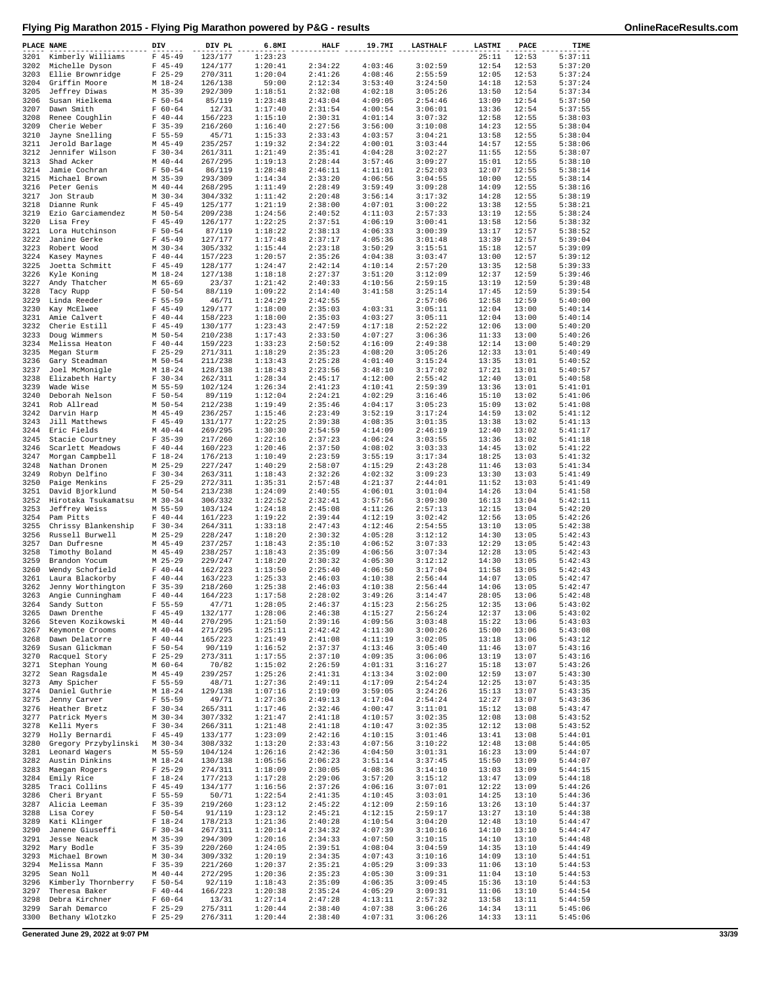| PLACE NAME   |                                                | DIV                      | DIV PL             | 6.8MI              | <b>HALF</b>        | 19.7MI             | <b>LASTHALF</b>    | <b>LASTMI</b>  | PACE           | TIME               |
|--------------|------------------------------------------------|--------------------------|--------------------|--------------------|--------------------|--------------------|--------------------|----------------|----------------|--------------------|
| 3201         | Kimberly Williams                              | $F$ 45-49                | 123/177            | 1:23:23            |                    |                    |                    | 25:11          | 12:53          | 5:37:11            |
| 3202         | Michelle Dyson                                 | $F$ 45-49                | 124/177            | 1:20:41            | 2:34:22            | 4:03:46            | 3:02:59            | 12:54          | 12:53          | 5:37:20            |
| 3203         | Ellie Brownridge                               | $F$ 25-29                | 270/311            | 1:20:04            | 2:41:26            | 4:08:46            | 2:55:59            | 12:05          | 12:53          | 5:37:24            |
| 3204         | Griffin Moore                                  | $M_18-24$                | 126/138            | 59:00              | 2:12:34            | 3:53:40            | 3:24:50            | 14:18          | 12:53          | 5:37:24            |
| 3205<br>3206 | Jeffrey Diwas<br>Susan Hielkema                | $M$ 35-39<br>$F 50 - 54$ | 292/309<br>85/119  | 1:18:51<br>1:23:48 | 2:32:08<br>2:43:04 | 4:02:18<br>4:09:05 | 3:05:26<br>2:54:46 | 13:50<br>13:09 | 12:54<br>12:54 | 5:37:34<br>5:37:50 |
| 3207         | Dawn Smith                                     | $F 60 - 64$              | 12/31              | 1:17:40            | 2:31:54            | 4:00:54            | 3:06:01            | 13:36          | 12:54          | 5:37:55            |
| 3208         | Renee Coughlin                                 | $F 40 - 44$              | 156/223            | 1:15:10            | 2:30:31            | 4:01:14            | 3:07:32            | 12:58          | 12:55          | 5:38:03            |
| 3209         | Cherie Weber                                   | $F$ 35-39                | 216/260            | 1:16:40            | 2:27:56            | 3:56:00            | 3:10:08            | 14:23          | 12:55          | 5:38:04            |
| 3210         | Jayne Snelling                                 | $F 55 - 59$              | 45/71              | 1:15:33            | 2:33:43            | 4:03:57            | 3:04:21            | 13:58          | 12:55          | 5:38:04            |
| 3211         | Jerold Barlage                                 | $M$ 45-49                | 235/257            | 1:19:32            | 2:34:22            | 4:00:01            | 3:03:44            | 14:57          | 12:55          | 5:38:06            |
| 3212         | Jennifer Wilson                                | $F 30-34$                | 261/311            | 1:21:49            | 2:35:41            | 4:04:28            | 3:02:27            | 11:55          | 12:55          | 5:38:07            |
| 3213         | Shad Acker                                     | $M$ 40-44<br>$F 50 - 54$ | 267/295            | 1:19:13<br>1:28:48 | 2:28:44            | 3:57:46            | 3:09:27<br>2:52:03 | 15:01          | 12:55          | 5:38:10<br>5:38:14 |
| 3214<br>3215 | Jamie Cochran<br>Michael Brown                 | $M$ 35-39                | 86/119<br>293/309  | 1:14:34            | 2:46:11<br>2:33:20 | 4:11:01<br>4:06:56 | 3:04:55            | 12:07<br>10:00 | 12:55<br>12:55 | 5:38:14            |
| 3216         | Peter Genis                                    | $M$ 40-44                | 268/295            | 1:11:49            | 2:28:49            | 3:59:49            | 3:09:28            | 14:09          | 12:55          | 5:38:16            |
| 3217         | Jon Straub                                     | $M$ 30-34                | 304/332            | 1:11:42            | 2:20:48            | 3:56:14            | 3:17:32            | 14:28          | 12:55          | 5:38:19            |
| 3218         | Dianne Runk                                    | $F$ 45-49                | 125/177            | 1:21:19            | 2:38:00            | 4:07:01            | 3:00:22            | 13:38          | 12:55          | 5:38:21            |
| 3219         | Ezio Garciamendez                              | $M$ 50-54                | 209/238            | 1:24:56            | 2:40:52            | 4:11:03            | 2:57:33            | 13:19          | 12:55          | 5:38:24            |
| 3220         | Lisa Frey                                      | $F$ 45-49                | 126/177            | 1:22:25            | 2:37:51            | 4:06:19            | 3:00:41            | 13:58          | 12:56          | 5:38:32            |
| 3221<br>3222 | Lora Hutchinson<br>Janine Gerke                | $F 50 - 54$<br>$F$ 45-49 | 87/119             | 1:18:22<br>1:17:48 | 2:38:13<br>2:37:17 | 4:06:33<br>4:05:36 | 3:00:39<br>3:01:48 | 13:17          | 12:57<br>12:57 | 5:38:52<br>5:39:04 |
| 3223         | Robert Wood                                    | $M$ 30-34                | 127/177<br>305/332 | 1:15:44            | 2:23:18            | 3:50:29            | 3:15:51            | 13:39<br>15:18 | 12:57          | 5:39:09            |
| 3224         | Kasey Maynes                                   | $F 40 - 44$              | 157/223            | 1:20:57            | 2:35:26            | 4:04:38            | 3:03:47            | 13:00          | 12:57          | 5:39:12            |
| 3225         | Joetta Schmitt                                 | $F$ 45-49                | 128/177            | 1:24:47            | 2:42:14            | 4:10:14            | 2:57:20            | 13:35          | 12:58          | 5:39:33            |
| 3226         | Kyle Koning                                    | $M 18-24$                | 127/138            | 1:18:18            | 2:27:37            | 3:51:20            | 3:12:09            | 12:37          | 12:59          | 5:39:46            |
| 3227         | Andy Thatcher                                  | M 65-69                  | 23/37              | 1:21:42            | 2:40:33            | 4:10:56            | 2:59:15            | 13:19          | 12:59          | 5:39:48            |
| 3228         | Tacy Rupp                                      | $F 50 - 54$              | 88/119             | 1:09:22            | 2:14:40            | 3:41:58            | 3:25:14            | 17:45          | 12:59          | 5:39:54            |
| 3229         | Linda Reeder                                   | $F 55 - 59$              | 46/71              | 1:24:29            | 2:42:55            |                    | 2:57:06<br>3:05:11 | 12:58          | 12:59          | 5:40:00            |
| 3230<br>3231 | Kay McElwee<br>Amie Calvert                    | $F$ 45-49<br>$F 40 - 44$ | 129/177<br>158/223 | 1:18:00<br>1:18:00 | 2:35:03<br>2:35:03 | 4:03:31<br>4:03:27 | 3:05:11            | 12:04<br>12:04 | 13:00<br>13:00 | 5:40:14<br>5:40:14 |
| 3232         | Cherie Estill                                  | $F$ 45-49                | 130/177            | 1:23:43            | 2:47:59            | 4:17:18            | 2:52:22            | 12:06          | 13:00          | 5:40:20            |
| 3233         | Doug Wimmers                                   | M 50-54                  | 210/238            | 1:17:43            | 2:33:50            | 4:07:27            | 3:06:36            | 11:33          | 13:00          | 5:40:26            |
| 3234         | Melissa Heaton                                 | $F 40 - 44$              | 159/223            | 1:33:23            | 2:50:52            | 4:16:09            | 2:49:38            | 12:14          | 13:00          | 5:40:29            |
| 3235         | Megan Sturm                                    | $F$ 25-29                | 271/311            | 1:18:29            | 2:35:23            | 4:08:20            | 3:05:26            | 12:33          | 13:01          | 5:40:49            |
| 3236         | Gary Steadman                                  | M 50-54                  | 211/238            | 1:13:43            | 2:25:28            | 4:01:40            | 3:15:24            | 13:35          | 13:01          | 5:40:52            |
| 3237         | Joel McMonigle                                 | $M_18-24$                | 128/138            | 1:18:43            | 2:23:56            | 3:48:10            | 3:17:02            | 17:21          | 13:01          | 5:40:57            |
| 3238         | Elizabeth Harty                                | $F 30-34$                | 262/311            | 1:28:34            | 2:45:17            | 4:12:00            | 2:55:42            | 12:40          | 13:01          | 5:40:58            |
| 3239<br>3240 | Wade Wise                                      | M 55-59                  | 102/124            | 1:26:34<br>1:12:04 | 2:41:23<br>2:24:21 | 4:10:41<br>4:02:29 | 2:59:39<br>3:16:46 | 13:36<br>15:10 | 13:01<br>13:02 | 5:41:01<br>5:41:06 |
| 3241         | Deborah Nelson<br>Rob Allread                  | $F 50 - 54$<br>M 50-54   | 89/119<br>212/238  | 1:19:49            | 2:35:46            | 4:04:17            | 3:05:23            | 15:09          | 13:02          | 5:41:08            |
| 3242         | Darvin Harp                                    | $M$ 45-49                | 236/257            | 1:15:46            | 2:23:49            | 3:52:19            | 3:17:24            | 14:59          | 13:02          | 5:41:12            |
| 3243         | Jill Matthews                                  | $F$ 45-49                | 131/177            | 1:22:25            | 2:39:38            | 4:08:35            | 3:01:35            | 13:38          | 13:02          | 5:41:13            |
| 3244         | Eric Fields                                    | $M$ 40-44                | 269/295            | 1:30:30            | 2:54:59            | 4:14:09            | 2:46:19            | 12:40          | 13:02          | 5:41:17            |
| 3245         | Stacie Courtney                                | $F$ 35-39                | 217/260            | 1:22:16            | 2:37:23            | 4:06:24            | 3:03:55            | 13:36          | 13:02          | 5:41:18            |
| 3246         | Scarlett Meadows                               | $F 40 - 44$              | 160/223            | 1:20:46            | 2:37:50            | 4:08:02            | 3:03:33            | 14:45          | 13:02          | 5:41:22            |
| 3247<br>3248 | Morgan Campbell                                | $F 18-24$<br>$M$ 25-29   | 176/213            | 1:10:49<br>1:40:29 | 2:23:59<br>2:58:07 | 3:55:19<br>4:15:29 | 3:17:34<br>2:43:28 | 18:25<br>11:46 | 13:03<br>13:03 | 5:41:32<br>5:41:34 |
| 3249         | Nathan Dronen<br>Robyn Delfino                 | $F 30-34$                | 227/247<br>263/311 | 1:18:43            | 2:32:26            | 4:02:32            | 3:09:23            | 13:30          | 13:03          | 5:41:49            |
| 3250         | Paige Menkins                                  | $F$ 25-29                | 272/311            | 1:35:31            | 2:57:48            | 4:21:37            | 2:44:01            | 11:52          | 13:03          | 5:41:49            |
| 3251         | David Bjorklund                                | M 50-54                  | 213/238            | 1:24:09            | 2:40:55            | 4:06:01            | 3:01:04            | 14:26          | 13:04          | 5:41:58            |
| 3252         | Hirotaka Tsukamatsu                            | $M$ 30-34                | 306/332            | 1:22:52            | 2:32:41            | 3:57:56            | 3:09:30            | 16:13          | 13:04          | 5:42:11            |
| 3253         | Jeffrey Weiss                                  | M 55-59                  | 103/124            | 1:24:18            | 2:45:08            | 4:11:26            | 2:57:13            | 12:15          | 13:04          | 5:42:20            |
| 3254         | Pam Pitts                                      | $F 40 - 44$              | 161/223            | 1:19:22            | 2:39:44            | 4:12:19            | 3:02:42            | 12:56          | 13:05          | 5:42:26            |
| 3255         | Chrissy Blankenship                            | $F 30-34$                | 264/311            | 1:33:18            | 2:47:43            | 4:12:46            | 2:54:55            | 13:10          | 13:05          | 5:42:38            |
| 3256<br>3257 | Russell Burwell<br>Dan Dufresne                | $M$ 25-29<br>$M$ 45-49   | 228/247<br>237/257 | 1:18:20<br>1:18:43 | 2:30:32<br>2:35:10 | 4:05:28<br>4:06:52 | 3:12:12<br>3:07:33 | 14:30<br>12:29 | 13:05<br>13:05 | 5:42:43<br>5:42:43 |
| 3258         | Timothy Boland                                 | M 45-49                  | 238/257            | 1:18:43            | 2:35:09            | 4:06:56            | 3:07:34            | 12:28          | 13:05          | 5:42:43            |
| 3259         | Brandon Yocum                                  | $M$ 25-29                | 229/247            | 1:18:20            | 2:30:32            | 4:05:30            | 3:12:12            | 14:30          | 13:05          | 5:42:43            |
| 3260         | Wendy Schofield                                | $F 40 - 44$              | 162/223            | 1:13:50            | 2:25:40            | 4:06:50            | 3:17:04            | 11:58          | 13:05          | 5:42:43            |
| 3261         | Laura Blackorby                                | $F 40 - 44$              | 163/223            | 1:25:33            | 2:46:03            | 4:10:38            | 2:56:44            | 14:07          | 13:05          | 5:42:47            |
| 3262         | Jenny Worthington                              | $F$ 35-39                | 218/260            | 1:25:38            | 2:46:03            | 4:10:38            | 2:56:44            | 14:06          | 13:05          | 5:42:47            |
|              | 3263 Angie Cunningham                          | $F 40 - 44$              | 164/223            | 1:17:58            | 2:28:02            | 3:49:26            | 3:14:47            | 28:05          | 13:06          | 5:42:48            |
|              | 3264 Sandy Sutton<br>3265 Dawn Drenthe         | $F 55 - 59$<br>$F$ 45-49 | 47/71<br>132/177   | 1:28:05<br>1:28:06 | 2:46:37<br>2:46:38 | 4:15:23<br>4:15:27 | 2:56:25<br>2:56:24 | 12:35<br>12:37 | 13:06<br>13:06 | 5:43:02<br>5:43:02 |
| 3266         | Steven Kozikowski                              | $M$ 40-44                | 270/295            | 1:21:50            | 2:39:16            | 4:09:56            | 3:03:48            | 15:22          | 13:06          | 5:43:03            |
| 3267         | Keymonte Crooms                                | $M$ 40-44                | 271/295            | 1:25:11            | 2:42:42            | 4:11:30            | 3:00:26            | 15:00          | 13:06          | 5:43:08            |
| 3268         | Dawn Delatorre                                 | $F 40 - 44$              | 165/223            | 1:21:49            | 2:41:08            | 4:11:19            | 3:02:05            | 13:18          | 13:06          | 5:43:12            |
| 3269         | Susan Glickman                                 | $F 50 - 54$              | 90/119             | 1:16:52            | 2:37:37            | 4:13:46            | 3:05:40            | 11:46          | 13:07          | 5:43:16            |
| 3270         | Racquel Story                                  | $F$ 25-29                | 273/311            | 1:17:55            | 2:37:10            | 4:09:35            | 3:06:06            | 13:19          | 13:07          | 5:43:16            |
| 3271<br>3272 | Stephan Young<br>Sean Ragsdale                 | M 60-64<br>$M$ 45-49     | 70/82<br>239/257   | 1:15:02<br>1:25:26 | 2:26:59<br>2:41:31 | 4:01:31<br>4:13:34 | 3:16:27<br>3:02:00 | 15:18<br>12:59 | 13:07<br>13:07 | 5:43:26<br>5:43:30 |
| 3273         | Amy Spicher                                    | $F 55 - 59$              | 48/71              | 1:27:36            | 2:49:11            | 4:17:09            | 2:54:24            | 12:25          | 13:07          | 5:43:35            |
| 3274         | Daniel Guthrie                                 | $M_18-24$                | 129/138            | 1:07:16            | 2:19:09            | 3:59:05            | 3:24:26            | 15:13          | 13:07          | 5:43:35            |
| 3275         | Jenny Carver                                   | F 55-59                  | 49/71              | 1:27:36            | 2:49:13            | 4:17:04            | 2:54:24            | 12:27          | 13:07          | 5:43:36            |
| 3276         | Heather Bretz                                  | $F 30-34$                | 265/311            | 1:17:46            | 2:32:46            | 4:00:47            | 3:11:01            | 15:12          | 13:08          | 5:43:47            |
| 3277         | Patrick Myers                                  | $M$ 30-34                | 307/332            | 1:21:47            | 2:41:18            | 4:10:57            | 3:02:35            | 12:08          | 13:08          | 5:43:52            |
| 3278         | Kelli Myers                                    | $F 30-34$                | 266/311            | 1:21:48            | 2:41:18            | 4:10:47            | 3:02:35            | 12:12          | 13:08          | 5:43:52            |
|              | 3279 Holly Bernardi                            | $F$ 45-49                | 133/177            | 1:23:09            | 2:42:16            | 4:10:15            | 3:01:46            | 13:41          | 13:08          | 5:44:01            |
| 3280<br>3281 | Gregory Przybylinski M 30-34<br>Leonard Wagers | M 55-59                  | 308/332<br>104/124 | 1:13:20<br>1:26:16 | 2:33:43<br>2:42:36 | 4:07:56<br>4:04:50 | 3:10:22<br>3:01:31 | 12:48<br>16:23 | 13:08<br>13:09 | 5:44:05<br>5:44:07 |
| 3282         | Austin Dinkins                                 | $M_18-24$                | 130/138            | 1:05:56            | 2:06:23            | 3:51:14            | 3:37:45            | 15:50          | 13:09          | 5:44:07            |
| 3283         | Maegan Rogers                                  | $F$ 25-29                | 274/311            | 1:18:09            | 2:30:05            | 4:08:36            | 3:14:10            | 13:03          | 13:09          | 5:44:15            |
| 3284         | Emily Rice                                     | $F 18-24$                | 177/213            | 1:17:28            | 2:29:06            | 3:57:20            | 3:15:12            | 13:47          | 13:09          | 5:44:18            |
| 3285         | Traci Collins                                  | $F$ 45-49                | 134/177            | 1:16:56            | 2:37:26            | 4:06:16            | 3:07:01            | 12:22          | 13:09          | 5:44:26            |
| 3286         | Cheri Bryant                                   | $F 55 - 59$              | 50/71              | 1:22:54            | 2:41:35            | 4:10:45            | 3:03:01            | 14:25          | 13:10          | 5:44:36            |
| 3287         | Alicia Leeman                                  | $F$ 35-39                | 219/260            | 1:23:12            | 2:45:22            | 4:12:09            | 2:59:16            | 13:26          | 13:10          | 5:44:37            |
| 3288         | Lisa Corey                                     | F 50-54                  | 91/119             | 1:23:12            | 2:45:21            | 4:12:15            | 2:59:17            | 13:27          | 13:10          | 5:44:38            |
| 3289<br>3290 | Kati Klinger<br>Janene Giuseffi                | $F 18-24$<br>$F 30-34$   | 178/213<br>267/311 | 1:21:36<br>1:20:14 | 2:40:28<br>2:34:32 | 4:10:54<br>4:07:39 | 3:04:20<br>3:10:16 | 12:48<br>14:10 | 13:10<br>13:10 | 5:44:47<br>5:44:47 |
| 3291         | Jesse Neack                                    | $M$ 35-39                | 294/309            | 1:20:16            | 2:34:33            | 4:07:50            | 3:10:15            | 14:10          | 13:10          | 5:44:48            |
| 3292         | Mary Bodle                                     | $F$ 35-39                | 220/260            | 1:24:05            | 2:39:51            | 4:08:04            | 3:04:59            | 14:35          | 13:10          | 5:44:49            |
| 3293         | Michael Brown                                  | M 30-34                  | 309/332            | 1:20:19            | 2:34:35            | 4:07:43            | 3:10:16            | 14:09          | 13:10          | 5:44:51            |
| 3294         | Melissa Mann                                   | F 35-39                  | 221/260            | 1:20:37            | 2:35:21            | 4:05:29            | 3:09:33            | 11:06          | 13:10          | 5:44:53            |
| 3295         | Sean Noll                                      | $M$ 40-44                | 272/295            | 1:20:36            | 2:35:23            | 4:05:30            | 3:09:31            | 11:04          | 13:10          | 5:44:53            |
| 3296<br>3297 | Kimberly Thornberry<br>Theresa Baker           | $F 50 - 54$<br>$F 40-44$ | 92/119<br>166/223  | 1:18:43<br>1:20:38 | 2:35:09<br>2:35:24 | 4:06:35<br>4:05:29 | 3:09:45<br>3:09:31 | 15:36<br>11:06 | 13:10<br>13:10 | 5:44:53<br>5:44:54 |
| 3298         | Debra Kirchner                                 | $F 60 - 64$              | 13/31              | 1:27:14            | 2:47:28            | 4:13:11            | 2:57:32            | 13:58          | 13:11          | 5:44:59            |
| 3299         | Sarah Demarco                                  | $F$ 25-29                | 275/311            | 1:20:44            | 2:38:40            | 4:07:38            | 3:06:26            | 14:34          | 13:11          | 5:45:06            |
| 3300         | Bethany Wlotzko                                | $F$ 25-29                | 276/311            | 1:20:44            | 2:38:40            | 4:07:31            | 3:06:26            | 14:33          | 13:11          | 5:45:06            |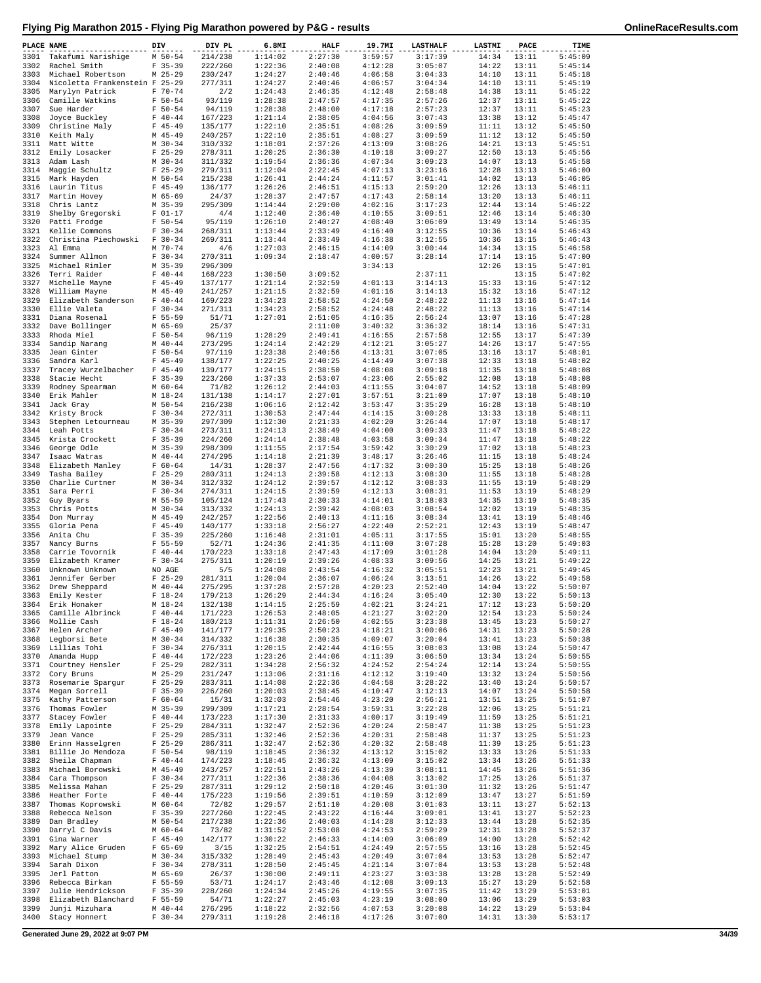|  | Flying Pig Marathon 2015 - Flying Pig Marathon powered by P&G - results |  |
|--|-------------------------------------------------------------------------|--|
|  |                                                                         |  |

| PLACE NAME   |                                                   | DIV                        | DIV PL             | 6.8MI              | <b>HALF</b>        | 19.7MI             | <b>LASTHALF</b>    | LASTMI                   | PACE           | TIME               |
|--------------|---------------------------------------------------|----------------------------|--------------------|--------------------|--------------------|--------------------|--------------------|--------------------------|----------------|--------------------|
| 3301         | Takafumi Narishiqe                                | $M$ 50-54                  | 214/238            | 1:14:02            | 2:27:30            | 3:59:57            | 3:17:39            | 14:34                    | 13:11          | 5:45:09            |
| 3302         | Rachel Smith                                      | $F$ 35-39                  | 222/260            | 1:22:36            | 2:40:08            | 4:12:28            | 3:05:07            | 14:22                    | 13:11          | 5:45:14            |
| 3303         | Michael Robertson                                 | $M$ 25-29                  | 230/247            | 1:24:27            | 2:40:46            | 4:06:58            | 3:04:33            | 14:10                    | 13:11          | 5:45:18            |
| 3304<br>3305 | Nicoletta Frankenstein F 25-29<br>Marylyn Patrick | $F 70 - 74$                | 277/311<br>2/2     | 1:24:27<br>1:24:43 | 2:40:46<br>2:46:35 | 4:06:57<br>4:12:48 | 3:04:34<br>2:58:48 | 14:10<br>14:38           | 13:11<br>13:11 | 5:45:19<br>5:45:22 |
| 3306         | Camille Watkins                                   | $F 50 - 54$                | 93/119             | 1:28:38            | 2:47:57            | 4:17:35            | 2:57:26            | 12:37                    | 13:11          | 5:45:22            |
| 3307         | Sue Harder                                        | $F 50 - 54$                | 94/119             | 1:28:38            | 2:48:00            | 4:17:18            | 2:57:23            | 12:37                    | 13:11          | 5:45:23            |
| 3308         | Joyce Buckley                                     | $F 40 - 44$                | 167/223            | 1:21:14            | 2:38:05            | 4:04:56            | 3:07:43            | 13:38                    | 13:12          | 5:45:47            |
| 3309         | Christine Maly                                    | $F$ 45-49                  | 135/177            | 1:22:10            | 2:35:51            | 4:08:26            | 3:09:59            | 11:11                    | 13:12          | 5:45:50            |
| 3310<br>3311 | Keith Maly<br>Matt Witte                          | $M$ 45-49<br>$M$ 30-34     | 240/257<br>310/332 | 1:22:10<br>1:18:01 | 2:35:51<br>2:37:26 | 4:08:27<br>4:13:09 | 3:09:59<br>3:08:26 | 11:12<br>14:21           | 13:12<br>13:13 | 5:45:50<br>5:45:51 |
| 3312         | Emily Losacker                                    | $F$ 25-29                  | 278/311            | 1:20:25            | 2:36:30            | 4:10:18            | 3:09:27            | 12:50                    | 13:13          | 5:45:56            |
| 3313         | Adam Lash                                         | $M$ 30-34                  | 311/332            | 1:19:54            | 2:36:36            | 4:07:34            | 3:09:23            | 14:07                    | 13:13          | 5:45:58            |
| 3314         | Maggie Schultz                                    | $F$ 25-29                  | 279/311            | 1:12:04            | 2:22:45            | 4:07:13            | 3:23:16            | 12:28                    | 13:13          | 5:46:00            |
| 3315         | Mark Hayden                                       | M 50-54                    | 215/238            | 1:26:41            | 2:44:24            | 4:11:57            | 3:01:41            | 14:02                    | 13:13          | 5:46:05            |
| 3316         | Laurin Titus                                      | $F$ 45-49                  | 136/177            | 1:26:26<br>1:28:37 | 2:46:51            | 4:15:13<br>4:17:43 | 2:59:20            | 12:26                    | 13:13          | 5:46:11<br>5:46:11 |
| 3317<br>3318 | Martin Hovey<br>Chris Lantz                       | M 65-69<br>$M$ 35-39       | 24/37<br>295/309   | 1:14:44            | 2:47:57<br>2:29:00 | 4:02:16            | 2:58:14<br>3:17:23 | 13:20<br>12:44           | 13:13<br>13:14 | 5:46:22            |
| 3319         | Shelby Gregorski                                  | $F 01-17$                  | 4/4                | 1:12:40            | 2:36:40            | 4:10:55            | 3:09:51            | 12:46                    | 13:14          | 5:46:30            |
| 3320         | Patti Frodge                                      | $F 50 - 54$                | 95/119             | 1:26:10            | 2:40:27            | 4:08:40            | 3:06:09            | 13:49                    | 13:14          | 5:46:35            |
|              | 3321 Kellie Commons                               | $F 30-34$                  | 268/311            | 1:13:44            | 2:33:49            | 4:16:40            | 3:12:55            | 10:36                    | 13:14          | 5:46:43            |
| 3322         | Christina Piechowski                              | $F 30-34$                  | 269/311            | 1:13:44            | 2:33:49            | 4:16:38            | 3:12:55            | 10:36                    | 13:15          | 5:46:43            |
| 3323<br>3324 | Al Emma<br>Summer Allmon                          | M 70-74<br>$F 30-34$       | 4/6<br>270/311     | 1:27:03<br>1:09:34 | 2:46:15<br>2:18:47 | 4:14:09<br>4:00:57 | 3:00:44<br>3:28:14 | 14:34<br>17:14           | 13:15<br>13:15 | 5:46:58<br>5:47:00 |
| 3325         | Michael Rimler                                    | $M$ 35-39                  | 296/309            |                    |                    | 3:34:13            |                    | 12:26                    | 13:15          | 5:47:01            |
| 3326         | Terri Raider                                      | $F 40 - 44$                | 168/223            | 1:30:50            | 3:09:52            |                    | 2:37:11            |                          | 13:15          | 5:47:02            |
| 3327         | Michelle Mayne                                    | $F$ 45-49                  | 137/177            | 1:21:14            | 2:32:59            | 4:01:13            | 3:14:13            | 15:33                    | 13:16          | 5:47:12            |
| 3328         | William Mayne                                     | $M$ 45-49                  | 241/257            | 1:21:15            | 2:32:59            | 4:01:16            | 3:14:13            | 15:32                    | 13:16          | 5:47:12            |
| 3329         | Elizabeth Sanderson                               | $F 40 - 44$                | 169/223            | 1:34:23            | 2:58:52<br>2:58:52 | 4:24:50<br>4:24:48 | 2:48:22            | 11:13                    | 13:16          | 5:47:14<br>5:47:14 |
| 3330<br>3331 | Ellie Valeta<br>Diana Rosenal                     | $F 30-34$<br>$F 55 - 59$   | 271/311<br>51/71   | 1:34:23<br>1:27:01 | 2:51:05            | 4:16:35            | 2:48:22<br>2:56:24 | 11:13<br>13:07           | 13:16<br>13:16 | 5:47:28            |
| 3332         | Dave Bollinger                                    | M 65-69                    | 25/37              |                    | 2:11:00            | 3:40:32            | 3:36:32            | 18:14                    | 13:16          | 5:47:31            |
| 3333         | Rhoda Miel                                        | $F 50 - 54$                | 96/119             | 1:28:29            | 2:49:41            | 4:16:55            | 2:57:58            | 12:55                    | 13:17          | 5:47:39            |
| 3334         | Sandip Narang                                     | $M$ 40-44                  | 273/295            | 1:24:14            | 2:42:29            | 4:12:21            | 3:05:27            | 14:26                    | 13:17          | 5:47:55            |
| 3335         | Jean Ginter                                       | $F 50 - 54$                | 97/119             | 1:23:38            | 2:40:56            | 4:13:31            | 3:07:05            | 13:16                    | 13:17          | 5:48:01            |
| 3336         | Sandra Karl                                       | $F$ 45-49                  | 138/177            | 1:22:25            | 2:40:25            | 4:14:49            | 3:07:38            | 12:33                    | 13:18          | 5:48:02            |
| 3337<br>3338 | Tracey Wurzelbacher<br>Stacie Hecht               | $F$ 45-49<br>$F$ 35-39     | 139/177<br>223/260 | 1:24:15<br>1:37:33 | 2:38:50<br>2:53:07 | 4:08:08<br>4:23:06 | 3:09:18<br>2:55:02 | 11:35<br>12:08           | 13:18<br>13:18 | 5:48:08<br>5:48:08 |
| 3339         | Rodney Spearman                                   | $M$ 60-64                  | 71/82              | 1:26:12            | 2:44:03            | 4:11:55            | 3:04:07            | 14:52                    | 13:18          | 5:48:09            |
| 3340         | Erik Mahler                                       | $M_18-24$                  | 131/138            | 1:14:17            | 2:27:01            | 3:57:51            | 3:21:09            | 17:07                    | 13:18          | 5:48:10            |
| 3341         | Jack Gray                                         | $M$ 50-54                  | 216/238            | 1:06:16            | 2:12:42            | 3:53:47            | 3:35:29            | 16:28                    | 13:18          | 5:48:10            |
| 3342         | Kristy Brock                                      | $F 30-34$                  | 272/311            | 1:30:53            | 2:47:44            | 4:14:15            | 3:00:28            | 13:33                    | 13:18          | 5:48:11            |
| 3343         | Stephen Letourneau                                | $M$ 35-39                  | 297/309            | 1:12:30            | 2:21:33            | 4:02:20            | 3:26:44            | 17:07                    | 13:18          | 5:48:17            |
| 3344         | Leah Potts<br>3345 Krista Crockett                | $F 30-34$<br>$F$ 35-39     | 273/311<br>224/260 | 1:24:13<br>1:24:14 | 2:38:49<br>2:38:48 | 4:04:00<br>4:03:58 | 3:09:33<br>3:09:34 | 11:47<br>11:47           | 13:18<br>13:18 | 5:48:22<br>5:48:22 |
| 3346         | George Odle                                       | $M$ 35-39                  | 298/309            | 1:11:55            | 2:17:54            | 3:59:42            | 3:30:29            | 17:02                    | 13:18          | 5:48:23            |
| 3347         | Isaac Watras                                      | $M$ 40-44                  | 274/295            | 1:14:18            | 2:21:39            | 3:48:17            | 3:26:46            | 11:15                    | 13:18          | 5:48:24            |
| 3348         | Elizabeth Manley                                  | $F 60 - 64$                | 14/31              | 1:28:37            | 2:47:56            | 4:17:32            | 3:00:30            | 15:25                    | 13:18          | 5:48:26            |
| 3349         | Tasha Bailey                                      | $F$ 25-29                  | 280/311            | 1:24:13            | 2:39:58            | 4:12:13            | 3:08:30            | 11:55                    | 13:18          | 5:48:28            |
| 3350<br>3351 | Charlie Curtner                                   | $M$ 30-34<br>$F 30-34$     | 312/332            | 1:24:12<br>1:24:15 | 2:39:57<br>2:39:59 | 4:12:12<br>4:12:13 | 3:08:33            | 11:55                    | 13:19<br>13:19 | 5:48:29<br>5:48:29 |
| 3352         | Sara Perri<br>Guy Byars                           | M 55-59                    | 274/311<br>105/124 | 1:17:43            | 2:30:33            | 4:14:01            | 3:08:31<br>3:18:03 | 11:53<br>14:35           | 13:19          | 5:48:35            |
| 3353         | Chris Potts                                       | $M$ 30-34                  | 313/332            | 1:24:13            | 2:39:42            | 4:08:03            | 3:08:54            | 12:02                    | 13:19          | 5:48:35            |
| 3354         | Don Murray                                        | $M$ 45-49                  | 242/257            | 1:22:56            | 2:40:13            | 4:11:16            | 3:08:34            | 13:41                    | 13:19          | 5:48:46            |
| 3355         | Gloria Pena                                       | $F$ 45-49                  | 140/177            | 1:33:18            | 2:56:27            | 4:22:40            | 2:52:21            | 12:43                    | 13:19          | 5:48:47            |
| 3356         | Anita Chu                                         | $F$ 35-39                  | 225/260            | 1:16:48            | 2:31:01            | 4:05:11            | 3:17:55            | 15:01                    | 13:20          | 5:48:55            |
| 3357<br>3358 | Nancy Burns<br>Carrie Tovornik                    | $F 55 - 59$<br>$F 40 - 44$ | 52/71<br>170/223   | 1:24:36<br>1:33:18 | 2:41:35<br>2:47:43 | 4:11:00<br>4:17:09 | 3:07:28<br>3:01:28 | 15:28<br>14:04           | 13:20<br>13:20 | 5:49:03<br>5:49:11 |
| 3359         | Elizabeth Kramer                                  | $F 30-34$                  | 275/311            | 1:20:19            | 2:39:26            | 4:08:33            | 3:09:56            | 14:25                    | 13:21          | 5:49:22            |
| 3360         | Unknown Unknown                                   | NO AGE                     | 5/5                | 1:24:08            | 2:43:54            | 4:16:32            | 3:05:51            | 12:23                    | 13:21          | 5:49:45            |
| 3361         | Jennifer Gerber                                   | $F$ 25-29                  | 281/311            | 1:20:04            | 2:36:07            | 4:06:24            | 3:13:51            | 14:26                    | 13:22          | 5:49:58            |
| 3362         | Drew Sheppard                                     | $M$ 40-44                  | 275/295            | 1:37:28            | 2:57:28            | 4:20:23            | 2:52:40            | 14:04                    | 13:22          | 5:50:07            |
|              | 3363 Emily Kester<br>3364 Erik Honaker            | $F 18-24$<br>$M_18-24$     | 179/213<br>132/138 | 1:26:29<br>1:14:15 | 2:44:34<br>2:25:59 | 4:16:24<br>4:02:21 | 3:05:40<br>3:24:21 | $12:30$ $13:22$<br>17:12 | 13:23          | 5:50:13<br>5:50:20 |
| 3365         | Camille Albrinck                                  | $F 40 - 44$                | 171/223            | 1:26:53            | 2:48:05            | 4:21:27            | 3:02:20            | 12:54                    | 13:23          | 5:50:24            |
| 3366         | Mollie Cash                                       | $F 18-24$                  | 180/213            | 1:11:31            | 2:26:50            | 4:02:55            | 3:23:38            | 13:45                    | 13:23          | 5:50:27            |
| 3367         | Helen Archer                                      | $F$ 45-49                  | 141/177            | 1:29:35            | 2:50:23            | 4:18:21            | 3:00:06            | 14:31                    | 13:23          | 5:50:28            |
| 3368         | Legborsi Bete                                     | $M$ 30-34                  | 314/332            | 1:16:38            | 2:30:35            | 4:09:07            | 3:20:04            | 13:41                    | 13:23          | 5:50:38            |
| 3369<br>3370 | Lillias Tohi<br>Amanda Hupp                       | $F 30-34$<br>$F 40 - 44$   | 276/311<br>172/223 | 1:20:15<br>1:23:26 | 2:42:44<br>2:44:06 | 4:16:55<br>4:11:39 | 3:08:03<br>3:06:50 | 13:08<br>13:34           | 13:24<br>13:24 | 5:50:47<br>5:50:55 |
| 3371         | Courtney Hensler                                  | $F$ 25-29                  | 282/311            | 1:34:28            | 2:56:32            | 4:24:52            | 2:54:24            | 12:14                    | 13:24          | 5:50:55            |
| 3372         | Cory Bruns                                        | $M$ 25-29                  | 231/247            | 1:13:06            | 2:31:16            | 4:12:12            | 3:19:40            | 13:32                    | 13:24          | 5:50:56            |
| 3373         | Rosemarie Spargur                                 | $F$ 25-29                  | 283/311            | 1:14:08            | 2:22:36            | 4:04:58            | 3:28:22            | 13:40                    | 13:24          | 5:50:57            |
| 3374         | Megan Sorrell                                     | $F$ 35-39                  | 226/260            | 1:20:03            | 2:38:45            | 4:10:47            | 3:12:13            | 14:07                    | 13:24          | 5:50:58            |
| 3375         | Kathy Patterson<br>Thomas Fowler                  | $F 60 - 64$                | 15/31              | 1:32:03            | 2:54:46            | 4:23:20            | 2:56:21            | 13:51                    | 13:25          | 5:51:07            |
| 3376<br>3377 | Stacey Fowler                                     | $M$ 35-39<br>$F 40 - 44$   | 299/309<br>173/223 | 1:17:21<br>1:17:30 | 2:28:54<br>2:31:33 | 3:59:31<br>4:00:17 | 3:22:28<br>3:19:49 | 12:06<br>11:59           | 13:25<br>13:25 | 5:51:21<br>5:51:21 |
| 3378         | Emily Lapointe                                    | $F$ 25-29                  | 284/311            | 1:32:47            | 2:52:36            | 4:20:24            | 2:58:47            | 11:38                    | 13:25          | 5:51:23            |
| 3379         | Jean Vance                                        | $F$ 25-29                  | 285/311            | 1:32:46            | 2:52:36            | 4:20:31            | 2:58:48            | 11:37                    | 13:25          | 5:51:23            |
| 3380         | Erinn Hasselgren                                  | $F$ 25-29                  | 286/311            | 1:32:47            | 2:52:36            | 4:20:32            | 2:58:48            | 11:39                    | 13:25          | 5:51:23            |
| 3381         | Billie Jo Mendoza                                 | $F 50 - 54$                | 98/119             | 1:18:45            | 2:36:32            | 4:13:12            | 3:15:02            | 13:33                    | 13:26          | 5:51:33            |
| 3382<br>3383 | Sheila Chapman<br>Michael Borowski                | $F 40 - 44$<br>$M$ 45-49   | 174/223<br>243/257 | 1:18:45<br>1:22:51 | 2:36:32<br>2:43:26 | 4:13:09<br>4:13:39 | 3:15:02<br>3:08:11 | 13:34<br>14:45           | 13:26<br>13:26 | 5:51:33<br>5:51:36 |
| 3384         | Cara Thompson                                     | $F 30-34$                  | 277/311            | 1:22:36            | 2:38:36            | 4:04:08            | 3:13:02            | 17:25                    | 13:26          | 5:51:37            |
| 3385         | Melissa Mahan                                     | $F$ 25-29                  | 287/311            | 1:29:12            | 2:50:18            | 4:20:46            | 3:01:30            | 11:32                    | 13:26          | 5:51:47            |
| 3386         | Heather Forte                                     | $F 40 - 44$                | 175/223            | 1:19:56            | 2:39:51            | 4:10:59            | 3:12:09            | 13:47                    | 13:27          | 5:51:59            |
| 3387         | Thomas Koprowski                                  | $M$ 60-64                  | 72/82              | 1:29:57            | 2:51:10            | 4:20:08            | 3:01:03            | 13:11                    | 13:27          | 5:52:13            |
| 3388<br>3389 | Rebecca Nelson<br>Dan Bradley                     | $F$ 35-39<br>$M$ 50-54     | 227/260<br>217/238 | 1:22:45<br>1:22:36 | 2:43:22<br>2:40:03 | 4:16:44<br>4:14:28 | 3:09:01<br>3:12:33 | 13:41<br>13:44           | 13:27<br>13:28 | 5:52:23<br>5:52:35 |
| 3390         | Darryl C Davis                                    | $M$ 60-64                  | 73/82              | 1:31:52            | 2:53:08            | 4:24:53            | 2:59:29            | 12:31                    | 13:28          | 5:52:37            |
| 3391         | Gina Warner                                       | $F$ 45-49                  | 142/177            | 1:30:22            | 2:46:33            | 4:14:09            | 3:06:09            | 14:00                    | 13:28          | 5:52:42            |
| 3392         | Mary Alice Gruden                                 | $F 65 - 69$                | 3/15               | 1:32:25            | 2:54:51            | 4:24:49            | 2:57:55            | 13:16                    | 13:28          | 5:52:45            |
| 3393         | Michael Stump                                     | $M$ 30-34                  | 315/332            | 1:28:49            | 2:45:43            | 4:20:49            | 3:07:04            | 13:53                    | 13:28          | 5:52:47            |
| 3394<br>3395 | Sarah Dixon<br>Jerl Patton                        | $F 30-34$<br>$M$ 65-69     | 278/311<br>26/37   | 1:28:50<br>1:30:00 | 2:45:45<br>2:49:11 | 4:21:14<br>4:23:27 | 3:07:04<br>3:03:38 | 13:53<br>13:28           | 13:28<br>13:28 | 5:52:48<br>5:52:49 |
| 3396         | Rebecca Birkan                                    | $F 55 - 59$                | 53/71              | 1:24:17            | 2:43:46            | 4:12:08            | 3:09:13            | 15:27                    | 13:29          | 5:52:58            |
| 3397         | Julie Hendrickson                                 | $F$ 35-39                  | 228/260            | 1:24:34            | 2:45:26            | 4:19:55            | 3:07:35            | 11:42                    | 13:29          | 5:53:01            |
| 3398         | Elizabeth Blanchard                               | $F 55 - 59$                | 54/71              | 1:22:27            | 2:45:03            | 4:23:19            | 3:08:00            | 13:06                    | 13:29          | 5:53:03            |
| 3399         | Junji Mizuhara                                    | $M$ 40-44                  | 276/295            | 1:18:22            | 2:32:56            | 4:07:53            | 3:20:08            | 14:22                    | 13:29          | 5:53:04            |
| 3400         | Stacy Honnert                                     | $F 30-34$                  | 279/311            | 1:19:28            | 2:46:18            | 4:17:26            | 3:07:00            | 14:31                    | 13:30          | 5:53:17            |

**Generated June 29, 2022 at 9:07 PM 34/39**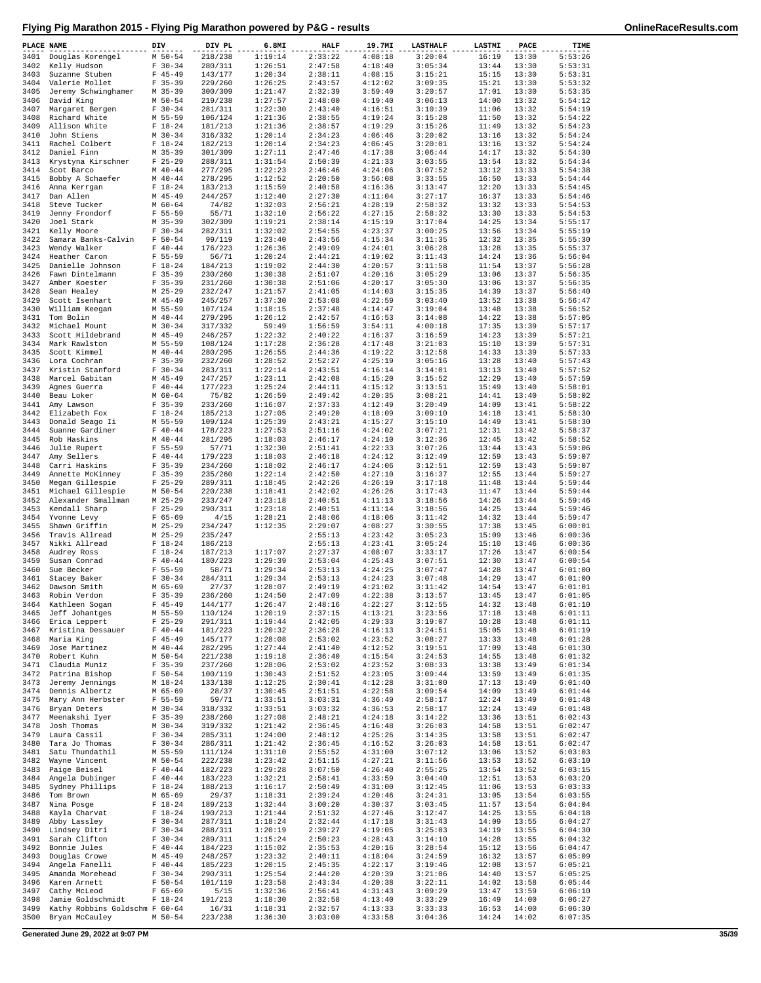| PLACE NAME   |                                    | DIV                        | DIV PL             | 6.8MI              | <b>HALF</b>        | 19.7MI             | <b>LASTHALF</b>    | LASTMI         | PACE            | TIME               |
|--------------|------------------------------------|----------------------------|--------------------|--------------------|--------------------|--------------------|--------------------|----------------|-----------------|--------------------|
| 3401         | Douglas Korengel                   | $M$ 50-54                  | 218/238            | 1:19:14            | 2:33:22            | 4:08:18            | 3:20:04            | 16:19          | 13:30           | 5:53:26            |
| 3402         | Kelly Hudson                       | $F 30-34$                  | 280/311            | 1:26:51            | 2:47:58            | 4:18:40            | 3:05:34            | 13:44          | 13:30           | 5:53:31            |
| 3403         | Suzanne Stuben                     | $F$ 45-49                  | 143/177            | 1:20:34            | 2:38:11            | 4:08:15            | 3:15:21            | 15:15          | 13:30           | 5:53:31            |
| 3404         | Valerie Mollet                     | $F$ 35-39                  | 229/260            | 1:26:25            | 2:43:57            | 4:12:02            | 3:09:35            | 15:21          | 13:30           | 5:53:32            |
| 3405<br>3406 | Jeremy Schwinghamer<br>David King  | $M$ 35-39<br>M 50-54       | 300/309<br>219/238 | 1:21:47<br>1:27:57 | 2:32:39<br>2:48:00 | 3:59:40<br>4:19:40 | 3:20:57<br>3:06:13 | 17:01<br>14:00 | 13:30<br>13:32  | 5:53:35<br>5:54:12 |
| 3407         | Margaret Bergen                    | $F 30-34$                  | 281/311            | 1:22:30            | 2:43:40            | 4:16:51            | 3:10:39            | 11:06          | 13:32           | 5:54:19            |
| 3408         | Richard White                      | M 55-59                    | 106/124            | 1:21:36            | 2:38:55            | 4:19:24            | 3:15:28            | 11:50          | 13:32           | 5:54:22            |
| 3409         | Allison White                      | $F 18-24$                  | 181/213            | 1:21:36            | 2:38:57            | 4:19:29            | 3:15:26            | 11:49          | 13:32           | 5:54:23            |
| 3410         | John Stiens                        | $M$ 30-34                  | 316/332            | 1:20:14            | 2:34:23            | 4:06:46            | 3:20:02            | 13:16          | 13:32           | 5:54:24            |
| 3411         | Rachel Colbert                     | $F 18 - 24$                | 182/213            | 1:20:14            | 2:34:23            | 4:06:45            | 3:20:01            | 13:16          | 13:32           | 5:54:24            |
| 3412         | Daniel Finn                        | $M$ 35-39                  | 301/309            | 1:27:11            | 2:47:46            | 4:17:38            | 3:06:44            | 14:17          | 13:32           | 5:54:30            |
| 3413         | Krystyna Kirschner                 | $F$ 25-29<br>$M$ 40-44     | 288/311<br>277/295 | 1:31:54<br>1:22:23 | 2:50:39<br>2:46:46 | 4:21:33<br>4:24:06 | 3:03:55<br>3:07:52 | 13:54          | 13:32<br>13:33  | 5:54:34<br>5:54:38 |
| 3414<br>3415 | Scot Barco<br>Bobby A Schaefer     | $M$ 40-44                  | 278/295            | 1:12:52            | 2:20:50            | 3:56:08            | 3:33:55            | 13:12<br>16:50 | 13:33           | 5:54:44            |
| 3416         | Anna Kerrgan                       | $F 18-24$                  | 183/213            | 1:15:59            | 2:40:58            | 4:16:36            | 3:13:47            | 12:20          | 13:33           | 5:54:45            |
| 3417         | Dan Allen                          | $M$ 45-49                  | 244/257            | 1:12:40            | 2:27:30            | 4:11:04            | 3:27:17            | 16:37          | 13:33           | 5:54:46            |
| 3418         | Steve Tucker                       | M 60-64                    | 74/82              | 1:32:03            | 2:56:21            | 4:28:19            | 2:58:32            | 13:32          | 13:33           | 5:54:53            |
| 3419         | Jenny Frondorf                     | $F 55 - 59$                | 55/71              | 1:32:10            | 2:56:22            | 4:27:15            | 2:58:32            | 13:30          | 13:33           | 5:54:53            |
| 3420         | Joel Stark                         | $M$ 35-39                  | 302/309            | 1:19:21            | 2:38:14            | 4:15:19            | 3:17:04            | 14:25          | 13:34           | 5:55:17            |
| 3421<br>3422 | Kelly Moore<br>Samara Banks-Calvin | $F 30-34$<br>$F 50 - 54$   | 282/311<br>99/119  | 1:32:02<br>1:23:40 | 2:54:55<br>2:43:56 | 4:23:37<br>4:15:34 | 3:00:25<br>3:11:35 | 13:56<br>12:32 | 13:34<br>13:35  | 5:55:19<br>5:55:30 |
| 3423         | Wendy Walker                       | $F 40 - 44$                | 176/223            | 1:26:36            | 2:49:09            | 4:24:01            | 3:06:28            | 13:28          | 13:35           | 5:55:37            |
| 3424         | Heather Caron                      | $F 55 - 59$                | 56/71              | 1:20:24            | 2:44:21            | 4:19:02            | 3:11:43            | 14:24          | 13:36           | 5:56:04            |
| 3425         | Danielle Johnson                   | $F 18-24$                  | 184/213            | 1:19:02            | 2:44:30            | 4:20:57            | 3:11:58            | 11:54          | 13:37           | 5:56:28            |
| 3426         | Fawn Dintelmann                    | $F$ 35-39                  | 230/260            | 1:30:38            | 2:51:07            | 4:20:16            | 3:05:29            | 13:06          | 13:37           | 5:56:35            |
| 3427         | Amber Koester                      | $F$ 35-39                  | 231/260            | 1:30:38            | 2:51:06            | 4:20:17            | 3:05:30            | 13:06          | 13:37           | 5:56:35            |
| 3428         | Sean Healey                        | $M$ 25-29                  | 232/247            | 1:21:57            | 2:41:05            | 4:14:03            | 3:15:35            | 14:39          | 13:37           | 5:56:40            |
| 3429<br>3430 | Scott Isenhart                     | M 45-49<br>M 55-59         | 245/257<br>107/124 | 1:37:30<br>1:18:15 | 2:53:08<br>2:37:48 | 4:22:59<br>4:14:47 | 3:03:40<br>3:19:04 | 13:52<br>13:48 | 13:38<br>13:38  | 5:56:47<br>5:56:52 |
| 3431         | William Keegan<br>Tom Bolin        | $M$ 40-44                  | 279/295            | 1:26:12            | 2:42:57            | 4:16:53            | 3:14:08            | 14:22          | 13:38           | 5:57:05            |
| 3432         | Michael Mount                      | $M$ 30-34                  | 317/332            | 59:49              | 1:56:59            | 3:54:11            | 4:00:18            | 17:35          | 13:39           | 5:57:17            |
| 3433         | Scott Hildebrand                   | $M$ 45-49                  | 246/257            | 1:22:32            | 2:40:22            | 4:16:37            | 3:16:59            | 14:23          | 13:39           | 5:57:21            |
| 3434         | Mark Rawlston                      | M 55-59                    | 108/124            | 1:17:28            | 2:36:28            | 4:17:48            | 3:21:03            | 15:10          | 13:39           | 5:57:31            |
| 3435         | Scott Kimmel                       | $M$ 40-44                  | 280/295            | 1:26:55            | 2:44:36            | 4:19:22            | 3:12:58            | 14:33          | 13:39           | 5:57:33            |
| 3436         | Lora Cochran                       | $F$ 35-39                  | 232/260            | 1:28:52            | 2:52:27            | 4:25:19            | 3:05:16            | 13:28          | 13:40           | 5:57:43            |
| 3437<br>3438 | Kristin Stanford<br>Marcel Gabitan | $F 30-34$<br>M 45-49       | 283/311<br>247/257 | 1:22:14<br>1:23:11 | 2:43:51<br>2:42:08 | 4:16:14<br>4:15:20 | 3:14:01<br>3:15:52 | 13:13<br>12:29 | 13:40<br>13:40  | 5:57:52<br>5:57:59 |
| 3439         | Agnes Guerra                       | $F 40 - 44$                | 177/223            | 1:25:24            | 2:44:11            | 4:15:12            | 3:13:51            | 15:49          | 13:40           | 5:58:01            |
| 3440         | Beau Loker                         | $M$ 60-64                  | 75/82              | 1:26:59            | 2:49:42            | 4:20:35            | 3:08:21            | 14:41          | 13:40           | 5:58:02            |
| 3441         | Amy Lawson                         | $F$ 35-39                  | 233/260            | 1:16:07            | 2:37:33            | 4:12:49            | 3:20:49            | 14:09          | 13:41           | 5:58:22            |
| 3442         | Elizabeth Fox                      | $F 18-24$                  | 185/213            | 1:27:05            | 2:49:20            | 4:18:09            | 3:09:10            | 14:18          | 13:41           | 5:58:30            |
| 3443         | Donald Seago Ii                    | M 55-59                    | 109/124            | 1:25:39            | 2:43:21            | 4:15:27            | 3:15:10            | 14:49          | 13:41           | 5:58:30            |
| 3444         | Suanne Gardiner                    | $F 40 - 44$                | 178/223            | 1:27:53            | 2:51:16            | 4:24:02            | 3:07:21            | 12:31          | 13:42           | 5:58:37            |
| 3445<br>3446 | Rob Haskins<br>Julie Rupert        | $M$ 40-44<br>$F 55 - 59$   | 281/295<br>57/71   | 1:18:03<br>1:32:30 | 2:46:17<br>2:51:41 | 4:24:10<br>4:22:33 | 3:12:36<br>3:07:26 | 12:45<br>13:44 | 13:42<br>13:43  | 5:58:52<br>5:59:06 |
| 3447         | Amy Sellers                        | $F 40 - 44$                | 179/223            | 1:18:03            | 2:46:18            | 4:24:12            | 3:12:49            | 12:59          | 13:43           | 5:59:07            |
| 3448         | Carri Haskins                      | $F$ 35-39                  | 234/260            | 1:18:02            | 2:46:17            | 4:24:06            | 3:12:51            | 12:59          | 13:43           | 5:59:07            |
| 3449         | Annette McKinney                   | $F$ 35-39                  | 235/260            | 1:22:14            | 2:42:50            | 4:27:10            | 3:16:37            | 12:55          | 13:44           | 5:59:27            |
| 3450         | Megan Gillespie                    | $F$ 25-29                  | 289/311            | 1:18:45            | 2:42:26            | 4:26:19            | 3:17:18            | 11:48          | 13:44           | 5:59:44            |
| 3451         | Michael Gillespie                  | M 50-54                    | 220/238            | 1:18:41            | 2:42:02            | 4:26:26            | 3:17:43            | 11:47          | 13:44           | 5:59:44            |
| 3452<br>3453 | Alexander Smallman                 | $M$ 25-29<br>$F$ 25-29     | 233/247            | 1:23:18            | 2:40:51<br>2:40:51 | 4:11:13            | 3:18:56            | 14:26          | 13:44           | 5:59:46<br>5:59:46 |
| 3454         | Kendall Sharp<br>Yvonne Levy       | $F 65 - 69$                | 290/311<br>4/15    | 1:23:18<br>1:28:21 | 2:48:06            | 4:11:14<br>4:18:06 | 3:18:56<br>3:11:42 | 14:25<br>14:32 | 13:44<br>13:44  | 5:59:47            |
| 3455         | Shawn Griffin                      | $M$ 25-29                  | 234/247            | 1:12:35            | 2:29:07            | 4:08:27            | 3:30:55            | 17:38          | 13:45           | 6:00:01            |
| 3456         | Travis Allread                     | $M$ 25-29                  | 235/247            |                    | 2:55:13            | 4:23:42            | 3:05:23            | 15:09          | 13:46           | 6:00:36            |
| 3457         | Nikki Allread                      | $F 18-24$                  | 186/213            |                    | 2:55:13            | 4:23:41            | 3:05:24            | 15:10          | 13:46           | 6:00:36            |
| 3458         | Audrey Ross                        | $F 18 - 24$                | 187/213            | 1:17:07            | 2:27:37            | 4:08:07            | 3:33:17            | 17:26          | 13:47           | 6:00:54            |
| 3459         | Susan Conrad                       | $F 40 - 44$                | 180/223            | 1:29:39            | 2:53:04            | 4:25:43            | 3:07:51            | 12:30          | 13:47           | 6:00:54            |
| 3460<br>3461 | Sue Becker                         | $F 55 - 59$<br>$F 30-34$   | 58/71<br>284/311   | 1:29:34<br>1:29:34 | 2:53:13<br>2:53:13 | 4:24:25<br>4:24:23 | 3:07:47<br>3:07:48 | 14:28<br>14:29 | 13:47<br>13:47  | 6:01:00<br>6:01:00 |
| 3462         | Stacey Baker<br>Dawson Smith       | M 65-69                    | 27/37              | 1:28:07            | 2:49:19            | 4:21:02            | 3:11:42            | 14:54          | 13:47           | 6:01:01            |
|              | 3463 Robin Verdon                  | $F$ 35-39                  | 236/260            | 1:24:50            | 2:47:09            | 4:22:38            | 3:13:57            |                | $13:45$ $13:47$ | 6:01:05            |
| 3464         | Kathleen Sogan                     | $F$ 45-49                  | 144/177            | 1:26:47            | 2:48:16            | 4:22:27            | 3:12:55            | 14:32          | 13:48           | 6:01:10            |
| 3465         | Jeff Johantges                     | M 55-59                    | 110/124            | 1:20:19            | 2:37:15            | 4:13:21            | 3:23:56            | 17:18          | 13:48           | 6:01:11            |
| 3466         | Erica Leppert                      | $F$ 25-29                  | 291/311            | 1:19:44            | 2:42:05            | 4:29:33            | 3:19:07            | 10:28          | 13:48           | 6:01:11            |
| 3467         | Kristina Dessauer                  | $F 40 - 44$<br>$F$ 45-49   | 181/223            | 1:20:32            | 2:36:28            | 4:16:13            | 3:24:51            | 15:05          | 13:48           | 6:01:19            |
| 3468<br>3469 | Maria King<br>Jose Martinez        | $M$ 40-44                  | 145/177<br>282/295 | 1:28:08<br>1:27:44 | 2:53:02<br>2:41:40 | 4:23:52<br>4:12:52 | 3:08:27<br>3:19:51 | 13:33<br>17:09 | 13:48<br>13:48  | 6:01:28<br>6:01:30 |
| 3470         | Robert Kuhn                        | $M 50 - 54$                | 221/238            | 1:19:18            | 2:36:40            | 4:15:54            | 3:24:53            | 14:55          | 13:48           | 6:01:32            |
| 3471         | Claudia Muniz                      | $F$ 35-39                  | 237/260            | 1:28:06            | 2:53:02            | 4:23:52            | 3:08:33            | 13:38          | 13:49           | 6:01:34            |
| 3472         | Patrina Bishop                     | $F 50 - 54$                | 100/119            | 1:30:43            | 2:51:52            | 4:23:05            | 3:09:44            | 13:59          | 13:49           | 6:01:35            |
| 3473         | Jeremy Jennings                    | $M_1 18 - 24$              | 133/138            | 1:12:25            | 2:30:41            | 4:12:28            | 3:31:00            | 17:13          | 13:49           | 6:01:40            |
| 3474         | Dennis Albertz                     | $M$ 65-69                  | 28/37              | 1:30:45            | 2:51:51            | 4:22:58            | 3:09:54            | 14:09          | 13:49           | 6:01:44            |
| 3475<br>3476 | Mary Ann Herbster<br>Bryan Deters  | $F 55 - 59$<br>$M$ 30-34   | 59/71<br>318/332   | 1:33:51<br>1:33:51 | 3:03:31<br>3:03:32 | 4:36:49<br>4:36:53 | 2:58:17<br>2:58:17 | 12:24<br>12:24 | 13:49<br>13:49  | 6:01:48<br>6:01:48 |
| 3477         | Meenakshi Iyer                     | $F$ 35-39                  | 238/260            | 1:27:08            | 2:48:21            | 4:24:18            | 3:14:22            | 13:36          | 13:51           | 6:02:43            |
| 3478         | Josh Thomas                        | $M$ 30-34                  | 319/332            | 1:21:42            | 2:36:45            | 4:16:48            | 3:26:03            | 14:58          | 13:51           | 6:02:47            |
| 3479         | Laura Cassil                       | $F 30-34$                  | 285/311            | 1:24:00            | 2:48:12            | 4:25:26            | 3:14:35            | 13:58          | 13:51           | 6:02:47            |
| 3480         | Tara Jo Thomas                     | $F 30 - 34$                | 286/311            | 1:21:42            | 2:36:45            | 4:16:52            | 3:26:03            | 14:58          | 13:51           | 6:02:47            |
| 3481         | Satu Thundathil                    | M 55-59                    | 111/124            | 1:31:10            | 2:55:52            | 4:31:00            | 3:07:12            | 13:06          | 13:52           | 6:03:03            |
| 3482<br>3483 | Wayne Vincent<br>Paige Beisel      | M 50-54<br>$F 40 - 44$     | 222/238<br>182/223 | 1:23:42<br>1:29:28 | 2:51:15<br>3:07:50 | 4:27:21<br>4:26:40 | 3:11:56            | 13:53          | 13:52           | 6:03:10<br>6:03:15 |
| 3484         | Angela Dubinger                    | $F 40 - 44$                | 183/223            | 1:32:21            | 2:58:41            | 4:33:59            | 2:55:25<br>3:04:40 | 13:54<br>12:51 | 13:52<br>13:53  | 6:03:20            |
| 3485         | Sydney Phillips                    | $F 18-24$                  | 188/213            | 1:16:17            | 2:50:49            | 4:31:00            | 3:12:45            | 11:06          | 13:53           | 6:03:33            |
| 3486         | Tom Brown                          | $M$ 65-69                  | 29/37              | 1:18:31            | 2:39:24            | 4:20:46            | 3:24:31            | 13:05          | 13:54           | 6:03:55            |
| 3487         | Nina Posge                         | $F 18-24$                  | 189/213            | 1:32:44            | 3:00:20            | 4:30:37            | 3:03:45            | 11:57          | 13:54           | 6:04:04            |
| 3488         | Kayla Charvat                      | $F 18-24$                  | 190/213            | 1:21:44            | 2:51:32            | 4:27:46            | 3:12:47            | 14:25          | 13:55           | 6:04:18            |
| 3489         | Abby Lassley                       | $F 30-34$                  | 287/311            | 1:18:24            | 2:32:44            | 4:17:18            | 3:31:43            | 14:09          | 13:55           | 6:04:27            |
| 3490<br>3491 | Lindsey Ditri<br>Sarah Clifton     | $F 30-34$<br>$F 30-34$     | 288/311<br>289/311 | 1:20:19<br>1:15:24 | 2:39:27<br>2:50:23 | 4:19:05<br>4:28:43 | 3:25:03<br>3:14:10 | 14:19<br>14:28 | 13:55<br>13:55  | 6:04:30<br>6:04:32 |
| 3492         | Bonnie Jules                       | $F 40 - 44$                | 184/223            | 1:15:02            | 2:35:53            | 4:20:16            | 3:28:54            | 15:12          | 13:56           | 6:04:47            |
| 3493         | Douglas Crowe                      | $M$ 45-49                  | 248/257            | 1:23:32            | 2:40:11            | 4:18:04            | 3:24:59            | 16:32          | 13:57           | 6:05:09            |
| 3494         | Angela Fanelli                     | $F 40 - 44$                | 185/223            | 1:20:15            | 2:45:35            | 4:22:17            | 3:19:46            | 12:08          | 13:57           | 6:05:21            |
| 3495         | Amanda Morehead                    | $F 30-34$                  | 290/311            | 1:25:54            | 2:44:20            | 4:20:39            | 3:21:06            | 14:40          | 13:57           | 6:05:25            |
| 3496         | Karen Arnett                       | $F 50 - 54$                | 101/119            | 1:23:58            | 2:43:34            | 4:20:38            | 3:22:11            | 14:02          | 13:58           | 6:05:44            |
| 3497<br>3498 | Cathy McLeod<br>Jamie Goldschmidt  | $F 65 - 69$<br>$F 18 - 24$ | 5/15<br>191/213    | 1:32:36<br>1:18:30 | 2:56:41<br>2:32:58 | 4:31:43<br>4:13:40 | 3:09:29<br>3:33:29 | 13:47<br>16:49 | 13:59<br>14:00  | 6:06:10<br>6:06:27 |
| 3499         | Kathy Robbins Goldschm F 60-64     |                            | 16/31              | 1:18:31            | 2:32:57            | 4:13:33            | 3:33:33            | 16:53          | 14:00           | 6:06:30            |
| 3500         | Bryan McCauley                     | M 50-54                    | 223/238            | 1:36:30            | 3:03:00            | 4:33:58            | 3:04:36            | 14:24          | 14:02           | 6:07:35            |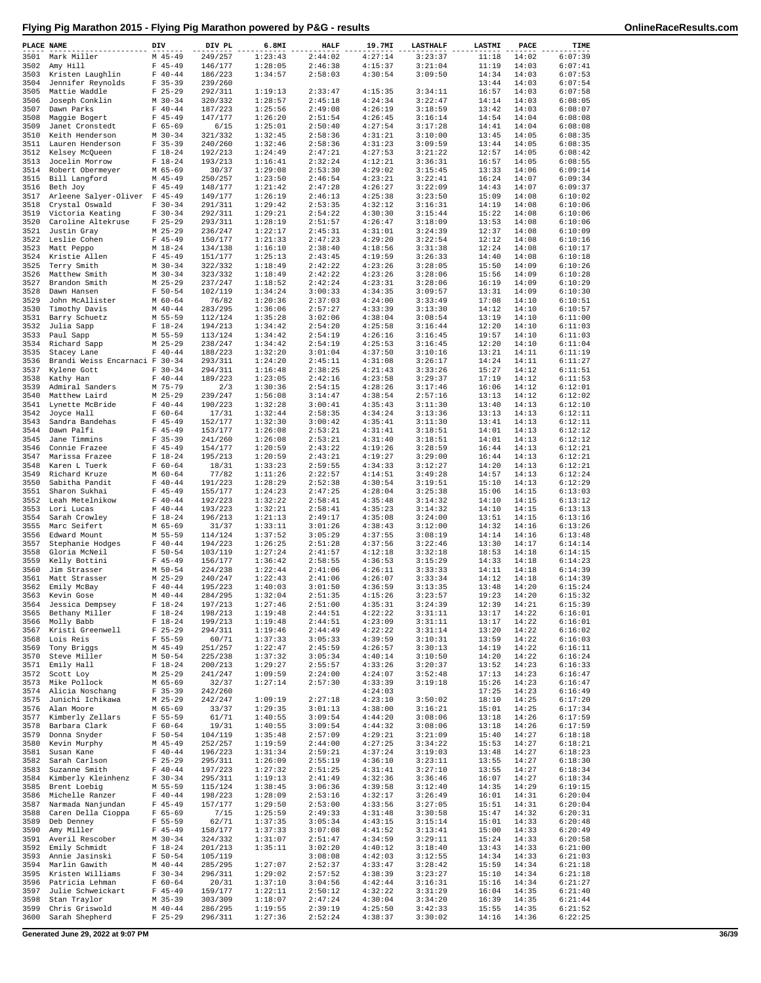| PLACE NAME   |                                               | DIV                      | DIV PL             | 6.8MI              | <b>HALF</b>        | 19.7MI             | <b>LASTHALF</b>    | LASTMI         | PACE           | TIME               |
|--------------|-----------------------------------------------|--------------------------|--------------------|--------------------|--------------------|--------------------|--------------------|----------------|----------------|--------------------|
| 3501         | Mark Miller                                   | $M$ 45-49                | 249/257            | 1:23:43            | 2:44:02            | 4:27:14            | 3:23:37            | 11:18          | 14:02          | 6:07:39            |
| 3502         | Amy Hill                                      | $F$ 45-49                | 146/177            | 1:28:05            | 2:46:38            | 4:15:37            | 3:21:04            | 11:19          | 14:03          | 6:07:41            |
| 3503         | Kristen Laughlin                              | $F 40 - 44$              | 186/223            | 1:34:57            | 2:58:03            | 4:30:54            | 3:09:50            | 14:34          | 14:03          | 6:07:53            |
| 3504         | Jennifer Reynolds                             | $F$ 35-39                | 239/260            |                    |                    |                    |                    | 13:44          | 14:03          | 6:07:54            |
| 3505<br>3506 | Mattie Waddle<br>Joseph Conklin               | $F$ 25-29<br>$M$ 30-34   | 292/311<br>320/332 | 1:19:13<br>1:28:57 | 2:33:47<br>2:45:18 | 4:15:35<br>4:24:34 | 3:34:11<br>3:22:47 | 16:57<br>14:14 | 14:03<br>14:03 | 6:07:58<br>6:08:05 |
| 3507         | Dawn Parks                                    | $F 40 - 44$              | 187/223            | 1:25:56            | 2:49:08            | 4:26:19            | 3:18:59            | 13:42          | 14:03          | 6:08:07            |
| 3508         | Maggie Bogert                                 | $F$ 45-49                | 147/177            | 1:26:20            | 2:51:54            | 4:26:45            | 3:16:14            | 14:54          | 14:04          | 6:08:08            |
| 3509         | Janet Cronstedt                               | $F 65 - 69$              | 6/15               | 1:25:01            | 2:50:40            | 4:27:54            | 3:17:28            | 14:41          | 14:04          | 6:08:08            |
| 3510         | Keith Henderson                               | $M$ 30-34                | 321/332            | 1:32:45            | 2:58:36            | 4:31:21            | 3:10:00            | 13:45          | 14:05          | 6:08:35            |
| 3511         | Lauren Henderson                              | $F$ 35-39                | 240/260            | 1:32:46            | 2:58:36            | 4:31:23            | 3:09:59            | 13:44          | 14:05          | 6:08:35            |
| 3512         | Kelsey McQueen                                | $F 18-24$                | 192/213            | 1:24:49            | 2:47:21            | 4:27:53            | 3:21:22            | 12:57          | 14:05          | 6:08:42            |
| 3513<br>3514 | Jocelin Morrow<br>Robert Obermeyer            | $F 18-24$<br>M 65-69     | 193/213<br>30/37   | 1:16:41<br>1:29:08 | 2:32:24<br>2:53:30 | 4:12:21<br>4:29:02 | 3:36:31<br>3:15:45 | 16:57<br>13:33 | 14:05<br>14:06 | 6:08:55<br>6:09:14 |
| 3515         | Bill Langford                                 | $M$ 45-49                | 250/257            | 1:23:50            | 2:46:54            | 4:23:21            | 3:22:41            | 16:24          | 14:07          | 6:09:34            |
| 3516         | Beth Joy                                      | $F$ 45-49                | 148/177            | 1:21:42            | 2:47:28            | 4:26:27            | 3:22:09            | 14:43          | 14:07          | 6:09:37            |
| 3517         | Arleene Salyer-Oliver F 45-49                 |                          | 149/177            | 1:26:19            | 2:46:13            | 4:25:38            | 3:23:50            | 15:09          | 14:08          | 6:10:02            |
| 3518         | Crystal Oswald                                | $F 30-34$                | 291/311            | 1:29:42            | 2:53:35            | 4:32:12            | 3:16:31            | 14:19          | 14:08          | 6:10:06            |
| 3519         | Victoria Keating                              | $F 30-34$                | 292/311            | 1:29:21            | 2:54:22            | 4:30:30            | 3:15:44            | 15:22          | 14:08          | 6:10:06            |
| 3520         | Caroline Altekruse                            | $F$ 25-29                | 293/311            | 1:28:19            | 2:51:57            | 4:26:47            | 3:18:09            | 13:53          | 14:08          | 6:10:06            |
| 3521<br>3522 | Justin Gray<br>Leslie Cohen                   | $M$ 25-29<br>$F$ 45-49   | 236/247<br>150/177 | 1:22:17<br>1:21:33 | 2:45:31<br>2:47:23 | 4:31:01<br>4:29:20 | 3:24:39<br>3:22:54 | 12:37<br>12:12 | 14:08<br>14:08 | 6:10:09<br>6:10:16 |
| 3523         | Matt Peppo                                    | $M_18-24$                | 134/138            | 1:16:10            | 2:38:40            | 4:18:56            | 3:31:38            | 12:24          | 14:08          | 6:10:17            |
| 3524         | Kristie Allen                                 | $F$ 45-49                | 151/177            | 1:25:13            | 2:43:45            | 4:19:59            | 3:26:33            | 14:40          | 14:08          | 6:10:18            |
| 3525         | Terry Smith                                   | $M$ 30-34                | 322/332            | 1:18:49            | 2:42:22            | 4:23:26            | 3:28:05            | 15:50          | 14:09          | 6:10:26            |
| 3526         | Matthew Smith                                 | $M$ 30-34                | 323/332            | 1:18:49            | 2:42:22            | 4:23:26            | 3:28:06            | 15:56          | 14:09          | 6:10:28            |
| 3527         | Brandon Smith                                 | $M$ 25-29                | 237/247            | 1:18:52            | 2:42:24            | 4:23:31            | 3:28:06            | 16:19          | 14:09          | 6:10:29            |
| 3528<br>3529 | Dawn Hansen<br>John McAllister                | $F 50 - 54$<br>$M$ 60-64 | 102/119            | 1:34:24<br>1:20:36 | 3:00:33<br>2:37:03 | 4:34:35<br>4:24:00 | 3:09:57<br>3:33:49 | 13:31          | 14:09<br>14:10 | 6:10:30<br>6:10:51 |
| 3530         | Timothy Davis                                 | $M$ 40-44                | 76/82<br>283/295   | 1:36:06            | 2:57:27            | 4:33:39            | 3:13:30            | 17:08<br>14:12 | 14:10          | 6:10:57            |
| 3531         | Barry Schuetz                                 | M 55-59                  | 112/124            | 1:35:28            | 3:02:06            | 4:38:04            | 3:08:54            | 13:19          | 14:10          | 6:11:00            |
| 3532         | Julia Sapp                                    | $F 18-24$                | 194/213            | 1:34:42            | 2:54:20            | 4:25:58            | 3:16:44            | 12:20          | 14:10          | 6:11:03            |
| 3533         | Paul Sapp                                     | M 55-59                  | 113/124            | 1:34:42            | 2:54:19            | 4:26:16            | 3:16:45            | 19:57          | 14:10          | 6:11:03            |
| 3534         | Richard Sapp                                  | $M$ 25-29                | 238/247            | 1:34:42            | 2:54:19            | 4:25:53            | 3:16:45            | 12:20          | 14:10          | 6:11:04            |
| 3535         | Stacey Lane                                   | $F 40 - 44$              | 188/223            | 1:32:20            | 3:01:04            | 4:37:50            | 3:10:16            | 13:21          | 14:11          | 6:11:19            |
| 3536<br>3537 | Brandi Weiss Encarnaci F 30-34<br>Kylene Gott | $F 30-34$                | 293/311<br>294/311 | 1:24:20<br>1:16:48 | 2:45:11<br>2:38:25 | 4:31:08<br>4:21:43 | 3:26:17<br>3:33:26 | 14:24<br>15:27 | 14:11<br>14:12 | 6:11:27<br>6:11:51 |
| 3538         | Kathy Han                                     | $F 40 - 44$              | 189/223            | 1:23:05            | 2:42:16            | 4:23:58            | 3:29:37            | 17:19          | 14:12          | 6:11:53            |
| 3539         | Admiral Sanders                               | M 75-79                  | 2/3                | 1:30:36            | 2:54:15            | 4:28:26            | 3:17:46            | 16:06          | 14:12          | 6:12:01            |
| 3540         | Matthew Laird                                 | $M$ 25-29                | 239/247            | 1:56:08            | 3:14:47            | 4:38:54            | 2:57:16            | 13:13          | 14:12          | 6:12:02            |
| 3541         | Lynette McBride                               | $F 40 - 44$              | 190/223            | 1:32:28            | 3:00:41            | 4:35:43            | 3:11:30            | 13:40          | 14:13          | 6:12:10            |
| 3542         | Joyce Hall                                    | $F 60 - 64$              | 17/31              | 1:32:44            | 2:58:35            | 4:34:24            | 3:13:36            | 13:13          | 14:13          | 6:12:11            |
| 3543         | Sandra Bandehas                               | $F$ 45-49                | 152/177            | 1:32:30            | 3:00:42            | 4:35:41            | 3:11:30            | 13:41          | 14:13          | 6:12:11            |
| 3544<br>3545 | Dawn Palfi<br>Jane Timmins                    | $F$ 45-49<br>$F$ 35-39   | 153/177<br>241/260 | 1:26:08<br>1:26:08 | 2:53:21<br>2:53:21 | 4:31:41<br>4:31:40 | 3:18:51<br>3:18:51 | 14:01<br>14:01 | 14:13<br>14:13 | 6:12:12<br>6:12:12 |
| 3546         | Connie Frazee                                 | $F$ 45-49                | 154/177            | 1:20:59            | 2:43:22            | 4:19:26            | 3:28:59            | 16:44          | 14:13          | 6:12:21            |
| 3547         | Marissa Frazee                                | $F 18-24$                | 195/213            | 1:20:59            | 2:43:21            | 4:19:27            | 3:29:00            | 16:44          | 14:13          | 6:12:21            |
| 3548         | Karen L Tuerk                                 | $F 60 - 64$              | 18/31              | 1:33:23            | 2:59:55            | 4:34:33            | 3:12:27            | 14:20          | 14:13          | 6:12:21            |
| 3549         | Richard Kruze                                 | $M$ 60-64                | 77/82              | 1:11:26            | 2:22:57            | 4:14:51            | 3:49:28            | 14:57          | 14:13          | 6:12:24            |
| 3550         | Sabitha Pandit                                | $F 40 - 44$              | 191/223            | 1:28:29            | 2:52:38            | 4:30:54            | 3:19:51            | 15:10          | 14:13          | 6:12:29            |
| 3551<br>3552 | Sharon Sukhai<br>Leah Metelnikow              | $F$ 45-49<br>$F 40 - 44$ | 155/177<br>192/223 | 1:24:23<br>1:32:22 | 2:47:25<br>2:58:41 | 4:28:04<br>4:35:48 | 3:25:38<br>3:14:32 | 15:06<br>14:10 | 14:15<br>14:15 | 6:13:03<br>6:13:12 |
| 3553         | Lori Lucas                                    | $F 40 - 44$              | 193/223            | 1:32:21            | 2:58:41            | 4:35:23            | 3:14:32            | 14:10          | 14:15          | 6:13:13            |
| 3554         | Sarah Crowley                                 | $F 18-24$                | 196/213            | 1:21:13            | 2:49:17            | 4:35:08            | 3:24:00            | 13:51          | 14:15          | 6:13:16            |
| 3555         | Marc Seifert                                  | M 65-69                  | 31/37              | 1:33:11            | 3:01:26            | 4:38:43            | 3:12:00            | 14:32          | 14:16          | 6:13:26            |
| 3556         | Edward Mount                                  | M 55-59                  | 114/124            | 1:37:52            | 3:05:29            | 4:37:55            | 3:08:19            | 14:14          | 14:16          | 6:13:48            |
| 3557         | Stephanie Hodges                              | $F 40 - 44$              | 194/223            | 1:26:25            | 2:51:28            | 4:37:56            | 3:22:46            | 13:30          | 14:17          | 6:14:14            |
| 3558         | Gloria McNeil                                 | $F 50 - 54$              | 103/119            | 1:27:24            | 2:41:57            | 4:12:18            | 3:32:18            | 18:53          | 14:18          | 6:14:15            |
| 3559<br>3560 | Kelly Bottini<br>Jim Strasser                 | $F$ 45-49<br>M 50-54     | 156/177<br>224/238 | 1:36:42<br>1:22:44 | 2:58:55<br>2:41:06 | 4:36:53<br>4:26:11 | 3:15:29<br>3:33:33 | 14:33<br>14:11 | 14:18<br>14:18 | 6:14:23<br>6:14:39 |
| 3561         | Matt Strasser                                 | $M$ 25-29                | 240/247            | 1:22:43            | 2:41:06            | 4:26:07            | 3:33:34            | 14:12          | 14:18          | 6:14:39            |
| 3562         | Emily McBay                                   | $F 40 - 44$              | 195/223            | 1:40:03            | 3:01:50            | 4:36:59            | 3:13:35            | 13:48          | 14:20          | 6:15:24            |
|              | 3563 Kevin Gose                               | $M$ 40-44                | 284/295            | 1:32:04            | 2:51:35            | 4:15:26            | 3:23:57            | 19:23          | 14:20          | 6:15:32            |
|              | 3564 Jessica Dempsey                          | $F 18-24$                | 197/213            | 1:27:46            | 2:51:00            | 4:35:31            | 3:24:39            | 12:39          | 14:21          | 6:15:39            |
| 3565         | Bethany Miller                                | $F 18-24$<br>$F 18-24$   | 198/213            | 1:19:48            | 2:44:51            | 4:22:22            | 3:31:11            | 13:17<br>13:17 | 14:22          | 6:16:01            |
| 3566<br>3567 | Molly Babb<br>Kristi Greenwell                | $F$ 25-29                | 199/213<br>294/311 | 1:19:48<br>1:19:46 | 2:44:51<br>2:44:49 | 4:23:09<br>4:22:22 | 3:31:11<br>3:31:14 | 13:20          | 14:22<br>14:22 | 6:16:01<br>6:16:02 |
| 3568         | Lois Reis                                     | $F 55 - 59$              | 60/71              | 1:37:33            | 3:05:33            | 4:39:59            | 3:10:31            | 13:59          | 14:22          | 6:16:03            |
| 3569         | Tony Briggs                                   | $M$ 45-49                | 251/257            | 1:22:47            | 2:45:59            | 4:26:57            | 3:30:13            | 14:19          | 14:22          | 6:16:11            |
| 3570         | Steve Miller                                  | M 50-54                  | 225/238            | 1:37:32            | 3:05:34            | 4:40:14            | 3:10:50            | 14:20          | 14:22          | 6:16:24            |
| 3571         | Emily Hall                                    | $F 18-24$                | 200/213            | 1:29:27            | 2:55:57            | 4:33:26            | 3:20:37            | 13:52          | 14:23          | 6:16:33            |
| 3572         | Scott Loy                                     | $M$ 25-29<br>$M$ 65-69   | 241/247            | 1:09:59            | 2:24:00            | 4:24:07            | 3:52:48<br>3:19:18 | 17:13          | 14:23          | 6:16:47            |
| 3573<br>3574 | Mike Pollock<br>Alicia Noschang               | $F$ 35-39                | 32/37<br>242/260   | 1:27:14            | 2:57:30            | 4:33:39<br>4:24:03 |                    | 15:26<br>17:25 | 14:23<br>14:23 | 6:16:47<br>6:16:49 |
| 3575         | Junichi Ichikawa                              | $M$ 25-29                | 242/247            | 1:09:19            | 2:27:18            | 4:23:10            | 3:50:02            | 18:10          | 14:25          | 6:17:20            |
| 3576         | Alan Moore                                    | M 65-69                  | 33/37              | 1:29:35            | 3:01:13            | 4:38:00            | 3:16:21            | 15:01          | 14:25          | 6:17:34            |
| 3577         | Kimberly Zellars                              | $F 55 - 59$              | 61/71              | 1:40:55            | 3:09:54            | 4:44:20            | 3:08:06            | 13:18          | 14:26          | 6:17:59            |
| 3578         | Barbara Clark                                 | $F 60 - 64$              | 19/31              | 1:40:55            | 3:09:54            | 4:44:32            | 3:08:06            | 13:18          | 14:26          | 6:17:59            |
| 3579         | Donna Snyder                                  | $F 50-54$                | 104/119            | 1:35:48            | 2:57:09            | 4:29:21            | 3:21:09            | 15:40          | 14:27          | 6:18:18            |
| 3580<br>3581 | Kevin Murphy<br>Susan Kane                    | $M$ 45-49<br>$F 40-44$   | 252/257<br>196/223 | 1:19:59<br>1:31:34 | 2:44:00<br>2:59:21 | 4:27:25<br>4:37:24 | 3:34:22<br>3:19:03 | 15:53<br>13:48 | 14:27<br>14:27 | 6:18:21<br>6:18:23 |
| 3582         | Sarah Carlson                                 | $F$ 25-29                | 295/311            | 1:26:09            | 2:55:19            | 4:36:10            | 3:23:11            | 13:55          | 14:27          | 6:18:30            |
| 3583         | Suzanne Smith                                 | $F 40 - 44$              | 197/223            | 1:27:32            | 2:51:25            | 4:31:41            | 3:27:10            | 13:55          | 14:27          | 6:18:34            |
| 3584         | Kimberly Kleinhenz                            | $F 30-34$                | 295/311            | 1:19:13            | 2:41:49            | 4:32:36            | 3:36:46            | 16:07          | 14:27          | 6:18:34            |
| 3585         | Brent Loebig                                  | M 55-59                  | 115/124            | 1:38:45            | 3:06:36            | 4:39:58            | 3:12:40            | 14:35          | 14:29          | 6:19:15            |
| 3586         | Michelle Ranzer                               | $F 40 - 44$              | 198/223            | 1:28:09            | 2:53:16            | 4:32:17            | 3:26:49            | 16:01          | 14:31          | 6:20:04            |
| 3587<br>3588 | Narmada Nanjundan<br>Caren Della Cioppa       | $F$ 45-49<br>$F 65 - 69$ | 157/177<br>7/15    | 1:29:50<br>1:25:59 | 2:53:00<br>2:49:33 | 4:33:56<br>4:31:48 | 3:27:05<br>3:30:58 | 15:51<br>15:47 | 14:31<br>14:32 | 6:20:04<br>6:20:31 |
| 3589         | Deb Denney                                    | $F 55 - 59$              | 62/71              | 1:37:35            | 3:05:34            | 4:43:15            | 3:15:14            | 15:01          | 14:33          | 6:20:48            |
| 3590         | Amy Miller                                    | $F$ 45-49                | 158/177            | 1:37:33            | 3:07:08            | 4:41:52            | 3:13:41            | 15:00          | 14:33          | 6:20:49            |
| 3591         | Averil Rescober                               | $M$ 30-34                | 324/332            | 1:31:07            | 2:51:47            | 4:34:59            | 3:29:11            | 15:24          | 14:33          | 6:20:58            |
| 3592         | Emily Schmidt                                 | $F 18-24$                | 201/213            | 1:35:11            | 3:02:20            | 4:40:12            | 3:18:40            | 13:43          | 14:33          | 6:21:00            |
| 3593         | Annie Jasinski                                | $F 50-54$                | 105/119            |                    | 3:08:08            | 4:42:03            | 3:12:55            | 14:34          | 14:33          | 6:21:03            |
| 3594<br>3595 | Marlin Gawith<br>Kristen Williams             | $M$ 40-44<br>$F 30-34$   | 285/295<br>296/311 | 1:27:07<br>1:29:02 | 2:52:37<br>2:57:52 | 4:33:47<br>4:38:39 | 3:28:42<br>3:23:27 | 15:59<br>15:10 | 14:34<br>14:34 | 6:21:18<br>6:21:18 |
| 3596         | Patricia Lehman                               | $F 60-64$                | 20/31              | 1:37:10            | 3:04:56            | 4:42:44            | 3:16:31            | 15:16          | 14:34          | 6:21:27            |
| 3597         | Julie Schweickart                             | $F$ 45-49                | 159/177            | 1:22:11            | 2:50:12            | 4:32:22            | 3:31:29            | 16:04          | 14:35          | 6:21:40            |
| 3598         | Stan Traylor                                  | $M$ 35-39                | 303/309            | 1:18:07            | 2:47:24            | 4:30:04            | 3:34:20            | 16:39          | 14:35          | 6:21:44            |
| 3599         | Chris Griswold                                | $M$ 40-44                | 286/295            | 1:19:55            | 2:39:19            | 4:25:50            | 3:42:33            | 15:55          | 14:35          | 6:21:52            |
| 3600         | Sarah Shepherd                                | $F$ 25-29                | 296/311            | 1:27:36            | 2:52:24            | 4:38:37            | 3:30:02            | 14:16          | 14:36          | 6:22:25            |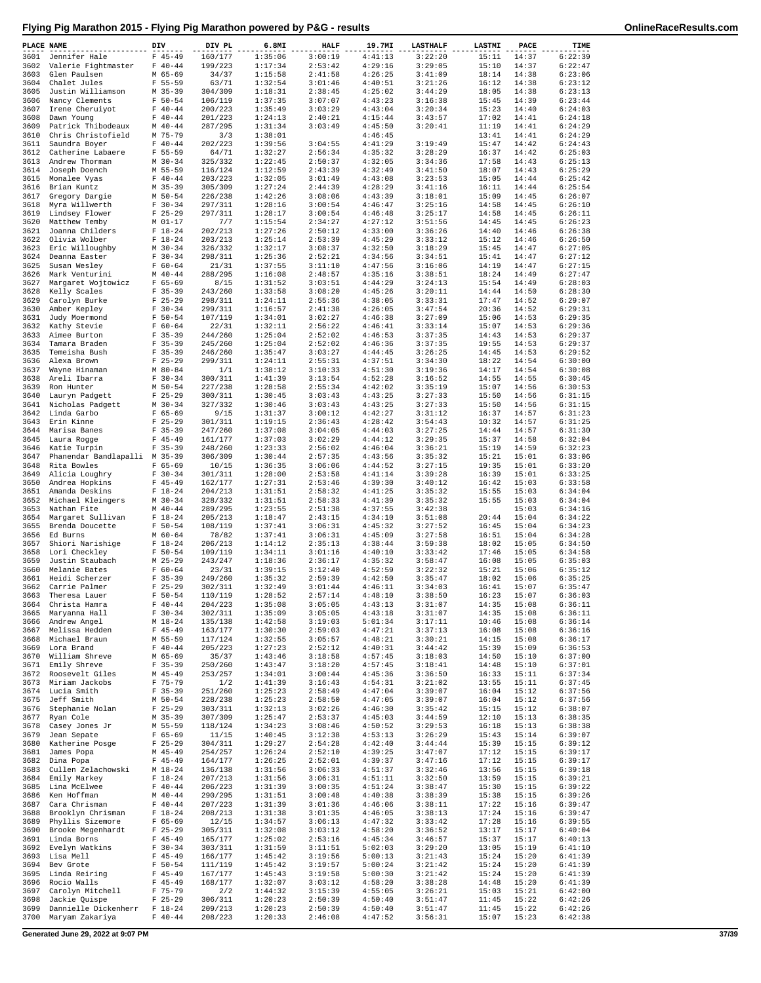| PLACE NAME   |                                               | DIV                      | DIV PL             | 6.8MI              | <b>HALF</b>        | 19.7MI             | <b>LASTHALF</b>    | LASTMI         | PACE           | TIME               |
|--------------|-----------------------------------------------|--------------------------|--------------------|--------------------|--------------------|--------------------|--------------------|----------------|----------------|--------------------|
| 3601         | Jennifer Hale                                 | $F$ 45-49                | 160/177            | 1:35:06            | 3:00:19            | 4:41:13            | 3:22:20            | 15:11          | 14:37          | 6:22:39            |
| 3602         | Valerie Fightmaster                           | $F 40 - 44$              | 199/223            | 1:17:34            | 2:53:42            | 4:29:16            | 3:29:05            | 15:10          | 14:37          | 6:22:47            |
| 3603         | Glen Paulsen                                  | M 65-69                  | 34/37              | 1:15:58            | 2:41:58            | 4:26:25            | 3:41:09            | 18:14          | 14:38          | 6:23:06            |
| 3604         | Chalet Jules                                  | $F 55 - 59$              | 63/71              | 1:32:54            | 3:01:46            | 4:40:51            | 3:21:26            | 16:12          | 14:38          | 6:23:12            |
| 3605<br>3606 | Justin Williamson<br>Nancy Clements           | M 35-39<br>$F 50 - 54$   | 304/309<br>106/119 | 1:18:31<br>1:37:35 | 2:38:45<br>3:07:07 | 4:25:02<br>4:43:23 | 3:44:29<br>3:16:38 | 18:05<br>15:45 | 14:38<br>14:39 | 6:23:13<br>6:23:44 |
| 3607         | Irene Cheruiyot                               | $F 40 - 44$              | 200/223            | 1:35:49            | 3:03:29            | 4:43:04            | 3:20:34            | 15:23          | 14:40          | 6:24:03            |
| 3608         | Dawn Young                                    | $F 40 - 44$              | 201/223            | 1:24:13            | 2:40:21            | 4:15:44            | 3:43:57            | 17:02          | 14:41          | 6:24:18            |
| 3609         | Patrick Thibodeaux                            | $M$ 40-44                | 287/295            | 1:31:34            | 3:03:49            | 4:45:50            | 3:20:41            | 11:19          | 14:41          | 6:24:29            |
| 3610         | Chris Christofield                            | M 75-79                  | 3/3                | 1:38:01            |                    | 4:46:45            |                    | 13:41          | 14:41          | 6:24:29            |
| 3611         | Saundra Boyer                                 | $F 40 - 44$              | 202/223            | 1:39:56            | 3:04:55            | 4:41:29            | 3:19:49            | 15:47          | 14:42          | 6:24:43            |
| 3612         | Catherine Labaere                             | $F 55 - 59$              | 64/71              | 1:32:27            | 2:56:34            | 4:35:32            | 3:28:29            | 16:37          | 14:42          | 6:25:03            |
| 3613<br>3614 | Andrew Thorman<br>Joseph Doench               | $M$ 30-34<br>M 55-59     | 325/332<br>116/124 | 1:22:45<br>1:12:59 | 2:50:37<br>2:43:39 | 4:32:05<br>4:32:49 | 3:34:36<br>3:41:50 | 17:58<br>18:07 | 14:43<br>14:43 | 6:25:13<br>6:25:29 |
| 3615         | Monalee Vyas                                  | $F 40 - 44$              | 203/223            | 1:32:05            | 3:01:49            | 4:43:08            | 3:23:53            | 15:05          | 14:44          | 6:25:42            |
| 3616         | Brian Kuntz                                   | $M$ 35-39                | 305/309            | 1:27:24            | 2:44:39            | 4:28:29            | 3:41:16            | 16:11          | 14:44          | 6:25:54            |
| 3617         | Gregory Dargie                                | $M$ 50-54                | 226/238            | 1:42:26            | 3:08:06            | 4:43:39            | 3:18:01            | 15:09          | 14:45          | 6:26:07            |
| 3618         | Myra Willwerth                                | $F 30-34$                | 297/311            | 1:28:16            | 3:00:54            | 4:46:47            | 3:25:16            | 14:58          | 14:45          | 6:26:10            |
| 3619         | Lindsey Flower                                | $F$ 25-29                | 297/311            | 1:28:17            | 3:00:54            | 4:46:48            | 3:25:17            | 14:58          | 14:45          | 6:26:11            |
| 3620         | Matthew Temby                                 | $M$ 01-17                | 7/7                | 1:15:54            | 2:34:27            | 4:27:12            | 3:51:56            | 14:45          | 14:45          | 6:26:23            |
| 3621<br>3622 | Joanna Childers<br>Olivia Wolber              | $F 18-24$<br>$F 18-24$   | 202/213<br>203/213 | 1:27:26<br>1:25:14 | 2:50:12<br>2:53:39 | 4:33:00<br>4:45:29 | 3:36:26<br>3:33:12 | 14:40<br>15:12 | 14:46<br>14:46 | 6:26:38<br>6:26:50 |
| 3623         | Eric Willoughby                               | $M$ 30-34                | 326/332            | 1:32:17            | 3:08:37            | 4:32:50            | 3:18:29            | 15:45          | 14:47          | 6:27:05            |
| 3624         | Deanna Easter                                 | $F 30-34$                | 298/311            | 1:25:36            | 2:52:21            | 4:34:56            | 3:34:51            | 15:41          | 14:47          | 6:27:12            |
| 3625         | Susan Wesley                                  | $F 60 - 64$              | 21/31              | 1:37:55            | 3:11:10            | 4:47:56            | 3:16:06            | 14:19          | 14:47          | 6:27:15            |
| 3626         | Mark Venturini                                | $M$ 40-44                | 288/295            | 1:16:08            | 2:48:57            | 4:35:16            | 3:38:51            | 18:24          | 14:49          | 6:27:47            |
| 3627         | Margaret Wojtowicz                            | $F 65 - 69$              | 8/15               | 1:31:52            | 3:03:51            | 4:44:29            | 3:24:13            | 15:54          | 14:49          | 6:28:03            |
| 3628         | Kelly Scales                                  | $F$ 35-39                | 243/260            | 1:33:58            | 3:08:20            | 4:45:26            | 3:20:11            | 14:44          | 14:50          | 6:28:30            |
| 3629<br>3630 | Carolyn Burke<br>Amber Kepley                 | $F$ 25-29<br>$F 30-34$   | 298/311<br>299/311 | 1:24:11<br>1:16:57 | 2:55:36<br>2:41:38 | 4:38:05<br>4:26:05 | 3:33:31<br>3:47:54 | 17:47<br>20:36 | 14:52<br>14:52 | 6:29:07<br>6:29:31 |
| 3631         | Judy Moermond                                 | $F 50 - 54$              | 107/119            | 1:34:01            | 3:02:27            | 4:46:38            | 3:27:09            | 15:06          | 14:53          | 6:29:35            |
| 3632         | Kathy Stevie                                  | $F 60 - 64$              | 22/31              | 1:32:11            | 2:56:22            | 4:46:41            | 3:33:14            | 15:07          | 14:53          | 6:29:36            |
| 3633         | Aimee Burton                                  | $F$ 35-39                | 244/260            | 1:25:04            | 2:52:02            | 4:46:53            | 3:37:35            | 14:43          | 14:53          | 6:29:37            |
| 3634         | Tamara Braden                                 | $F$ 35-39                | 245/260            | 1:25:04            | 2:52:02            | 4:46:36            | 3:37:35            | 19:55          | 14:53          | 6:29:37            |
| 3635         | Temeisha Bush                                 | $F$ 35-39                | 246/260            | 1:35:47            | 3:03:27            | 4:44:45            | 3:26:25            | 14:45          | 14:53          | 6:29:52            |
| 3636         | Alexa Brown                                   | $F$ 25-29                | 299/311            | 1:24:11            | 2:55:31            | 4:37:51            | 3:34:30            | 18:22          | 14:54          | 6:30:00            |
| 3637         | Wayne Hinaman                                 | $M$ 80-84                | 1/1                | 1:38:12            | 3:10:33            | 4:51:30            | 3:19:36            | 14:17<br>14:55 | 14:54          | 6:30:08            |
| 3638<br>3639 | Areli Ibarra<br>Ron Hunter                    | $F 30 - 34$<br>M 50-54   | 300/311<br>227/238 | 1:41:39<br>1:28:58 | 3:13:54<br>2:55:34 | 4:52:28<br>4:42:02 | 3:16:52<br>3:35:19 | 15:07          | 14:55<br>14:56 | 6:30:45<br>6:30:53 |
| 3640         | Lauryn Padgett                                | $F$ 25-29                | 300/311            | 1:30:45            | 3:03:43            | 4:43:25            | 3:27:33            | 15:50          | 14:56          | 6:31:15            |
| 3641         | Nicholas Padgett                              | $M$ 30-34                | 327/332            | 1:30:46            | 3:03:43            | 4:43:25            | 3:27:33            | 15:50          | 14:56          | 6:31:15            |
| 3642         | Linda Garbo                                   | $F 65 - 69$              | 9/15               | 1:31:37            | 3:00:12            | 4:42:27            | 3:31:12            | 16:37          | 14:57          | 6:31:23            |
| 3643         | Erin Kinne                                    | $F$ 25-29                | 301/311            | 1:19:15            | 2:36:43            | 4:28:42            | 3:54:43            | 10:32          | 14:57          | 6:31:25            |
| 3644         | Marisa Banes                                  | $F$ 35-39                | 247/260            | 1:37:08            | 3:04:05            | 4:44:03            | 3:27:25            | 14:44          | 14:57          | 6:31:30            |
| 3645         | Laura Rogge                                   | $F$ 45-49                | 161/177            | 1:37:03            | 3:02:29            | 4:44:12            | 3:29:35            | 15:37          | 14:58          | 6:32:04            |
| 3646<br>3647 | Katie Turpin<br>Phanendar Bandlapalli M 35-39 | $F$ 35-39                | 248/260<br>306/309 | 1:23:33<br>1:30:44 | 2:56:02<br>2:57:35 | 4:46:04<br>4:43:56 | 3:36:21<br>3:35:32 | 15:19<br>15:21 | 14:59<br>15:01 | 6:32:23<br>6:33:06 |
| 3648         | Rita Bowles                                   | $F 65 - 69$              | 10/15              | 1:36:35            | 3:06:06            | 4:44:52            | 3:27:15            | 19:35          | 15:01          | 6:33:20            |
| 3649         | Alicia Loughry                                | $F 30-34$                | 301/311            | 1:28:00            | 2:53:58            | 4:41:14            | 3:39:28            | 16:39          | 15:01          | 6:33:25            |
| 3650         | Andrea Hopkins                                | $F$ 45-49                | 162/177            | 1:27:31            | 2:53:46            | 4:39:30            | 3:40:12            | 16:42          | 15:03          | 6:33:58            |
| 3651         | Amanda Deskins                                | $F 18-24$                | 204/213            | 1:31:51            | 2:58:32            | 4:41:25            | 3:35:32            | 15:55          | 15:03          | 6:34:04            |
| 3652         | Michael Kleingers                             | $M$ 30-34                | 328/332            | 1:31:51            | 2:58:33            | 4:41:39            | 3:35:32            | 15:55          | 15:03          | 6:34:04            |
| 3653         | Nathan Fite                                   | $M$ 40-44                | 289/295            | 1:23:55            | 2:51:38            | 4:37:55            | 3:42:38            |                | 15:03          | 6:34:16            |
| 3654<br>3655 | Margaret Sullivan<br>Brenda Doucette          | $F 18-24$<br>$F 50 - 54$ | 205/213<br>108/119 | 1:18:47<br>1:37:41 | 2:43:15<br>3:06:31 | 4:34:10<br>4:45:32 | 3:51:08<br>3:27:52 | 20:44<br>16:45 | 15:04<br>15:04 | 6:34:22<br>6:34:23 |
| 3656         | Ed Burns                                      | M 60-64                  | 78/82              | 1:37:41            | 3:06:31            | 4:45:09            | 3:27:58            | 16:51          | 15:04          | 6:34:28            |
| 3657         | Shiori Narishige                              | $F 18-24$                | 206/213            | 1:14:12            | 2:35:13            | 4:38:44            | 3:59:38            | 18:02          | 15:05          | 6:34:50            |
| 3658         | Lori Checkley                                 | $F 50 - 54$              | 109/119            | 1:34:11            | 3:01:16            | 4:40:10            | 3:33:42            | 17:46          | 15:05          | 6:34:58            |
| 3659         | Justin Staubach                               | $M$ 25-29                | 243/247            | 1:18:36            | 2:36:17            | 4:35:32            | 3:58:47            | 16:08          | 15:05          | 6:35:03            |
| 3660         | Melanie Bates                                 | $F 60 - 64$              | 23/31              | 1:39:15            | 3:12:40            | 4:52:59            | 3:22:32            | 15:21          | 15:06          | 6:35:12            |
| 3661         | Heidi Scherzer                                | $F$ 35-39                | 249/260            | 1:35:32            | 2:59:39            | 4:42:50            | 3:35:47            | 18:02          | 15:06          | 6:35:25            |
| 3662         | Carrie Palmer<br>3663 Theresa Lauer           | $F$ 25-29<br>$F 50 - 54$ | 302/311<br>110/119 | 1:32:49<br>1:28:52 | 3:01:44<br>2:57:14 | 4:46:11<br>4:48:10 | 3:34:03<br>3:38:50 | 16:41<br>16:23 | 15:07<br>15:07 | 6:35:47<br>6:36:03 |
| 3664         | Christa Hamra                                 | $F 40 - 44$              | 204/223            | 1:35:08            | 3:05:05            | 4:43:13            | 3:31:07            | 14:35          | 15:08          | 6:36:11            |
| 3665         | Maryanna Hall                                 | $F 30 - 34$              | 302/311            | 1:35:09            | 3:05:05            | 4:43:18            | 3:31:07            | 14:35          | 15:08          | 6:36:11            |
| 3666         | Andrew Angel                                  | $M_18-24$                | 135/138            | 1:42:58            | 3:19:03            | 5:01:34            | 3:17:11            | 10:46          | 15:08          | 6:36:14            |
| 3667         | Melissa Hedden                                | $F$ 45-49                | 163/177            | 1:30:30            | 2:59:03            | 4:47:21            | 3:37:13            | 16:08          | 15:08          | 6:36:16            |
| 3668         | Michael Braun                                 | M 55-59                  | 117/124            | 1:32:55<br>1:27:23 | 3:05:57            | 4:48:21            | 3:30:21            | 14:15          | 15:08          | 6:36:17            |
| 3669<br>3670 | Lora Brand<br>William Shreve                  | $F 40 - 44$<br>M 65-69   | 205/223<br>35/37   | 1:43:46            | 2:52:12<br>3:18:58 | 4:40:31<br>4:57:45 | 3:44:42<br>3:18:03 | 15:39<br>14:50 | 15:09<br>15:10 | 6:36:53<br>6:37:00 |
| 3671         | Emily Shreve                                  | $F$ 35-39                | 250/260            | 1:43:47            | 3:18:20            | 4:57:45            | 3:18:41            | 14:48          | 15:10          | 6:37:01            |
| 3672         | Roosevelt Giles                               | $M$ 45-49                | 253/257            | 1:34:01            | 3:00:44            | 4:45:36            | 3:36:50            | 16:33          | 15:11          | 6:37:34            |
| 3673         | Miriam Jackobs                                | $F 75 - 79$              | 1/2                | 1:41:39            | 3:16:43            | 4:54:31            | 3:21:02            | 13:55          | 15:11          | 6:37:45            |
| 3674         | Lucia Smith                                   | $F$ 35-39                | 251/260            | 1:25:23            | 2:58:49            | 4:47:04            | 3:39:07            | 16:04          | 15:12          | 6:37:56            |
| 3675         | Jeff Smith                                    | M 50-54                  | 228/238            | 1:25:23            | 2:58:50            | 4:47:05            | 3:39:07            | 16:04          | 15:12          | 6:37:56            |
| 3676<br>3677 | Stephanie Nolan<br>Ryan Cole                  | $F$ 25-29<br>$M$ 35-39   | 303/311<br>307/309 | 1:32:13<br>1:25:47 | 3:02:26<br>2:53:37 | 4:46:30<br>4:45:03 | 3:35:42<br>3:44:59 | 15:15<br>12:10 | 15:12<br>15:13 | 6:38:07<br>6:38:35 |
| 3678         | Casey Jones Jr                                | M 55-59                  | 118/124            | 1:34:23            | 3:08:46            | 4:50:52            | 3:29:53            | 16:18          | 15:13          | 6:38:38            |
| 3679         | Jean Sepate                                   | $F 65 - 69$              | 11/15              | 1:40:45            | 3:12:38            | 4:53:13            | 3:26:29            | 15:43          | 15:14          | 6:39:07            |
| 3680         | Katherine Posge                               | $F$ 25-29                | 304/311            | 1:29:27            | 2:54:28            | 4:42:40            | 3:44:44            | 15:39          | 15:15          | 6:39:12            |
| 3681         | James Popa                                    | $M$ 45-49                | 254/257            | 1:26:24            | 2:52:10            | 4:39:25            | 3:47:07            | 17:12          | 15:15          | 6:39:17            |
| 3682         | Dina Popa                                     | $F$ 45-49                | 164/177            | 1:26:25            | 2:52:01            | 4:39:37            | 3:47:16            | 17:12          | 15:15          | 6:39:17            |
| 3683         | Cullen Zelachowski                            | $M_18-24$                | 136/138            | 1:31:56            | 3:06:33            | 4:51:37            | 3:32:46            | 13:56          | 15:15          | 6:39:18            |
| 3684         | Emily Markey                                  | $F 18-24$<br>$F 40 - 44$ | 207/213            | 1:31:56            | 3:06:31            | 4:51:11            | 3:32:50            | 13:59          | 15:15          | 6:39:21            |
| 3685<br>3686 | Lina McElwee<br>Ken Hoffman                   | $M$ 40-44                | 206/223<br>290/295 | 1:31:39<br>1:31:51 | 3:00:35<br>3:00:48 | 4:51:24<br>4:40:38 | 3:38:47<br>3:38:39 | 15:30<br>15:38 | 15:15<br>15:15 | 6:39:22<br>6:39:26 |
| 3687         | Cara Chrisman                                 | $F 40 - 44$              | 207/223            | 1:31:39            | 3:01:36            | 4:46:06            | 3:38:11            | 17:22          | 15:16          | 6:39:47            |
| 3688         | Brooklyn Chrisman                             | $F 18-24$                | 208/213            | 1:31:38            | 3:01:35            | 4:46:05            | 3:38:13            | 17:24          | 15:16          | 6:39:47            |
| 3689         | Phyllis Sizemore                              | $F 65 - 69$              | 12/15              | 1:34:57            | 3:06:13            | 4:47:32            | 3:33:42            | 17:28          | 15:16          | 6:39:55            |
| 3690         | Brooke Megenhardt                             | $F$ 25-29                | 305/311            | 1:32:08            | 3:03:12            | 4:58:20            | 3:36:52            | 13:17          | 15:17          | 6:40:04            |
| 3691         | Linda Borns                                   | $F$ 45-49                | 165/177            | 1:25:02            | 2:53:16            | 4:45:34            | 3:46:57            | 15:37          | 15:17          | 6:40:13            |
| 3692<br>3693 | Evelyn Watkins<br>Lisa Mell                   | $F 30 - 34$<br>$F$ 45-49 | 303/311<br>166/177 | 1:31:59<br>1:45:42 | 3:11:51<br>3:19:56 | 5:02:03<br>5:00:13 | 3:29:20<br>3:21:43 | 13:05<br>15:24 | 15:19<br>15:20 | 6:41:10<br>6:41:39 |
| 3694         | Bev Grote                                     | $F 50 - 54$              | 111/119            | 1:45:42            | 3:19:57            | 5:00:24            | 3:21:42            | 15:24          | 15:20          | 6:41:39            |
| 3695         | Linda Reiring                                 | $F$ 45-49                | 167/177            | 1:45:43            | 3:19:58            | 5:00:30            | 3:21:42            | 15:24          | 15:20          | 6:41:39            |
| 3696         | Rocio Walls                                   | $F$ 45-49                | 168/177            | 1:32:07            | 3:03:12            | 4:58:20            | 3:38:28            | 14:48          | 15:20          | 6:41:39            |
| 3697         | Carolyn Mitchell                              | $F 75 - 79$              | 2/2                | 1:44:32            | 3:15:39            | 4:55:05            | 3:26:21            | 15:03          | 15:21          | 6:42:00            |
| 3698         | Jackie Quispe                                 | $F$ 25-29                | 306/311            | 1:20:23            | 2:50:39            | 4:50:40            | 3:51:47            | 11:45          | 15:22          | 6:42:26            |
| 3699         | Dannielle Dickenherr                          | $F 18-24$                | 209/213            | 1:20:23            | 2:50:39            | 4:50:40            | 3:51:47            | 11:45          | 15:22          | 6:42:26            |
| 3700         | Maryam Zakariya                               | $F 40 - 44$              | 208/223            | 1:20:33            | 2:46:08            | 4:47:52            | 3:56:31            | 15:07          | 15:23          | 6:42:38            |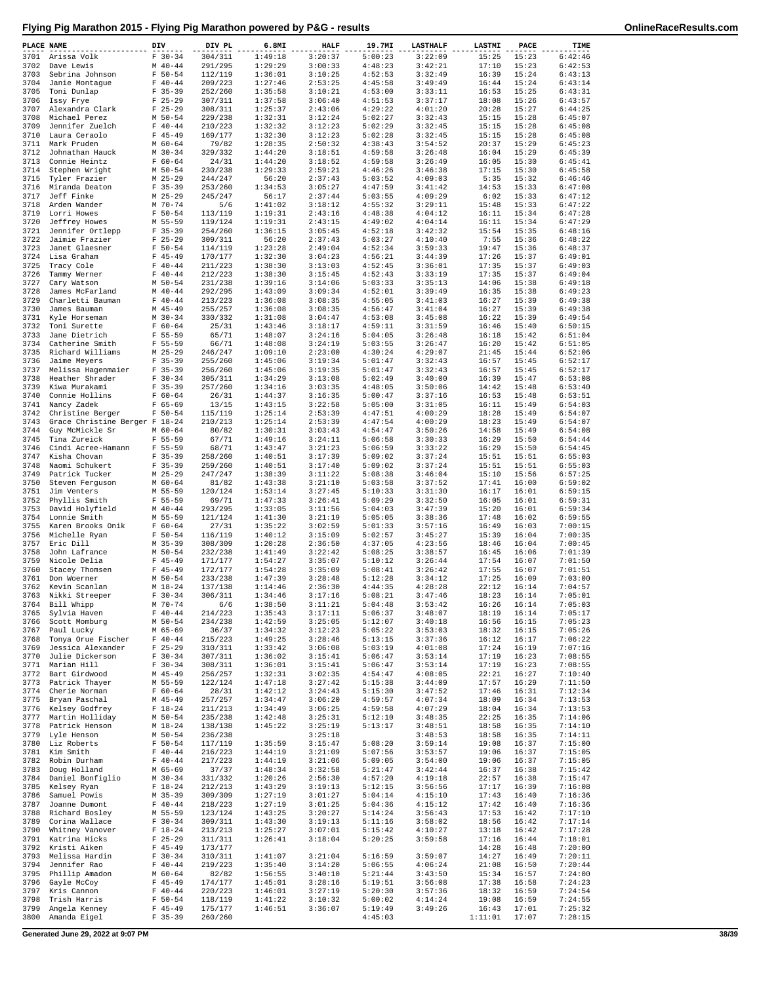| PLACE NAME   |                                                    | DIV                        | DIV PL             | 6.8MI              | <b>HALF</b>        | 19.7MI             | <b>LASTHALF</b>    | LASTMI           | PACE           | TIME               |
|--------------|----------------------------------------------------|----------------------------|--------------------|--------------------|--------------------|--------------------|--------------------|------------------|----------------|--------------------|
|              | 3701 Arissa Volk                                   | $F 30-34$                  | 304/311            | 1:49:18            | 3:20:37            | 5:00:23            | 3:22:09            | 15:25            | 15:23          | 6:42:46            |
| 3702         | Dave Lewis                                         | $M$ 40-44                  | 291/295            | 1:29:29            | 3:00:33            | 4:48:23            | 3:42:21            | 17:10            | 15:23          | 6:42:53            |
| 3703<br>3704 | Sebrina Johnson<br>Janie Montague                  | $F 50 - 54$<br>$F 40 - 44$ | 112/119<br>209/223 | 1:36:01<br>1:27:46 | 3:10:25<br>2:53:25 | 4:52:53<br>4:45:58 | 3:32:49<br>3:49:49 | 16:39<br>16:44   | 15:24<br>15:24 | 6:43:13<br>6:43:14 |
| 3705         | Toni Dunlap                                        | $F$ 35-39                  | 252/260            | 1:35:58            | 3:10:21            | 4:53:00            | 3:33:11            | 16:53            | 15:25          | 6:43:31            |
| 3706         | Issy Frye                                          | $F$ 25-29                  | 307/311            | 1:37:58            | 3:06:40            | 4:51:53            | 3:37:17            | 18:08            | 15:26          | 6:43:57            |
| 3707         | Alexandra Clark                                    | $F$ 25-29                  | 308/311            | 1:25:37            | 2:43:06            | 4:29:22            | 4:01:20            | 20:28            | 15:27          | 6:44:25            |
| 3708         | Michael Perez                                      | M 50-54                    | 229/238            | 1:32:31            | 3:12:24            | 5:02:27            | 3:32:43            | 15:15            | 15:28          | 6:45:07            |
| 3709<br>3710 | Jennifer Zuelch<br>Laura Ceraolo                   | $F 40 - 44$<br>$F$ 45-49   | 210/223<br>169/177 | 1:32:32<br>1:32:30 | 3:12:23<br>3:12:23 | 5:02:29<br>5:02:28 | 3:32:45<br>3:32:45 | 15:15<br>15:15   | 15:28<br>15:28 | 6:45:08<br>6:45:08 |
| 3711         | Mark Pruden                                        | $M$ 60-64                  | 79/82              | 1:28:35            | 2:50:32            | 4:38:43            | 3:54:52            | 20:37            | 15:29          | 6:45:23            |
| 3712         | Johnathan Hauck                                    | $M$ 30-34                  | 329/332            | 1:44:20            | 3:18:51            | 4:59:58            | 3:26:48            | 16:04            | 15:29          | 6:45:39            |
| 3713         | Connie Heintz                                      | $F 60 - 64$                | 24/31              | 1:44:20            | 3:18:52            | 4:59:58            | 3:26:49            | 16:05            | 15:30          | 6:45:41            |
| 3714         | Stephen Wright                                     | M 50-54                    | 230/238            | 1:29:33            | 2:59:21            | 4:46:26            | 3:46:38            | 17:15            | 15:30          | 6:45:58            |
| 3715<br>3716 | Tyler Frazier<br>Miranda Deaton                    | $M$ 25-29<br>$F$ 35-39     | 244/247<br>253/260 | 56:20<br>1:34:53   | 2:37:43<br>3:05:27 | 5:03:52<br>4:47:59 | 4:09:03<br>3:41:42 | 5:35<br>14:53    | 15:32<br>15:33 | 6:46:46<br>6:47:08 |
| 3717         | Jeff Finke                                         | $M$ 25-29                  | 245/247            | 56:17              | 2:37:44            | 5:03:55            | 4:09:29            | 6:02             | 15:33          | 6:47:12            |
| 3718         | Arden Wander                                       | M 70-74                    | 5/6                | 1:41:02            | 3:18:12            | 4:55:32            | 3:29:11            | 15:48            | 15:33          | 6:47:22            |
| 3719         | Lorri Howes                                        | $F 50 - 54$                | 113/119            | 1:19:31            | 2:43:16            | 4:48:38            | 4:04:12            | 16:11            | 15:34          | 6:47:28            |
| 3720         | Jeffrey Howes                                      | M 55-59                    | 119/124            | 1:19:31            | 2:43:15            | 4:49:02            | 4:04:14            | 16:11            | 15:34          | 6:47:29            |
| 3721         | Jennifer Ortlepp                                   | $F$ 35-39                  | 254/260            | 1:36:15            | 3:05:45            | 4:52:18            | 3:42:32            | 15:54            | 15:35          | 6:48:16            |
| 3722<br>3723 | Jaimie Frazier<br>Janet Glaesner                   | $F$ 25-29<br>$F 50 - 54$   | 309/311<br>114/119 | 56:20<br>1:23:28   | 2:37:43<br>2:49:04 | 5:03:27<br>4:52:34 | 4:10:40<br>3:59:33 | 7:55<br>19:47    | 15:36<br>15:36 | 6:48:22<br>6:48:37 |
| 3724         | Lisa Graham                                        | $F$ 45-49                  | 170/177            | 1:32:30            | 3:04:23            | 4:56:21            | 3:44:39            | 17:26            | 15:37          | 6:49:01            |
| 3725         | Tracy Cole                                         | $F 40 - 44$                | 211/223            | 1:38:30            | 3:13:03            | 4:52:45            | 3:36:01            | 17:35            | 15:37          | 6:49:03            |
| 3726         | Tammy Werner                                       | $F 40 - 44$                | 212/223            | 1:38:30            | 3:15:45            | 4:52:43            | 3:33:19            | 17:35            | 15:37          | 6:49:04            |
| 3727         | Cary Watson                                        | M 50-54                    | 231/238            | 1:39:16            | 3:14:06            | 5:03:33            | 3:35:13            | 14:06            | 15:38          | 6:49:18            |
| 3728<br>3729 | James McFarland                                    | $M$ 40-44<br>$F 40 - 44$   | 292/295<br>213/223 | 1:43:09<br>1:36:08 | 3:09:34<br>3:08:35 | 4:52:01<br>4:55:05 | 3:39:49<br>3:41:03 | 16:35<br>16:27   | 15:38<br>15:39 | 6:49:23<br>6:49:38 |
| 3730         | Charletti Bauman<br>James Bauman                   | $M$ 45-49                  | 255/257            | 1:36:08            | 3:08:35            | 4:56:47            | 3:41:04            | 16:27            | 15:39          | 6:49:38            |
| 3731         | Kyle Horseman                                      | $M$ 30-34                  | 330/332            | 1:31:08            | 3:04:47            | 4:53:08            | 3:45:08            | 16:22            | 15:39          | 6:49:54            |
| 3732         | Toni Surette                                       | $F 60 - 64$                | 25/31              | 1:43:46            | 3:18:17            | 4:59:11            | 3:31:59            | 16:46            | 15:40          | 6:50:15            |
| 3733         | Jane Dietrich                                      | $F 55 - 59$                | 65/71              | 1:48:07            | 3:24:16            | 5:04:05            | 3:26:48            | 16:18            | 15:42          | 6:51:04            |
| 3734         | Catherine Smith                                    | $F 55 - 59$                | 66/71              | 1:48:08            | 3:24:19            | 5:03:55            | 3:26:47            | 16:20            | 15:42          | 6:51:05            |
| 3735<br>3736 | Richard Williams<br>Jaime Meyers                   | $M$ 25-29<br>$F$ 35-39     | 246/247<br>255/260 | 1:09:10<br>1:45:06 | 2:23:00<br>3:19:34 | 4:30:24<br>5:01:47 | 4:29:07<br>3:32:43 | 21:45<br>16:57   | 15:44<br>15:45 | 6:52:06<br>6:52:17 |
| 3737         | Melissa Hagenmaier                                 | $F$ 35-39                  | 256/260            | 1:45:06            | 3:19:35            | 5:01:47            | 3:32:43            | 16:57            | 15:45          | 6:52:17            |
| 3738         | Heather Shrader                                    | $F 30 - 34$                | 305/311            | 1:34:29            | 3:13:08            | 5:02:49            | 3:40:00            | 16:39            | 15:47          | 6:53:08            |
| 3739         | Kiwa Murakami                                      | $F$ 35-39                  | 257/260            | 1:34:16            | 3:03:35            | 4:48:05            | 3:50:06            | 14:42            | 15:48          | 6:53:40            |
| 3740         | Connie Hollins                                     | $F 60 - 64$                | 26/31              | 1:44:37            | 3:16:35            | 5:00:47            | 3:37:16            | 16:53            | 15:48          | 6:53:51            |
| 3741<br>3742 | Nancy Zadek                                        | $F 65 - 69$                | 13/15              | 1:43:15            | 3:22:58            | 5:05:00            | 3:31:05            | 16:11            | 15:49          | 6:54:03            |
| 3743         | Christine Berger<br>Grace Christine Berger F 18-24 | $F 50 - 54$                | 115/119<br>210/213 | 1:25:14<br>1:25:14 | 2:53:39<br>2:53:39 | 4:47:51<br>4:47:54 | 4:00:29<br>4:00:29 | 18:28<br>18:23   | 15:49<br>15:49 | 6:54:07<br>6:54:07 |
| 3744         | Guy McMickle Sr                                    | $M$ 60-64                  | 80/82              | 1:30:31            | 3:03:43            | 4:54:47            | 3:50:26            | 14:58            | 15:49          | 6:54:08            |
| 3745         | Tina Zureick                                       | $F 55 - 59$                | 67/71              | 1:49:16            | 3:24:11            | 5:06:58            | 3:30:33            | 16:29            | 15:50          | 6:54:44            |
| 3746         | Cindi Acree-Hamann                                 | $F 55 - 59$                | 68/71              | 1:43:47            | 3:21:23            | 5:06:59            | 3:33:22            | 16:29            | 15:50          | 6:54:45            |
| 3747         | Kisha Chovan                                       | $F$ 35-39                  | 258/260            | 1:40:51            | 3:17:39            | 5:09:02            | 3:37:24            | 15:51            | 15:51          | 6:55:03            |
| 3748         | Naomi Schukert                                     | $F$ 35-39                  | 259/260            | 1:40:51            | 3:17:40            | 5:09:02            | 3:37:24            | 15:51            | 15:51          | 6:55:03            |
| 3749<br>3750 | Patrick Tucker<br>Steven Ferguson                  | $M$ 25-29<br>$M$ 60-64     | 247/247<br>81/82   | 1:38:39<br>1:43:38 | 3:11:22<br>3:21:10 | 5:08:38<br>5:03:58 | 3:46:04<br>3:37:52 | 15:10<br>17:41   | 15:56<br>16:00 | 6:57:25<br>6:59:02 |
| 3751         | Jim Venters                                        | M 55-59                    | 120/124            | 1:53:14            | 3:27:45            | 5:10:33            | 3:31:30            | 16:17            | 16:01          | 6:59:15            |
| 3752         | Phyllis Smith                                      | $F 55 - 59$                | 69/71              | 1:47:33            | 3:26:41            | 5:09:29            | 3:32:50            | 16:05            | 16:01          | 6:59:31            |
| 3753         | David Holyfield                                    | $M$ 40-44                  | 293/295            | 1:33:05            | 3:11:56            | 5:04:03            | 3:47:39            | 15:20            | 16:01          | 6:59:34            |
| 3754         | Lonnie Smith                                       | M 55-59                    | 121/124            | 1:41:30            | 3:21:19            | 5:05:05            | 3:38:36            | 17:48            | 16:02          | 6:59:55            |
| 3755<br>3756 | Karen Brooks Onik<br>Michelle Ryan                 | $F 60 - 64$<br>$F 50 - 54$ | 27/31<br>116/119   | 1:35:22<br>1:40:12 | 3:02:59<br>3:15:09 | 5:01:33<br>5:02:57 | 3:57:16<br>3:45:27 | 16:49<br>15:39   | 16:03<br>16:04 | 7:00:15<br>7:00:35 |
| 3757         | Eric Dill                                          | M 35-39                    | 308/309            | 1:20:28            | 2:36:50            | 4:37:05            | 4:23:56            | 18:46            | 16:04          | 7:00:45            |
| 3758         | John Lafrance                                      | M 50-54                    | 232/238            | 1:41:49            | 3:22:42            | 5:08:25            | 3:38:57            | 16:45            | 16:06          | 7:01:39            |
| 3759         | Nicole Delia                                       | $F$ 45-49                  | 171/177            | 1:54:27            | 3:35:07            | 5:10:12            | 3:26:44            | 17:54            | 16:07          | 7:01:50            |
| 3760         | Stacey Thomsen                                     | $F$ 45-49                  | 172/177            | 1:54:28            | 3:35:09            | 5:08:41            | 3:26:42            | 17:55            | 16:07          | 7:01:51            |
| 3761<br>3762 | Don Woerner<br>Kevin Scanlan                       | $M$ 50-54<br>$M_18-24$     | 233/238<br>137/138 | 1:47:39<br>1:14:46 | 3:28:48<br>2:36:30 | 5:12:28<br>4:44:35 | 3:34:12<br>4:28:28 | 17:25<br>22:12   | 16:09<br>16:14 | 7:03:00<br>7:04:57 |
| 3763         | Nikki Streeper                                     | $F 30 - 34$                | 306/311            | 1:34:46            | 3:17:16            | 5:08:21            | 3:47:46            | 18:23            | 16:14          | 7:05:01            |
|              | 3764 Bill Whipp                                    | M 70-74                    | 6/6                | 1:38:50            | 3:11:21            | 5:04:48            | 3:53:42            | 16:26            | 16:14          | 7:05:03            |
| 3765         | Sylvia Haven                                       | $F 40 - 44$                | 214/223            | 1:35:43            | 3:17:11            | 5:06:37            | 3:48:07            | 18:19            | 16:14          | 7:05:17            |
| 3766         | Scott Momburg                                      | $M$ 50-54                  | 234/238            | 1:42:59            | 3:25:05            | 5:12:07            | 3:40:18            | 16:56            | 16:15          | 7:05:23            |
| 3767<br>3768 | Paul Lucky<br>Tonya Orue Fischer                   | $M$ 65-69<br>$F 40 - 44$   | 36/37<br>215/223   | 1:34:32<br>1:49:25 | 3:12:23<br>3:28:46 | 5:05:22<br>5:13:15 | 3:53:03<br>3:37:36 | 18:32<br>16:12   | 16:15<br>16:17 | 7:05:26<br>7:06:22 |
| 3769         | Jessica Alexander                                  | $F$ 25-29                  | 310/311            | 1:33:42            | 3:06:08            | 5:03:19            | 4:01:08            | 17:24            | 16:19          | 7:07:16            |
| 3770         | Julie Dickerson                                    | $F 30-34$                  | 307/311            | 1:36:02            | 3:15:41            | 5:06:47            | 3:53:14            | 17:19            | 16:23          | 7:08:55            |
| 3771         | Marian Hill                                        | $F 30-34$                  | 308/311            | 1:36:01            | 3:15:41            | 5:06:47            | 3:53:14            | 17:19            | 16:23          | 7:08:55            |
| 3772         | Bart Girdwood                                      | $M$ 45-49                  | 256/257            | 1:32:31            | 3:02:35            | 4:54:47            | 4:08:05            | 22:21            | 16:27          | 7:10:40            |
| 3773         | Patrick Thayer<br>Cherie Norman                    | M 55-59<br>$F 60 - 64$     | 122/124            | 1:47:18            | 3:27:42            | 5:15:38            | 3:44:09            | 17:57            | 16:29          | 7:11:50            |
| 3774<br>3775 | Bryan Paschal                                      | $M$ 45-49                  | 28/31<br>257/257   | 1:42:12<br>1:34:47 | 3:24:43<br>3:06:20 | 5:15:30<br>4:59:57 | 3:47:52<br>4:07:34 | 17:46<br>18:09   | 16:31<br>16:34 | 7:12:34<br>7:13:53 |
| 3776         | Kelsey Godfrey                                     | $F 18 - 24$                | 211/213            | 1:34:49            | 3:06:25            | 4:59:58            | 4:07:29            | 18:04            | 16:34          | 7:13:53            |
| 3777         | Martin Holliday                                    | $M$ 50-54                  | 235/238            | 1:42:48            | 3:25:31            | 5:12:10            | 3:48:35            | 22:25            | 16:35          | 7:14:06            |
| 3778         | Patrick Henson                                     | $M_18-24$                  | 138/138            | 1:45:22            | 3:25:19            | 5:13:17            | 3:48:51            | 18:58            | 16:35          | 7:14:10            |
| 3779         | Lyle Henson                                        | $M$ 50-54                  | 236/238            |                    | 3:25:18            |                    | 3:48:53            | 18:58            | 16:35          | 7:14:11            |
| 3780<br>3781 | Liz Roberts<br>Kim Smith                           | $F 50 - 54$<br>$F 40 - 44$ | 117/119<br>216/223 | 1:35:59<br>1:44:19 | 3:15:47<br>3:21:09 | 5:08:20<br>5:07:56 | 3:59:14<br>3:53:57 | 19:08<br>19:06   | 16:37<br>16:37 | 7:15:00<br>7:15:05 |
| 3782         | Robin Durham                                       | $F 40 - 44$                | 217/223            | 1:44:19            | 3:21:06            | 5:09:05            | 3:54:00            | 19:06            | 16:37          | 7:15:05            |
| 3783         | Doug Holland                                       | M 65-69                    | 37/37              | 1:48:34            | 3:32:58            | 5:21:47            | 3:42:44            | 16:37            | 16:38          | 7:15:42            |
| 3784         | Daniel Bonfiglio                                   | $M$ 30-34                  | 331/332            | 1:20:26            | 2:56:30            | 4:57:20            | 4:19:18            | 22:57            | 16:38          | 7:15:47            |
| 3785         | Kelsey Ryan                                        | $F 18 - 24$                | 212/213            | 1:43:29            | 3:19:13            | 5:12:15            | 3:56:56            | 17:17            | 16:39          | 7:16:08            |
| 3786<br>3787 | Samuel Powis<br>Joanne Dumont                      | $M$ 35-39<br>$F 40 - 44$   | 309/309<br>218/223 | 1:27:19<br>1:27:19 | 3:01:27<br>3:01:25 | 5:04:14<br>5:04:36 | 4:15:10<br>4:15:12 | 17:43<br>17:42   | 16:40<br>16:40 | 7:16:36<br>7:16:36 |
| 3788         | Richard Bosley                                     | M 55-59                    | 123/124            | 1:43:25            | 3:20:27            | 5:14:24            | 3:56:43            | 17:53            | 16:42          | 7:17:10            |
| 3789         | Corina Wallace                                     | $F 30-34$                  | 309/311            | 1:43:30            | 3:19:13            | 5:11:16            | 3:58:02            | 18:56            | 16:42          | 7:17:14            |
| 3790         | Whitney Vanover                                    | $F 18 - 24$                | 213/213            | 1:25:27            | 3:07:01            | 5:15:42            | 4:10:27            | 13:18            | 16:42          | 7:17:28            |
| 3791         | Katrina Hicks                                      | $F$ 25-29                  | 311/311            | 1:26:41            | 3:18:04            | 5:20:25            | 3:59:58            | 17:16            | 16:44          | 7:18:01            |
| 3792         | Kristi Aiken                                       | $F 45 - 49$                | 173/177            |                    |                    |                    |                    | 14:28            | 16:48          | 7:20:00<br>7:20:11 |
| 3793<br>3794 | Melissa Hardin<br>Jennifer Rao                     | $F 30-34$<br>$F 40 - 44$   | 310/311<br>219/223 | 1:41:07<br>1:35:40 | 3:21:04<br>3:14:20 | 5:16:59<br>5:06:55 | 3:59:07<br>4:06:24 | 14:27<br>21:08   | 16:49<br>16:50 | 7:20:44            |
| 3795         | Phillip Amadon                                     | $M$ 60-64                  | 82/82              | 1:56:55            | 3:40:10            | 5:21:44            | 3:43:50            | 15:34            | 16:57          | 7:24:00            |
| 3796         | Gayle McCoy                                        | $F$ 45-49                  | 174/177            | 1:45:01            | 3:28:16            | 5:19:51            | 3:56:08            | 17:38            | 16:58          | 7:24:23            |
| 3797         | Kris Cannon                                        | $F 40 - 44$                | 220/223            | 1:46:01            | 3:27:19            | 5:20:30            | 3:57:36            | 18:32            | 16:59          | 7:24:54            |
| 3798         | Trish Harris                                       | $F 50 - 54$                | 118/119            | 1:41:22            | 3:10:32            | 5:00:02            | 4:14:24            | 19:08            | 16:59          | 7:24:55            |
| 3799<br>3800 | Angela Kenney<br>Amanda Eigel                      | $F$ 45-49<br>F 35-39       | 175/177<br>260/260 | 1:46:51            | 3:36:07            | 5:19:49<br>4:45:03 | 3:49:26            | 16:43<br>1:11:01 | 17:01<br>17:07 | 7:25:32<br>7:28:15 |
|              |                                                    |                            |                    |                    |                    |                    |                    |                  |                |                    |

**Generated June 29, 2022 at 9:07 PM 38/39**